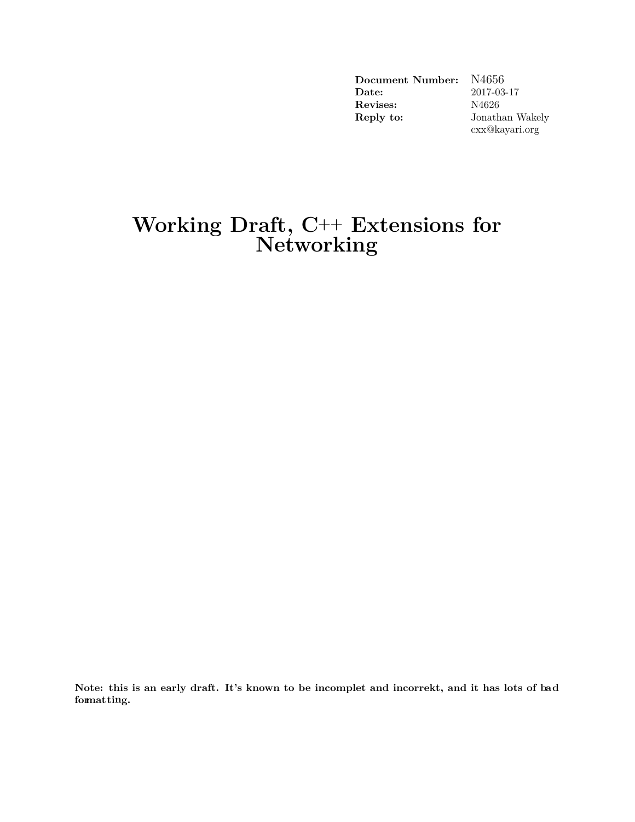| Document Number:      | N4656           |
|-----------------------|-----------------|
| $\rm{\textbf{Date}:}$ | 2017-03-17      |
| Revises:              | N4626           |
| Reply to:             | Jonathan Wakely |
|                       | cxx@kayari.org  |

## **Working Draft, C++ Extensions for Networking**

**Note: this is an early draft. It's known to be incomplet and incorrekt, and it has lots of bad formatting.**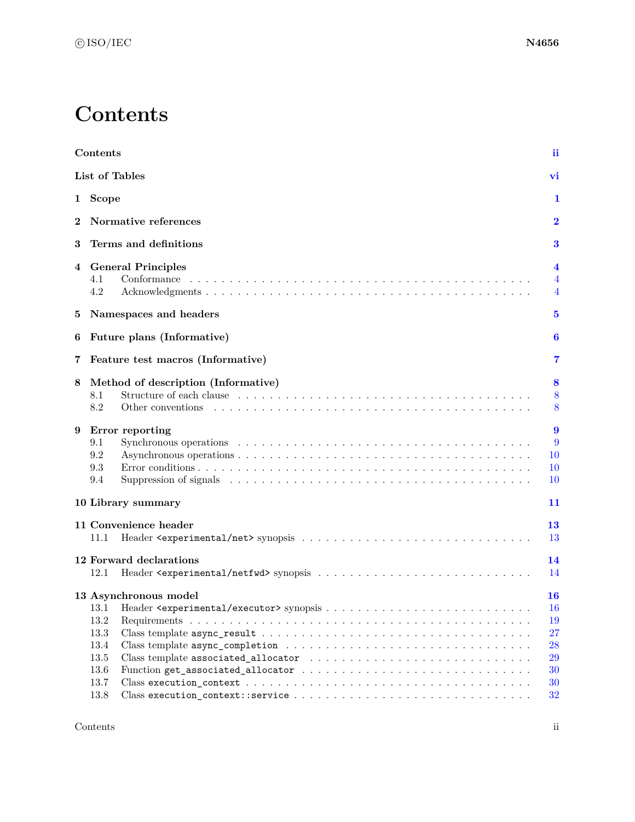## **Contents**

<span id="page-1-0"></span>

|          | Contents                                                                                                                                                                                                                                                                     | ii                                                  |
|----------|------------------------------------------------------------------------------------------------------------------------------------------------------------------------------------------------------------------------------------------------------------------------------|-----------------------------------------------------|
|          | List of Tables                                                                                                                                                                                                                                                               | vi                                                  |
| 1        | Scope                                                                                                                                                                                                                                                                        | 1                                                   |
| $\bf{2}$ | Normative references                                                                                                                                                                                                                                                         | $\bf{2}$                                            |
| 3        | Terms and definitions                                                                                                                                                                                                                                                        | 3                                                   |
| 4        | <b>General Principles</b><br>4.1<br>Conformance<br>4.2                                                                                                                                                                                                                       | $\overline{\mathbf{4}}$<br>4<br>4                   |
| 5        | Namespaces and headers                                                                                                                                                                                                                                                       | $\bf{5}$                                            |
| 6        | Future plans (Informative)                                                                                                                                                                                                                                                   | 6                                                   |
| 7        | Feature test macros (Informative)                                                                                                                                                                                                                                            | 7                                                   |
| 8        | Method of description (Informative)<br>8.1<br>8.2<br>Other conventions                                                                                                                                                                                                       | 8<br>8<br>8                                         |
| 9        | Error reporting<br>9.1<br>9.2<br>9.3<br>9.4<br>Suppression of signals enterprise in the contract of the set of the set of the set of the set of the set of the set of the set of the set of the set of the set of the set of the set of the set of the set of the set of the | $\boldsymbol{9}$<br>9<br>10<br>10<br><b>10</b>      |
|          | 10 Library summary                                                                                                                                                                                                                                                           | 11                                                  |
|          | 11 Convenience header<br>11.1                                                                                                                                                                                                                                                | 13<br>13                                            |
|          | 12 Forward declarations<br>12.1                                                                                                                                                                                                                                              | 14<br>14                                            |
|          | 13 Asynchronous model<br>13.2<br>13.3<br>13.4<br>13.5<br>13.6<br>13.7                                                                                                                                                                                                        | <b>16</b><br>16<br>19<br>27<br>28<br>29<br>30<br>30 |
|          | 13.8                                                                                                                                                                                                                                                                         | 32                                                  |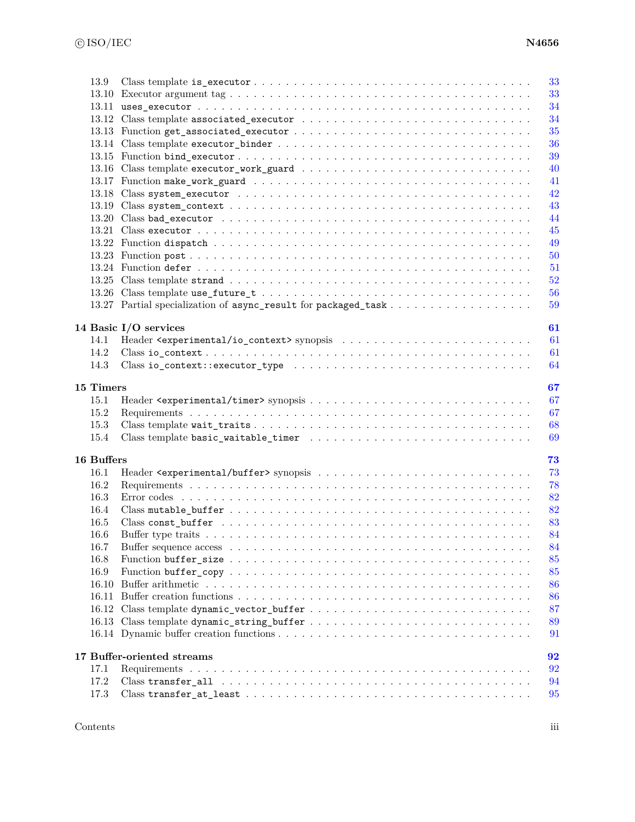|            | 33                                                                                                                                                                                                                                                                                                                                                                                                                                        |
|------------|-------------------------------------------------------------------------------------------------------------------------------------------------------------------------------------------------------------------------------------------------------------------------------------------------------------------------------------------------------------------------------------------------------------------------------------------|
|            | 33                                                                                                                                                                                                                                                                                                                                                                                                                                        |
|            | 34                                                                                                                                                                                                                                                                                                                                                                                                                                        |
|            | 34                                                                                                                                                                                                                                                                                                                                                                                                                                        |
|            | 35                                                                                                                                                                                                                                                                                                                                                                                                                                        |
|            | 36                                                                                                                                                                                                                                                                                                                                                                                                                                        |
|            | 39                                                                                                                                                                                                                                                                                                                                                                                                                                        |
|            | 40                                                                                                                                                                                                                                                                                                                                                                                                                                        |
|            | 41                                                                                                                                                                                                                                                                                                                                                                                                                                        |
|            | 42                                                                                                                                                                                                                                                                                                                                                                                                                                        |
|            | 43                                                                                                                                                                                                                                                                                                                                                                                                                                        |
|            | 44                                                                                                                                                                                                                                                                                                                                                                                                                                        |
|            | 45                                                                                                                                                                                                                                                                                                                                                                                                                                        |
|            | 49                                                                                                                                                                                                                                                                                                                                                                                                                                        |
|            | 50                                                                                                                                                                                                                                                                                                                                                                                                                                        |
|            | 51                                                                                                                                                                                                                                                                                                                                                                                                                                        |
|            | 52                                                                                                                                                                                                                                                                                                                                                                                                                                        |
|            | 56                                                                                                                                                                                                                                                                                                                                                                                                                                        |
|            | 59                                                                                                                                                                                                                                                                                                                                                                                                                                        |
|            |                                                                                                                                                                                                                                                                                                                                                                                                                                           |
|            | 14 Basic I/O services<br>61                                                                                                                                                                                                                                                                                                                                                                                                               |
| 14.1       | 61                                                                                                                                                                                                                                                                                                                                                                                                                                        |
| 14.2       | 61                                                                                                                                                                                                                                                                                                                                                                                                                                        |
| 14.3       | 64                                                                                                                                                                                                                                                                                                                                                                                                                                        |
|            |                                                                                                                                                                                                                                                                                                                                                                                                                                           |
| 15 Timers  | 67                                                                                                                                                                                                                                                                                                                                                                                                                                        |
| 15.1       | 67                                                                                                                                                                                                                                                                                                                                                                                                                                        |
| 15.2       | 67                                                                                                                                                                                                                                                                                                                                                                                                                                        |
| 15.3       | 68                                                                                                                                                                                                                                                                                                                                                                                                                                        |
| 15.4       | 69                                                                                                                                                                                                                                                                                                                                                                                                                                        |
|            |                                                                                                                                                                                                                                                                                                                                                                                                                                           |
| 16 Buffers | 73                                                                                                                                                                                                                                                                                                                                                                                                                                        |
| 16.1       | 73                                                                                                                                                                                                                                                                                                                                                                                                                                        |
| 16.2       | 78                                                                                                                                                                                                                                                                                                                                                                                                                                        |
| 16.3       | 82                                                                                                                                                                                                                                                                                                                                                                                                                                        |
| 16.4       | 82                                                                                                                                                                                                                                                                                                                                                                                                                                        |
| 16.5       | 83                                                                                                                                                                                                                                                                                                                                                                                                                                        |
| 16.6       | 84                                                                                                                                                                                                                                                                                                                                                                                                                                        |
| 16.7       | 84                                                                                                                                                                                                                                                                                                                                                                                                                                        |
| 16.8       | 85                                                                                                                                                                                                                                                                                                                                                                                                                                        |
| 16.9       | 85                                                                                                                                                                                                                                                                                                                                                                                                                                        |
| 16.10      | 86                                                                                                                                                                                                                                                                                                                                                                                                                                        |
|            | 86                                                                                                                                                                                                                                                                                                                                                                                                                                        |
|            | 87                                                                                                                                                                                                                                                                                                                                                                                                                                        |
|            | 89                                                                                                                                                                                                                                                                                                                                                                                                                                        |
|            | 91                                                                                                                                                                                                                                                                                                                                                                                                                                        |
|            |                                                                                                                                                                                                                                                                                                                                                                                                                                           |
|            | 17 Buffer-oriented streams<br>92                                                                                                                                                                                                                                                                                                                                                                                                          |
| 17.1       |                                                                                                                                                                                                                                                                                                                                                                                                                                           |
|            | 92                                                                                                                                                                                                                                                                                                                                                                                                                                        |
| 17.2       | 94<br>$\text{Class transfer\_at\_least} \texttt{.} \texttt{.} \texttt{.} \texttt{.} \texttt{.} \texttt{.} \texttt{.} \texttt{.} \texttt{.} \texttt{.} \texttt{.} \texttt{.} \texttt{.} \texttt{.} \texttt{.} \texttt{.} \texttt{.} \texttt{.} \texttt{.} \texttt{.} \texttt{.} \texttt{.} \texttt{.} \texttt{.} \texttt{.} \texttt{.} \texttt{.} \texttt{.} \texttt{.} \texttt{.} \texttt{.} \texttt{.} \texttt{.} \texttt{.} \texttt{.}$ |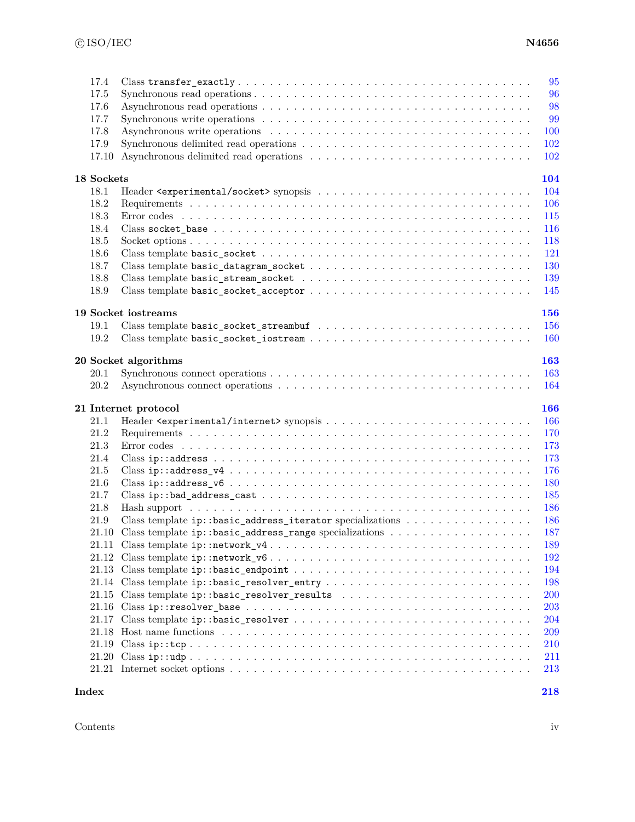| 17.4<br>17.5<br>17.6<br>17.7<br>17.8<br>17.9<br>17.10 |                                                                                                                                                  | 95<br>96<br>98<br>99<br><b>100</b><br>102<br><b>102</b> |
|-------------------------------------------------------|--------------------------------------------------------------------------------------------------------------------------------------------------|---------------------------------------------------------|
| 18 Sockets                                            |                                                                                                                                                  | 104                                                     |
| 18.1                                                  |                                                                                                                                                  | 104                                                     |
| 18.2                                                  |                                                                                                                                                  | 106                                                     |
| 18.3                                                  |                                                                                                                                                  | 115                                                     |
| 18.4                                                  |                                                                                                                                                  | 116                                                     |
| 18.5                                                  |                                                                                                                                                  | 118                                                     |
| 18.6                                                  |                                                                                                                                                  | 121                                                     |
| 18.7                                                  |                                                                                                                                                  | <b>130</b>                                              |
| 18.8                                                  |                                                                                                                                                  | 139                                                     |
| 18.9                                                  | $\label{thm:main} \text{Class template basic\_socket\_acceptor}\ \dots\ \dots\ \dots\ \dots\ \dots\ \dots\ \dots\ \dots\ \dots\ \dots\ \dots\ .$ | 145                                                     |
|                                                       | 19 Socket iostreams                                                                                                                              | <b>156</b>                                              |
| 19.1                                                  |                                                                                                                                                  | 156                                                     |
| 19.2                                                  |                                                                                                                                                  | <b>160</b>                                              |
|                                                       |                                                                                                                                                  |                                                         |
|                                                       | 20 Socket algorithms                                                                                                                             | <b>163</b>                                              |
| 20.1                                                  |                                                                                                                                                  | 163                                                     |
| 20.2                                                  |                                                                                                                                                  | 164                                                     |
|                                                       | 21 Internet protocol                                                                                                                             | 166                                                     |
| 21.1                                                  |                                                                                                                                                  | 166                                                     |
| 21.2                                                  |                                                                                                                                                  | 170                                                     |
| 21.3                                                  |                                                                                                                                                  | 173                                                     |
| 21.4                                                  |                                                                                                                                                  | 173                                                     |
| 21.5                                                  | $\text{Class } \texttt{ip::address\_v4} \dots \dots \dots \dots \dots \dots \dots \dots \dots \dots \dots \dots \dots \dots \dots \dots$         | 176                                                     |
| 21.6                                                  |                                                                                                                                                  | 180                                                     |
| 21.7                                                  |                                                                                                                                                  | 185                                                     |
| 21.8                                                  |                                                                                                                                                  | 186                                                     |
| 21.9                                                  | Class template ip::basic_address_iterator specializations                                                                                        | 186                                                     |
| 21.10                                                 |                                                                                                                                                  | 187                                                     |
|                                                       |                                                                                                                                                  | 189                                                     |
|                                                       |                                                                                                                                                  | 192                                                     |
|                                                       |                                                                                                                                                  | 194                                                     |
|                                                       |                                                                                                                                                  | 198                                                     |
|                                                       |                                                                                                                                                  | <b>200</b>                                              |
|                                                       |                                                                                                                                                  | 203                                                     |
|                                                       |                                                                                                                                                  | 204                                                     |
|                                                       |                                                                                                                                                  | 209                                                     |
|                                                       |                                                                                                                                                  | 210                                                     |
|                                                       |                                                                                                                                                  | 211                                                     |
|                                                       |                                                                                                                                                  | 213                                                     |
| Index                                                 |                                                                                                                                                  | 218                                                     |

Contents iv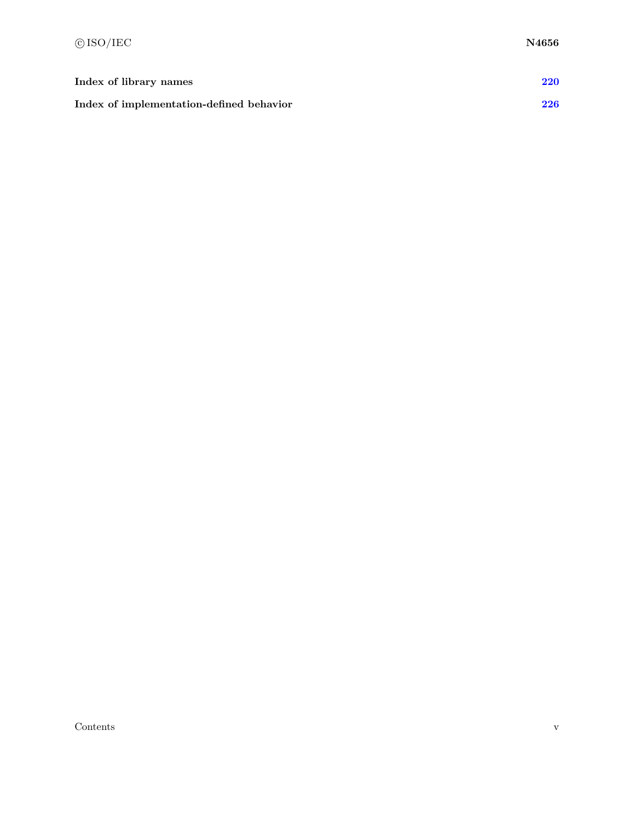| Index of library names                   | 220 |
|------------------------------------------|-----|
| Index of implementation-defined behavior | 226 |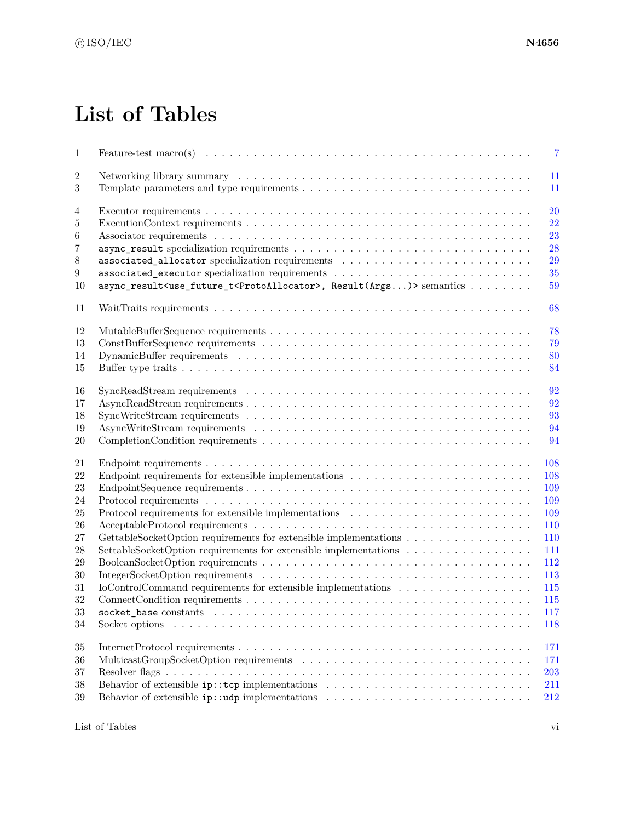## **List of Tables**

<span id="page-5-0"></span>

| $\,1$          | $\overline{7}$                                                                                                                                  |
|----------------|-------------------------------------------------------------------------------------------------------------------------------------------------|
| $\overline{2}$ | 11                                                                                                                                              |
| 3              | 11                                                                                                                                              |
| 4              | 20                                                                                                                                              |
| 5              | 22                                                                                                                                              |
| 6              | 23                                                                                                                                              |
| $\overline{7}$ | 28                                                                                                                                              |
| $8\,$          | 29                                                                                                                                              |
| 9              | 35                                                                                                                                              |
| 10             | async_result <use_future_t<protoallocator>, Result(Args)&gt; semantics <br/>59</use_future_t<protoallocator>                                    |
| 11             | 68                                                                                                                                              |
| 12             | 78                                                                                                                                              |
| 13             | 79                                                                                                                                              |
| 14             | 80                                                                                                                                              |
| 15             | 84                                                                                                                                              |
|                |                                                                                                                                                 |
| 16             | 92                                                                                                                                              |
| 17             | 92                                                                                                                                              |
| 18             | 93                                                                                                                                              |
| 19             | 94                                                                                                                                              |
| 20             | 94                                                                                                                                              |
| 21             | 108                                                                                                                                             |
| 22             | 108<br>Endpoint requirements for extensible implementations $\dots \dots \dots \dots \dots \dots \dots \dots \dots$                             |
| 23             | 109                                                                                                                                             |
| 24             | 109                                                                                                                                             |
| 25             | Protocol requirements for extensible implementations<br>$\hfill\ldots\ldots\ldots\ldots\ldots\ldots\ldots\ldots\ldots\ldots\ldots\ldots$<br>109 |
| 26             | 110                                                                                                                                             |
| 27             | GettableSocketOption requirements for extensible implementations<br>110                                                                         |
| 28             | SettableSocketOption requirements for extensible implementations<br>111                                                                         |
| 29             | 112                                                                                                                                             |
| 30             | 113                                                                                                                                             |
| 31             | IoControlCommand requirements for extensible implementations<br>115                                                                             |
| 32             | 115                                                                                                                                             |
| $33\,$         | $117\,$                                                                                                                                         |
| 34             | 118                                                                                                                                             |
|                |                                                                                                                                                 |
| $35\,$         | 171                                                                                                                                             |
| 36             | 171                                                                                                                                             |
| 37             | 203                                                                                                                                             |
| 38             | 211                                                                                                                                             |
| $39\,$         | Behavior of extensible $ip: udp$ implementations $\ldots \ldots \ldots \ldots \ldots \ldots \ldots \ldots \ldots$<br>212                        |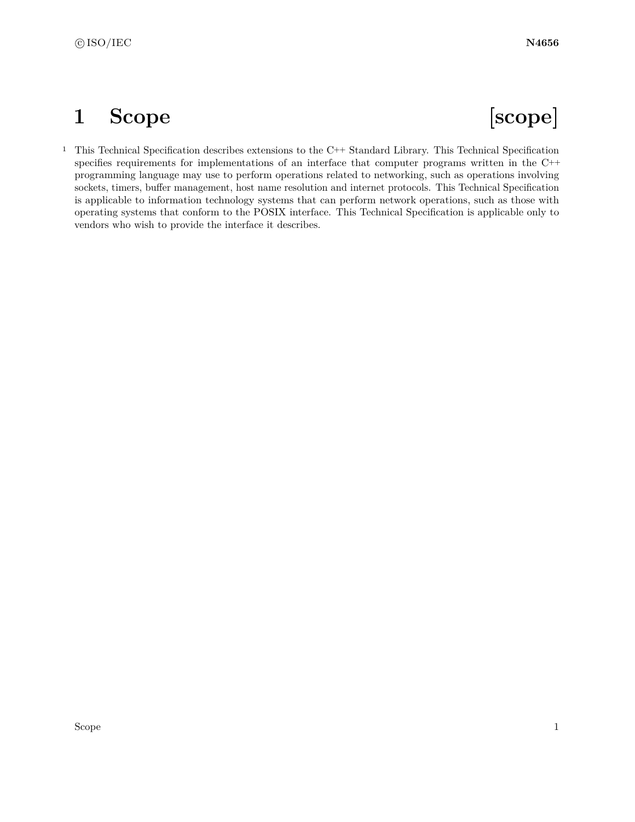## <span id="page-7-0"></span>**1 Scope [scope]**

<sup>1</sup> This Technical Specification describes extensions to the C++ Standard Library. This Technical Specification specifies requirements for implementations of an interface that computer programs written in the C++ programming language may use to perform operations related to networking, such as operations involving sockets, timers, buffer management, host name resolution and internet protocols. This Technical Specification is applicable to information technology systems that can perform network operations, such as those with operating systems that conform to the POSIX interface. This Technical Specification is applicable only to vendors who wish to provide the interface it describes.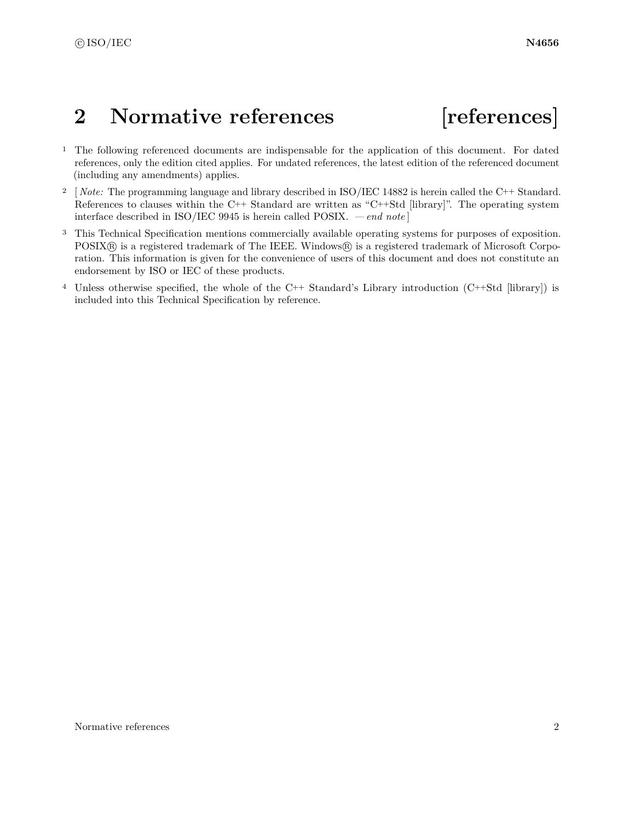## <span id="page-8-0"></span>2 Normative references [references]

- <sup>1</sup> The following referenced documents are indispensable for the application of this document. For dated references, only the edition cited applies. For undated references, the latest edition of the referenced document (including any amendments) applies.
- <sup>2</sup> [*Note:* The programming language and library described in ISO/IEC 14882 is herein called the C++ Standard. References to clauses within the C++ Standard are written as "C++Std [library]". The operating system interface described in ISO/IEC 9945 is herein called POSIX. *— end note* ]
- <sup>3</sup> This Technical Specification mentions commercially available operating systems for purposes of exposition. POSIX<sup>®</sup> is a registered trademark of The IEEE. Windows® is a registered trademark of Microsoft Corporation. This information is given for the convenience of users of this document and does not constitute an endorsement by ISO or IEC of these products.
- <sup>4</sup> Unless otherwise specified, the whole of the C++ Standard's Library introduction (C++Std [library]) is included into this Technical Specification by reference.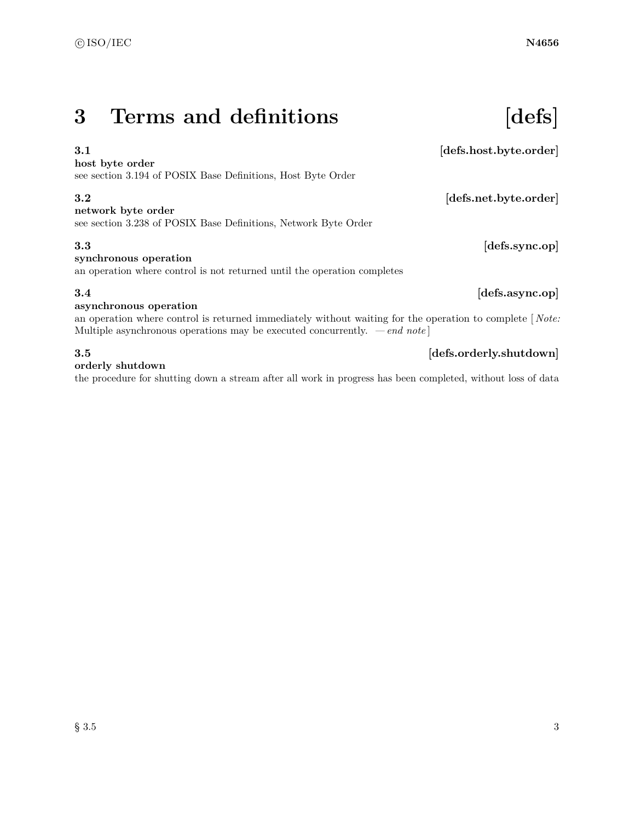## <span id="page-9-0"></span>**3 Terms and definitions [defs]**

### **3.1** *defs.host.byte.order*

### **host byte order**

see section 3.194 of POSIX Base Definitions, Host Byte Order

### **3.2** *defs.net.byte.order*

**network byte order**

see section 3.238 of POSIX Base Definitions, Network Byte Order

### **3.3 [defs.sync.op]**

### **synchronous operation**

an operation where control is not returned until the operation completes

### **3.4 [defs.async.op]**

### **asynchronous operation**

an operation where control is returned immediately without waiting for the operation to complete [ *Note:* Multiple asynchronous operations may be executed concurrently. *— end note* ]

### **3.5 [defs.orderly.shutdown]**

### **orderly shutdown**

the procedure for shutting down a stream after all work in progress has been completed, without loss of data

 $\S 3.5$  3.5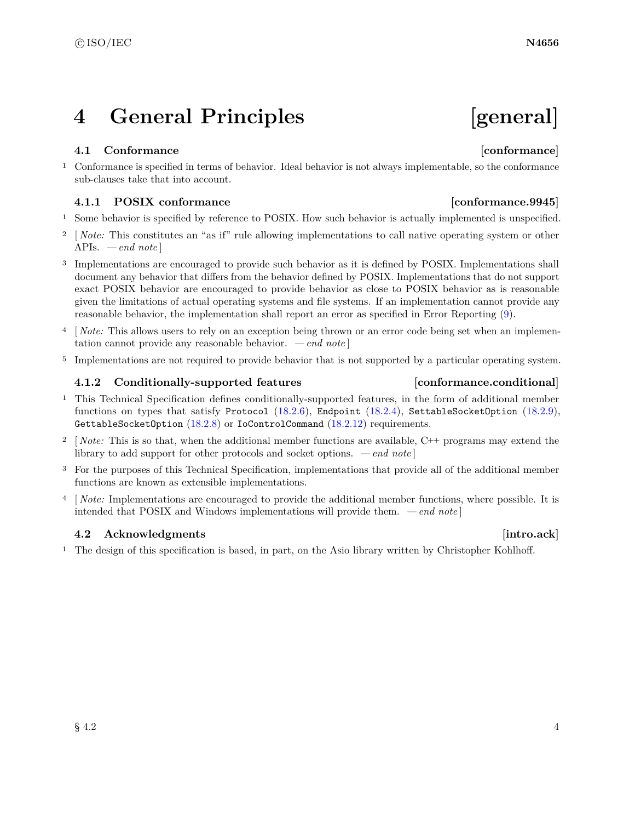## <span id="page-10-0"></span>**4 General Principles [general]**

### <span id="page-10-1"></span>**4.1 Conformance [conformance]**

<sup>1</sup> Conformance is specified in terms of behavior. Ideal behavior is not always implementable, so the conformance sub-clauses take that into account.

### **4.1.1 POSIX conformance [conformance.9945]**

- <sup>1</sup> Some behavior is specified by reference to POSIX. How such behavior is actually implemented is unspecified.
- <sup>2</sup> [*Note:* This constitutes an "as if" rule allowing implementations to call native operating system or other APIs. *— end note* ]
- <sup>3</sup> Implementations are encouraged to provide such behavior as it is defined by POSIX. Implementations shall document any behavior that differs from the behavior defined by POSIX. Implementations that do not support exact POSIX behavior are encouraged to provide behavior as close to POSIX behavior as is reasonable given the limitations of actual operating systems and file systems. If an implementation cannot provide any reasonable behavior, the implementation shall report an error as specified in Error Reporting [\(9\)](#page-15-0).
- <sup>4</sup> [*Note:* This allows users to rely on an exception being thrown or an error code being set when an implementation cannot provide any reasonable behavior. *— end note* ]
- <sup>5</sup> Implementations are not required to provide behavior that is not supported by a particular operating system.

### <span id="page-10-3"></span>**4.1.2 Conditionally-supported features [conformance.conditional]**

- <sup>1</sup> This Technical Specification defines conditionally-supported features, in the form of additional member functions on types that satisfy Protocol  $(18.2.6)$ , Endpoint  $(18.2.4)$ , SettableSocketOption  $(18.2.9)$ , GettableSocketOption [\(18.2.8\)](#page-116-2) or IoControlCommand [\(18.2.12\)](#page-121-3) requirements.
- <sup>2</sup> [ *Note:* This is so that, when the additional member functions are available, C++ programs may extend the library to add support for other protocols and socket options. *— end note* ]
- <sup>3</sup> For the purposes of this Technical Specification, implementations that provide all of the additional member functions are known as extensible implementations.
- <sup>4</sup> [ *Note:* Implementations are encouraged to provide the additional member functions, where possible. It is intended that POSIX and Windows implementations will provide them. *— end note* ]

### <span id="page-10-2"></span>**4.2** Acknowledgments **intro.ack**

<sup>1</sup> The design of this specification is based, in part, on the Asio library written by Christopher Kohlhoff.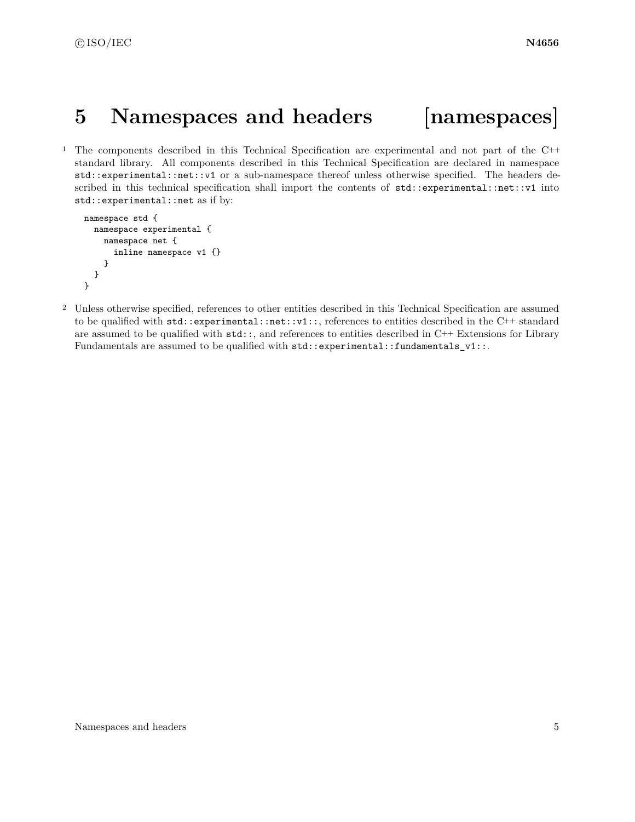## <span id="page-11-0"></span>**5 Namespaces and headers [namespaces]**

<sup>1</sup> The components described in this Technical Specification are experimental and not part of the C++ standard library. All components described in this Technical Specification are declared in namespace std::experimental::net::v1 or a sub-namespace thereof unless otherwise specified. The headers described in this technical specification shall import the contents of  $std::experimental::net::v1$  into std::experimental::net as if by:

```
namespace std {
  namespace experimental {
   namespace net {
      inline namespace v1 {}
    }
 }
}
```
<sup>2</sup> Unless otherwise specified, references to other entities described in this Technical Specification are assumed to be qualified with std::experimental::net::v1::, references to entities described in the C++ standard are assumed to be qualified with  $\text{std}$ :; and references to entities described in C++ Extensions for Library Fundamentals are assumed to be qualified with std::experimental::fundamentals\_v1::.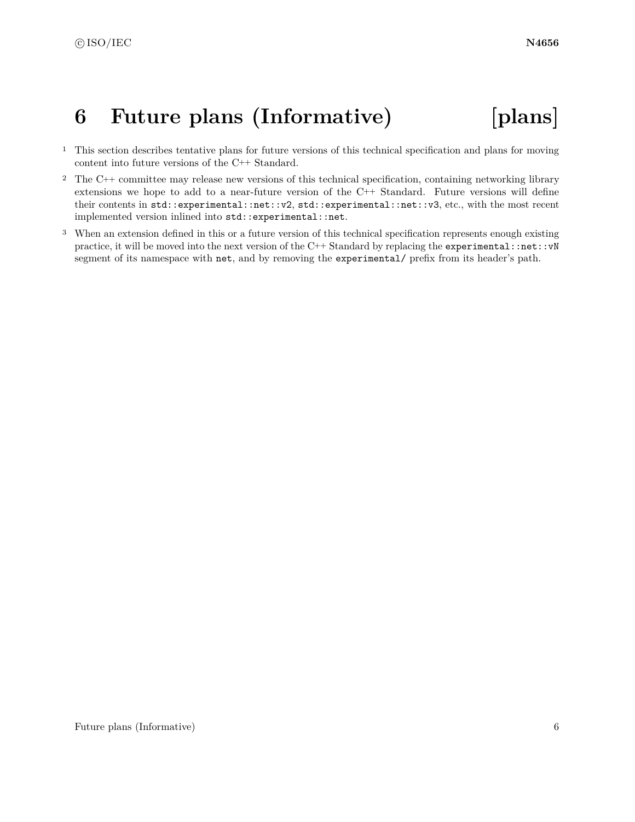## <span id="page-12-0"></span>**6 Future plans (Informative) [plans]**

- <sup>1</sup> This section describes tentative plans for future versions of this technical specification and plans for moving content into future versions of the C++ Standard.
- <sup>2</sup> The C++ committee may release new versions of this technical specification, containing networking library extensions we hope to add to a near-future version of the C++ Standard. Future versions will define their contents in std::experimental::net::v2, std::experimental::net::v3, etc., with the most recent implemented version inlined into std::experimental::net.
- <sup>3</sup> When an extension defined in this or a future version of this technical specification represents enough existing practice, it will be moved into the next version of the C++ Standard by replacing the experimental::net::vN segment of its namespace with net, and by removing the experimental/ prefix from its header's path.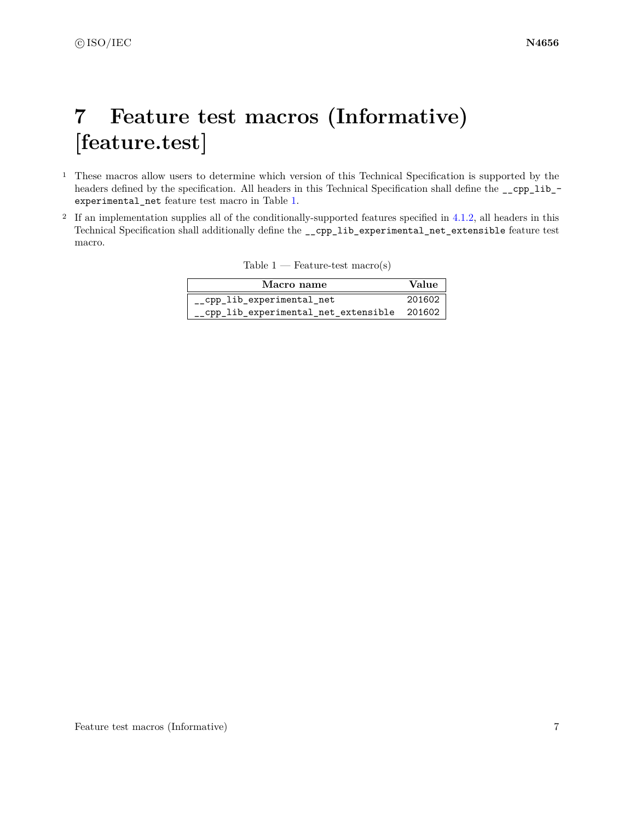## <span id="page-13-0"></span>**7 Feature test macros (Informative) [feature.test]**

- <sup>1</sup> These macros allow users to determine which version of this Technical Specification is supported by the headers defined by the specification. All headers in this Technical Specification shall define the \_\_cpp\_lib\_ experimental\_net feature test macro in Table [1.](#page-13-1)
- <sup>2</sup> If an implementation supplies all of the conditionally-supported features specified in [4.1.2,](#page-10-3) all headers in this Technical Specification shall additionally define the \_\_cpp\_lib\_experimental\_net\_extensible feature test macro.

<span id="page-13-1"></span>

| Table 1 | Feature-test $macro(s)$ |  |  |
|---------|-------------------------|--|--|
|         |                         |  |  |

| Macro name                                   | Value  |
|----------------------------------------------|--------|
| cpp lib experimental net                     | 201602 |
| __cpp_lib_experimental_net_extensible 201602 |        |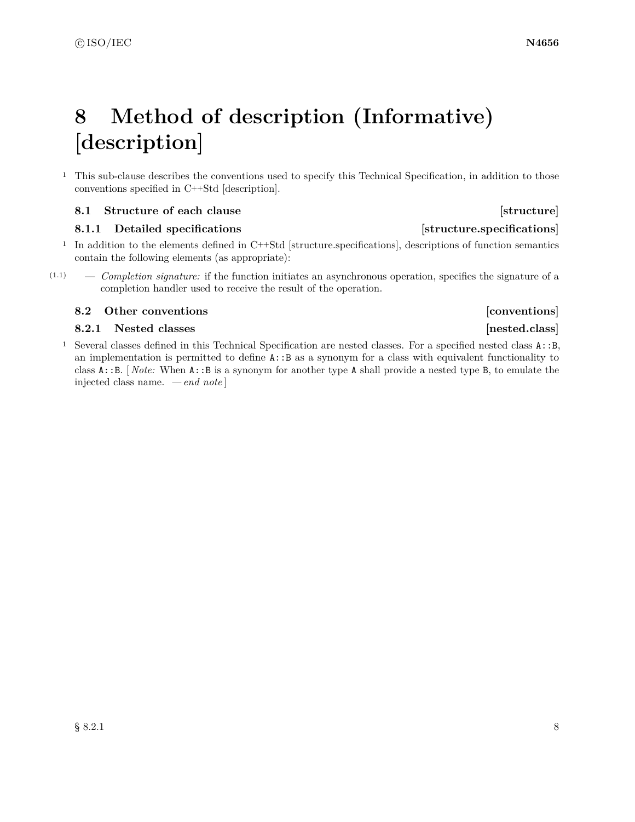## <span id="page-14-0"></span>**8 Method of description (Informative) [description]**

<sup>1</sup> This sub-clause describes the conventions used to specify this Technical Specification, in addition to those conventions specified in C++Std [description].

### <span id="page-14-1"></span>**8.1 Structure of each clause [structure] [structure]**

### **8.1.1** Detailed specifications **and intervals** [structure.specifications]

- <sup>1</sup> In addition to the elements defined in C++Std [structure.specifications], descriptions of function semantics contain the following elements (as appropriate):
- (1.1) *Completion signature:* if the function initiates an asynchronous operation, specifies the signature of a completion handler used to receive the result of the operation.

### <span id="page-14-2"></span>**8.2 Other conventions b 1 b 1 conventions [conventions**]

### **8.2.1** Nested classes **and a set of the set of the set of the set of the set of the set of the set of the set of the set of the set of the set of the set of the set of the set of the set of the set of the set of the set o**

<sup>1</sup> Several classes defined in this Technical Specification are nested classes. For a specified nested class A::B, an implementation is permitted to define A::B as a synonym for a class with equivalent functionality to class A::B. [ *Note:* When A::B is a synonym for another type A shall provide a nested type B, to emulate the injected class name. *— end note* ]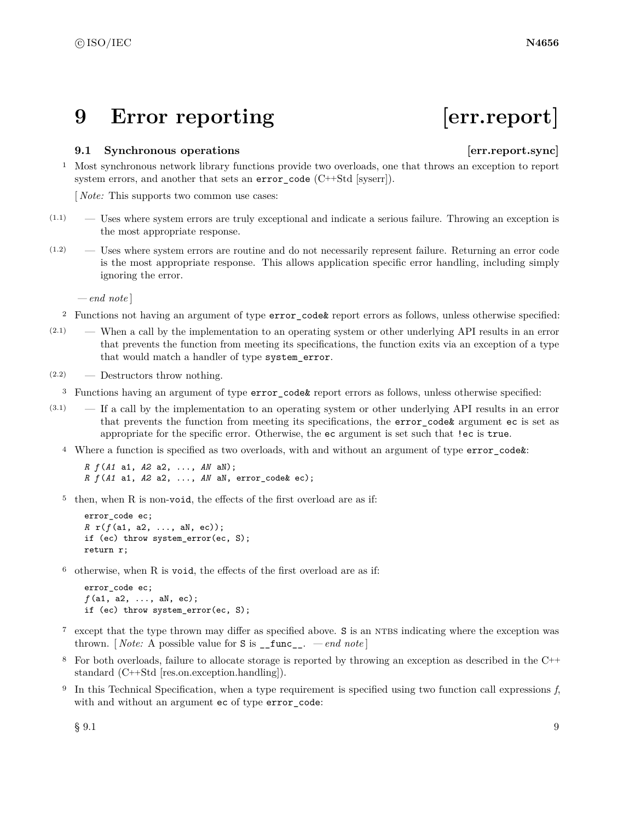## <span id="page-15-0"></span>**9 Error reporting [err.report]**

### <span id="page-15-1"></span>**9.1 Synchronous operations [err.report.sync]**

<sup>1</sup> Most synchronous network library functions provide two overloads, one that throws an exception to report system errors, and another that sets an error\_code (C++Std [syserr]).

[ *Note:* This supports two common use cases:

- $(1.1)$  Uses where system errors are truly exceptional and indicate a serious failure. Throwing an exception is the most appropriate response.
- (1.2) Uses where system errors are routine and do not necessarily represent failure. Returning an error code is the most appropriate response. This allows application specific error handling, including simply ignoring the error.

*— end note* ]

- <sup>2</sup> Functions not having an argument of type error\_code& report errors as follows, unless otherwise specified:
- (2.1) When a call by the implementation to an operating system or other underlying API results in an error that prevents the function from meeting its specifications, the function exits via an exception of a type that would match a handler of type system\_error.
- (2.2) Destructors throw nothing.
- <sup>3</sup> Functions having an argument of type error\_code& report errors as follows, unless otherwise specified:
- (3.1) If a call by the implementation to an operating system or other underlying API results in an error that prevents the function from meeting its specifications, the error\_code& argument ec is set as appropriate for the specific error. Otherwise, the ec argument is set such that !ec is true.
	- <sup>4</sup> Where a function is specified as two overloads, with and without an argument of type error\_code&:

*R f* (*A1* a1, *A2* a2, ..., *AN* aN); *R f* (*A1* a1, *A2* a2, ..., *AN* aN, error\_code& ec);

<sup>5</sup> then, when R is non-void, the effects of the first overload are as if:

```
error code ec;
R r(f (a1, a2, ..., aN, ec));
if (ec) throw system_error(ec, S);
return r;
```
<sup>6</sup> otherwise, when R is void, the effects of the first overload are as if:

```
error_code ec;
f (a1, a2, ..., aN, ec);
if (ec) throw system_error(ec, S);
```
- <sup>7</sup> except that the type thrown may differ as specified above. S is an NTBS indicating where the exception was thrown. [*Note:* A possible value for  $S$  is  $\text{__func__}.$  *— end note*]
- <sup>8</sup> For both overloads, failure to allocate storage is reported by throwing an exception as described in the C++ standard (C++Std [res.on.exception.handling]).
- <sup>9</sup> In this Technical Specification, when a type requirement is specified using two function call expressions *f*, with and without an argument ec of type error\_code:

 $\S~9.1$  9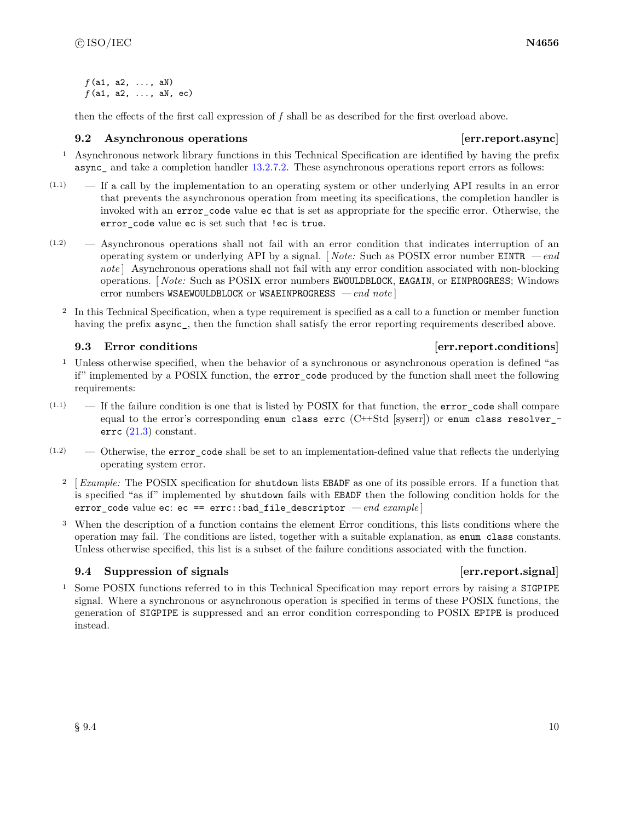*f* (a1, a2, ..., aN) *f* (a1, a2, ..., aN, ec)

then the effects of the first call expression of *f* shall be as described for the first overload above.

### <span id="page-16-0"></span>**9.2** Asynchronous operations **because the example of the example of the example of the example of the example of the example of the example of the example of the example of the example of the example of the example of the**

- <sup>1</sup> Asynchronous network library functions in this Technical Specification are identified by having the prefix async— and take a completion handler [13.2.7.2.](#page-30-0) These asynchronous operations report errors as follows:
- $(1.1)$  If a call by the implementation to an operating system or other underlying API results in an error that prevents the asynchronous operation from meeting its specifications, the completion handler is invoked with an error code value ec that is set as appropriate for the specific error. Otherwise, the error\_code value ec is set such that !ec is true.
- (1.2) Asynchronous operations shall not fail with an error condition that indicates interruption of an operating system or underlying API by a signal. [ *Note:* Such as POSIX error number EINTR *— end* note | Asynchronous operations shall not fail with any error condition associated with non-blocking operations. [ *Note:* Such as POSIX error numbers EWOULDBLOCK, EAGAIN, or EINPROGRESS; Windows error numbers WSAEWOULDBLOCK or WSAEINPROGRESS *— end note* ]
	- <sup>2</sup> In this Technical Specification, when a type requirement is specified as a call to a function or member function having the prefix  $\text{async}$ , then the function shall satisfy the error reporting requirements described above.

### <span id="page-16-1"></span>**9.3 Error conditions example 1 example 1 example 1 example 1 example 1 example 1 example 1 example 1 example 1 example 1 example 1 example 1 example 1 example 1 example 1 example 1 exampl**

- <sup>1</sup> Unless otherwise specified, when the behavior of a synchronous or asynchronous operation is defined "as if" implemented by a POSIX function, the error\_code produced by the function shall meet the following requirements:
- $(1.1)$  If the failure condition is one that is listed by POSIX for that function, the error\_code shall compare equal to the error's corresponding enum class errc  $(C++Std$  [syserr]) or enum class resolver errc [\(21.3\)](#page-179-0) constant.
- $(1.2)$  Otherwise, the error code shall be set to an implementation-defined value that reflects the underlying operating system error.
	- <sup>2</sup> [ *Example:* The POSIX specification for shutdown lists EBADF as one of its possible errors. If a function that is specified "as if" implemented by shutdown fails with EBADF then the following condition holds for the error\_code value ec: ec == errc::bad\_file\_descriptor *— end example* ]
	- <sup>3</sup> When the description of a function contains the element Error conditions, this lists conditions where the operation may fail. The conditions are listed, together with a suitable explanation, as enum class constants. Unless otherwise specified, this list is a subset of the failure conditions associated with the function.

### <span id="page-16-2"></span>**9.4 Suppression of signals example 1 example 1 example 1 example 1 example 1 example 1 example 1 example 1 example 1 example 1 example 1 example 1 example 1 example 1 example 1 example 1**

<sup>1</sup> Some POSIX functions referred to in this Technical Specification may report errors by raising a SIGPIPE signal. Where a synchronous or asynchronous operation is specified in terms of these POSIX functions, the generation of SIGPIPE is suppressed and an error condition corresponding to POSIX EPIPE is produced instead.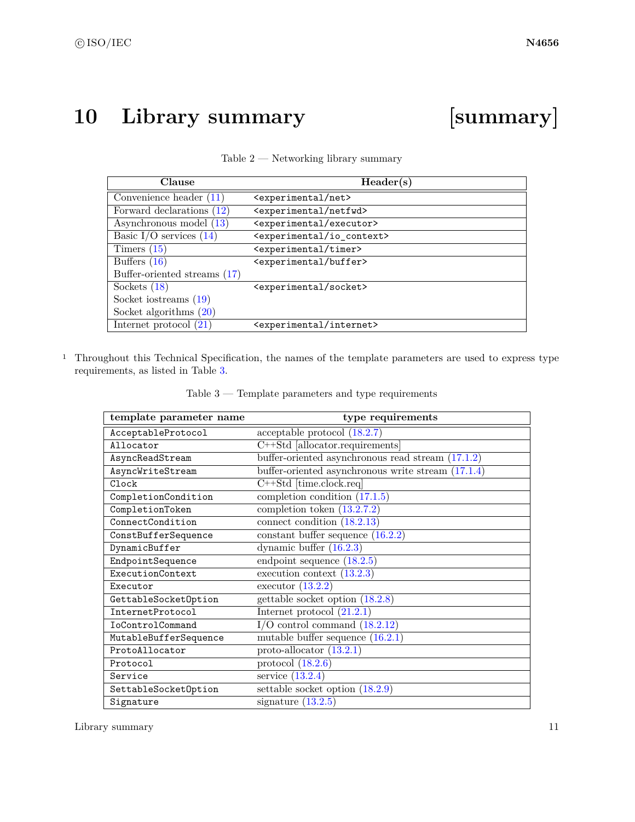## <span id="page-17-0"></span>**10 Library summary [summary]**

<span id="page-17-1"></span>

| Clause                       | Header(s)                                   |
|------------------------------|---------------------------------------------|
| Convenience header $(11)$    | <experimental net=""></experimental>        |
| Forward declarations (12)    | <experimental netfwd=""></experimental>     |
| Asynchronous model (13)      | <experimental executor=""></experimental>   |
| Basic I/O services $(14)$    | <experimental io_context=""></experimental> |
| Timers $(15)$                | <experimental timer=""></experimental>      |
| Buffers $(16)$               | <experimental buffer=""></experimental>     |
| Buffer-oriented streams (17) |                                             |
| Sockets $(18)$               | <experimental socket=""></experimental>     |
| Socket iostreams $(19)$      |                                             |
| Socket algorithms $(20)$     |                                             |
| Internet protocol $(21)$     | <experimental internet=""></experimental>   |

| Table $2$ — Networking library summary |  |  |
|----------------------------------------|--|--|
|----------------------------------------|--|--|

<sup>1</sup> Throughout this Technical Specification, the names of the template parameters are used to express type requirements, as listed in Table [3.](#page-17-2)

<span id="page-17-2"></span>

| template parameter name | type requirements                                    |
|-------------------------|------------------------------------------------------|
| AcceptableProtocol      | acceptable protocol (18.2.7)                         |
| Allocator               | C++Std allocator.requirements                        |
| AsyncReadStream         | buffer-oriented asynchronous read stream $(17.1.2)$  |
| AsyncWriteStream        | buffer-oriented asynchronous write stream $(17.1.4)$ |
| Clock                   | $C++Std$ [time.clock.req]                            |
| CompletionCondition     | completion condition $(17.1.5)$                      |
| CompletionToken         | completion token $(13.2.7.2)$                        |
| ConnectCondition        | connect condition $(18.2.13)$                        |
| ConstBufferSequence     | constant buffer sequence $(16.2.2)$                  |
| DynamicBuffer           | dynamic buffer $(16.2.3)$                            |
| EndpointSequence        | endpoint sequence $(18.2.5)$                         |
| ExecutionContext        | execution context $(13.2.3)$                         |
| Executor                | executor $(13.2.2)$                                  |
| GettableSocketOption    | gettable socket option $(18.2.8)$                    |
| InternetProtocol        | Internet protocol $(21.2.1)$                         |
| <b>IoControlCommand</b> | $I/O$ control command $(18.2.12)$                    |
| MutableBufferSequence   | mutable buffer sequence $(16.2.1)$                   |
| ProtoAllocator          | proto-allocator $(13.2.1)$                           |
| Protocol                | protocol $(18.2.6)$                                  |
| Service                 | service $(13.2.4)$                                   |
| SettableSocketOption    | settable socket option $(18.2.9)$                    |
| Signature               | signature $(13.2.5)$                                 |

Table 3 — Template parameters and type requirements

Library summary 11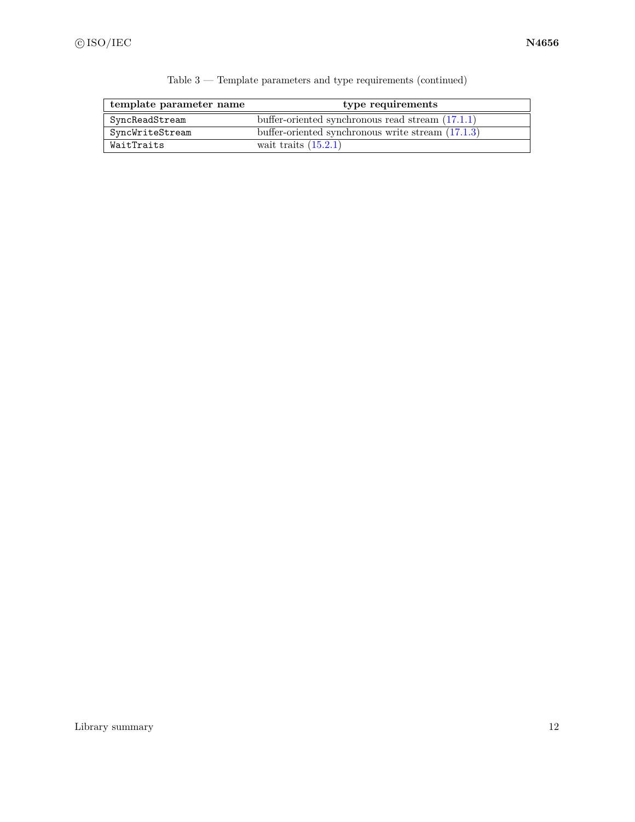| template parameter name | type requirements                                   |
|-------------------------|-----------------------------------------------------|
| SyncReadStream          | buffer-oriented synchronous read stream $(17.1.1)$  |
| SyncWriteStream         | buffer-oriented synchronous write stream $(17.1.3)$ |
| WaitTraits              | wait traits $(15.2.1)$                              |

|  |  |  |  |  | Table $3$ — Template parameters and type requirements (continued) |  |  |
|--|--|--|--|--|-------------------------------------------------------------------|--|--|
|--|--|--|--|--|-------------------------------------------------------------------|--|--|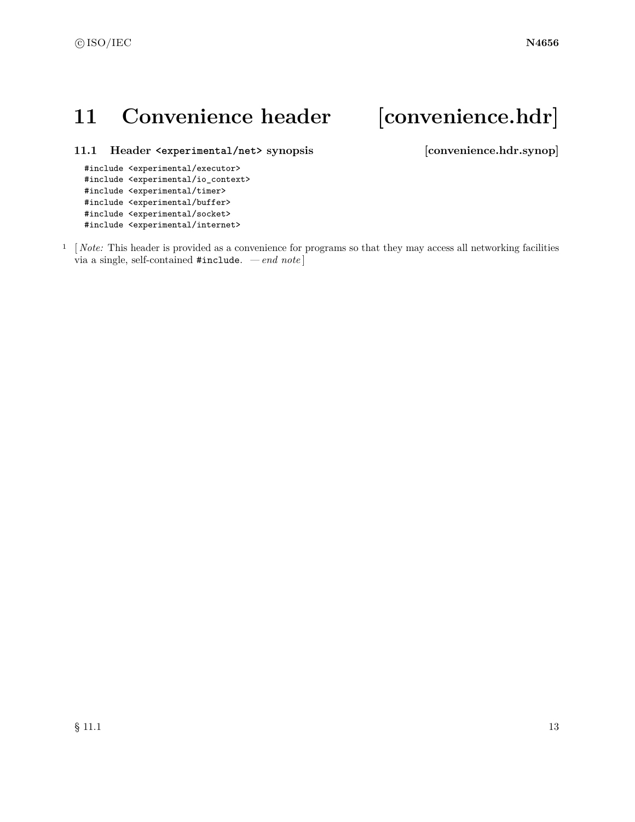## <span id="page-19-0"></span>11 Convenience header [convenience.hdr]

<span id="page-19-1"></span>**11.1 Header <experimental/net> synopsis [convenience.hdr.synop]**

```
#include <experimental/executor>
#include <experimental/io_context>
#include <experimental/timer>
#include <experimental/buffer>
#include <experimental/socket>
#include <experimental/internet>
```
<sup>1</sup> [*Note:* This header is provided as a convenience for programs so that they may access all networking facilities via a single, self-contained #include. *— end note* ]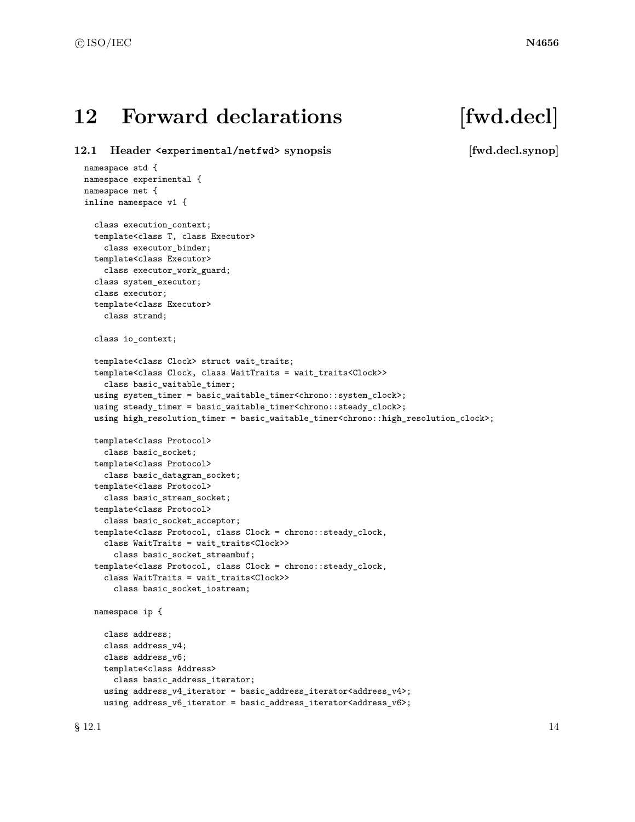## <span id="page-20-0"></span>12 Forward declarations [fwd.decl]

<span id="page-20-1"></span>**12.1 Header <experimental/netfwd> synopsis [fwd.decl.synop]**

namespace std { namespace experimental { namespace net { inline namespace v1 { class execution\_context; template<class T, class Executor> class executor\_binder; template<class Executor> class executor\_work\_guard; class system\_executor; class executor; template<class Executor> class strand; class io\_context; template<class Clock> struct wait\_traits; template<class Clock, class WaitTraits = wait\_traits<Clock>> class basic\_waitable\_timer; using system\_timer = basic\_waitable\_timer<chrono::system\_clock>; using steady\_timer = basic\_waitable\_timer<chrono::steady\_clock>; using high\_resolution\_timer = basic\_waitable\_timer<chrono::high\_resolution\_clock>; template<class Protocol> class basic\_socket; template<class Protocol> class basic\_datagram\_socket; template<class Protocol> class basic\_stream\_socket; template<class Protocol> class basic\_socket\_acceptor; template<class Protocol, class Clock = chrono::steady\_clock, class WaitTraits = wait\_traits<Clock>> class basic\_socket\_streambuf; template<class Protocol, class Clock = chrono::steady\_clock, class WaitTraits = wait\_traits<Clock>> class basic\_socket\_iostream; namespace ip { class address; class address\_v4; class address\_v6; template<class Address> class basic\_address\_iterator; using address\_v4\_iterator = basic\_address\_iterator<address\_v4>;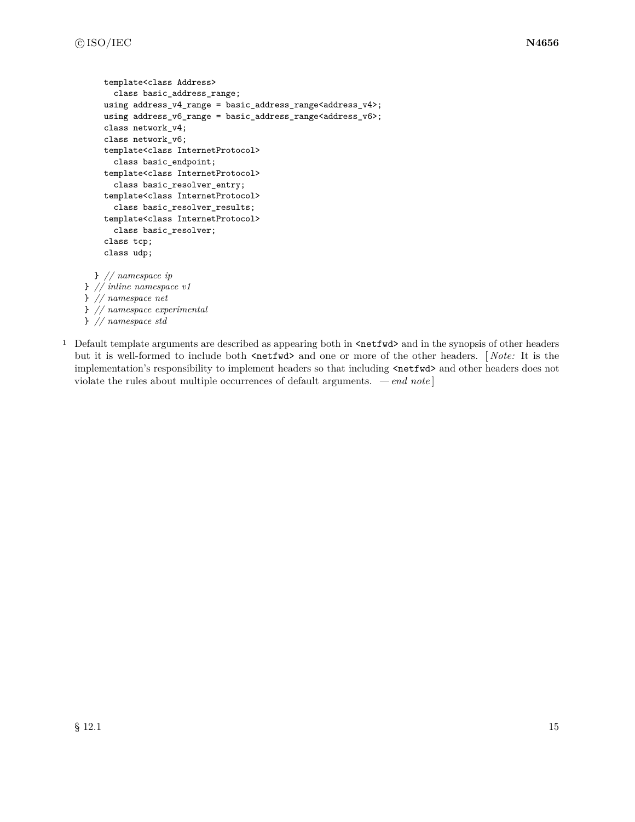```
template<class Address>
      class basic_address_range;
    using address_v4_range = basic_address_range<address_v4>;
    using address_v6_range = basic_address_range<address_v6>;
    class network_v4;
    class network_v6;
    template<class InternetProtocol>
      class basic_endpoint;
    template<class InternetProtocol>
      class basic_resolver_entry;
    template<class InternetProtocol>
      class basic_resolver_results;
    template<class InternetProtocol>
      class basic_resolver;
    class tcp;
    class udp;
  } // namespace ip
} // inline namespace v1
} // namespace net
} // namespace experimental
} // namespace std
```
<sup>1</sup> Default template arguments are described as appearing both in  $\text{Setwd}$  and in the synopsis of other headers but it is well-formed to include both  $\langle \text{netfwd} \rangle$  and one or more of the other headers. [*Note:* It is the implementation's responsibility to implement headers so that including  $\langle \text{netfwd} \rangle$  and other headers does not violate the rules about multiple occurrences of default arguments. *— end note* ]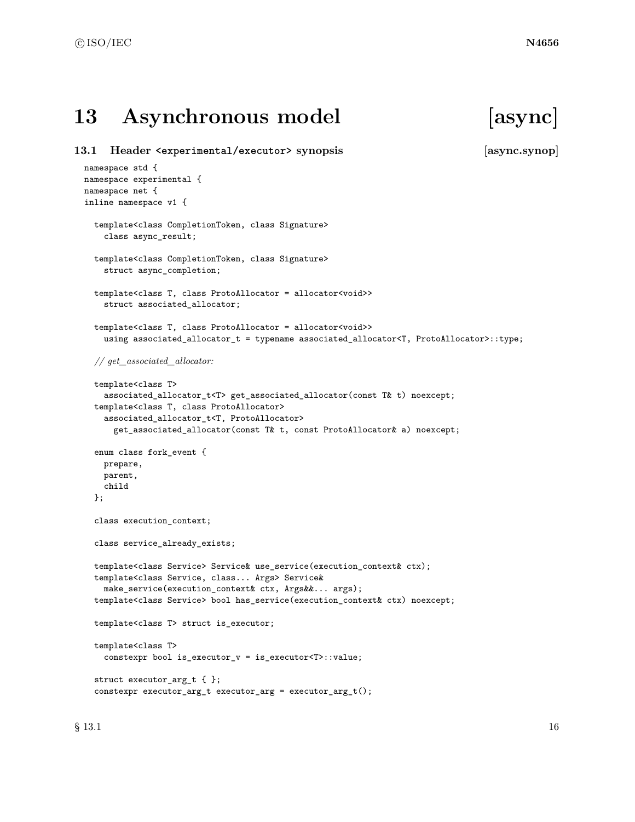## <span id="page-22-0"></span>**13 Asynchronous model [async]**

```
13.1 Header <experimental/executor> synopsis [async.synop]
 namespace std {
 namespace experimental {
 namespace net {
 inline namespace v1 {
   template<class CompletionToken, class Signature>
     class async_result;
   template<class CompletionToken, class Signature>
     struct async_completion;
   template<class T, class ProtoAllocator = allocator<void>>
     struct associated_allocator;
   template<class T, class ProtoAllocator = allocator<void>>
     using associated_allocator_t = typename associated_allocator<T, ProtoAllocator>::type;
   // get_associated_allocator:
   template<class T>
     associated_allocator_t<T> get_associated_allocator(const T& t) noexcept;
   template<class T, class ProtoAllocator>
     associated_allocator_t<T, ProtoAllocator>
       get_associated_allocator(const T& t, const ProtoAllocator& a) noexcept;
   enum class fork_event {
     prepare,
     parent,
   class execution_context;
   class service_already_exists;
   template<class Service> Service& use_service(execution_context& ctx);
   template<class Service, class... Args> Service&
     make_service(execution_context& ctx, Args&&... args);
   template<class Service> bool has_service(execution_context& ctx) noexcept;
   template<class T> struct is_executor;
   template<class T>
     constexpr bool is_executor_v = is_executor<T>::value;
```

```
struct executor_arg_t { };
constexpr executor_arg_t executor_arg = executor_arg_t();
```
child };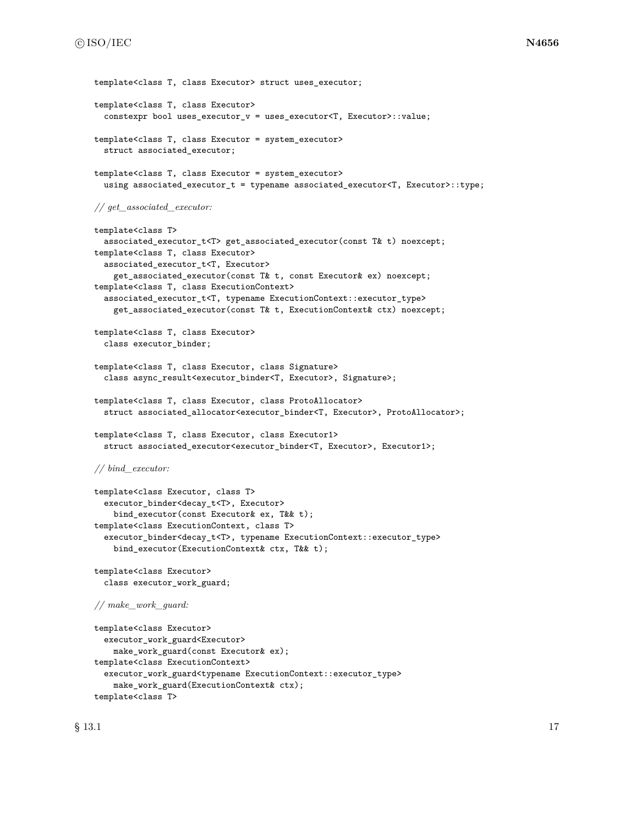```
template<class T, class Executor> struct uses executor;
template<class T, class Executor>
  constexpr bool uses_executor_v = uses_executor<T, Executor>::value;
template<class T, class Executor = system_executor>
  struct associated_executor;
template<class T, class Executor = system_executor>
  using associated_executor_t = typename associated_executor<T, Executor>::type;
// get_associated_executor:
template<class T>
  associated_executor_t<T> get_associated_executor(const T& t) noexcept;
template<class T, class Executor>
  associated_executor_t<T, Executor>
    get_associated_executor(const T& t, const Executor& ex) noexcept;
template<class T, class ExecutionContext>
  associated_executor_t<T, typename ExecutionContext::executor_type>
    get_associated_executor(const T& t, ExecutionContext& ctx) noexcept;
template<class T, class Executor>
  class executor_binder;
template<class T, class Executor, class Signature>
  class async_result<executor_binder<T, Executor>, Signature>;
template<class T, class Executor, class ProtoAllocator>
  struct associated_allocator<executor_binder<T, Executor>, ProtoAllocator>;
template<class T, class Executor, class Executor1>
  struct associated_executor<executor_binder<T, Executor>, Executor1>;
// bind_executor:
template<class Executor, class T>
  executor_binder<decay_t<T>, Executor>
    bind_executor(const Executor& ex, T&& t);
template<class ExecutionContext, class T>
  executor_binder<decay_t<T>, typename ExecutionContext::executor_type>
    bind_executor(ExecutionContext& ctx, T&& t);
template<class Executor>
  class executor_work_guard;
// make_work_guard:
template<class Executor>
  executor_work_guard<Executor>
    make_work_guard(const Executor& ex);
template<class ExecutionContext>
  executor_work_guard<typename ExecutionContext::executor_type>
    make_work_guard(ExecutionContext& ctx);
template<class T>
```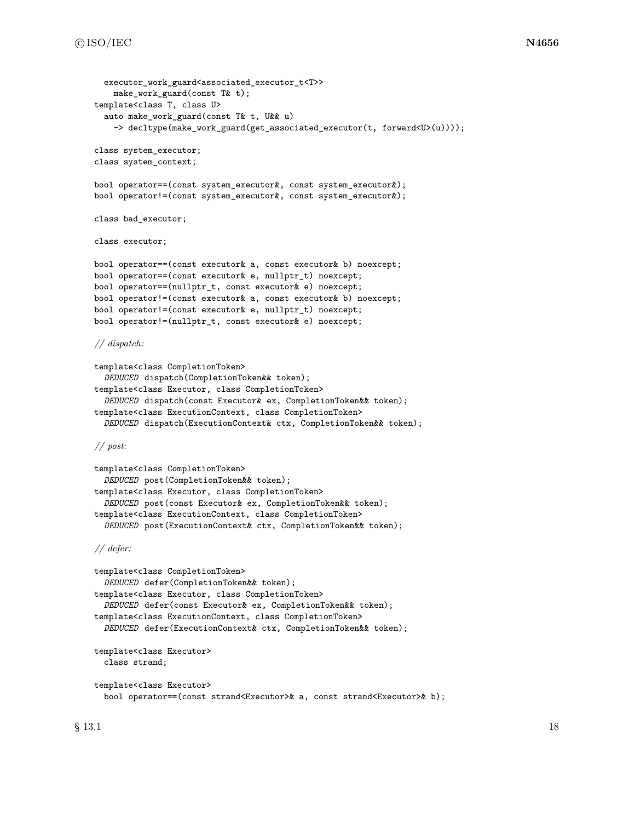```
executor work guard<associated executor t<T>>
    make_work_guard(const T& t);
template<class T, class U>
  auto make_work_guard(const T& t, U&& u)
    -> decltype(make_work_guard(get_associated_executor(t, forward<U>(u))));
class system_executor;
class system_context;
bool operator==(const system_executor&, const system_executor&);
bool operator!=(const system_executor&, const system_executor&);
class bad_executor;
class executor;
bool operator==(const executor& a, const executor& b) noexcept;
bool operator==(const executor& e, nullptr_t) noexcept;
bool operator==(nullptr_t, const executor& e) noexcept;
bool operator!=(const executor& a, const executor& b) noexcept;
bool operator!=(const executor& e, nullptr_t) noexcept;
bool operator!=(nullptr_t, const executor& e) noexcept;
// dispatch:
template<class CompletionToken>
  DEDUCED dispatch(CompletionToken&& token);
template<class Executor, class CompletionToken>
  DEDUCED dispatch(const Executor& ex, CompletionToken&& token);
template<class ExecutionContext, class CompletionToken>
  DEDUCED dispatch(ExecutionContext& ctx, CompletionToken&& token);
// post:
template<class CompletionToken>
  DEDUCED post(CompletionToken&& token);
template<class Executor, class CompletionToken>
  DEDUCED post(const Executor& ex, CompletionToken&& token);
template<class ExecutionContext, class CompletionToken>
  DEDUCED post(ExecutionContext& ctx, CompletionToken&& token);
// defer:
template<class CompletionToken>
  DEDUCED defer(CompletionToken&& token);
template<class Executor, class CompletionToken>
  DEDUCED defer(const Executor& ex, CompletionToken&& token);
template<class ExecutionContext, class CompletionToken>
  DEDUCED defer(ExecutionContext& ctx, CompletionToken&& token);
template<class Executor>
  class strand;
template<class Executor>
  bool operator==(const strand<Executor>& a, const strand<Executor>& b);
```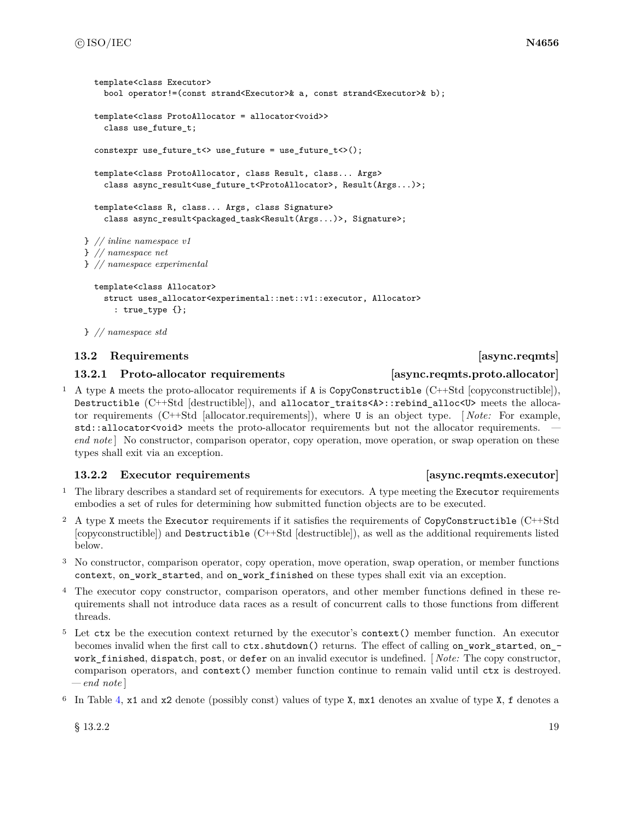```
template<class Executor>
    bool operator!=(const strand<Executor>& a, const strand<Executor>& b);
  template<class ProtoAllocator = allocator<void>>
    class use_future_t;
  constexpr use_future_t<> use_future = use_future_t<>();
  template<class ProtoAllocator, class Result, class... Args>
    class async_result<use_future_t<ProtoAllocator>, Result(Args...)>;
 template<class R, class... Args, class Signature>
    class async_result<packaged_task<Result(Args...)>, Signature>;
} // inline namespace v1
} // namespace net
} // namespace experimental
  template<class Allocator>
    struct uses_allocator<experimental::net::v1::executor, Allocator>
```

```
: true_type {};
```

```
} // namespace std
```
### <span id="page-25-0"></span>**13.2 Requirements [async.reqmts]**

### <span id="page-25-2"></span>**13.2.1 Proto-allocator requirements [async.reqmts.proto.allocator]**

<sup>1</sup> A type A meets the proto-allocator requirements if A is CopyConstructible  $(C++Std [copyconstructible]),$ Destructible (C++Std [destructible]), and allocator\_traits<A>::rebind\_alloc<U> meets the allocator requirements (C++Std [allocator.requirements]), where U is an object type. [ *Note:* For example, std::allocator<void> meets the proto-allocator requirements but not the allocator requirements. *end note* | No constructor, comparison operator, copy operation, move operation, or swap operation on these types shall exit via an exception.

### <span id="page-25-1"></span>**13.2.2** Executor requirements *async.reqmts.executor*

- <sup>1</sup> The library describes a standard set of requirements for executors. A type meeting the Executor requirements embodies a set of rules for determining how submitted function objects are to be executed.
- <sup>2</sup> A type X meets the Executor requirements if it satisfies the requirements of CopyConstructible (C++Std [copyconstructible]) and Destructible (C++Std [destructible]), as well as the additional requirements listed below.
- <sup>3</sup> No constructor, comparison operator, copy operation, move operation, swap operation, or member functions context, on\_work\_started, and on\_work\_finished on these types shall exit via an exception.
- <sup>4</sup> The executor copy constructor, comparison operators, and other member functions defined in these requirements shall not introduce data races as a result of concurrent calls to those functions from different threads.
- <sup>5</sup> Let ctx be the execution context returned by the executor's context() member function. An executor becomes invalid when the first call to  $\text{ctx}$ .shutdown() returns. The effect of calling on\_work\_started, on\_work\_finished, dispatch, post, or defer on an invalid executor is undefined. [ *Note:* The copy constructor, comparison operators, and context() member function continue to remain valid until ctx is destroyed. *— end note* ]
- <sup>6</sup> In Table [4,](#page-26-0) x1 and x2 denote (possibly const) values of type X, mx1 denotes an xvalue of type X, f denotes a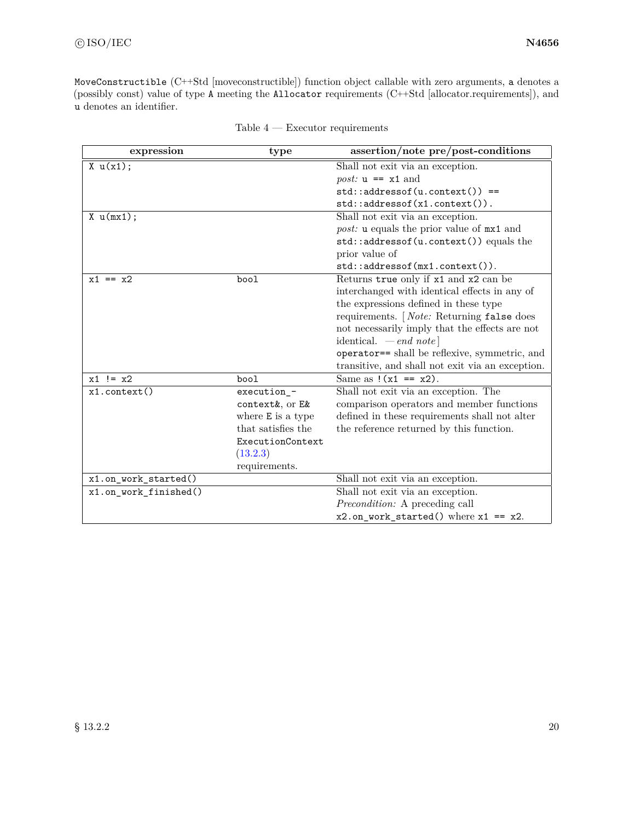MoveConstructible (C++Std [moveconstructible]) function object callable with zero arguments, a denotes a (possibly const) value of type A meeting the Allocator requirements (C++Std [allocator.requirements]), and u denotes an identifier.

<span id="page-26-0"></span>

| expression            | type               | assertion/note pre/post-conditions                        |
|-----------------------|--------------------|-----------------------------------------------------------|
| X u(x1);              |                    | Shall not exit via an exception.                          |
|                       |                    | <i>post:</i> $u == x1$ and                                |
|                       |                    | $std::addressof(u.contrib) ==$                            |
|                       |                    | $std::addressof(x1.context())$ .                          |
| $X \cup (mx1);$       |                    | Shall not exit via an exception.                          |
|                       |                    | <i>post:</i> <b>u</b> equals the prior value of $mx1$ and |
|                       |                    | std::addressof(u.context()) equals the<br>prior value of  |
|                       |                    | std::addressof(mx1.context()).                            |
| $x1 == x2$            | bool               | Returns true only if x1 and x2 can be                     |
|                       |                    | interchanged with identical effects in any of             |
|                       |                    | the expressions defined in these type                     |
|                       |                    | requirements. [ <i>Note:</i> Returning false does         |
|                       |                    | not necessarily imply that the effects are not            |
|                       |                    | identical. $-\text{end note}$                             |
|                       |                    | operator== shall be reflexive, symmetric, and             |
|                       |                    | transitive, and shall not exit via an exception.          |
| $x1$ != $x2$          | bool               | Same as $!(x1 == x2)$ .                                   |
| $x1$ .context()       | execution_-        | Shall not exit via an exception. The                      |
|                       | context&, or E&    | comparison operators and member functions                 |
|                       | where E is a type  | defined in these requirements shall not alter             |
|                       | that satisfies the | the reference returned by this function.                  |
|                       | ExecutionContext   |                                                           |
|                       | (13.2.3)           |                                                           |
|                       | requirements.      |                                                           |
| x1.on_work_started()  |                    | Shall not exit via an exception.                          |
| x1.on_work_finished() |                    | Shall not exit via an exception.                          |
|                       |                    | <i>Precondition:</i> A preceding call                     |
|                       |                    | $x2.$ on_work_started() where $x1 == x2$ .                |

|  | Table 4 |  |  | Executor requirements |
|--|---------|--|--|-----------------------|
|--|---------|--|--|-----------------------|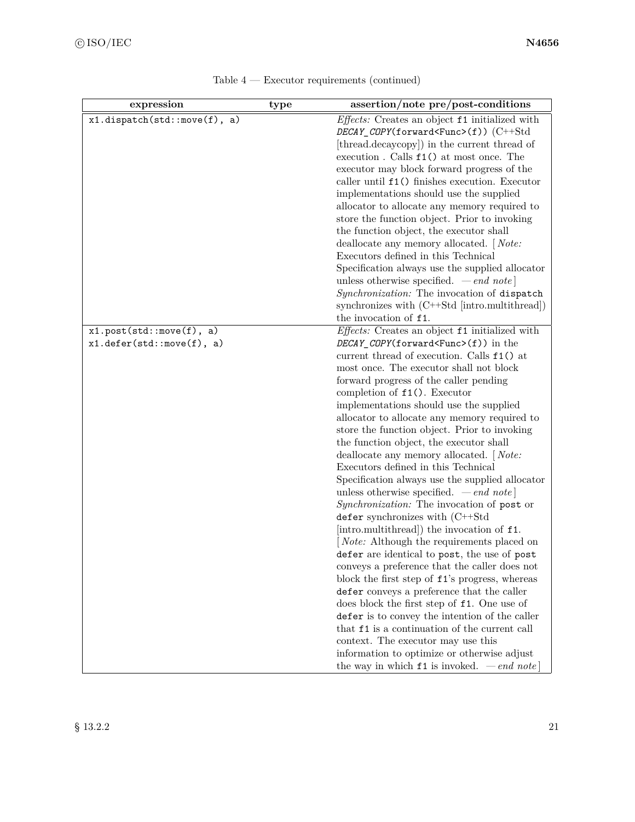| expression                                            | type | assertion/note pre/post-conditions                                                                                                                                                                                                                                                                                                                                                                                                                                                                                                                                                                                                                                                                                                                                                                                                                                                                                                                                                                                                                                                                                                                                                                                                                                                                                                                                                                                                                                             |
|-------------------------------------------------------|------|--------------------------------------------------------------------------------------------------------------------------------------------------------------------------------------------------------------------------------------------------------------------------------------------------------------------------------------------------------------------------------------------------------------------------------------------------------------------------------------------------------------------------------------------------------------------------------------------------------------------------------------------------------------------------------------------------------------------------------------------------------------------------------------------------------------------------------------------------------------------------------------------------------------------------------------------------------------------------------------------------------------------------------------------------------------------------------------------------------------------------------------------------------------------------------------------------------------------------------------------------------------------------------------------------------------------------------------------------------------------------------------------------------------------------------------------------------------------------------|
| x1.dispatch(std::move(f), a)                          |      | Effects: Creates an object f1 initialized with<br>$DECAY$ _COPY(forward <func>(f))(C++Std<br/>[thread.decaycopy]) in the current thread of<br/>execution. Calls <math>f1()</math> at most once. The<br/>executor may block forward progress of the<br/>caller until <math>f1()</math> finishes execution. Executor<br/>implementations should use the supplied<br/>allocator to allocate any memory required to<br/>store the function object. Prior to invoking<br/>the function object, the executor shall<br/>deallocate any memory allocated. [Note:<br/>Executors defined in this Technical<br/>Specification always use the supplied allocator<br/>unless otherwise specified. <math>\,-\,end\,note</math><br/>Synchronization: The invocation of dispatch<br/>synchronizes with (C++Std [intro.multithread])<br/>the invocation of f1.</func>                                                                                                                                                                                                                                                                                                                                                                                                                                                                                                                                                                                                                           |
| x1.post(std::move(f), a)<br>x1.defer(std::move(f), a) |      | Effects: Creates an object f1 initialized with<br>DECAY_COPY(forward <func>(f)) in the<br/>current thread of execution. Calls <math>f1()</math> at<br/>most once. The executor shall not block<br/>forward progress of the caller pending<br/>completion of <math>f1()</math>. Executor<br/>implementations should use the supplied<br/>allocator to allocate any memory required to<br/>store the function object. Prior to invoking<br/>the function object, the executor shall<br/>deallocate any memory allocated. [Note:<br/>Executors defined in this Technical<br/>Specification always use the supplied allocator<br/>unless otherwise specified. <math>\,-\,end\,note</math><br/>Synchronization: The invocation of post or<br/><math>defer</math> synchronizes with <math>(C++Std)</math><br/>[intro.multithread]) the invocation of f1.<br/><i>Note:</i> Although the requirements placed on<br/>defer are identical to post, the use of post<br/>conveys a preference that the caller does not<br/>block the first step of <math>f1</math>'s progress, whereas<br/>defer conveys a preference that the caller<br/>does block the first step of f1. One use of<br/>defer is to convey the intention of the caller<br/>that <math>f1</math> is a continuation of the current call<br/>context. The executor may use this<br/>information to optimize or otherwise adjust<br/>the way in which <math>f1</math> is invoked. <math>\,\,-\,\text{end}</math> note</func> |

| Table $4$ – Executor requirements (continued) |  |
|-----------------------------------------------|--|
|-----------------------------------------------|--|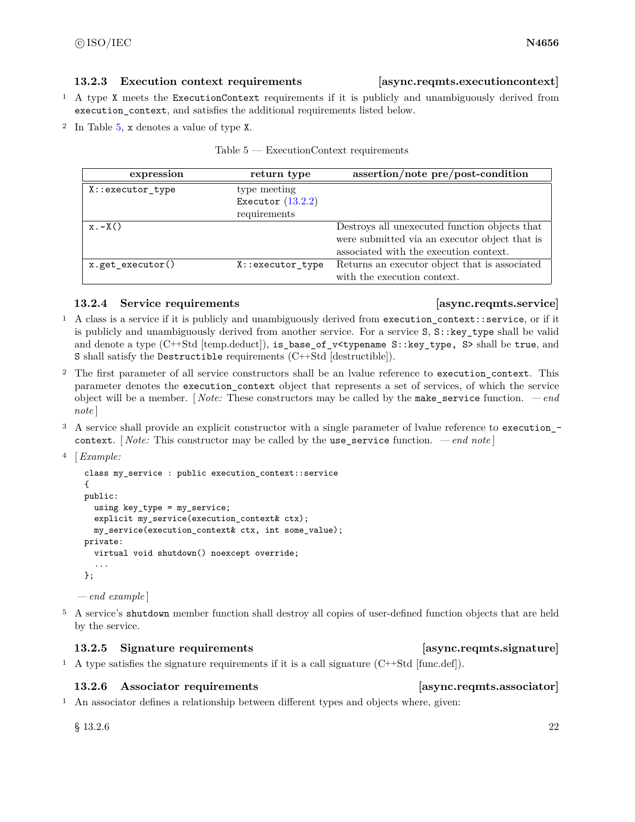### <span id="page-28-1"></span>**13.2.3 Execution context requirements [async.reqmts.executioncontext]**

- <sup>1</sup> A type X meets the ExecutionContext requirements if it is publicly and unambiguously derived from execution\_context, and satisfies the additional requirements listed below.
- <sup>2</sup> In Table [5,](#page-28-0) x denotes a value of type X.

|  | $Table 5 - ExecutionContext\ requirements$ |  |  |
|--|--------------------------------------------|--|--|
|  |                                            |  |  |

<span id="page-28-0"></span>

| expression           | return type         | assertion/note pre/post-condition             |
|----------------------|---------------------|-----------------------------------------------|
| X::executor_type     | type meeting        |                                               |
|                      | Executor $(13.2.2)$ |                                               |
|                      | requirements        |                                               |
| $x \cdot \sim X()$   |                     | Destroys all unexecuted function objects that |
|                      |                     | were submitted via an executor object that is |
|                      |                     | associated with the execution context.        |
| $x.get\_execution()$ | X::executor_type    | Returns an executor object that is associated |
|                      |                     | with the execution context.                   |

### <span id="page-28-2"></span>**13.2.4 Service requirements [async.reqmts.service]**

- <sup>1</sup> A class is a service if it is publicly and unambiguously derived from execution\_context::service, or if it is publicly and unambiguously derived from another service. For a service S, S::key\_type shall be valid and denote a type (C++Std [temp.deduct]), is\_base\_of\_v<typename S::key\_type, S> shall be true, and S shall satisfy the Destructible requirements (C++Std [destructible]).
- <sup>2</sup> The first parameter of all service constructors shall be an lvalue reference to execution\_context. This parameter denotes the execution context object that represents a set of services, of which the service object will be a member. [ *Note:* These constructors may be called by the make\_service function. *— end note* ]
- <sup>3</sup> A service shall provide an explicit constructor with a single parameter of lvalue reference to execution\_ context. [ *Note:* This constructor may be called by the use\_service function. *— end note* ]

```
4 [Example:
```

```
class my_service : public execution_context::service
{
public:
  using key_type = my_service;
 explicit my_service(execution_context& ctx);
  my_service(execution_context& ctx, int some_value);
private:
  virtual void shutdown() noexcept override;
  ...
};
```
*— end example* ]

<sup>5</sup> A service's shutdown member function shall destroy all copies of user-defined function objects that are held by the service.

### <span id="page-28-3"></span>**13.2.5 Signature requirements [async.reqmts.signature]**

<sup>1</sup> A type satisfies the signature requirements if it is a call signature  $(C++Std)$ .

### <span id="page-28-4"></span>**13.2.6 Associator requirements [async.reqmts.associator]**

<sup>1</sup> An associator defines a relationship between different types and objects where, given: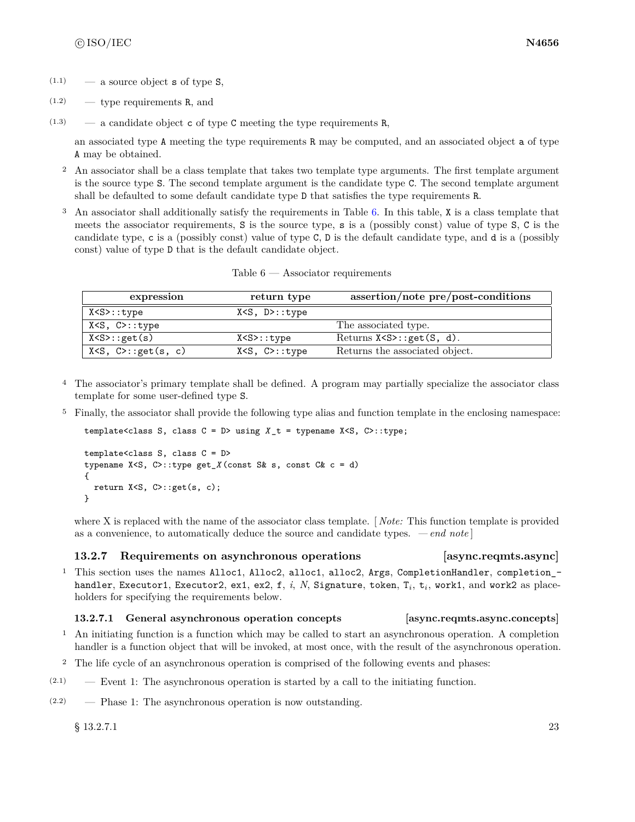- $(1.1)$  a source object **s** of type **S**,
- $(1.2)$  type requirements R, and
- $(1.3)$  a candidate object c of type C meeting the type requirements R,

an associated type A meeting the type requirements R may be computed, and an associated object a of type A may be obtained.

- <sup>2</sup> An associator shall be a class template that takes two template type arguments. The first template argument is the source type S. The second template argument is the candidate type C. The second template argument shall be defaulted to some default candidate type D that satisfies the type requirements R.
- <sup>3</sup> An associator shall additionally satisfy the requirements in Table [6.](#page-29-0) In this table, X is a class template that meets the associator requirements, S is the source type, s is a (possibly const) value of type S, C is the candidate type, c is a (possibly const) value of type C, D is the default candidate type, and d is a (possibly const) value of type D that is the default candidate object.

<span id="page-29-0"></span>

| expression                  | return type              | assertion/note pre/post-conditions |
|-----------------------------|--------------------------|------------------------------------|
| X <s>::type</s>             | $X < S$ , $D > : : type$ |                                    |
| $X < S$ , $C > : : type$    |                          | The associated type.               |
| X < S > : get(s)            | X < S > : : type         | Returns $X < S > : get(S, d)$ .    |
| $X < S$ , $C > : get(s, c)$ | $X < S$ , $C > : : type$ | Returns the associated object.     |

Table 6 — Associator requirements

- <sup>4</sup> The associator's primary template shall be defined. A program may partially specialize the associator class template for some user-defined type S.
- <sup>5</sup> Finally, the associator shall provide the following type alias and function template in the enclosing namespace:

template<class S, class  $C = D$ > using  $X_t = t$  ypename  $X < S$ ,  $C$ >::type;

```
template<class S, class C = D>
typename X<S, C>::type get_X (const S& s, const C& c = d)
{
 return X<S, C>::get(s, c);
}
```
where X is replaced with the name of the associator class template. [ *Note:* This function template is provided as a convenience, to automatically deduce the source and candidate types. *— end note* ]

### **13.2.7 Requirements on asynchronous operations [async.reqmts.async]**

- 
- <sup>1</sup> This section uses the names Alloc1, Alloc2, alloc1, alloc2, Args, CompletionHandler, completion\_- $\texttt{handler}, \texttt{Executor1}, \texttt{Executor2}, \texttt{ex1}, \texttt{ex2}, \texttt{f}, \textit{i}, \textit{N}, \texttt{Signature}, \texttt{token}, \texttt{T}_i, \texttt{t}_i, \texttt{work1}, \text{and work2 as place-}$ holders for specifying the requirements below.

### **13.2.7.1 General asynchronous operation concepts [async.reqmts.async.concepts]**

- <sup>1</sup> An initiating function is a function which may be called to start an asynchronous operation. A completion handler is a function object that will be invoked, at most once, with the result of the asynchronous operation.
- <sup>2</sup> The life cycle of an asynchronous operation is comprised of the following events and phases:
- $(2.1)$  Event 1: The asynchronous operation is started by a call to the initiating function.
- (2.2) Phase 1: The asynchronous operation is now outstanding.

 $\S$  13.2.7.1 23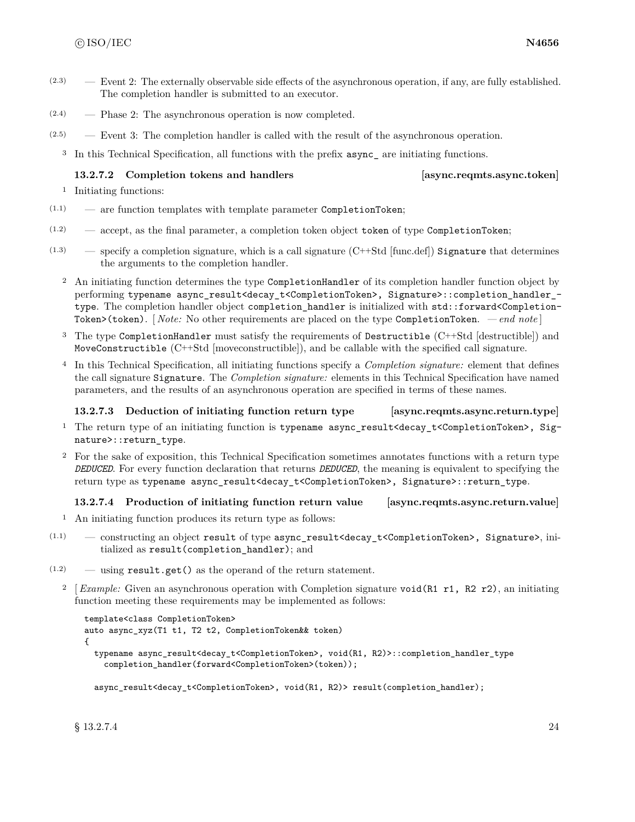- (2.3) Event 2: The externally observable side effects of the asynchronous operation, if any, are fully established. The completion handler is submitted to an executor.
- (2.4) Phase 2: The asynchronous operation is now completed.
- $(2.5)$  Event 3: The completion handler is called with the result of the asynchronous operation.
	- <sup>3</sup> In this Technical Specification, all functions with the prefix async\_ are initiating functions.

### <span id="page-30-0"></span>**13.2.7.2 Completion tokens and handlers [async.reqmts.async.token]**

```
1 Initiating functions:
```
- (1.1) are function templates with template parameter CompletionToken;
- $(1.2)$  accept, as the final parameter, a completion token object token of type CompletionToken;
- $(1.3)$  specify a completion signature, which is a call signature  $(C++Std)$  [func.def]) Signature that determines the arguments to the completion handler.
	- <sup>2</sup> An initiating function determines the type CompletionHandler of its completion handler function object by performing typename async\_result<decay\_t<CompletionToken>, Signature>::completion\_handler\_ type. The completion handler object completion handler is initialized with std::forward<Completion-Token>(token). [ *Note:* No other requirements are placed on the type CompletionToken. *— end note* ]
	- <sup>3</sup> The type CompletionHandler must satisfy the requirements of Destructible (C++Std [destructible]) and MoveConstructible (C++Std [moveconstructible]), and be callable with the specified call signature.
	- <sup>4</sup> In this Technical Specification, all initiating functions specify a *Completion signature:* element that defines the call signature Signature. The *Completion signature:* elements in this Technical Specification have named parameters, and the results of an asynchronous operation are specified in terms of these names.

### **13.2.7.3 Deduction of initiating function return type [async.reqmts.async.return.type]**

- <sup>1</sup> The return type of an initiating function is typename async\_result<decay\_t<CompletionToken>, Signature>::return\_type.
- <sup>2</sup> For the sake of exposition, this Technical Specification sometimes annotates functions with a return type *DEDUCED*. For every function declaration that returns *DEDUCED*, the meaning is equivalent to specifying the return type as typename async\_result<decay\_t<CompletionToken>, Signature>::return\_type.

### **13.2.7.4 Production of initiating function return value [async.reqmts.async.return.value]**

- <sup>1</sup> An initiating function produces its return type as follows:
- (1.1) constructing an object result of type async\_result<decay\_t<CompletionToken>, Signature>, initialized as result(completion\_handler); and
- (1.2) using result.get() as the operand of the return statement.
	- <sup>2</sup> [*Example:* Given an asynchronous operation with Completion signature void(R1 r1, R2 r2), an initiating function meeting these requirements may be implemented as follows:

```
template<class CompletionToken>
auto async_xyz(T1 t1, T2 t2, CompletionToken&& token)
{
 typename async_result<decay_t<CompletionToken>, void(R1, R2)>::completion_handler_type
    completion_handler(forward<CompletionToken>(token));
```
async\_result<decay\_t<CompletionToken>, void(R1, R2)> result(completion\_handler);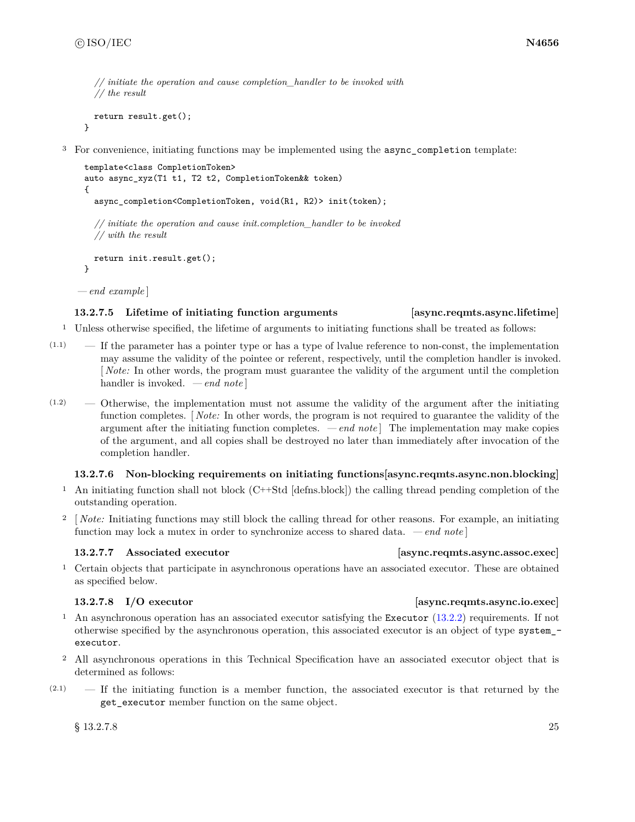}

```
// initiate the operation and cause completion_handler to be invoked with
// the result
```

```
return result.get();
```
<sup>3</sup> For convenience, initiating functions may be implemented using the async\_completion template:

```
template<class CompletionToken>
auto async_xyz(T1 t1, T2 t2, CompletionToken&& token)
{
  async_completion<CompletionToken, void(R1, R2)> init(token);
  // initiate the operation and cause init.completion_handler to be invoked
  // with the result
  return init.result.get();
}
```
*— end example* ]

### **13.2.7.5 Lifetime of initiating function arguments [async.reqmts.async.lifetime]**

- <sup>1</sup> Unless otherwise specified, the lifetime of arguments to initiating functions shall be treated as follows:
- $(1.1)$  If the parameter has a pointer type or has a type of lvalue reference to non-const, the implementation may assume the validity of the pointee or referent, respectively, until the completion handler is invoked. [ *Note:* In other words, the program must guarantee the validity of the argument until the completion handler is invoked. *— end note* ]
- $(1.2)$  Otherwise, the implementation must not assume the validity of the argument after the initiating function completes. [ *Note:* In other words, the program is not required to guarantee the validity of the argument after the initiating function completes. *— end note* ] The implementation may make copies of the argument, and all copies shall be destroyed no later than immediately after invocation of the completion handler.

### **13.2.7.6 Non-blocking requirements on initiating functions[async.reqmts.async.non.blocking]**

- <sup>1</sup> An initiating function shall not block (C++Std [defns.block]) the calling thread pending completion of the outstanding operation.
- <sup>2</sup> [*Note:* Initiating functions may still block the calling thread for other reasons. For example, an initiating function may lock a mutex in order to synchronize access to shared data. *— end note* ]

### **13.2.7.7 Associated executor [async.reqmts.async.assoc.exec]**

<sup>1</sup> Certain objects that participate in asynchronous operations have an associated executor. These are obtained as specified below.

- <sup>1</sup> An asynchronous operation has an associated executor satisfying the Executor [\(13.2.2\)](#page-25-1) requirements. If not otherwise specified by the asynchronous operation, this associated executor is an object of type system\_ executor.
- <sup>2</sup> All asynchronous operations in this Technical Specification have an associated executor object that is determined as follows:
- $(2.1)$  If the initiating function is a member function, the associated executor is that returned by the get\_executor member function on the same object.

 $\S$  13.2.7.8 25

### **13.2.7.8 I/O executor [async.reqmts.async.io.exec]**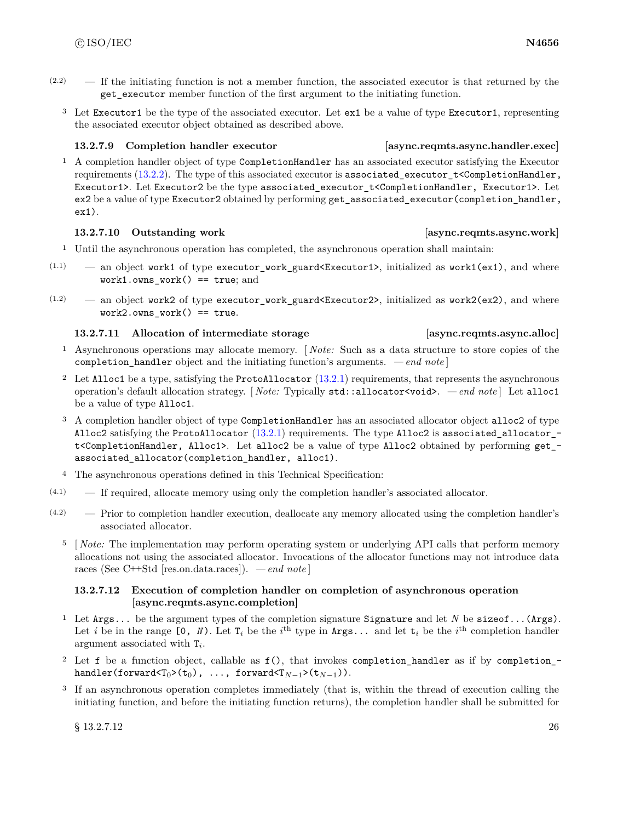- $(2.2)$  If the initiating function is not a member function, the associated executor is that returned by the get executor member function of the first argument to the initiating function.
	- <sup>3</sup> Let Executor1 be the type of the associated executor. Let ex1 be a value of type Executor1, representing the associated executor object obtained as described above.

### **13.2.7.9 Completion handler executor [async.reqmts.async.handler.exec]**

<sup>1</sup> A completion handler object of type CompletionHandler has an associated executor satisfying the Executor requirements  $(13.2.2)$ . The type of this associated executor is associated executor  $t$ <CompletionHandler, Executor1>. Let Executor2 be the type associated\_executor\_t<CompletionHandler, Executor1>. Let ex2 be a value of type Executor2 obtained by performing get\_associated\_executor(completion\_handler, ex1).

### **13.2.7.10 Outstanding work [async.reqmts.async.work]**

- <sup>1</sup> Until the asynchronous operation has completed, the asynchronous operation shall maintain:
- $(1.1)$  an object work1 of type executor\_work\_guard<Executor1>, initialized as work1(ex1), and where work1.owns\_work() == true; and
- $(1.2)$  an object work2 of type executor\_work\_guard<Executor2>, initialized as work2(ex2), and where  $work2.owns work() == true.$

### **13.2.7.11 Allocation of intermediate storage [async.reqmts.async.alloc]**

- <sup>1</sup> Asynchronous operations may allocate memory. [ *Note:* Such as a data structure to store copies of the completion\_handler object and the initiating function's arguments. *— end note* ]
- <sup>2</sup> Let Alloc1 be a type, satisfying the ProtoAllocator [\(13.2.1\)](#page-25-2) requirements, that represents the asynchronous operation's default allocation strategy. [ *Note:* Typically std::allocator<void>. *— end note* ] Let alloc1 be a value of type Alloc1.
- <sup>3</sup> A completion handler object of type CompletionHandler has an associated allocator object alloc2 of type Alloc2 satisfying the ProtoAllocator [\(13.2.1\)](#page-25-2) requirements. The type Alloc2 is associated\_allocator\_ t<CompletionHandler, Alloc1>. Let alloc2 be a value of type Alloc2 obtained by performing get\_ associated\_allocator(completion\_handler, alloc1).
- <sup>4</sup> The asynchronous operations defined in this Technical Specification:
- (4.1) If required, allocate memory using only the completion handler's associated allocator.
- (4.2) Prior to completion handler execution, deallocate any memory allocated using the completion handler's associated allocator.
	- <sup>5</sup> [*Note:* The implementation may perform operating system or underlying API calls that perform memory allocations not using the associated allocator. Invocations of the allocator functions may not introduce data races (See C++Std [res.on.data.races]). *— end note* ]

### **13.2.7.12 Execution of completion handler on completion of asynchronous operation [async.reqmts.async.completion]**

- <sup>1</sup> Let Args... be the argument types of the completion signature Signature and let *N* be sizeof...(Args). Let *i* be in the range  $[0, N)$ . Let  $T_i$  be the *i*<sup>th</sup> type in Args... and let  $t_i$  be the *i*<sup>th</sup> completion handler argument associated with T*<sup>i</sup>* .
- <sup>2</sup> Let f be a function object, callable as f(), that invokes completion\_handler as if by completion\_ handler(forward<T<sub>0</sub>>(t<sub>0</sub>), ..., forward<T<sub>N-1</sub>>(t<sub>N-1</sub>)).
- <sup>3</sup> If an asynchronous operation completes immediately (that is, within the thread of execution calling the initiating function, and before the initiating function returns), the completion handler shall be submitted for

 $\S$  13.2.7.12 26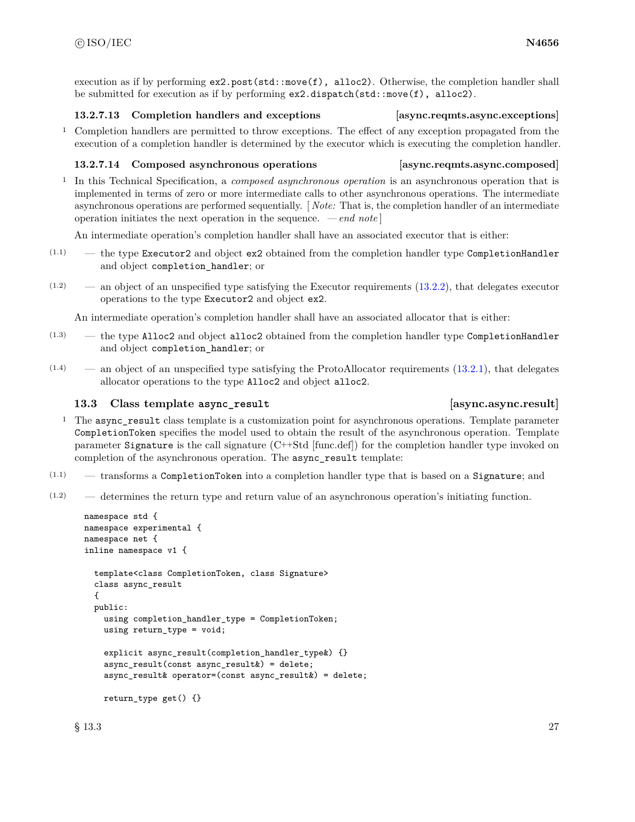execution as if by performing  $ex2.post(std::move(f), \text{alloc2}).$  Otherwise, the completion handler shall be submitted for execution as if by performing ex2.dispatch(std::move(f), alloc2).

### **13.2.7.13 Completion handlers and exceptions [async.reqmts.async.exceptions]**

<sup>1</sup> Completion handlers are permitted to throw exceptions. The effect of any exception propagated from the execution of a completion handler is determined by the executor which is executing the completion handler.

### **13.2.7.14 Composed asynchronous operations [async.reqmts.async.composed]**

<sup>1</sup> In this Technical Specification, a *composed asynchronous operation* is an asynchronous operation that is implemented in terms of zero or more intermediate calls to other asynchronous operations. The intermediate asynchronous operations are performed sequentially. [ *Note:* That is, the completion handler of an intermediate operation initiates the next operation in the sequence. *— end note* ]

An intermediate operation's completion handler shall have an associated executor that is either:

- $(1.1)$  the type Executor2 and object ex2 obtained from the completion handler type CompletionHandler and object completion\_handler; or
- $(1.2)$  an object of an unspecified type satisfying the Executor requirements  $(13.2.2)$ , that delegates executor operations to the type Executor2 and object ex2.

An intermediate operation's completion handler shall have an associated allocator that is either:

- (1.3) the type Alloc2 and object alloc2 obtained from the completion handler type CompletionHandler and object completion\_handler; or
- $(1.4)$  an object of an unspecified type satisfying the ProtoAllocator requirements  $(13.2.1)$ , that delegates allocator operations to the type Alloc2 and object alloc2.

# <span id="page-33-0"></span>**13.3 Class template async\_result [async.async.result]**

- <sup>1</sup> The async\_result class template is a customization point for asynchronous operations. Template parameter CompletionToken specifies the model used to obtain the result of the asynchronous operation. Template parameter Signature is the call signature (C++Std [func.def]) for the completion handler type invoked on completion of the asynchronous operation. The async\_result template:
- $(1.1)$  transforms a CompletionToken into a completion handler type that is based on a Signature; and
- $(1.2)$  determines the return type and return value of an asynchronous operation's initiating function.

```
namespace std {
namespace experimental {
namespace net {
inline namespace v1 {
  template<class CompletionToken, class Signature>
  class async_result
  {
  public:
    using completion_handler_type = CompletionToken;
    using return_type = void;
    explicit async result(completion handler type \{\}async_result(const async_result&) = delete;
    async_result& operator=(const async_result&) = delete;
    return_type get() {}
```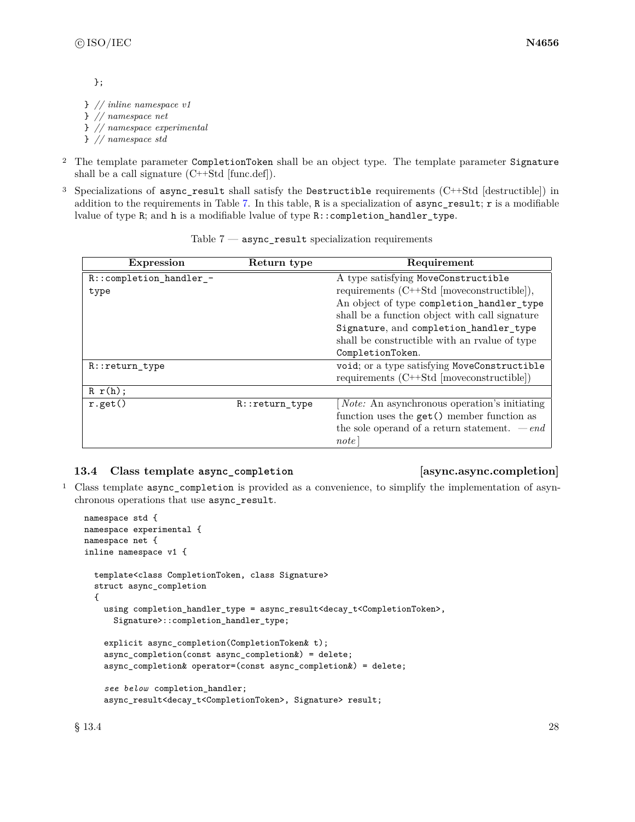};

} *// inline namespace v1* } *// namespace net* } *// namespace experimental* } *// namespace std*

- <sup>2</sup> The template parameter CompletionToken shall be an object type. The template parameter Signature shall be a call signature (C++Std [func.def]).
- <sup>3</sup> Specializations of async\_result shall satisfy the Destructible requirements (C++Std [destructible]) in addition to the requirements in Table [7.](#page-34-1) In this table, R is a specialization of async\_result; r is a modifiable lvalue of type R; and h is a modifiable lvalue of type R::completion\_handler\_type.

<span id="page-34-1"></span>

| <b>Expression</b>       | Return type      | Requirement                                                   |
|-------------------------|------------------|---------------------------------------------------------------|
| R::completion_handler_- |                  | A type satisfying MoveConstructible                           |
| type                    |                  | requirements $(C++Std \tmtext{ [move} constitute \text{]})$ , |
|                         |                  | An object of type completion_handler_type                     |
|                         |                  | shall be a function object with call signature                |
|                         |                  | Signature, and completion_handler_type                        |
|                         |                  | shall be constructible with an realue of type                 |
|                         |                  | CompletionToken.                                              |
| R::return_type          |                  | void; or a type satisfying MoveConstructible                  |
|                         |                  | requirements $(C++Std \vert moveconstructible))$              |
| R r(h);                 |                  |                                                               |
| r.get()                 | $R::return_type$ | <i>Note:</i> An asynchronous operation's initiating           |
|                         |                  | function uses the get () member function as                   |
|                         |                  | the sole operand of a return statement. $-e n d$              |
|                         |                  | note                                                          |

Table  $7$  — async\_result specialization requirements

### <span id="page-34-0"></span>**13.4 Class template async\_completion [async.async.completion]**

<sup>1</sup> Class template async\_completion is provided as a convenience, to simplify the implementation of asynchronous operations that use async\_result.

```
namespace std {
namespace experimental {
namespace net {
inline namespace v1 {
  template<class CompletionToken, class Signature>
  struct async_completion
  {
    using completion_handler_type = async_result<decay_t<CompletionToken>,
      Signature>::completion_handler_type;
    explicit async_completion(CompletionToken& t);
    async_completion(const async_completion&) = delete;
    async_completion& operator=(const async_completion&) = delete;
    see below completion_handler;
    async_result<decay_t<CompletionToken>, Signature> result;
```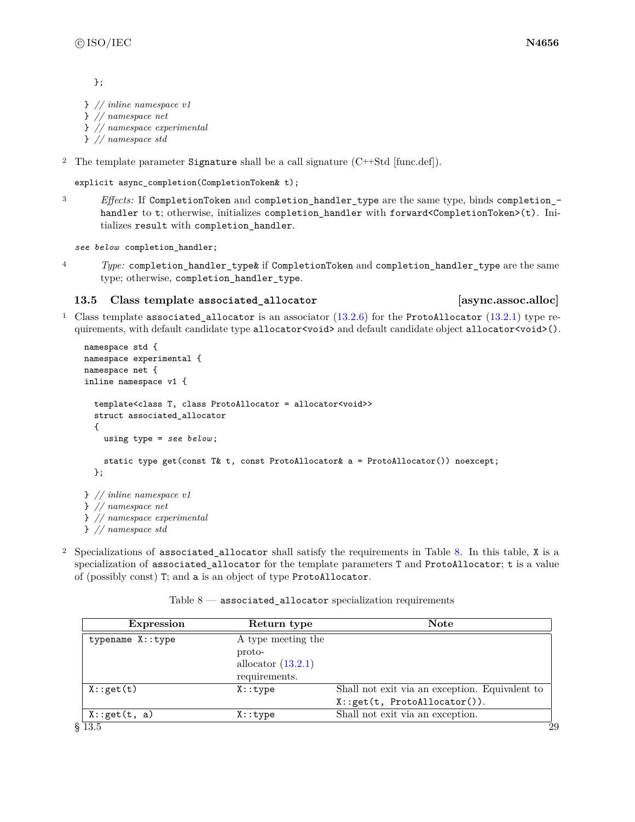};

```
} // inline namespace v1
} // namespace net
} // namespace experimental
```
} *// namespace std*

<sup>2</sup> The template parameter Signature shall be a call signature  $(C++Std$  [func.def]).

```
explicit async_completion(CompletionToken& t);
```
<sup>3</sup> *Effects:* If CompletionToken and completion\_handler\_type are the same type, binds completion\_ handler to t; otherwise, initializes completion\_handler with forward<CompletionToken>(t). Initializes result with completion\_handler.

*see below* completion\_handler;

<sup>4</sup> *Type:* completion handler type & if CompletionToken and completion handler type are the same type; otherwise, completion\_handler\_type.

### <span id="page-35-0"></span>**13.5 Class template associated\_allocator [async.assoc.alloc]**

<sup>1</sup> Class template associated\_allocator is an associator  $(13.2.6)$  for the ProtoAllocator  $(13.2.1)$  type requirements, with default candidate type allocator<void> and default candidate object allocator<void>().

```
namespace std {
namespace experimental {
namespace net {
inline namespace v1 {
  template<class T, class ProtoAllocator = allocator<void>>
 struct associated_allocator
  {
    using type = see below ;
    static type get(const T& t, const ProtoAllocator& a = ProtoAllocator()) noexcept;
  };
} // inline namespace v1
} // namespace net
} // namespace experimental
} // namespace std
```
<sup>2</sup> Specializations of associated\_allocator shall satisfy the requirements in Table [8.](#page-35-1) In this table, X is a specialization of associated\_allocator for the template parameters T and ProtoAllocator; t is a value of (possibly const) T; and a is an object of type ProtoAllocator.

<span id="page-35-1"></span>

| <b>Expression</b> | Return type          | <b>Note</b>                                    |
|-------------------|----------------------|------------------------------------------------|
| typename X::type  | A type meeting the   |                                                |
|                   | proto-               |                                                |
|                   | allocator $(13.2.1)$ |                                                |
|                   | requirements.        |                                                |
| X:get(t)          | $X:$ : type          | Shall not exit via an exception. Equivalent to |
|                   |                      | X:.get(t, ProtoAllocator)).                    |
| X:get(t, a)       | X:type               | Shall not exit via an exception.               |
| §13.5             |                      | 29                                             |

### Table  $8$  — associated\_allocator specialization requirements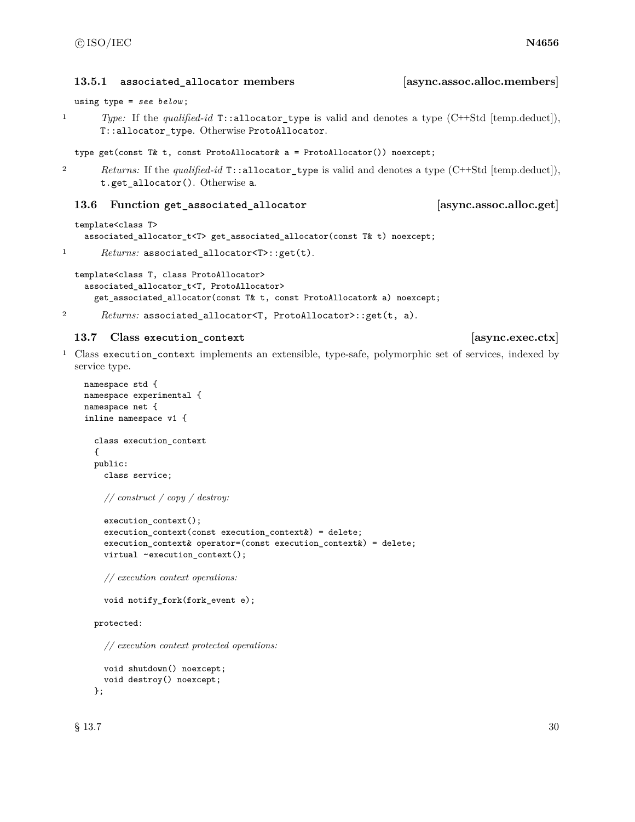**13.5.1 associated\_allocator members [async.assoc.alloc.members]**

using type = *see below* ;

<sup>1</sup> *Type:* If the *qualified-id* T::allocator\_type is valid and denotes a type (C++Std [temp.deduct]), T::allocator\_type. Otherwise ProtoAllocator.

type get(const T& t, const ProtoAllocator& a = ProtoAllocator()) noexcept;

<sup>2</sup> *Returns:* If the *qualified-id* T::allocator\_type is valid and denotes a type (C++Std [temp.deduct]), t.get\_allocator(). Otherwise a.

### **13.6 Function get\_associated\_allocator [async.assoc.alloc.get]**

```
template<class T>
  associated_allocator_t<T> get_associated_allocator(const T& t) noexcept;
```

```
1 Returns: associated_allocator<T>::get(t).
```

```
template<class T, class ProtoAllocator>
 associated_allocator_t<T, ProtoAllocator>
    get_associated_allocator(const T& t, const ProtoAllocator& a) noexcept;
```

```
2 Returns: associated_allocator<T, ProtoAllocator>::get(t, a).
```
# **13.7 Class execution\_context [async.exec.ctx]**

<sup>1</sup> Class execution\_context implements an extensible, type-safe, polymorphic set of services, indexed by service type.

```
namespace std {
namespace experimental {
namespace net {
inline namespace v1 {
  class execution_context
  {
  public:
    class service;
```
*// construct / copy / destroy:*

```
execution_context();
execution_context(const execution_context&) = delete;
execution_context& operator=(const execution_context&) = delete;
virtual ~execution_context();
```
*// execution context operations:*

void notify\_fork(fork\_event e);

protected:

*// execution context protected operations:*

```
void shutdown() noexcept;
  void destroy() noexcept;
};
```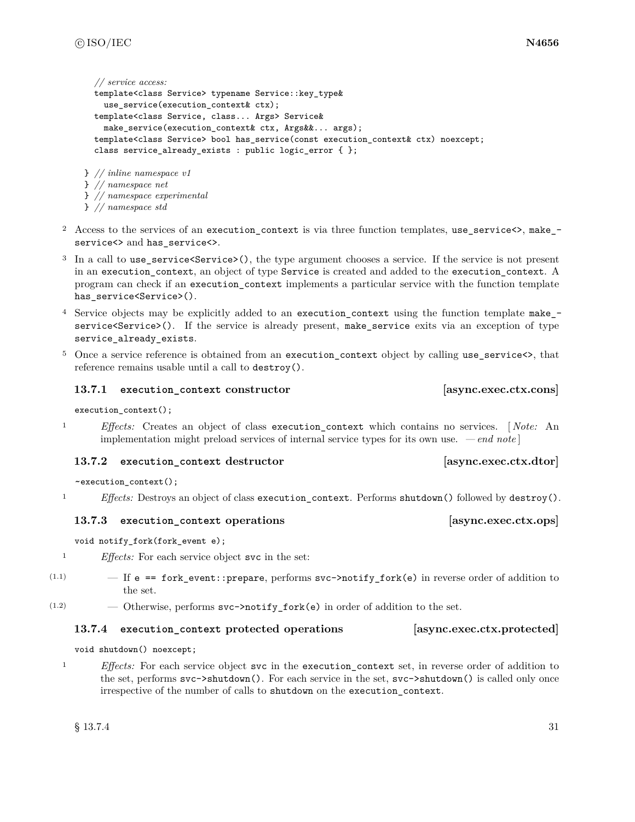```
// service access:
  template<class Service> typename Service::key_type&
    use_service(execution_context& ctx);
 template<class Service, class... Args> Service&
   make_service(execution_context& ctx, Args&&... args);
  template<class Service> bool has_service(const execution_context& ctx) noexcept;
  class service_already_exists : public logic_error { };
} // inline namespace v1
```

```
} // namespace net
} // namespace experimental
```

```
} // namespace std
```
- <sup>2</sup> Access to the services of an execution\_context is via three function templates, use\_service<>, make\_ service<> and has\_service<>.
- <sup>3</sup> In a call to use\_service<Service>(), the type argument chooses a service. If the service is not present in an execution\_context, an object of type Service is created and added to the execution\_context. A program can check if an execution\_context implements a particular service with the function template has\_service<Service>().
- <sup>4</sup> Service objects may be explicitly added to an execution\_context using the function template make\_ service<Service>(). If the service is already present, make\_service exits via an exception of type service\_already\_exists.
- <sup>5</sup> Once a service reference is obtained from an execution\_context object by calling use\_service<>, that reference remains usable until a call to destroy().

# **13.7.1 execution\_context constructor [async.exec.ctx.cons]**

execution\_context();

<sup>1</sup> *Effects:* Creates an object of class execution\_context which contains no services. [ *Note:* An implementation might preload services of internal service types for its own use. *— end note* ]

# **13.7.2 execution\_context destructor [async.exec.ctx.dtor]**

~execution\_context();

<sup>1</sup> *Effects:* Destroys an object of class execution\_context. Performs shutdown() followed by destroy().

# **13.7.3 execution** context operations *permitted exec.ctx.ops*

void notify\_fork(fork\_event e);

<sup>1</sup> *Effects:* For each service object svc in the set:

- $(1.1)$   $-$  If e == fork\_event::prepare, performs svc->notify\_fork(e) in reverse order of addition to the set.
- $(1.2)$  Otherwise, performs  $\text{svc}$ ->notify\_fork(e) in order of addition to the set.

# **13.7.4 execution\_context protected operations [async.exec.ctx.protected]**

void shutdown() noexcept;

<sup>1</sup> *Effects:* For each service object svc in the execution\_context set, in reverse order of addition to the set, performs svc->shutdown(). For each service in the set, svc->shutdown() is called only once irrespective of the number of calls to shutdown on the execution\_context.

 $\S 13.7.4$  31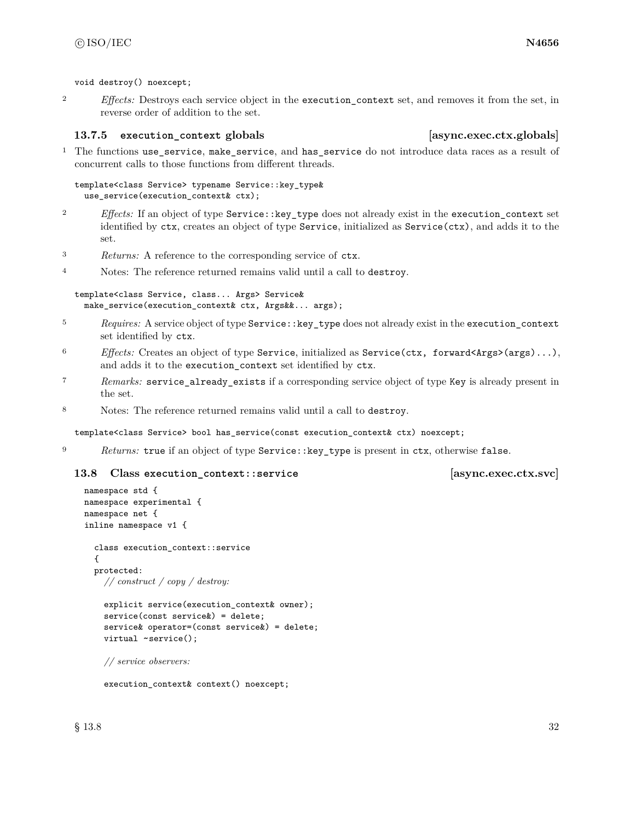void destroy() noexcept;

<sup>2</sup> *Effects:* Destroys each service object in the execution\_context set, and removes it from the set, in reverse order of addition to the set.

### **13.7.5 execution\_context globals [async.exec.ctx.globals]**

<sup>1</sup> The functions use\_service, make\_service, and has\_service do not introduce data races as a result of concurrent calls to those functions from different threads.

template<class Service> typename Service::key\_type& use\_service(execution\_context& ctx);

- <sup>2</sup> *Effects:* If an object of type Service::key\_type does not already exist in the execution\_context set identified by ctx, creates an object of type Service, initialized as Service(ctx), and adds it to the set.
- <sup>3</sup> *Returns:* A reference to the corresponding service of ctx.
- <sup>4</sup> Notes: The reference returned remains valid until a call to destroy.

```
template<class Service, class... Args> Service&
 make_service(execution_context& ctx, Args&&... args);
```
- <sup>5</sup> *Requires:* A service object of type Service::key\_type does not already exist in the execution\_context set identified by ctx.
- <sup>6</sup> *Effects:* Creates an object of type Service, initialized as Service(ctx, forward<Args>(args)...), and adds it to the execution\_context set identified by ctx.
- <sup>7</sup> *Remarks:* service\_already\_exists if a corresponding service object of type Key is already present in the set.
- <sup>8</sup> Notes: The reference returned remains valid until a call to destroy.

template<class Service> bool has\_service(const execution\_context& ctx) noexcept;

<sup>9</sup> *Returns:* true if an object of type Service::key\_type is present in ctx, otherwise false.

### **13.8 Class execution\_context::service [async.exec.ctx.svc]**

```
namespace std {
namespace experimental {
namespace net {
inline namespace v1 {
  class execution_context::service
  {
  protected:
    // construct / copy / destroy:
    explicit service(execution_context& owner);
    service(const service&) = delete;
    service& operator=(const service&) = delete;
    virtual ~service();
    // service observers:
```
execution\_context& context() noexcept;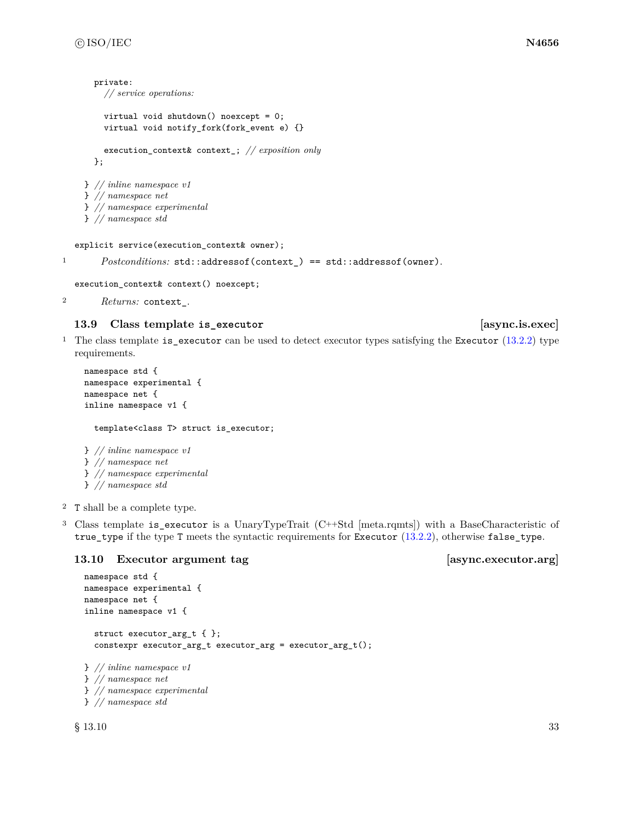```
private:
    // service operations:
    virtual void shutdown() noexcept = 0;
    virtual void notify_fork(fork_event e) {}
    execution_context& context_; // exposition only
  };
} // inline namespace v1
} // namespace net
} // namespace experimental
} // namespace std
```

```
explicit service(execution_context& owner);
```

```
1 Postconditions: std::addressof(context_) == std::addressof(owner).
```

```
execution_context& context() noexcept;
```

```
2 Returns: context_.
```
# **13.9 Class template is\_executor [async.is.exec]**

<sup>1</sup> The class template is\_executor can be used to detect executor types satisfying the Executor [\(13.2.2\)](#page-25-0) type requirements.

```
namespace std {
namespace experimental {
namespace net {
inline namespace v1 {
  template<class T> struct is_executor;
} // inline namespace v1
} // namespace net
} // namespace experimental
```

```
} // namespace std
```
- <sup>2</sup> T shall be a complete type.
- <sup>3</sup> Class template is\_executor is a UnaryTypeTrait (C++Std [meta.rqmts]) with a BaseCharacteristic of true\_type if the type T meets the syntactic requirements for Executor [\(13.2.2\)](#page-25-0), otherwise false\_type.

# 13.10 Executor argument tag [async.executor.arg]

```
namespace std {
namespace experimental {
namespace net {
inline namespace v1 {
  struct executor_arg_t { };
  constexpr executor_arg_t executor_arg = executor_arg_t();
} // inline namespace v1
} // namespace net
} // namespace experimental
```
} *// namespace std*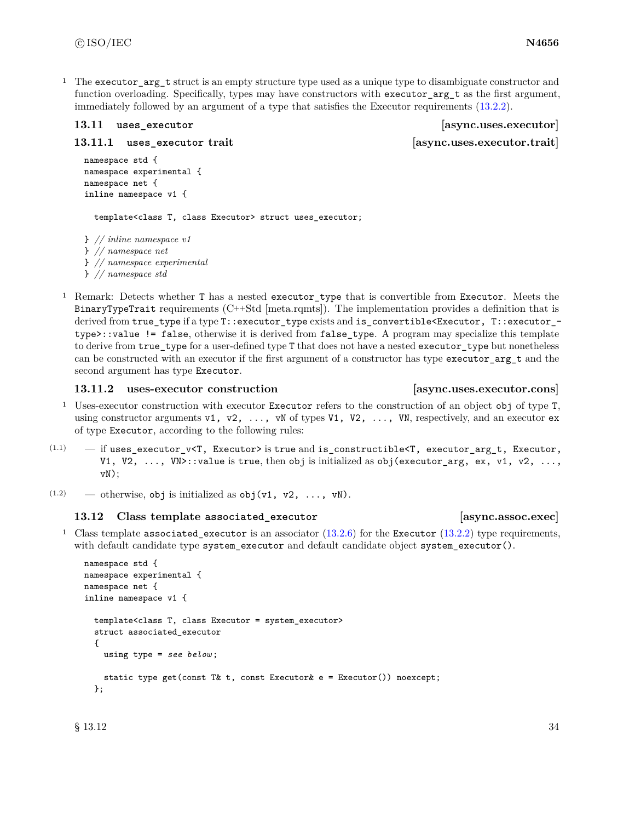<sup>1</sup> The executor  $\arg t$  struct is an empty structure type used as a unique type to disambiguate constructor and function overloading. Specifically, types may have constructors with executor\_arg\_t as the first argument, immediately followed by an argument of a type that satisfies the Executor requirements [\(13.2.2\)](#page-25-0).

**13.11.1 uses\_executor trait [async.uses.executor.trait]**

**13.11 uses\_executor [async.uses.executor]**

```
namespace std {
namespace experimental {
namespace net {
inline namespace v1 {
```
template<class T, class Executor> struct uses\_executor;

} *// inline namespace v1* } *// namespace net* } *// namespace experimental* } *// namespace std*

<sup>1</sup> Remark: Detects whether T has a nested executor\_type that is convertible from Executor. Meets the BinaryTypeTrait requirements (C++Std [meta.rqmts]). The implementation provides a definition that is derived from true\_type if a type T::executor\_type exists and is\_convertible<Executor, T::executor\_type>::value != false, otherwise it is derived from false\_type. A program may specialize this template to derive from true\_type for a user-defined type T that does not have a nested executor\_type but nonetheless can be constructed with an executor if the first argument of a constructor has type executor\_arg\_t and the second argument has type Executor.

### **13.11.2 uses-executor construction [async.uses.executor.cons]**

# <sup>1</sup> Uses-executor construction with executor Executor refers to the construction of an object obj of type T, using constructor arguments v1, v2,  $\dots$ , vN of types V1, V2,  $\dots$ , VN, respectively, and an executor ex of type Executor, according to the following rules:

- $(1.1)$  if uses\_executor\_v<T, Executor> is true and is\_constructible<T, executor\_arg\_t, Executor, V1, V2,  $\dots$ , VN>::value is true, then obj is initialized as obj (executor\_arg, ex, v1, v2,  $\dots$ , vN);
- (1.2) otherwise, obj is initialized as  $obj(v1, v2, ..., vN)$ .

# **13.12 Class template associated\_executor [async.assoc.exec]**

# <sup>1</sup> Class template associated\_executor is an associator  $(13.2.6)$  for the Executor  $(13.2.2)$  type requirements, with default candidate type system\_executor and default candidate object system\_executor().

```
namespace std {
namespace experimental {
namespace net {
inline namespace v1 {
  template<class T, class Executor = system_executor>
  struct associated_executor
  {
   using type = see below ;
    static type get(const T& t, const Executor& e = Executor()) noexcept;
  };
```
 $\S 13.12$  34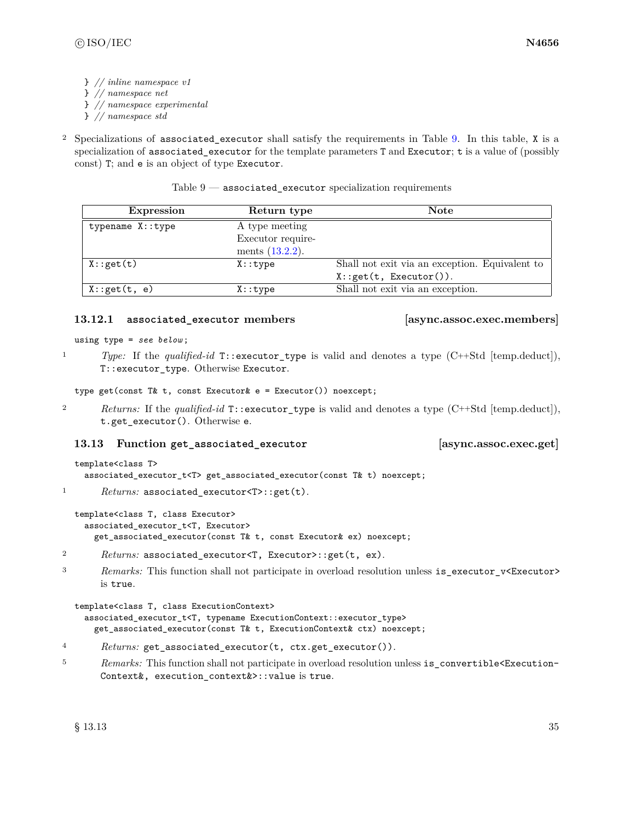} *// inline namespace v1*

- } *// namespace net*
- } *// namespace experimental*
- } *// namespace std*
- <sup>2</sup> Specializations of associated\_executor shall satisfy the requirements in Table [9.](#page-41-0) In this table, X is a specialization of associated\_executor for the template parameters T and Executor; t is a value of (possibly const) T; and e is an object of type Executor.

Table  $9$  — associated\_executor specialization requirements

<span id="page-41-0"></span>

| <b>Expression</b> | Return type        | <b>Note</b>                                    |
|-------------------|--------------------|------------------------------------------------|
| typename X::type  | A type meeting     |                                                |
|                   | Executor require-  |                                                |
|                   | ments $(13.2.2)$ . |                                                |
| X:get(t)          | $X:$ : type        | Shall not exit via an exception. Equivalent to |
|                   |                    | X: get(t, Executor()).                         |
| X:get(t, e)       | X: type            | Shall not exit via an exception.               |

# **13.12.1 associated\_executor members [async.assoc.exec.members]**

using type = *see below* ;

<sup>1</sup> *Type:* If the *qualified-id* T::executor\_type is valid and denotes a type (C++Std [temp.deduct]), T::executor\_type. Otherwise Executor.

type get(const T& t, const Executor& e = Executor()) noexcept;

<sup>2</sup> *Returns:* If the *qualified-id* T::executor\_type is valid and denotes a type (C++Std [temp.deduct]), t.get\_executor(). Otherwise e.

# **13.13 Function get\_associated\_executor [async.assoc.exec.get]**

```
template<class T>
  associated_executor_t<T> get_associated_executor(const T& t) noexcept;
```
1 *Returns:* associated\_executor<T>::get(t).

```
template<class T, class Executor>
  associated_executor_t<T, Executor>
    get_associated_executor(const T& t, const Executor& ex) noexcept;
```
- <sup>2</sup> *Returns:* associated\_executor<T, Executor>::get(t, ex).
- <sup>3</sup> *Remarks:* This function shall not participate in overload resolution unless is\_executor\_v<Executor> is true.

```
template<class T, class ExecutionContext>
  associated_executor_t<T, typename ExecutionContext::executor_type>
    get_associated_executor(const T& t, ExecutionContext& ctx) noexcept;
```
- <sup>4</sup> *Returns:* get\_associated\_executor(t, ctx.get\_executor()).
- <sup>5</sup> *Remarks:* This function shall not participate in overload resolution unless is\_convertible<Execution-Context&, execution\_context&>::value is true.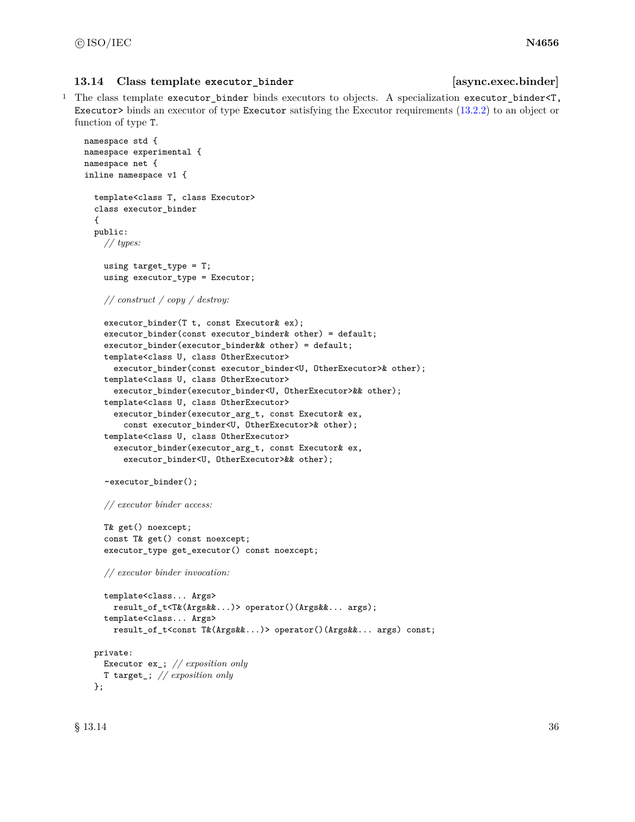### **13.14 Class template executor\_binder [async.exec.binder]**

<sup>1</sup> The class template executor\_binder binds executors to objects. A specialization executor\_binder<T, Executor> binds an executor of type Executor satisfying the Executor requirements [\(13.2.2\)](#page-25-0) to an object or function of type T.

```
namespace std {
namespace experimental {
namespace net {
inline namespace v1 {
  template<class T, class Executor>
  class executor_binder
  {
  public:
    // types:
    using target_type = T;
    using executor_type = Executor;
    // construct / copy / destroy:
    executor_binder(T t, const Executor& ex);
    executor_binder(const executor_binder& other) = default;
    executor_binder(executor_binder&& other) = default;
    template<class U, class OtherExecutor>
      executor_binder(const executor_binder<U, OtherExecutor>& other);
    template<class U, class OtherExecutor>
      executor_binder(executor_binder<U, OtherExecutor>&& other);
    template<class U, class OtherExecutor>
      executor_binder(executor_arg_t, const Executor& ex,
        const executor_binder<U, OtherExecutor>& other);
    template<class U, class OtherExecutor>
      executor_binder(executor_arg_t, const Executor& ex,
        executor_binder<U, OtherExecutor>&& other);
    ~executor_binder();
    // executor binder access:
    T& get() noexcept;
    const T& get() const noexcept;
    executor_type get_executor() const noexcept;
    // executor binder invocation:
    template<class... Args>
      result_of_t<T&(Args&&...)> operator()(Args&&... args);
    template<class... Args>
      result_of_t<const T&(Args&&...)> operator()(Args&&... args) const;
  private:
    Executor ex_; // exposition only
    T target_; // exposition only
  };
```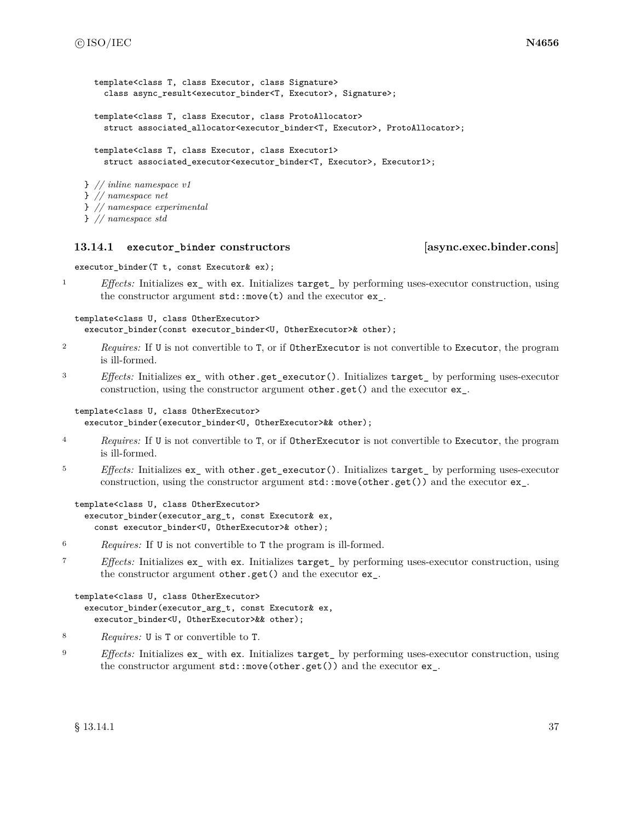```
template<class T, class Executor, class Signature>
    class async_result<executor_binder<T, Executor>, Signature>;
  template<class T, class Executor, class ProtoAllocator>
    struct associated_allocator<executor_binder<T, Executor>, ProtoAllocator>;
 template<class T, class Executor, class Executor1>
    struct associated_executor<executor_binder<T, Executor>, Executor1>;
} // inline namespace v1
} // namespace net
```
- } *// namespace experimental*
- } *// namespace std*

### **13.14.1 executor\_binder constructors [async.exec.binder.cons]**

executor\_binder(T t, const Executor& ex);

<sup>1</sup> *Effects:* Initializes ex\_ with ex. Initializes target\_ by performing uses-executor construction, using the constructor argument  $std::move(t)$  and the executor  $ex$ <sub>\_</sub>.

template<class U, class OtherExecutor> executor\_binder(const executor\_binder<U, OtherExecutor>& other);

- <sup>2</sup> *Requires:* If U is not convertible to T, or if OtherExecutor is not convertible to Executor, the program is ill-formed.
- <sup>3</sup> *Effects:* Initializes ex\_ with other.get\_executor(). Initializes target\_ by performing uses-executor construction, using the constructor argument other.get() and the executor ex\_.

# template<class U, class OtherExecutor>

```
executor_binder(executor_binder<U, OtherExecutor>&& other);
```
- <sup>4</sup> *Requires:* If U is not convertible to T, or if OtherExecutor is not convertible to Executor, the program is ill-formed.
- <sup>5</sup> *Effects:* Initializes ex\_ with other.get\_executor(). Initializes target\_ by performing uses-executor construction, using the constructor argument std::move(other.get()) and the executor ex\_.

```
template<class U, class OtherExecutor>
  executor_binder(executor_arg_t, const Executor& ex,
    const executor_binder<U, OtherExecutor>& other);
```
- <sup>6</sup> *Requires:* If U is not convertible to T the program is ill-formed.
- <sup>7</sup> *Effects:* Initializes ex\_ with ex. Initializes target\_ by performing uses-executor construction, using the constructor argument other.get() and the executor ex\_.

```
template<class U, class OtherExecutor>
  executor_binder(executor_arg_t, const Executor& ex,
    executor_binder<U, OtherExecutor>&& other);
```
- <sup>8</sup> *Requires:* U is T or convertible to T.
- <sup>9</sup> *Effects:* Initializes ex\_ with ex. Initializes target\_ by performing uses-executor construction, using the constructor argument std::move(other.get()) and the executor ex\_.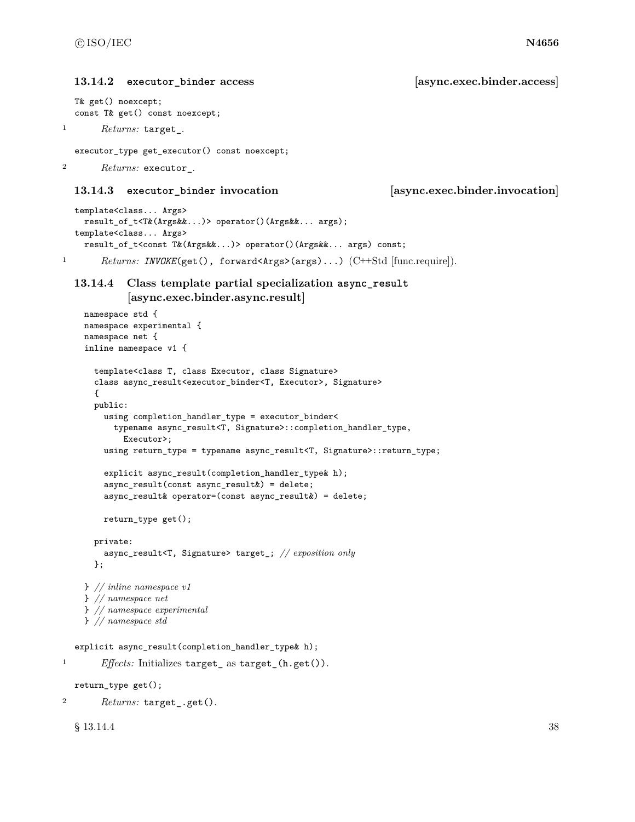```
13.14.2 executor_binder access [async.exec.binder.access]
```

```
T& get() noexcept;
const T& get() const noexcept;
```
<sup>1</sup> *Returns:* target\_.

executor\_type get\_executor() const noexcept;

<sup>2</sup> *Returns:* executor\_.

# **13.14.3 executor\_binder invocation [async.exec.binder.invocation]**

```
template<class... Args>
    result_of_t<T&(Args&&...)> operator()(Args&&... args);
  template<class... Args>
    result_of_t<const T&(Args&&...)> operator()(Args&&... args) const;
1 Returns: INVOKE(get(), forward<Args>(args)...) (C++Std [func.require]).
```
# **13.14.4 Class template partial specialization async\_result [async.exec.binder.async.result]**

```
namespace std {
    namespace experimental {
    namespace net {
    inline namespace v1 {
      template<class T, class Executor, class Signature>
      class async_result<executor_binder<T, Executor>, Signature>
      \mathcal{L}public:
        using completion_handler_type = executor_binder<
          typename async_result<T, Signature>::completion_handler_type,
            Executor>;
        using return_type = typename async_result<T, Signature>::return_type;
        explicit async_result(completion_handler_type& h);
        async_result(const async_result&) = delete;
        async_result& operator=(const async_result&) = delete;
        return_type get();
      private:
        async_result<T, Signature> target_; // exposition only
      };
    } // inline namespace v1
    } // namespace net
    } // namespace experimental
    } // namespace std
  explicit async_result(completion_handler_type& h);
1 Effects: Initializes target_ as target_(h.get()).
  return_type get();
```
<sup>2</sup> *Returns:* target\_.get().

```
\S 13.14.4 38
```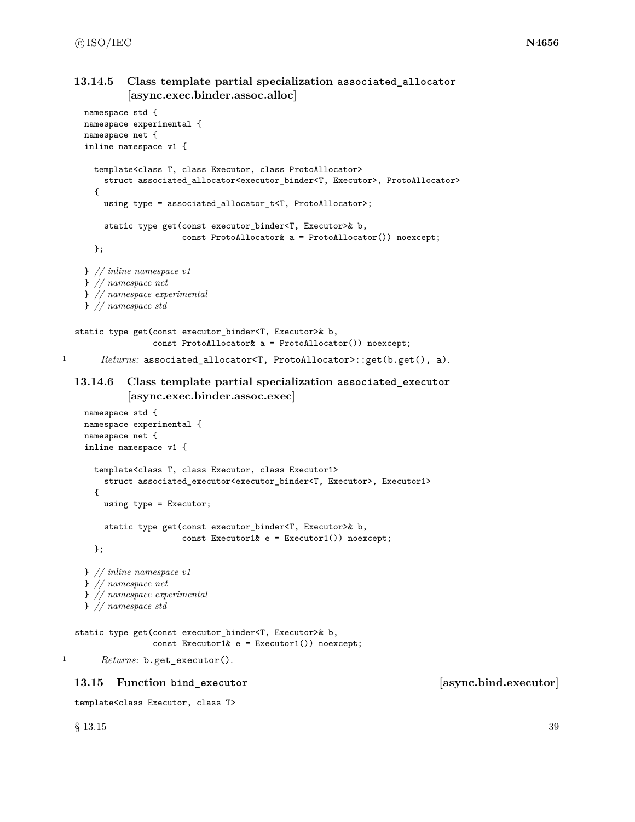# **13.14.5 Class template partial specialization associated\_allocator [async.exec.binder.assoc.alloc]**

```
namespace std {
    namespace experimental {
    namespace net {
    inline namespace v1 {
      template<class T, class Executor, class ProtoAllocator>
        struct associated_allocator<executor_binder<T, Executor>, ProtoAllocator>
      {
        using type = associated_allocator_t<T, ProtoAllocator>;
        static type get(const executor_binder<T, Executor>& b,
                        const ProtoAllocator& a = ProtoAllocator()) noexcept;
      };
    } // inline namespace v1
    } // namespace net
    } // namespace experimental
    } // namespace std
  static type get(const executor_binder<T, Executor>& b,
                  const ProtoAllocator& a = ProtoAllocator()) noexcept;
1 Returns: associated_allocator<T, ProtoAllocator>::get(b.get(), a).
  13.14.6 Class template partial specialization associated_executor
             [async.exec.binder.assoc.exec]
    namespace std {
    namespace experimental {
    namespace net {
    inline namespace v1 {
      template<class T, class Executor, class Executor1>
        struct associated_executor<executor_binder<T, Executor>, Executor1>
      {
        using type = Executor;
        static type get(const executor_binder<T, Executor>& b,
                        const Executor1& e = Executor1()) noexcept;
      };
    } // inline namespace v1
    } // namespace net
    } // namespace experimental
    } // namespace std
  static type get(const executor_binder<T, Executor>& b,
                  const Executor1& e = Executor1()) noexcept;
1 Returns: b.get_executor().
```
# **13.15 Function bind\_executor [async.bind.executor]**

```
template<class Executor, class T>
```
 $\S$  13.15 39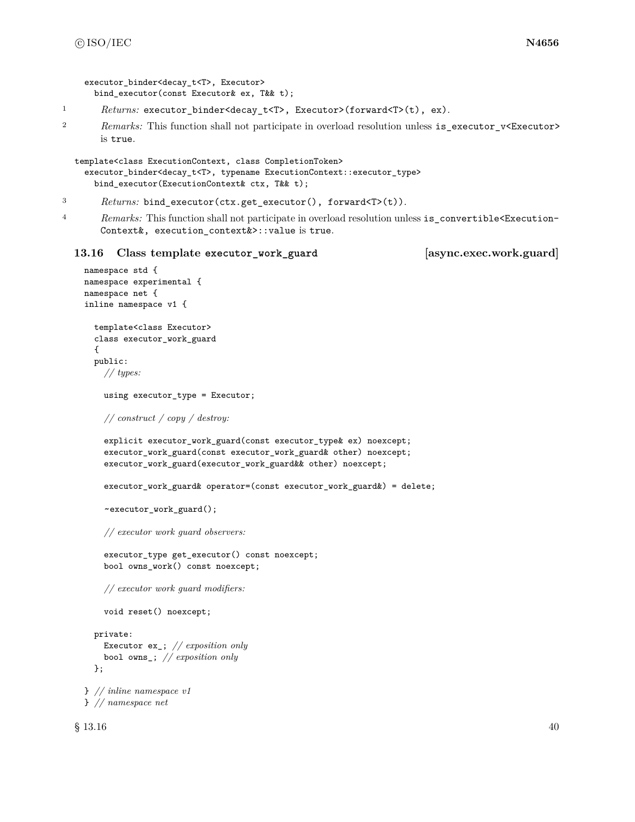```
executor binder<decay t<T>, Executor>
 bind_executor(const Executor& ex, T&& t);
```
1 Returns: executor\_binder<decay\_t<T>, Executor>(forward<T>(t), ex).

2 *Remarks:* This function shall not participate in overload resolution unless is\_executor\_v<Executor> is true.

```
template<class ExecutionContext, class CompletionToken>
  executor_binder<decay_t<T>, typename ExecutionContext::executor_type>
    bind_executor(ExecutionContext& ctx, T&& t);
```

```
3 Returns: bind_executor(ctx.get_executor(), forward<T>(t)).
```
<sup>4</sup> *Remarks:* This function shall not participate in overload resolution unless is\_convertible<Execution-Context&, execution\_context&>::value is true.

### **13.16 Class template executor\_work\_guard [async.exec.work.guard]**

```
namespace std {
namespace experimental {
namespace net {
inline namespace v1 {
  template<class Executor>
  class executor_work_guard
  {
  public:
    // types:
    using executor_type = Executor;
    // construct / copy / destroy:
    explicit executor_work_guard(const executor_type& ex) noexcept;
    executor_work_guard(const executor_work_guard& other) noexcept;
    executor_work_guard(executor_work_guard&& other) noexcept;
    executor_work_guard& operator=(const executor_work_guard&) = delete;
    ~executor_work_guard();
    // executor work guard observers:
    executor_type get_executor() const noexcept;
    bool owns_work() const noexcept;
    // executor work guard modifiers:
    void reset() noexcept;
  private:
    Executor ex_; // exposition only
    bool owns_; // exposition only
  \ddot{\ }:
} // inline namespace v1
} // namespace net
```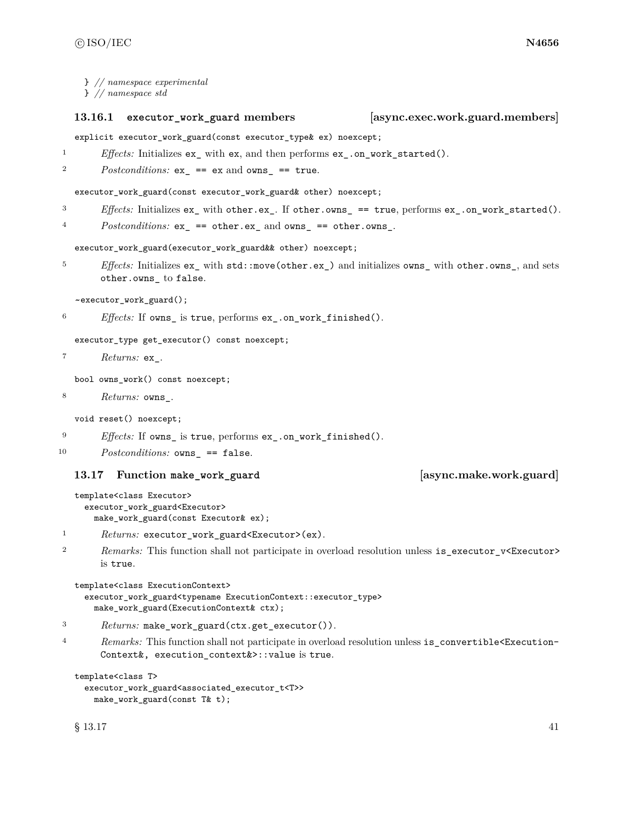|                  | $\}$ // namespace experimental<br>$\}$ // namespace std                                                                                      |                                 |
|------------------|----------------------------------------------------------------------------------------------------------------------------------------------|---------------------------------|
|                  | 13.16.1<br>executor_work_guard members                                                                                                       | [async.exec.work.guard.members] |
|                  | explicit executor_work_guard(const executor_type& ex) noexcept;                                                                              |                                 |
| 1                | <i>Effects:</i> Initializes $ex$ <sub><i>r</i></sub> with $ex$ <i>,</i> and then performs $ex$ <i><sub><i>r</i></sub> on work started().</i> |                                 |
| $\boldsymbol{2}$ | Postconditions: $ex_$ == $ex$ and $owns_$ == $true$ .                                                                                        |                                 |
|                  | executor_work_guard(const executor_work_guard& other) noexcept;                                                                              |                                 |
| 3                | <i>Effects:</i> Initializes $ex$ with other.ex. If other.owns == true, performs $ex$ .on_work_started().                                     |                                 |
| 4                | $Postconditions: ex_ = = other.ex_ and owns_ == other.owns_$ .                                                                               |                                 |
|                  | executor_work_guard(executor_work_guard&& other) noexcept;                                                                                   |                                 |
| 5                | <i>Effects:</i> Initializes $ex$ with $std:move(other.ex_)$ and initializes $owns\_with other.oms_$ , and sets<br>other.owns_ to false.      |                                 |
|                  | ~executor_work_guard();                                                                                                                      |                                 |
| 6                | <i>Effects:</i> If owns_ is true, performs ex_.on_work_finished().                                                                           |                                 |
|                  | executor_type get_executor() const noexcept;                                                                                                 |                                 |
| 7                | <i>Returns:</i> ex_.                                                                                                                         |                                 |
|                  | bool owns_work() const noexcept;                                                                                                             |                                 |
| 8                | <i>Returns:</i> owns_.                                                                                                                       |                                 |
|                  | void reset() noexcept;                                                                                                                       |                                 |
| 9                | Effects: If owns_ is true, performs ex_.on_work_finished().                                                                                  |                                 |
| 10               | $Postconditions:$ owns_ == false.                                                                                                            |                                 |
|                  | Function make_work_guard<br>13.17                                                                                                            | [async.make.work.guard]         |
|                  | template <class executor=""><br/>executor_work_guard<executor><br/>make_work_guard(const Executor&amp; ex);</executor></class>               |                                 |
| 1                | $Returns:$ executor_work_guard <executor>(ex).</executor>                                                                                    |                                 |
|                  | Demander This function shall not participate in evenlood resolution unless is executed us Frequency                                          |                                 |

2 *Remarks:* This function shall not participate in overload resolution unless is\_executor\_v<Executor> is true.

```
template<class ExecutionContext>
  executor_work_guard<typename ExecutionContext::executor_type>
    make_work_guard(ExecutionContext& ctx);
```

```
3 Returns: make_work_guard(ctx.get_executor()).
```
<sup>4</sup> *Remarks:* This function shall not participate in overload resolution unless is\_convertible<Execution-Context&, execution\_context&>::value is true.

```
template<class T>
  executor_work_guard<associated_executor_t<T>>
   make_work_guard(const T& t);
```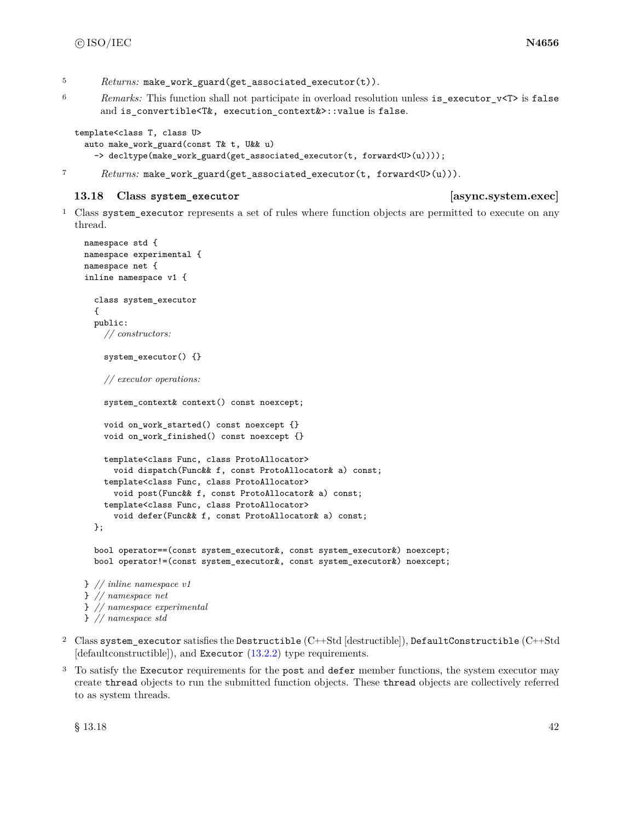- <sup>5</sup> *Returns:* make work guard(get associated executor(t)).
- <sup>6</sup> *Remarks:* This function shall not participate in overload resolution unless is\_executor\_v<T> is false and is\_convertible<T&, execution\_context&>::value is false.

```
template<class T, class U>
 auto make_work_guard(const T& t, U&& u)
    -> decltype(make_work_guard(get_associated_executor(t, forward<U>(u))));
```
<sup>7</sup> *Returns:* make\_work\_guard(get\_associated\_executor(t, forward<U>(u))).

### **13.18 Class system\_executor [async.system.exec]**

<sup>1</sup> Class system\_executor represents a set of rules where function objects are permitted to execute on any thread.

```
namespace std {
namespace experimental {
namespace net {
inline namespace v1 {
  class system_executor
  {
  public:
    // constructors:
    system_executor() {}
    // executor operations:
    system_context& context() const noexcept;
    void on_work_started() const noexcept {}
    void on_work_finished() const noexcept {}
    template<class Func, class ProtoAllocator>
      void dispatch(Func&& f, const ProtoAllocator& a) const;
    template<class Func, class ProtoAllocator>
      void post(Func&& f, const ProtoAllocator& a) const;
    template<class Func, class ProtoAllocator>
      void defer(Func&& f, const ProtoAllocator& a) const;
  };
  bool operator==(const system_executor&, const system_executor&) noexcept;
  bool operator!=(const system_executor&, const system_executor&) noexcept;
} // inline namespace v1
} // namespace net
} // namespace experimental
} // namespace std
```
- <sup>2</sup> Class system executor satisfies the Destructible  $(C++Std$  [destructible]), DefaultConstructible  $(C++Std)$ [defaultconstructible]), and Executor [\(13.2.2\)](#page-25-0) type requirements.
- <sup>3</sup> To satisfy the Executor requirements for the post and defer member functions, the system executor may create thread objects to run the submitted function objects. These thread objects are collectively referred to as system threads.

 $\frac{1}{8}$  13.18 42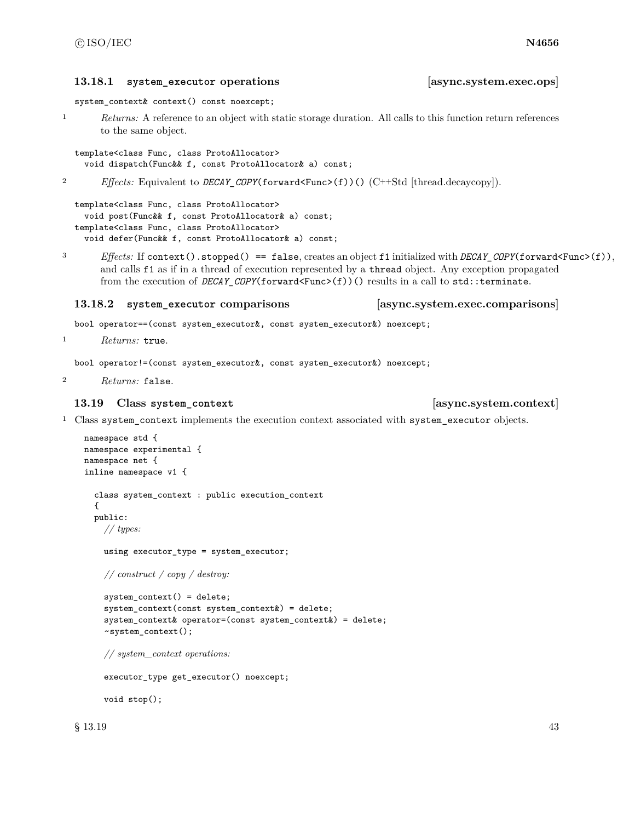### **13.18.1 system\_executor operations [async.system.exec.ops]**

```
system_context& context() const noexcept;
```
<sup>1</sup> *Returns:* A reference to an object with static storage duration. All calls to this function return references to the same object.

```
template<class Func, class ProtoAllocator>
 void dispatch(Func&& f, const ProtoAllocator& a) const;
```
<sup>2</sup> *Effects:* Equivalent to *DECAY\_COPY*(forward<Func>(f))() (C++Std [thread.decaycopy]).

```
template<class Func, class ProtoAllocator>
 void post(Func&& f, const ProtoAllocator& a) const;
template<class Func, class ProtoAllocator>
 void defer(Func&& f, const ProtoAllocator& a) const;
```
<sup>3</sup> *Effects:* If context().stopped() == false, creates an object f1 initialized with *DECAY\_COPY*(forward<Func>(f)), and calls f1 as if in a thread of execution represented by a thread object. Any exception propagated from the execution of *DECAY* COPY(forward  $\text{Func}(f)$ )() results in a call to std::terminate.

### **13.18.2 system\_executor comparisons [async.system.exec.comparisons]**

bool operator==(const system\_executor&, const system\_executor&) noexcept;

<sup>1</sup> *Returns:* true.

bool operator!=(const system\_executor&, const system\_executor&) noexcept;

<sup>2</sup> *Returns:* false.

### **13.19 Class system\_context [async.system.context]**

<sup>1</sup> Class system\_context implements the execution context associated with system\_executor objects.

```
namespace std {
namespace experimental {
namespace net {
inline namespace v1 {
  class system_context : public execution_context
  {
  public:
   // types:
    using executor_type = system_executor;
    // construct / copy / destroy:
    system_context() = delete;
    system context(const system context\&) = delete;
    system_context& operator=(const system_context&) = delete;
    ~system_context();
    // system_context operations:
    executor_type get_executor() noexcept;
```
void stop();

 $\S$  13.19 43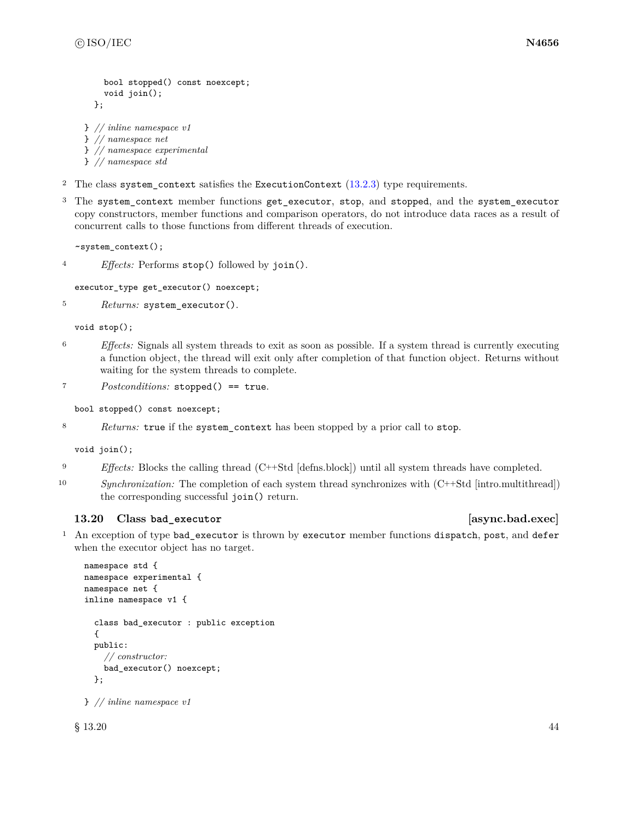```
bool stopped() const noexcept;
    void join();
  };
} // inline namespace v1
} // namespace net
} // namespace experimental
```
- } *// namespace std*
- <sup>2</sup> The class system\_context satisfies the ExecutionContext [\(13.2.3\)](#page-28-1) type requirements.
- <sup>3</sup> The system\_context member functions get\_executor, stop, and stopped, and the system\_executor copy constructors, member functions and comparison operators, do not introduce data races as a result of concurrent calls to those functions from different threads of execution.

```
~system_context();
```
<sup>4</sup> *Effects:* Performs stop() followed by join().

```
executor_type get_executor() noexcept;
```

```
5 Returns: system_executor().
```
void stop();

- <sup>6</sup> *Effects:* Signals all system threads to exit as soon as possible. If a system thread is currently executing a function object, the thread will exit only after completion of that function object. Returns without waiting for the system threads to complete.
- <sup>7</sup> *Postconditions:* stopped() == true.

bool stopped() const noexcept;

<sup>8</sup> *Returns:* true if the system\_context has been stopped by a prior call to stop.

void join();

- <sup>9</sup> *Effects:* Blocks the calling thread (C++Std [defns.block]) until all system threads have completed.
- 10 *Synchronization:* The completion of each system thread synchronizes with  $(C++Std$  [intro.multithread]) the corresponding successful join() return.

# **13.20 Class bad\_executor [async.bad.exec]**

<sup>1</sup> An exception of type bad\_executor is thrown by executor member functions dispatch, post, and defer when the executor object has no target.

```
namespace std {
namespace experimental {
namespace net {
inline namespace v1 {
  class bad_executor : public exception
  {
  public:
    // constructor:
    bad_executor() noexcept;
  };
```
} *// inline namespace v1*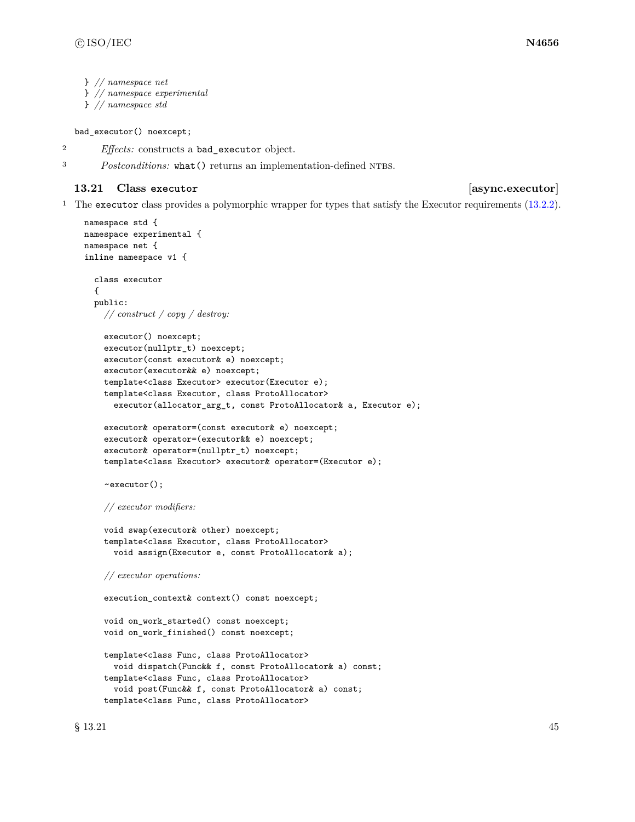```
} // namespace net
```
- } *// namespace experimental*
- } *// namespace std*

### bad\_executor() noexcept;

- <sup>2</sup> *Effects:* constructs a bad\_executor object.
- <sup>3</sup> *Postconditions:* what () returns an implementation-defined NTBS.

# **13.21 Class executor [async.executor]**

<sup>1</sup> The executor class provides a polymorphic wrapper for types that satisfy the Executor requirements [\(13.2.2\)](#page-25-0).

```
namespace std {
namespace experimental {
namespace net {
inline namespace v1 {
  class executor
  {
  public:
    // construct / copy / destroy:
    executor() noexcept;
    executor(nullptr_t) noexcept;
    executor(const executor& e) noexcept;
    executor(executor&& e) noexcept;
    template<class Executor> executor(Executor e);
    template<class Executor, class ProtoAllocator>
      executor(allocator_arg_t, const ProtoAllocator& a, Executor e);
    executor& operator=(const executor& e) noexcept;
    executor& operator=(executor&& e) noexcept;
    executor& operator=(nullptr_t) noexcept;
    template<class Executor> executor& operator=(Executor e);
    ~executor();
    // executor modifiers:
    void swap(executor& other) noexcept;
    template<class Executor, class ProtoAllocator>
      void assign(Executor e, const ProtoAllocator& a);
    // executor operations:
    execution_context& context() const noexcept;
    void on_work_started() const noexcept;
    void on_work_finished() const noexcept;
    template<class Func, class ProtoAllocator>
      void dispatch(Func&& f, const ProtoAllocator& a) const;
    template<class Func, class ProtoAllocator>
      void post(Func&& f, const ProtoAllocator& a) const;
    template<class Func, class ProtoAllocator>
```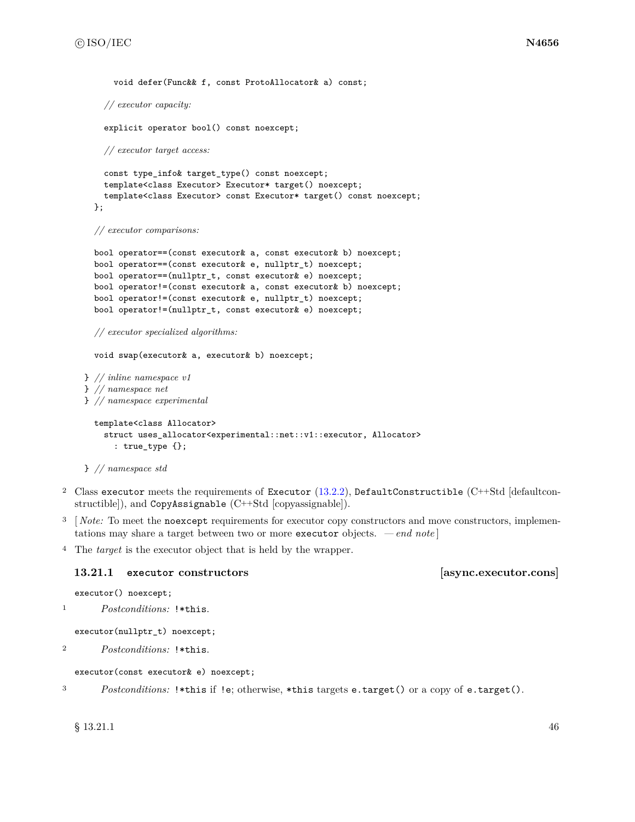```
void defer(Func&& f, const ProtoAllocator& a) const;
    // executor capacity:
    explicit operator bool() const noexcept;
    // executor target access:
    const type_info& target_type() const noexcept;
    template<class Executor> Executor* target() noexcept;
    template<class Executor> const Executor* target() const noexcept;
  };
  // executor comparisons:
  bool operator==(const executor& a, const executor& b) noexcept;
  bool operator==(const executor& e, nullptr_t) noexcept;
  bool operator==(nullptr_t, const executor& e) noexcept;
  bool operator!=(const executor& a, const executor& b) noexcept;
  bool operator!=(const executor& e, nullptr_t) noexcept;
  bool operator!=(nullptr_t, const executor& e) noexcept;
  // executor specialized algorithms:
  void swap(executor& a, executor& b) noexcept;
} // inline namespace v1
} // namespace net
} // namespace experimental
 template<class Allocator>
    struct uses_allocator<experimental::net::v1::executor, Allocator>
      : true_type {};
```

```
} // namespace std
```
- <sup>2</sup> Class executor meets the requirements of Executor  $(13.2.2)$ , DefaultConstructible (C++Std [defaultconstructible]), and CopyAssignable (C++Std [copyassignable]).
- <sup>3</sup> [*Note:* To meet the noexcept requirements for executor copy constructors and move constructors, implementations may share a target between two or more executor objects. *— end note* ]

<sup>4</sup> The *target* is the executor object that is held by the wrapper.

### **13.21.1 executor constructors [async.executor.cons]**

executor() noexcept;

<sup>1</sup> *Postconditions:* !\*this.

executor(nullptr\_t) noexcept;

<sup>2</sup> *Postconditions:* !\*this.

executor(const executor& e) noexcept;

<sup>3</sup> *Postconditions:* !\*this if !e; otherwise, \*this targets e.target() or a copy of e.target().

 $\S$  13.21.1 46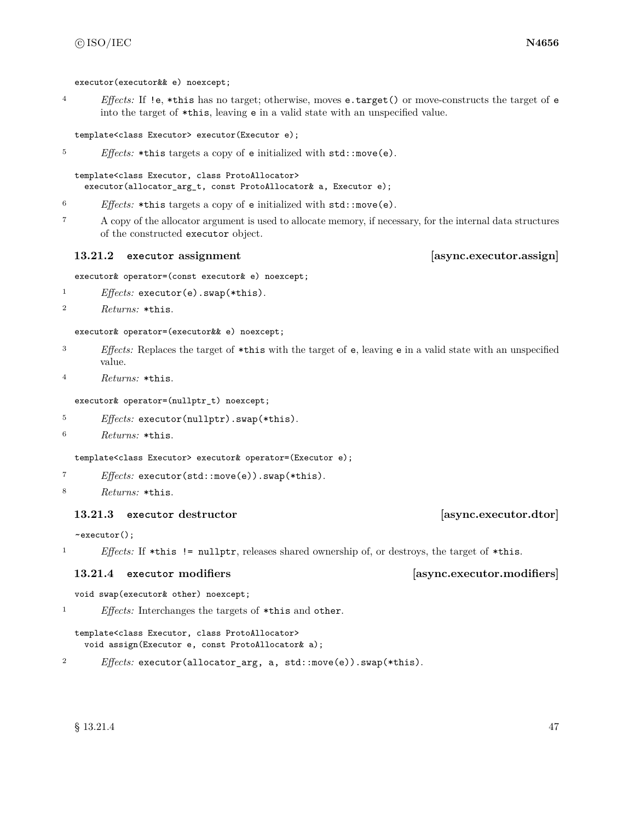executor(executor&& e) noexcept;

<sup>4</sup> *Effects:* If !e, \*this has no target; otherwise, moves e.target() or move-constructs the target of e into the target of \*this, leaving e in a valid state with an unspecified value.

### template<class Executor> executor(Executor e);

<sup>5</sup> *Effects:* \*this targets a copy of e initialized with std::move(e).

template<class Executor, class ProtoAllocator> executor(allocator\_arg\_t, const ProtoAllocator& a, Executor e);

- <sup>6</sup> *Effects:* \*this targets a copy of e initialized with std::move(e).
- <sup>7</sup> A copy of the allocator argument is used to allocate memory, if necessary, for the internal data structures of the constructed executor object.

### **13.21.2 executor assignment [async.executor.assign]**

executor& operator=(const executor& e) noexcept;

- <sup>1</sup> *Effects:* executor(e).swap(\*this).
- <sup>2</sup> *Returns:* \*this.

executor& operator=(executor&& e) noexcept;

- <sup>3</sup> *Effects:* Replaces the target of \*this with the target of e, leaving e in a valid state with an unspecified value.
- <sup>4</sup> *Returns:* \*this.

executor& operator=(nullptr\_t) noexcept;

- <sup>5</sup> *Effects:* executor(nullptr).swap(\*this).
- <sup>6</sup> *Returns:* \*this.

template<class Executor> executor& operator=(Executor e);

- <sup>7</sup> *Effects:* executor(std::move(e)).swap(\*this).
- <sup>8</sup> *Returns:* \*this.

# **13.21.3 executor destructor [async.executor.dtor]**

~executor();

<sup>1</sup> *Effects:* If \*this != nullptr, releases shared ownership of, or destroys, the target of \*this.

# **13.21.4 executor modifiers [async.executor.modifiers]**

```
void swap(executor& other) noexcept;
```
<sup>1</sup> *Effects:* Interchanges the targets of \*this and other.

```
template<class Executor, class ProtoAllocator>
  void assign(Executor e, const ProtoAllocator& a);
```

```
2 Effects: executor(allocator_arg, a, std::move(e)).swap(*this).
```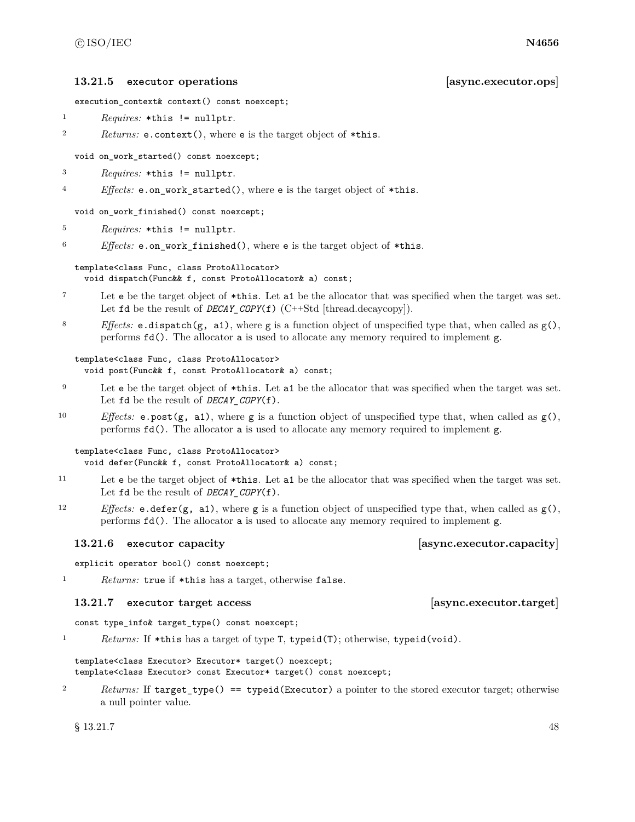### **13.21.5 executor operations [async.executor.ops]**

execution\_context& context() const noexcept;

- <sup>1</sup> *Requires:* \*this != nullptr.
- <sup>2</sup> *Returns:* e.context(), where e is the target object of \*this.

void on work started() const noexcept;

- <sup>3</sup> *Requires:* \*this != nullptr.
- <sup>4</sup> *Effects:* e.on\_work\_started(), where e is the target object of \*this.

void on\_work\_finished() const noexcept;

<sup>5</sup> *Requires:* \*this != nullptr.

<sup>6</sup> *Effects:* e.on\_work\_finished(), where e is the target object of \*this.

### template<class Func, class ProtoAllocator>

void dispatch(Func&& f, const ProtoAllocator& a) const;

- <sup>7</sup> Let e be the target object of \*this. Let a1 be the allocator that was specified when the target was set. Let **fd** be the result of *DECAY\_COPY*(**f**) (C++Std [thread.decaycopy]).
- <sup>8</sup> *Effects:* **e.dispatch(g, a1)**, where **g** is a function object of unspecified type that, when called as  $g($ ), performs fd(). The allocator a is used to allocate any memory required to implement g.

```
template<class Func, class ProtoAllocator>
  void post(Func&& f, const ProtoAllocator& a) const;
```
- <sup>9</sup> Let e be the target object of \*this. Let a1 be the allocator that was specified when the target was set. Let  $fd$  be the result of *DECAY* COPY(f).
- 10 *Effects:* e.post( $g$ , a1), where  $g$  is a function object of unspecified type that, when called as  $g()$ , performs fd(). The allocator a is used to allocate any memory required to implement g.

### template<class Func, class ProtoAllocator> void defer(Func&& f, const ProtoAllocator& a) const;

- <sup>11</sup> Let e be the target object of \*this. Let a1 be the allocator that was specified when the target was set. Let **fd** be the result of *DECAY COPY*(**f**).
- <sup>12</sup> *Effects:* e.defer(g, a1), where g is a function object of unspecified type that, when called as g(), performs fd(). The allocator a is used to allocate any memory required to implement g.

### **13.21.6 executor capacity [async.executor.capacity]**

explicit operator bool() const noexcept;

<sup>1</sup> *Returns:* true if \*this has a target, otherwise false.

### **13.21.7 executor target access [async.executor.target]**

const type\_info& target\_type() const noexcept;

<sup>1</sup> *Returns:* If \*this has a target of type T, typeid(T); otherwise, typeid(void).

template<class Executor> Executor\* target() noexcept; template<class Executor> const Executor\* target() const noexcept;

2 *Returns:* If target\_type() == typeid(Executor) a pointer to the stored executor target; otherwise a null pointer value.

 $\S$  13.21.7 48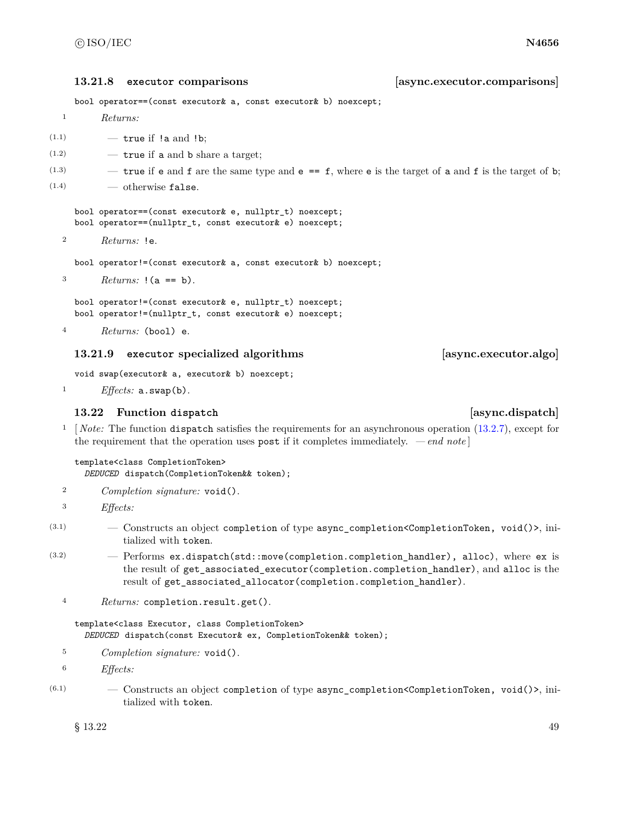**13.21.8 executor comparisons [async.executor.comparisons]**

bool operator==(const executor& a, const executor& b) noexcept;

- <sup>1</sup> *Returns:*
- $(1.1)$   $-$  true if !a and !b;
- $(1.2)$   $\qquad -$  true if a and b share a target;
- $(1.3)$  true if e and f are the same type and e == f, where e is the target of a and f is the target of b;
- $(1.4)$  otherwise false.

bool operator==(const executor& e, nullptr\_t) noexcept; bool operator==(nullptr\_t, const executor& e) noexcept;

<sup>2</sup> *Returns:* !e.

bool operator!=(const executor& a, const executor& b) noexcept;

3  $Returns: !(a == b).$ 

bool operator!=(const executor& e, nullptr\_t) noexcept; bool operator!=(nullptr\_t, const executor& e) noexcept;

```
4 Returns: (bool) e.
```
# **13.21.9 executor specialized algorithms [async.executor.algo]**

void swap(executor& a, executor& b) noexcept;

<sup>1</sup> *Effects:* a.swap(b).

# **13.22 Function dispatch [async.dispatch]**

<sup>1</sup> [*Note:* The function dispatch satisfies the requirements for an asynchronous operation [\(13.2.7\)](#page-29-0), except for the requirement that the operation uses post if it completes immediately. *— end note* ]

template<class CompletionToken>

*DEDUCED* dispatch(CompletionToken&& token);

- <sup>2</sup> *Completion signature:* void().
- <sup>3</sup> *Effects:*
- (3.1) Constructs an object completion of type async\_completion<CompletionToken, void()>, initialized with token.
- $(3.2)$  Performs ex.dispatch(std::move(completion.completion\_handler), alloc), where ex is the result of get\_associated\_executor(completion.completion\_handler), and alloc is the result of get\_associated\_allocator(completion.completion\_handler).
	- <sup>4</sup> *Returns:* completion.result.get().

template<class Executor, class CompletionToken> *DEDUCED* dispatch(const Executor& ex, CompletionToken&& token);

- <sup>5</sup> *Completion signature:* void().
- <sup>6</sup> *Effects:*
- $(6.1)$  Constructs an object completion of type async\_completion <CompletionToken, void()>, initialized with token.

 $\frac{1}{3}$  13.22 49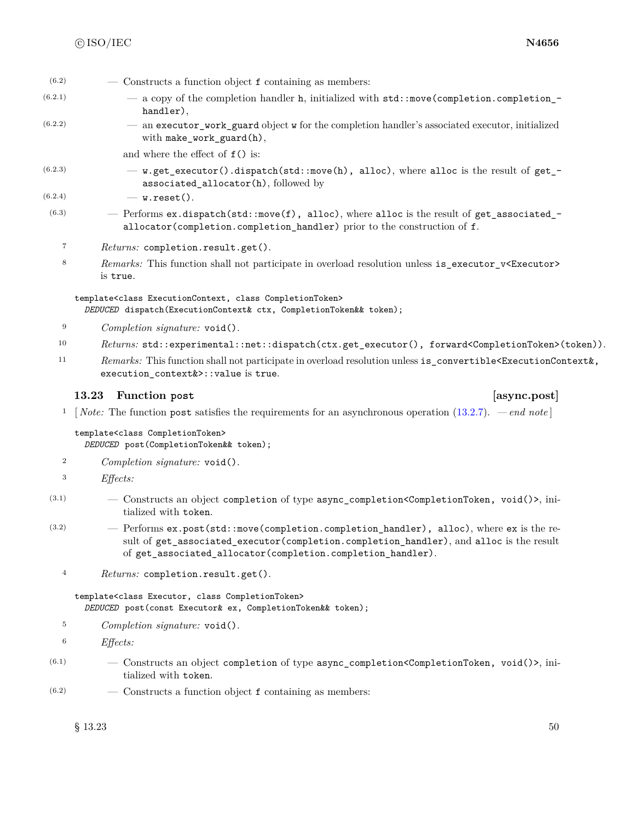| (6.2)            | - Constructs a function object f containing as members:                                                                                                                             |
|------------------|-------------------------------------------------------------------------------------------------------------------------------------------------------------------------------------|
| (6.2.1)          | - a copy of the completion handler h, initialized with std::move(completion.completion_-<br>handler),                                                                               |
| (6.2.2)          | - an executor_work_guard object w for the completion handler's associated executor, initialized<br>with make_work_guard(h),                                                         |
|                  | and where the effect of $f()$ is:                                                                                                                                                   |
| (6.2.3)          | - w.get_executor().dispatch(std::move(h), alloc), where alloc is the result of get_-<br>associated_allocator(h), followed by                                                        |
| (6.2.4)          | $-$ w.reset().                                                                                                                                                                      |
| (6.3)            | - Performs ex.dispatch(std::move(f), alloc), where alloc is the result of get_associated_ $-$<br>allocator (completion.completion_handler) prior to the construction of f.          |
| $\overline{7}$   | Returns: completion.result.get().                                                                                                                                                   |
| $\,$ 8 $\,$      | Remarks: This function shall not participate in overload resolution unless is_executor_v <executor><br/>is true.</executor>                                                         |
|                  | template <class class="" completiontoken="" executioncontext,=""><br/>DEDUCED dispatch(ExecutionContext&amp; ctx, CompletionToken&amp;&amp; token);</class>                         |
| 9                | Completion signature: void().                                                                                                                                                       |
| 10               | Returns: std::experimental::net::dispatch(ctx.get_executor(), forward <completiontoken>(token)).</completiontoken>                                                                  |
| 11               | Remarks: This function shall not participate in overload resolution unless is_convertible <executioncontext&,<br>execution_context&amp;&gt;::value is true.</executioncontext&,<br> |
|                  | [async.post]<br>13.23<br>Function post                                                                                                                                              |
| 1                | [ <i>Note:</i> The function post satisfies the requirements for an asynchronous operation $(13.2.7)$ . — end note]                                                                  |
|                  | template <class completiontoken=""><br/>DEDUCED post (CompletionToken&amp;&amp; token);</class>                                                                                     |
| $\boldsymbol{2}$ | Completion signature: void().                                                                                                                                                       |
| $\,3$            | $Effects$ :                                                                                                                                                                         |
| (3.1)            | - Constructs an object completion of type async_completion <completiontoken, void()="">, ini-</completiontoken,>                                                                    |

- tialized with token.
- (3.2) Performs ex.post(std::move(completion.completion\_handler), alloc), where ex is the result of get\_associated\_executor(completion.completion\_handler), and alloc is the result of get\_associated\_allocator(completion.completion\_handler).
	- <sup>4</sup> *Returns:* completion.result.get().

template<class Executor, class CompletionToken> *DEDUCED* post(const Executor& ex, CompletionToken&& token);

- <sup>5</sup> *Completion signature:* void().
- <sup>6</sup> *Effects:*
- $(6.1)$  Constructs an object completion of type async\_completion<CompletionToken, void()>, initialized with token.
- $(6.2)$  Constructs a function object f containing as members:

 $\S$  13.23 50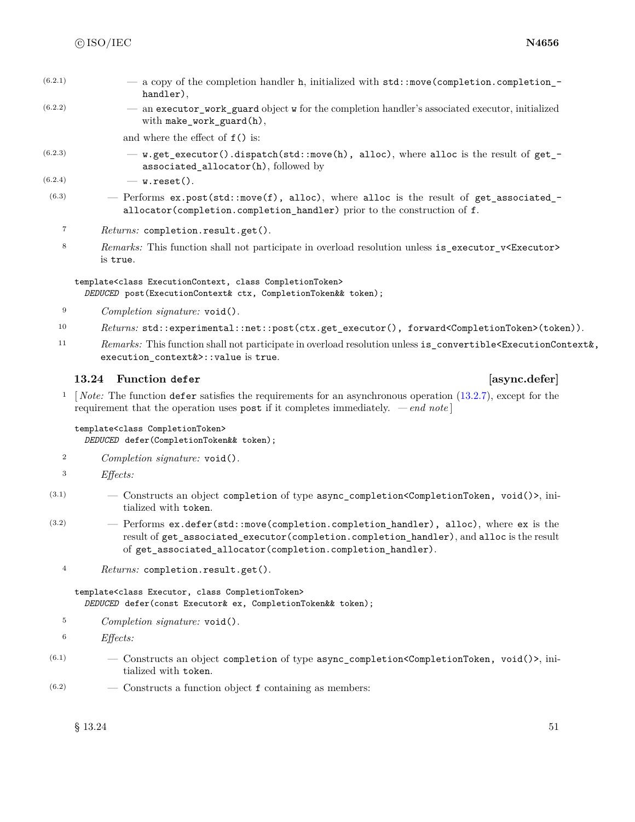| (6.2.1) | - a copy of the completion handler h, initialized with std::move(completion.completion_- |
|---------|------------------------------------------------------------------------------------------|
|         | handler),                                                                                |

(6.2.2) — an executor\_work\_guard object w for the completion handler's associated executor, initialized with make\_work\_guard(h),

and where the effect of f() is:

 $(6.2.3)$  - w.get\_executor().dispatch(std::move(h), alloc), where alloc is the result of get\_ associated\_allocator(h), followed by

 $(6.2.4)$   $\qquad \qquad -$  w.reset().

- $(6.3)$  Performs ex.post(std::move(f), alloc), where alloc is the result of get\_associated\_ allocator(completion.completion\_handler) prior to the construction of f.
	- <sup>7</sup> *Returns:* completion.result.get().
	- 8 *Remarks:* This function shall not participate in overload resolution unless is\_executor\_v<Executor> is true.

```
template<class ExecutionContext, class CompletionToken>
  DEDUCED post(ExecutionContext& ctx, CompletionToken&& token);
```
- <sup>9</sup> *Completion signature:* void().
- 10 *Returns:* std::experimental::net::post(ctx.get\_executor(), forward<CompletionToken>(token)).
- <sup>11</sup> *Remarks:* This function shall not participate in overload resolution unless is\_convertible<ExecutionContext&, execution\_context&>::value is true.

# **13.24 Function defer [async.defer]**

<sup>1</sup> [*Note:* The function defer satisfies the requirements for an asynchronous operation [\(13.2.7\)](#page-29-0), except for the requirement that the operation uses post if it completes immediately. *— end note* ]

template<class CompletionToken> *DEDUCED* defer(CompletionToken&& token);

- <sup>2</sup> *Completion signature:* void().
- <sup>3</sup> *Effects:*
- (3.1) Constructs an object completion of type async\_completion<CompletionToken, void()>, initialized with token.
- (3.2) Performs ex.defer(std::move(completion.completion\_handler), alloc), where ex is the result of get\_associated\_executor(completion.completion\_handler), and alloc is the result of get\_associated\_allocator(completion.completion\_handler).
	- <sup>4</sup> *Returns:* completion.result.get().

template<class Executor, class CompletionToken> *DEDUCED* defer(const Executor& ex, CompletionToken&& token);

<sup>5</sup> *Completion signature:* void().

<sup>6</sup> *Effects:*

- $(6.1)$  Constructs an object completion of type async\_completion<CompletionToken, void()>, initialized with token.
- $(6.2)$  Constructs a function object f containing as members: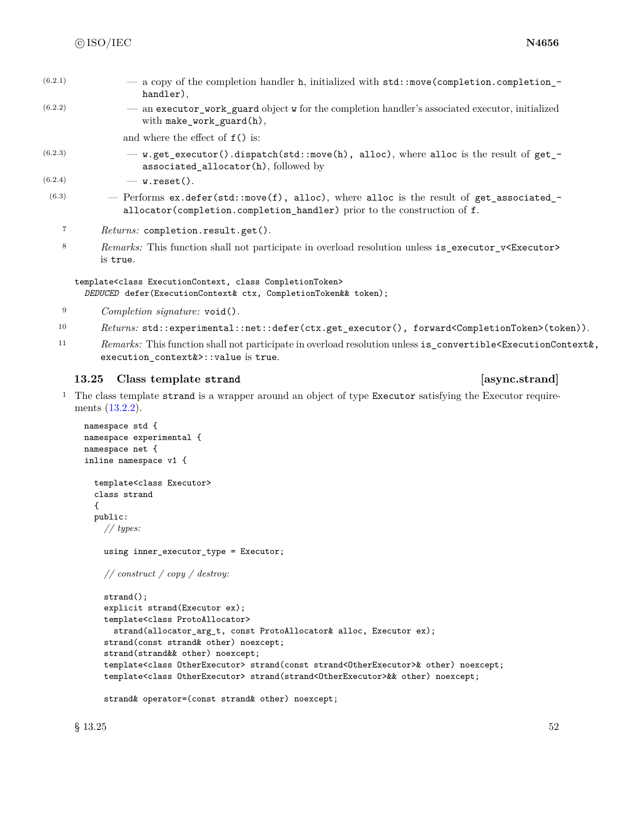| (6.2.1) | - a copy of the completion handler h, initialized with std::move(completion.completion_- |
|---------|------------------------------------------------------------------------------------------|
|         | handler).                                                                                |

(6.2.2) — an executor\_work\_guard object w for the completion handler's associated executor, initialized with make\_work\_guard(h),

and where the effect of f() is:

 $(6.2.3)$  - w.get\_executor().dispatch(std::move(h), alloc), where alloc is the result of get\_ associated\_allocator(h), followed by

 $(6.2.4)$   $-$  w.reset().

- $(6.3)$  Performs ex.defer(std::move(f), alloc), where alloc is the result of get\_associated\_allocator(completion.completion\_handler) prior to the construction of f.
	- <sup>7</sup> *Returns:* completion.result.get().
	- 8 *Remarks:* This function shall not participate in overload resolution unless is\_executor\_v<Executor> is true.

template<class ExecutionContext, class CompletionToken> *DEDUCED* defer(ExecutionContext& ctx, CompletionToken&& token);

- <sup>9</sup> *Completion signature:* void().
- 10 *Returns:* std::experimental::net::defer(ctx.get\_executor(), forward<CompletionToken>(token)).
- <sup>11</sup> *Remarks:* This function shall not participate in overload resolution unless is\_convertible<ExecutionContext&, execution\_context&>::value is true.

### **13.25 Class template strand [async.strand]**

<sup>1</sup> The class template strand is a wrapper around an object of type Executor satisfying the Executor requirements [\(13.2.2\)](#page-25-0).

```
namespace std {
namespace experimental {
namespace net {
inline namespace v1 {
  template<class Executor>
 class strand
  {
  public:
   // types:
    using inner_executor_type = Executor;
    // construct / copy / destroy:
    strand();
    explicit strand(Executor ex);
    template<class ProtoAllocator>
      strand(allocator_arg_t, const ProtoAllocator& alloc, Executor ex);
    strand(const strand& other) noexcept;
    strand(strand&& other) noexcept;
    template<class OtherExecutor> strand(const strand<OtherExecutor>& other) noexcept;
    template<class OtherExecutor> strand(strand<OtherExecutor>&& other) noexcept;
    strand& operator=(const strand& other) noexcept;
```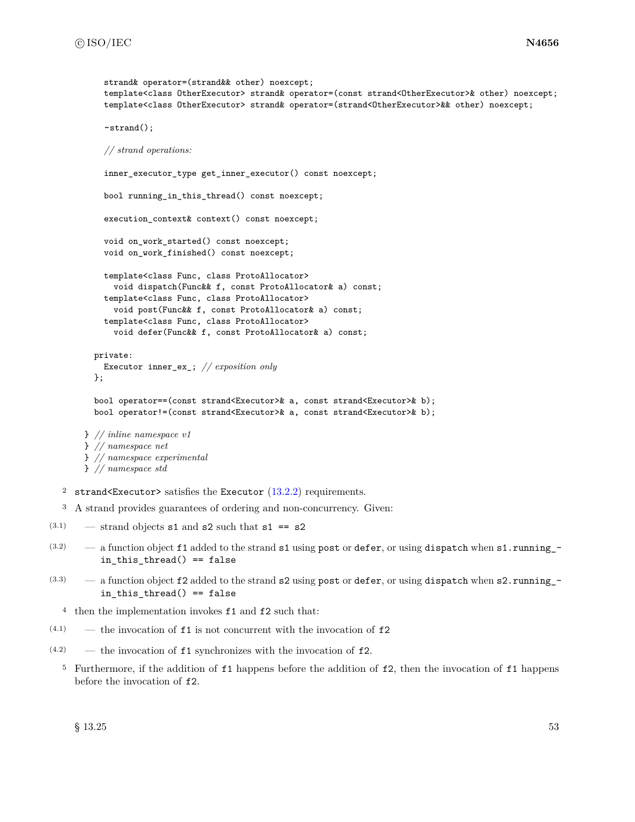```
strand& operator=(strand&& other) noexcept;
    template<class OtherExecutor> strand& operator=(const strand<OtherExecutor>& other) noexcept;
    template<class OtherExecutor> strand& operator=(strand<OtherExecutor>&& other) noexcept;
    ~strand();
    // strand operations:
    inner_executor_type get_inner_executor() const noexcept;
    bool running_in_this_thread() const noexcept;
    execution_context& context() const noexcept;
    void on_work_started() const noexcept;
    void on_work_finished() const noexcept;
    template<class Func, class ProtoAllocator>
      void dispatch(Func&& f, const ProtoAllocator& a) const;
    template<class Func, class ProtoAllocator>
      void post(Func&& f, const ProtoAllocator& a) const;
    template<class Func, class ProtoAllocator>
      void defer(Func&& f, const ProtoAllocator& a) const;
  private:
    Executor inner_ex_; // exposition only
  };
  bool operator==(const strand<Executor>& a, const strand<Executor>& b);
  bool operator!=(const strand<Executor>& a, const strand<Executor>& b);
} // inline namespace v1
} // namespace net
} // namespace experimental
} // namespace std
```
- 2 strand<Executor> satisfies the Executor  $(13.2.2)$  requirements.
- <sup>3</sup> A strand provides guarantees of ordering and non-concurrency. Given:
- $(3.1)$  strand objects s1 and s2 such that s1 == s2
- $(3.2)$  a function object f1 added to the strand s1 using post or defer, or using dispatch when s1.running\_in\_this\_thread() == false
- $(3.3)$  a function object f2 added to the strand s2 using post or defer, or using dispatch when s2.running\_in\_this\_thread() == false
	- <sup>4</sup> then the implementation invokes f1 and f2 such that:
- $(4.1)$  the invocation of **f1** is not concurrent with the invocation of **f2**
- $(4.2)$  the invocation of **f1** synchronizes with the invocation of **f2**.
	- <sup>5</sup> Furthermore, if the addition of f1 happens before the addition of f2, then the invocation of f1 happens before the invocation of f2.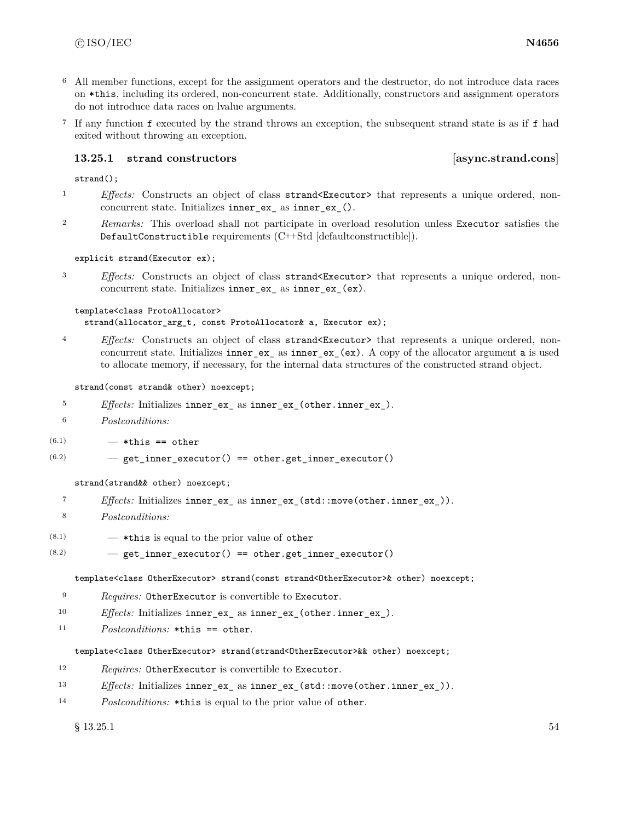- <sup>6</sup> All member functions, except for the assignment operators and the destructor, do not introduce data races on \*this, including its ordered, non-concurrent state. Additionally, constructors and assignment operators do not introduce data races on lvalue arguments.
- <sup>7</sup> If any function f executed by the strand throws an exception, the subsequent strand state is as if f had exited without throwing an exception.

### **13.25.1 strand constructors [async.strand.cons]**

strand();

- <sup>1</sup> *Effects:* Constructs an object of class strand<Executor> that represents a unique ordered, nonconcurrent state. Initializes inner\_ex\_ as inner\_ex\_().
- <sup>2</sup> *Remarks:* This overload shall not participate in overload resolution unless Executor satisfies the DefaultConstructible requirements (C++Std [defaultconstructible]).

### explicit strand(Executor ex);

<sup>3</sup> *Effects:* Constructs an object of class strand<Executor> that represents a unique ordered, nonconcurrent state. Initializes inner\_ex\_ as inner\_ex\_(ex).

### template<class ProtoAllocator>

strand(allocator\_arg\_t, const ProtoAllocator& a, Executor ex);

<sup>4</sup> *Effects:* Constructs an object of class strand<Executor> that represents a unique ordered, nonconcurrent state. Initializes inner\_ex\_ as inner\_ex\_(ex). A copy of the allocator argument a is used to allocate memory, if necessary, for the internal data structures of the constructed strand object.

### strand(const strand& other) noexcept;

- <sup>5</sup> *Effects:* Initializes inner\_ex\_ as inner\_ex\_(other.inner\_ex\_).
- <sup>6</sup> *Postconditions:*
- $(6.1)$   $-$  \*this == other
- $(6.2)$   $-$  get\_inner\_executor() == other.get\_inner\_executor()

### strand(strand&& other) noexcept;

- <sup>7</sup> *Effects:* Initializes inner\_ex\_ as inner\_ex\_(std::move(other.inner\_ex\_)).
- <sup>8</sup> *Postconditions:*
- $(8.1)$   $\qquad$   $\qquad$   $\qquad$   $\qquad$   $\qquad$   $\qquad$   $\qquad$   $\qquad$   $\qquad$   $\qquad$   $\qquad$   $\qquad$   $\qquad$   $\qquad$   $\qquad$   $\qquad$   $\qquad$   $\qquad$   $\qquad$   $\qquad$   $\qquad$   $\qquad$   $\qquad$   $\qquad$   $\qquad$   $\qquad$   $\qquad$   $\qquad$   $\qquad$   $\qquad$   $\qquad$   $\qquad$   $\qquad$   $\qquad$   $\qquad$   $\q$
- $(8.2)$   $-$  get\_inner\_executor() == other.get\_inner\_executor()

template<class OtherExecutor> strand(const strand<OtherExecutor>& other) noexcept;

- <sup>9</sup> *Requires:* OtherExecutor is convertible to Executor.
- <sup>10</sup> *Effects:* Initializes inner\_ex\_ as inner\_ex\_(other.inner\_ex\_).
- <sup>11</sup> *Postconditions:* \*this == other.

### template<class OtherExecutor> strand(strand<OtherExecutor>&& other) noexcept;

- <sup>12</sup> *Requires:* OtherExecutor is convertible to Executor.
- 13 *Effects:* Initializes inner\_ex\_ as inner\_ex\_(std::move(other.inner\_ex\_)).
- <sup>14</sup> *Postconditions:* \*this is equal to the prior value of other.

 $\S$  13.25.1 54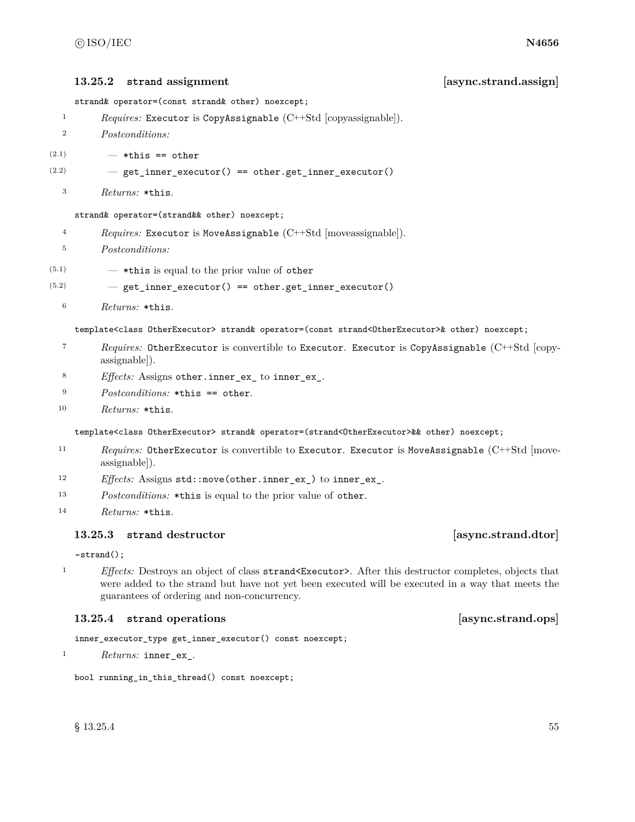# **13.25.2 strand assignment [async.strand.assign]**

strand& operator=(const strand& other) noexcept;

<sup>1</sup> *Requires:* Executor is CopyAssignable (C++Std [copyassignable]).

- <sup>2</sup> *Postconditions:*
- $(2.1)$   $-$  \*this == other
- $(2.2)$   $-$  get\_inner\_executor() == other.get\_inner\_executor()
	- <sup>3</sup> *Returns:* \*this.

### strand& operator=(strand&& other) noexcept;

- <sup>4</sup> *Requires:* Executor is MoveAssignable (C++Std [moveassignable]).
- <sup>5</sup> *Postconditions:*
- $(5.1)$   $-$  \*this is equal to the prior value of other
- $(5.2)$   $-$  get\_inner\_executor() == other.get\_inner\_executor()
	- <sup>6</sup> *Returns:* \*this.

template<class OtherExecutor> strand& operator=(const strand<OtherExecutor>& other) noexcept;

- <sup>7</sup> *Requires:* OtherExecutor is convertible to Executor. Executor is CopyAssignable (C++Std [copyassignable]).
- <sup>8</sup> *Effects:* Assigns other.inner\_ex\_ to inner\_ex\_.
- <sup>9</sup> *Postconditions:* \*this == other.
- <sup>10</sup> *Returns:* \*this.

template<class OtherExecutor> strand& operator=(strand<OtherExecutor>&& other) noexcept;

- 11 *Requires:* OtherExecutor is convertible to Executor. Executor is MoveAssignable (C++Std [moveassignable]).
- <sup>12</sup> *Effects:* Assigns std::move(other.inner\_ex\_) to inner\_ex\_.
- <sup>13</sup> *Postconditions:* \*this is equal to the prior value of other.
- <sup>14</sup> *Returns:* \*this.

### **13.25.3 strand destructor [async.strand.dtor]**

### ~strand();

<sup>1</sup> *Effects:* Destroys an object of class strand<Executor>. After this destructor completes, objects that were added to the strand but have not yet been executed will be executed in a way that meets the guarantees of ordering and non-concurrency.

# **13.25.4 strand operations [async.strand.ops]**

inner\_executor\_type get\_inner\_executor() const noexcept;

<sup>1</sup> *Returns:* inner\_ex\_.

bool running\_in\_this\_thread() const noexcept;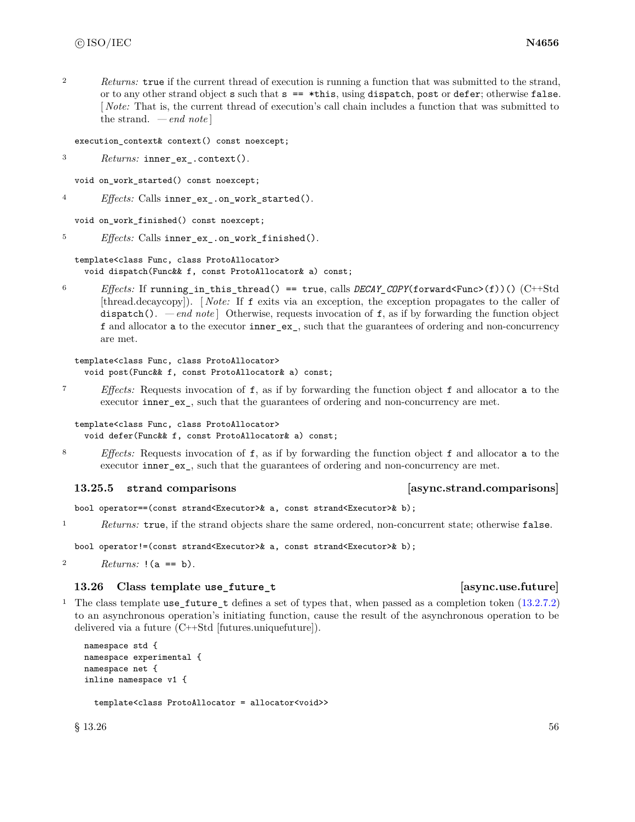<sup>2</sup> *Returns:* true if the current thread of execution is running a function that was submitted to the strand, or to any other strand object s such that s == \*this, using dispatch, post or defer; otherwise false. [ *Note:* That is, the current thread of execution's call chain includes a function that was submitted to the strand. *— end note* ]

execution\_context& context() const noexcept;

<sup>3</sup> *Returns:* inner\_ex\_.context().

void on\_work\_started() const noexcept;

<sup>4</sup> *Effects:* Calls inner\_ex\_.on\_work\_started().

void on\_work\_finished() const noexcept;

<sup>5</sup> *Effects:* Calls inner\_ex\_.on\_work\_finished().

```
template<class Func, class ProtoAllocator>
 void dispatch(Func&& f, const ProtoAllocator& a) const;
```
<sup>6</sup> *Effects:* If running\_in\_this\_thread() == true, calls *DECAY\_COPY*(forward<Func>(f))() (C++Std [thread.decaycopy]). [ *Note:* If f exits via an exception, the exception propagates to the caller of dispatch(). *— end note*  $\vert$  Otherwise, requests invocation of f, as if by forwarding the function object f and allocator a to the executor inner\_ex\_, such that the guarantees of ordering and non-concurrency are met.

```
template<class Func, class ProtoAllocator>
  void post(Func&& f, const ProtoAllocator& a) const;
```
<sup>7</sup> *Effects:* Requests invocation of f, as if by forwarding the function object f and allocator a to the executor inner ex. such that the guarantees of ordering and non-concurrency are met.

```
template<class Func, class ProtoAllocator>
  void defer(Func&& f, const ProtoAllocator& a) const;
```
<sup>8</sup> *Effects:* Requests invocation of f, as if by forwarding the function object f and allocator a to the executor inner\_ex\_, such that the guarantees of ordering and non-concurrency are met.

# **13.25.5 strand comparisons [async.strand.comparisons]**

bool operator==(const strand<Executor>& a, const strand<Executor>& b);

<sup>1</sup> *Returns:* true, if the strand objects share the same ordered, non-concurrent state; otherwise false.

bool operator!=(const strand<Executor>& a, const strand<Executor>& b);

```
2 Returns: !(a == b).
```
# **13.26 Class template use\_future\_t [async.use.future]**

<sup>1</sup> The class template use\_future\_t defines a set of types that, when passed as a completion token [\(13.2.7.2\)](#page-30-0) to an asynchronous operation's initiating function, cause the result of the asynchronous operation to be delivered via a future (C++Std [futures.uniquefuture]).

```
namespace std {
namespace experimental {
namespace net {
inline namespace v1 {
```
template<class ProtoAllocator = allocator<void>>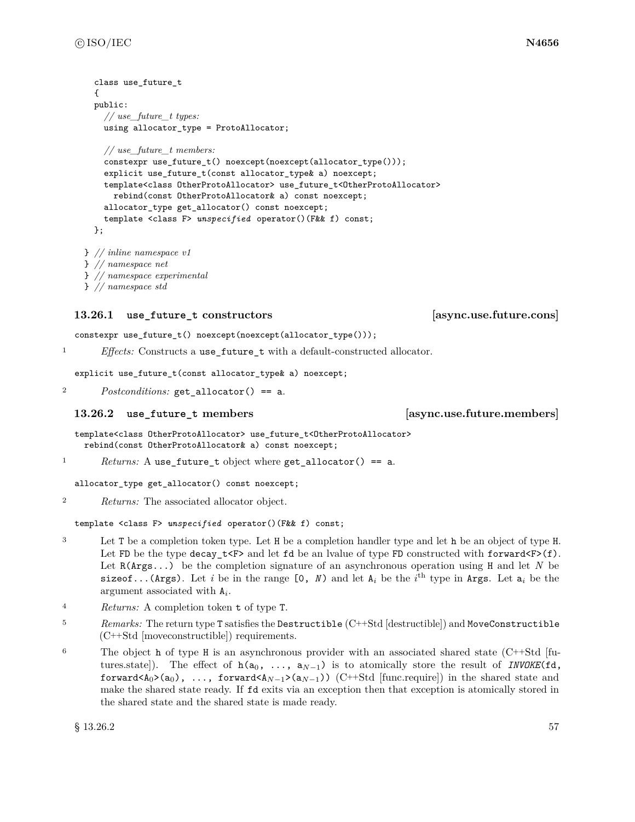```
class use future t
  {
  public:
    // use_future_t types:
    using allocator_type = ProtoAllocator;
    // use_future_t members:
    constexpr use_future_t() noexcept(noexcept(allocator_type()));
    explicit use_future_t(const allocator_type& a) noexcept;
    template<class OtherProtoAllocator> use_future_t<OtherProtoAllocator>
      rebind(const OtherProtoAllocator& a) const noexcept;
    allocator_type get_allocator() const noexcept;
    template <class F> unspecified operator()(F&& f) const;
  };
} // inline namespace v1
} // namespace net
```

```
} // namespace experimental
```

```
} // namespace std
```
# **13.26.1 use future t constructors [async.use.future.cons]**

constexpr use\_future\_t() noexcept(noexcept(allocator\_type()));

<sup>1</sup> *Effects:* Constructs a use\_future\_t with a default-constructed allocator.

explicit use\_future\_t(const allocator\_type& a) noexcept;

<sup>2</sup> *Postconditions:* get allocator() == a.

# **13.26.2 use\_future\_t members [async.use.future.members]**

template<class OtherProtoAllocator> use\_future\_t<OtherProtoAllocator> rebind(const OtherProtoAllocator& a) const noexcept;

<sup>1</sup> *Returns:* A use\_future\_t object where get\_allocator() == a.

allocator\_type get\_allocator() const noexcept;

<sup>2</sup> *Returns:* The associated allocator object.

template <class F> *unspecified* operator()(F&& f) const;

- <sup>3</sup> Let T be a completion token type. Let H be a completion handler type and let h be an object of type H. Let FD be the type decay\_t<F> and let fd be an lvalue of type FD constructed with forward  $(F)(f)$ . Let R(Args...) be the completion signature of an asynchronous operation using H and let *N* be sizeof...(Args). Let *i* be in the range  $[0, N)$  and let  $A_i$  be the *i*<sup>th</sup> type in Args. Let  $a_i$  be the argument associated with A*<sup>i</sup>* .
- <sup>4</sup> *Returns:* A completion token t of type T.
- <sup>5</sup> *Remarks:* The return type T satisfies the Destructible (C++Std [destructible]) and MoveConstructible (C++Std [moveconstructible]) requirements.
- <sup>6</sup> The object h of type H is an asynchronous provider with an associated shared state (C++Std [futures.state). The effect of  $h(a_0, \ldots, a_{N-1})$  is to atomically store the result of *INVOKE*(fd, forward<A0>(a0), ..., forward<A*N*−1>(a*N*−1)) (C++Std [func.require]) in the shared state and make the shared state ready. If fd exits via an exception then that exception is atomically stored in the shared state and the shared state is made ready.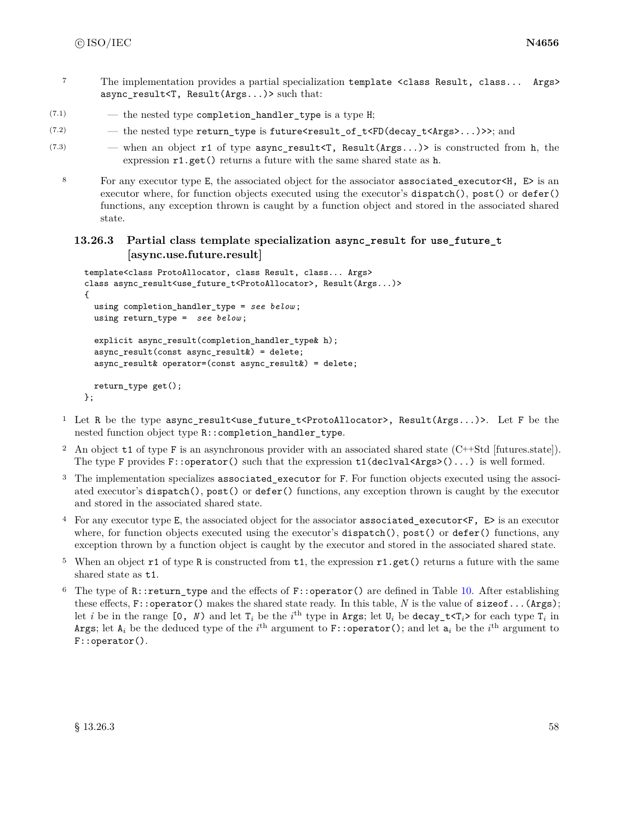- <sup>7</sup> The implementation provides a partial specialization template <class Result, class... Args> async\_result<T, Result(Args...)> such that:
- $(7.1)$   $-$  the nested type completion\_handler\_type is a type H;
- $(7.2)$  the nested type return\_type is future<result\_of\_t<FD(decay\_t<Args>...)>>; and

```
(7.3) — when an object r1 of type async_result<T, Result(Args...)> is constructed from h, the
              expression r1.get() returns a future with the same shared state as h.
```
8 For any executor type E, the associated object for the associator associated\_executor<H, E> is an executor where, for function objects executed using the executor's dispatch(), post() or defer() functions, any exception thrown is caught by a function object and stored in the associated shared state.

# **13.26.3 Partial class template specialization async\_result for use\_future\_t [async.use.future.result]**

```
template<class ProtoAllocator, class Result, class... Args>
class async_result<use_future_t<ProtoAllocator>, Result(Args...)>
{
  using completion_handler_type = see below ;
  using return_type = see below ;
  explicit async_result(completion_handler_type& h);
  async_result(const async_result&) = delete;
  async_result& operator=(const async_result&) = delete;
  return_type get();
};
```
- <sup>1</sup> Let R be the type async\_result<use\_future\_t<ProtoAllocator>, Result(Args...)>. Let F be the nested function object type R::completion\_handler\_type.
- <sup>2</sup> An object t1 of type F is an asynchronous provider with an associated shared state (C++Std [futures.state]). The type F provides F::operator() such that the expression  $t1(detval(...))$  is well formed.
- <sup>3</sup> The implementation specializes associated\_executor for F. For function objects executed using the associated executor's dispatch(), post() or defer() functions, any exception thrown is caught by the executor and stored in the associated shared state.
- <sup>4</sup> For any executor type E, the associated object for the associator associated\_executor<F, E> is an executor where, for function objects executed using the executor's dispatch(), post() or defer() functions, any exception thrown by a function object is caught by the executor and stored in the associated shared state.
- <sup>5</sup> When an object  $\texttt{r1}$  of type R is constructed from  $\texttt{t1}$ , the expression  $\texttt{r1.get}()$  returns a future with the same shared state as t1.
- <sup>6</sup> The type of  $\mathbb{R}$ : return\_type and the effects of  $\mathbb{F}$ : operator() are defined in Table [10.](#page-65-0) After establishing these effects, F::operator() makes the shared state ready. In this table, *N* is the value of sizeof...(Args); let *i* be in the range  $[0, N)$  and let  $T_i$  be the *i*<sup>th</sup> type in Args; let  $U_i$  be decay\_t<T<sub>*i*</sub>> for each type  $T_i$  in Args; let  $A_i$  be the deduced type of the  $i^{\text{th}}$  argument to F::**operator()**; and let  $\mathsf{a}_i$  be the  $i^{\text{th}}$  argument to F::operator().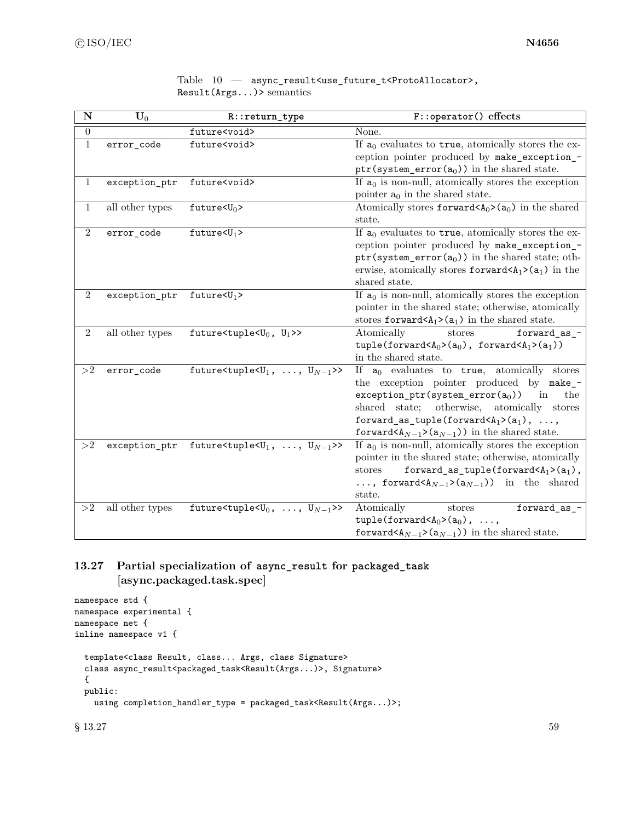<span id="page-65-0"></span>

| $\overline{\bf N}$ | $\mathbf{\bar{U}}_0$ | R::return_type                                                  | F::operator() effects                                                                                                                                                                                                                                                                                                                                                                   |
|--------------------|----------------------|-----------------------------------------------------------------|-----------------------------------------------------------------------------------------------------------------------------------------------------------------------------------------------------------------------------------------------------------------------------------------------------------------------------------------------------------------------------------------|
| $\overline{0}$     |                      | future <void></void>                                            | None.                                                                                                                                                                                                                                                                                                                                                                                   |
| $\mathbf{1}$       | error_code           | future <void></void>                                            | If $a_0$ evaluates to true, atomically stores the ex-<br>ception pointer produced by make_exception_-<br>$\mathtt{ptr}(\mathtt{system\_error(a_0)})$ in the shared state.                                                                                                                                                                                                               |
| 1                  | exception_ptr        | future <void></void>                                            | If $a_0$ is non-null, atomically stores the exception<br>pointer $a_0$ in the shared state.                                                                                                                                                                                                                                                                                             |
| 1                  | all other types      | future $< U_0$                                                  | Atomically stores forward $(A_0)$ ( $a_0$ ) in the shared<br>state.                                                                                                                                                                                                                                                                                                                     |
| $\overline{2}$     | error_code           | $future U_1$                                                    | If $a_0$ evaluates to true, atomically stores the ex-<br>ception pointer produced by make_exception_-<br>ptr(system_error( $a_0$ )) in the shared state; oth-<br>erwise, atomically stores forward $(A_1>(a_1))$ in the<br>shared state.                                                                                                                                                |
| $\overline{2}$     | exception_ptr        | future $\langle U_1 \rangle$                                    | If $a_0$ is non-null, atomically stores the exception<br>pointer in the shared state; otherwise, atomically<br>stores forward $(A_1)$ (a <sub>1</sub> ) in the shared state.                                                                                                                                                                                                            |
| $\overline{2}$     | all other types      | future <tuple<<math>U_0, <math>U_1</math>&gt;&gt;</tuple<<math> | Atomically<br>stores<br>forward_as_-<br>tuple(forward <a<sub>0&gt;(a<sub>0</sub>), forward<a<sub>1&gt;(a<sub>1</sub>))<br/>in the shared state.</a<sub></a<sub>                                                                                                                                                                                                                         |
| >2                 | error_code           | future<br>tuple<br>$\{U_1, \ldots, U_{N-1}\}$ >>                | If $a_0$ evaluates to true, atomically stores<br>the exception pointer produced by make_-<br>$exception\_ptr(system\_error(a_0))$<br>the<br>in<br>otherwise, atomically stores<br>shared state;<br>forward_as_tuple(forward <a<sub>1&gt;(a<sub>1</sub>), ,<br/><math display="inline">\texttt{forward}&lt;\texttt{A}_{N-1}{&gt;}(\mathtt{a}_{N-1}))</math> in the shared state.</a<sub> |
| >2                 | exception_ptr        | future<br>tuple<br>$\langle U_1, \ldots, U_{N-1} \rangle$ >>    | If $a_0$ is non-null, atomically stores the exception<br>pointer in the shared state; otherwise, atomically<br>forward_as_tuple(forward $\langle A_1 \rangle$ (a <sub>1</sub> ),<br>stores<br>, forward $(A_{N-1}>(a_{N-1}))$ in the shared<br>state.                                                                                                                                   |
| >2                 | all other types      | future<br>stuple<br>s<br>U <sub>0</sub> , , $U_{N-1}$ >>        | Atomically<br>forward_as_-<br>stores<br>tuple(forward <a<sub>0&gt;(a<sub>0</sub>), ,<br/>forward<br/><br/>A_/&gt;(a_/-1)) in the shared state.</a<sub>                                                                                                                                                                                                                                  |

|                          | Table $10 -$ async_result <use_future_t<protoallocator>,</use_future_t<protoallocator> |
|--------------------------|----------------------------------------------------------------------------------------|
| $Result(Args)$ semantics |                                                                                        |

# **13.27 Partial specialization of async\_result for packaged\_task [async.packaged.task.spec]**

```
namespace std {
namespace experimental {
namespace net {
inline namespace v1 {
 template<class Result, class... Args, class Signature>
 class async_result<packaged_task<Result(Args...)>, Signature>
  {
 public:
    using completion_handler_type = packaged_task<Result(Args...)>;
```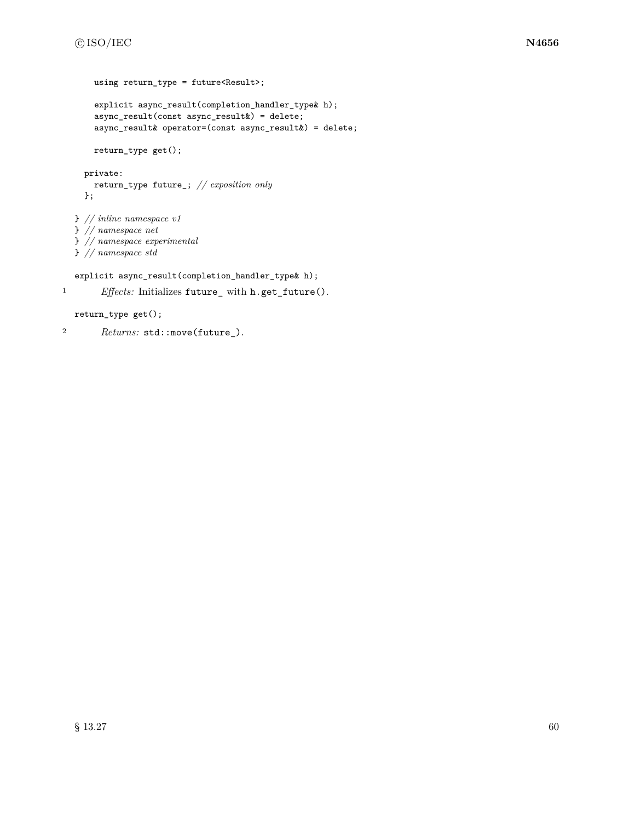```
using return_type = future<Result>;
    explicit async_result(completion_handler_type& h);
    async_result(const async_result&) = delete;
    async_result& operator=(const async_result&) = delete;
    return_type get();
 private:
    return_type future_; // exposition only
 };
} // inline namespace v1
} // namespace net
} // namespace experimental
} // namespace std
explicit async_result(completion_handler_type& h);
```

```
1 Effects: Initializes future_ with h.get_future().
```

```
return_type get();
```

```
2 Returns: std::move(future_).
```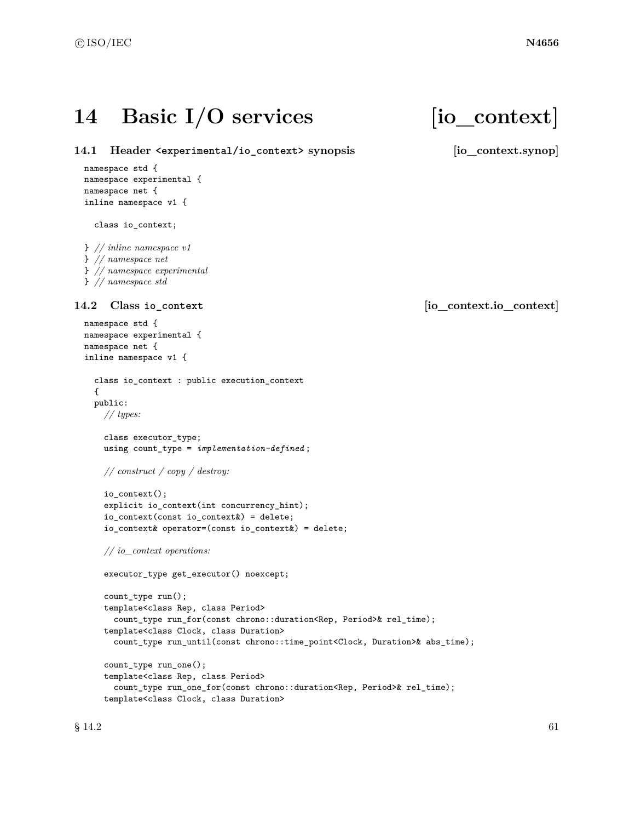# 14 Basic I/O services [io\_context]

**14.1 Header <experimental/io\_context> synopsis [io\_context.synop]** namespace std { namespace experimental { namespace net {

class io\_context; } *// inline namespace v1*

inline namespace v1 {

} *// namespace net* } *// namespace experimental*

```
} // namespace std
```

```
namespace std {
namespace experimental {
namespace net {
inline namespace v1 {
  class io_context : public execution_context
  {
  public:
    // types:
    class executor_type;
    using count_type = implementation-defined ;
    // construct / copy / destroy:
    io_context();
    explicit io_context(int concurrency_hint);
    io_context(const io_context&) = delete;
    io_context& operator=(const io_context&) = delete;
    // io_context operations:
    executor_type get_executor() noexcept;
    count_type run();
    template<class Rep, class Period>
      count_type run_for(const chrono::duration<Rep, Period>& rel_time);
    template<class Clock, class Duration>
      count_type run_until(const chrono::time_point<Clock, Duration>& abs_time);
    count_type run_one();
    template<class Rep, class Period>
      count_type run_one_for(const chrono::duration<Rep, Period>& rel_time);
    template<class Clock, class Duration>
```
# **14.2 Class io\_context [io\_context.io\_context]**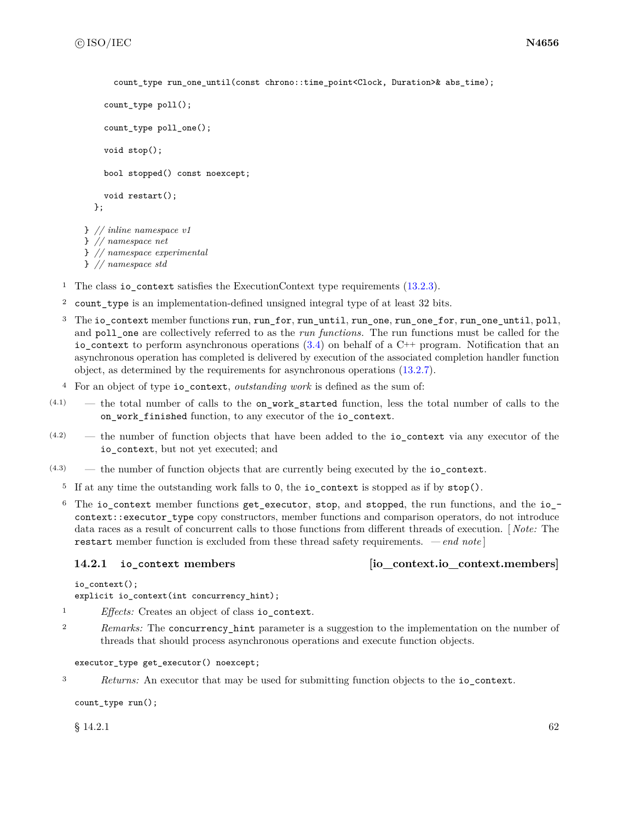```
count type run one until(const chrono::time point<Clock, Duration>& abs time);
    count_type poll();
    count_type poll_one();
    void stop();
    bool stopped() const noexcept;
    void restart();
  };
} // inline namespace v1
} // namespace net
} // namespace experimental
} // namespace std
```
<sup>1</sup> The class io\_context satisfies the ExecutionContext type requirements [\(13.2.3\)](#page-28-1).

- <sup>2</sup> count\_type is an implementation-defined unsigned integral type of at least 32 bits.
- <sup>3</sup> The io\_context member functions run, run\_for, run\_until, run\_one, run\_one\_for, run\_one\_until, poll, and poll\_one are collectively referred to as the *run functions*. The run functions must be called for the io\_context to perform asynchronous operations  $(3.4)$  on behalf of a C++ program. Notification that an asynchronous operation has completed is delivered by execution of the associated completion handler function object, as determined by the requirements for asynchronous operations [\(13.2.7\)](#page-29-0).
- <sup>4</sup> For an object of type io\_context, *outstanding work* is defined as the sum of:
- $(4.1)$  the total number of calls to the on\_work\_started function, less the total number of calls to the on\_work\_finished function, to any executor of the io\_context.
- (4.2) the number of function objects that have been added to the io\_context via any executor of the io\_context, but not yet executed; and
- $(4.3)$  the number of function objects that are currently being executed by the io context.
	- <sup>5</sup> If at any time the outstanding work falls to 0, the io\_context is stopped as if by stop().
	- <sup>6</sup> The io\_context member functions get\_executor, stop, and stopped, the run functions, and the io\_ context::executor\_type copy constructors, member functions and comparison operators, do not introduce data races as a result of concurrent calls to those functions from different threads of execution. [ *Note:* The restart member function is excluded from these thread safety requirements. *— end note* ]

# **14.2.1 io\_context members [io\_context.io\_context.members]**

```
io_context();
```

```
explicit io_context(int concurrency_hint);
```
- <sup>1</sup> *Effects:* Creates an object of class io\_context.
- <sup>2</sup> *Remarks:* The concurrency\_hint parameter is a suggestion to the implementation on the number of threads that should process asynchronous operations and execute function objects.

# executor\_type get\_executor() noexcept;

<sup>3</sup> *Returns:* An executor that may be used for submitting function objects to the io\_context.

```
count_type run();
```
 $\S$  14.2.1 62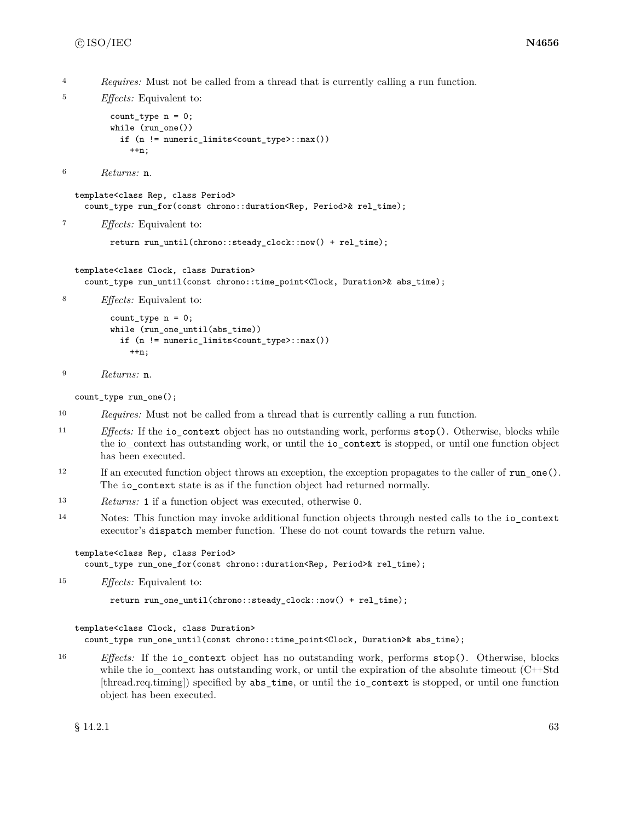<sup>4</sup> *Requires:* Must not be called from a thread that is currently calling a run function.

```
5 Effects: Equivalent to:
         count_type n = 0;
         while (run_one())
           if (n != numeric_limits<count_type>::max())
             ++n;
```

```
6 Returns: n.
```
template<class Rep, class Period> count\_type run\_for(const chrono::duration<Rep, Period>& rel\_time);

<sup>7</sup> *Effects:* Equivalent to:

```
return run_until(chrono::steady_clock::now() + rel_time);
```

```
template<class Clock, class Duration>
  count_type run_until(const chrono::time_point<Clock, Duration>& abs_time);
```
<sup>8</sup> *Effects:* Equivalent to:

```
count_type n = 0;
while (run_one_until(abs_time))
 if (n != numeric_limits<count_type>::max())
    ++n;
```

```
9 Returns: n.
```
count\_type run\_one();

- <sup>10</sup> *Requires:* Must not be called from a thread that is currently calling a run function.
- <sup>11</sup> *Effects:* If the io\_context object has no outstanding work, performs stop(). Otherwise, blocks while the io\_context has outstanding work, or until the io\_context is stopped, or until one function object has been executed.
- <sup>12</sup> If an executed function object throws an exception, the exception propagates to the caller of run\_one(). The io\_context state is as if the function object had returned normally.
- <sup>13</sup> *Returns:* 1 if a function object was executed, otherwise 0.
- <sup>14</sup> Notes: This function may invoke additional function objects through nested calls to the io\_context executor's dispatch member function. These do not count towards the return value.

template<class Rep, class Period>

count\_type run\_one\_for(const chrono::duration<Rep, Period>& rel\_time);

<sup>15</sup> *Effects:* Equivalent to:

```
return run_one_until(chrono::steady_clock::now() + rel_time);
```
### template<class Clock, class Duration>

count\_type run\_one\_until(const chrono::time\_point<Clock, Duration>& abs\_time);

<sup>16</sup> *Effects:* If the io\_context object has no outstanding work, performs stop(). Otherwise, blocks while the io\_context has outstanding work, or until the expiration of the absolute timeout (C++Std [thread.req.timing]) specified by abs\_time, or until the io\_context is stopped, or until one function object has been executed.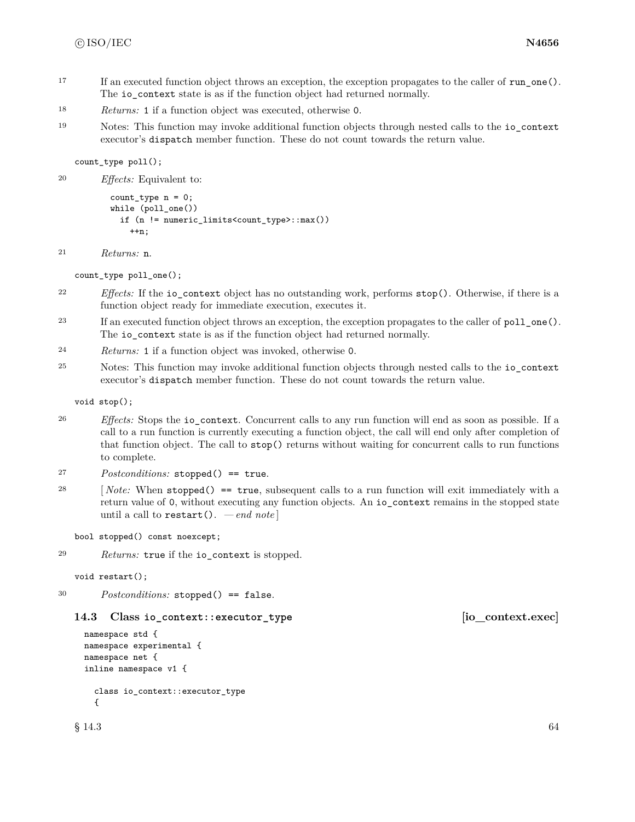- <sup>17</sup> If an executed function object throws an exception, the exception propagates to the caller of run one(). The io\_context state is as if the function object had returned normally.
- <sup>18</sup> *Returns:* 1 if a function object was executed, otherwise 0.
- <sup>19</sup> Notes: This function may invoke additional function objects through nested calls to the io\_context executor's dispatch member function. These do not count towards the return value.

count\_type poll();

```
20 Effects: Equivalent to:
```

```
count_type n = 0;
while (poll_one())
  if (n != numeric_limits<count_type>::max())
    ++n;
```

```
21 Returns: n.
```
count\_type poll\_one();

- <sup>22</sup> *Effects:* If the io\_context object has no outstanding work, performs stop(). Otherwise, if there is a function object ready for immediate execution, executes it.
- <sup>23</sup> If an executed function object throws an exception, the exception propagates to the caller of poll\_one(). The io\_context state is as if the function object had returned normally.
- <sup>24</sup> *Returns:* 1 if a function object was invoked, otherwise 0.
- <sup>25</sup> Notes: This function may invoke additional function objects through nested calls to the io\_context executor's dispatch member function. These do not count towards the return value.

void stop();

- <sup>26</sup> *Effects:* Stops the io\_context. Concurrent calls to any run function will end as soon as possible. If a call to a run function is currently executing a function object, the call will end only after completion of that function object. The call to stop() returns without waiting for concurrent calls to run functions to complete.
- <sup>27</sup> *Postconditions:* stopped() == true.
- <sup>28</sup> [ *Note:* When stopped() == true, subsequent calls to a run function will exit immediately with a return value of 0, without executing any function objects. An io\_context remains in the stopped state until a call to restart(). *— end note* ]

```
bool stopped() const noexcept;
```
<sup>29</sup> *Returns:* true if the io\_context is stopped.

```
void restart();
```
<sup>30</sup> *Postconditions:* stopped() == false.

```
14.3 Class io_context::executor_type [io_context.exec]
```

```
namespace std {
namespace experimental {
namespace net {
inline namespace v1 {
  class io_context::executor_type
  {
```
 $\S$  14.3 64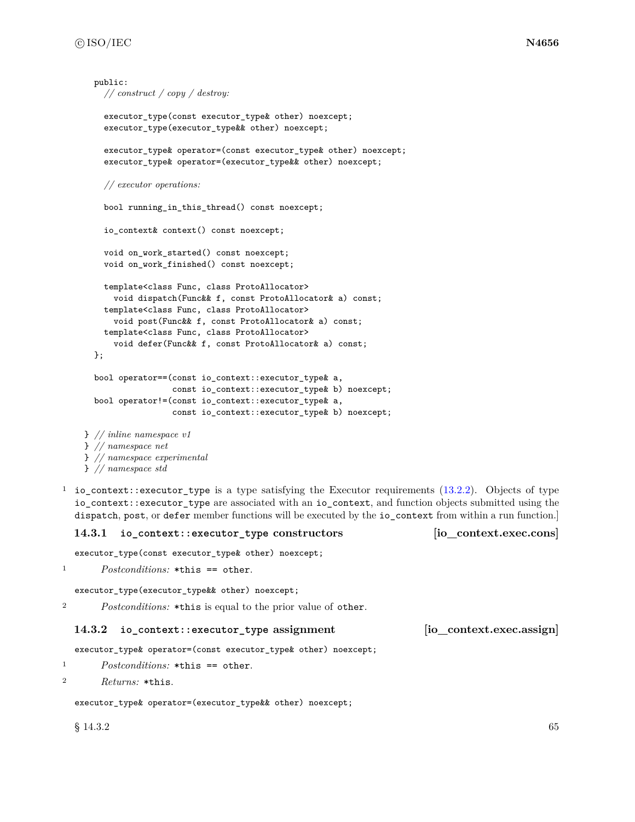```
public:
    // construct / copy / destroy:
    executor_type(const executor_type& other) noexcept;
    executor_type(executor_type&& other) noexcept;
    executor_type& operator=(const executor_type& other) noexcept;
    executor_type& operator=(executor_type&& other) noexcept;
    // executor operations:
    bool running_in_this_thread() const noexcept;
    io_context& context() const noexcept;
    void on_work_started() const noexcept;
    void on_work_finished() const noexcept;
    template<class Func, class ProtoAllocator>
      void dispatch(Func&& f, const ProtoAllocator& a) const;
    template<class Func, class ProtoAllocator>
      void post(Func&& f, const ProtoAllocator& a) const;
    template<class Func, class ProtoAllocator>
      void defer(Func&& f, const ProtoAllocator& a) const;
  };
  bool operator==(const io_context::executor_type& a,
                  const io_context::executor_type& b) noexcept;
  bool operator!=(const io_context::executor_type& a,
                  const io_context::executor_type& b) noexcept;
} // inline namespace v1
} // namespace net
} // namespace experimental
} // namespace std
```
<sup>1</sup> io\_context::executor\_type is a type satisfying the Executor requirements [\(13.2.2\)](#page-25-0). Objects of type io\_context::executor\_type are associated with an io\_context, and function objects submitted using the dispatch, post, or defer member functions will be executed by the io\_context from within a run function.]

### **14.3.1 io\_context::executor\_type constructors [io\_context.exec.cons]**

executor\_type(const executor\_type& other) noexcept;

```
1 Postconditions: *this == other.
```
executor\_type(executor\_type&& other) noexcept;

<sup>2</sup> *Postconditions:* \*this is equal to the prior value of other.

### **14.3.2 io\_context::executor\_type assignment [io\_context.exec.assign]**

executor\_type& operator=(const executor\_type& other) noexcept;

```
1 Postconditions: *this == other.
```

```
2 Returns: *this.
```
executor\_type& operator=(executor\_type&& other) noexcept;

 $\S$  14.3.2 65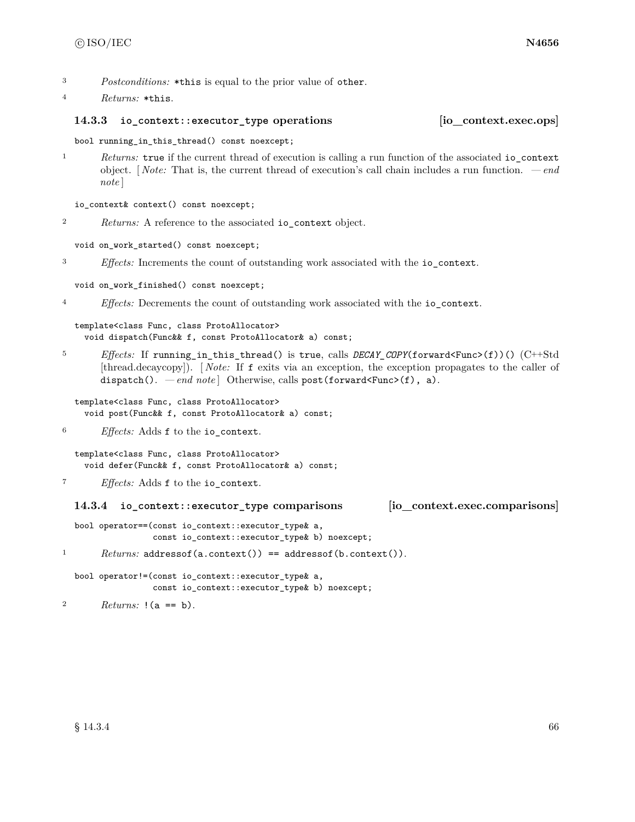- <sup>3</sup> *Postconditions:* \*this is equal to the prior value of other.
- <sup>4</sup> *Returns:* \*this.

#### **14.3.3 io\_context::executor\_type operations [io\_context.exec.ops]**

bool running\_in\_this\_thread() const noexcept;

<sup>1</sup> *Returns:* true if the current thread of execution is calling a run function of the associated io\_context object. [ *Note:* That is, the current thread of execution's call chain includes a run function. *— end note* ]

io\_context& context() const noexcept;

<sup>2</sup> *Returns:* A reference to the associated io\_context object.

void on\_work\_started() const noexcept;

<sup>3</sup> *Effects:* Increments the count of outstanding work associated with the io\_context.

void on\_work\_finished() const noexcept;

<sup>4</sup> *Effects:* Decrements the count of outstanding work associated with the io\_context.

```
template<class Func, class ProtoAllocator>
  void dispatch(Func&& f, const ProtoAllocator& a) const;
```
<sup>5</sup> *Effects:* If running\_in\_this\_thread() is true, calls *DECAY\_COPY*(forward<Func>(f))() (C++Std [thread.decaycopy]). [ *Note:* If f exits via an exception, the exception propagates to the caller of dispatch(). *— end note* | Otherwise, calls post(forward<Func>(f), a).

template<class Func, class ProtoAllocator> void post(Func&& f, const ProtoAllocator& a) const;

<sup>6</sup> *Effects:* Adds f to the io\_context.

template<class Func, class ProtoAllocator> void defer(Func&& f, const ProtoAllocator& a) const;

<sup>7</sup> *Effects:* Adds f to the io\_context.

### **14.3.4 io\_context::executor\_type comparisons [io\_context.exec.comparisons]**

bool operator==(const io\_context::executor\_type& a, const io\_context::executor\_type& b) noexcept;

<sup>1</sup> *Returns:* addressof(a.context()) == addressof(b.context()).

bool operator!=(const io\_context::executor\_type& a, const io\_context::executor\_type& b) noexcept;

2  $Returns: !(a == b).$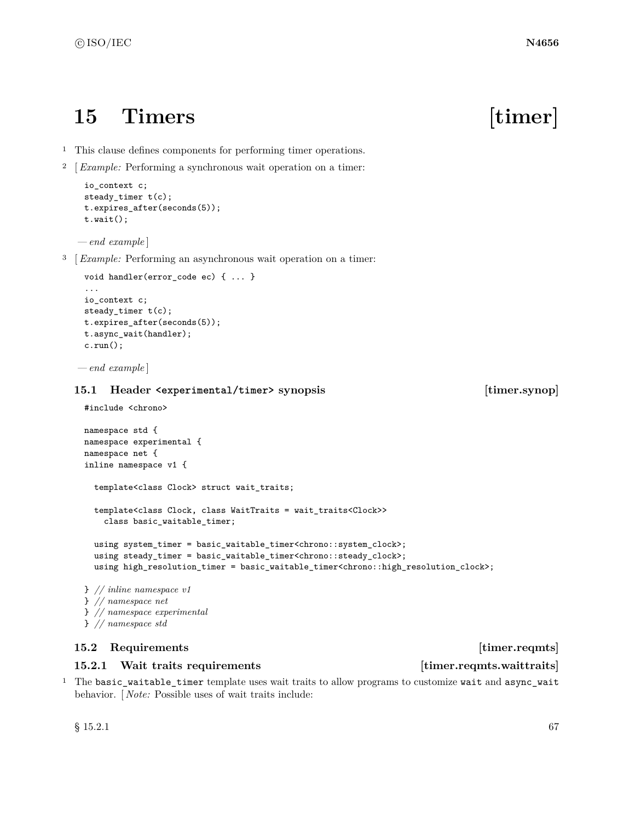# **15 Timers [timer]**

- <sup>1</sup> This clause defines components for performing timer operations.
- <sup>2</sup> [*Example:* Performing a synchronous wait operation on a timer:

```
io_context c;
steady_timer t(c);
t.expires_after(seconds(5));
t.wait();
```
*— end example* ]

<sup>3</sup> [*Example:* Performing an asynchronous wait operation on a timer:

```
void handler(error code ec) { ... }
...
io_context c;
steady_timer t(c);
t.expires_after(seconds(5));
t.async_wait(handler);
c.run();
```
*— end example* ]

### **15.1 Header <experimental/timer> synopsis [timer.synop]**

```
#include <chrono>
```

```
namespace std {
namespace experimental {
namespace net {
inline namespace v1 {
  template<class Clock> struct wait_traits;
  template<class Clock, class WaitTraits = wait_traits<Clock>>
    class basic_waitable_timer;
  using system_timer = basic_waitable_timer<chrono::system_clock>;
  using steady_timer = basic_waitable_timer<chrono::steady_clock>;
  using high_resolution_timer = basic_waitable_timer<chrono::high_resolution_clock>;
} // inline namespace v1
} // namespace net
```
- } *// namespace experimental*
- 

# } *// namespace std*

# **15.2 Requirements** [timer.reqmts]

### <span id="page-73-0"></span>**15.2.1** Wait traits requirements **interest in the interval value of the interval value of the interval value of the interval value of the interval value of the interval value of the interval value of the interval value of**

<sup>1</sup> The basic\_waitable\_timer template uses wait traits to allow programs to customize wait and async\_wait behavior. [ *Note:* Possible uses of wait traits include: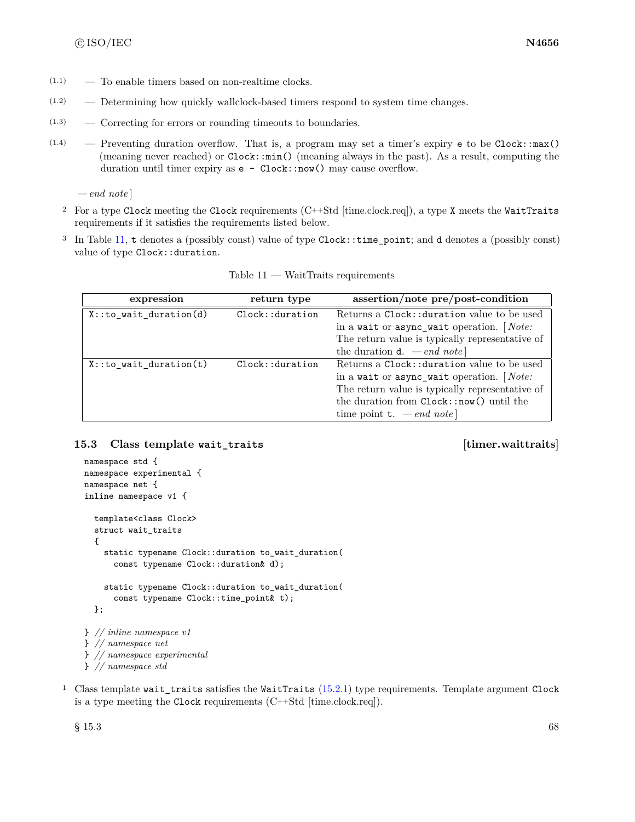- $(1.1)$  To enable timers based on non-realtime clocks.
- (1.2) Determining how quickly wallclock-based timers respond to system time changes.
- (1.3) Correcting for errors or rounding timeouts to boundaries.
- $(1.4)$  Preventing duration overflow. That is, a program may set a timer's expiry e to be Clock::max() (meaning never reached) or Clock::min() (meaning always in the past). As a result, computing the duration until timer expiry as  $e - \text{Clock}: \text{now}()$  may cause overflow.

*— end note* ]

- <sup>2</sup> For a type Clock meeting the Clock requirements (C++Std [time.clock.req]), a type X meets the WaitTraits requirements if it satisfies the requirements listed below.
- <sup>3</sup> In Table [11,](#page-74-0) t denotes a (possibly const) value of type Clock::time\_point; and d denotes a (possibly const) value of type Clock: : duration.

<span id="page-74-0"></span>

| expression                 | return type    | assertion/note pre/post-condition               |
|----------------------------|----------------|-------------------------------------------------|
| $X:$ : to_wait_duration(d) | Clock:duration | Returns a Clock:: duration value to be used     |
|                            |                | in a wait or async_wait operation. $[Note:$     |
|                            |                | The return value is typically representative of |
|                            |                | the duration <b>d</b> . $\,- end \; note$       |
| $X:$ : to wait duration(t) | Clock:duration | Returns a Clock:: duration value to be used     |
|                            |                | in a wait or async_wait operation. $[Note:$     |
|                            |                | The return value is typically representative of |
|                            |                | the duration from Clock::now() until the        |
|                            |                | time point <b>t</b> . $-\text{end note}$        |

 $Table 11 - WaitTraits requirements$ 

#### **15.3 Class template wait\_traits [timer.waittraits]**

```
namespace std {
namespace experimental {
namespace net {
inline namespace v1 {
  template<class Clock>
 struct wait_traits
  {
    static typename Clock::duration to_wait_duration(
      const typename Clock::duration& d);
    static typename Clock::duration to_wait_duration(
      const typename Clock::time_point& t);
  };
} // inline namespace v1
} // namespace net
} // namespace experimental
} // namespace std
```
<sup>1</sup> Class template wait\_traits satisfies the WaitTraits [\(15.2.1\)](#page-73-0) type requirements. Template argument Clock is a type meeting the Clock requirements (C++Std [time.clock.req]).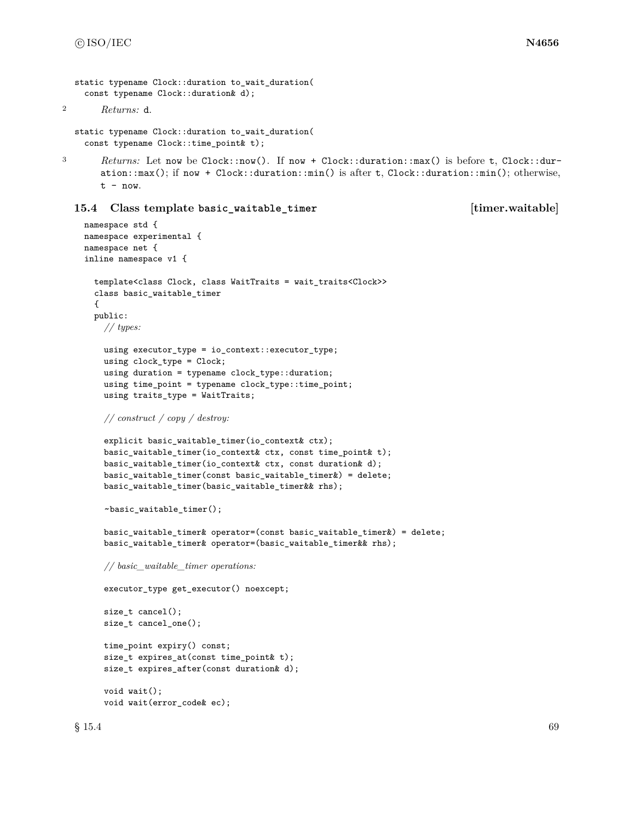```
static typename Clock::duration to wait duration(
 const typename Clock::duration& d);
```

```
2 Returns: d.
```

```
static typename Clock::duration to_wait_duration(
 const typename Clock::time_point& t);
```
3 *Returns:* Let now be Clock::now(). If now + Clock::duration::max() is before t, Clock::duration::max(); if now + Clock::duration::min() is after t, Clock::duration::min(); otherwise,  $t - now.$ 

#### **15.4 Class template basic\_waitable\_timer [timer.waitable]**

```
namespace std {
namespace experimental {
namespace net {
inline namespace v1 {
  template<class Clock, class WaitTraits = wait_traits<Clock>>
  class basic_waitable_timer
  {
  public:
    // types:
    using executor_type = io_context::executor_type;
    using clock_type = Clock;
    using duration = typename clock_type::duration;
    using time_point = typename clock_type::time_point;
    using traits_type = WaitTraits;
    // construct / copy / destroy:
    explicit basic_waitable_timer(io_context& ctx);
    basic_waitable_timer(io_context& ctx, const time_point& t);
    basic_waitable_timer(io_context& ctx, const duration& d);
    basic_waitable_timer(const basic_waitable_timer&) = delete;
    basic_waitable_timer(basic_waitable_timer&& rhs);
    ~basic_waitable_timer();
    basic_waitable_timer& operator=(const basic_waitable_timer&) = delete;
    basic_waitable_timer& operator=(basic_waitable_timer&& rhs);
    // basic_waitable_timer operations:
    executor_type get_executor() noexcept;
    size_t cancel();
    size_t cancel_one();
    time_point expiry() const;
    size_t expires_at(const time_point& t);
    size_t expires_after(const duration& d);
    void wait();
    void wait(error_code& ec);
```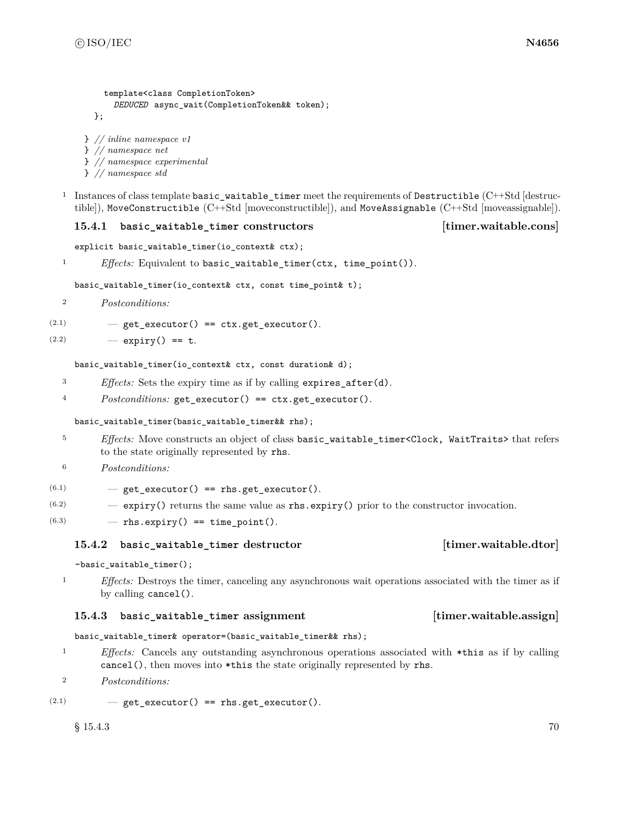```
template<class CompletionToken>
    DEDUCED async_wait(CompletionToken&& token);
};
```
} *// inline namespace v1*

```
} // namespace net
} // namespace experimental
```
} *// namespace std*

<sup>1</sup> Instances of class template basic\_waitable\_timer meet the requirements of Destructible (C++Std [destructible]), MoveConstructible (C++Std [moveconstructible]), and MoveAssignable (C++Std [moveassignable]).

### **15.4.1 basic\_waitable\_timer constructors [timer.waitable.cons]**

```
explicit basic_waitable_timer(io_context& ctx);
```

```
1 Effects: Equivalent to basic_waitable_timer(ctx, time_point()).
```
basic\_waitable\_timer(io\_context& ctx, const time\_point& t);

<sup>2</sup> *Postconditions:*

```
(2.1) - get_executor() == ctx.get_executor().
```
 $(2.2)$   $-$  expiry() == t.

basic\_waitable\_timer(io\_context& ctx, const duration& d);

- <sup>3</sup> *Effects:* Sets the expiry time as if by calling expires\_after(d).
- <sup>4</sup> *Postconditions:* get\_executor() == ctx.get\_executor().

#### basic\_waitable\_timer(basic\_waitable\_timer&& rhs);

- <sup>5</sup> *Effects:* Move constructs an object of class basic\_waitable\_timer<Clock, WaitTraits> that refers to the state originally represented by rhs.
- <sup>6</sup> *Postconditions:*
- $(6.1)$   $-$  get\_executor() == rhs.get\_executor().
- $(6.2)$  expiry() returns the same value as rhs.expiry() prior to the constructor invocation.
- $(6.3)$   $-$  rhs.expiry() == time\_point().

# **15.4.2 basic\_waitable\_timer destructor [timer.waitable.dtor]**

#### ~basic\_waitable\_timer();

<sup>1</sup> *Effects:* Destroys the timer, canceling any asynchronous wait operations associated with the timer as if by calling cancel().

# **15.4.3 basic\_waitable\_timer assignment [timer.waitable.assign]**

```
basic_waitable_timer& operator=(basic_waitable_timer&& rhs);
```
<sup>1</sup> *Effects:* Cancels any outstanding asynchronous operations associated with \*this as if by calling cancel(), then moves into \*this the state originally represented by rhs.

<sup>2</sup> *Postconditions:*

```
(2.1) - get_executor() == rhs.get_executor().
```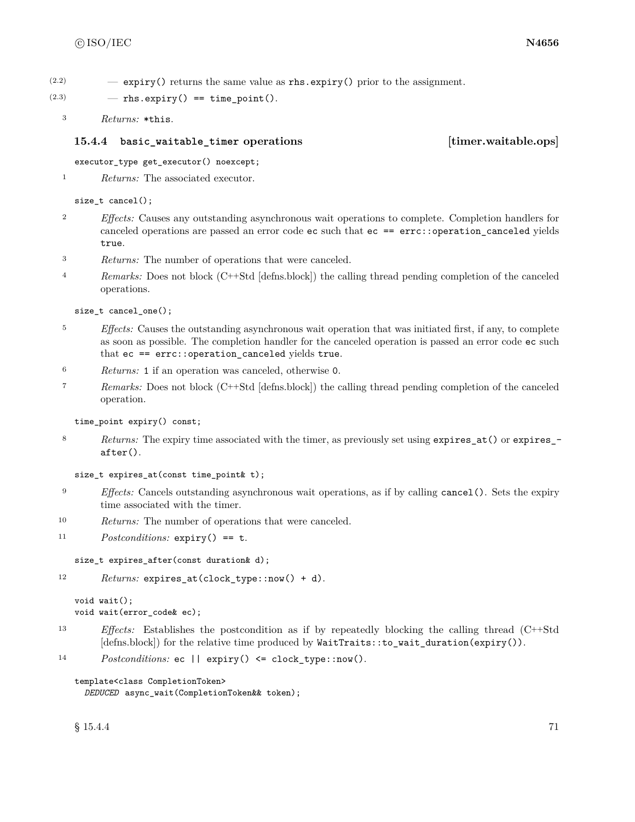$(2.2)$  – expiry() returns the same value as rhs.expiry() prior to the assignment.

 $(2.3)$  - rhs.expiry() == time\_point().

<sup>3</sup> *Returns:* \*this.

### **15.4.4 basic\_waitable\_timer operations [timer.waitable.ops]**

executor type get executor() noexcept;

```
1 Returns: The associated executor.
```
### size\_t cancel();

- <sup>2</sup> *Effects:* Causes any outstanding asynchronous wait operations to complete. Completion handlers for canceled operations are passed an error code ec such that ec == errc::operation\_canceled yields true.
- <sup>3</sup> *Returns:* The number of operations that were canceled.
- <sup>4</sup> *Remarks:* Does not block (C++Std [defns.block]) the calling thread pending completion of the canceled operations.

size\_t cancel\_one();

- <sup>5</sup> *Effects:* Causes the outstanding asynchronous wait operation that was initiated first, if any, to complete as soon as possible. The completion handler for the canceled operation is passed an error code ec such that ec == errc::operation\_canceled yields true.
- <sup>6</sup> *Returns:* 1 if an operation was canceled, otherwise 0.
- <sup>7</sup> *Remarks:* Does not block (C++Std [defns.block]) the calling thread pending completion of the canceled operation.

time\_point expiry() const;

8 *Returns:* The expiry time associated with the timer, as previously set using expires\_at() or expires\_after().

```
size_t expires_at(const time_point& t);
```
- <sup>9</sup> *Effects:* Cancels outstanding asynchronous wait operations, as if by calling cancel(). Sets the expiry time associated with the timer.
- <sup>10</sup> *Returns:* The number of operations that were canceled.
- <sup>11</sup> *Postconditions:* expiry() == t.

```
size_t expires_after(const duration& d);
```

```
12 Returns: expires_at(clock_type::now() + d).
```

```
void wait();
void wait(error_code& ec);
```
- <sup>13</sup> *Effects:* Establishes the postcondition as if by repeatedly blocking the calling thread (C++Std [defns.block]) for the relative time produced by WaitTraits::to\_wait\_duration(expiry()).
- 14 *Postconditions:* ec || expiry() <= clock\_type::now().

```
template<class CompletionToken>
 DEDUCED async_wait(CompletionToken&& token);
```
 $\S 15.4.4$  71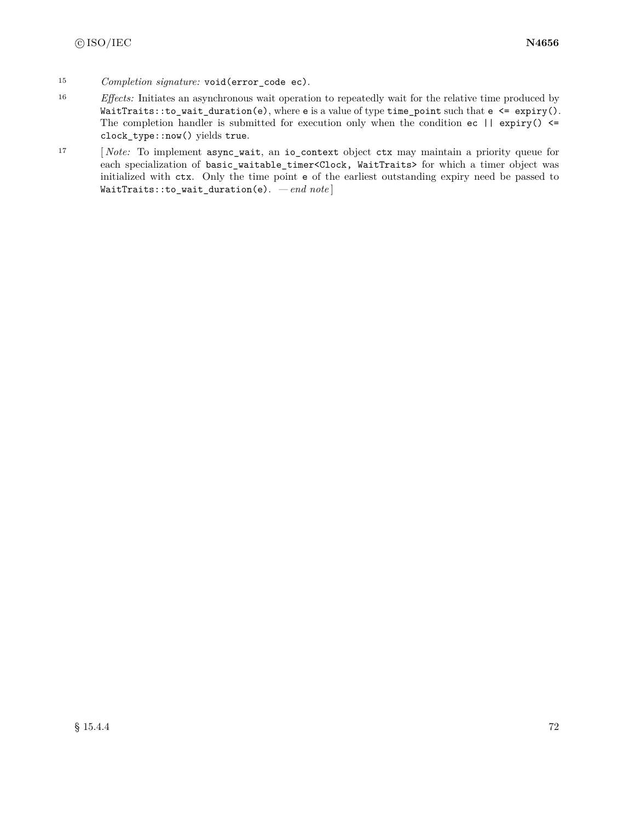- <sup>15</sup> *Completion signature:* void(error\_code ec).
- <sup>16</sup> *Effects:* Initiates an asynchronous wait operation to repeatedly wait for the relative time produced by  $WaitTrans::to\_wait\_duration(e)$ , where e is a value of type time\_point such that  $e \leq \exp(\cdot)$ . The completion handler is submitted for execution only when the condition  $ec$  || expiry()  $\le$ clock\_type::now() yields true.
- <sup>17</sup> [ *Note:* To implement async\_wait, an io\_context object ctx may maintain a priority queue for each specialization of basic\_waitable\_timer<Clock, WaitTraits> for which a timer object was initialized with ctx. Only the time point e of the earliest outstanding expiry need be passed to WaitTraits::to\_wait\_duration(e). *— end note* ]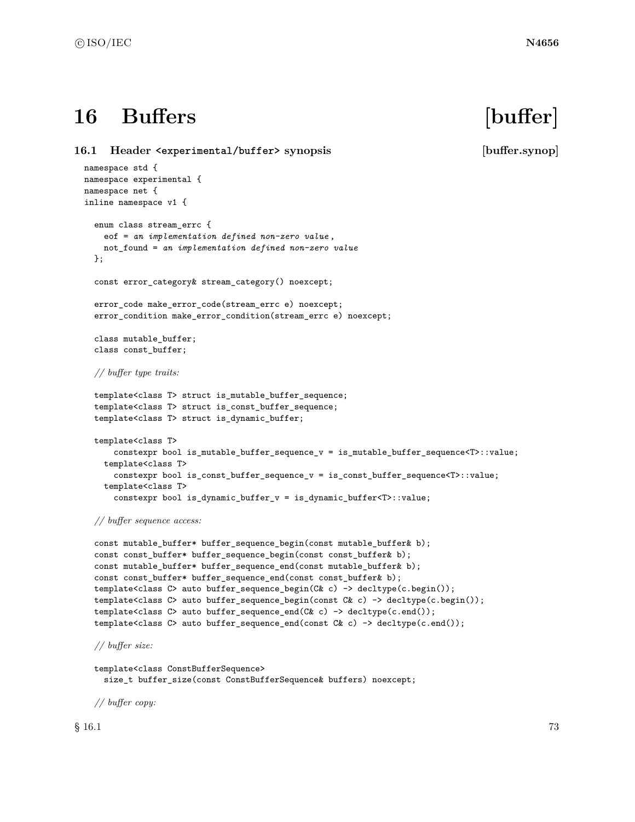# **16 Buffers [buffer]**

**16.1 Header <experimental/buffer> synopsis [buffer.synop]** namespace std { namespace experimental { namespace net { inline namespace v1 { enum class stream\_errc { eof = *an implementation defined non-zero value* , not\_found = *an implementation defined non-zero value* }; const error\_category& stream\_category() noexcept; error\_code make\_error\_code(stream\_errc e) noexcept; error\_condition make\_error\_condition(stream\_errc e) noexcept; class mutable\_buffer; class const\_buffer; *// buffer type traits:* template<class T> struct is\_mutable\_buffer\_sequence; template<class T> struct is\_const\_buffer\_sequence; template<class T> struct is\_dynamic\_buffer; template<class T> constexpr bool is\_mutable\_buffer\_sequence\_v = is\_mutable\_buffer\_sequence<T>::value; template<class T> constexpr bool is\_const\_buffer\_sequence\_v = is\_const\_buffer\_sequence<T>::value; template<class T> constexpr bool is\_dynamic\_buffer\_v = is\_dynamic\_buffer<T>::value; *// buffer sequence access:* const mutable\_buffer\* buffer\_sequence\_begin(const mutable\_buffer& b); const const\_buffer\* buffer\_sequence\_begin(const const\_buffer& b); const mutable\_buffer\* buffer\_sequence\_end(const mutable\_buffer& b);

```
const const_buffer* buffer_sequence_end(const const_buffer& b);
template<class C> auto buffer_sequence_begin(C& c) -> decltype(c.begin());
template<class C> auto buffer_sequence_begin(const C& c) -> decltype(c.begin());
template<class C> auto buffer_sequence_end(C& c) -> decltype(c.end());
template<class C> auto buffer_sequence_end(const C& c) -> decltype(c.end());
```
*// buffer size:*

```
template<class ConstBufferSequence>
 size_t buffer_size(const ConstBufferSequence& buffers) noexcept;
```
*// buffer copy:*

 $\S$  16.1 73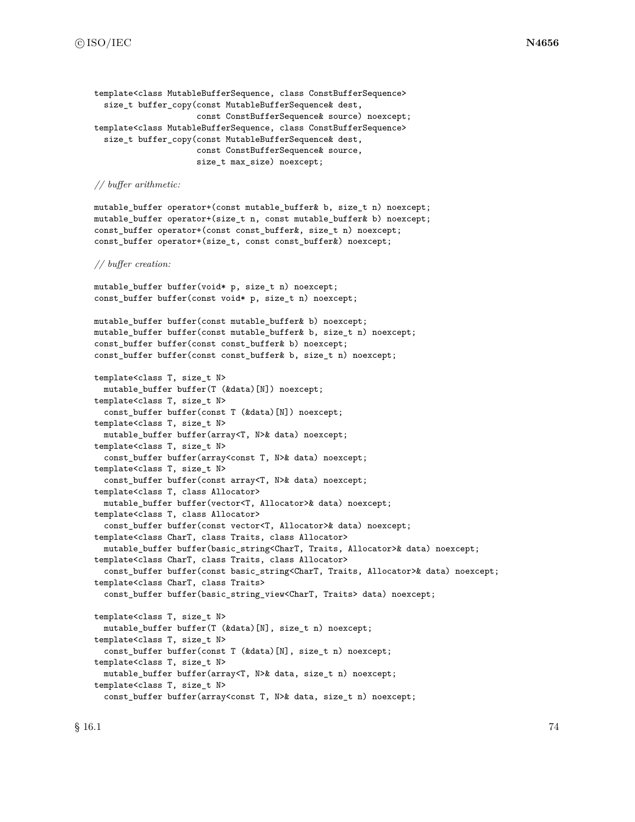```
template<class MutableBufferSequence, class ConstBufferSequence>
  size_t buffer_copy(const MutableBufferSequence& dest,
                     const ConstBufferSequence& source) noexcept;
template<class MutableBufferSequence, class ConstBufferSequence>
 size_t buffer_copy(const MutableBufferSequence& dest,
                     const ConstBufferSequence& source,
                     size_t max_size) noexcept;
```
#### *// buffer arithmetic:*

mutable\_buffer operator+(const mutable\_buffer& b, size\_t n) noexcept; mutable\_buffer operator+(size\_t n, const mutable\_buffer& b) noexcept; const\_buffer operator+(const const\_buffer&, size\_t n) noexcept; const\_buffer operator+(size\_t, const const\_buffer&) noexcept;

#### *// buffer creation:*

mutable\_buffer buffer(void\* p, size\_t n) noexcept; const\_buffer buffer(const void\* p, size\_t n) noexcept;

```
mutable_buffer buffer(const mutable_buffer& b) noexcept;
mutable_buffer buffer(const mutable_buffer& b, size_t n) noexcept;
const_buffer buffer(const const_buffer& b) noexcept;
const_buffer buffer(const const_buffer& b, size_t n) noexcept;
```

```
template<class T, size_t N>
  mutable_buffer buffer(T (&data)[N]) noexcept;
template<class T, size_t N>
  const_buffer buffer(const T (&data)[N]) noexcept;
template<class T, size_t N>
 mutable_buffer buffer(array<T, N>& data) noexcept;
template<class T, size_t N>
  const_buffer buffer(array<const T, N>& data) noexcept;
template<class T, size_t N>
  const_buffer buffer(const array<T, N>& data) noexcept;
template<class T, class Allocator>
  mutable_buffer buffer(vector<T, Allocator>& data) noexcept;
template<class T, class Allocator>
  const_buffer buffer(const vector<T, Allocator>& data) noexcept;
template<class CharT, class Traits, class Allocator>
  mutable_buffer buffer(basic_string<CharT, Traits, Allocator>& data) noexcept;
template<class CharT, class Traits, class Allocator>
  const_buffer buffer(const basic_string<CharT, Traits, Allocator>& data) noexcept;
template<class CharT, class Traits>
  const_buffer buffer(basic_string_view<CharT, Traits> data) noexcept;
template<class T, size_t N>
  mutable_buffer buffer(T (&data)[N], size_t n) noexcept;
template<class T, size_t N>
  const_buffer buffer(const T (&data)[N], size_t n) noexcept;
template<class T, size_t N>
  mutable_buffer buffer(array<T, N>& data, size_t n) noexcept;
template<class T, size_t N>
```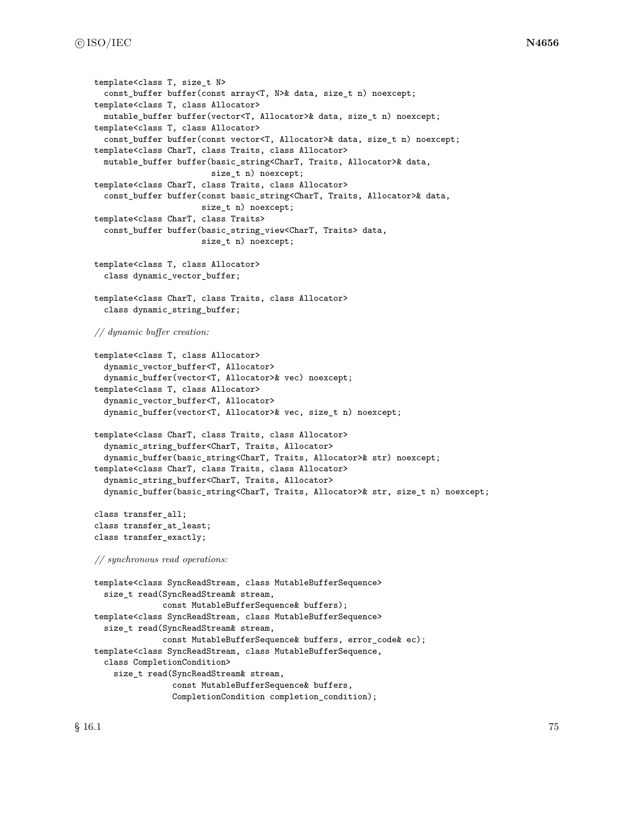```
template<class T, size_t N>
  const_buffer buffer(const array<T, N>& data, size_t n) noexcept;
template<class T, class Allocator>
 mutable_buffer buffer(vector<T, Allocator>& data, size_t n) noexcept;
template<class T, class Allocator>
  const_buffer buffer(const vector<T, Allocator>& data, size_t n) noexcept;
template<class CharT, class Traits, class Allocator>
 mutable_buffer buffer(basic_string<CharT, Traits, Allocator>& data,
                        size_t n) noexcept;
template<class CharT, class Traits, class Allocator>
  const_buffer buffer(const basic_string<CharT, Traits, Allocator>& data,
                      size_t n) noexcept;
template<class CharT, class Traits>
  const_buffer buffer(basic_string_view<CharT, Traits> data,
                      size_t n) noexcept;
template<class T, class Allocator>
  class dynamic_vector_buffer;
template<class CharT, class Traits, class Allocator>
  class dynamic_string_buffer;
// dynamic buffer creation:
template<class T, class Allocator>
  dynamic_vector_buffer<T, Allocator>
  dynamic_buffer(vector<T, Allocator>& vec) noexcept;
template<class T, class Allocator>
  dynamic_vector_buffer<T, Allocator>
  dynamic_buffer(vector<T, Allocator>& vec, size_t n) noexcept;
template<class CharT, class Traits, class Allocator>
  dynamic_string_buffer<CharT, Traits, Allocator>
  dynamic_buffer(basic_string<CharT, Traits, Allocator>& str) noexcept;
template<class CharT, class Traits, class Allocator>
  dynamic_string_buffer<CharT, Traits, Allocator>
  dynamic_buffer(basic_string<CharT, Traits, Allocator>& str, size_t n) noexcept;
class transfer_all;
class transfer_at_least;
class transfer_exactly;
// synchronous read operations:
template<class SyncReadStream, class MutableBufferSequence>
  size_t read(SyncReadStream& stream,
              const MutableBufferSequence& buffers);
template<class SyncReadStream, class MutableBufferSequence>
  size_t read(SyncReadStream& stream,
              const MutableBufferSequence& buffers, error_code& ec);
template<class SyncReadStream, class MutableBufferSequence,
  class CompletionCondition>
    size_t read(SyncReadStream& stream,
                const MutableBufferSequence& buffers,
                CompletionCondition completion_condition);
```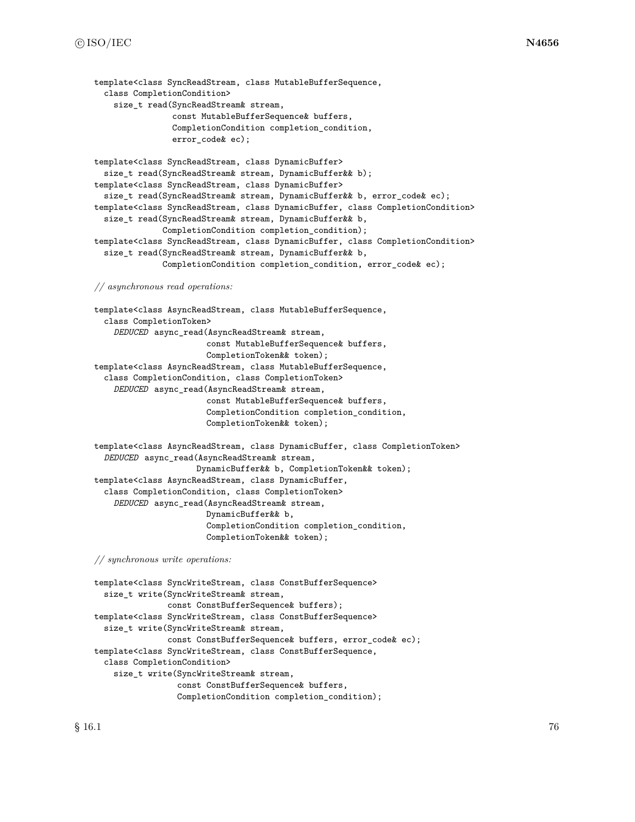```
template<class SyncReadStream, class MutableBufferSequence,
  class CompletionCondition>
    size_t read(SyncReadStream& stream,
                const MutableBufferSequence& buffers,
                CompletionCondition completion_condition,
                error code& ec);
template<class SyncReadStream, class DynamicBuffer>
  size_t read(SyncReadStream& stream, DynamicBuffer&& b);
template<class SyncReadStream, class DynamicBuffer>
  size_t read(SyncReadStream& stream, DynamicBuffer&& b, error_code& ec);
template<class SyncReadStream, class DynamicBuffer, class CompletionCondition>
  size_t read(SyncReadStream& stream, DynamicBuffer&& b,
              CompletionCondition completion_condition);
template<class SyncReadStream, class DynamicBuffer, class CompletionCondition>
  size_t read(SyncReadStream& stream, DynamicBuffer&& b,
              CompletionCondition completion_condition, error_code& ec);
// asynchronous read operations:
template<class AsyncReadStream, class MutableBufferSequence,
  class CompletionToken>
    DEDUCED async_read(AsyncReadStream& stream,
                       const MutableBufferSequence& buffers,
                       CompletionToken&& token);
template<class AsyncReadStream, class MutableBufferSequence,
  class CompletionCondition, class CompletionToken>
    DEDUCED async_read(AsyncReadStream& stream,
                       const MutableBufferSequence& buffers,
                       CompletionCondition completion_condition,
                       CompletionToken&& token);
template<class AsyncReadStream, class DynamicBuffer, class CompletionToken>
  DEDUCED async_read(AsyncReadStream& stream,
                     DynamicBuffer&& b, CompletionToken&& token);
template<class AsyncReadStream, class DynamicBuffer,
  class CompletionCondition, class CompletionToken>
    DEDUCED async_read(AsyncReadStream& stream,
                       DynamicBuffer&& b,
                       CompletionCondition completion_condition,
                       CompletionToken&& token);
// synchronous write operations:
```

```
template<class SyncWriteStream, class ConstBufferSequence>
 size_t write(SyncWriteStream& stream,
               const ConstBufferSequence& buffers);
template<class SyncWriteStream, class ConstBufferSequence>
  size_t write(SyncWriteStream& stream,
               const ConstBufferSequence& buffers, error_code& ec);
template<class SyncWriteStream, class ConstBufferSequence,
 class CompletionCondition>
    size_t write(SyncWriteStream& stream,
                 const ConstBufferSequence& buffers,
                 CompletionCondition completion_condition);
```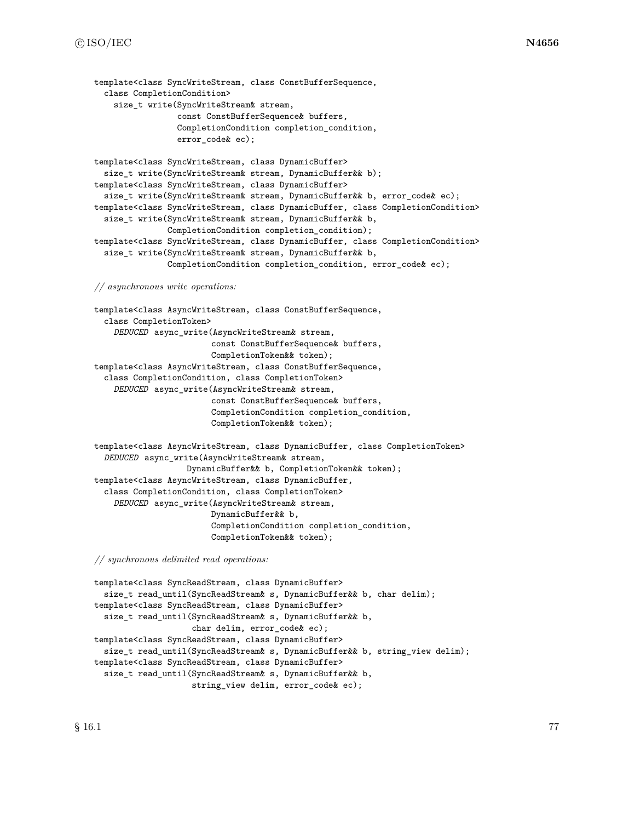```
template<class SyncWriteStream, class ConstBufferSequence,
  class CompletionCondition>
    size_t write(SyncWriteStream& stream,
                 const ConstBufferSequence& buffers,
                 CompletionCondition completion_condition,
                 error code& ec);
template<class SyncWriteStream, class DynamicBuffer>
  size_t write(SyncWriteStream& stream, DynamicBuffer&& b);
template<class SyncWriteStream, class DynamicBuffer>
  size_t write(SyncWriteStream& stream, DynamicBuffer&& b, error_code& ec);
template<class SyncWriteStream, class DynamicBuffer, class CompletionCondition>
  size_t write(SyncWriteStream& stream, DynamicBuffer&& b,
               CompletionCondition completion_condition);
template<class SyncWriteStream, class DynamicBuffer, class CompletionCondition>
  size_t write(SyncWriteStream& stream, DynamicBuffer&& b,
               CompletionCondition completion_condition, error_code& ec);
// asynchronous write operations:
template<class AsyncWriteStream, class ConstBufferSequence,
  class CompletionToken>
    DEDUCED async_write(AsyncWriteStream& stream,
                        const ConstBufferSequence& buffers,
                        CompletionToken&& token);
template<class AsyncWriteStream, class ConstBufferSequence,
  class CompletionCondition, class CompletionToken>
    DEDUCED async_write(AsyncWriteStream& stream,
                        const ConstBufferSequence& buffers,
                        CompletionCondition completion_condition,
                        CompletionToken&& token);
template<class AsyncWriteStream, class DynamicBuffer, class CompletionToken>
  DEDUCED async_write(AsyncWriteStream& stream,
                   DynamicBuffer&& b, CompletionToken&& token);
template<class AsyncWriteStream, class DynamicBuffer,
  class CompletionCondition, class CompletionToken>
    DEDUCED async_write(AsyncWriteStream& stream,
                        DynamicBuffer&& b,
                        CompletionCondition completion_condition,
                        CompletionToken&& token);
// synchronous delimited read operations:
```

```
template<class SyncReadStream, class DynamicBuffer>
 size_t read_until(SyncReadStream& s, DynamicBuffer&& b, char delim);
template<class SyncReadStream, class DynamicBuffer>
 size_t read_until(SyncReadStream& s, DynamicBuffer&& b,
                    char delim, error_code& ec);
template<class SyncReadStream, class DynamicBuffer>
  size_t read_until(SyncReadStream& s, DynamicBuffer&& b, string_view delim);
template<class SyncReadStream, class DynamicBuffer>
  size_t read_until(SyncReadStream& s, DynamicBuffer&& b,
                    string_view delim, error_code& ec);
```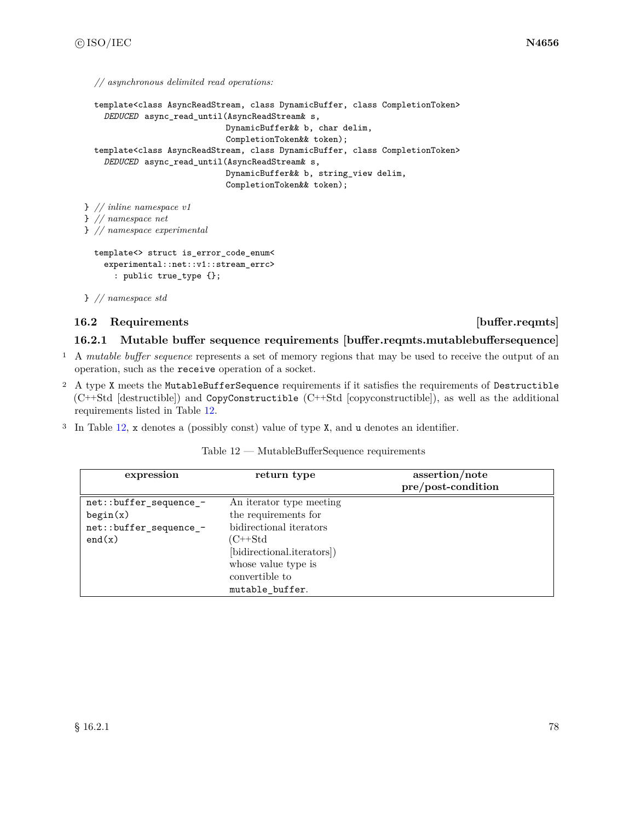*// asynchronous delimited read operations:*

```
template<class AsyncReadStream, class DynamicBuffer, class CompletionToken>
    DEDUCED async_read_until(AsyncReadStream& s,
                             DynamicBuffer&& b, char delim,
                             CompletionToken&& token);
  template<class AsyncReadStream, class DynamicBuffer, class CompletionToken>
    DEDUCED async_read_until(AsyncReadStream& s,
                             DynamicBuffer&& b, string_view delim,
                             CompletionToken&& token);
} // inline namespace v1
} // namespace net
} // namespace experimental
  template<> struct is_error_code_enum<
    experimental::net::v1::stream_errc>
      : public true_type {};
} // namespace std
```
# **16.2 Requirements in the set of the set of the set of the set of the set of the set of the set of the set of the set of the set of the set of the set of the set of the set of the set of the set of the set of the set of**

# <span id="page-84-1"></span>**16.2.1 Mutable buffer sequence requirements [buffer.reqmts.mutablebuffersequence]**

- <sup>1</sup> A *mutable buffer sequence* represents a set of memory regions that may be used to receive the output of an operation, such as the receive operation of a socket.
- <sup>2</sup> A type X meets the MutableBufferSequence requirements if it satisfies the requirements of Destructible (C++Std [destructible]) and CopyConstructible (C++Std [copyconstructible]), as well as the additional requirements listed in Table [12.](#page-84-0)
- <sup>3</sup> In Table [12,](#page-84-0) x denotes a (possibly const) value of type X, and u denotes an identifier.

| Table 12 - | $-$ MutableBufferSequence requirements |  |
|------------|----------------------------------------|--|
|------------|----------------------------------------|--|

<span id="page-84-0"></span>

| expression             | return type                | assertion/note<br>pre/post-condition |
|------------------------|----------------------------|--------------------------------------|
| net::buffer_sequence_- | An iterator type meeting   |                                      |
| begin(x)               | the requirements for       |                                      |
| net::buffer_sequence_- | bidirectional iterators    |                                      |
| end(x)                 | (C++Std                    |                                      |
|                        | [bidirectional.iterators]) |                                      |
|                        | whose value type is        |                                      |
|                        | convertible to             |                                      |
|                        | mutable buffer.            |                                      |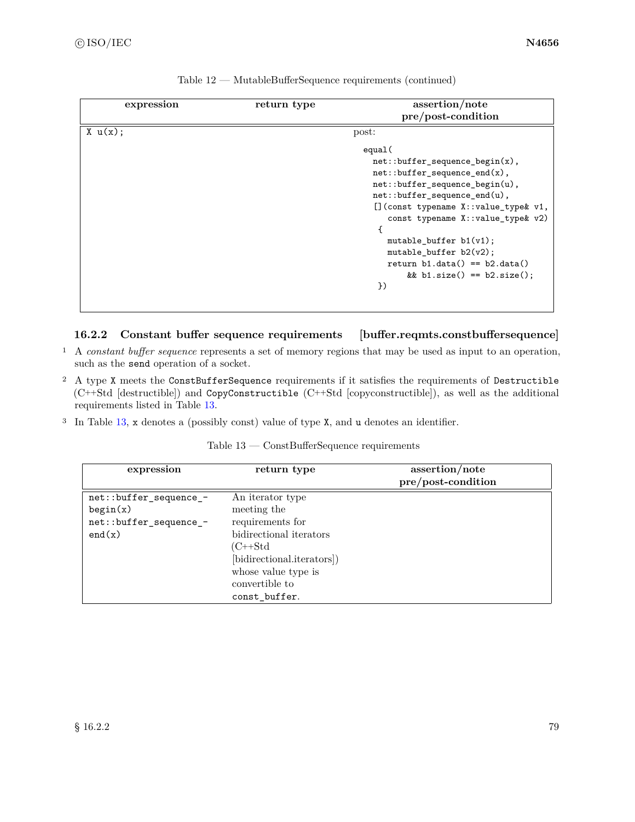| expression | return type | assertion/note                          |
|------------|-------------|-----------------------------------------|
|            |             | pre/post-condition                      |
| X u(x);    |             | post:                                   |
|            |             | equal(                                  |
|            |             | $net::buffer\_sequence\_begin(x),$      |
|            |             | $net::buffer\_sequence\_end(x)$ ,       |
|            |             | net::buffer_sequence_begin(u),          |
|            |             | $net::buffer\_sequence\_end(u)$ ,       |
|            |             | $[]$ (const typename X::value_type& v1, |
|            |             | const typename $X:value_type$ v2)       |
|            |             |                                         |
|            |             | mutable_buffer $b1(v1)$ ;               |
|            |             | mutable_buffer $b2(v2)$ ;               |
|            |             | return $b1.data() == b2.data()$         |
|            |             | && b1.size() == $b2.size()$ ;           |
|            |             | })                                      |
|            |             |                                         |
|            |             |                                         |

| Table $12$ — MutableBufferSequence requirements (continued) |  |  |
|-------------------------------------------------------------|--|--|
|-------------------------------------------------------------|--|--|

# <span id="page-85-1"></span>**16.2.2 Constant buffer sequence requirements [buffer.reqmts.constbuffersequence]**

- <sup>1</sup> A *constant buffer sequence* represents a set of memory regions that may be used as input to an operation, such as the send operation of a socket.
- <sup>2</sup> A type X meets the ConstBufferSequence requirements if it satisfies the requirements of Destructible (C++Std [destructible]) and CopyConstructible (C++Std [copyconstructible]), as well as the additional requirements listed in Table [13.](#page-85-0)
- <sup>3</sup> In Table [13,](#page-85-0) x denotes a (possibly const) value of type X, and u denotes an identifier.

const\_buffer.

<span id="page-85-0"></span>

| expression             | return type                | assertion/note     |
|------------------------|----------------------------|--------------------|
|                        |                            | pre/post-condition |
| net::buffer_sequence_- | An iterator type           |                    |
| begin(x)               | meeting the                |                    |
| net::buffer_sequence_- | requirements for           |                    |
| end(x)                 | bidirectional iterators    |                    |
|                        | (C++Std                    |                    |
|                        | [bidirectional.iterators]) |                    |
|                        | whose value type is        |                    |
|                        | convertible to             |                    |

|  | Table $13$ — ConstBufferSequence requirements |  |
|--|-----------------------------------------------|--|
|--|-----------------------------------------------|--|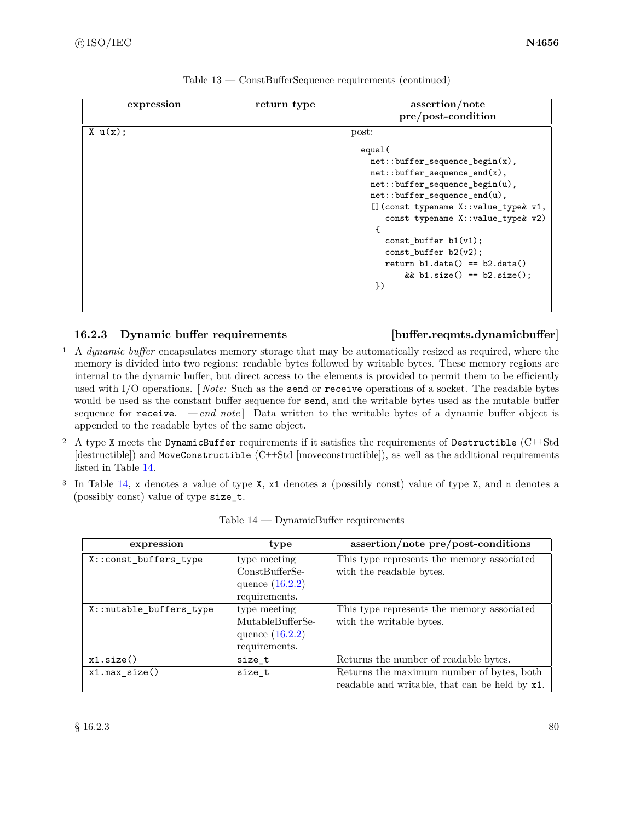|            | return type |                                       |
|------------|-------------|---------------------------------------|
| expression |             | assertion/note                        |
|            |             | pre/post-condition                    |
| X u(x);    |             | post:                                 |
|            |             | equal(                                |
|            |             | $net::buffer\_sequence\_begin(x)$ ,   |
|            |             | $net::buffer\_sequence\_end(x)$ ,     |
|            |             | net::buffer_sequence_begin(u),        |
|            |             | net::buffer_sequence_end(u),          |
|            |             | [] (const typename X::value_type& v1, |
|            |             | const typename X:: value_type& v2)    |
|            |             |                                       |
|            |             | $const_buffer b1(v1);$                |
|            |             | $const_buffer b2(v2);$                |
|            |             | return $b1.data() == b2.data()$       |
|            |             | && b1.size() == $b2.size()$ ;         |
|            |             | $\}$                                  |
|            |             |                                       |
|            |             |                                       |

| Table $13$ — ConstBufferSequence requirements (continued) |  |  |  |
|-----------------------------------------------------------|--|--|--|
|-----------------------------------------------------------|--|--|--|

### <span id="page-86-1"></span>**16.2.3 Dynamic buffer requirements [buffer.reqmts.dynamicbuffer]**

- <sup>1</sup> A *dynamic buffer* encapsulates memory storage that may be automatically resized as required, where the memory is divided into two regions: readable bytes followed by writable bytes. These memory regions are internal to the dynamic buffer, but direct access to the elements is provided to permit them to be efficiently used with I/O operations. [ *Note:* Such as the send or receive operations of a socket. The readable bytes would be used as the constant buffer sequence for send, and the writable bytes used as the mutable buffer sequence for receive. *— end note*  $\vert$  Data written to the writable bytes of a dynamic buffer object is appended to the readable bytes of the same object.
- <sup>2</sup> A type X meets the DynamicBuffer requirements if it satisfies the requirements of Destructible (C++Std [destructible]) and MoveConstructible (C++Std [moveconstructible]), as well as the additional requirements listed in Table [14.](#page-86-0)
- <sup>3</sup> In Table [14,](#page-86-0) x denotes a value of type X, x1 denotes a (possibly const) value of type X, and n denotes a (possibly const) value of type size\_t.

<span id="page-86-0"></span>

| expression              | type                                                   | assertion/note pre/post-conditions             |
|-------------------------|--------------------------------------------------------|------------------------------------------------|
| X::const_buffers_type   | type meeting                                           | This type represents the memory associated     |
|                         | ConstBufferSe-<br>quence $(16.2.2)$<br>requirements.   | with the readable bytes.                       |
| X::mutable_buffers_type | type meeting                                           | This type represents the memory associated     |
|                         | MutableBufferSe-<br>quence $(16.2.2)$<br>requirements. | with the writable bytes.                       |
| x1.size()               | size t                                                 | Returns the number of readable bytes.          |
| x1.max size()           | size t                                                 | Returns the maximum number of bytes, both      |
|                         |                                                        | readable and writable, that can be held by x1. |

|  |  | $Table 14 - DynamicBuffer requirements$ |  |
|--|--|-----------------------------------------|--|
|  |  |                                         |  |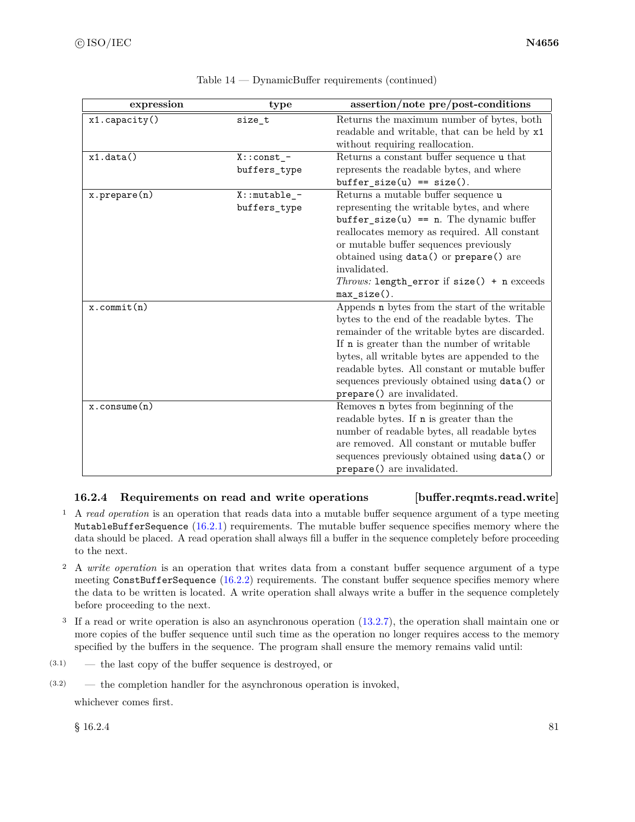| expression            | type             | assertion/note pre/post-conditions                |
|-----------------------|------------------|---------------------------------------------------|
| x1.capacity()         | size_t           | Returns the maximum number of bytes, both         |
|                       |                  | readable and writable, that can be held by x1     |
|                       |                  | without requiring reallocation.                   |
| x1.data()             | $X:const$ -      | Returns a constant buffer sequence ${\tt u}$ that |
|                       | buffers_type     | represents the readable bytes, and where          |
|                       |                  | $buffer_size(u) == size().$                       |
| $x.$ prepare $(n)$    | $X:$ : mutable_- | Returns a mutable buffer sequence u               |
|                       | buffers_type     | representing the writable bytes, and where        |
|                       |                  | $buffer\_size(u) == n$ . The dynamic buffer       |
|                       |                  | reallocates memory as required. All constant      |
|                       |                  | or mutable buffer sequences previously            |
|                       |                  | obtained using data() or prepare() are            |
|                       |                  | invalidated.                                      |
|                       |                  | Throws: length_error if size() + n exceeds        |
|                       |                  | $max_size()$ .                                    |
| $x.$ commit $(n)$     |                  | Appends n bytes from the start of the writable    |
|                       |                  | bytes to the end of the readable bytes. The       |
|                       |                  | remainder of the writable bytes are discarded.    |
|                       |                  | If n is greater than the number of writable       |
|                       |                  | bytes, all writable bytes are appended to the     |
|                       |                  | readable bytes. All constant or mutable buffer    |
|                       |                  | sequences previously obtained using data() or     |
|                       |                  | prepare() are invalidated.                        |
| $x.\text{consume}(n)$ |                  | Removes n bytes from beginning of the             |
|                       |                  | readable bytes. If <b>n</b> is greater than the   |
|                       |                  | number of readable bytes, all readable bytes      |
|                       |                  | are removed. All constant or mutable buffer       |
|                       |                  | sequences previously obtained using data() or     |
|                       |                  | prepare() are invalidated.                        |

### Table 14 — DynamicBuffer requirements (continued)

# <span id="page-87-0"></span>**16.2.4 Requirements on read and write operations [buffer.reqmts.read.write]**

- <sup>1</sup> A *read operation* is an operation that reads data into a mutable buffer sequence argument of a type meeting MutableBufferSequence [\(16.2.1\)](#page-84-1) requirements. The mutable buffer sequence specifies memory where the data should be placed. A read operation shall always fill a buffer in the sequence completely before proceeding to the next.
- <sup>2</sup> A *write operation* is an operation that writes data from a constant buffer sequence argument of a type meeting ConstBufferSequence [\(16.2.2\)](#page-85-1) requirements. The constant buffer sequence specifies memory where the data to be written is located. A write operation shall always write a buffer in the sequence completely before proceeding to the next.
- <sup>3</sup> If a read or write operation is also an asynchronous operation [\(13.2.7\)](#page-29-0), the operation shall maintain one or more copies of the buffer sequence until such time as the operation no longer requires access to the memory specified by the buffers in the sequence. The program shall ensure the memory remains valid until:
- (3.1) the last copy of the buffer sequence is destroyed, or
- (3.2) the completion handler for the asynchronous operation is invoked,

whichever comes first.

 $§ 16.2.4$  81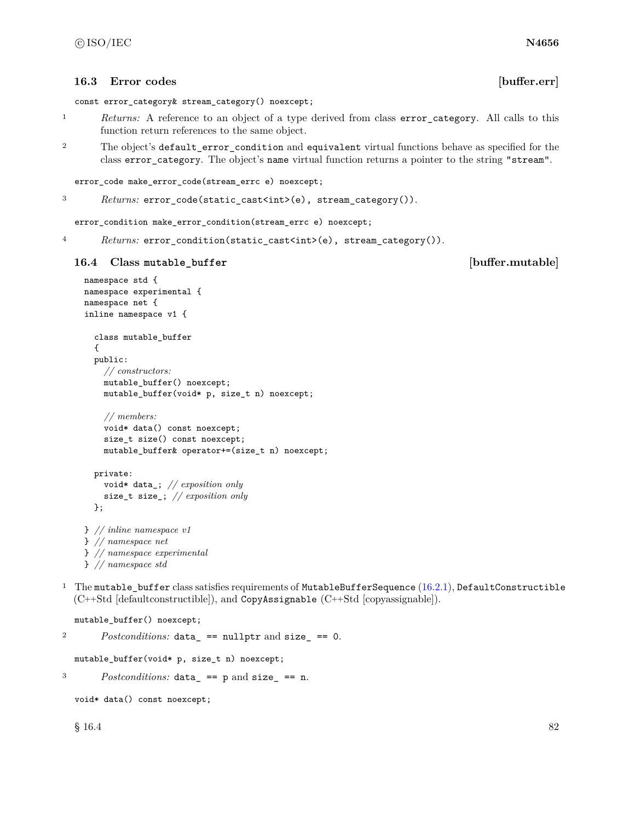### **16.3 Error codes [buffer.err]**

const error\_category& stream\_category() noexcept;

- <sup>1</sup> *Returns:* A reference to an object of a type derived from class error\_category. All calls to this function return references to the same object.
- <sup>2</sup> The object's default\_error\_condition and equivalent virtual functions behave as specified for the class error\_category. The object's name virtual function returns a pointer to the string "stream".

```
error_code make_error_code(stream_errc e) noexcept;
```

```
3 Returns: error_code(static_cast<int>(e), stream_category()).
```
error\_condition make\_error\_condition(stream\_errc e) noexcept;

<sup>4</sup> *Returns:* error\_condition(static\_cast<int>(e), stream\_category()).

### **16.4 Class mutable\_buffer [buffer.mutable]**

```
namespace std {
namespace experimental {
namespace net {
inline namespace v1 {
  class mutable_buffer
  {
  public:
    // constructors:
    mutable_buffer() noexcept;
    mutable_buffer(void* p, size_t n) noexcept;
    // members:
    void* data() const noexcept;
    size_t size() const noexcept;
    mutable_buffer& operator+=(size_t n) noexcept;
  private:
    void* data_; // exposition only
    size_t size_; // exposition only
  };
```

```
} // inline namespace v1
} // namespace net
} // namespace experimental
} // namespace std
```
<sup>1</sup> The mutable\_buffer class satisfies requirements of MutableBufferSequence  $(16.2.1)$ , DefaultConstructible (C++Std [defaultconstructible]), and CopyAssignable (C++Std [copyassignable]).

```
mutable_buffer() noexcept;
```
<sup>2</sup> *Postconditions:* data\_ == nullptr and size\_ == 0.

mutable\_buffer(void\* p, size\_t n) noexcept;

<sup>3</sup> *Postconditions:* data\_ == p and size\_ == n.

```
void* data() const noexcept;
```
 $§$  16.4 82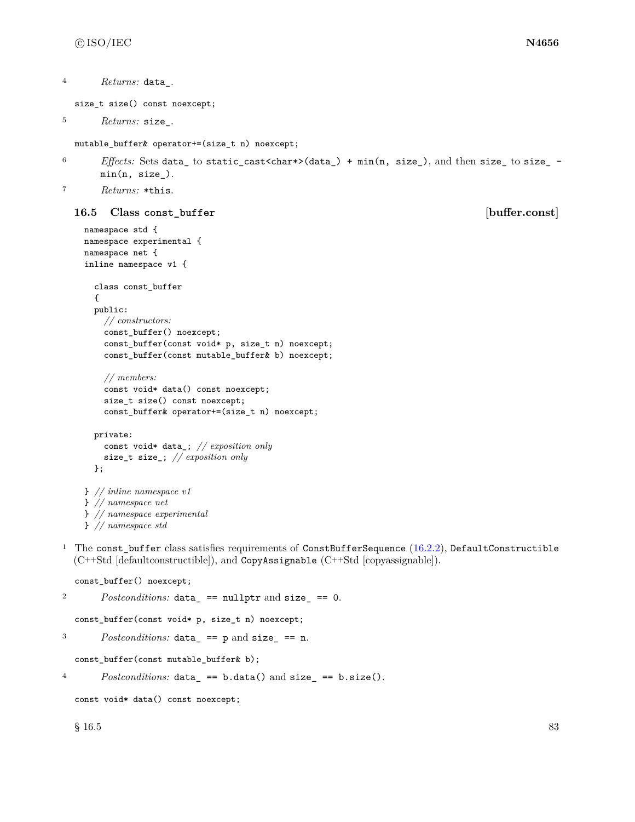```
4 Returns: data_.
```
size\_t size() const noexcept;

```
5 Returns: size_.
```
mutable\_buffer& operator+=(size\_t n) noexcept;

```
^{6} Effects: Sets data_ to static_cast<char*>(data_) + min(n, size_), and then size_ to size_ -
       min(n, size_).
```
<sup>7</sup> *Returns:* \*this.

### **16.5 Class const\_buffer [buffer.const]**

```
namespace std {
namespace experimental {
namespace net {
inline namespace v1 {
  class const_buffer
  {
  public:
    // constructors:
    const_buffer() noexcept;
    const_buffer(const void* p, size_t n) noexcept;
    const_buffer(const mutable_buffer& b) noexcept;
    // members:
    const void* data() const noexcept;
    size_t size() const noexcept;
    const_buffer& operator+=(size_t n) noexcept;
  private:
    const void* data_; // exposition only
    size_t size_; // exposition only
  };
```

```
} // inline namespace v1
} // namespace net
} // namespace experimental
} // namespace std
```
<sup>1</sup> The const\_buffer class satisfies requirements of ConstBufferSequence [\(16.2.2\)](#page-85-1), DefaultConstructible (C++Std [defaultconstructible]), and CopyAssignable (C++Std [copyassignable]).

```
const_buffer() noexcept;
```

```
2 Postconditions: data_ == nullptr and size_ == 0.
  const_buffer(const void* p, size_t n) noexcept;
3 Postconditions: data_ == p and size_ == n.
  const_buffer(const mutable_buffer& b);
4 Postconditions: data_ == b.data() and size_ == b.size().
```

```
const void* data() const noexcept;
```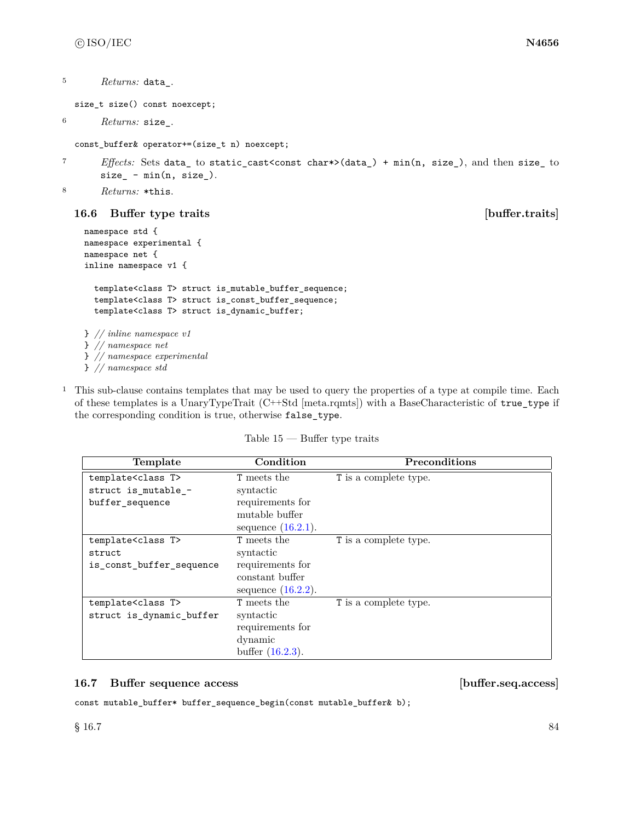```
5 Returns: data_.
```
size\_t size() const noexcept;

```
6 Returns: size_.
```
const\_buffer& operator+=(size\_t n) noexcept;

<sup>7</sup> *Effects:* Sets data\_ to static\_cast<const char\*>(data\_) + min(n, size\_), and then size\_ to  $size_$  -  $min(n, size_$ .

```
8 Returns: *this.
```
# **16.6 Buffer type traits [buffer.traits]**

```
namespace std {
namespace experimental {
namespace net {
inline namespace v1 {
  template<class T> struct is_mutable_buffer_sequence;
  template<class T> struct is_const_buffer_sequence;
  template<class T> struct is_dynamic_buffer;
} // inline namespace v1
} // namespace net
} // namespace experimental
} // namespace std
```
<sup>1</sup> This sub-clause contains templates that may be used to query the properties of a type at compile time. Each of these templates is a UnaryTypeTrait (C++Std [meta.rqmts]) with a BaseCharacteristic of true\_type if the corresponding condition is true, otherwise false\_type.

Table 15 — Buffer type traits

| Template                      | Condition             | Preconditions         |
|-------------------------------|-----------------------|-----------------------|
| template <class t=""></class> | <b>T</b> meets the    | T is a complete type. |
| struct is_mutable_-           | syntactic             |                       |
| buffer_sequence               | requirements for      |                       |
|                               | mutable buffer        |                       |
|                               | sequence $(16.2.1)$ . |                       |
| template <class t=""></class> | <b>T</b> meets the    | T is a complete type. |
| struct                        | syntactic             |                       |
| is_const_buffer_sequence      | requirements for      |                       |
|                               | constant buffer       |                       |
|                               | sequence $(16.2.2)$ . |                       |
| template <class t=""></class> | <b>T</b> meets the    | T is a complete type. |
| struct is_dynamic_buffer      | syntactic             |                       |
|                               | requirements for      |                       |
|                               | dynamic               |                       |
|                               | buffer $(16.2.3)$ .   |                       |

## **16.7 Buffer sequence access [buffer.seq.access]**

const mutable\_buffer\* buffer\_sequence\_begin(const mutable\_buffer& b);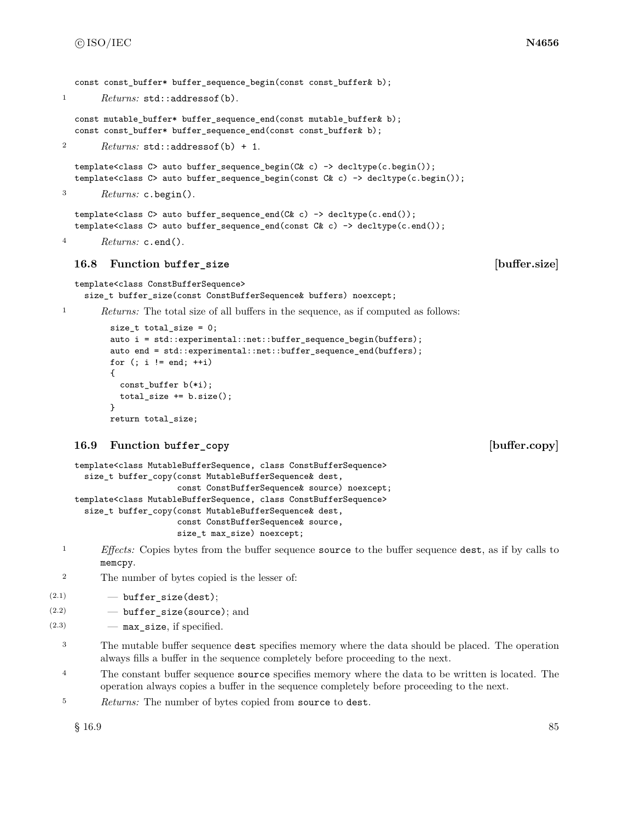const const buffer\* buffer sequence begin(const const buffer& b);

```
1 Returns: std::addressof(b).
```

```
const mutable_buffer* buffer_sequence_end(const mutable_buffer& b);
const const_buffer* buffer_sequence_end(const const_buffer& b);
```
<sup>2</sup> *Returns:* std::addressof(b) + 1.

template<class C> auto buffer\_sequence\_begin(C& c) -> decltype(c.begin()); template<class C> auto buffer\_sequence\_begin(const C& c) -> decltype(c.begin());

<sup>3</sup> *Returns:* c.begin().

```
template<class C> auto buffer_sequence_end(C& c) -> decltype(c.end());
template<class C> auto buffer_sequence_end(const C& c) -> decltype(c.end());
```
<sup>4</sup> *Returns:* c.end().

### **16.8 Function buffer\_size [buffer.size]**

```
template<class ConstBufferSequence>
  size_t buffer_size(const ConstBufferSequence& buffers) noexcept;
```
<sup>1</sup> *Returns:* The total size of all buffers in the sequence, as if computed as follows:

```
size_t total_size = 0;
auto i = std::experimental::net::buffer_sequence_begin(buffers);
auto end = std::experimental::net::buffer_sequence_end(buffers);
for (i \ i \ |= \text{end}; +i){
  const_buffer b(*i);
  total_size += b.size();
}
return total_size;
```
# **16.9 Function buffer\_copy [buffer.copy]**

```
template<class MutableBufferSequence, class ConstBufferSequence>
  size_t buffer_copy(const MutableBufferSequence& dest,
                     const ConstBufferSequence& source) noexcept;
template<class MutableBufferSequence, class ConstBufferSequence>
  size_t buffer_copy(const MutableBufferSequence& dest,
                     const ConstBufferSequence& source,
                     size_t max_size) noexcept;
```
- <sup>1</sup> *Effects:* Copies bytes from the buffer sequence source to the buffer sequence dest, as if by calls to memcpy.
- <sup>2</sup> The number of bytes copied is the lesser of:

```
(2.1) - buffer size(dest);
```

```
(2.2) - buffer_size(source); and
```
- $(2.3)$  max\_size, if specified.
	- <sup>3</sup> The mutable buffer sequence dest specifies memory where the data should be placed. The operation always fills a buffer in the sequence completely before proceeding to the next.
	- <sup>4</sup> The constant buffer sequence source specifies memory where the data to be written is located. The operation always copies a buffer in the sequence completely before proceeding to the next.
	- <sup>5</sup> *Returns:* The number of bytes copied from source to dest.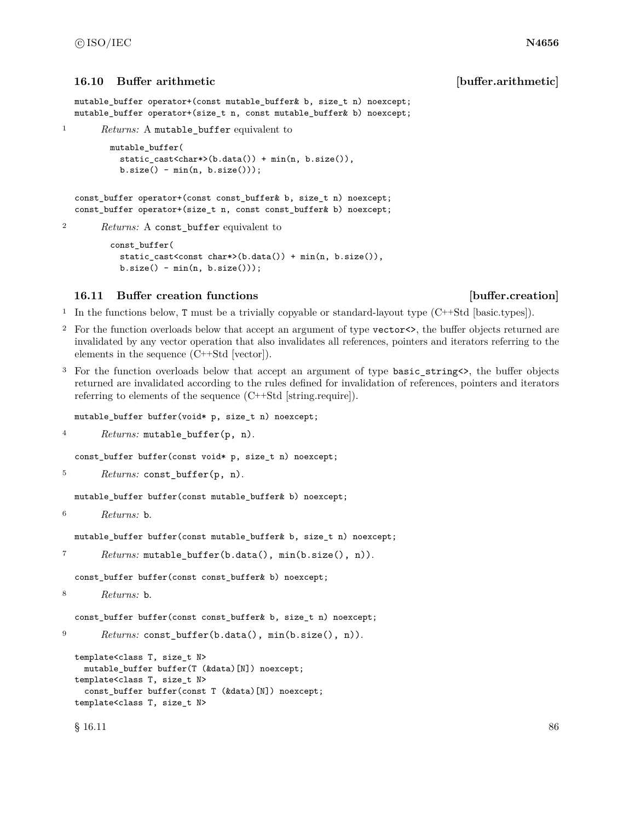### **16.10 Buffer arithmetic [buffer.arithmetic]**

```
mutable_buffer operator+(const mutable_buffer& b, size_t n) noexcept;
mutable_buffer operator+(size_t n, const mutable_buffer& b) noexcept;
```

```
1 Returns: A mutable_buffer equivalent to
```

```
mutable_buffer(
 static_cast<char*>(b.data()) + min(n, b.size()),
 b.size() - min(n, b.size());
```

```
const_buffer operator+(const const_buffer& b, size_t n) noexcept;
const_buffer operator+(size_t n, const const_buffer& b) noexcept;
```

```
2 Returns: A const_buffer equivalent to
```

```
const_buffer(
 static_cast<const char*>(b.data()) + min(n, b.size()),
 b.size() - min(n, b.size());
```
### **16.11 Buffer creation functions [buffer.creation]**

<sup>1</sup> In the functions below, T must be a trivially copyable or standard-layout type (C++Std [basic.types]).

- <sup>2</sup> For the function overloads below that accept an argument of type vector<>, the buffer objects returned are invalidated by any vector operation that also invalidates all references, pointers and iterators referring to the elements in the sequence (C++Std [vector]).
- <sup>3</sup> For the function overloads below that accept an argument of type basic\_string<>, the buffer objects returned are invalidated according to the rules defined for invalidation of references, pointers and iterators referring to elements of the sequence (C++Std [string.require]).

mutable\_buffer buffer(void\* p, size\_t n) noexcept;

<sup>4</sup> *Returns:* mutable\_buffer(p, n).

const\_buffer buffer(const void\* p, size\_t n) noexcept;

<sup>5</sup> *Returns:* const\_buffer(p, n).

mutable\_buffer buffer(const mutable\_buffer& b) noexcept;

<sup>6</sup> *Returns:* b.

mutable\_buffer buffer(const mutable\_buffer& b, size\_t n) noexcept;

```
7 Returns: mutable_buffer(b.data(), min(b.size(), n)).
```
const\_buffer buffer(const const\_buffer& b) noexcept;

<sup>8</sup> *Returns:* b.

const\_buffer buffer(const const\_buffer& b, size\_t n) noexcept;

```
9 Returns: const_buffer(b.data(), min(b.size(), n)).
```

```
template<class T, size_t N>
 mutable_buffer buffer(T (&data)[N]) noexcept;
template<class T, size_t N>
  const_buffer buffer(const T (&data)[N]) noexcept;
template<class T, size_t N>
```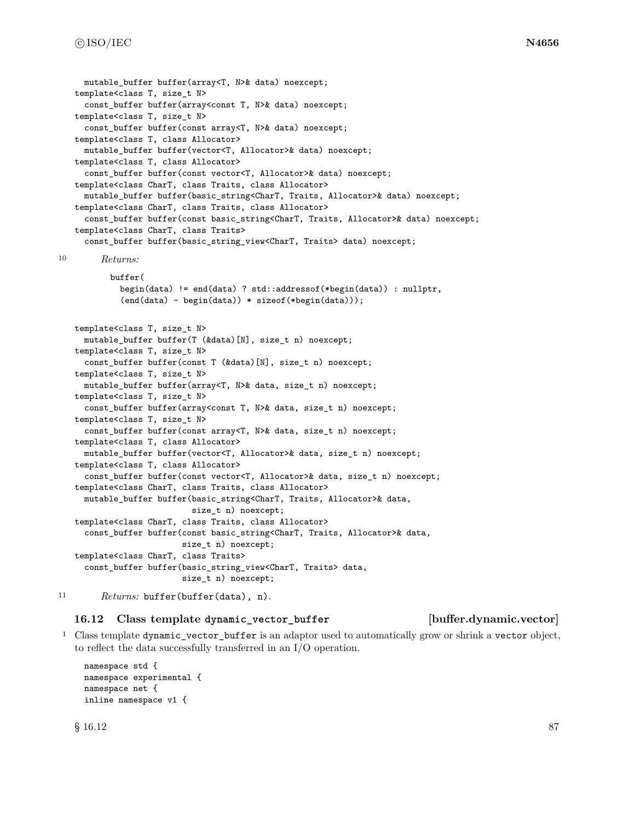```
mutable buffer buffer(array<T, N>& data) noexcept;
   template<class T, size_t N>
     const_buffer buffer(array<const T, N>& data) noexcept;
   template<class T, size_t N>
     const_buffer buffer(const array<T, N>& data) noexcept;
   template<class T, class Allocator>
     mutable_buffer buffer(vector<T, Allocator>& data) noexcept;
   template<class T, class Allocator>
     const_buffer buffer(const vector<T, Allocator>& data) noexcept;
   template<class CharT, class Traits, class Allocator>
     mutable_buffer buffer(basic_string<CharT, Traits, Allocator>& data) noexcept;
   template<class CharT, class Traits, class Allocator>
     const_buffer buffer(const basic_string<CharT, Traits, Allocator>& data) noexcept;
   template<class CharT, class Traits>
     const_buffer buffer(basic_string_view<CharT, Traits> data) noexcept;
10 Returns:
          buffer(
            begin(data) != end(data) ? std::addressof(*begin(data)) : nullptr,
            (end(data) - begin(data)) * sizeof(*begin(data)));
   template<class T, size_t N>
     mutable_buffer buffer(T (&data)[N], size_t n) noexcept;
   template<class T, size_t N>
     const_buffer buffer(const T (&data)[N], size_t n) noexcept;
   template<class T, size_t N>
     mutable_buffer buffer(array<T, N>& data, size_t n) noexcept;
   template<class T, size_t N>
     const_buffer buffer(array<const T, N>& data, size_t n) noexcept;
   template<class T, size_t N>
     const_buffer buffer(const array<T, N>& data, size_t n) noexcept;
   template<class T, class Allocator>
     mutable_buffer buffer(vector<T, Allocator>& data, size_t n) noexcept;
   template<class T, class Allocator>
     const_buffer buffer(const vector<T, Allocator>& data, size_t n) noexcept;
   template<class CharT, class Traits, class Allocator>
     mutable_buffer buffer(basic_string<CharT, Traits, Allocator>& data,
                           size_t n) noexcept;
   template<class CharT, class Traits, class Allocator>
     const_buffer buffer(const basic_string<CharT, Traits, Allocator>& data,
                         size_t n) noexcept;
   template<class CharT, class Traits>
     const buffer buffer(basic string view<CharT, Traits> data,
                         size_t n) noexcept;
```
<sup>11</sup> *Returns:* buffer(buffer(data), n).

#### **16.12 Class template dynamic\_vector\_buffer [buffer.dynamic.vector]**

<sup>1</sup> Class template dynamic\_vector\_buffer is an adaptor used to automatically grow or shrink a vector object, to reflect the data successfully transferred in an I/O operation.

```
namespace std {
namespace experimental {
namespace net {
inline namespace v1 {
```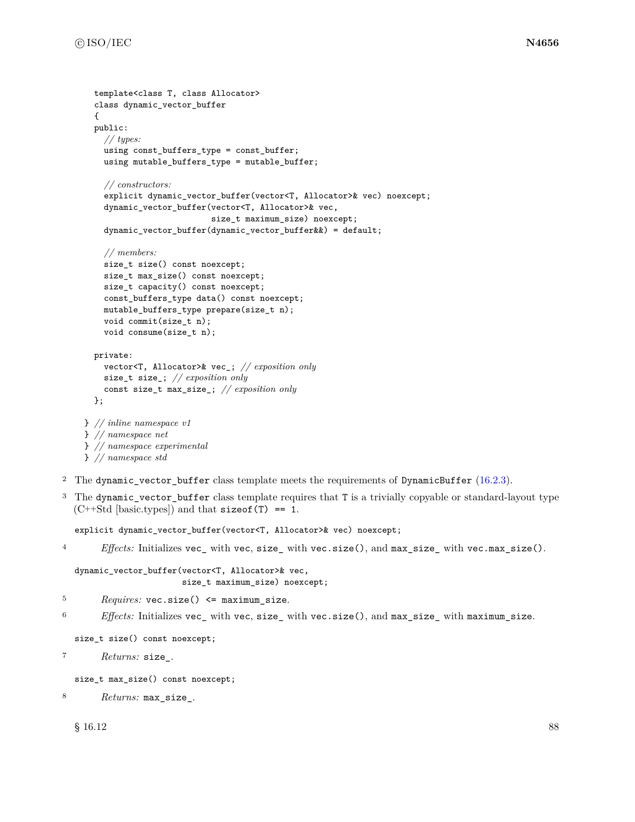```
template<class T, class Allocator>
class dynamic_vector_buffer
{
public:
  // types:
  using const_buffers_type = const_buffer;
  using mutable_buffers_type = mutable_buffer;
  // constructors:
  explicit dynamic_vector_buffer(vector<T, Allocator>& vec) noexcept;
  dynamic_vector_buffer(vector<T, Allocator>& vec,
                        size_t maximum_size) noexcept;
  dynamic_vector_buffer(dynamic_vector_buffer&&) = default;
  // members:
  size_t size() const noexcept;
  size_t max_size() const noexcept;
  size_t capacity() const noexcept;
  const_buffers_type data() const noexcept;
 mutable_buffers_type prepare(size_t n);
  void commit(size_t n);
  void consume(size_t n);
private:
  vector<T, Allocator>& vec_; // exposition only
  size_t size_; // exposition only
  const size_t max_size_; // exposition only
};
```

```
} // inline namespace v1
} // namespace net
} // namespace experimental
} // namespace std
```
- <sup>2</sup> The dynamic\_vector\_buffer class template meets the requirements of DynamicBuffer  $(16.2.3)$ .
- <sup>3</sup> The dynamic\_vector\_buffer class template requires that T is a trivially copyable or standard-layout type  $(C++Std [basic.types])$  and that size of  $(T) == 1$ .

explicit dynamic\_vector\_buffer(vector<T, Allocator>& vec) noexcept;

<sup>4</sup> *Effects:* Initializes vec\_ with vec, size\_ with vec.size(), and max\_size\_ with vec.max\_size().

```
dynamic_vector_buffer(vector<T, Allocator>& vec,
                      size_t maximum_size) noexcept;
```
- <sup>5</sup> *Requires:* vec.size() <= maximum\_size.
- <sup>6</sup> *Effects:* Initializes vec\_ with vec, size\_ with vec.size(), and max\_size\_ with maximum\_size.

```
size_t size() const noexcept;
```

```
7 Returns: size_.
```

```
size_t max_size() const noexcept;
```

```
8 Returns: max_size_.
```
 $\S$  16.12 88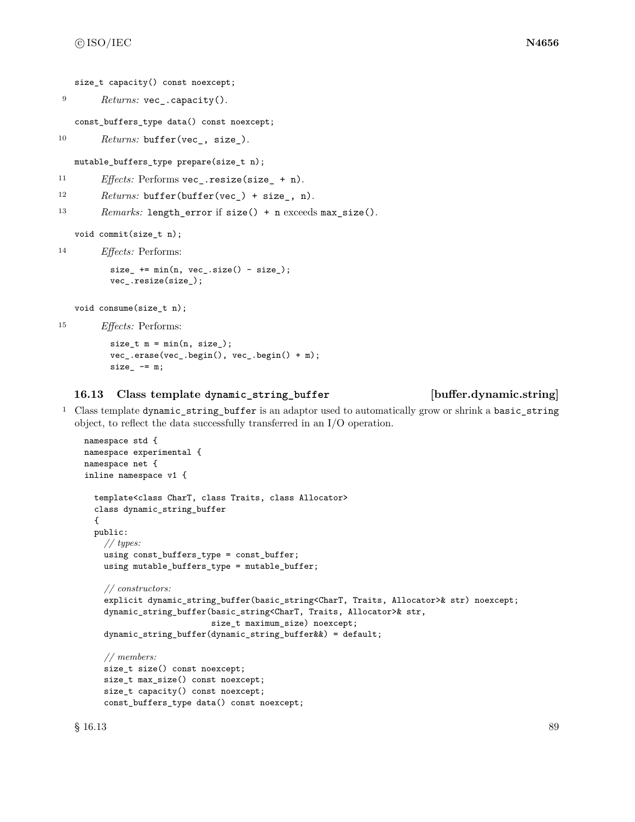```
size_t capacity() const noexcept;
```
<sup>9</sup> *Returns:* vec\_.capacity().

const\_buffers\_type data() const noexcept;

```
10 Returns: buffer(vec<sub>,</sub> size).
```
mutable\_buffers\_type prepare(size\_t n);

```
11 Effects: Performs vec_.resize(size_ + n).
```

```
12 Returns: buffer(buffer(vec_) + size_, n).
```

```
13 Remarks: length_error if size() + n exceeds max_size().
```
void commit(size\_t n);

```
14 Effects: Performs:
```

```
size_ + = min(n, vec_size() - size);vec_.resize(size_);
```
void consume(size\_t n);

```
15 Effects: Performs:
```

```
size_t m = min(n, size_{});
vec_.erase(vec_.begin(), vec_.begin() + m);
size_-= m;
```
### **16.13 Class template dynamic\_string\_buffer [buffer.dynamic.string]**

<sup>1</sup> Class template dynamic\_string\_buffer is an adaptor used to automatically grow or shrink a basic\_string object, to reflect the data successfully transferred in an I/O operation.

```
namespace std {
namespace experimental {
namespace net {
inline namespace v1 {
  template<class CharT, class Traits, class Allocator>
  class dynamic_string_buffer
  {
  public:
    // types:
    using const_buffers_type = const_buffer;
    using mutable_buffers_type = mutable_buffer;
    // constructors:
    explicit dynamic_string_buffer(basic_string<CharT, Traits, Allocator>& str) noexcept;
    dynamic_string_buffer(basic_string<CharT, Traits, Allocator>& str,
                          size_t maximum_size) noexcept;
    dynamic_string_buffer(dynamic_string_buffer&&) = default;
    // members:
    size_t size() const noexcept;
    size_t max_size() const noexcept;
    size_t capacity() const noexcept;
    const_buffers_type data() const noexcept;
```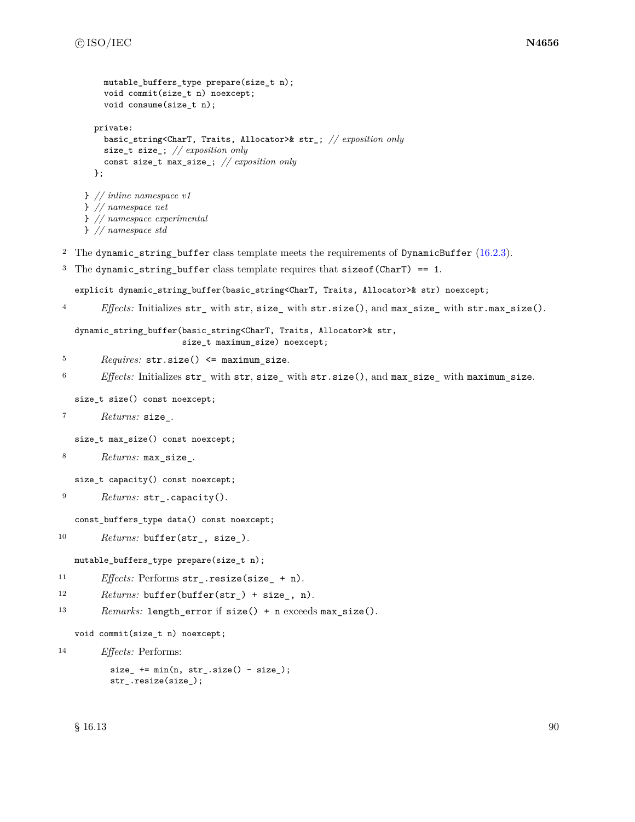```
mutable_buffers_type prepare(size_t n);
         void commit(size_t n) noexcept;
         void consume(size_t n);
       private:
         basic_string<CharT, Traits, Allocator>& str_; // exposition only
         size_t size_; // exposition only
         const size_t max_size_; // exposition only
       };
     } // inline namespace v1
     } // namespace net
     } // namespace experimental
     } // namespace std
<sup>2</sup> The dynamic_string_buffer class template meets the requirements of DynamicBuffer (16.2.3).
3 The dynamic_string_buffer class template requires that sizeof(CharT) == 1.
   explicit dynamic_string_buffer(basic_string<CharT, Traits, Allocator>& str) noexcept;
4 Effects: Initializes str_ with str, size_ with str.size(), and max_size_ with str.max_size().
   dynamic_string_buffer(basic_string<CharT, Traits, Allocator>& str,
                         size_t maximum_size) noexcept;
5 Requires: str.size() <= maximum_size.
6 Effects: Initializes str_ with str, size_ with str.size(), and max_size_ with maximum_size.
   size_t size() const noexcept;
7 Returns: size_.
   size_t max_size() const noexcept;
8 Returns: max_size_.
   size_t capacity() const noexcept;
9 Returns: str_.capacity().
   const_buffers_type data() const noexcept;
10 Returns: buffer(str<sub>_</sub>, size<sub>_</sub>).
   mutable_buffers_type prepare(size_t n);
11 Effects: Performs str_.resize(size_ + n).
12 Returns: buffer(buffer(str_) + size_, n).
13 Remarks: length_error if size() + n exceeds max_size().
   void commit(size_t n) noexcept;
14 Effects: Performs:
          size_ + = min(n, str_.size() - size_str_.resize(size_);
```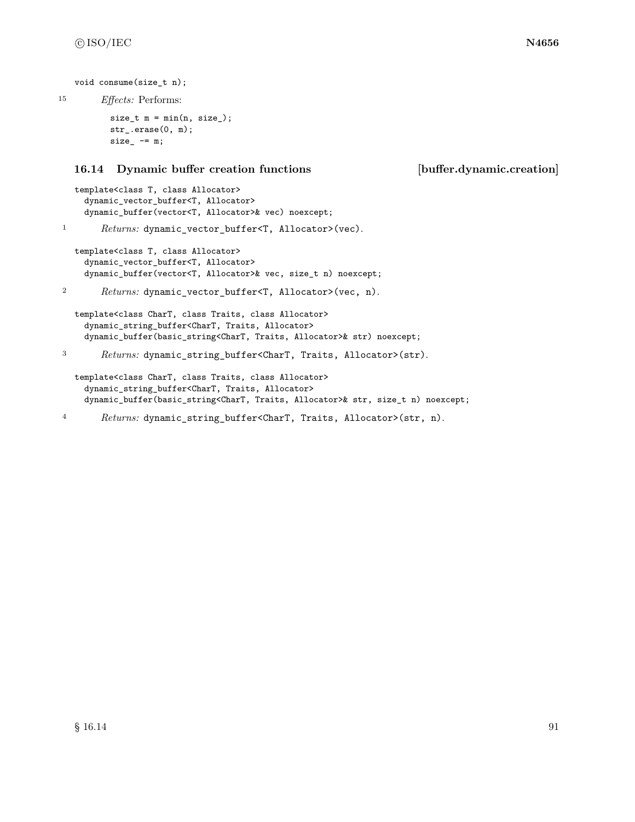```
void consume(size_t n);
```
<sup>15</sup> *Effects:* Performs:

```
size_t m = min(n, size_{});
str_.erase(0, m);
size_ -= m;
```
#### **16.14 Dynamic buffer creation functions [buffer.dynamic.creation]**

```
template<class T, class Allocator>
 dynamic_vector_buffer<T, Allocator>
 dynamic_buffer(vector<T, Allocator>& vec) noexcept;
```
1 Returns: dynamic\_vector\_buffer<T, Allocator>(vec).

```
template<class T, class Allocator>
 dynamic_vector_buffer<T, Allocator>
  dynamic_buffer(vector<T, Allocator>& vec, size_t n) noexcept;
```

```
2 Returns: dynamic_vector_buffer<T, Allocator>(vec, n).
```

```
template<class CharT, class Traits, class Allocator>
 dynamic_string_buffer<CharT, Traits, Allocator>
  dynamic_buffer(basic_string<CharT, Traits, Allocator>& str) noexcept;
```

```
3 Returns: dynamic_string_buffer<CharT, Traits, Allocator>(str).
```

```
template<class CharT, class Traits, class Allocator>
  dynamic_string_buffer<CharT, Traits, Allocator>
 dynamic_buffer(basic_string<CharT, Traits, Allocator>& str, size_t n) noexcept;
```

```
4 Returns: dynamic_string_buffer<CharT, Traits, Allocator>(str, n).
```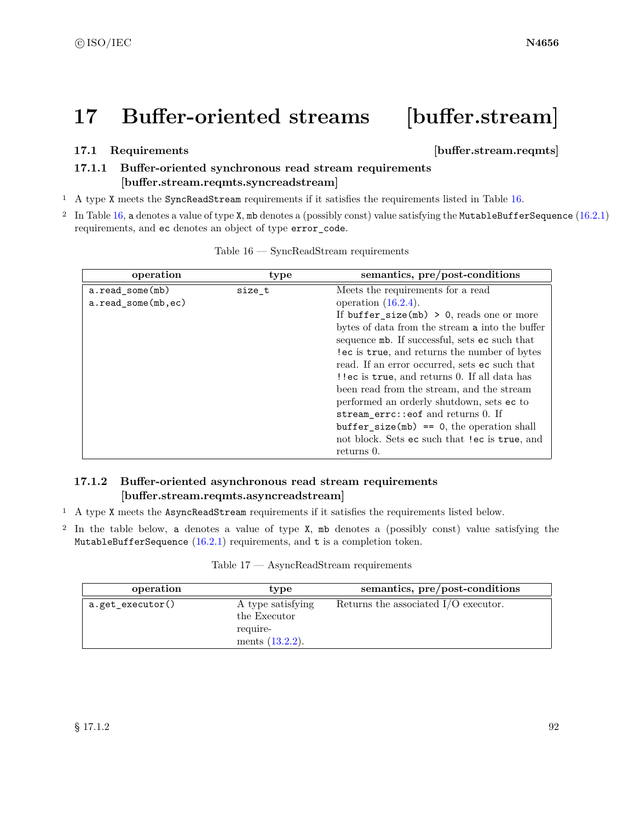# **17 Buffer-oriented streams [buffer.stream]**

## **17.1 Requirements in the set of the set of the set of the set of the set of the set of the set of the set of the set of the set of the set of the set of the set of the set of the set of the set of the set of the set of**

# <span id="page-98-1"></span>**17.1.1 Buffer-oriented synchronous read stream requirements [buffer.stream.reqmts.syncreadstream]**

- <sup>1</sup> A type X meets the SyncReadStream requirements if it satisfies the requirements listed in Table [16.](#page-98-0)
- <sup>2</sup> In Table [16,](#page-98-0) a denotes a value of type X, mb denotes a (possibly const) value satisfying the MutableBufferSequence [\(16.2.1\)](#page-84-1) requirements, and ec denotes an object of type error\_code.

<span id="page-98-0"></span>

| operation          | type   | semantics, pre/post-conditions                  |
|--------------------|--------|-------------------------------------------------|
| a.read_some(mb)    | size t | Meets the requirements for a read               |
| a.read_some(mb,ec) |        | operation $(16.2.4)$ .                          |
|                    |        | If buffer_size(mb) > 0, reads one or more       |
|                    |        | bytes of data from the stream a into the buffer |
|                    |        | sequence mb. If successful, sets ec such that   |
|                    |        | lec is true, and returns the number of bytes    |
|                    |        | read. If an error occurred, sets ec such that   |
|                    |        | !! ec is true, and returns 0. If all data has   |
|                    |        | been read from the stream, and the stream       |
|                    |        | performed an orderly shutdown, sets ec to       |
|                    |        | stream_errc::eof and returns 0. If              |
|                    |        | $buffer\_size(mb) == 0$ , the operation shall   |
|                    |        | not block. Sets ec such that !ec is true, and   |
|                    |        | returns 0.                                      |

Table 16 — SyncReadStream requirements

# <span id="page-98-2"></span>**17.1.2 Buffer-oriented asynchronous read stream requirements [buffer.stream.reqmts.asyncreadstream]**

- <sup>1</sup> A type X meets the AsyncReadStream requirements if it satisfies the requirements listed below.
- <sup>2</sup> In the table below, a denotes a value of type X, mb denotes a (possibly const) value satisfying the MutableBufferSequence  $(16.2.1)$  requirements, and t is a completion token.

|  | Table 17 |  | AsyncReadStream requirements |  |
|--|----------|--|------------------------------|--|
|--|----------|--|------------------------------|--|

| operation        | type                                                                | semantics, pre/post-conditions         |
|------------------|---------------------------------------------------------------------|----------------------------------------|
| a.get_executor() | A type satisfying<br>the Executor<br>require-<br>ments $(13.2.2)$ . | Returns the associated $I/O$ executor. |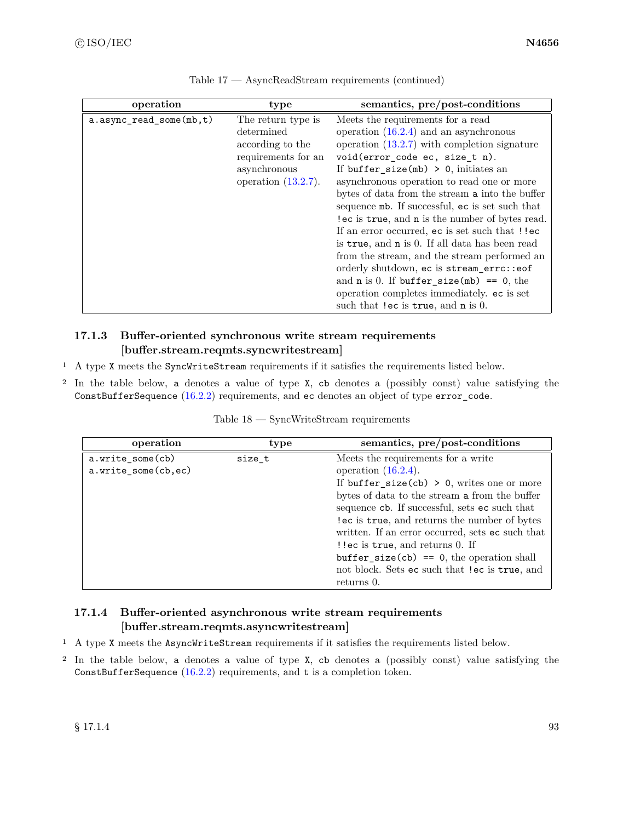| operation                  | type                                                                                                                  | semantics, pre/post-conditions                                                                                                                                                                                                                                                                                                                                                                                                                                                                                                                                                                                                                                                                                                                     |
|----------------------------|-----------------------------------------------------------------------------------------------------------------------|----------------------------------------------------------------------------------------------------------------------------------------------------------------------------------------------------------------------------------------------------------------------------------------------------------------------------------------------------------------------------------------------------------------------------------------------------------------------------------------------------------------------------------------------------------------------------------------------------------------------------------------------------------------------------------------------------------------------------------------------------|
| $a.async_read_some(mb, t)$ | The return type is<br>determined<br>according to the<br>requirements for an<br>asynchronous<br>operation $(13.2.7)$ . | Meets the requirements for a read<br>operation $(16.2.4)$ and an asynchronous<br>operation $(13.2.7)$ with completion signature<br>void(error_code ec, size_t n).<br>If buffer_size(mb) > 0, initiates an<br>asynchronous operation to read one or more<br>bytes of data from the stream a into the buffer<br>sequence mb. If successful, ec is set such that<br>lec is true, and n is the number of bytes read.<br>If an error occurred, ec is set such that !!ec<br>is true, and n is 0. If all data has been read<br>from the stream, and the stream performed an<br>orderly shutdown, ec is stream_errc::eof<br>and $n$ is 0. If buffer_size(mb) == 0, the<br>operation completes immediately. ec is set<br>such that lec is true, and n is 0. |

Table 17 — AsyncReadStream requirements (continued)

# <span id="page-99-0"></span>**17.1.3 Buffer-oriented synchronous write stream requirements [buffer.stream.reqmts.syncwritestream]**

- <sup>1</sup> A type X meets the SyncWriteStream requirements if it satisfies the requirements listed below.
- <sup>2</sup> In the table below, a denotes a value of type X, cb denotes a (possibly const) value satisfying the ConstBufferSequence [\(16.2.2\)](#page-85-1) requirements, and ec denotes an object of type error\_code.

| operation           | type   | semantics, pre/post-conditions                   |
|---------------------|--------|--------------------------------------------------|
| a.write_some(cb)    | size_t | Meets the requirements for a write               |
| a.write_some(cb,ec) |        | operation $(16.2.4)$ .                           |
|                     |        | If buffer_size(cb) > 0, writes one or more       |
|                     |        | bytes of data to the stream a from the buffer    |
|                     |        | sequence cb. If successful, sets ec such that    |
|                     |        | lec is true, and returns the number of bytes     |
|                     |        | written. If an error occurred, sets ec such that |
|                     |        | ! lec is true, and returns 0. If                 |
|                     |        | $buffer\_size(cb) == 0$ , the operation shall    |
|                     |        | not block. Sets ec such that !ec is true, and    |
|                     |        | returns 0.                                       |

Table 18 — SyncWriteStream requirements

# <span id="page-99-1"></span>**17.1.4 Buffer-oriented asynchronous write stream requirements [buffer.stream.reqmts.asyncwritestream]**

- <sup>1</sup> A type X meets the AsyncWriteStream requirements if it satisfies the requirements listed below.
- <sup>2</sup> In the table below, a denotes a value of type X, cb denotes a (possibly const) value satisfying the ConstBufferSequence  $(16.2.2)$  requirements, and t is a completion token.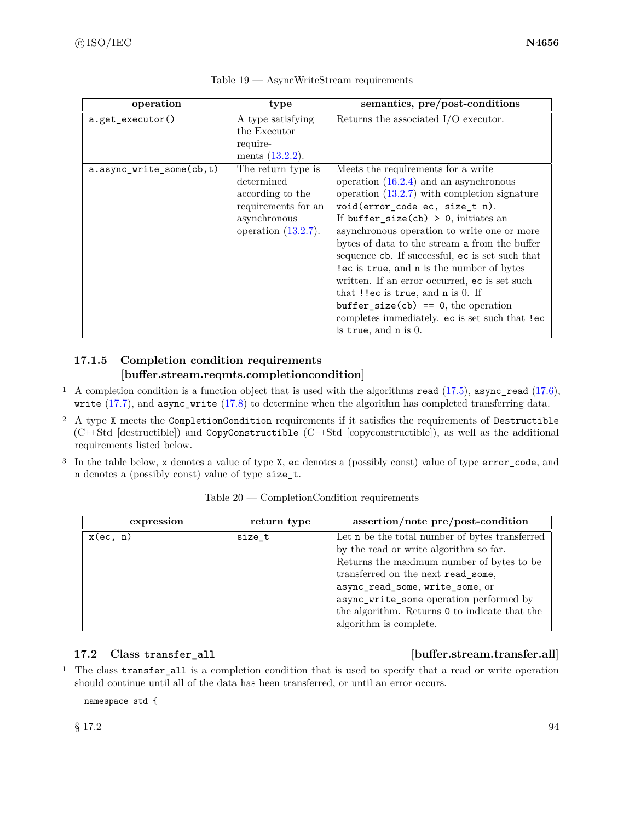| operation                | type                                                                                                                  | semantics, pre/post-conditions                                                                                                                                                                                                                                                                                                                                                                                                                                                                                                                                                                                            |
|--------------------------|-----------------------------------------------------------------------------------------------------------------------|---------------------------------------------------------------------------------------------------------------------------------------------------------------------------------------------------------------------------------------------------------------------------------------------------------------------------------------------------------------------------------------------------------------------------------------------------------------------------------------------------------------------------------------------------------------------------------------------------------------------------|
| a.get_executor()         | A type satisfying<br>the Executor<br>require-<br>ments $(13.2.2)$ .                                                   | Returns the associated $I/O$ executor.                                                                                                                                                                                                                                                                                                                                                                                                                                                                                                                                                                                    |
| a.async_write_some(cb,t) | The return type is<br>determined<br>according to the<br>requirements for an<br>asynchronous<br>operation $(13.2.7)$ . | Meets the requirements for a write<br>operation $(16.2.4)$ and an asynchronous<br>operation $(13.2.7)$ with completion signature<br>void(error_code ec, size_t n).<br>If buffer_size(cb) > 0, initiates an<br>asynchronous operation to write one or more<br>bytes of data to the stream a from the buffer<br>sequence cb. If successful, ec is set such that<br>lec is true, and n is the number of bytes<br>written. If an error occurred, ec is set such<br>that $!$ lec is true, and n is 0. If<br>$buffer\_size(cb) == 0, the operation$<br>completes immediately. ec is set such that !ec<br>is true, and $n$ is 0. |

| Table 19 - |  |  |  | AsyncWriteStream requirements |
|------------|--|--|--|-------------------------------|
|------------|--|--|--|-------------------------------|

# <span id="page-100-0"></span>**17.1.5 Completion condition requirements [buffer.stream.reqmts.completioncondition]**

- <sup>1</sup> A completion condition is a function object that is used with the algorithms read [\(17.5\)](#page-102-0), async\_read [\(17.6\)](#page-104-0), write [\(17.7\)](#page-105-0), and async\_write [\(17.8\)](#page-106-0) to determine when the algorithm has completed transferring data.
- <sup>2</sup> A type X meets the CompletionCondition requirements if it satisfies the requirements of Destructible (C++Std [destructible]) and CopyConstructible (C++Std [copyconstructible]), as well as the additional requirements listed below.
- <sup>3</sup> In the table below, x denotes a value of type X, ec denotes a (possibly const) value of type error\_code, and n denotes a (possibly const) value of type size\_t.

| expression  | return type | assertion/note pre/post-condition              |
|-------------|-------------|------------------------------------------------|
| $x$ (ec, n) | size t      | Let n be the total number of bytes transferred |
|             |             | by the read or write algorithm so far.         |
|             |             | Returns the maximum number of bytes to be      |
|             |             | transferred on the next read_some,             |
|             |             | async_read_some, write_some, or                |
|             |             | async_write_some operation performed by        |
|             |             | the algorithm. Returns 0 to indicate that the  |
|             |             | algorithm is complete.                         |

Table 20 — CompletionCondition requirements

### **17.2 Class transfer\_all [buffer.stream.transfer.all]**

<sup>1</sup> The class transfer\_all is a completion condition that is used to specify that a read or write operation should continue until all of the data has been transferred, or until an error occurs.

namespace std {

 $\S 17.2$  94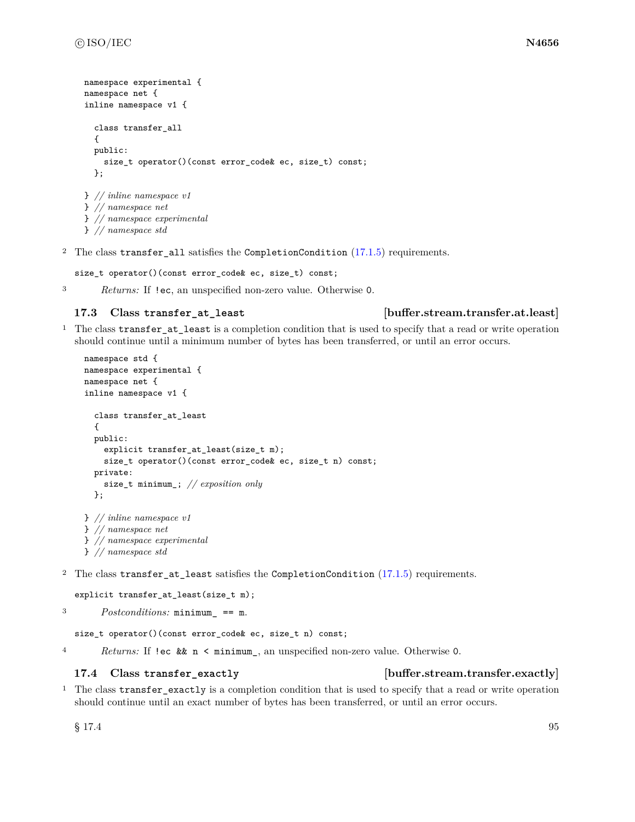```
namespace experimental {
namespace net {
inline namespace v1 {
  class transfer_all
  {
  public:
    size_t operator()(const error_code& ec, size_t) const;
  };
} // inline namespace v1
} // namespace net
} // namespace experimental
```
} *// namespace std*

<sup>2</sup> The class transfer\_all satisfies the CompletionCondition [\(17.1.5\)](#page-100-0) requirements.

size\_t operator()(const error\_code& ec, size\_t) const;

<sup>3</sup> *Returns:* If !ec, an unspecified non-zero value. Otherwise 0.

#### **17.3 Class transfer\_at\_least [buffer.stream.transfer.at.least]**

<sup>1</sup> The class transfer\_at\_least is a completion condition that is used to specify that a read or write operation should continue until a minimum number of bytes has been transferred, or until an error occurs.

```
namespace std {
namespace experimental {
namespace net {
inline namespace v1 {
  class transfer_at_least
  {
  public:
    explicit transfer_at_least(size_t m);
    size_t operator()(const error_code& ec, size_t n) const;
  private:
    size_t minimum_; // exposition only
  };
} // inline namespace v1
} // namespace net
} // namespace experimental
```

```
} // namespace std
```
<sup>2</sup> The class transfer\_at\_least satisfies the CompletionCondition [\(17.1.5\)](#page-100-0) requirements.

```
explicit transfer_at_least(size_t m);
```

```
3 Postconditions: minimum_ == m.
```
size\_t operator()(const error\_code& ec, size\_t n) const;

<sup>4</sup> *Returns:* If !ec && n < minimum\_, an unspecified non-zero value. Otherwise 0.

#### **17.4 Class transfer\_exactly [buffer.stream.transfer.exactly]**

<sup>1</sup> The class transfer\_exactly is a completion condition that is used to specify that a read or write operation should continue until an exact number of bytes has been transferred, or until an error occurs.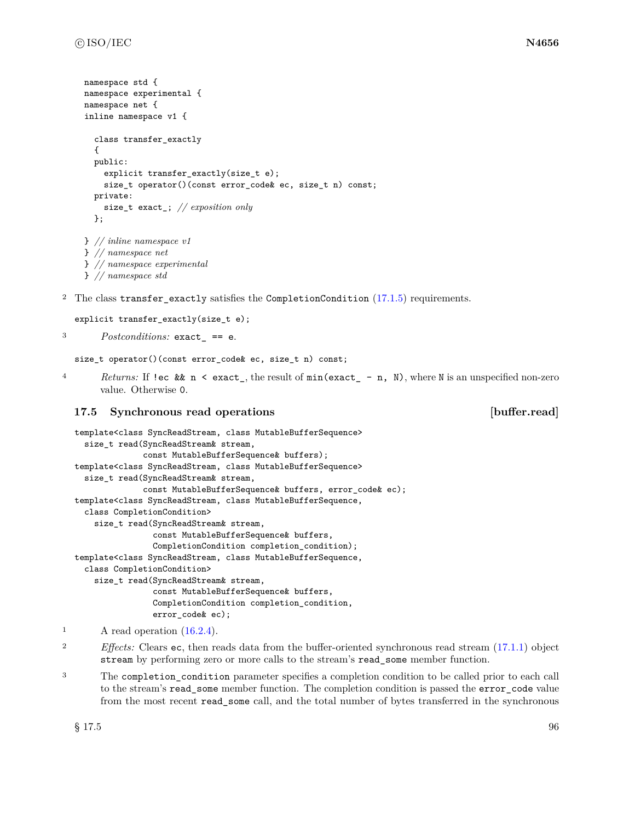```
namespace std {
namespace experimental {
namespace net {
inline namespace v1 {
  class transfer_exactly
  {
  public:
    explicit transfer_exactly(size_t e);
    size_t operator()(const error_code& ec, size_t n) const;
  private:
    size_t exact_; // exposition only
  };
} // inline namespace v1
} // namespace net
} // namespace experimental
} // namespace std
```

```
<sup>2</sup> The class transfer exactly satisfies the CompletionCondition (17.1.5) requirements.
```

```
explicit transfer_exactly(size_t e);
```
<sup>3</sup> *Postconditions:* exact\_ == e.

```
size_t operator()(const error_code& ec, size_t n) const;
```
<sup>4</sup> *Returns:* If !ec && n < exact\_, the result of min(exact\_ - n, N), where N is an unspecified non-zero value. Otherwise 0.

# <span id="page-102-0"></span>**17.5 Synchronous read operations [buffer.read]**

```
template<class SyncReadStream, class MutableBufferSequence>
  size_t read(SyncReadStream& stream,
              const MutableBufferSequence& buffers);
template<class SyncReadStream, class MutableBufferSequence>
  size_t read(SyncReadStream& stream,
              const MutableBufferSequence& buffers, error_code& ec);
template<class SyncReadStream, class MutableBufferSequence,
  class CompletionCondition>
    size_t read(SyncReadStream& stream,
                const MutableBufferSequence& buffers,
                CompletionCondition completion_condition);
template<class SyncReadStream, class MutableBufferSequence,
  class CompletionCondition>
    size_t read(SyncReadStream& stream,
                const MutableBufferSequence& buffers,
                CompletionCondition completion_condition,
                error_code& ec);
```
<sup>3</sup> The completion condition parameter specifies a completion condition to be called prior to each call to the stream's read\_some member function. The completion condition is passed the error\_code value from the most recent read\_some call, and the total number of bytes transferred in the synchronous

<sup>1</sup> A read operation [\(16.2.4\)](#page-87-0).

<sup>2</sup> *Effects:* Clears ec, then reads data from the buffer-oriented synchronous read stream [\(17.1.1\)](#page-98-1) object stream by performing zero or more calls to the stream's read\_some member function.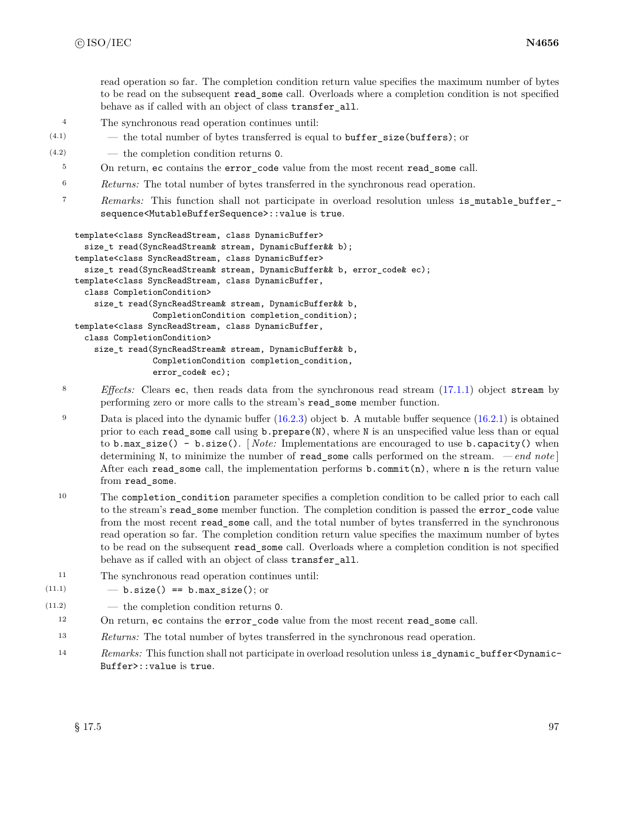read operation so far. The completion condition return value specifies the maximum number of bytes to be read on the subsequent read\_some call. Overloads where a completion condition is not specified behave as if called with an object of class transfer\_all.

- <sup>4</sup> The synchronous read operation continues until:
- $(4.1)$  the total number of bytes transferred is equal to **buffer** size (**buffers**); or
- (4.2) the completion condition returns 0.
	- <sup>5</sup> On return, ec contains the error\_code value from the most recent read\_some call.
	- <sup>6</sup> *Returns:* The total number of bytes transferred in the synchronous read operation.
	- <sup>7</sup> *Remarks:* This function shall not participate in overload resolution unless is\_mutable\_buffer\_ sequence<MutableBufferSequence>::value is true.

```
template<class SyncReadStream, class DynamicBuffer>
  size_t read(SyncReadStream& stream, DynamicBuffer&& b);
template<class SyncReadStream, class DynamicBuffer>
  size_t read(SyncReadStream& stream, DynamicBuffer&& b, error_code& ec);
template<class SyncReadStream, class DynamicBuffer,
  class CompletionCondition>
    size_t read(SyncReadStream& stream, DynamicBuffer&& b,
                CompletionCondition completion_condition);
template<class SyncReadStream, class DynamicBuffer,
  class CompletionCondition>
    size_t read(SyncReadStream& stream, DynamicBuffer&& b,
                CompletionCondition completion_condition,
                error_code& ec);
```
- <sup>8</sup> *Effects:* Clears ec, then reads data from the synchronous read stream [\(17.1.1\)](#page-98-1) object stream by performing zero or more calls to the stream's read\_some member function.
- <sup>9</sup> Data is placed into the dynamic buffer  $(16.2.3)$  object **b**. A mutable buffer sequence  $(16.2.1)$  is obtained prior to each read\_some call using b.prepare(N), where N is an unspecified value less than or equal to b.max\_size() - b.size(). [ *Note:* Implementations are encouraged to use b.capacity() when determining N, to minimize the number of read\_some calls performed on the stream. *— end note* ] After each read\_some call, the implementation performs  $b$ .commit(n), where n is the return value from read\_some.
- <sup>10</sup> The completion\_condition parameter specifies a completion condition to be called prior to each call to the stream's read some member function. The completion condition is passed the error code value from the most recent read\_some call, and the total number of bytes transferred in the synchronous read operation so far. The completion condition return value specifies the maximum number of bytes to be read on the subsequent read\_some call. Overloads where a completion condition is not specified behave as if called with an object of class transfer\_all.
- <sup>11</sup> The synchronous read operation continues until:
- $(11.1)$   $-$  b.size() == b.max\_size(); or
- (11.2) the completion condition returns 0.
	- <sup>12</sup> On return, ec contains the error\_code value from the most recent read\_some call.
	- <sup>13</sup> *Returns:* The total number of bytes transferred in the synchronous read operation.
	- 14 *Remarks:* This function shall not participate in overload resolution unless is\_dynamic\_buffer<Dynamic-Buffer>::value is true.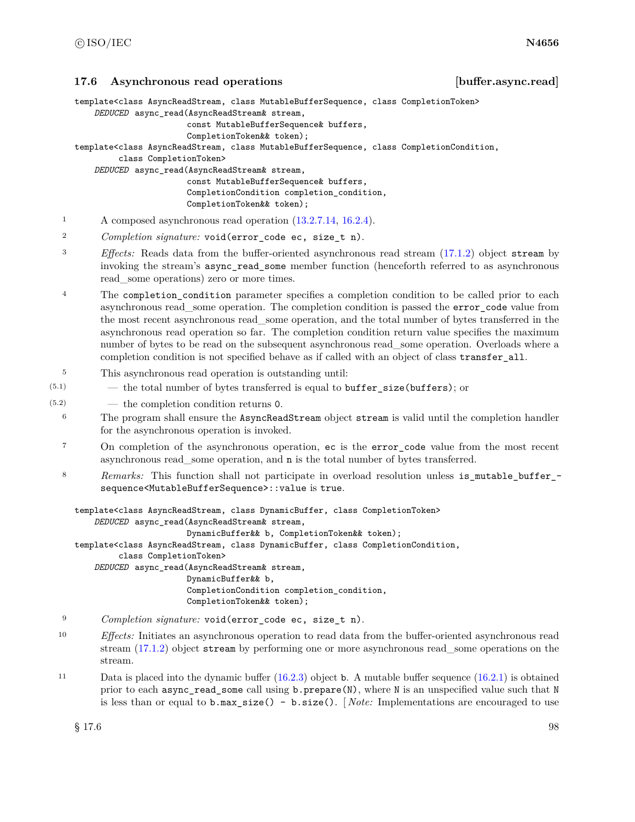<span id="page-104-0"></span>**17.6 Asynchronous read operations [buffer.async.read]**

template<class AsyncReadStream, class MutableBufferSequence, class CompletionToken>

*DEDUCED* async\_read(AsyncReadStream& stream,

```
const MutableBufferSequence& buffers,
```
CompletionToken&& token);

template<class AsyncReadStream, class MutableBufferSequence, class CompletionCondition,

class CompletionToken> *DEDUCED* async\_read(AsyncReadStream& stream,

const MutableBufferSequence& buffers, CompletionCondition completion\_condition, CompletionToken&& token);

- <sup>1</sup> A composed asynchronous read operation [\(13.2.7.14,](#page-33-0) [16.2.4\)](#page-87-0).
- <sup>2</sup> *Completion signature:* void(error\_code ec, size\_t n).
- <sup>3</sup> *Effects:* Reads data from the buffer-oriented asynchronous read stream [\(17.1.2\)](#page-98-2) object stream by invoking the stream's async\_read\_some member function (henceforth referred to as asynchronous read\_some operations) zero or more times.
- <sup>4</sup> The completion\_condition parameter specifies a completion condition to be called prior to each asynchronous read\_some operation. The completion condition is passed the error\_code value from the most recent asynchronous read\_some operation, and the total number of bytes transferred in the asynchronous read operation so far. The completion condition return value specifies the maximum number of bytes to be read on the subsequent asynchronous read—some operation. Overloads where a completion condition is not specified behave as if called with an object of class transfer\_all.
- <sup>5</sup> This asynchronous read operation is outstanding until:
- $(5.1)$  the total number of bytes transferred is equal to **buffer** size (**buffers**); or
- (5.2) the completion condition returns 0.
	- <sup>6</sup> The program shall ensure the AsyncReadStream object stream is valid until the completion handler for the asynchronous operation is invoked.
	- <sup>7</sup> On completion of the asynchronous operation, ec is the error code value from the most recent asynchronous read\_some operation, and n is the total number of bytes transferred.
	- 8 Remarks: This function shall not participate in overload resolution unless is\_mutable\_buffer\_sequence<MutableBufferSequence>::value is true.

```
template<class AsyncReadStream, class DynamicBuffer, class CompletionToken>
    DEDUCED async_read(AsyncReadStream& stream,
                       DynamicBuffer&& b, CompletionToken&& token);
template<class AsyncReadStream, class DynamicBuffer, class CompletionCondition,
         class CompletionToken>
    DEDUCED async_read(AsyncReadStream& stream,
                       DynamicBuffer&& b,
                       CompletionCondition completion_condition,
                       CompletionToken&& token);
```
- <sup>9</sup> *Completion signature:* void(error\_code ec, size\_t n).
- <sup>10</sup> *Effects:* Initiates an asynchronous operation to read data from the buffer-oriented asynchronous read stream [\(17.1.2\)](#page-98-2) object stream by performing one or more asynchronous read\_some operations on the stream.
- <sup>11</sup> Data is placed into the dynamic buffer [\(16.2.3\)](#page-86-1) object b. A mutable buffer sequence [\(16.2.1\)](#page-84-1) is obtained prior to each async\_read\_some call using b.prepare(N), where N is an unspecified value such that N is less than or equal to b.max\_size() - b.size(). [ *Note:* Implementations are encouraged to use

 $\S 17.6$  98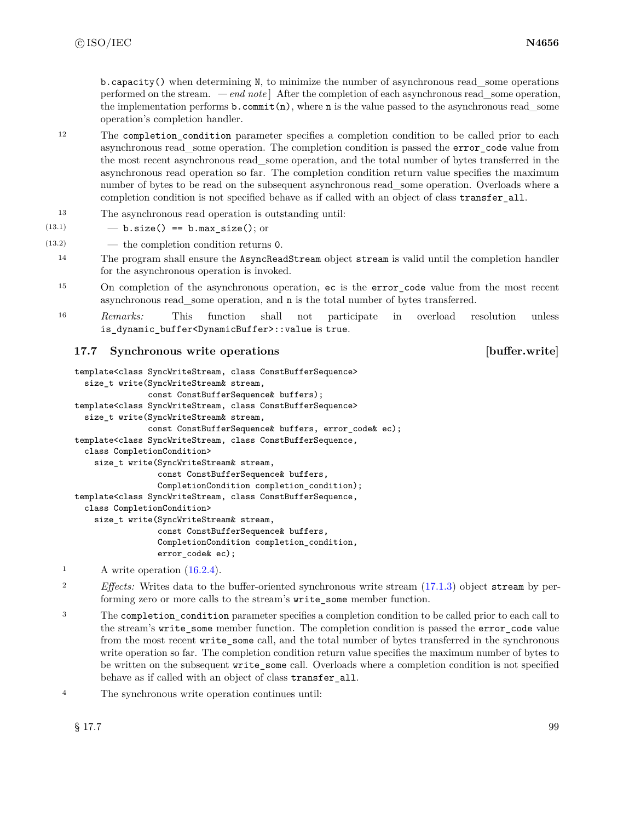$b$ .capacity() when determining N, to minimize the number of asynchronous read some operations performed on the stream. *— end note* ] After the completion of each asynchronous read\_some operation, the implementation performs  $\mathbf{b}$ . commit(n), where **n** is the value passed to the asynchronous read some operation's completion handler.

- <sup>12</sup> The completion\_condition parameter specifies a completion condition to be called prior to each asynchronous read\_some operation. The completion condition is passed the error\_code value from the most recent asynchronous read\_some operation, and the total number of bytes transferred in the asynchronous read operation so far. The completion condition return value specifies the maximum number of bytes to be read on the subsequent asynchronous read—some operation. Overloads where a completion condition is not specified behave as if called with an object of class transfer all.
- <sup>13</sup> The asynchronous read operation is outstanding until:

$$
(13.1) \t\t - b.size() == b.max_size(); or
$$

(13.2) — the completion condition returns 0.

- <sup>14</sup> The program shall ensure the AsyncReadStream object stream is valid until the completion handler for the asynchronous operation is invoked.
- <sup>15</sup> On completion of the asynchronous operation, ec is the error\_code value from the most recent asynchronous read\_some operation, and n is the total number of bytes transferred.
- <sup>16</sup> *Remarks:* This function shall not participate in overload resolution unless is\_dynamic\_buffer<DynamicBuffer>::value is true.

# <span id="page-105-0"></span>**17.7 Synchronous write operations [buffer.write]**

```
template<class SyncWriteStream, class ConstBufferSequence>
  size_t write(SyncWriteStream& stream,
               const ConstBufferSequence& buffers);
template<class SyncWriteStream, class ConstBufferSequence>
  size_t write(SyncWriteStream& stream,
               const ConstBufferSequence& buffers, error_code& ec);
template<class SyncWriteStream, class ConstBufferSequence,
  class CompletionCondition>
    size_t write(SyncWriteStream& stream,
                 const ConstBufferSequence& buffers,
                 CompletionCondition completion_condition);
template<class SyncWriteStream, class ConstBufferSequence,
  class CompletionCondition>
    size_t write(SyncWriteStream& stream,
                 const ConstBufferSequence& buffers,
                 CompletionCondition completion_condition,
                 error_code& ec);
```
- <sup>1</sup> A write operation [\(16.2.4\)](#page-87-0).
- <sup>2</sup> *Effects:* Writes data to the buffer-oriented synchronous write stream [\(17.1.3\)](#page-99-0) object stream by performing zero or more calls to the stream's write\_some member function.
- <sup>3</sup> The completion\_condition parameter specifies a completion condition to be called prior to each call to the stream's write\_some member function. The completion condition is passed the error\_code value from the most recent write some call, and the total number of bytes transferred in the synchronous write operation so far. The completion condition return value specifies the maximum number of bytes to be written on the subsequent write\_some call. Overloads where a completion condition is not specified behave as if called with an object of class transfer\_all.
- <sup>4</sup> The synchronous write operation continues until: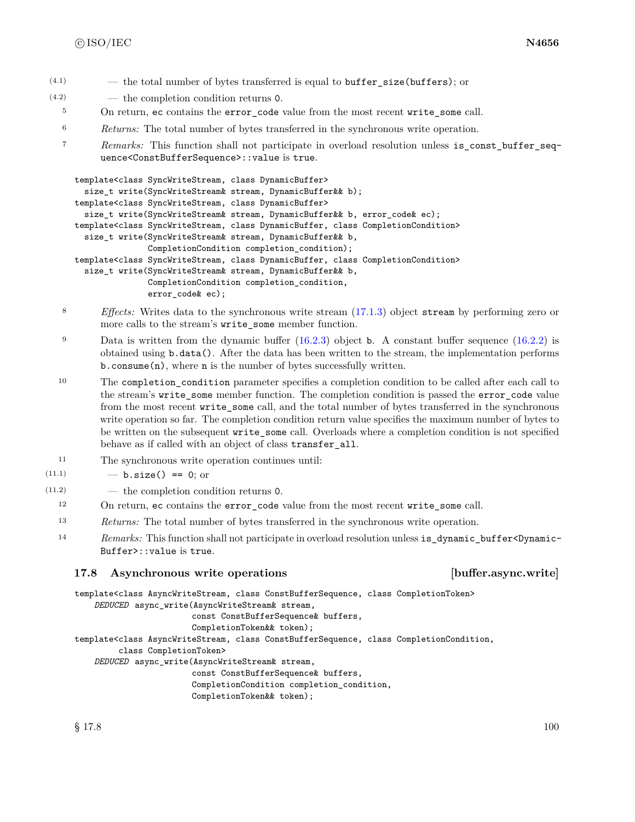- $(4.1)$  the total number of bytes transferred is equal to buffer size(buffers); or
- (4.2) the completion condition returns 0.
	- <sup>5</sup> On return, ec contains the error\_code value from the most recent write\_some call.
	- <sup>6</sup> *Returns:* The total number of bytes transferred in the synchronous write operation.
	- <sup>7</sup> *Remarks:* This function shall not participate in overload resolution unless is\_const\_buffer\_sequence<ConstBufferSequence>::value is true.

```
template<class SyncWriteStream, class DynamicBuffer>
  size_t write(SyncWriteStream& stream, DynamicBuffer&& b);
template<class SyncWriteStream, class DynamicBuffer>
  size_t write(SyncWriteStream& stream, DynamicBuffer&& b, error_code& ec);
template<class SyncWriteStream, class DynamicBuffer, class CompletionCondition>
  size_t write(SyncWriteStream& stream, DynamicBuffer&& b,
               CompletionCondition completion_condition);
template<class SyncWriteStream, class DynamicBuffer, class CompletionCondition>
  size_t write(SyncWriteStream& stream, DynamicBuffer&& b,
               CompletionCondition completion_condition,
               error_code& ec);
```
- <sup>8</sup> *Effects:* Writes data to the synchronous write stream [\(17.1.3\)](#page-99-0) object stream by performing zero or more calls to the stream's write\_some member function.
- 9 Data is written from the dynamic buffer [\(16.2.3\)](#page-86-1) object **b**. A constant buffer sequence [\(16.2.2\)](#page-85-1) is obtained using b.data(). After the data has been written to the stream, the implementation performs b.consume(n), where n is the number of bytes successfully written.

<sup>10</sup> The completion\_condition parameter specifies a completion condition to be called after each call to the stream's write\_some member function. The completion condition is passed the error\_code value from the most recent write some call, and the total number of bytes transferred in the synchronous write operation so far. The completion condition return value specifies the maximum number of bytes to be written on the subsequent write\_some call. Overloads where a completion condition is not specified behave as if called with an object of class transfer\_all.

- <sup>11</sup> The synchronous write operation continues until:
- $(11.1)$   $b.size() == 0;$  or
- (11.2) the completion condition returns 0.
	- <sup>12</sup> On return, ec contains the error\_code value from the most recent write\_some call.
	- <sup>13</sup> *Returns:* The total number of bytes transferred in the synchronous write operation.
	- <sup>14</sup> *Remarks:* This function shall not participate in overload resolution unless is\_dynamic\_buffer<Dynamic-Buffer>::value is true.

# <span id="page-106-0"></span>**17.8 Asynchronous write operations [buffer.async.write]**

template<class AsyncWriteStream, class ConstBufferSequence, class CompletionToken>

*DEDUCED* async\_write(AsyncWriteStream& stream,

const ConstBufferSequence& buffers, CompletionToken&& token);

template<class AsyncWriteStream, class ConstBufferSequence, class CompletionCondition,

```
class CompletionToken>
```
*DEDUCED* async\_write(AsyncWriteStream& stream,

const ConstBufferSequence& buffers, CompletionCondition completion\_condition,

CompletionToken&& token);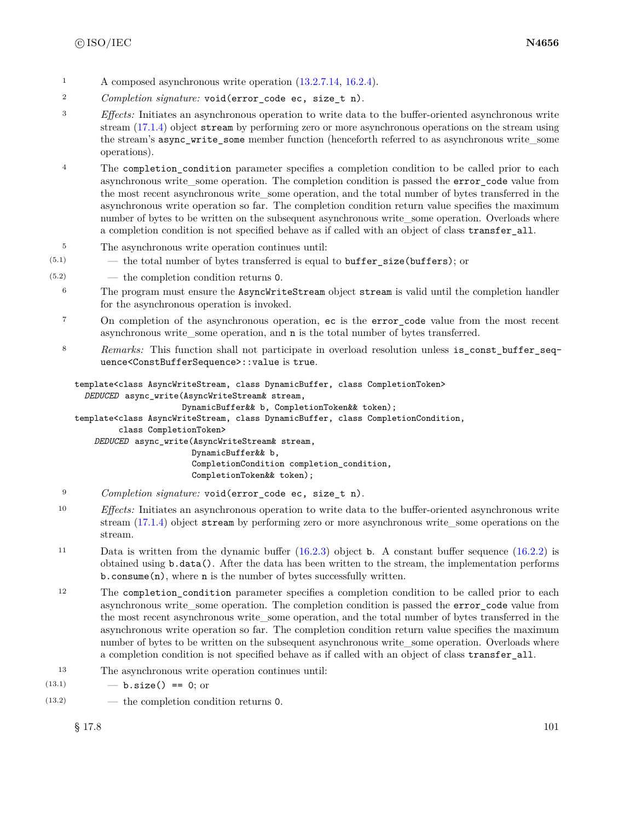- <sup>1</sup> A composed asynchronous write operation  $(13.2.7.14, 16.2.4)$  $(13.2.7.14, 16.2.4)$  $(13.2.7.14, 16.2.4)$ .
- <sup>2</sup> *Completion signature:* void(error\_code ec, size\_t n).
- <sup>3</sup> *Effects:* Initiates an asynchronous operation to write data to the buffer-oriented asynchronous write stream [\(17.1.4\)](#page-99-1) object stream by performing zero or more asynchronous operations on the stream using the stream's async\_write\_some member function (henceforth referred to as asynchronous write\_some operations).
- <sup>4</sup> The completion\_condition parameter specifies a completion condition to be called prior to each asynchronous write\_some operation. The completion condition is passed the error\_code value from the most recent asynchronous write\_some operation, and the total number of bytes transferred in the asynchronous write operation so far. The completion condition return value specifies the maximum number of bytes to be written on the subsequent asynchronous write—some operation. Overloads where a completion condition is not specified behave as if called with an object of class transfer\_all.
- <sup>5</sup> The asynchronous write operation continues until:
- $(5.1)$  the total number of bytes transferred is equal to **buffer** size (**buffers**); or
- (5.2) the completion condition returns 0.
	- <sup>6</sup> The program must ensure the AsyncWriteStream object stream is valid until the completion handler for the asynchronous operation is invoked.
	- <sup>7</sup> On completion of the asynchronous operation, ec is the error\_code value from the most recent asynchronous write\_some operation, and n is the total number of bytes transferred.
	- 8 *Remarks:* This function shall not participate in overload resolution unless is\_const\_buffer\_sequence<ConstBufferSequence>::value is true.

```
template<class AsyncWriteStream, class DynamicBuffer, class CompletionToken>
  DEDUCED async_write(AsyncWriteStream& stream,
                      DynamicBuffer&& b, CompletionToken&& token);
template<class AsyncWriteStream, class DynamicBuffer, class CompletionCondition,
         class CompletionToken>
    DEDUCED async_write(AsyncWriteStream& stream,
                        DynamicBuffer&& b,
                        CompletionCondition completion_condition,
                        CompletionToken&& token);
```
- <sup>9</sup> *Completion signature:* void(error\_code ec, size\_t n).
- <sup>10</sup> *Effects:* Initiates an asynchronous operation to write data to the buffer-oriented asynchronous write stream [\(17.1.4\)](#page-99-1) object stream by performing zero or more asynchronous write some operations on the stream.
- <sup>11</sup> Data is written from the dynamic buffer [\(16.2.3\)](#page-86-1) object b. A constant buffer sequence [\(16.2.2\)](#page-85-1) is obtained using b.data(). After the data has been written to the stream, the implementation performs b.consume(n), where n is the number of bytes successfully written.
- <sup>12</sup> The completion\_condition parameter specifies a completion condition to be called prior to each asynchronous write some operation. The completion condition is passed the error\_code value from the most recent asynchronous write some operation, and the total number of bytes transferred in the asynchronous write operation so far. The completion condition return value specifies the maximum number of bytes to be written on the subsequent asynchronous write some operation. Overloads where a completion condition is not specified behave as if called with an object of class transfer all.
- <sup>13</sup> The asynchronous write operation continues until:
- $(13.1)$   $-$  **b.size()** == 0; or
- (13.2) the completion condition returns 0.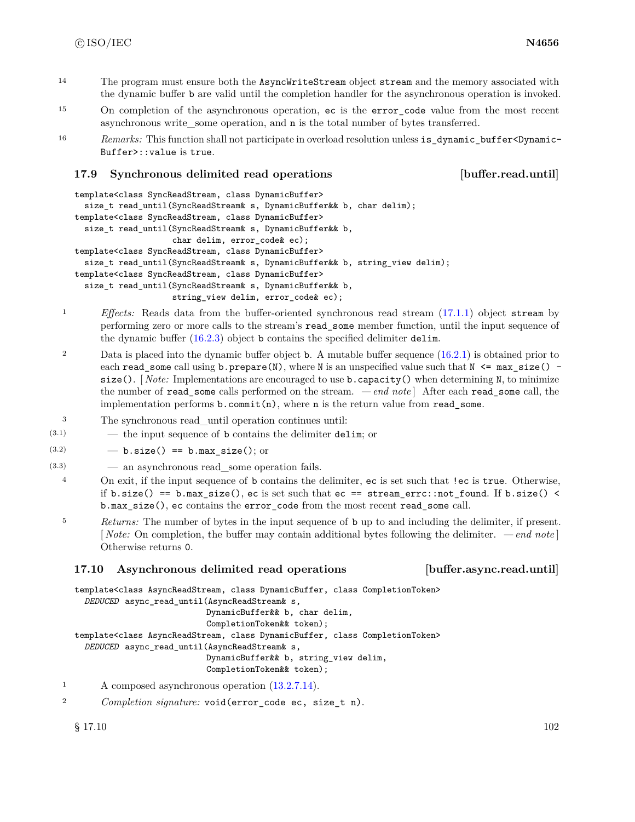- <sup>14</sup> The program must ensure both the AsyncWriteStream object stream and the memory associated with the dynamic buffer b are valid until the completion handler for the asynchronous operation is invoked.
- <sup>15</sup> On completion of the asynchronous operation, ec is the error\_code value from the most recent asynchronous write\_some operation, and n is the total number of bytes transferred.
- 16 *Remarks:* This function shall not participate in overload resolution unless is dynamic buffer<Dynamic-Buffer>::value is true.

# **17.9 Synchronous delimited read operations [buffer.read.until]**

```
template<class SyncReadStream, class DynamicBuffer>
  size_t read_until(SyncReadStream& s, DynamicBuffer&& b, char delim);
template<class SyncReadStream, class DynamicBuffer>
  size_t read_until(SyncReadStream& s, DynamicBuffer&& b,
                    char delim, error_code& ec);
template<class SyncReadStream, class DynamicBuffer>
  size_t read_until(SyncReadStream& s, DynamicBuffer&& b, string_view delim);
template<class SyncReadStream, class DynamicBuffer>
  size_t read_until(SyncReadStream& s, DynamicBuffer&& b,
                    string_view delim, error_code& ec);
```
- <sup>1</sup> *Effects:* Reads data from the buffer-oriented synchronous read stream [\(17.1.1\)](#page-98-0) object stream by performing zero or more calls to the stream's read\_some member function, until the input sequence of the dynamic buffer [\(16.2.3\)](#page-86-0) object b contains the specified delimiter delim.
- 2 Data is placed into the dynamic buffer object **b**. A mutable buffer sequence [\(16.2.1\)](#page-84-0) is obtained prior to each read\_some call using  $b$ .prepare(N), where N is an unspecified value such that N  $\leq$  max\_size() size(). *Note:* Implementations are encouraged to use **b**. capacity() when determining N, to minimize the number of read\_some calls performed on the stream. *— end note* ] After each read\_some call, the implementation performs  $b$ .commit $(n)$ , where n is the return value from read\_some.
- <sup>3</sup> The synchronous read\_until operation continues until:
- $(3.1)$  the input sequence of b contains the delimiter delim; or
- $(3.2)$   $-$  b.size() == b.max\_size(); or
- (3.3) an asynchronous read\_some operation fails.
- <sup>4</sup> On exit, if the input sequence of b contains the delimiter, ec is set such that !ec is true. Otherwise, if b.size() == b.max\_size(), ec is set such that  $ec == stream_error::not\_found$ . If b.size() < b.max\_size(), ec contains the error\_code from the most recent read\_some call.
- <sup>5</sup> *Returns:* The number of bytes in the input sequence of b up to and including the delimiter, if present. [ *Note:* On completion, the buffer may contain additional bytes following the delimiter. *— end note* ] Otherwise returns 0.

# **17.10 Asynchronous delimited read operations [buffer.async.read.until]**

template<class AsyncReadStream, class DynamicBuffer, class CompletionToken>

*DEDUCED* async\_read\_until(AsyncReadStream& s, DynamicBuffer&& b, char delim, CompletionToken&& token);

template<class AsyncReadStream, class DynamicBuffer, class CompletionToken>

*DEDUCED* async\_read\_until(AsyncReadStream& s,

DynamicBuffer&& b, string\_view delim,

CompletionToken&& token);

- <sup>1</sup> A composed asynchronous operation [\(13.2.7.14\)](#page-33-0).
- <sup>2</sup> *Completion signature:* void(error\_code ec, size\_t n).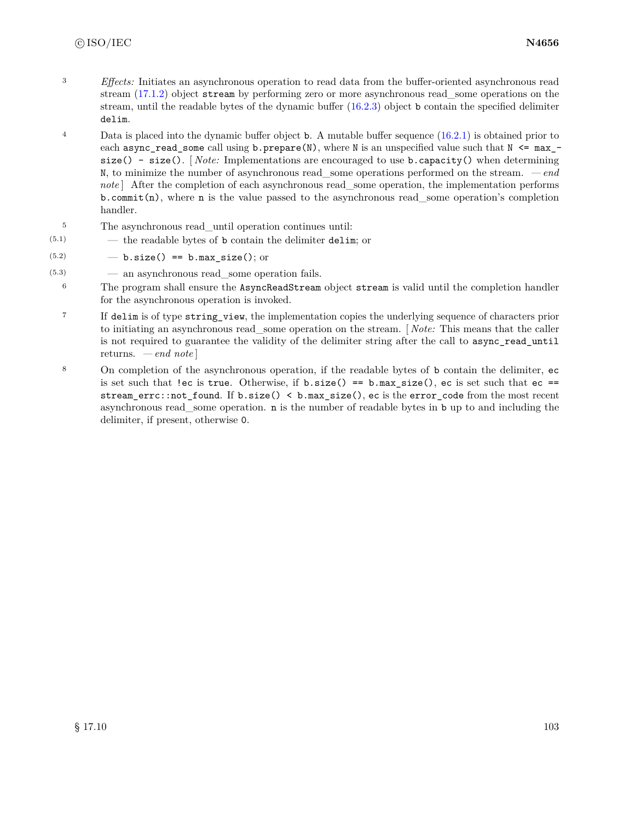- <sup>3</sup> *Effects:* Initiates an asynchronous operation to read data from the buffer-oriented asynchronous read stream [\(17.1.2\)](#page-98-1) object stream by performing zero or more asynchronous read\_some operations on the stream, until the readable bytes of the dynamic buffer [\(16.2.3\)](#page-86-0) object b contain the specified delimiter delim.
- <sup>4</sup> Data is placed into the dynamic buffer object **b**. A mutable buffer sequence [\(16.2.1\)](#page-84-0) is obtained prior to each async\_read\_some call using b.prepare(N), where N is an unspecified value such that  $N \leq max_{-}$ size() - size(). [ *Note:* Implementations are encouraged to use b.capacity() when determining N, to minimize the number of asynchronous read\_some operations performed on the stream. *— end note* | After the completion of each asynchronous read some operation, the implementation performs  $b$ .commit(n), where n is the value passed to the asynchronous read\_some operation's completion handler.
- <sup>5</sup> The asynchronous read\_until operation continues until:
- (5.1) the readable bytes of b contain the delimiter delim; or
- $(5.2)$   $-$  b.size() == b.max\_size(); or
- $(5.3)$   $\qquad$   $\qquad$  an asynchronous read some operation fails.
	- <sup>6</sup> The program shall ensure the AsyncReadStream object stream is valid until the completion handler for the asynchronous operation is invoked.
	- <sup>7</sup> If delim is of type string\_view, the implementation copies the underlying sequence of characters prior to initiating an asynchronous read\_some operation on the stream. [ *Note:* This means that the caller is not required to guarantee the validity of the delimiter string after the call to async\_read\_until returns. *— end note* ]
	- <sup>8</sup> On completion of the asynchronous operation, if the readable bytes of b contain the delimiter, ec is set such that !ec is true. Otherwise, if  $b.size() == b.max_size(), ec$  is set such that  $ec ==$ stream\_errc::not\_found. If b.size() < b.max\_size(), ec is the error\_code from the most recent asynchronous read\_some operation. n is the number of readable bytes in b up to and including the delimiter, if present, otherwise 0.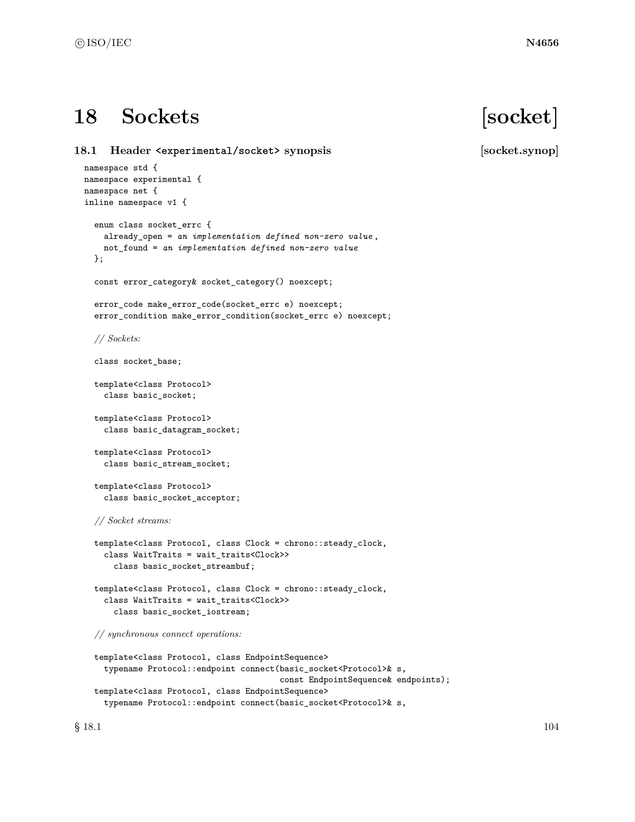# **18 Sockets [socket]**

**18.1 Header <experimental/socket> synopsis [socket.synop]** namespace std { namespace experimental { namespace net { inline namespace v1 { enum class socket\_errc { already\_open = *an implementation defined non-zero value* , not\_found = *an implementation defined non-zero value* }; const error\_category& socket\_category() noexcept; error\_code make\_error\_code(socket\_errc e) noexcept; error\_condition make\_error\_condition(socket\_errc e) noexcept; *// Sockets:* class socket\_base; template<class Protocol> class basic\_socket; template<class Protocol> class basic\_datagram\_socket; template<class Protocol> class basic\_stream\_socket; template<class Protocol> class basic\_socket\_acceptor; *// Socket streams:* template<class Protocol, class Clock = chrono::steady\_clock, class WaitTraits = wait\_traits<Clock>> class basic\_socket\_streambuf; template<class Protocol, class Clock = chrono::steady\_clock, class WaitTraits = wait\_traits<Clock>> class basic\_socket\_iostream;

*// synchronous connect operations:*

```
template<class Protocol, class EndpointSequence>
 typename Protocol::endpoint connect(basic_socket<Protocol>& s,
                                      const EndpointSequence& endpoints);
template<class Protocol, class EndpointSequence>
 typename Protocol::endpoint connect(basic_socket<Protocol>& s,
```
 $\S$  18.1 104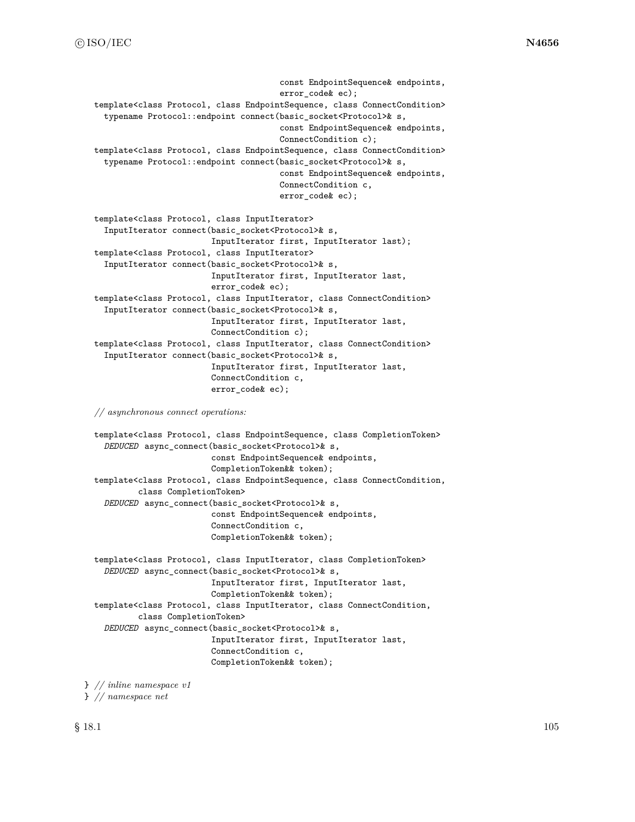```
const EndpointSequence& endpoints,
                                      error_code& ec);
template<class Protocol, class EndpointSequence, class ConnectCondition>
  typename Protocol::endpoint connect(basic_socket<Protocol>& s,
                                      const EndpointSequence& endpoints,
                                      ConnectCondition c);
template<class Protocol, class EndpointSequence, class ConnectCondition>
  typename Protocol::endpoint connect(basic_socket<Protocol>& s,
                                      const EndpointSequence& endpoints,
                                      ConnectCondition c,
                                      error_code& ec);
template<class Protocol, class InputIterator>
  InputIterator connect(basic_socket<Protocol>& s,
                        InputIterator first, InputIterator last);
template<class Protocol, class InputIterator>
  InputIterator connect(basic_socket<Protocol>& s,
                        InputIterator first, InputIterator last,
                        error_code& ec);
template<class Protocol, class InputIterator, class ConnectCondition>
  InputIterator connect(basic_socket<Protocol>& s,
                        InputIterator first, InputIterator last,
                        ConnectCondition c);
template<class Protocol, class InputIterator, class ConnectCondition>
  InputIterator connect(basic_socket<Protocol>& s,
                        InputIterator first, InputIterator last,
                        ConnectCondition c,
                        error_code& ec);
```
*// asynchronous connect operations:*

```
template<class Protocol, class EndpointSequence, class CompletionToken>
  DEDUCED async_connect(basic_socket<Protocol>& s,
                        const EndpointSequence& endpoints,
                        CompletionToken&& token);
template<class Protocol, class EndpointSequence, class ConnectCondition,
         class CompletionToken>
  DEDUCED async_connect(basic_socket<Protocol>& s,
                        const EndpointSequence& endpoints,
                        ConnectCondition c,
                        CompletionToken&& token);
template<class Protocol, class InputIterator, class CompletionToken>
  DEDUCED async_connect(basic_socket<Protocol>& s,
                        InputIterator first, InputIterator last,
                        CompletionToken&& token);
template<class Protocol, class InputIterator, class ConnectCondition,
         class CompletionToken>
  DEDUCED async_connect(basic_socket<Protocol>& s,
                        InputIterator first, InputIterator last,
                        ConnectCondition c,
                        CompletionToken&& token);
```
} *// inline namespace v1*

```
} // namespace net
```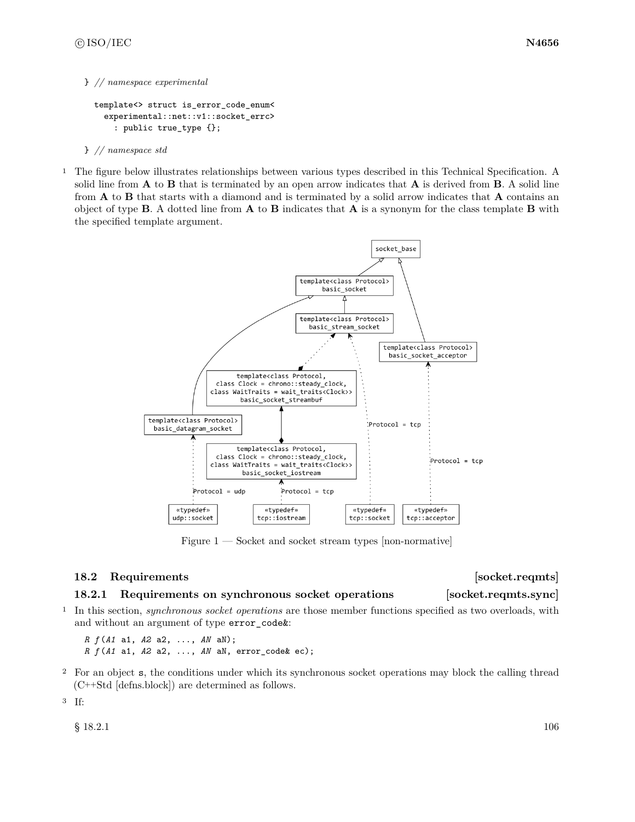### } *// namespace experimental*

```
template<> struct is_error_code_enum<
 experimental::net::v1::socket_errc>
    : public true_type {};
```
- } *// namespace std*
- <sup>1</sup> The figure below illustrates relationships between various types described in this Technical Specification. A solid line from **A** to **B** that is terminated by an open arrow indicates that **A** is derived from **B**. A solid line from **A** to **B** that starts with a diamond and is terminated by a solid arrow indicates that **A** contains an object of type **B**. A dotted line from **A** to **B** indicates that **A** is a synonym for the class template **B** with the specified template argument.



Figure  $1$  — Socket and socket stream types [non-normative]

# **18.2 Requirements issued as a set of the set of the set of the set of the set of the set of the set of the set of the set of the set of the set of the set of the set of the set of the set of the set of the set of the se**

# <span id="page-112-0"></span>**18.2.1 Requirements on synchronous socket operations [socket.reqmts.sync]**

<sup>1</sup> In this section, *synchronous socket operations* are those member functions specified as two overloads, with and without an argument of type error\_code&:

*R f* (*A1* a1, *A2* a2, ..., *AN* aN); *R f* (*A1* a1, *A2* a2, ..., *AN* aN, error\_code& ec);

<sup>2</sup> For an object s, the conditions under which its synchronous socket operations may block the calling thread (C++Std [defns.block]) are determined as follows.

<sup>3</sup> If:

 $\S$  18.2.1 106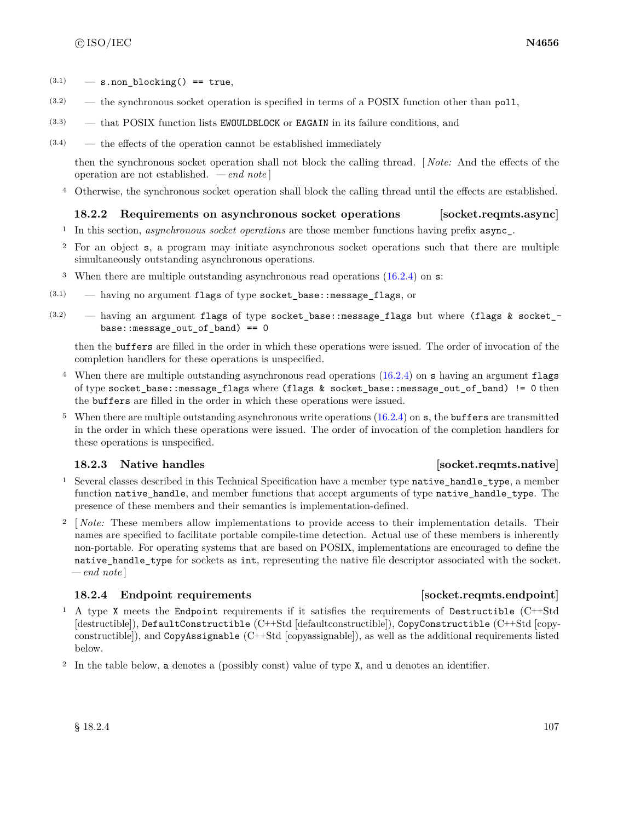- $(3.1)$  s.non blocking() == true,
- (3.2) the synchronous socket operation is specified in terms of a POSIX function other than poll,
- (3.3) that POSIX function lists EWOULDBLOCK or EAGAIN in its failure conditions, and
- $(3.4)$  the effects of the operation cannot be established immediately

then the synchronous socket operation shall not block the calling thread. [ *Note:* And the effects of the operation are not established. *— end note* ]

<sup>4</sup> Otherwise, the synchronous socket operation shall block the calling thread until the effects are established.

# **18.2.2 Requirements on asynchronous socket operations [socket.reqmts.async]**

- <sup>1</sup> In this section, *asynchronous socket operations* are those member functions having prefix async\_.
- <sup>2</sup> For an object s, a program may initiate asynchronous socket operations such that there are multiple simultaneously outstanding asynchronous operations.
- <sup>3</sup> When there are multiple outstanding asynchronous read operations  $(16.2.4)$  on s:
- (3.1) having no argument flags of type socket\_base::message\_flags, or
- $(3.2)$  having an argument flags of type socket\_base::message\_flags but where (flags & socket\_base::message\_out\_of\_band) == 0

then the buffers are filled in the order in which these operations were issued. The order of invocation of the completion handlers for these operations is unspecified.

- <sup>4</sup> When there are multiple outstanding asynchronous read operations [\(16.2.4\)](#page-87-0) on s having an argument flags of type socket\_base::message\_flags where (flags & socket\_base::message\_out\_of\_band) != 0 then the buffers are filled in the order in which these operations were issued.
- <sup>5</sup> When there are multiple outstanding asynchronous write operations [\(16.2.4\)](#page-87-0) on s, the buffers are transmitted in the order in which these operations were issued. The order of invocation of the completion handlers for these operations is unspecified.

# <span id="page-113-1"></span>**18.2.3** Native handles **in the set of the set of the set of the set of socket.reqmts.native**

- <sup>1</sup> Several classes described in this Technical Specification have a member type native handle type, a member function native handle, and member functions that accept arguments of type native handle type. The presence of these members and their semantics is implementation-defined.
- <sup>2</sup> [ *Note:* These members allow implementations to provide access to their implementation details. Their names are specified to facilitate portable compile-time detection. Actual use of these members is inherently non-portable. For operating systems that are based on POSIX, implementations are encouraged to define the native\_handle\_type for sockets as int, representing the native file descriptor associated with the socket. *— end note* ]

# <span id="page-113-0"></span>**18.2.4** Endpoint requirements **isometric isometric in the set of socket.reqmts.endpoint**

- <sup>1</sup> A type X meets the Endpoint requirements if it satisfies the requirements of Destructible (C++Std [destructible]), DefaultConstructible (C++Std [defaultconstructible]), CopyConstructible (C++Std [copyconstructible]), and CopyAssignable (C++Std [copyassignable]), as well as the additional requirements listed below.
- <sup>2</sup> In the table below, a denotes a (possibly const) value of type X, and u denotes an identifier.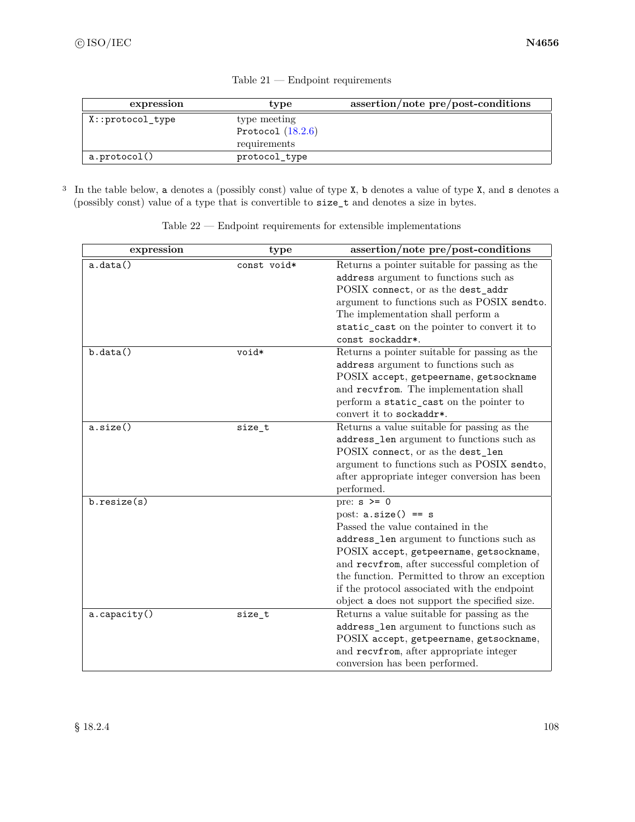| expression           | type                | assertion/note pre/post-conditions |
|----------------------|---------------------|------------------------------------|
| $X:$ : protocol_type | type meeting        |                                    |
|                      | Protocol $(18.2.6)$ |                                    |
|                      | requirements        |                                    |
| a.protocol()         | protocol_type       |                                    |

Table 21 — Endpoint requirements

<sup>3</sup> In the table below, a denotes a (possibly const) value of type X, b denotes a value of type X, and s denotes a (possibly const) value of a type that is convertible to size\_t and denotes a size in bytes.

| expression   | type        | assertion/note pre/post-conditions                    |
|--------------|-------------|-------------------------------------------------------|
| a.data()     | const void* | Returns a pointer suitable for passing as the         |
|              |             | address argument to functions such as                 |
|              |             | POSIX connect, or as the dest_addr                    |
|              |             | argument to functions such as POSIX sendto.           |
|              |             | The implementation shall perform a                    |
|              |             | static_cast on the pointer to convert it to           |
|              |             | const sockaddr*.                                      |
| b.data()     | void*       | Returns a pointer suitable for passing as the         |
|              |             | address argument to functions such as                 |
|              |             | POSIX accept, getpeername, getsockname                |
|              |             | and recvfrom. The implementation shall                |
|              |             | perform a static_cast on the pointer to               |
|              |             | convert it to sockaddr*.                              |
| a.size()     | size_t      | Returns a value suitable for passing as the           |
|              |             | $\texttt{address\_len}$ argument to functions such as |
|              |             | POSIX connect, or as the dest_len                     |
|              |             | argument to functions such as POSIX sendto,           |
|              |             | after appropriate integer conversion has been         |
|              |             | performed.                                            |
| b.resize(s)  |             | pre: $s \ge 0$                                        |
|              |             | post: $a.size() == s$                                 |
|              |             | Passed the value contained in the                     |
|              |             | address_len argument to functions such as             |
|              |             | POSIX accept, getpeername, getsockname,               |
|              |             | and recvfrom, after successful completion of          |
|              |             | the function. Permitted to throw an exception         |
|              |             | if the protocol associated with the endpoint          |
|              |             | object a does not support the specified size.         |
| a.capacity() | size_t      | Returns a value suitable for passing as the           |
|              |             | address_len argument to functions such as             |
|              |             | POSIX accept, getpeername, getsockname,               |
|              |             | and recvfrom, after appropriate integer               |
|              |             | conversion has been performed.                        |

Table 22 — Endpoint requirements for extensible implementations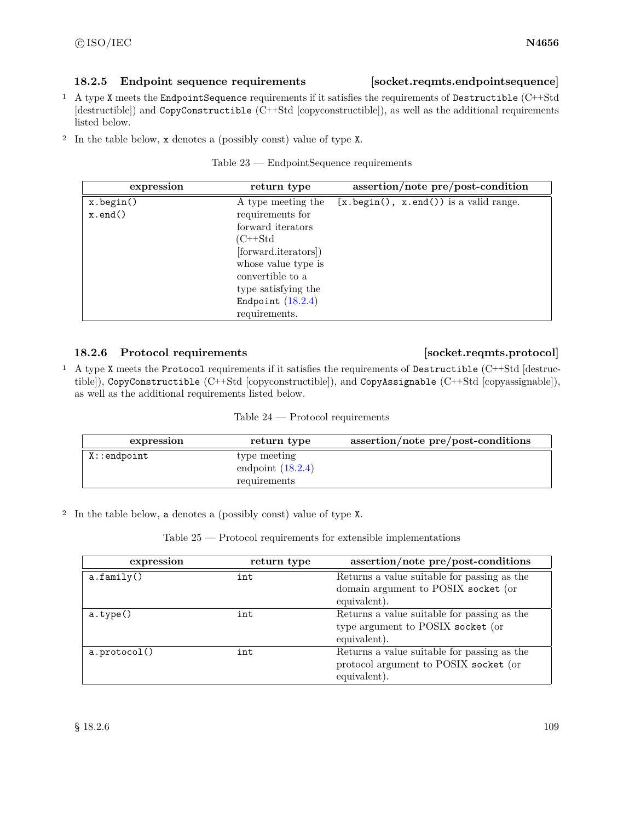# **18.2.5 Endpoint sequence requirements [socket.reqmts.endpointsequence]**

- <sup>1</sup> A type X meets the EndpointSequence requirements if it satisfies the requirements of Destructible (C++Std [destructible]) and CopyConstructible (C++Std [copyconstructible]), as well as the additional requirements listed below.
- <sup>2</sup> In the table below, x denotes a (possibly const) value of type X.

| Table $23$ - | EndpointSequence requirements |  |
|--------------|-------------------------------|--|
|--------------|-------------------------------|--|

| expression     | return type          | assertion/note pre/post-condition                     |
|----------------|----------------------|-------------------------------------------------------|
| x.begin()      | A type meeting the   | $[x.\text{begin}(), x.\text{end}()$ is a valid range. |
| $x$ . end $()$ | requirements for     |                                                       |
|                | forward iterators    |                                                       |
|                | $(C++Std$            |                                                       |
|                | [forward.iterators]) |                                                       |
|                | whose value type is  |                                                       |
|                | convertible to a     |                                                       |
|                | type satisfying the  |                                                       |
|                | Endpoint $(18.2.4)$  |                                                       |
|                | requirements.        |                                                       |

# <span id="page-115-0"></span>**18.2.6 Protocol requirements [socket.reqmts.protocol]**

<sup>1</sup> A type X meets the Protocol requirements if it satisfies the requirements of Destructible (C++Std [destructible]), CopyConstructible (C++Std [copyconstructible]), and CopyAssignable (C++Std [copyassignable]), as well as the additional requirements listed below.

| Table 24 | Protocol requirements |
|----------|-----------------------|
|----------|-----------------------|

| expression      | return type                                         | assertion/note pre/post-conditions |
|-----------------|-----------------------------------------------------|------------------------------------|
| $X:$ : endpoint | type meeting<br>endpoint $(18.2.4)$<br>requirements |                                    |

<sup>2</sup> In the table below, a denotes a (possibly const) value of type X.

Table 25 — Protocol requirements for extensible implementations

| expression   | return type | assertion/note pre/post-conditions                                                                   |
|--------------|-------------|------------------------------------------------------------------------------------------------------|
| a.family()   | int         | Returns a value suitable for passing as the<br>domain argument to POSIX socket (or<br>equivalent).   |
| a.type()     | int         | Returns a value suitable for passing as the<br>type argument to POSIX socket (or<br>equivalent).     |
| a.protocol() | int         | Returns a value suitable for passing as the<br>protocol argument to POSIX socket (or<br>equivalent). |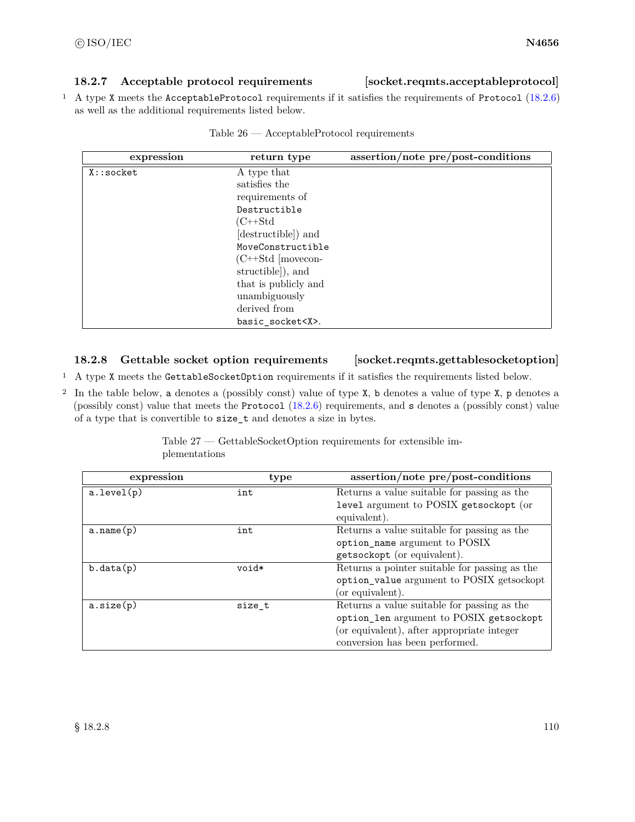# **18.2.7 Acceptable protocol requirements [socket.reqmts.acceptableprotocol]**

<sup>1</sup> A type X meets the AcceptableProtocol requirements if it satisfies the requirements of Protocol [\(18.2.6\)](#page-115-0) as well as the additional requirements listed below.

| expression  | return type                 | assertion/note pre/post-conditions |
|-------------|-----------------------------|------------------------------------|
| $X:$ socket | A type that                 |                                    |
|             | satisfies the               |                                    |
|             | requirements of             |                                    |
|             | Destructible                |                                    |
|             | $(C++Std)$                  |                                    |
|             | (destructible) and          |                                    |
|             | MoveConstructible           |                                    |
|             | $(C^{++}Std \vert movecon-$ |                                    |
|             | structible), and            |                                    |
|             | that is publicly and        |                                    |
|             | unambiguously               |                                    |
|             | derived from                |                                    |
|             | basic socket <x>.</x>       |                                    |

| Table 26 | AcceptableProtocol requirements |  |
|----------|---------------------------------|--|
|----------|---------------------------------|--|

# <span id="page-116-0"></span>**18.2.8 Gettable socket option requirements [socket.reqmts.gettablesocketoption]**

- <sup>1</sup> A type X meets the GettableSocketOption requirements if it satisfies the requirements listed below.
- <sup>2</sup> In the table below, a denotes a (possibly const) value of type X, b denotes a value of type X, p denotes a (possibly const) value that meets the Protocol [\(18.2.6\)](#page-115-0) requirements, and s denotes a (possibly const) value of a type that is convertible to size\_t and denotes a size in bytes.

| expression | type   | assertion/note pre/post-conditions            |
|------------|--------|-----------------------------------------------|
| a.level(p) | int    | Returns a value suitable for passing as the   |
|            |        | level argument to POSIX getsockopt (or        |
|            |        | equivalent).                                  |
| a.name(p)  | int    | Returns a value suitable for passing as the   |
|            |        | option_name argument to POSIX                 |
|            |        | getsockopt (or equivalent).                   |
| b.data(p)  | void*  | Returns a pointer suitable for passing as the |
|            |        | option_value argument to POSIX getsockopt     |
|            |        | (or equivalent).                              |
| a.size(p)  | size t | Returns a value suitable for passing as the   |
|            |        | option_len argument to POSIX getsockopt       |
|            |        | (or equivalent), after appropriate integer    |
|            |        | conversion has been performed.                |

Table 27 — GettableSocketOption requirements for extensible implementations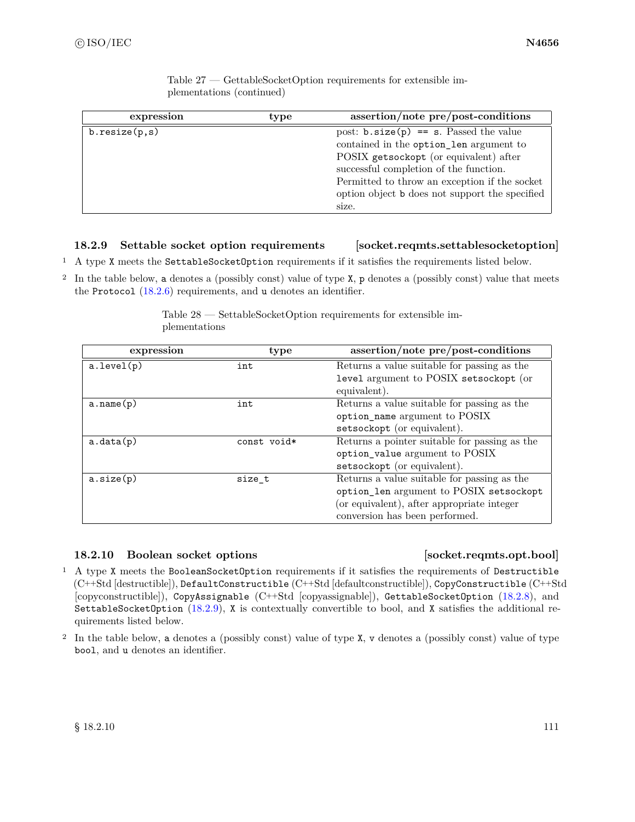| expression    | type | assertion/note pre/post-conditions             |
|---------------|------|------------------------------------------------|
| b.resize(p,s) |      | post: $b.size(p) == s$ . Passed the value      |
|               |      | contained in the option_len argument to        |
|               |      | POSIX getsockopt (or equivalent) after         |
|               |      | successful completion of the function.         |
|               |      | Permitted to throw an exception if the socket  |
|               |      | option object b does not support the specified |
|               |      | size.                                          |

Table 27 — GettableSocketOption requirements for extensible implementations (continued)

# <span id="page-117-0"></span>**18.2.9 Settable socket option requirements [socket.reqmts.settablesocketoption]**

<sup>1</sup> A type X meets the SettableSocketOption requirements if it satisfies the requirements listed below.

<sup>2</sup> In the table below, a denotes a (possibly const) value of type X, p denotes a (possibly const) value that meets the Protocol [\(18.2.6\)](#page-115-0) requirements, and u denotes an identifier.

| expression | type        | assertion/note pre/post-conditions            |
|------------|-------------|-----------------------------------------------|
| a.level(p) | int         | Returns a value suitable for passing as the   |
|            |             | level argument to POSIX setsockopt (or        |
|            |             | equivalent).                                  |
| a.name(p)  | int         | Returns a value suitable for passing as the   |
|            |             | option_name argument to POSIX                 |
|            |             | setsockopt (or equivalent).                   |
| a.data(p)  | const void* | Returns a pointer suitable for passing as the |
|            |             | option_value argument to POSIX                |
|            |             | setsockopt (or equivalent).                   |
| a.size(p)  | size_t      | Returns a value suitable for passing as the   |
|            |             | option_len argument to POSIX setsockopt       |
|            |             | (or equivalent), after appropriate integer    |
|            |             | conversion has been performed.                |

Table 28 — SettableSocketOption requirements for extensible implementations

# <span id="page-117-1"></span>**18.2.10 Boolean socket options [socket.reqmts.opt.bool]**

- <sup>1</sup> A type X meets the BooleanSocketOption requirements if it satisfies the requirements of Destructible (C++Std [destructible]), DefaultConstructible (C++Std [defaultconstructible]), CopyConstructible (C++Std [copyconstructible]), CopyAssignable (C++Std [copyassignable]), GettableSocketOption [\(18.2.8\)](#page-116-0), and SettableSocketOption  $(18.2.9)$ , X is contextually convertible to bool, and X satisfies the additional requirements listed below.
- <sup>2</sup> In the table below, a denotes a (possibly const) value of type X, v denotes a (possibly const) value of type bool, and u denotes an identifier.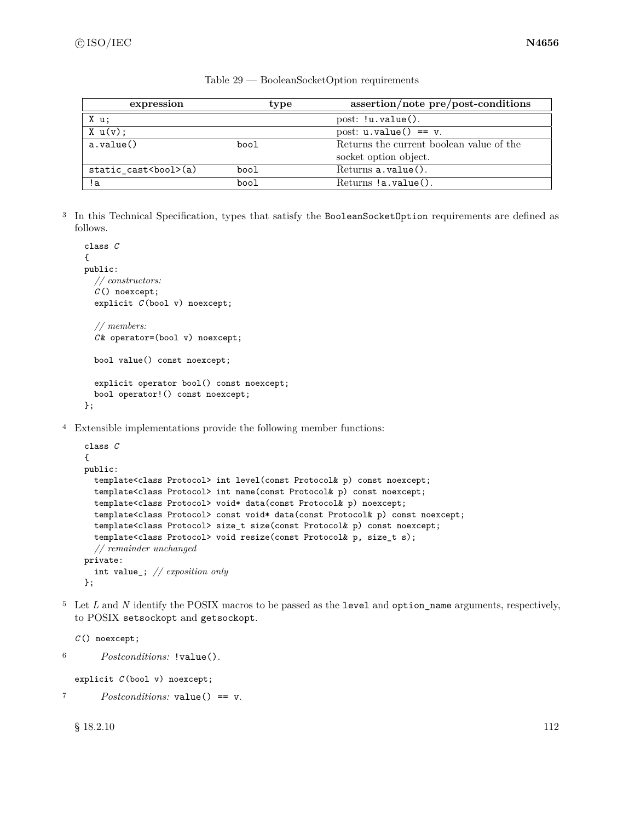| expression              | type | assertion/note pre/post-conditions       |  |
|-------------------------|------|------------------------------------------|--|
| X u;                    |      | $post: !u.value()$ .                     |  |
| $X \cup (v)$ :          |      | post: $u.value() == v.$                  |  |
| a.value()               | bool | Returns the current boolean value of the |  |
|                         |      | socket option object.                    |  |
| static cast<br>bool>(a) | bool | $Returns a.value()$ .                    |  |
| !a                      | bool | $Returns !a.value()$ .                   |  |

Table 29 — BooleanSocketOption requirements

<sup>3</sup> In this Technical Specification, types that satisfy the BooleanSocketOption requirements are defined as follows.

```
class C
{
public:
  // constructors:
  C () noexcept;
  explicit C (bool v) noexcept;
  // members:
  C & operator=(bool v) noexcept;
  bool value() const noexcept;
  explicit operator bool() const noexcept;
  bool operator!() const noexcept;
};
```
<sup>4</sup> Extensible implementations provide the following member functions:

```
class C
{
public:
  template<class Protocol> int level(const Protocol& p) const noexcept;
  template<class Protocol> int name(const Protocol& p) const noexcept;
  template<class Protocol> void* data(const Protocol& p) noexcept;
  template<class Protocol> const void* data(const Protocol& p) const noexcept;
  template<class Protocol> size_t size(const Protocol& p) const noexcept;
  template<class Protocol> void resize(const Protocol& p, size_t s);
  // remainder unchanged
private:
  int value_; // exposition only
};
```
<sup>5</sup> Let *L* and *N* identify the POSIX macros to be passed as the level and option\_name arguments, respectively, to POSIX setsockopt and getsockopt.

```
C () noexcept;
6 Postconditions: !value().
  explicit C (bool v) noexcept;
```

```
7 Postconditions: value() == v.
```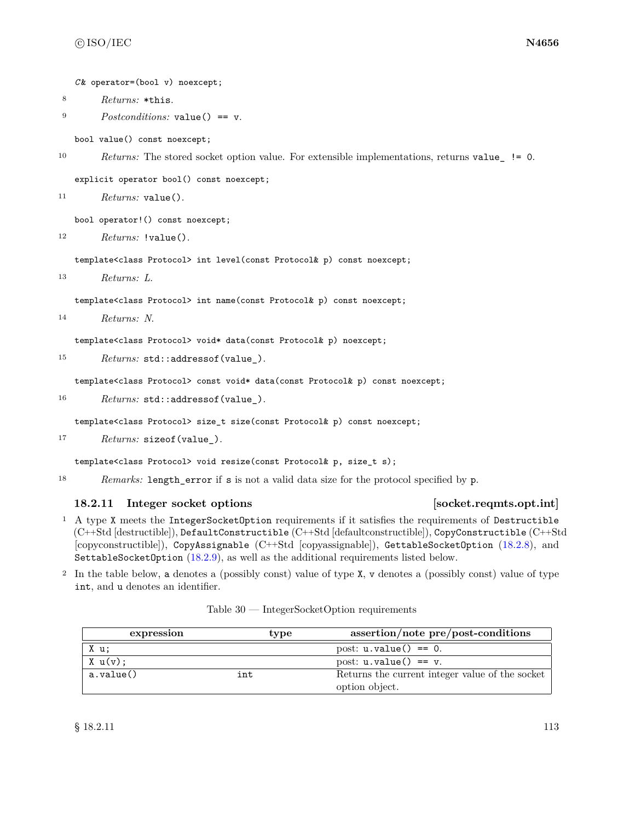*C* & operator=(bool v) noexcept;

- <sup>8</sup> *Returns:* \*this.
- <sup>9</sup> *Postconditions:* value() == v.

bool value() const noexcept;

```
10 Returns: The stored socket option value. For extensible implementations, returns value_ != 0.
```
explicit operator bool() const noexcept;

```
11 Returns: value().
```
bool operator!() const noexcept;

```
12 Returns: !value().
```
template<class Protocol> int level(const Protocol& p) const noexcept;

<sup>13</sup> *Returns: L*.

template<class Protocol> int name(const Protocol& p) const noexcept;

```
14 Returns: N.
```
template<class Protocol> void\* data(const Protocol& p) noexcept;

15 *Returns:* std::addressof(value\_).

template<class Protocol> const void\* data(const Protocol& p) const noexcept;

16 *Returns:* std::addressof(value\_).

template<class Protocol> size\_t size(const Protocol& p) const noexcept;

<sup>17</sup> *Returns:* sizeof(value\_).

template<class Protocol> void resize(const Protocol& p, size\_t s);

<sup>18</sup> *Remarks:* length\_error if s is not a valid data size for the protocol specified by p.

### <span id="page-119-0"></span>**18.2.11 Integer socket options [socket.reqmts.opt.int]**

- <sup>1</sup> A type X meets the IntegerSocketOption requirements if it satisfies the requirements of Destructible (C++Std [destructible]), DefaultConstructible (C++Std [defaultconstructible]), CopyConstructible (C++Std [copyconstructible]), CopyAssignable (C++Std [copyassignable]), GettableSocketOption [\(18.2.8\)](#page-116-0), and SettableSocketOption [\(18.2.9\)](#page-117-0), as well as the additional requirements listed below.
- <sup>2</sup> In the table below, a denotes a (possibly const) value of type X, v denotes a (possibly const) value of type int, and u denotes an identifier.

| expression     | type | assertion/note pre/post-conditions              |
|----------------|------|-------------------------------------------------|
| X u;           |      | post: $u.\text{value}() == 0.$                  |
| $X \cup (v)$ : |      | post: $u.\text{value}() == v.$                  |
| a.value()      | int  | Returns the current integer value of the socket |
|                |      | option object.                                  |

Table 30 — IntegerSocketOption requirements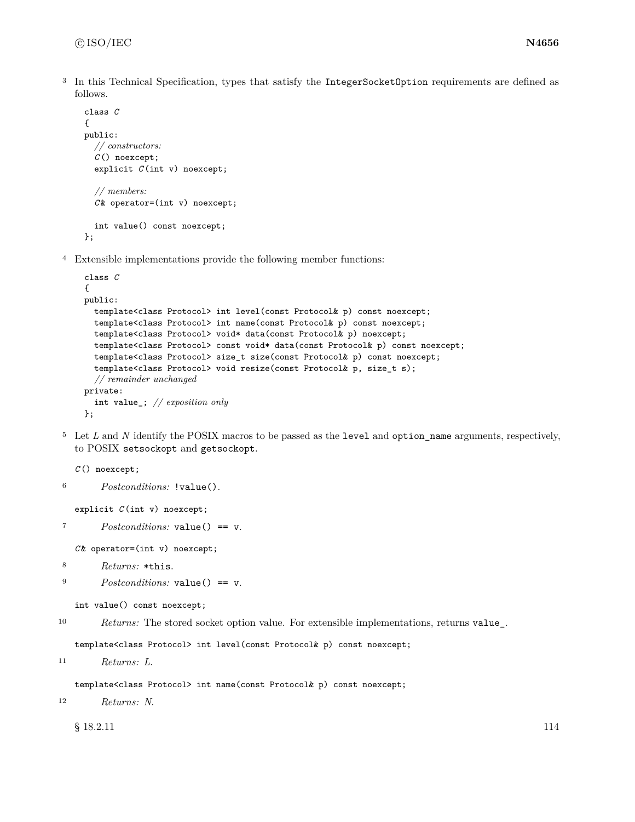<sup>3</sup> In this Technical Specification, types that satisfy the IntegerSocketOption requirements are defined as follows.

```
class C
{
public:
  // constructors:
  C () noexcept;
  explicit C (int v) noexcept;
  // members:
  C & operator=(int v) noexcept;
  int value() const noexcept;
};
```
<sup>4</sup> Extensible implementations provide the following member functions:

```
class C
{
public:
  template<class Protocol> int level(const Protocol& p) const noexcept;
  template<class Protocol> int name(const Protocol& p) const noexcept;
  template<class Protocol> void* data(const Protocol& p) noexcept;
  template<class Protocol> const void* data(const Protocol& p) const noexcept;
  template<class Protocol> size_t size(const Protocol& p) const noexcept;
  template<class Protocol> void resize(const Protocol& p, size_t s);
  // remainder unchanged
private:
  int value_; // exposition only
};
```
<sup>5</sup> Let *L* and *N* identify the POSIX macros to be passed as the level and option\_name arguments, respectively, to POSIX setsockopt and getsockopt.

*C* () noexcept;

```
6 Postconditions: !value().
```

```
explicit C (int v) noexcept;
```

```
7 Postconditions: value() == v.
```
*C* & operator=(int v) noexcept;

- <sup>8</sup> *Returns:* \*this.
- <sup>9</sup> *Postconditions:* value() == v.

```
int value() const noexcept;
```
<sup>10</sup> *Returns:* The stored socket option value. For extensible implementations, returns value\_.

template<class Protocol> int level(const Protocol& p) const noexcept;

```
11 Returns: L.
```
template<class Protocol> int name(const Protocol& p) const noexcept;

```
12 Returns: N.
```
 $\S$  18.2.11 114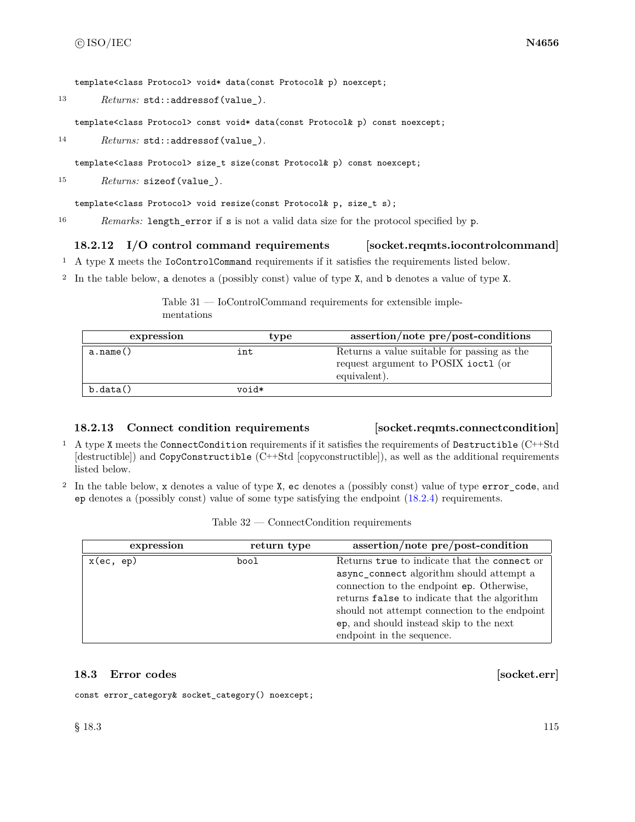template<class Protocol> void\* data(const Protocol& p) noexcept;

13 *Returns:* std::addressof(value\_).

template<class Protocol> const void\* data(const Protocol& p) const noexcept;

14 *Returns:* std::addressof(value\_).

template<class Protocol> size\_t size(const Protocol& p) const noexcept;

<sup>15</sup> *Returns:* sizeof(value\_).

template<class Protocol> void resize(const Protocol& p, size\_t s);

<sup>16</sup> *Remarks:* length\_error if s is not a valid data size for the protocol specified by p.

# **18.2.12 I/O control command requirements [socket.reqmts.iocontrolcommand]**

- <sup>1</sup> A type X meets the IoControlCommand requirements if it satisfies the requirements listed below.
- <sup>2</sup> In the table below, a denotes a (possibly const) value of type X, and b denotes a value of type X.

Table 31 — IoControlCommand requirements for extensible implementations

| expression | type  | assertion/note pre/post-conditions                                                                 |
|------------|-------|----------------------------------------------------------------------------------------------------|
| a.name()   | int   | Returns a value suitable for passing as the<br>request argument to POSIX ioctl (or<br>equivalent). |
| b.data()   | *biov |                                                                                                    |

### **18.2.13 Connect condition requirements [socket.reqmts.connectcondition]**

- <sup>1</sup> A type X meets the ConnectCondition requirements if it satisfies the requirements of Destructible (C++Std [destructible]) and CopyConstructible (C++Std [copyconstructible]), as well as the additional requirements listed below.
- <sup>2</sup> In the table below, x denotes a value of type X, ec denotes a (possibly const) value of type error\_code, and ep denotes a (possibly const) value of some type satisfying the endpoint [\(18.2.4\)](#page-113-0) requirements.

| Table $32 -$<br>$\sim$ Connect Condition requirements |  |
|-------------------------------------------------------|--|
|-------------------------------------------------------|--|

| return type<br>expression | assertion/note pre/post-condition                                                                                                                                                                                                                                                                              |
|---------------------------|----------------------------------------------------------------------------------------------------------------------------------------------------------------------------------------------------------------------------------------------------------------------------------------------------------------|
| $x$ (ec, ep)<br>bool      | Returns true to indicate that the connect or<br>async_connect algorithm should attempt a<br>connection to the endpoint ep. Otherwise,<br>returns false to indicate that the algorithm<br>should not attempt connection to the endpoint<br>ep, and should instead skip to the next<br>endpoint in the sequence. |

# **18.3 Error codes** [socket.err]

const error\_category& socket\_category() noexcept;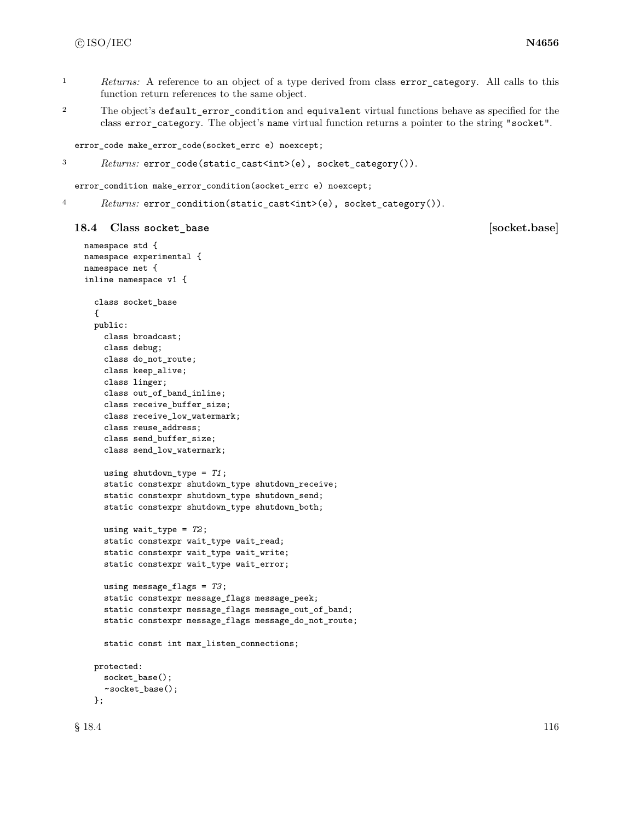- <sup>1</sup> *Returns:* A reference to an object of a type derived from class error\_category. All calls to this function return references to the same object.
- <sup>2</sup> The object's default\_error\_condition and equivalent virtual functions behave as specified for the class error\_category. The object's name virtual function returns a pointer to the string "socket".

error\_code make\_error\_code(socket\_errc e) noexcept;

```
3 Returns: error_code(static_cast<int>(e), socket_category()).
```
error\_condition make\_error\_condition(socket\_errc e) noexcept;

4 Returns: error\_condition(static\_cast<int>(e), socket\_category()).

### **18.4 Class socket\_base [socket.base]**

```
namespace std {
namespace experimental {
namespace net {
inline namespace v1 {
  class socket_base
  {
 public:
    class broadcast;
    class debug;
   class do_not_route;
    class keep_alive;
    class linger;
    class out_of_band_inline;
    class receive_buffer_size;
    class receive_low_watermark;
    class reuse_address;
    class send_buffer_size;
    class send_low_watermark;
    using shutdown_type = T1;
    static constexpr shutdown_type shutdown_receive;
    static constexpr shutdown_type shutdown_send;
    static constexpr shutdown_type shutdown_both;
    using wait_type = T2;
    static constexpr wait_type wait_read;
    static constexpr wait_type wait_write;
    static constexpr wait_type wait_error;
    using message_flags = T3;
    static constexpr message_flags message_peek;
    static constexpr message_flags message_out_of_band;
    static constexpr message_flags message_do_not_route;
    static const int max_listen_connections;
  protected:
    socket_base();
    ~socket_base();
  };
```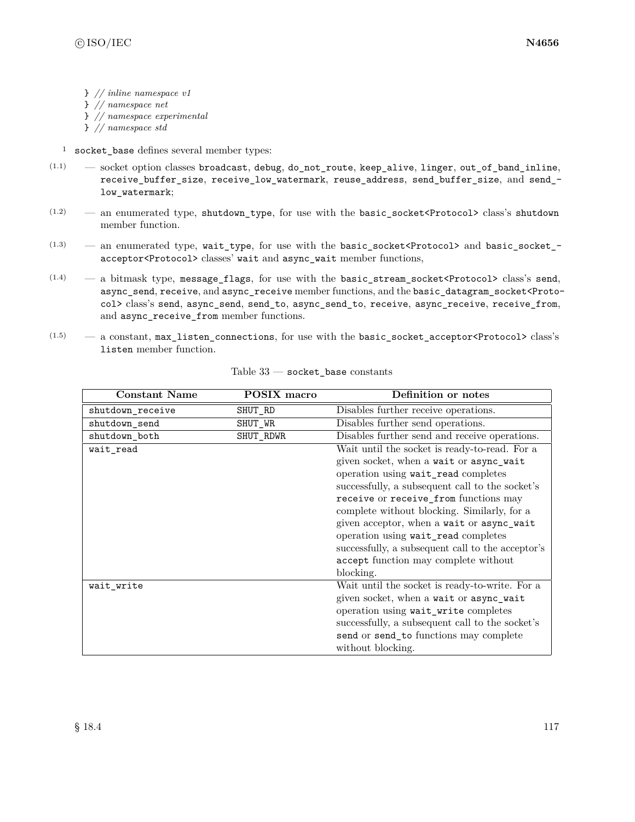- } *// inline namespace v1*
- } *// namespace net*
- } *// namespace experimental*
- } *// namespace std*
- <sup>1</sup> socket\_base defines several member types:
- $(1.1)$  socket option classes broadcast, debug, do\_not\_route, keep\_alive, linger, out\_of\_band\_inline, receive\_buffer\_size, receive\_low\_watermark, reuse\_address, send\_buffer\_size, and send\_ low\_watermark;
- $(1.2)$  an enumerated type, shutdown\_type, for use with the basic\_socket<Protocol> class's shutdown member function.
- $(1.3)$  an enumerated type, wait\_type, for use with the basic\_socket<Protocol> and basic\_socket\_acceptor<Protocol> classes' wait and async\_wait member functions,
- $(1.4)$  a bitmask type, message flags, for use with the basic stream\_socket<Protocol> class's send, async\_send, receive, and async\_receive member functions, and the basic\_datagram\_socket<Protocol> class's send, async\_send, send\_to, async\_send\_to, receive, async\_receive, receive\_from, and async\_receive\_from member functions.
- $(1.5)$  a constant, max\_listen\_connections, for use with the basic\_socket\_acceptor<Protocol>class's listen member function.

| <b>Constant Name</b> | <b>POSIX</b> macro | Definition or notes                               |
|----------------------|--------------------|---------------------------------------------------|
| shutdown_receive     | SHUT_RD            | Disables further receive operations.              |
| shutdown_send        | SHUT_WR            | Disables further send operations.                 |
| shutdown_both        | SHUT_RDWR          | Disables further send and receive operations.     |
| wait_read            |                    | Wait until the socket is ready-to-read. For a     |
|                      |                    | given socket, when a wait or async_wait           |
|                      |                    | operation using wait_read completes               |
|                      |                    | successfully, a subsequent call to the socket's   |
|                      |                    | receive or receive_from functions may             |
|                      |                    | complete without blocking. Similarly, for a       |
|                      |                    | given acceptor, when a wait or async_wait         |
|                      |                    | operation using wait_read completes               |
|                      |                    | successfully, a subsequent call to the acceptor's |
|                      |                    | accept function may complete without              |
|                      |                    | blocking.                                         |
| wait write           |                    | Wait until the socket is ready-to-write. For a    |
|                      |                    | given socket, when a wait or async_wait           |
|                      |                    | operation using wait_write completes              |
|                      |                    | successfully, a subsequent call to the socket's   |
|                      |                    | send or send_to functions may complete            |
|                      |                    | without blocking.                                 |

| Table 33 |  |  | socket base constants |
|----------|--|--|-----------------------|
|----------|--|--|-----------------------|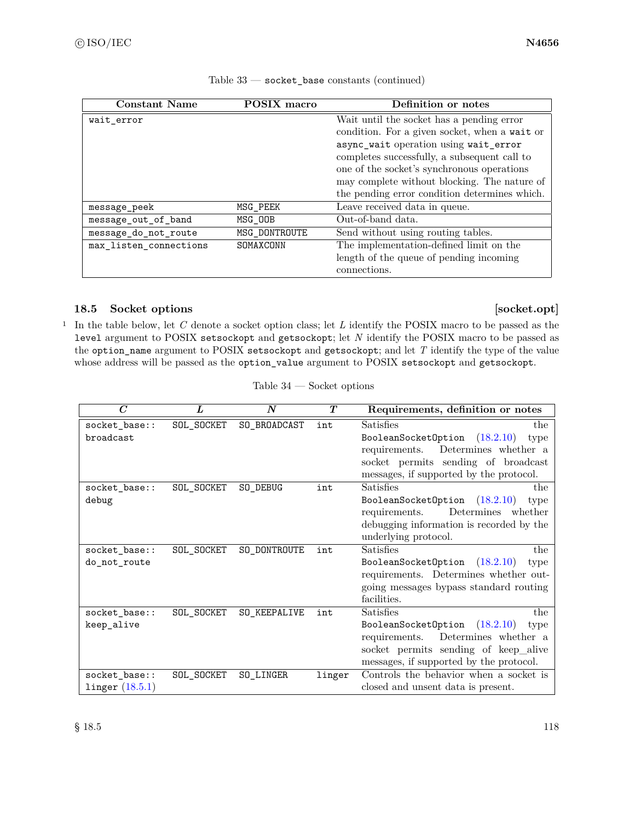| <b>Constant Name</b>   | POSIX macro   | Definition or notes                           |
|------------------------|---------------|-----------------------------------------------|
| wait error             |               | Wait until the socket has a pending error     |
|                        |               | condition. For a given socket, when a wait or |
|                        |               | async_wait operation using wait_error         |
|                        |               | completes successfully, a subsequent call to  |
|                        |               | one of the socket's synchronous operations    |
|                        |               | may complete without blocking. The nature of  |
|                        |               | the pending error condition determines which. |
| message_peek           | MSG_PEEK      | Leave received data in queue.                 |
| message out of band    | MSG_00B       | Out-of-band data.                             |
| message_do_not_route   | MSG DONTROUTE | Send without using routing tables.            |
| max_listen_connections | SOMAXCONN     | The implementation-defined limit on the       |
|                        |               | length of the queue of pending incoming       |
|                        |               | connections.                                  |

Table  $33$  — socket\_base constants (continued)

# 18.5 Socket options [socket.opt]

<sup>1</sup> In the table below, let *C* denote a socket option class; let *L* identify the POSIX macro to be passed as the level argument to POSIX setsockopt and getsockopt; let *N* identify the POSIX macro to be passed as the option\_name argument to POSIX setsockopt and getsockopt; and let *T* identify the type of the value whose address will be passed as the option\_value argument to POSIX setsockopt and getsockopt.

| $\overline{C}$    | L          | N            | T      | Requirements, definition or notes        |
|-------------------|------------|--------------|--------|------------------------------------------|
| socket_base::     | SOL_SOCKET | SO_BROADCAST | int    | Satisfies<br>the                         |
| broadcast         |            |              |        | (18.2.10)<br>BooleanSocketOption<br>type |
|                   |            |              |        | Determines whether a<br>requirements.    |
|                   |            |              |        | socket permits sending of broadcast      |
|                   |            |              |        | messages, if supported by the protocol.  |
| socket_base::     | SOL_SOCKET | SO_DEBUG     | int    | Satisfies<br>the                         |
| debug             |            |              |        | BooleanSocketOption $(18.2.10)$<br>type  |
|                   |            |              |        | Determines whether<br>requirements.      |
|                   |            |              |        | debugging information is recorded by the |
|                   |            |              |        | underlying protocol.                     |
| socket_base::     | SOL_SOCKET | SO_DONTROUTE | int    | Satisfies<br>the                         |
| do_not_route      |            |              |        | BooleanSocketOption $(18.2.10)$<br>type  |
|                   |            |              |        | requirements. Determines whether out-    |
|                   |            |              |        | going messages bypass standard routing   |
|                   |            |              |        | facilities.                              |
| socket_base::     | SOL_SOCKET | SO_KEEPALIVE | int    | Satisfies<br>the                         |
| keep_alive        |            |              |        | (18.2.10)<br>BooleanSocketOption<br>type |
|                   |            |              |        | Determines whether a<br>requirements.    |
|                   |            |              |        | socket permits sending of keep_alive     |
|                   |            |              |        | messages, if supported by the protocol.  |
| socket_base::     | SOL_SOCKET | SO LINGER    | linger | Controls the behavior when a socket is   |
| linger $(18.5.1)$ |            |              |        | closed and unsent data is present.       |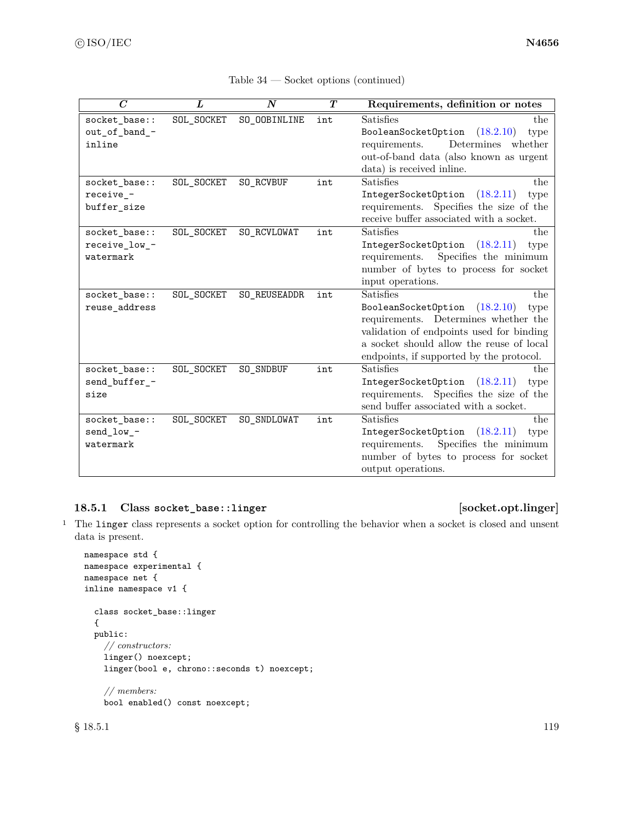| $\overline{C}$ | L          | $\boldsymbol{N}$ | $\boldsymbol{T}$ | Requirements, definition or notes          |  |
|----------------|------------|------------------|------------------|--------------------------------------------|--|
| socket_base::  | SOL_SOCKET | SO_OOBINLINE     | int              | <b>Satisfies</b><br>the                    |  |
| out_of_band_-  |            |                  |                  | (18.2.10)<br>BooleanSocketOption<br>type   |  |
| inline         |            |                  |                  | Determines whether<br>requirements.        |  |
|                |            |                  |                  | out-of-band data (also known as urgent     |  |
|                |            |                  |                  | data) is received inline.                  |  |
| socket_base::  | SOL_SOCKET | SO_RCVBUF        | int              | Satisfies<br>the                           |  |
| receive -      |            |                  |                  | IntegerSocketOption<br>(18.2.11)<br>type   |  |
| buffer_size    |            |                  |                  | Specifies the size of the<br>requirements. |  |
|                |            |                  |                  | receive buffer associated with a socket.   |  |
| socket_base::  | SOL_SOCKET | SO_RCVLOWAT      | int              | Satisfies<br>the                           |  |
| receive_low_-  |            |                  |                  | IntegerSocketOption<br>(18.2.11)<br>type   |  |
| watermark      |            |                  |                  | Specifies the minimum<br>requirements.     |  |
|                |            |                  |                  | number of bytes to process for socket      |  |
|                |            |                  |                  | input operations.                          |  |
| socket_base::  | SOL_SOCKET | SO_REUSEADDR     | int              | Satisfies<br>the                           |  |
| reuse_address  |            |                  |                  | BooleanSocketOption<br>(18.2.10)<br>type   |  |
|                |            |                  |                  | requirements. Determines whether the       |  |
|                |            |                  |                  | validation of endpoints used for binding   |  |
|                |            |                  |                  | a socket should allow the reuse of local   |  |
|                |            |                  |                  | endpoints, if supported by the protocol.   |  |
| socket_base::  | SOL_SOCKET | SO_SNDBUF        | int              | Satisfies<br>the                           |  |
| send_buffer_-  |            |                  |                  | IntegerSocketOption<br>(18.2.11)<br>type   |  |
| size           |            |                  |                  | requirements. Specifies the size of the    |  |
|                |            |                  |                  | send buffer associated with a socket.      |  |
| socket_base::  | SOL_SOCKET | SO_SNDLOWAT      | int              | Satisfies<br>the                           |  |
| send_low_-     |            |                  |                  | (18.2.11)<br>IntegerSocketOption<br>type   |  |
| watermark      |            |                  |                  | Specifies the minimum<br>requirements.     |  |
|                |            |                  |                  | number of bytes to process for socket      |  |
|                |            |                  |                  | output operations.                         |  |

| Table 34 | Socket options (continued) |  |
|----------|----------------------------|--|
|----------|----------------------------|--|

# <span id="page-125-0"></span>**18.5.1 Class socket\_base::linger [socket.opt.linger]**

<sup>1</sup> The linger class represents a socket option for controlling the behavior when a socket is closed and unsent data is present.

```
namespace std {
namespace experimental {
namespace net {
inline namespace v1 {
  class socket_base::linger
  {
  public:
    // constructors:
    linger() noexcept;
    linger(bool e, chrono::seconds t) noexcept;
    // members:
    bool enabled() const noexcept;
```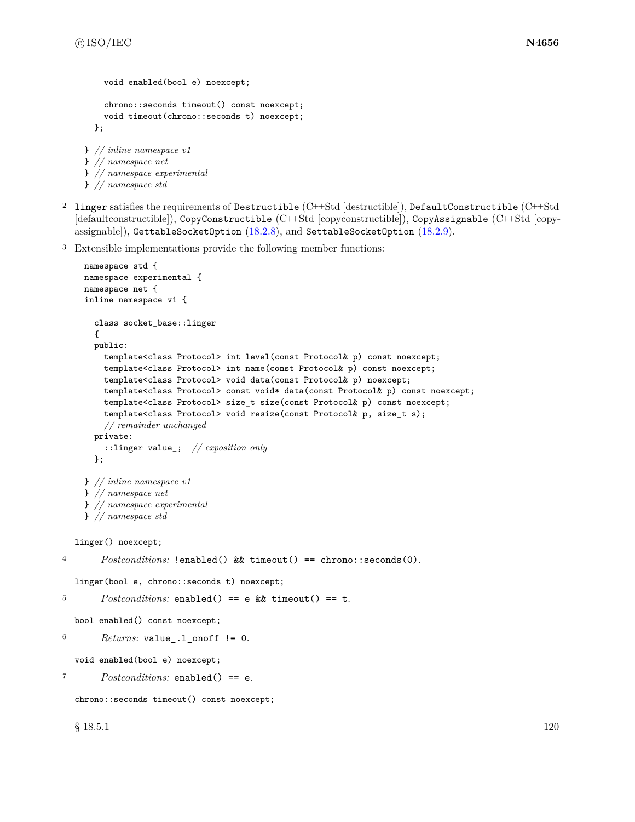} *// namespace std*

```
void enabled(bool e) noexcept;
    chrono::seconds timeout() const noexcept;
    void timeout(chrono::seconds t) noexcept;
  };
} // inline namespace v1
} // namespace net
} // namespace experimental
```
- <sup>2</sup> linger satisfies the requirements of Destructible (C++Std [destructible]), DefaultConstructible (C++Std [defaultconstructible]), CopyConstructible (C++Std [copyconstructible]), CopyAssignable (C++Std [copyassignable]), GettableSocketOption [\(18.2.8\)](#page-116-0), and SettableSocketOption [\(18.2.9\)](#page-117-0).
- <sup>3</sup> Extensible implementations provide the following member functions:

```
namespace std {
    namespace experimental {
    namespace net {
    inline namespace v1 {
      class socket_base::linger
      {
      public:
       template<class Protocol> int level(const Protocol& p) const noexcept;
       template<class Protocol> int name(const Protocol& p) const noexcept;
       template<class Protocol> void data(const Protocol& p) noexcept;
       template<class Protocol> const void* data(const Protocol& p) const noexcept;
       template<class Protocol> size_t size(const Protocol& p) const noexcept;
       template<class Protocol> void resize(const Protocol& p, size_t s);
       // remainder unchanged
     private:
       ::linger value_; // exposition only
      };
    } // inline namespace v1
    } // namespace net
    } // namespace experimental
    } // namespace std
  linger() noexcept;
4 Postconditions: !enabled() && timeout() == chrono::seconds(0).
  linger(bool e, chrono::seconds t) noexcept;
5 Postconditions: enabled() == e && timeout() == t.
  bool enabled() const noexcept;
6 Returns: value<sub>-1</sub>-onoff != 0.
  void enabled(bool e) noexcept;
7 Postconditions: enabled() == e.
  chrono::seconds timeout() const noexcept;
  \S 18.5.1 120
```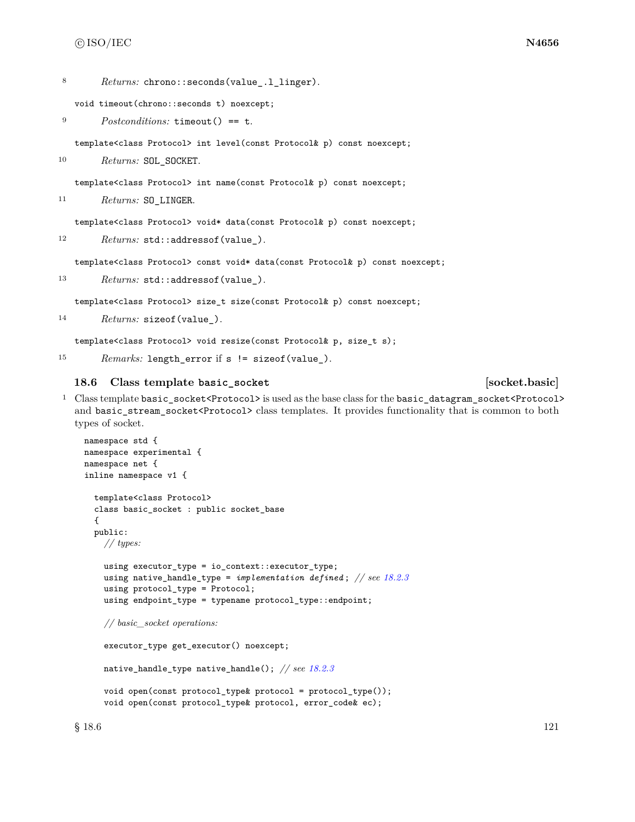8 Returns: chrono::seconds(value .1 linger).

void timeout(chrono::seconds t) noexcept;

```
9 Postconditions: timeout() == t.
```
template<class Protocol> int level(const Protocol& p) const noexcept;

10 Returns: SOL\_SOCKET.

template<class Protocol> int name(const Protocol& p) const noexcept;

<sup>11</sup> *Returns:* SO\_LINGER.

template<class Protocol> void\* data(const Protocol& p) const noexcept;

12 *Returns:* std::addressof(value\_).

template<class Protocol> const void\* data(const Protocol& p) const noexcept;

13 *Returns:* std::addressof(value\_).

template<class Protocol> size\_t size(const Protocol& p) const noexcept;

```
14 Returns: sizeof(value_).
```
template<class Protocol> void resize(const Protocol& p, size\_t s);

<sup>15</sup> *Remarks:* length\_error if s != sizeof(value\_).

### **18.6 Class template basic\_socket [socket.basic]**

<sup>1</sup> Class template basic\_socket<Protocol> is used as the base class for the basic\_datagram\_socket<Protocol> and basic\_stream\_socket<Protocol> class templates. It provides functionality that is common to both types of socket.

```
namespace std {
namespace experimental {
namespace net {
inline namespace v1 {
  template<class Protocol>
  class basic_socket : public socket_base
  {
  public:
    // types:
    using executor_type = io_context::executor_type;
    using native_handle_type = implementation defined ; // see 18.2.3
    using protocol_type = Protocol;
    using endpoint_type = typename protocol_type::endpoint;
    // basic_socket operations:
    executor_type get_executor() noexcept;
    native_handle_type native_handle(); // see 18.2.3
    void open(const protocol_type& protocol = protocol_type());
    void open(const protocol_type& protocol, error_code& ec);
```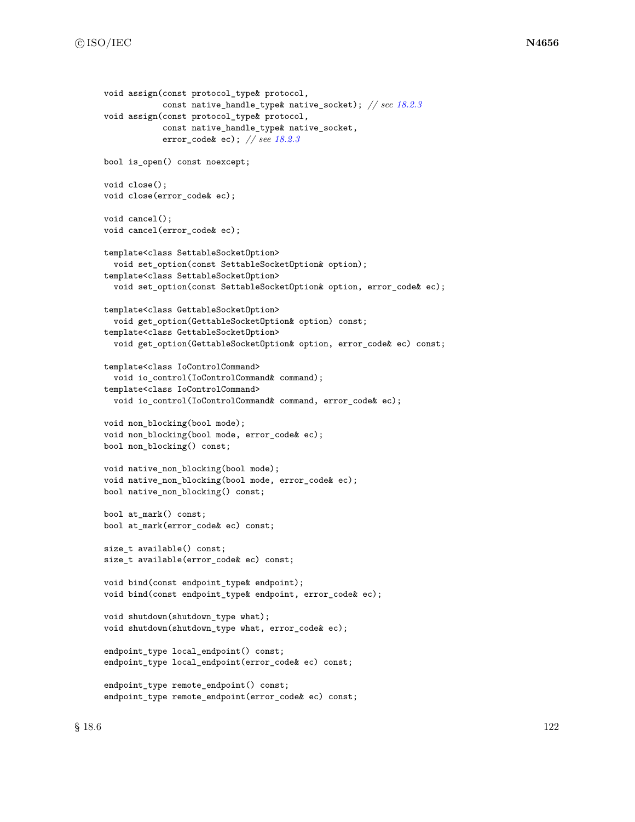```
void assign(const protocol_type& protocol,
            const native_handle_type& native_socket); // see 18.2.3
void assign(const protocol_type& protocol,
            const native_handle_type& native_socket,
            error_code& ec); // see 18.2.3
bool is_open() const noexcept;
void close();
void close(error_code& ec);
void cancel();
void cancel(error_code& ec);
template<class SettableSocketOption>
 void set_option(const SettableSocketOption& option);
template<class SettableSocketOption>
 void set_option(const SettableSocketOption& option, error_code& ec);
template<class GettableSocketOption>
  void get_option(GettableSocketOption& option) const;
template<class GettableSocketOption>
 void get_option(GettableSocketOption& option, error_code& ec) const;
template<class IoControlCommand>
  void io_control(IoControlCommand& command);
template<class IoControlCommand>
  void io_control(IoControlCommand& command, error_code& ec);
void non_blocking(bool mode);
void non_blocking(bool mode, error_code& ec);
bool non_blocking() const;
void native_non_blocking(bool mode);
void native_non_blocking(bool mode, error_code& ec);
bool native_non_blocking() const;
bool at_mark() const;
bool at_mark(error_code& ec) const;
size_t available() const;
size_t available(error_code& ec) const;
void bind(const endpoint_type& endpoint);
void bind(const endpoint_type& endpoint, error_code& ec);
void shutdown(shutdown_type what);
void shutdown(shutdown_type what, error_code& ec);
endpoint_type local_endpoint() const;
endpoint_type local_endpoint(error_code& ec) const;
endpoint_type remote_endpoint() const;
endpoint_type remote_endpoint(error_code& ec) const;
```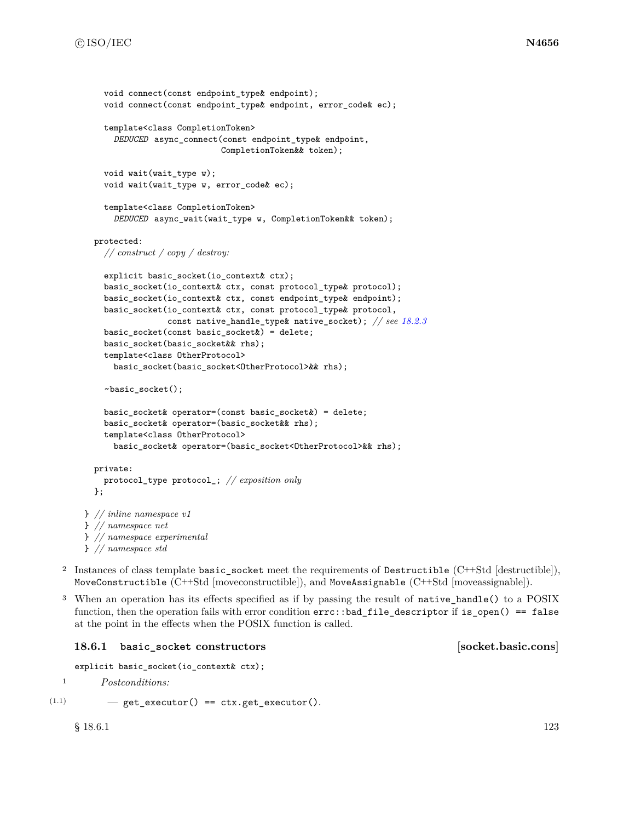```
void connect(const endpoint_type& endpoint);
    void connect(const endpoint_type& endpoint, error_code& ec);
    template<class CompletionToken>
      DEDUCED async_connect(const endpoint_type& endpoint,
                            CompletionToken&& token);
    void wait(wait_type w);
    void wait(wait_type w, error_code& ec);
    template<class CompletionToken>
      DEDUCED async_wait(wait_type w, CompletionToken&& token);
  protected:
    // construct / copy / destroy:
    explicit basic_socket(io_context& ctx);
    basic_socket(io_context& ctx, const protocol_type& protocol);
    basic_socket(io_context& ctx, const endpoint_type& endpoint);
    basic_socket(io_context& ctx, const protocol_type& protocol,
                 const native_handle_type& native_socket); // see 18.2.3
    basic_socket(const basic_socket&) = delete;
    basic_socket(basic_socket&& rhs);
    template<class OtherProtocol>
      basic_socket(basic_socket<OtherProtocol>&& rhs);
    ~basic_socket();
    basic_socket& operator=(const basic_socket&) = delete;
    basic_socket& operator=(basic_socket&& rhs);
    template<class OtherProtocol>
      basic_socket& operator=(basic_socket<OtherProtocol>&& rhs);
 private:
    protocol_type protocol_; // exposition only
 };
} // inline namespace v1
} // namespace net
} // namespace experimental
```

```
} // namespace std
```
- <sup>2</sup> Instances of class template basic\_socket meet the requirements of Destructible (C++Std [destructible]), MoveConstructible (C++Std [moveconstructible]), and MoveAssignable (C++Std [moveassignable]).
- <sup>3</sup> When an operation has its effects specified as if by passing the result of native\_handle() to a POSIX function, then the operation fails with error condition errc::bad\_file\_descriptor if is\_open() == false at the point in the effects when the POSIX function is called.

### 18.6.1 **basic** socket constructors **constructions** [socket.basic.cons]

```
explicit basic_socket(io_context& ctx);
```
<sup>1</sup> *Postconditions:*

 $(1.1)$   $-$  get\_executor() == ctx.get\_executor().

 $\S 18.6.1$  123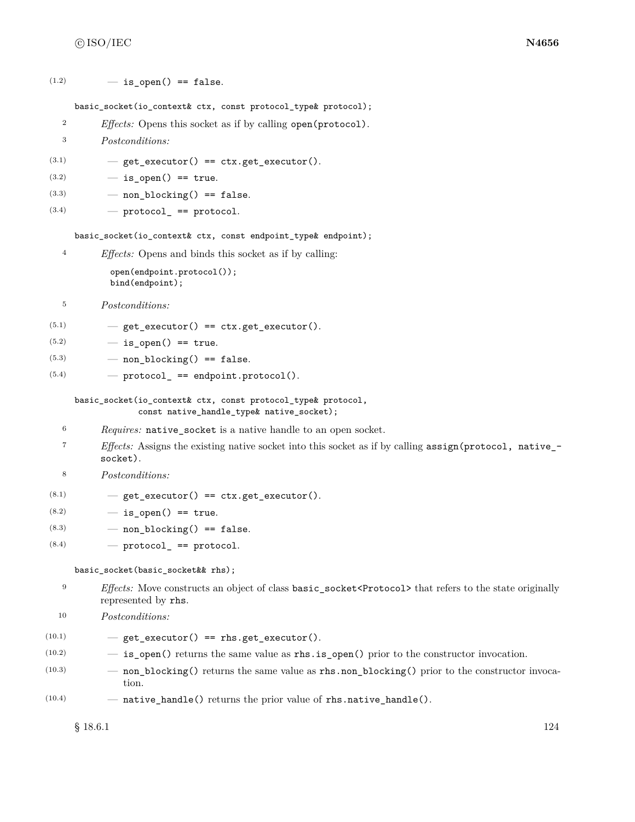$(1.2)$   $-$  is open() == false.

### basic\_socket(io\_context& ctx, const protocol\_type& protocol);

- <sup>2</sup> *Effects:* Opens this socket as if by calling open(protocol).
- <sup>3</sup> *Postconditions:*
- $(3.1)$   $-$  get\_executor() == ctx.get\_executor().
- $(3.2)$   $-$  is open() == true.
- $(3.3)$  non\_blocking() == false.
- $(3.4)$  protocol\_ == protocol.

basic socket(io context& ctx, const endpoint type& endpoint);

<sup>4</sup> *Effects:* Opens and binds this socket as if by calling:

```
open(endpoint.protocol());
bind(endpoint);
```
- <sup>5</sup> *Postconditions:*
- $(5.1)$   $-$  get\_executor() == ctx.get\_executor().
- $(5.2)$   $-$  is open() == true.
- $(5.3)$  non\_blocking() == false.
- $(5.4)$  protocol\_ == endpoint.protocol().

```
basic_socket(io_context& ctx, const protocol_type& protocol,
             const native_handle_type& native_socket);
```
- <sup>6</sup> *Requires:* native socket is a native handle to an open socket.
- <sup>7</sup> *Effects:* Assigns the existing native socket into this socket as if by calling assign(protocol, native\_ socket).
- <sup>8</sup> *Postconditions:*
- $(8.1)$   $-$  get\_executor() == ctx.get\_executor().
- $(8.2)$   $-$  is open() == true.
- $(8.3)$  non\_blocking() == false.
- $(8.4)$   $-$  protocol<sub>\_</sub> == protocol.

basic\_socket(basic\_socket&& rhs);

- <sup>9</sup> *Effects:* Move constructs an object of class basic\_socket<Protocol> that refers to the state originally represented by rhs.
- <sup>10</sup> *Postconditions:*

 $(10.1)$   $-$  get\_executor() == rhs.get\_executor().

- $(10.2)$   $-$  **is\_open()** returns the same value as **rhs.is\_open()** prior to the constructor invocation.
- (10.3) non\_blocking() returns the same value as rhs.non\_blocking() prior to the constructor invocation.
- $(10.4)$  native\_handle() returns the prior value of rhs.native\_handle().

 $\S 18.6.1$  124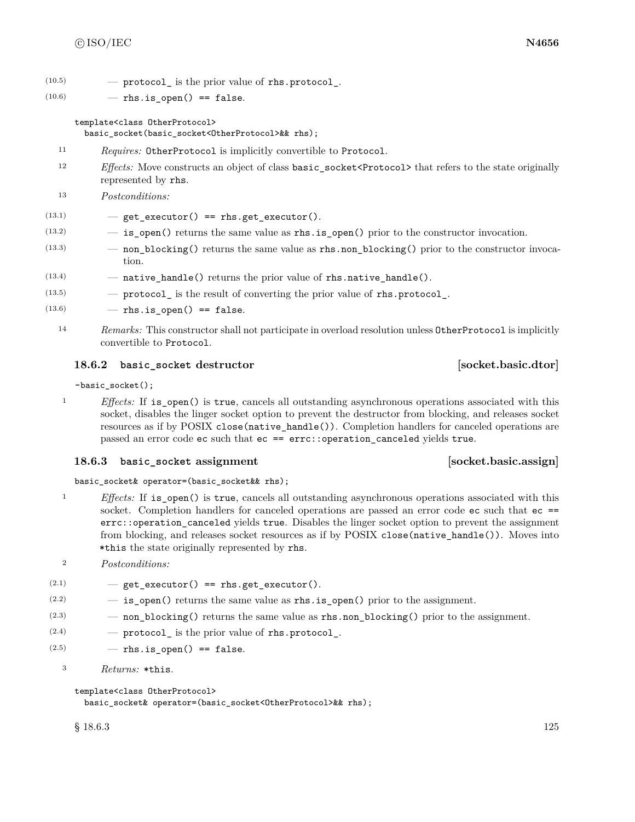$(10.5)$   $\qquad$   $\qquad$  protocol is the prior value of rhs.protocol.

 $(10.6)$  – rhs.is open() == false.

### template<class OtherProtocol>

basic\_socket(basic\_socket<OtherProtocol>&& rhs);

- <sup>11</sup> *Requires:* OtherProtocol is implicitly convertible to Protocol.
- 12 *Effects:* Move constructs an object of class **basic** socket<Protocol> that refers to the state originally represented by rhs.
- <sup>13</sup> *Postconditions:*

 $(13.1)$   $-$  get\_executor() == rhs.get\_executor().

- $(13.2)$   $-$  **is\_open()** returns the same value as **rhs.is\_open()** prior to the constructor invocation.
- (13.3) non\_blocking() returns the same value as rhs.non\_blocking() prior to the constructor invocation.
- $(13.4)$  native\_handle() returns the prior value of rhs.native\_handle().
- $(13.5)$   $\qquad$  protocol is the result of converting the prior value of rhs.protocol.
- $(13.6)$  rhs.is open() == false.
	- <sup>14</sup> *Remarks:* This constructor shall not participate in overload resolution unless OtherProtocol is implicitly convertible to Protocol.

# **18.6.2 basic\_socket destructor [socket.basic.dtor]**

~basic\_socket();

<sup>1</sup> *Effects:* If is open() is true, cancels all outstanding asynchronous operations associated with this socket, disables the linger socket option to prevent the destructor from blocking, and releases socket resources as if by POSIX close(native\_handle()). Completion handlers for canceled operations are passed an error code ec such that ec == errc::operation\_canceled yields true.

### **18.6.3 basic\_socket assignment [socket.basic.assign]**

basic\_socket& operator=(basic\_socket&& rhs);

- <sup>1</sup> *Effects:* If is open() is true, cancels all outstanding asynchronous operations associated with this socket. Completion handlers for canceled operations are passed an error code ec such that ec == errc::operation canceled yields true. Disables the linger socket option to prevent the assignment from blocking, and releases socket resources as if by POSIX close(native\_handle()). Moves into \*this the state originally represented by rhs.
- <sup>2</sup> *Postconditions:*
- $(2.1)$   $-$  get\_executor() == rhs.get\_executor().
- $(2.2)$   $-$  is open() returns the same value as rhs.is open() prior to the assignment.
- $(2.3)$  non\_blocking() returns the same value as rhs.non\_blocking() prior to the assignment.
- $(2.4)$  protocol is the prior value of rhs.protocol.
- $(2.5)$  rhs. is open() == false.
	- <sup>3</sup> *Returns:* \*this.

template<class OtherProtocol>

basic\_socket& operator=(basic\_socket<OtherProtocol>&& rhs);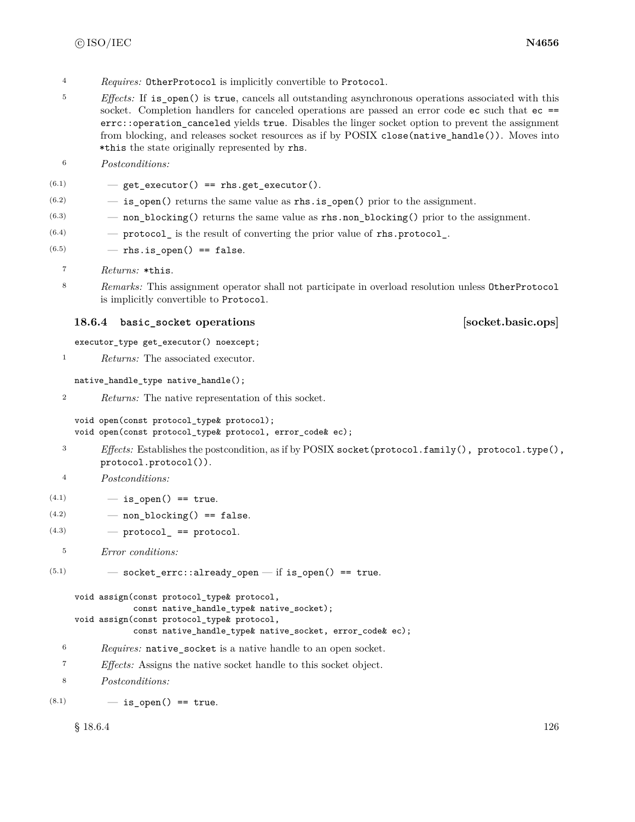- <sup>4</sup> *Requires:* OtherProtocol is implicitly convertible to Protocol.
- <sup>5</sup> *Effects:* If is open() is true, cancels all outstanding asynchronous operations associated with this socket. Completion handlers for canceled operations are passed an error code ec such that ec == errc::operation\_canceled yields true. Disables the linger socket option to prevent the assignment from blocking, and releases socket resources as if by POSIX close(native\_handle()). Moves into \*this the state originally represented by rhs.
- <sup>6</sup> *Postconditions:*

```
(6.1) - get_executor() == rhs.get_executor().
```
- $(6.2)$   $-$  is open() returns the same value as rhs. is open() prior to the assignment.
- (6.3) non\_blocking() returns the same value as rhs.non\_blocking() prior to the assignment.
- $(6.4)$  protocol is the result of converting the prior value of rhs.protocol.
- $(6.5)$  rhs.is\_open() == false.
	- <sup>7</sup> *Returns:* \*this.
	- <sup>8</sup> *Remarks:* This assignment operator shall not participate in overload resolution unless OtherProtocol is implicitly convertible to Protocol.

# **18.6.4 basic\_socket operations [socket.basic.ops]**

executor\_type get\_executor() noexcept;

<sup>1</sup> *Returns:* The associated executor.

native\_handle\_type native\_handle();

```
2 Returns: The native representation of this socket.
```

```
void open(const protocol_type& protocol);
void open(const protocol_type& protocol, error_code& ec);
```
<sup>3</sup> *Effects:* Establishes the postcondition, as if by POSIX socket(protocol.family(), protocol.type(), protocol.protocol()).

<sup>4</sup> *Postconditions:*

- $(4.1)$   $-$  is open() == true.
- $(4.2)$  non blocking() == false.
- $(4.3)$   $\qquad$   $\qquad$   $\qquad$   $\qquad$   $\qquad$   $\qquad$   $\qquad$   $\qquad$   $\qquad$   $\qquad$   $\qquad$   $\qquad$   $\qquad$   $\qquad$   $\qquad$   $\qquad$   $\qquad$   $\qquad$   $\qquad$   $\qquad$   $\qquad$   $\qquad$   $\qquad$   $\qquad$   $\qquad$   $\qquad$   $\qquad$   $\qquad$   $\qquad$   $\qquad$   $\qquad$   $\qquad$   $\qquad$   $\qquad$   $\qquad$   $\q$
- <sup>5</sup> *Error conditions:*

 $(5.1)$   $-$  socket\_errc::already\_open  $-$  if is\_open() == true.

```
void assign(const protocol_type& protocol,
            const native_handle_type& native_socket);
void assign(const protocol_type& protocol,
            const native_handle_type& native_socket, error_code& ec);
```
- <sup>6</sup> *Requires:* native\_socket is a native handle to an open socket.
- <sup>7</sup> *Effects:* Assigns the native socket handle to this socket object.
- <sup>8</sup> *Postconditions:*

 $(8.1)$   $-$  is open() == true.

 $\S 18.6.4$  126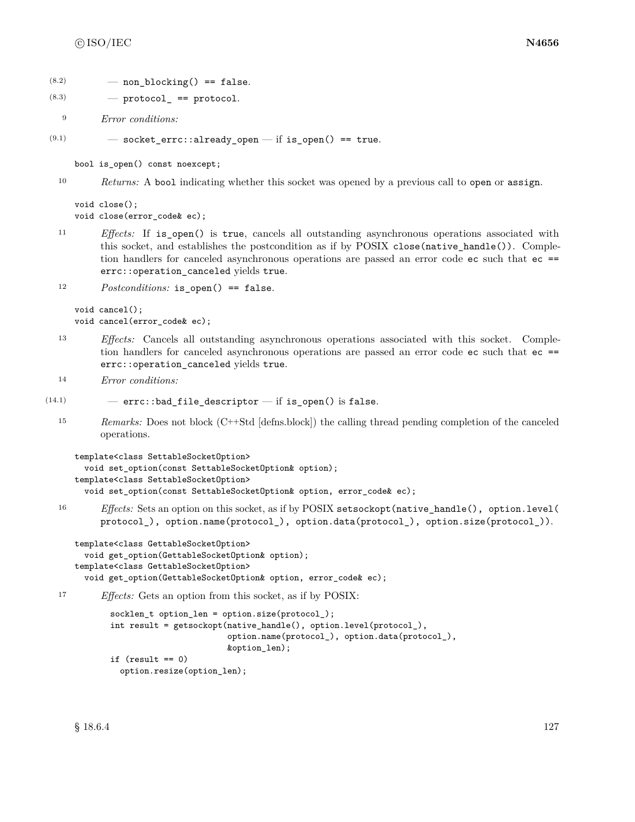```
(8.2) — non blocking() == false.
```
 $(8.3)$   $-$  protocol == protocol.

<sup>9</sup> *Error conditions:*

 $(9.1)$   $-$  socket\_errc::already\_open  $-$  if is\_open() == true.

bool is\_open() const noexcept;

<sup>10</sup> *Returns:* A bool indicating whether this socket was opened by a previous call to open or assign.

void close(); void close(error\_code& ec);

<sup>11</sup> *Effects:* If is\_open() is true, cancels all outstanding asynchronous operations associated with this socket, and establishes the postcondition as if by POSIX close(native\_handle()). Completion handlers for canceled asynchronous operations are passed an error code ec such that ec == errc::operation\_canceled yields true.

<sup>12</sup> *Postconditions:* is open() == false.

void cancel(); void cancel(error\_code& ec);

- <sup>13</sup> *Effects:* Cancels all outstanding asynchronous operations associated with this socket. Completion handlers for canceled asynchronous operations are passed an error code ec such that ec == errc::operation\_canceled yields true.
- <sup>14</sup> *Error conditions:*

```
(14.1) – errc::bad_file_descriptor – if is_open() is false.
```
<sup>15</sup> *Remarks:* Does not block (C++Std [defns.block]) the calling thread pending completion of the canceled operations.

```
template<class SettableSocketOption>
 void set_option(const SettableSocketOption& option);
template<class SettableSocketOption>
  void set_option(const SettableSocketOption& option, error_code& ec);
```
<sup>16</sup> *Effects:* Sets an option on this socket, as if by POSIX setsockopt(native\_handle(), option.level( protocol\_), option.name(protocol\_), option.data(protocol\_), option.size(protocol\_)).

```
template<class GettableSocketOption>
  void get_option(GettableSocketOption& option);
template<class GettableSocketOption>
  void get_option(GettableSocketOption& option, error_code& ec);
```
<sup>17</sup> *Effects:* Gets an option from this socket, as if by POSIX:

```
socklen t option len = option.size(protocol);
int result = getsockopt(native_handle(), option.level(protocol_),
                        option.name(protocol_), option.data(protocol_),
                        &option_len);
if (result == 0)
 option.resize(option_len);
```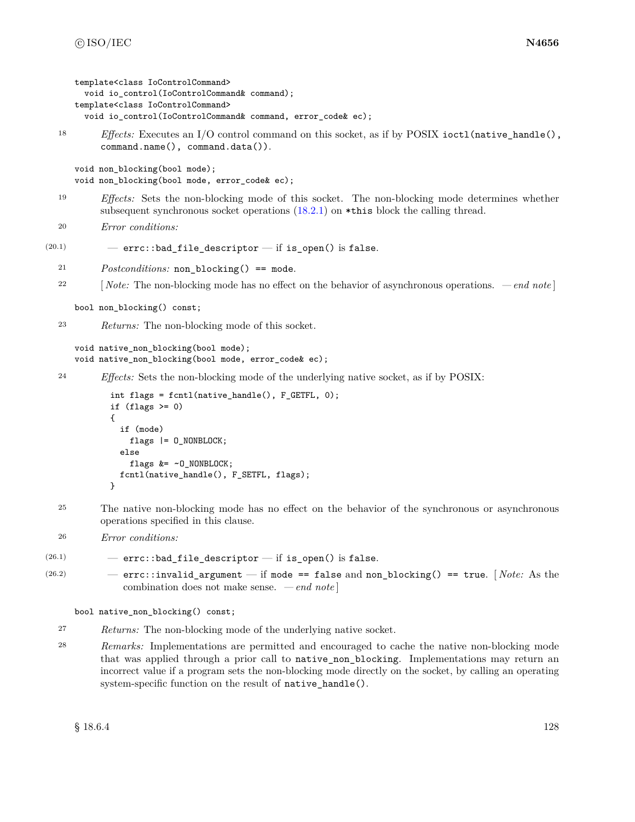```
template<class IoControlCommand>
       void io_control(IoControlCommand& command);
     template<class IoControlCommand>
       void io_control(IoControlCommand& command, error_code& ec);
  18 Effects: Executes an I/O control command on this socket, as if by POSIX ioctl(native_handle(),
           command.name(), command.data()).
     void non_blocking(bool mode);
     void non_blocking(bool mode, error_code& ec);
  19 Effects: Sets the non-blocking mode of this socket. The non-blocking mode determines whether
           subsequent synchronous socket operations (18.2.1) on *this block the calling thread.
  20 Error conditions:
(20.1) – errc::bad_file_descriptor – if is_open() is false.
  21 Postconditions: non_blocking() == mode.
  22 [ Note: The non-blocking mode has no effect on the behavior of asynchronous operations. — end note ]
     bool non_blocking() const;
  23 Returns: The non-blocking mode of this socket.
     void native_non_blocking(bool mode);
     void native_non_blocking(bool mode, error_code& ec);
  24 Effects: Sets the non-blocking mode of the underlying native socket, as if by POSIX:
```

```
int flags = fcntl(native_handle(), F_GETFL, 0);
if (flags > = 0){
  if (mode)
    flags |= O_NONBLOCK;
  else
    flags &= ~O_NONBLOCK;
 fcntl(native_handle(), F_SETFL, flags);
}
```
- <sup>25</sup> The native non-blocking mode has no effect on the behavior of the synchronous or asynchronous operations specified in this clause.
- <sup>26</sup> *Error conditions:*

```
(26.1) – errc::bad_file_descriptor – if is_open() is false.
```
(26.2) — errc::invalid\_argument — if mode == false and non\_blocking() == true. [ *Note:* As the combination does not make sense. *— end note* ]

```
bool native_non_blocking() const;
```
- <sup>27</sup> *Returns:* The non-blocking mode of the underlying native socket.
- <sup>28</sup> *Remarks:* Implementations are permitted and encouraged to cache the native non-blocking mode that was applied through a prior call to native\_non\_blocking. Implementations may return an incorrect value if a program sets the non-blocking mode directly on the socket, by calling an operating system-specific function on the result of native\_handle().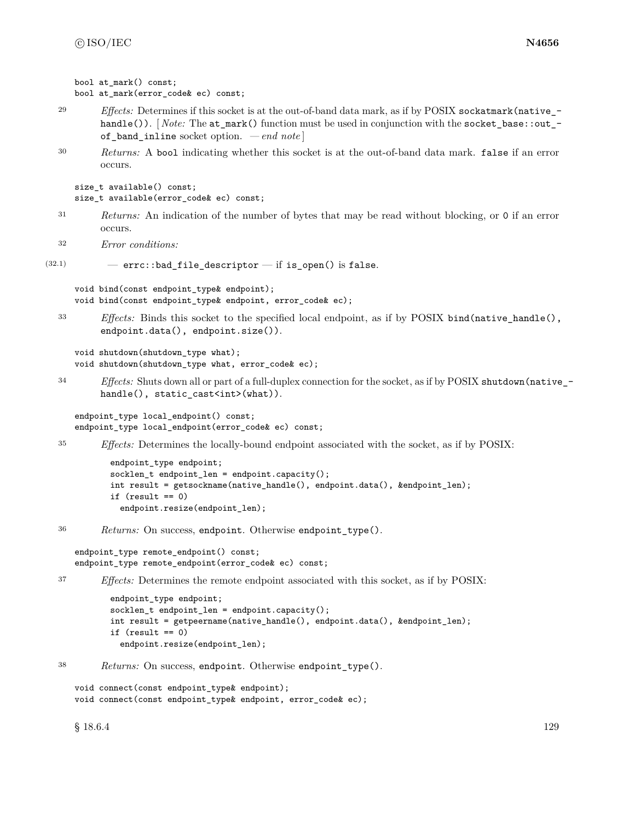```
bool at mark() const;
bool at_mark(error_code& ec) const;
```
- <sup>29</sup> *Effects:* Determines if this socket is at the out-of-band data mark, as if by POSIX sockatmark(native\_handle()). [*Note:* The at\_mark() function must be used in conjunction with the socket\_base::out\_of\_band\_inline socket option. *— end note* ]
- <sup>30</sup> *Returns:* A bool indicating whether this socket is at the out-of-band data mark. false if an error occurs.

```
size_t available() const;
size_t available(error_code& ec) const;
```
- <sup>31</sup> *Returns:* An indication of the number of bytes that may be read without blocking, or 0 if an error occurs.
- <sup>32</sup> *Error conditions:*

```
(32.1) - errc::bad_file_descriptor - if is_open() is false.
```

```
void bind(const endpoint_type& endpoint);
void bind(const endpoint_type& endpoint, error_code& ec);
```
<sup>33</sup> *Effects:* Binds this socket to the specified local endpoint, as if by POSIX bind(native\_handle(), endpoint.data(), endpoint.size()).

```
void shutdown(shutdown_type what);
void shutdown(shutdown_type what, error_code& ec);
```
<sup>34</sup> *Effects:* Shuts down all or part of a full-duplex connection for the socket, as if by POSIX shutdown(native\_ handle(), static\_cast<int>(what)).

```
endpoint_type local_endpoint() const;
endpoint_type local_endpoint(error_code& ec) const;
```
<sup>35</sup> *Effects:* Determines the locally-bound endpoint associated with the socket, as if by POSIX:

```
endpoint_type endpoint;
socklen_t endpoint_len = endpoint.capacity();
int result = getsockname(native_handle(), endpoint.data(), &endpoint_len);
if (result == 0)
  endpoint.resize(endpoint_len);
```
<sup>36</sup> *Returns:* On success, endpoint. Otherwise endpoint\_type().

```
endpoint_type remote_endpoint() const;
endpoint_type remote_endpoint(error_code& ec) const;
```

```
37 Effects: Determines the remote endpoint associated with this socket, as if by POSIX:
```

```
endpoint_type endpoint;
socklen_t endpoint_len = endpoint.capacity();
int result = getpeername(native_handle(), endpoint.data(), &endpoint_len);
if (result == 0)
 endpoint.resize(endpoint_len);
```
<sup>38</sup> *Returns:* On success, endpoint. Otherwise endpoint\_type().

```
void connect(const endpoint type& endpoint);
void connect(const endpoint_type& endpoint, error_code& ec);
```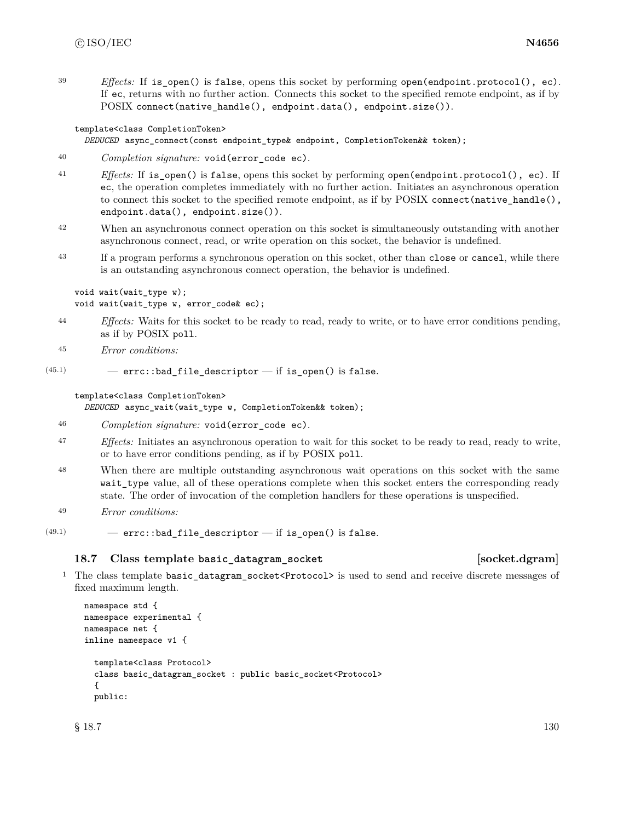<sup>39</sup> *Effects:* If is open() is false, opens this socket by performing open(endpoint.protocol(), ec). If ec, returns with no further action. Connects this socket to the specified remote endpoint, as if by POSIX connect(native\_handle(), endpoint.data(), endpoint.size()).

### template<class CompletionToken>

### *DEDUCED* async\_connect(const endpoint\_type& endpoint, CompletionToken&& token);

- <sup>40</sup> *Completion signature:* void(error\_code ec).
- <sup>41</sup> *Effects:* If is open() is false, opens this socket by performing open(endpoint.protocol(), ec). If ec, the operation completes immediately with no further action. Initiates an asynchronous operation to connect this socket to the specified remote endpoint, as if by POSIX connect (native\_handle(), endpoint.data(), endpoint.size()).
- <sup>42</sup> When an asynchronous connect operation on this socket is simultaneously outstanding with another asynchronous connect, read, or write operation on this socket, the behavior is undefined.
- <sup>43</sup> If a program performs a synchronous operation on this socket, other than close or cancel, while there is an outstanding asynchronous connect operation, the behavior is undefined.

```
void wait(wait_type w);
void wait(wait_type w, error_code& ec);
```
- <sup>44</sup> *Effects:* Waits for this socket to be ready to read, ready to write, or to have error conditions pending, as if by POSIX poll.
- <sup>45</sup> *Error conditions:*

```
(45.1) – errc::bad_file_descriptor – if is_open() is false.
```
### template<class CompletionToken>

*DEDUCED* async\_wait(wait\_type w, CompletionToken&& token);

```
46 Completion signature: void(error_code ec).
```
- <sup>47</sup> *Effects:* Initiates an asynchronous operation to wait for this socket to be ready to read, ready to write, or to have error conditions pending, as if by POSIX poll.
- <sup>48</sup> When there are multiple outstanding asynchronous wait operations on this socket with the same wait\_type value, all of these operations complete when this socket enters the corresponding ready state. The order of invocation of the completion handlers for these operations is unspecified.
- <sup>49</sup> *Error conditions:*
- $(49.1)$  errc::bad\_file\_descriptor if is\_open() is false.

### **18.7 Class template basic\_datagram\_socket [socket.dgram]**

<sup>1</sup> The class template basic\_datagram\_socket<Protocol> is used to send and receive discrete messages of fixed maximum length.

```
namespace std {
namespace experimental {
namespace net {
inline namespace v1 {
  template<class Protocol>
  class basic_datagram_socket : public basic_socket<Protocol>
  {
  public:
```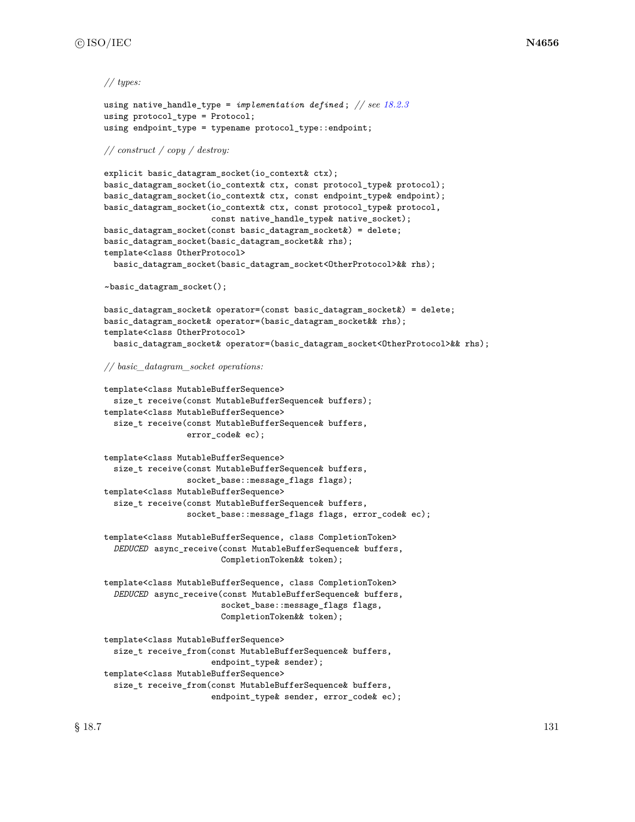### *// types:*

```
using native_handle_type = implementation defined ; // see 18.2.3
using protocol_type = Protocol;
using endpoint_type = typename protocol_type::endpoint;
```
### *// construct / copy / destroy:*

```
explicit basic_datagram_socket(io_context& ctx);
basic_datagram_socket(io_context& ctx, const protocol_type& protocol);
basic_datagram_socket(io_context& ctx, const endpoint_type& endpoint);
basic_datagram_socket(io_context& ctx, const protocol_type& protocol,
                      const native_handle_type& native_socket);
basic_datagram_socket(const basic_datagram_socket&) = delete;
basic_datagram_socket(basic_datagram_socket&& rhs);
template<class OtherProtocol>
 basic_datagram_socket(basic_datagram_socket<OtherProtocol>&& rhs);
```
~basic\_datagram\_socket();

```
basic_datagram_socket& operator=(const basic_datagram_socket&) = delete;
basic_datagram_socket& operator=(basic_datagram_socket&& rhs);
template<class OtherProtocol>
 basic_datagram_socket& operator=(basic_datagram_socket<OtherProtocol>&& rhs);
```
*// basic\_datagram\_socket operations:*

```
template<class MutableBufferSequence>
  size_t receive(const MutableBufferSequence& buffers);
template<class MutableBufferSequence>
  size_t receive(const MutableBufferSequence& buffers,
                 error_code& ec);
```

```
template<class MutableBufferSequence>
 size_t receive(const MutableBufferSequence& buffers,
                 socket_base::message_flags flags);
template<class MutableBufferSequence>
 size_t receive(const MutableBufferSequence& buffers,
                 socket_base::message_flags flags, error_code& ec);
```
template<class MutableBufferSequence, class CompletionToken> *DEDUCED* async\_receive(const MutableBufferSequence& buffers, CompletionToken&& token);

template<class MutableBufferSequence, class CompletionToken> *DEDUCED* async\_receive(const MutableBufferSequence& buffers, socket\_base::message\_flags flags, CompletionToken&& token);

```
template<class MutableBufferSequence>
 size_t receive_from(const MutableBufferSequence& buffers,
                      endpoint_type& sender);
template<class MutableBufferSequence>
 size_t receive_from(const MutableBufferSequence& buffers,
                      endpoint_type& sender, error_code& ec);
```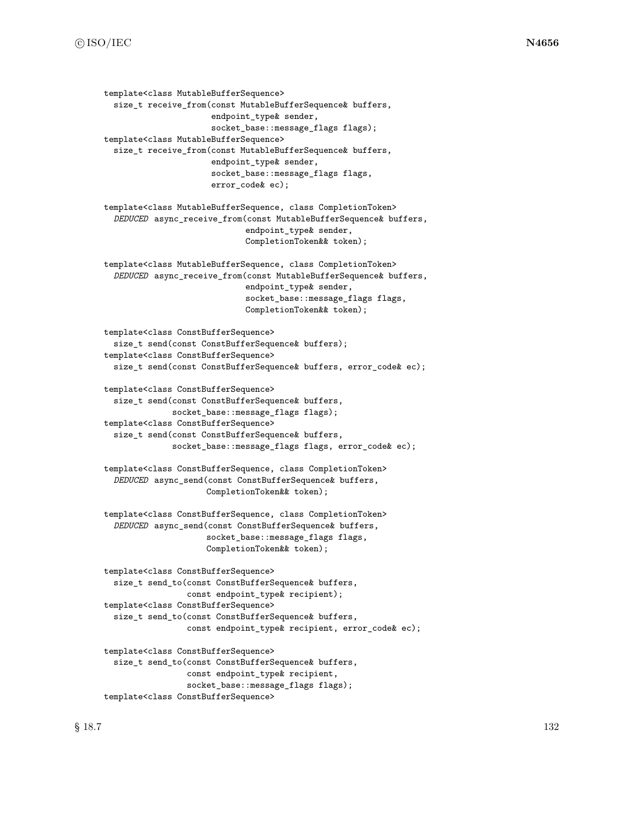```
template<class MutableBufferSequence>
  size_t receive_from(const MutableBufferSequence& buffers,
                      endpoint_type& sender,
                      socket_base::message_flags flags);
template<class MutableBufferSequence>
  size_t receive_from(const MutableBufferSequence& buffers,
                      endpoint_type& sender,
                      socket_base::message_flags flags,
                      error_code& ec);
template<class MutableBufferSequence, class CompletionToken>
  DEDUCED async_receive_from(const MutableBufferSequence& buffers,
                             endpoint_type& sender,
                             CompletionToken&& token);
template<class MutableBufferSequence, class CompletionToken>
  DEDUCED async_receive_from(const MutableBufferSequence& buffers,
                             endpoint_type& sender,
                             socket_base::message_flags flags,
                             CompletionToken&& token);
template<class ConstBufferSequence>
  size_t send(const ConstBufferSequence& buffers);
template<class ConstBufferSequence>
  size_t send(const ConstBufferSequence& buffers, error_code& ec);
template<class ConstBufferSequence>
  size_t send(const ConstBufferSequence& buffers,
              socket_base::message_flags flags);
template<class ConstBufferSequence>
  size_t send(const ConstBufferSequence& buffers,
              socket_base::message_flags flags, error_code& ec);
template<class ConstBufferSequence, class CompletionToken>
  DEDUCED async_send(const ConstBufferSequence& buffers,
                     CompletionToken&& token);
template<class ConstBufferSequence, class CompletionToken>
  DEDUCED async_send(const ConstBufferSequence& buffers,
                     socket_base::message_flags flags,
                     CompletionToken&& token);
template<class ConstBufferSequence>
  size_t send_to(const ConstBufferSequence& buffers,
                 const endpoint_type& recipient);
template<class ConstBufferSequence>
  size_t send_to(const ConstBufferSequence& buffers,
                 const endpoint_type& recipient, error_code& ec);
template<class ConstBufferSequence>
  size_t send_to(const ConstBufferSequence& buffers,
                 const endpoint_type& recipient,
                 socket_base::message_flags flags);
template<class ConstBufferSequence>
```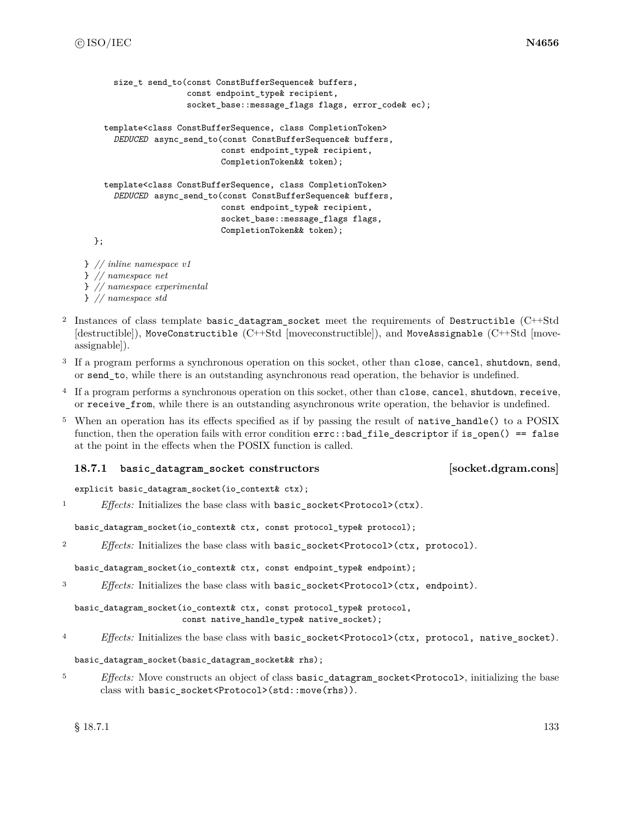```
size t send to(const ConstBufferSequence& buffers,
                     const endpoint_type& recipient,
                     socket_base::message_flags flags, error_code& ec);
    template<class ConstBufferSequence, class CompletionToken>
      DEDUCED async_send_to(const ConstBufferSequence& buffers,
                            const endpoint_type& recipient,
                            CompletionToken&& token);
    template<class ConstBufferSequence, class CompletionToken>
      DEDUCED async_send_to(const ConstBufferSequence& buffers,
                            const endpoint_type& recipient,
                            socket_base::message_flags flags,
                            CompletionToken&& token);
  };
} // inline namespace v1
} // namespace net
```
- } *// namespace experimental*
- } *// namespace std*
- <sup>2</sup> Instances of class template basic\_datagram\_socket meet the requirements of Destructible (C++Std [destructible]), MoveConstructible (C++Std [moveconstructible]), and MoveAssignable (C++Std [moveassignable]).
- <sup>3</sup> If a program performs a synchronous operation on this socket, other than close, cancel, shutdown, send, or send\_to, while there is an outstanding asynchronous read operation, the behavior is undefined.
- <sup>4</sup> If a program performs a synchronous operation on this socket, other than close, cancel, shutdown, receive, or receive\_from, while there is an outstanding asynchronous write operation, the behavior is undefined.
- <sup>5</sup> When an operation has its effects specified as if by passing the result of native\_handle() to a POSIX function, then the operation fails with error condition errc::bad\_file\_descriptor if is\_open() == false at the point in the effects when the POSIX function is called.

# **18.7.1 basic\_datagram\_socket constructors [socket.dgram.cons]**

### explicit basic\_datagram\_socket(io\_context& ctx);

<sup>1</sup> *Effects:* Initializes the base class with basic\_socket<Protocol>(ctx).

basic\_datagram\_socket(io\_context& ctx, const protocol\_type& protocol);

<sup>2</sup> *Effects:* Initializes the base class with basic\_socket<Protocol>(ctx, protocol).

basic\_datagram\_socket(io\_context& ctx, const endpoint\_type& endpoint);

<sup>3</sup> *Effects:* Initializes the base class with basic\_socket<Protocol>(ctx, endpoint).

basic\_datagram\_socket(io\_context& ctx, const protocol\_type& protocol, const native handle type& native socket);

<sup>4</sup> *Effects:* Initializes the base class with basic\_socket<Protocol>(ctx, protocol, native\_socket).

### basic\_datagram\_socket(basic\_datagram\_socket&& rhs);

<sup>5</sup> *Effects:* Move constructs an object of class basic\_datagram\_socket<Protocol>, initializing the base class with basic\_socket<Protocol>(std::move(rhs)).

 $\S$  18.7.1 133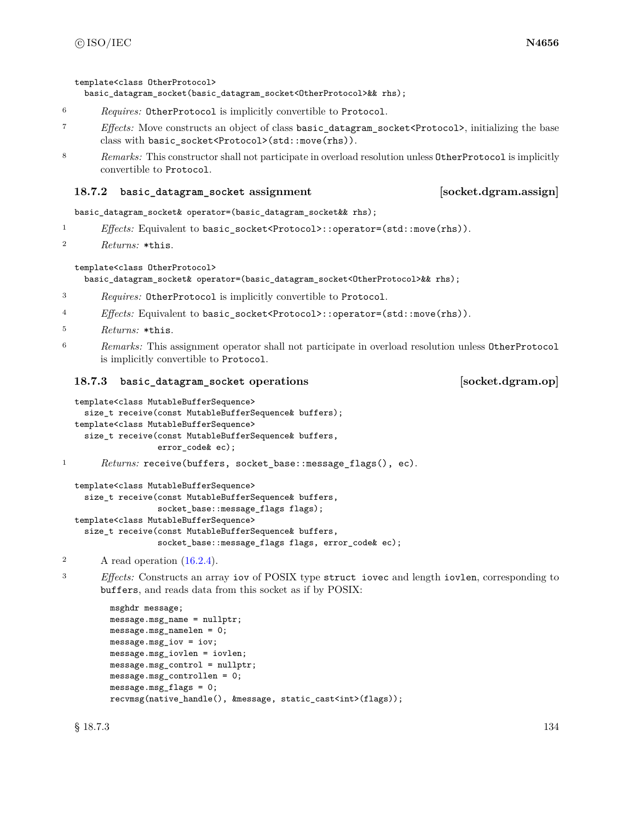template<class OtherProtocol>

basic\_datagram\_socket(basic\_datagram\_socket<OtherProtocol>&& rhs);

- <sup>6</sup> *Requires:* OtherProtocol is implicitly convertible to Protocol.
- <sup>7</sup> *Effects:* Move constructs an object of class basic\_datagram\_socket<Protocol>, initializing the base class with basic\_socket<Protocol>(std::move(rhs)).
- 8 *Remarks:* This constructor shall not participate in overload resolution unless OtherProtocol is implicitly convertible to Protocol.

### **18.7.2 basic\_datagram\_socket assignment [socket.dgram.assign]**

basic\_datagram\_socket& operator=(basic\_datagram\_socket&& rhs);

- 1 *Effects:* Equivalent to basic\_socket<Protocol>::operator=(std::move(rhs)).
- <sup>2</sup> *Returns:* \*this.

### template<class OtherProtocol>

basic\_datagram\_socket& operator=(basic\_datagram\_socket<OtherProtocol>&& rhs);

- <sup>3</sup> *Requires:* OtherProtocol is implicitly convertible to Protocol.
- <sup>4</sup> *Effects:* Equivalent to basic\_socket<Protocol>::operator=(std::move(rhs)).
- <sup>5</sup> *Returns:* \*this.
- <sup>6</sup> *Remarks:* This assignment operator shall not participate in overload resolution unless OtherProtocol is implicitly convertible to Protocol.

### **18.7.3 basic\_datagram\_socket operations [socket.dgram.op]**

```
template<class MutableBufferSequence>
  size_t receive(const MutableBufferSequence& buffers);
template<class MutableBufferSequence>
  size_t receive(const MutableBufferSequence& buffers,
                 error_code& ec);
```
1 Returns: receive(buffers, socket\_base::message\_flags(), ec).

```
template<class MutableBufferSequence>
  size_t receive(const MutableBufferSequence& buffers,
                 socket_base::message_flags flags);
template<class MutableBufferSequence>
  size_t receive(const MutableBufferSequence& buffers,
                 socket_base::message_flags flags, error_code& ec);
```
<sup>2</sup> A read operation [\(16.2.4\)](#page-87-0).

<sup>3</sup> *Effects:* Constructs an array iov of POSIX type struct iovec and length iovlen, corresponding to buffers, and reads data from this socket as if by POSIX:

```
msghdr message;
message.msg_name = nullptr;
message.msg_namelen = 0;
message.msg_iov = iov;
message.msg_iovlen = iovlen;
message.msg_control = nullptr;
message.msg_controllen = 0;
message.msg_flags = 0;
recvmsg(native handle(), &message, static cast<int>(flags));
```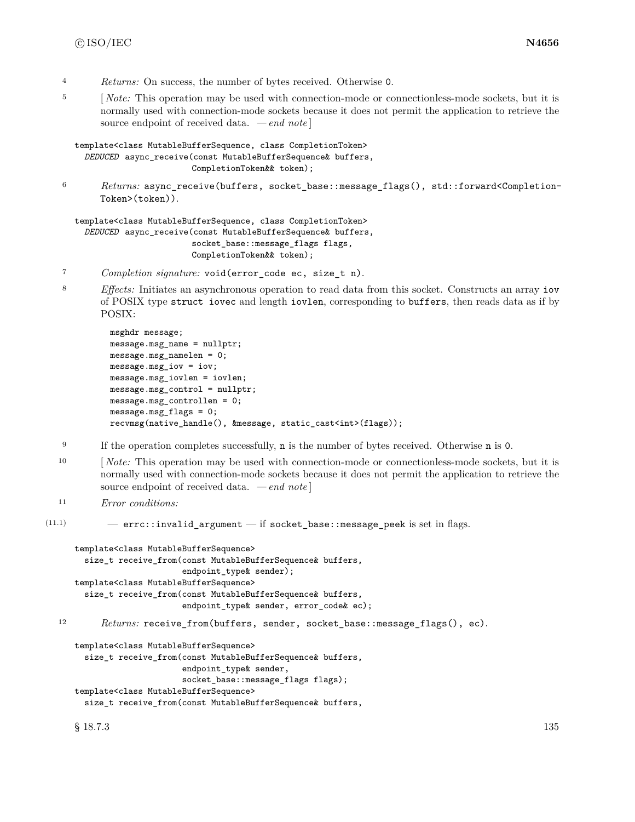- <sup>4</sup> *Returns:* On success, the number of bytes received. Otherwise 0.
- <sup>5</sup> [*Note:* This operation may be used with connection-mode or connectionless-mode sockets, but it is normally used with connection-mode sockets because it does not permit the application to retrieve the source endpoint of received data. *— end note* ]

```
template<class MutableBufferSequence, class CompletionToken>
  DEDUCED async_receive(const MutableBufferSequence& buffers,
                        CompletionToken&& token);
```
<sup>6</sup> *Returns:* async\_receive(buffers, socket\_base::message\_flags(), std::forward<Completion-Token>(token)).

template<class MutableBufferSequence, class CompletionToken> *DEDUCED* async\_receive(const MutableBufferSequence& buffers, socket\_base::message\_flags flags, CompletionToken&& token);

- <sup>7</sup> *Completion signature:* void(error\_code ec, size\_t n).
- <sup>8</sup> *Effects:* Initiates an asynchronous operation to read data from this socket. Constructs an array iov of POSIX type struct iovec and length iovlen, corresponding to buffers, then reads data as if by POSIX:

```
msghdr message;
message.msg_name = nullptr;
message.msg_namelen = 0;
message.msg_iov = iov;
message.msg_iovlen = iovlen;
message.msg_control = nullptr;
message.msg_controllen = 0;
message.msg_flags = 0;
recvmsg(native_handle(), &message, static_cast<int>(flags));
```
- <sup>9</sup> If the operation completes successfully, **n** is the number of bytes received. Otherwise **n** is 0.
- <sup>10</sup> [*Note:* This operation may be used with connection-mode or connectionless-mode sockets, but it is normally used with connection-mode sockets because it does not permit the application to retrieve the source endpoint of received data. *— end note* ]

```
11 Error conditions:
```

```
(11.1) - errc::invalid_argument - if socket_base::message_peek is set in flags.
```

```
template<class MutableBufferSequence>
  size_t receive_from(const MutableBufferSequence& buffers,
                      endpoint_type& sender);
template<class MutableBufferSequence>
  size_t receive_from(const MutableBufferSequence& buffers,
                      endpoint_type& sender, error_code& ec);
```

```
12 Returns: receive_from(buffers, sender, socket_base::message_flags(), ec).
```

```
template<class MutableBufferSequence>
  size_t receive_from(const MutableBufferSequence& buffers,
                      endpoint_type& sender,
                      socket_base::message_flags flags);
template<class MutableBufferSequence>
```
size\_t receive\_from(const MutableBufferSequence& buffers,

 $§$  18.7.3 135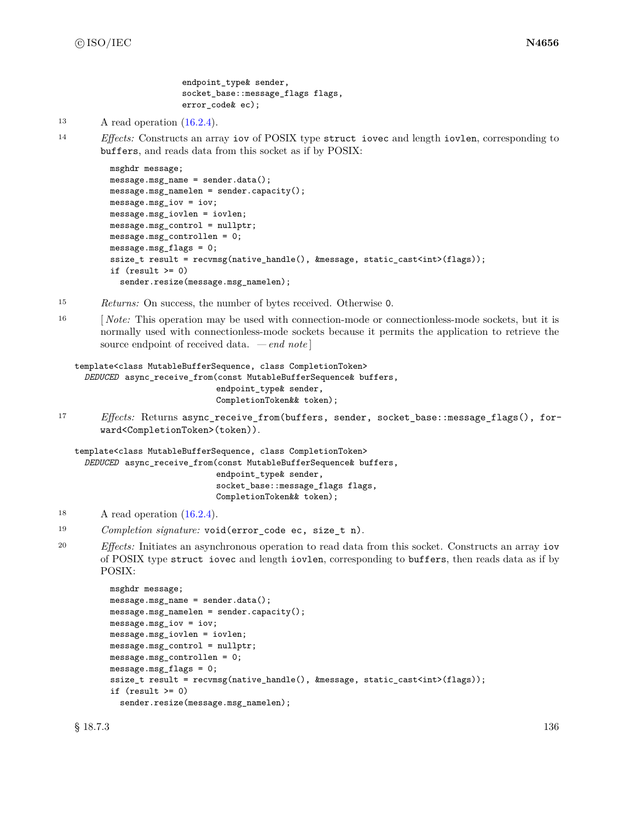endpoint type & sender, socket\_base::message\_flags flags, error\_code& ec);

```
13 A read operation (16.2.4).
```
<sup>14</sup> *Effects:* Constructs an array iov of POSIX type struct iovec and length iovlen, corresponding to buffers, and reads data from this socket as if by POSIX:

```
msghdr message;
message.msg_name = sender.data();
message.msg_namelen = sender.capacity();
message.msg_iov = iov;
message.msg_iovlen = iovlen;
message.msg_control = nullptr;
message.msg_controllen = 0;
message.msg_flags = 0;
ssize_t result = recvmsg(native_handle(), &message, static_cast<int>(flags));
if (result \ge 0)sender.resize(message.msg_namelen);
```
- <sup>15</sup> *Returns:* On success, the number of bytes received. Otherwise 0.
- <sup>16</sup> [*Note:* This operation may be used with connection-mode or connectionless-mode sockets, but it is normally used with connectionless-mode sockets because it permits the application to retrieve the source endpoint of received data. *— end note* ]

```
template<class MutableBufferSequence, class CompletionToken>
  DEDUCED async_receive_from(const MutableBufferSequence& buffers,
                             endpoint_type& sender,
                             CompletionToken&& token);
```
<sup>17</sup> *Effects:* Returns async\_receive\_from(buffers, sender, socket\_base::message\_flags(), forward<CompletionToken>(token)).

```
template<class MutableBufferSequence, class CompletionToken>
  DEDUCED async_receive_from(const MutableBufferSequence& buffers,
                             endpoint_type& sender,
                             socket_base::message_flags flags,
                             CompletionToken&& token);
```
- 18 A read operation  $(16.2.4)$ .
- <sup>19</sup> *Completion signature:* void(error\_code ec, size\_t n).
- <sup>20</sup> *Effects:* Initiates an asynchronous operation to read data from this socket. Constructs an array iov of POSIX type struct iovec and length iovlen, corresponding to buffers, then reads data as if by POSIX:

```
msghdr message;
message.msg_name = sender.data();
message.msg_namelen = sender.capacity();
message.msg_iov = iov;
message.msg_iovlen = iovlen;
message.msg_control = nullptr;
message.msg_controllen = 0;
message.msg_flags = 0;
ssize_t result = recvmsg(native_handle(), &message, static_cast<int>(flags));
if (result >= 0)
  sender.resize(message.msg_namelen);
```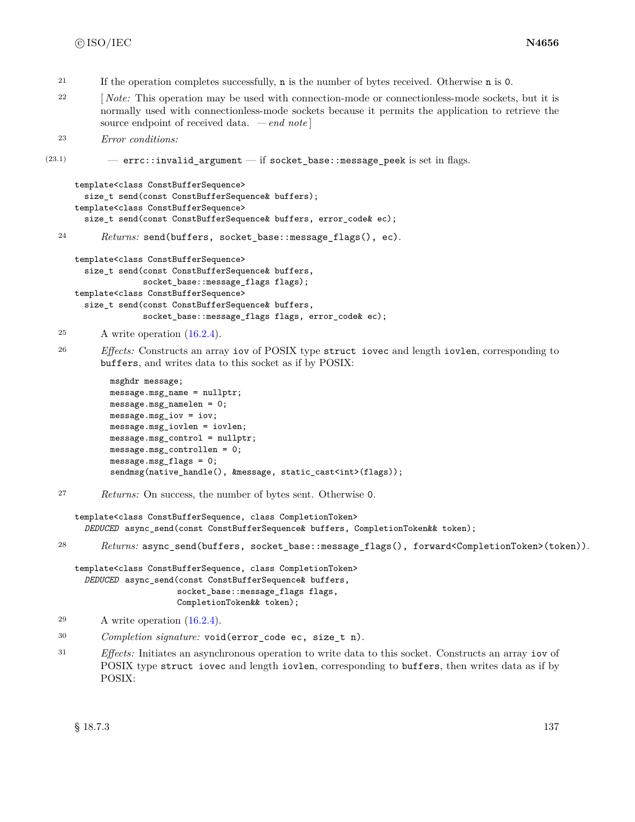- <sup>21</sup> If the operation completes successfully, n is the number of bytes received. Otherwise n is 0.
- <sup>22</sup> [*Note:* This operation may be used with connection-mode or connectionless-mode sockets, but it is normally used with connectionless-mode sockets because it permits the application to retrieve the source endpoint of received data. *— end note* ]

```
23 Error conditions:
```
(23.1) — errc::invalid\_argument — if socket\_base::message\_peek is set in flags.

```
template<class ConstBufferSequence>
  size_t send(const ConstBufferSequence& buffers);
template<class ConstBufferSequence>
  size_t send(const ConstBufferSequence& buffers, error_code& ec);
```
<sup>24</sup> *Returns:* send(buffers, socket\_base::message\_flags(), ec).

```
template<class ConstBufferSequence>
  size_t send(const ConstBufferSequence& buffers,
              socket_base::message_flags flags);
template<class ConstBufferSequence>
  size_t send(const ConstBufferSequence& buffers,
              socket_base::message_flags flags, error_code& ec);
```
<sup>25</sup> A write operation [\(16.2.4\)](#page-87-0).

<sup>26</sup> *Effects:* Constructs an array iov of POSIX type struct iovec and length iovlen, corresponding to buffers, and writes data to this socket as if by POSIX:

```
msghdr message;
message.msg_name = nullptr;
message.msg_namelen = 0;
message.msg_iov = iov;
message.msg_iovlen = iovlen;
message.msg_control = nullptr;
message.msg_controllen = 0;
message.msg_flags = 0;
sendmsg(native_handle(), &message, static_cast<int>(flags));
```

```
27 Returns: On success, the number of bytes sent. Otherwise 0.
```

```
template<class ConstBufferSequence, class CompletionToken>
  DEDUCED async_send(const ConstBufferSequence& buffers, CompletionToken&& token);
```
<sup>28</sup> *Returns:* async\_send(buffers, socket\_base::message\_flags(), forward<CompletionToken>(token)).

template<class ConstBufferSequence, class CompletionToken> *DEDUCED* async\_send(const ConstBufferSequence& buffers, socket\_base::message\_flags flags, CompletionToken&& token);

<sup>31</sup> *Effects:* Initiates an asynchronous operation to write data to this socket. Constructs an array iov of POSIX type struct iovec and length iovlen, corresponding to buffers, then writes data as if by POSIX:

<sup>29</sup> A write operation [\(16.2.4\)](#page-87-0).

<sup>30</sup> *Completion signature:* void(error\_code ec, size\_t n).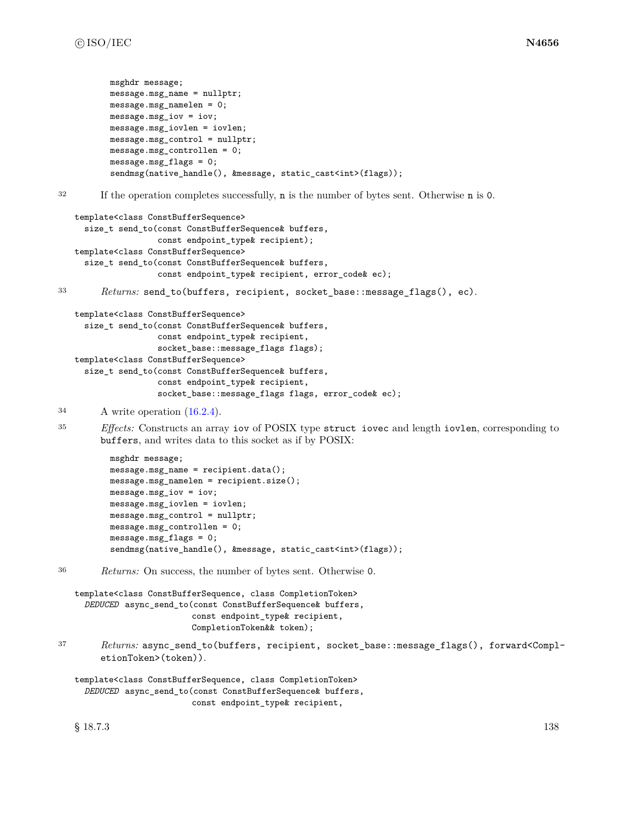```
msghdr message;
          message.msg_name = nullptr;
          message.msg_namelen = 0;
          message.msg_iov = iov;
          message.msg_iovlen = iovlen;
          message.msg_control = nullptr;
          message.msg_controllen = 0;
          message.msg_flags = 0;
          sendmsg(native_handle(), &message, static_cast<int>(flags));
32 If the operation completes successfully, n is the number of bytes sent. Otherwise n is 0.
   template<class ConstBufferSequence>
     size_t send_to(const ConstBufferSequence& buffers,
                    const endpoint_type& recipient);
   template<class ConstBufferSequence>
     size_t send_to(const ConstBufferSequence& buffers,
                    const endpoint_type& recipient, error_code& ec);
33 Returns: send_to(buffers, recipient, socket_base::message_flags(), ec).
   template<class ConstBufferSequence>
     size_t send_to(const ConstBufferSequence& buffers,
                    const endpoint_type& recipient,
                    socket_base::message_flags flags);
   template<class ConstBufferSequence>
     size_t send_to(const ConstBufferSequence& buffers,
                    const endpoint_type& recipient,
                    socket_base::message_flags flags, error_code& ec);
34 A write operation (16.2.4).
35 Effects: Constructs an array iov of POSIX type struct iovec and length iovlen, corresponding to
        buffers, and writes data to this socket as if by POSIX:
          msghdr message;
          message.msg_name = recipient.data();
          message.msg_namelen = recipient.size();
          message.msg_iov = iov;
          message.msg_iovlen = iovlen;
          message.msg_control = nullptr;
          message.msg_controllen = 0;
          message.msg_flags = 0;
          sendmsg(native_handle(), &message, static_cast<int>(flags));
```
<sup>36</sup> *Returns:* On success, the number of bytes sent. Otherwise 0.

```
template<class ConstBufferSequence, class CompletionToken>
  DEDUCED async_send_to(const ConstBufferSequence& buffers,
                        const endpoint_type& recipient,
                        CompletionToken&& token);
```
<sup>37</sup> *Returns:* async\_send\_to(buffers, recipient, socket\_base::message\_flags(), forward<CompletionToken>(token)).

```
template<class ConstBufferSequence, class CompletionToken>
  DEDUCED async_send_to(const ConstBufferSequence& buffers,
                        const endpoint_type& recipient,
```
 $\S 18.7.3$  138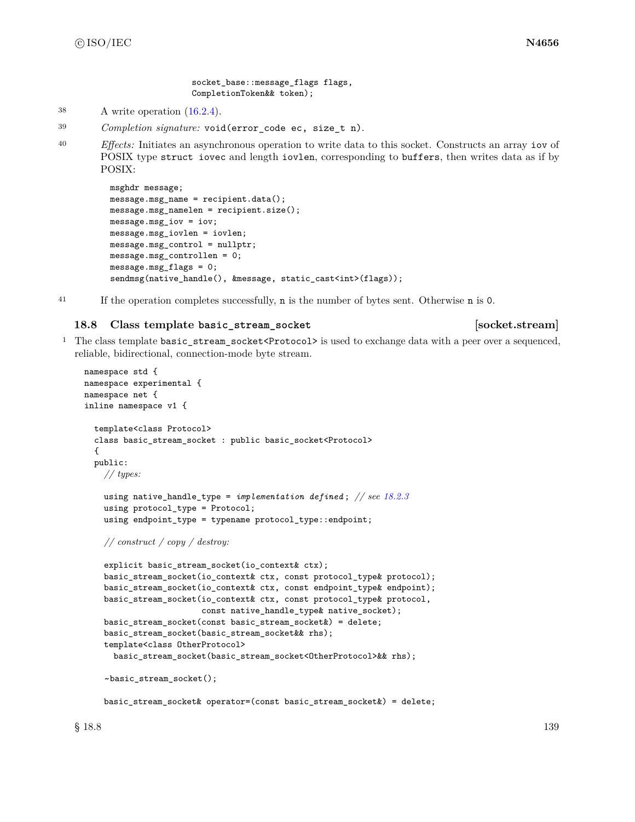socket base::message flags flags, CompletionToken&& token);

- <sup>38</sup> A write operation [\(16.2.4\)](#page-87-0).
- <sup>39</sup> *Completion signature:* void(error\_code ec, size\_t n).
- <sup>40</sup> *Effects:* Initiates an asynchronous operation to write data to this socket. Constructs an array iov of POSIX type struct iovec and length iovlen, corresponding to buffers, then writes data as if by POSIX:

```
msghdr message;
message.msg_name = recipient.data();
message.msg_namelen = recipient.size();
message.msg_iov = iov;
message.msg_iovlen = iovlen;
message.msg_control = nullptr;
message.msg_controllen = 0;
message.msg_flags = 0;
sendmsg(native_handle(), &message, static_cast<int>(flags));
```

```
41 If the operation completes successfully, n is the number of bytes sent. Otherwise n is 0.
```
# **18.8 Class template basic\_stream\_socket [socket.stream]**

<sup>1</sup> The class template basic\_stream\_socket<Protocol> is used to exchange data with a peer over a sequenced, reliable, bidirectional, connection-mode byte stream.

```
namespace std {
namespace experimental {
namespace net {
inline namespace v1 {
  template<class Protocol>
  class basic_stream_socket : public basic_socket<Protocol>
  {
 public:
    // types:
    using native_handle_type = implementation defined ; // see 18.2.3
    using protocol_type = Protocol;
    using endpoint_type = typename protocol_type::endpoint;
    // construct / copy / destroy:
    explicit basic_stream_socket(io_context& ctx);
    basic_stream_socket(io_context& ctx, const protocol_type& protocol);
    basic_stream_socket(io_context& ctx, const endpoint_type& endpoint);
    basic_stream_socket(io_context& ctx, const protocol_type& protocol,
                        const native_handle_type& native_socket);
    basic_stream_socket(const basic_stream_socket&) = delete;
    basic_stream_socket(basic_stream_socket&& rhs);
    template<class OtherProtocol>
      basic_stream_socket(basic_stream_socket<OtherProtocol>&& rhs);
    ~basic_stream_socket();
    basic_stream_socket& operator=(const basic_stream_socket&) = delete;
```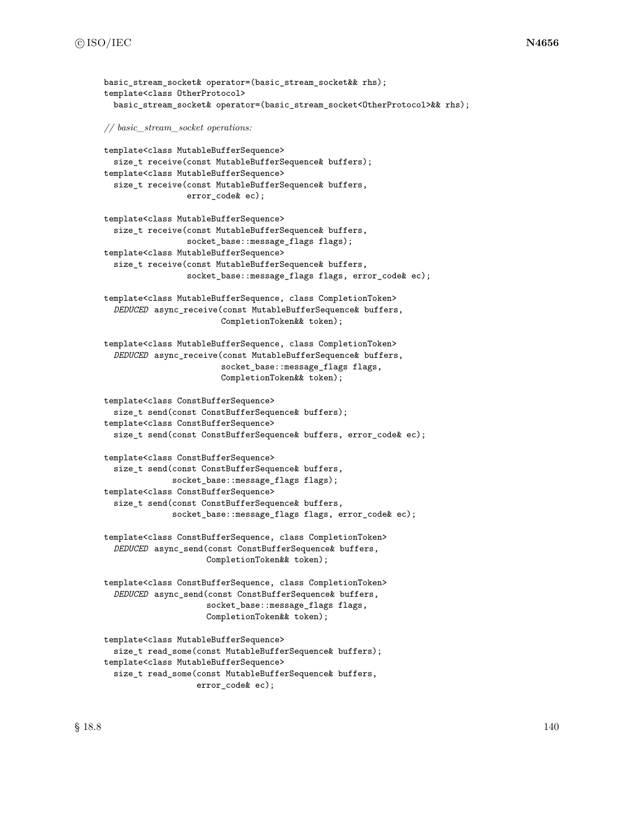```
basic stream socket& operator=(basic stream socket&& rhs);
template<class OtherProtocol>
  basic_stream_socket& operator=(basic_stream_socket<OtherProtocol>&& rhs);
// basic_stream_socket operations:
template<class MutableBufferSequence>
  size_t receive(const MutableBufferSequence& buffers);
template<class MutableBufferSequence>
  size_t receive(const MutableBufferSequence& buffers,
                 error_code& ec);
template<class MutableBufferSequence>
  size_t receive(const MutableBufferSequence& buffers,
                 socket_base::message_flags flags);
template<class MutableBufferSequence>
  size_t receive(const MutableBufferSequence& buffers,
                 socket_base::message_flags flags, error_code& ec);
template<class MutableBufferSequence, class CompletionToken>
  DEDUCED async_receive(const MutableBufferSequence& buffers,
                        CompletionToken&& token);
template<class MutableBufferSequence, class CompletionToken>
  DEDUCED async_receive(const MutableBufferSequence& buffers,
                        socket_base::message_flags flags,
                        CompletionToken&& token);
template<class ConstBufferSequence>
  size_t send(const ConstBufferSequence& buffers);
template<class ConstBufferSequence>
  size_t send(const ConstBufferSequence& buffers, error_code& ec);
template<class ConstBufferSequence>
  size_t send(const ConstBufferSequence& buffers,
              socket_base::message_flags flags);
template<class ConstBufferSequence>
  size_t send(const ConstBufferSequence& buffers,
              socket_base::message_flags flags, error_code& ec);
template<class ConstBufferSequence, class CompletionToken>
  DEDUCED async_send(const ConstBufferSequence& buffers,
                     CompletionToken&& token);
template<class ConstBufferSequence, class CompletionToken>
  DEDUCED async_send(const ConstBufferSequence& buffers,
                     socket_base::message_flags flags,
                     CompletionToken&& token);
template<class MutableBufferSequence>
  size_t read_some(const MutableBufferSequence& buffers);
template<class MutableBufferSequence>
  size_t read_some(const MutableBufferSequence& buffers,
```
error\_code& ec);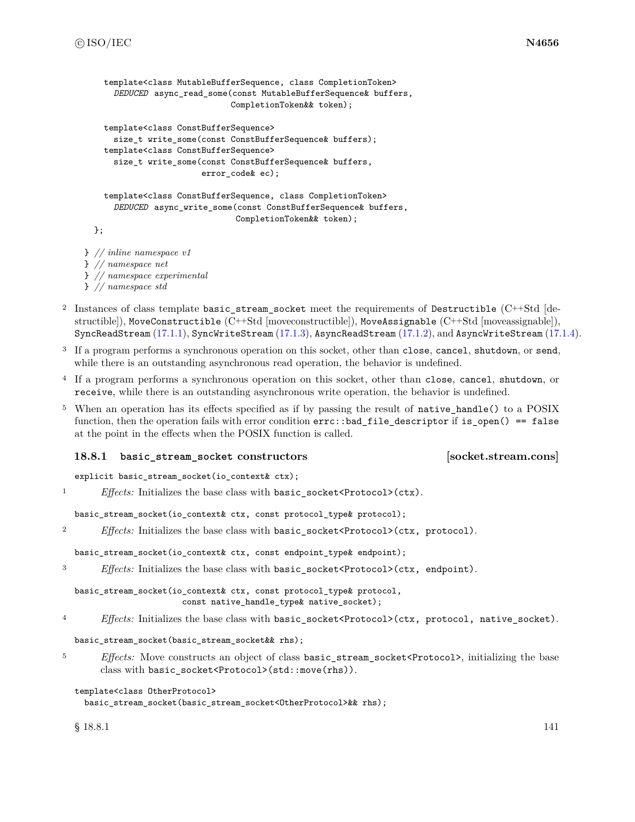```
template<class MutableBufferSequence, class CompletionToken>
      DEDUCED async_read_some(const MutableBufferSequence& buffers,
                              CompletionToken&& token);
    template<class ConstBufferSequence>
      size_t write_some(const ConstBufferSequence& buffers);
    template<class ConstBufferSequence>
      size_t write_some(const ConstBufferSequence& buffers,
                        error_code& ec);
    template<class ConstBufferSequence, class CompletionToken>
      DEDUCED async_write_some(const ConstBufferSequence& buffers,
                               CompletionToken&& token);
  };
} // inline namespace v1
```
} *// namespace net* } *// namespace experimental*

- } *// namespace std*
- <sup>2</sup> Instances of class template basic\_stream\_socket meet the requirements of Destructible (C++Std [destructible]), MoveConstructible (C++Std [moveconstructible]), MoveAssignable (C++Std [moveassignable]), SyncReadStream [\(17.1.1\)](#page-98-0), SyncWriteStream [\(17.1.3\)](#page-99-0), AsyncReadStream [\(17.1.2\)](#page-98-1), and AsyncWriteStream [\(17.1.4\)](#page-99-1).
- <sup>3</sup> If a program performs a synchronous operation on this socket, other than close, cancel, shutdown, or send, while there is an outstanding asynchronous read operation, the behavior is undefined.
- <sup>4</sup> If a program performs a synchronous operation on this socket, other than close, cancel, shutdown, or receive, while there is an outstanding asynchronous write operation, the behavior is undefined.
- <sup>5</sup> When an operation has its effects specified as if by passing the result of native\_handle() to a POSIX function, then the operation fails with error condition errc::bad\_file\_descriptor if is\_open() == false at the point in the effects when the POSIX function is called.

### **18.8.1 basic\_stream\_socket constructors [socket.stream.cons]**

explicit basic\_stream\_socket(io\_context& ctx);

```
<sup>1</sup> Effects: Initializes the base class with basic socket<Protocol>(ctx).
```
basic\_stream\_socket(io\_context& ctx, const protocol\_type& protocol);

```
2 Effects: Initializes the base class with basic_socket<Protocol>(ctx, protocol).
```
basic\_stream\_socket(io\_context& ctx, const endpoint\_type& endpoint);

```
3 Effects: Initializes the base class with basic_socket<Protocol>(ctx, endpoint).
```
basic\_stream\_socket(io\_context& ctx, const protocol\_type& protocol, const native\_handle\_type& native\_socket);

<sup>4</sup> *Effects:* Initializes the base class with basic\_socket<Protocol>(ctx, protocol, native\_socket).

basic\_stream\_socket(basic\_stream\_socket&& rhs);

<sup>5</sup> *Effects:* Move constructs an object of class basic stream socket<Protocol>, initializing the base class with basic\_socket<Protocol>(std::move(rhs)).

```
template<class OtherProtocol>
```

```
basic_stream_socket(basic_stream_socket<OtherProtocol>&& rhs);
```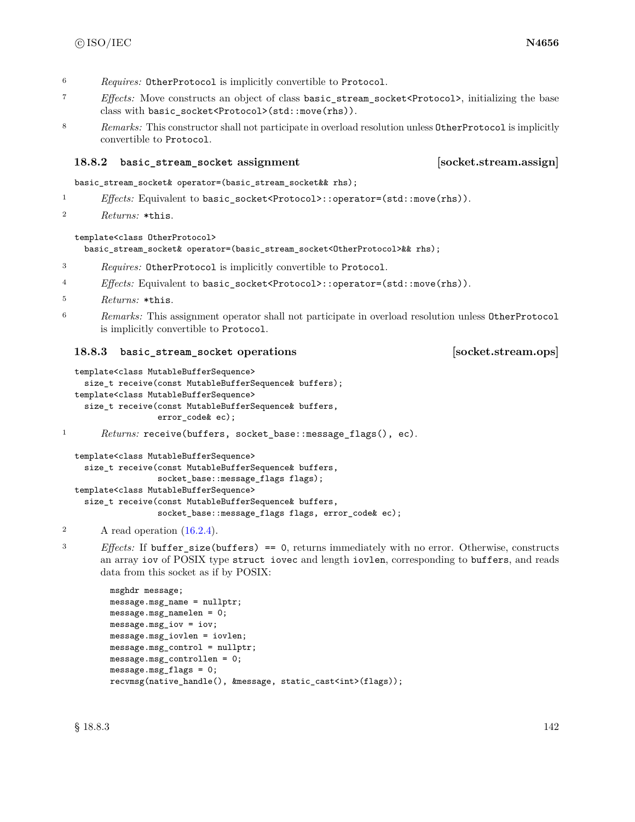- <sup>6</sup> *Requires:* OtherProtocol is implicitly convertible to Protocol.
- <sup>7</sup> *Effects:* Move constructs an object of class basic\_stream\_socket<Protocol>, initializing the base class with basic\_socket<Protocol>(std::move(rhs)).
- 8 *Remarks:* This constructor shall not participate in overload resolution unless OtherProtocol is implicitly convertible to Protocol.

# **18.8.2 basic\_stream\_socket assignment [socket.stream.assign]**

basic\_stream\_socket& operator=(basic\_stream\_socket&& rhs);

- 1 *Effects:* Equivalent to basic\_socket<Protocol>::operator=(std::move(rhs)).
- <sup>2</sup> *Returns:* \*this.

## template<class OtherProtocol>

basic\_stream\_socket& operator=(basic\_stream\_socket<OtherProtocol>&& rhs);

- <sup>3</sup> *Requires:* OtherProtocol is implicitly convertible to Protocol.
- <sup>4</sup> *Effects:* Equivalent to basic\_socket<Protocol>::operator=(std::move(rhs)).
- <sup>5</sup> *Returns:* \*this.
- <sup>6</sup> *Remarks:* This assignment operator shall not participate in overload resolution unless OtherProtocol is implicitly convertible to Protocol.

## **18.8.3 basic\_stream\_socket operations [socket.stream.ops]**

```
template<class MutableBufferSequence>
  size_t receive(const MutableBufferSequence& buffers);
template<class MutableBufferSequence>
  size_t receive(const MutableBufferSequence& buffers,
                 error_code& ec);
```

```
1 Returns: receive(buffers, socket_base::message_flags(), ec).
```

```
template<class MutableBufferSequence>
  size_t receive(const MutableBufferSequence& buffers,
                 socket_base::message_flags flags);
template<class MutableBufferSequence>
  size_t receive(const MutableBufferSequence& buffers,
                 socket_base::message_flags flags, error_code& ec);
```
<sup>3</sup> *Effects:* If buffer\_size(buffers) == 0, returns immediately with no error. Otherwise, constructs an array iov of POSIX type struct iovec and length iovlen, corresponding to buffers, and reads data from this socket as if by POSIX:

```
msghdr message;
message.msg_name = nullptr;
message.msg_namelen = 0;
message.msg_iov = iov;
message.msg_iovlen = iovlen;
message.msg_control = nullptr;
message.msg_controllen = 0;
message.msg_flags = 0;
recvmsg(native_handle(), &message, static_cast<int>(flags));
```
<sup>2</sup> A read operation  $(16.2.4)$ .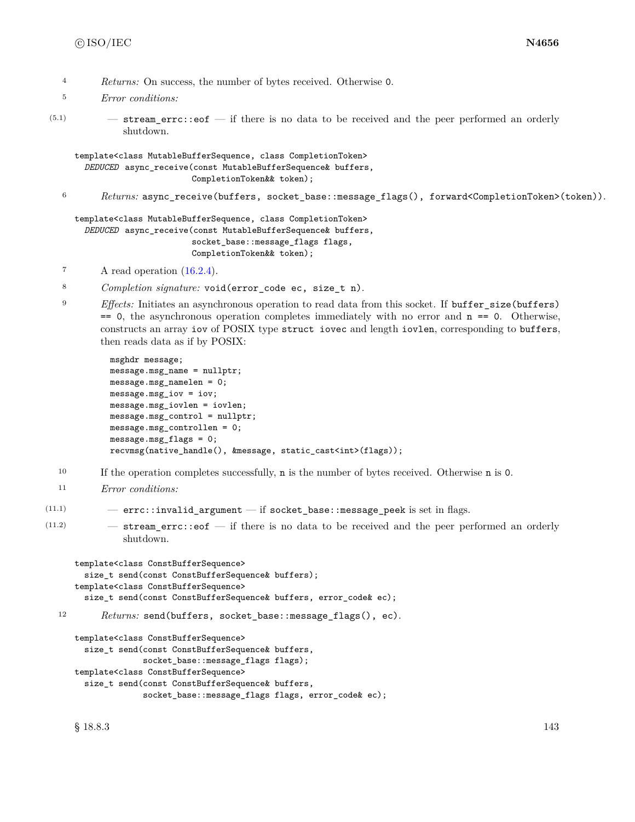- <sup>4</sup> *Returns:* On success, the number of bytes received. Otherwise 0.
- <sup>5</sup> *Error conditions:*
- $(5.1)$   $-$  stream\_errc::eof  $-$  if there is no data to be received and the peer performed an orderly shutdown.

template<class MutableBufferSequence, class CompletionToken> *DEDUCED* async\_receive(const MutableBufferSequence& buffers, CompletionToken&& token);

<sup>6</sup> *Returns:* async\_receive(buffers, socket\_base::message\_flags(), forward<CompletionToken>(token)).

```
template<class MutableBufferSequence, class CompletionToken>
  DEDUCED async_receive(const MutableBufferSequence& buffers,
                        socket_base::message_flags flags,
                        CompletionToken&& token);
```
- $7 \quad A \text{ read operation } (16.2.4).$  $7 \quad A \text{ read operation } (16.2.4).$  $7 \quad A \text{ read operation } (16.2.4).$
- <sup>8</sup> *Completion signature:* void(error\_code ec, size\_t n).
- <sup>9</sup> *Effects:* Initiates an asynchronous operation to read data from this socket. If buffer size(buffers)  $== 0$ , the asynchronous operation completes immediately with no error and  $n == 0$ . Otherwise, constructs an array iov of POSIX type struct iovec and length iovlen, corresponding to buffers, then reads data as if by POSIX:

```
msghdr message;
message.msg_name = nullptr;
message.msg_namelen = 0;
message.msg_iov = iov;
message.msg_iovlen = iovlen;
message.msg_control = nullptr;
message.msg_controllen = 0;
message.msg_flags = 0;
recvmsg(native_handle(), &message, static_cast<int>(flags));
```
- <sup>10</sup> If the operation completes successfully, n is the number of bytes received. Otherwise n is 0.
- <sup>11</sup> *Error conditions:*

```
(11.1) - errc::invalid_argument - if socket_base::message_peek is set in flags.
```
(11.2) — stream\_errc::eof — if there is no data to be received and the peer performed an orderly shutdown.

```
template<class ConstBufferSequence>
     size_t send(const ConstBufferSequence& buffers);
   template<class ConstBufferSequence>
     size_t send(const ConstBufferSequence& buffers, error_code& ec);
12 Returns: send(buffers, socket_base::message_flags(), ec).
```

```
template<class ConstBufferSequence>
  size_t send(const ConstBufferSequence& buffers,
              socket_base::message_flags flags);
template<class ConstBufferSequence>
  size_t send(const ConstBufferSequence& buffers,
              socket_base::message_flags flags, error_code& ec);
```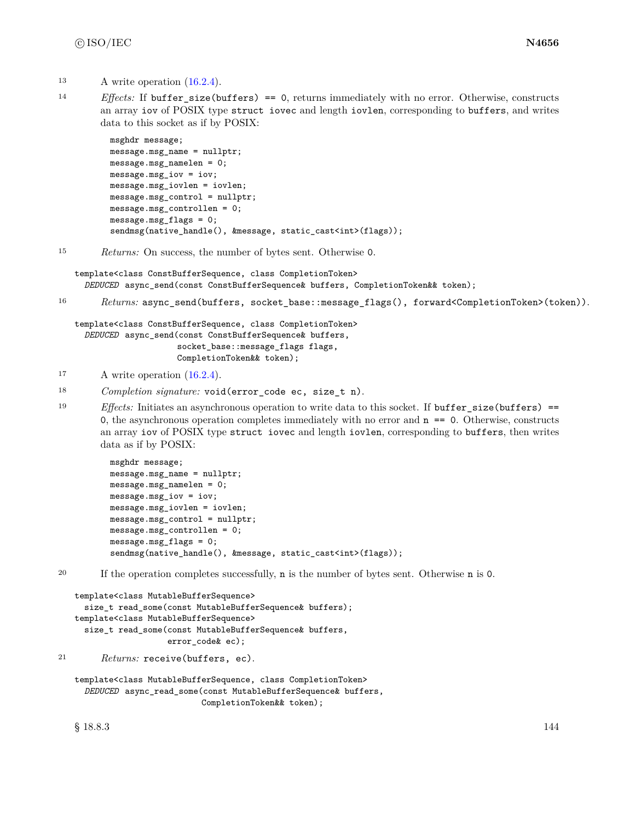- <sup>13</sup> A write operation [\(16.2.4\)](#page-87-0).
- <sup>14</sup> *Effects:* If buffer\_size(buffers) == 0, returns immediately with no error. Otherwise, constructs an array iov of POSIX type struct iovec and length iovlen, corresponding to buffers, and writes data to this socket as if by POSIX:

```
msghdr message;
message.msg_name = nullptr;
message.msg_namelen = 0;
message.msg_iov = iov;
message.msg_iovlen = iovlen;
message.msg_control = nullptr;
message.msg_controllen = 0;
message.msg_flags = 0;
sendmsg(native_handle(), &message, static_cast<int>(flags));
```
<sup>15</sup> *Returns:* On success, the number of bytes sent. Otherwise 0.

template<class ConstBufferSequence, class CompletionToken> *DEDUCED* async\_send(const ConstBufferSequence& buffers, CompletionToken&& token);

```
16 Returns: async_send(buffers, socket_base::message_flags(), forward<CompletionToken>(token)).
```

```
template<class ConstBufferSequence, class CompletionToken>
  DEDUCED async_send(const ConstBufferSequence& buffers,
                     socket_base::message_flags flags,
                     CompletionToken&& token);
```
- <sup>17</sup> A write operation [\(16.2.4\)](#page-87-0).
- <sup>18</sup> *Completion signature:* void(error\_code ec, size\_t n).
- 19 *Effects:* Initiates an asynchronous operation to write data to this socket. If buffer size(buffers) == 0, the asynchronous operation completes immediately with no error and  $n = 0$ . Otherwise, constructs an array iov of POSIX type struct iovec and length iovlen, corresponding to buffers, then writes data as if by POSIX:

```
msghdr message;
message.msg_name = nullptr;
message.msg_namelen = 0;
message.msg_iov = iov;
message.msg_iovlen = iovlen;
message.msg_control = nullptr;
message.msg_controllen = 0;
message.msg_flags = 0;
sendmsg(native_handle(), &message, static_cast<int>(flags));
```
<sup>20</sup> If the operation completes successfully, n is the number of bytes sent. Otherwise n is 0.

```
template<class MutableBufferSequence>
  size_t read_some(const MutableBufferSequence& buffers);
template<class MutableBufferSequence>
  size_t read_some(const MutableBufferSequence& buffers,
                   error code& ec);
```

```
21 Returns: receive(buffers, ec).
```

```
template<class MutableBufferSequence, class CompletionToken>
  DEDUCED async_read_some(const MutableBufferSequence& buffers,
                          CompletionToken&& token);
```
 $§$  18.8.3 144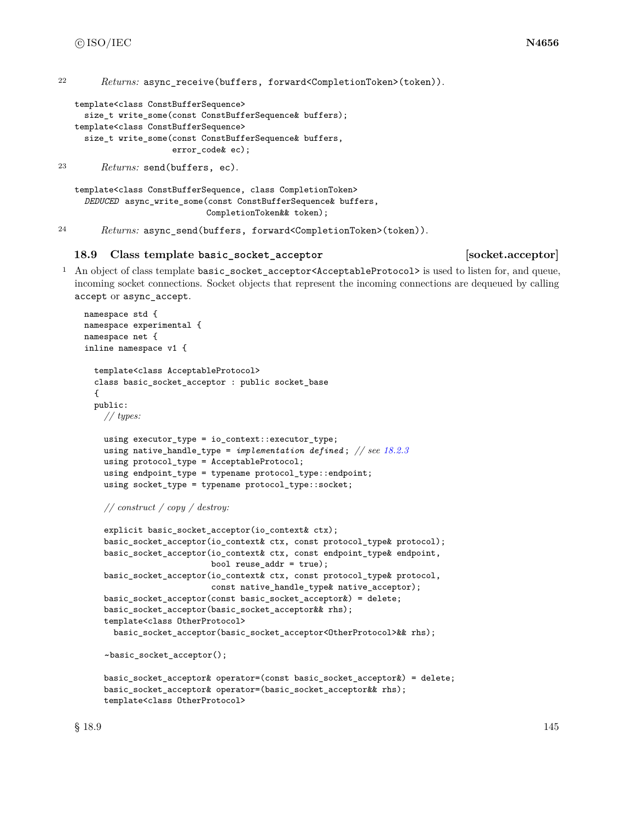# c ISO/IEC **N4656**

<sup>22</sup> *Returns:* async\_receive(buffers, forward<CompletionToken>(token)).

```
template<class ConstBufferSequence>
  size_t write_some(const ConstBufferSequence& buffers);
template<class ConstBufferSequence>
  size_t write_some(const ConstBufferSequence& buffers,
                    error_code& ec);
```
<sup>23</sup> *Returns:* send(buffers, ec).

```
template<class ConstBufferSequence, class CompletionToken>
  DEDUCED async_write_some(const ConstBufferSequence& buffers,
                           CompletionToken&& token);
```
<sup>24</sup> *Returns:* async\_send(buffers, forward<CompletionToken>(token)).

### **18.9 Class template basic\_socket\_acceptor [socket.acceptor]**

<sup>1</sup> An object of class template basic\_socket\_acceptor<AcceptableProtocol> is used to listen for, and queue, incoming socket connections. Socket objects that represent the incoming connections are dequeued by calling accept or async\_accept.

```
namespace std {
namespace experimental {
namespace net {
inline namespace v1 {
  template<class AcceptableProtocol>
  class basic_socket_acceptor : public socket_base
  {
  public:
   // types:
    using executor_type = io_context::executor_type;
    using native_handle_type = implementation defined ; // see 18.2.3
    using protocol_type = AcceptableProtocol;
    using endpoint_type = typename protocol_type::endpoint;
    using socket_type = typename protocol_type::socket;
```

```
explicit basic_socket_acceptor(io_context& ctx);
basic_socket_acceptor(io_context& ctx, const protocol_type& protocol);
basic_socket_acceptor(io_context& ctx, const endpoint_type& endpoint,
                      bool reuse_addr = true);
basic_socket_acceptor(io_context& ctx, const protocol_type& protocol,
                      const native_handle_type& native_acceptor);
basic_socket_acceptor(const basic_socket_acceptor&) = delete;
basic_socket_acceptor(basic_socket_acceptor&& rhs);
template<class OtherProtocol>
 basic_socket_acceptor(basic_socket_acceptor<OtherProtocol>&& rhs);
```
~basic\_socket\_acceptor();

```
basic_socket_acceptor& operator=(const basic_socket_acceptor&) = delete;
basic_socket_acceptor& operator=(basic_socket_acceptor&& rhs);
template<class OtherProtocol>
```
*<sup>//</sup> construct / copy / destroy:*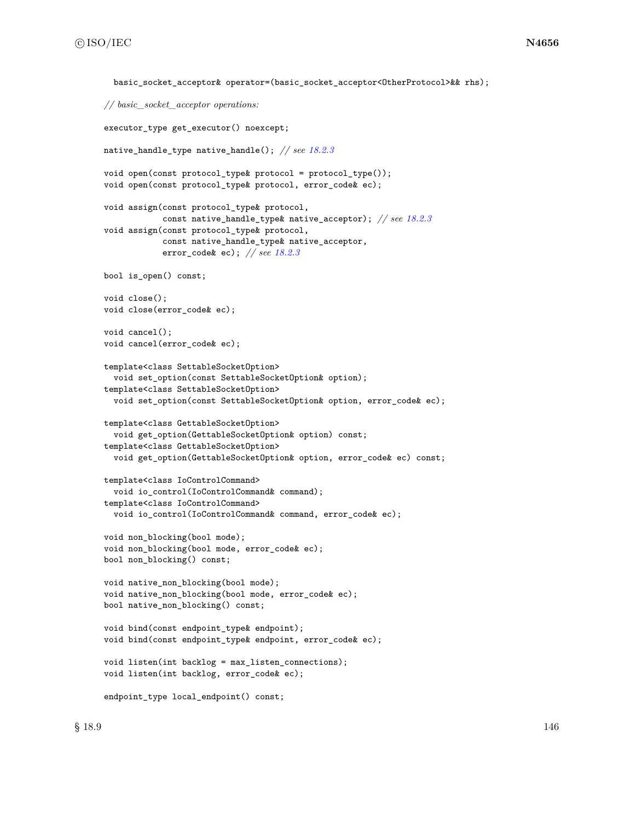```
basic_socket_acceptor& operator=(basic_socket_acceptor<OtherProtocol>&& rhs);
// basic_socket_acceptor operations:
executor_type get_executor() noexcept;
native_handle_type native_handle(); // see 18.2.3
void open(const protocol_type& protocol = protocol_type());
void open(const protocol_type& protocol, error_code& ec);
void assign(const protocol_type& protocol,
            const native_handle_type& native_acceptor); // see 18.2.3
void assign(const protocol_type& protocol,
            const native_handle_type& native_acceptor,
            error_code& ec); // see 18.2.3
bool is_open() const;
void close();
void close(error_code& ec);
void cancel();
void cancel(error_code& ec);
template<class SettableSocketOption>
  void set_option(const SettableSocketOption& option);
template<class SettableSocketOption>
  void set_option(const SettableSocketOption& option, error_code& ec);
template<class GettableSocketOption>
  void get_option(GettableSocketOption& option) const;
template<class GettableSocketOption>
  void get_option(GettableSocketOption& option, error_code& ec) const;
template<class IoControlCommand>
  void io_control(IoControlCommand& command);
template<class IoControlCommand>
  void io_control(IoControlCommand& command, error_code& ec);
void non_blocking(bool mode);
void non_blocking(bool mode, error_code& ec);
bool non_blocking() const;
void native_non_blocking(bool mode);
void native_non_blocking(bool mode, error_code& ec);
bool native_non_blocking() const;
void bind(const endpoint_type& endpoint);
void bind(const endpoint_type& endpoint, error_code& ec);
void listen(int backlog = max_listen_connections);
void listen(int backlog, error_code& ec);
endpoint_type local_endpoint() const;
```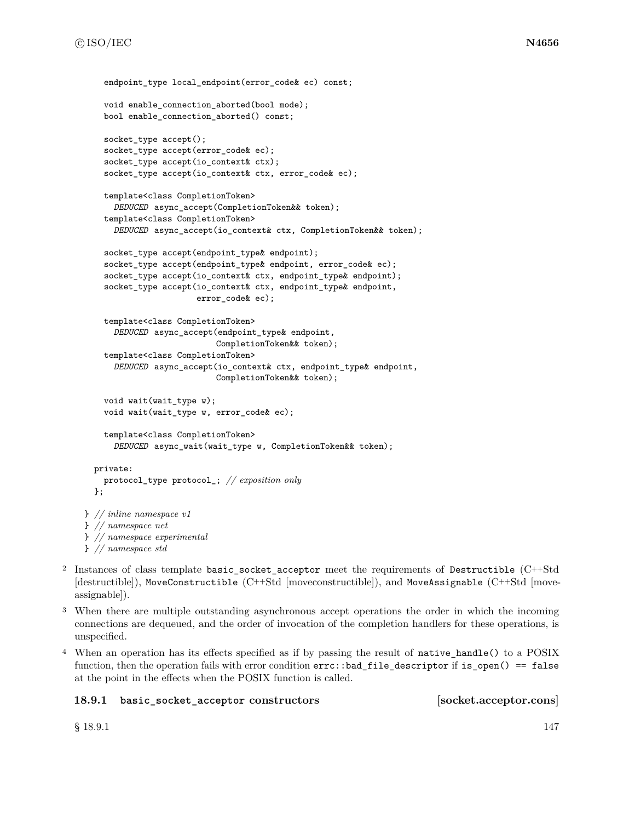```
endpoint type local endpoint(error code& ec) const;
    void enable_connection_aborted(bool mode);
    bool enable_connection_aborted() const;
    socket_type accept();
    socket_type accept(error_code& ec);
    socket_type accept(io_context& ctx);
    socket_type accept(io_context& ctx, error_code& ec);
    template<class CompletionToken>
      DEDUCED async_accept(CompletionToken&& token);
    template<class CompletionToken>
      DEDUCED async_accept(io_context& ctx, CompletionToken&& token);
    socket_type accept(endpoint_type& endpoint);
    socket_type accept(endpoint_type& endpoint, error_code& ec);
    socket_type accept(io_context& ctx, endpoint_type& endpoint);
    socket_type accept(io_context& ctx, endpoint_type& endpoint,
                       error_code& ec);
    template<class CompletionToken>
      DEDUCED async_accept(endpoint_type& endpoint,
                           CompletionToken&& token);
    template<class CompletionToken>
      DEDUCED async_accept(io_context& ctx, endpoint_type& endpoint,
                           CompletionToken&& token);
    void wait(wait_type w);
    void wait(wait_type w, error_code& ec);
    template<class CompletionToken>
      DEDUCED async_wait(wait_type w, CompletionToken&& token);
 private:
    protocol_type protocol_; // exposition only
  \ddot{\ }:
} // inline namespace v1
} // namespace net
} // namespace experimental
} // namespace std
```
- <sup>2</sup> Instances of class template basic\_socket\_acceptor meet the requirements of Destructible (C++Std [destructible]), MoveConstructible (C++Std [moveconstructible]), and MoveAssignable (C++Std [moveassignable]).
- <sup>3</sup> When there are multiple outstanding asynchronous accept operations the order in which the incoming connections are dequeued, and the order of invocation of the completion handlers for these operations, is unspecified.
- <sup>4</sup> When an operation has its effects specified as if by passing the result of native\_handle() to a POSIX function, then the operation fails with error condition  $errc$ ::bad\_file\_descriptor if is\_open() == false at the point in the effects when the POSIX function is called.

# **18.9.1 basic\_socket\_acceptor constructors [socket.acceptor.cons]**

 $\S$  18.9.1 147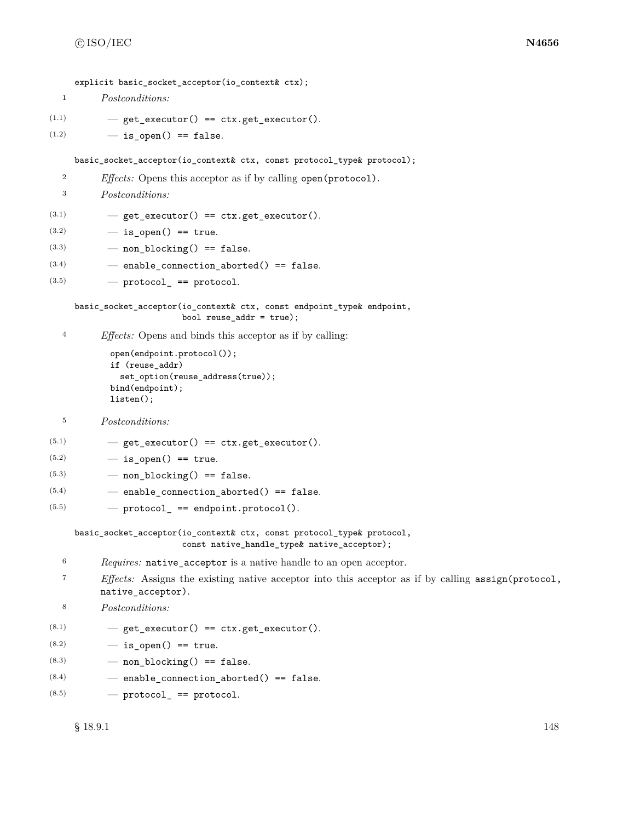explicit basic socket acceptor(io context& ctx);

```
1 Postconditions:
```
- $(1.1)$   $-$  get\_executor() == ctx.get\_executor().
- $(1.2)$   $-$  is\_open() == false.

basic\_socket\_acceptor(io\_context& ctx, const protocol\_type& protocol);

<sup>2</sup> *Effects:* Opens this acceptor as if by calling open(protocol).

<sup>3</sup> *Postconditions:*

- $(3.1)$   $-$  get\_executor() == ctx.get\_executor().
- $(3.2)$   $-$  is open() == true.
- $(3.3)$  non blocking() == false.
- $(3.4)$  enable connection aborted() == false.
- $(3.5)$  protocol\_ == protocol.

basic\_socket\_acceptor(io\_context& ctx, const endpoint\_type& endpoint, bool reuse\_addr = true);

<sup>4</sup> *Effects:* Opens and binds this acceptor as if by calling:

```
open(endpoint.protocol());
if (reuse_addr)
  set_option(reuse_address(true));
bind(endpoint);
listen();
```

```
5 Postconditions:
```
 $(5.1)$   $-$  get\_executor() == ctx.get\_executor().

- $(5.2)$   $-$  is open() == true.
- $(5.3)$  non blocking() == false.
- $(5.4)$  enable\_connection\_aborted() == false.

```
(5.5) \qquad \qquad \qquad \qquad \qquad \qquad \qquad \qquad \qquad \qquad \qquad \qquad \qquad \qquad \qquad \qquad \qquad \qquad \qquad \qquad \qquad \qquad \qquad \qquad \qquad \qquad \qquad \qquad \qquad \qquad \qquad \qquad \qquad \qquad \qquad \q
```
basic\_socket\_acceptor(io\_context& ctx, const protocol\_type& protocol, const native\_handle\_type& native\_acceptor);

- <sup>6</sup> *Requires:* native\_acceptor is a native handle to an open acceptor.
- <sup>7</sup> *Effects:* Assigns the existing native acceptor into this acceptor as if by calling assign(protocol, native\_acceptor).

```
8 Postconditions:
```
 $(8.1)$   $-$  get\_executor() == ctx.get\_executor().

- $(8.2)$   $-$  is open() == true.
- $(8.3)$  non\_blocking() == false.
- $(8.4)$  enable\_connection\_aborted() == false.
- $(8.5)$  protocol\_ == protocol.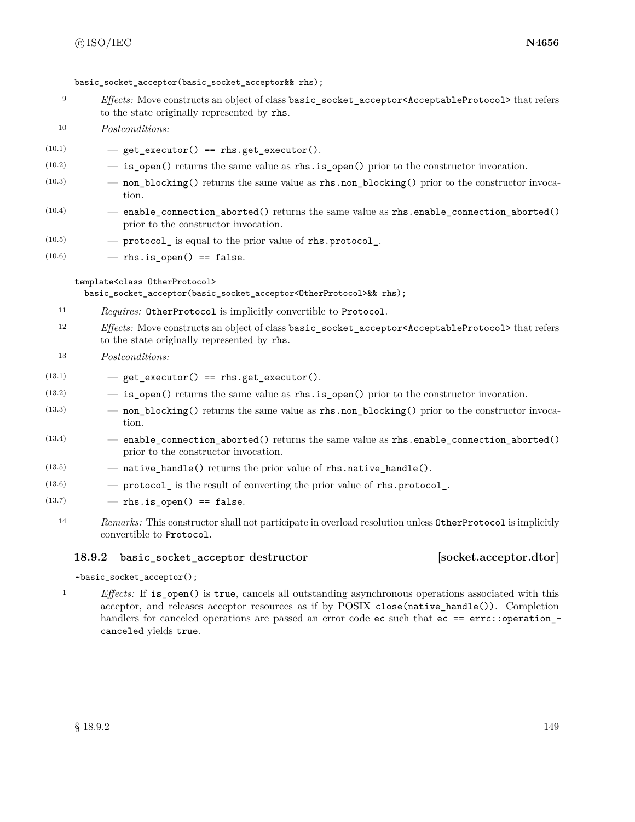basic socket acceptor(basic socket acceptor & rhs);

- <sup>9</sup> *Effects:* Move constructs an object of class basic\_socket\_acceptor<AcceptableProtocol> that refers to the state originally represented by rhs.
- <sup>10</sup> *Postconditions:*
- $(10.1)$  get executor() == rhs.get executor().
- $(10.2)$   $-$  **is\_open()** returns the same value as **rhs.is\_open()** prior to the constructor invocation.
- $(10.3)$  non\_blocking() returns the same value as rhs.non\_blocking() prior to the constructor invocation.
- $(10.4)$  enable\_connection\_aborted() returns the same value as rhs.enable\_connection\_aborted() prior to the constructor invocation.
- $(10.5)$   $\qquad -$  protocol is equal to the prior value of rhs.protocol.
- $(10.6)$  rhs.is\_open() == false.

template<class OtherProtocol>

basic\_socket\_acceptor(basic\_socket\_acceptor<OtherProtocol>&& rhs);

- <sup>11</sup> *Requires:* OtherProtocol is implicitly convertible to Protocol.
- <sup>12</sup> *Effects:* Move constructs an object of class basic\_socket\_acceptor<AcceptableProtocol> that refers to the state originally represented by rhs.
- <sup>13</sup> *Postconditions:*
- $(13.1)$   $-$  get\_executor() == rhs.get\_executor().
- $(13.2)$   $-$  **is\_open()** returns the same value as **rhs.is\_open()** prior to the constructor invocation.
- (13.3) non\_blocking() returns the same value as rhs.non\_blocking() prior to the constructor invocation.
- $(13.4)$  enable\_connection\_aborted() returns the same value as rhs.enable\_connection\_aborted() prior to the constructor invocation.
- $(13.5)$   $-$  native\_handle() returns the prior value of rhs.native\_handle().
- $(13.6)$  protocol is the result of converting the prior value of rhs.protocol.
- $(13.7)$  rhs.is\_open() == false.
	- <sup>14</sup> *Remarks:* This constructor shall not participate in overload resolution unless OtherProtocol is implicitly convertible to Protocol.

## **18.9.2 basic\_socket\_acceptor destructor [socket.acceptor.dtor]**

## ~basic\_socket\_acceptor();

<sup>1</sup> *Effects:* If is\_open() is true, cancels all outstanding asynchronous operations associated with this acceptor, and releases acceptor resources as if by POSIX close(native\_handle()). Completion handlers for canceled operations are passed an error code ec such that ec == errc::operation canceled yields true.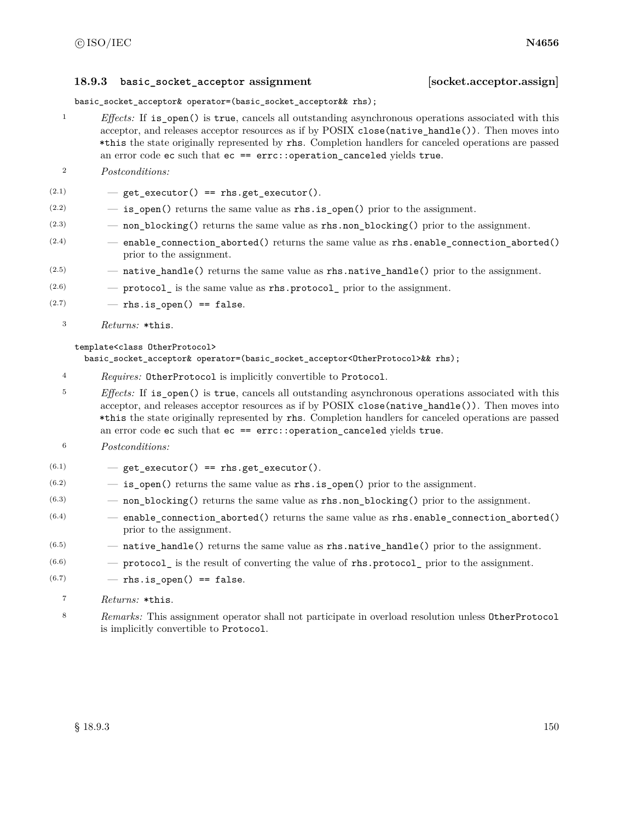# **18.9.3 basic\_socket\_acceptor assignment [socket.acceptor.assign]**

basic\_socket\_acceptor& operator=(basic\_socket\_acceptor&& rhs);

- <sup>1</sup> *Effects:* If is\_open() is true, cancels all outstanding asynchronous operations associated with this acceptor, and releases acceptor resources as if by POSIX close(native\_handle()). Then moves into \*this the state originally represented by rhs. Completion handlers for canceled operations are passed an error code ec such that  $ec = error$ : operation canceled yields true.
- <sup>2</sup> *Postconditions:*
- $(2.1)$   $-$  get\_executor() == rhs.get\_executor().
- $(2.2)$   $-$  is open() returns the same value as rhs.is open() prior to the assignment.
- (2.3) non\_blocking() returns the same value as rhs.non\_blocking() prior to the assignment.
- $(2.4)$   $-$  enable\_connection\_aborted() returns the same value as rhs.enable\_connection\_aborted() prior to the assignment.
- $(2.5)$   $-$  native\_handle() returns the same value as rhs.native\_handle() prior to the assignment.
- $(2.6)$  protocol is the same value as rhs.protocol prior to the assignment.
- $(2.7)$  rhs. is open() == false.
	- <sup>3</sup> *Returns:* \*this.

## template<class OtherProtocol>

basic\_socket\_acceptor& operator=(basic\_socket\_acceptor<OtherProtocol>&& rhs);

<sup>4</sup> *Requires:* OtherProtocol is implicitly convertible to Protocol.

<sup>5</sup> *Effects:* If is\_open() is true, cancels all outstanding asynchronous operations associated with this acceptor, and releases acceptor resources as if by POSIX close(native\_handle()). Then moves into \*this the state originally represented by rhs. Completion handlers for canceled operations are passed an error code ec such that ec == errc::operation\_canceled yields true.

- <sup>6</sup> *Postconditions:*
- $(6.1)$   $-$  get\_executor() == rhs.get\_executor().
- $(6.2)$   $-$  is open() returns the same value as rhs. is open() prior to the assignment.
- $(6.3)$  non\_blocking() returns the same value as rhs.non\_blocking() prior to the assignment.
- $(6.4)$  enable connection aborted() returns the same value as rhs.enable connection aborted() prior to the assignment.
- $(6.5)$   $-$  native\_handle() returns the same value as rhs.native\_handle() prior to the assignment.
- $(6.6)$  protocol is the result of converting the value of rhs.protocol prior to the assignment.
- $(6.7)$  rhs.is\_open() == false.
	- <sup>7</sup> *Returns:* \*this.
	- <sup>8</sup> *Remarks:* This assignment operator shall not participate in overload resolution unless OtherProtocol is implicitly convertible to Protocol.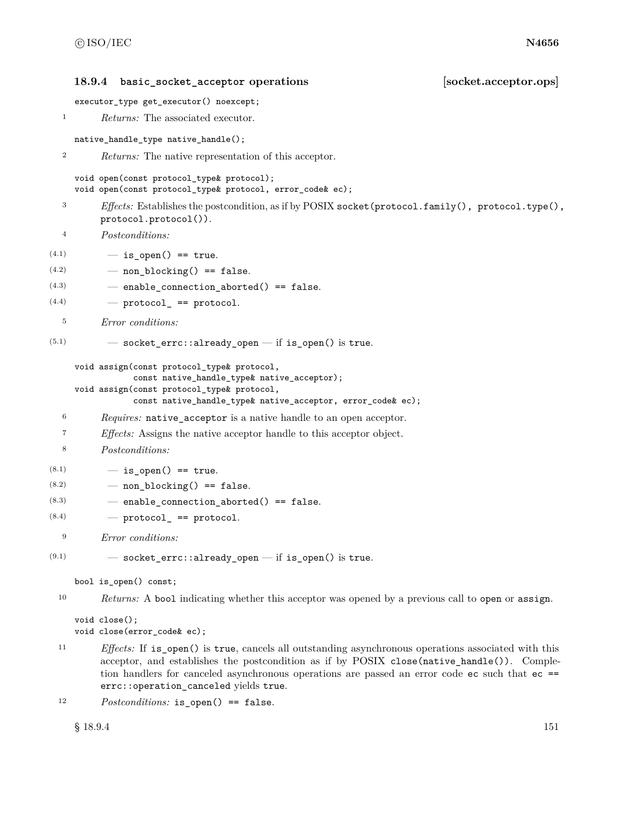**18.9.4 basic\_socket\_acceptor operations [socket.acceptor.ops]** executor\_type get\_executor() noexcept; <sup>1</sup> *Returns:* The associated executor. native\_handle\_type native\_handle(); <sup>2</sup> *Returns:* The native representation of this acceptor. void open(const protocol\_type& protocol); void open(const protocol\_type& protocol, error\_code& ec); <sup>3</sup> *Effects:* Establishes the postcondition, as if by POSIX socket(protocol.family(), protocol.type(), protocol.protocol()). <sup>4</sup> *Postconditions:*  $(4.1)$   $-$  is open() == true.  $(4.2)$  – non blocking() == false.  $(4.3)$  - enable\_connection\_aborted() == false.  $(4.4)$   $\qquad$   $\qquad$   $\qquad$   $\qquad$   $\qquad$   $\qquad$   $\qquad$   $\qquad$   $\qquad$   $\qquad$   $\qquad$   $\qquad$   $\qquad$   $\qquad$   $\qquad$   $\qquad$   $\qquad$   $\qquad$   $\qquad$   $\qquad$   $\qquad$   $\qquad$   $\qquad$   $\qquad$   $\qquad$   $\qquad$   $\qquad$   $\qquad$   $\qquad$   $\qquad$   $\qquad$   $\qquad$   $\qquad$   $\qquad$   $\qquad$   $\q$ <sup>5</sup> *Error conditions:*  $(5.1)$   $-$  socket\_errc::already\_open  $-$  if is\_open() is true. void assign(const protocol\_type& protocol, const native\_handle\_type& native\_acceptor); void assign(const protocol\_type& protocol, const native\_handle\_type& native\_acceptor, error\_code& ec); <sup>6</sup> *Requires:* native\_acceptor is a native handle to an open acceptor. <sup>7</sup> *Effects:* Assigns the native acceptor handle to this acceptor object. <sup>8</sup> *Postconditions:*  $(8.1)$   $-$  is open() == true.  $(8.2)$  — non\_blocking() == false.  $(8.3)$  - enable\_connection\_aborted() == false.  $(8.4)$  – protocol == protocol. <sup>9</sup> *Error conditions:*  $(9.1)$   $-$  socket\_errc::already\_open  $-$  if is\_open() is true. bool is\_open() const; <sup>10</sup> *Returns:* A bool indicating whether this acceptor was opened by a previous call to open or assign. void close();

```
void close(error_code& ec);
```
<sup>11</sup> *Effects:* If is\_open() is true, cancels all outstanding asynchronous operations associated with this acceptor, and establishes the postcondition as if by POSIX close(native\_handle()). Completion handlers for canceled asynchronous operations are passed an error code ec such that ec == errc::operation\_canceled yields true.

```
12 Postconditions: is_open() == false.
```

```
§ 18.9.4 151
```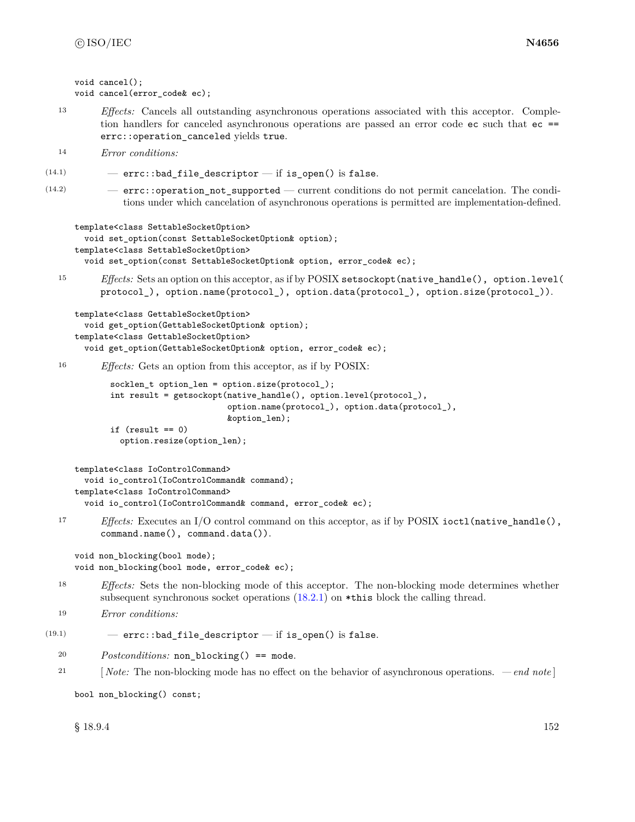```
void cancel();
void cancel(error_code& ec);
```
<sup>13</sup> *Effects:* Cancels all outstanding asynchronous operations associated with this acceptor. Completion handlers for canceled asynchronous operations are passed an error code ec such that ec == errc::operation\_canceled yields true.

```
14 Error conditions:
```
- $(14.1)$  errc::bad\_file\_descriptor if is\_open() is false.
- (14.2) errc::operation\_not\_supported current conditions do not permit cancelation. The conditions under which cancelation of asynchronous operations is permitted are implementation-defined.

```
template<class SettableSocketOption>
```
void set\_option(const SettableSocketOption& option); template<class SettableSocketOption> void set\_option(const SettableSocketOption& option, error\_code& ec);

<sup>15</sup> *Effects:* Sets an option on this acceptor, as if by POSIX setsockopt(native\_handle(), option.level( protocol\_), option.name(protocol\_), option.data(protocol\_), option.size(protocol\_)).

```
template<class GettableSocketOption>
  void get_option(GettableSocketOption& option);
template<class GettableSocketOption>
  void get_option(GettableSocketOption& option, error_code& ec);
```
<sup>16</sup> *Effects:* Gets an option from this acceptor, as if by POSIX:

```
socklen_t option_len = option.size(protocol_);
int result = getsockopt(native_handle(), option.level(protocol_),
                        option.name(protocol_), option.data(protocol_),
                        &option_len);
if (result == 0)
 option.resize(option_len);
```

```
template<class IoControlCommand>
 void io_control(IoControlCommand& command);
template<class IoControlCommand>
  void io_control(IoControlCommand& command, error_code& ec);
```
<sup>17</sup> *Effects:* Executes an I/O control command on this acceptor, as if by POSIX ioctl(native\_handle(), command.name(), command.data()).

```
void non_blocking(bool mode);
void non_blocking(bool mode, error_code& ec);
```
<sup>18</sup> *Effects:* Sets the non-blocking mode of this acceptor. The non-blocking mode determines whether subsequent synchronous socket operations [\(18.2.1\)](#page-112-0) on \*this block the calling thread.

```
19 Error conditions:
```

```
(19.1) – errc::bad file descriptor — if is open() is false.
```
- <sup>20</sup> *Postconditions:* non\_blocking() == mode.
- <sup>21</sup> [ *Note:* The non-blocking mode has no effect on the behavior of asynchronous operations.  *end note* ]

bool non\_blocking() const;

 $\S 18.9.4$  152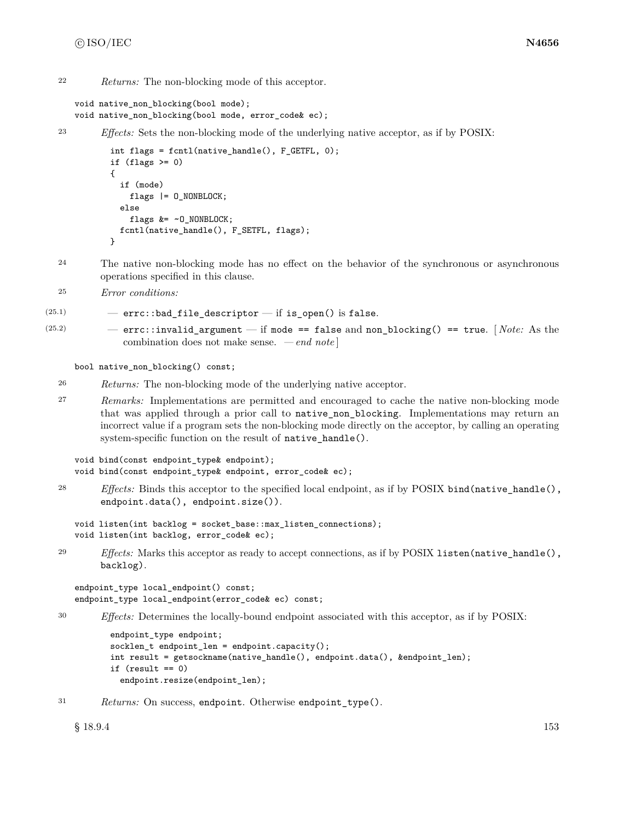<sup>22</sup> *Returns:* The non-blocking mode of this acceptor.

```
void native_non_blocking(bool mode);
void native_non_blocking(bool mode, error_code& ec);
```
<sup>23</sup> *Effects:* Sets the non-blocking mode of the underlying native acceptor, as if by POSIX:

```
int flags = fcntl(native_handle(), F_GETFL, 0);
if (flags > = 0){
  if (mode)
   flags |= 0 NONBLOCK;
 else
    flags &= ~O_NONBLOCK;
 fcntl(native_handle(), F_SETFL, flags);
}
```
- <sup>24</sup> The native non-blocking mode has no effect on the behavior of the synchronous or asynchronous operations specified in this clause.
- <sup>25</sup> *Error conditions:*

```
(25.1) – errc::bad_file_descriptor – if is_open() is false.
```
(25.2) — errc::invalid\_argument — if mode == false and non\_blocking() == true. [ *Note:* As the combination does not make sense. *— end note* ]

bool native\_non\_blocking() const;

- <sup>26</sup> *Returns:* The non-blocking mode of the underlying native acceptor.
- <sup>27</sup> *Remarks:* Implementations are permitted and encouraged to cache the native non-blocking mode that was applied through a prior call to native non blocking. Implementations may return an incorrect value if a program sets the non-blocking mode directly on the acceptor, by calling an operating system-specific function on the result of native\_handle().

```
void bind(const endpoint_type& endpoint);
void bind(const endpoint_type& endpoint, error_code& ec);
```
<sup>28</sup> *Effects:* Binds this acceptor to the specified local endpoint, as if by POSIX bind(native\_handle(), endpoint.data(), endpoint.size()).

```
void listen(int backlog = socket_base::max_listen_connections);
void listen(int backlog, error_code& ec);
```
<sup>29</sup> *Effects:* Marks this acceptor as ready to accept connections, as if by POSIX listen(native\_handle(), backlog).

```
endpoint_type local_endpoint() const;
endpoint_type local_endpoint(error_code& ec) const;
```
<sup>30</sup> *Effects:* Determines the locally-bound endpoint associated with this acceptor, as if by POSIX:

```
endpoint_type endpoint;
socklen_t endpoint_len = endpoint.capacity();
int result = getsockname(native_handle(), endpoint.data(), &endpoint_len);
if (result == 0)
  endpoint.resize(endpoint_len);
```
<sup>31</sup> *Returns:* On success, endpoint. Otherwise endpoint\_type().

 $\S 18.9.4$  153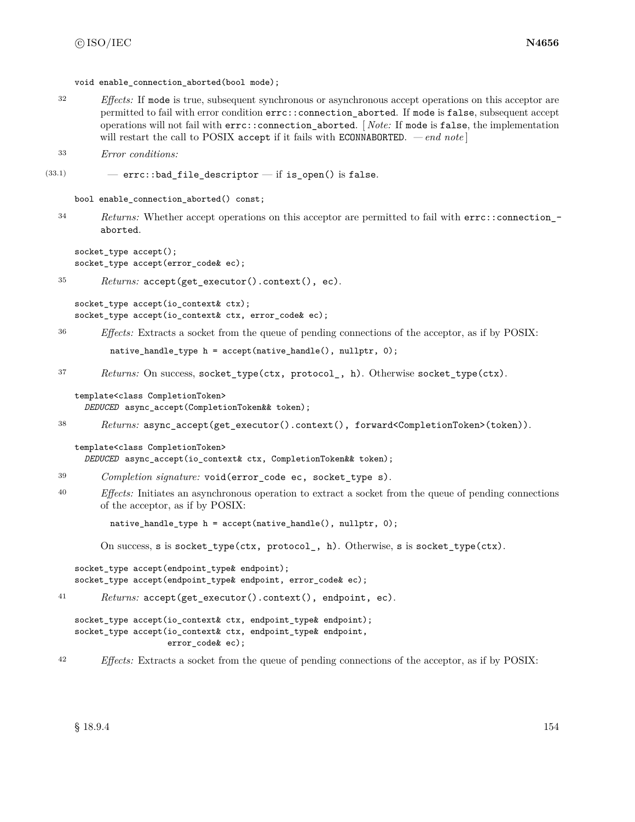void enable connection aborted(bool mode);

<sup>32</sup> *Effects:* If mode is true, subsequent synchronous or asynchronous accept operations on this acceptor are permitted to fail with error condition errc::connection\_aborted. If mode is false, subsequent accept operations will not fail with errc::connection\_aborted. [ *Note:* If mode is false, the implementation will restart the call to POSIX accept if it fails with ECONNABORTED.  $\,-\,end\,note$ 

```
33 Error conditions:
```
 $(33.1)$  - errc::bad\_file\_descriptor - if is\_open() is false.

```
bool enable_connection_aborted() const;
```
<sup>34</sup> *Returns:* Whether accept operations on this acceptor are permitted to fail with errc::connection\_ aborted.

```
socket_type accept();
socket_type accept(error_code& ec);
```

```
35 Returns: accept(get_executor().context(), ec).
```
socket\_type accept(io\_context& ctx); socket\_type accept(io\_context& ctx, error\_code& ec);

<sup>36</sup> *Effects:* Extracts a socket from the queue of pending connections of the acceptor, as if by POSIX:

native\_handle\_type h = accept(native\_handle(), nullptr, 0);

<sup>37</sup> *Returns:* On success, socket\_type(ctx, protocol\_, h). Otherwise socket\_type(ctx).

template<class CompletionToken> *DEDUCED* async\_accept(CompletionToken&& token);

<sup>38</sup> *Returns:* async\_accept(get\_executor().context(), forward<CompletionToken>(token)).

```
template<class CompletionToken>
  DEDUCED async_accept(io_context& ctx, CompletionToken&& token);
```
- <sup>39</sup> *Completion signature:* void(error\_code ec, socket\_type s).
- <sup>40</sup> *Effects:* Initiates an asynchronous operation to extract a socket from the queue of pending connections of the acceptor, as if by POSIX:

native\_handle\_type h = accept(native\_handle(), nullptr, 0);

On success, s is socket\_type(ctx, protocol\_, h). Otherwise, s is socket\_type(ctx).

```
socket_type accept(endpoint_type& endpoint);
socket_type accept(endpoint_type& endpoint, error_code& ec);
```
<sup>41</sup> *Returns:* accept(get\_executor().context(), endpoint, ec).

```
socket_type accept(io_context& ctx, endpoint_type& endpoint);
socket_type accept(io_context& ctx, endpoint_type& endpoint,
                   error_code& ec);
```
<sup>42</sup> *Effects:* Extracts a socket from the queue of pending connections of the acceptor, as if by POSIX: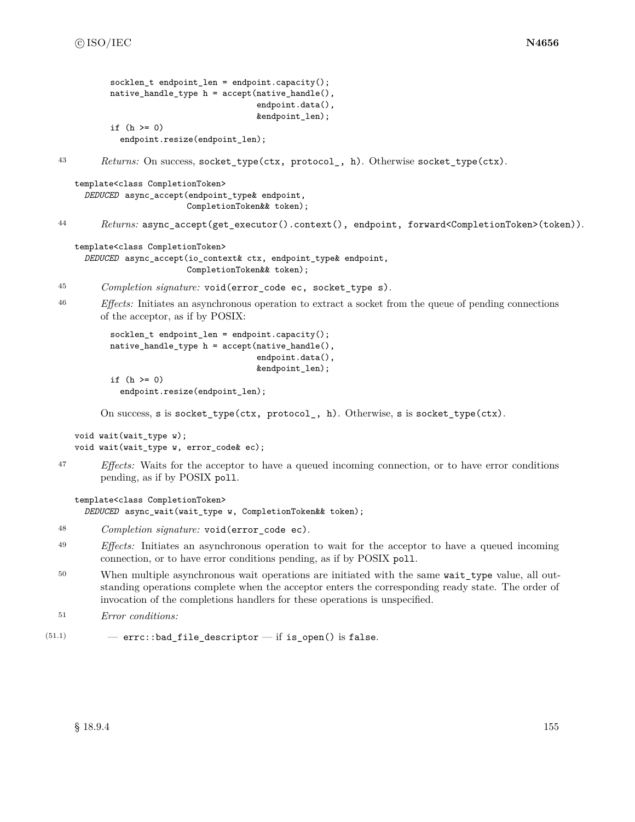```
socklen t endpoint len = endpoint.capacity();
          native_handle_type h = accept(native_handle(),
                                        endpoint.data(),
                                        &endpoint_len);
          if (h \ge 0)endpoint.resize(endpoint_len);
43 Returns: On success, socket_type(ctx, protocol_, h). Otherwise socket_type(ctx).
   template<class CompletionToken>
     DEDUCED async_accept(endpoint_type& endpoint,
                          CompletionToken&& token);
44 Returns: async_accept(get_executor().context(), endpoint, forward<CompletionToken>(token)).
   template<class CompletionToken>
     DEDUCED async_accept(io_context& ctx, endpoint_type& endpoint,
                          CompletionToken&& token);
45 Completion signature: void(error_code ec, socket_type s).
46 Effects: Initiates an asynchronous operation to extract a socket from the queue of pending connections
        of the acceptor, as if by POSIX:
          socklen_t endpoint_len = endpoint.capacity();
          native_handle_type h = accept(native_handle(),
                                        endpoint.data(),
                                        &endpoint_len);
          if (h \ge 0)endpoint.resize(endpoint_len);
        On success, s is socket_type(ctx, protocol_, h). Otherwise, s is socket_type(ctx).
   void wait(wait_type w);
   void wait(wait_type w, error_code& ec);
47 Effects: Waits for the acceptor to have a queued incoming connection, or to have error conditions
        pending, as if by POSIX poll.
   template<class CompletionToken>
     DEDUCED async_wait(wait_type w, CompletionToken&& token);
48 Completion signature: void(error_code ec).
49 Effects: Initiates an asynchronous operation to wait for the acceptor to have a queued incoming
        connection, or to have error conditions pending, as if by POSIX poll.
50 When multiple asynchronous wait operations are initiated with the same wait_type value, all out-
        standing operations complete when the acceptor enters the corresponding ready state. The order of
        invocation of the completions handlers for these operations is unspecified.
```

```
51 Error conditions:
```

```
(51.1) - errc::bad_file_descriptor - if is_open() is false.
```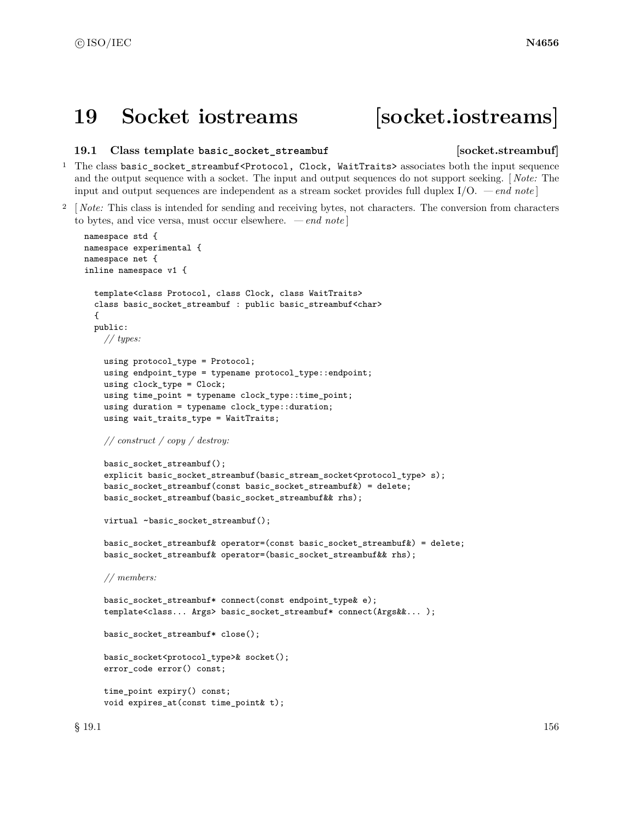# **19 Socket iostreams [socket.iostreams]**

### **19.1 Class template basic\_socket\_streambuf [socket.streambuf]**

# <sup>1</sup> The class basic\_socket\_streambuf<Protocol, Clock, WaitTraits> associates both the input sequence and the output sequence with a socket. The input and output sequences do not support seeking. [ *Note:* The input and output sequences are independent as a stream socket provides full duplex I/O. *— end note* ]

<sup>2</sup> [ *Note:* This class is intended for sending and receiving bytes, not characters. The conversion from characters to bytes, and vice versa, must occur elsewhere. *— end note* ]

```
namespace std {
namespace experimental {
namespace net {
inline namespace v1 {
  template<class Protocol, class Clock, class WaitTraits>
  class basic_socket_streambuf : public basic_streambuf<char>
  {
  public:
    // types:
    using protocol_type = Protocol;
    using endpoint_type = typename protocol_type::endpoint;
    using clock_type = Clock;
    using time_point = typename clock_type::time_point;
    using duration = typename clock_type::duration;
    using wait_traits_type = WaitTraits;
    // construct / copy / destroy:
    basic_socket_streambuf();
    explicit basic_socket_streambuf(basic_stream_socket<protocol_type> s);
    basic_socket_streambuf(const basic_socket_streambuf&) = delete;
    basic_socket_streambuf(basic_socket_streambuf&& rhs);
    virtual ~basic_socket_streambuf();
    basic_socket_streambuf& operator=(const basic_socket_streambuf&) = delete;
    basic_socket_streambuf& operator=(basic_socket_streambuf&& rhs);
    // members:
    basic_socket_streambuf* connect(const endpoint_type& e);
    template<class... Args> basic_socket_streambuf* connect(Args&&... );
    basic_socket_streambuf* close();
    basic_socket<protocol_type>& socket();
    error_code error() const;
    time_point expiry() const;
    void expires_at(const time_point& t);
```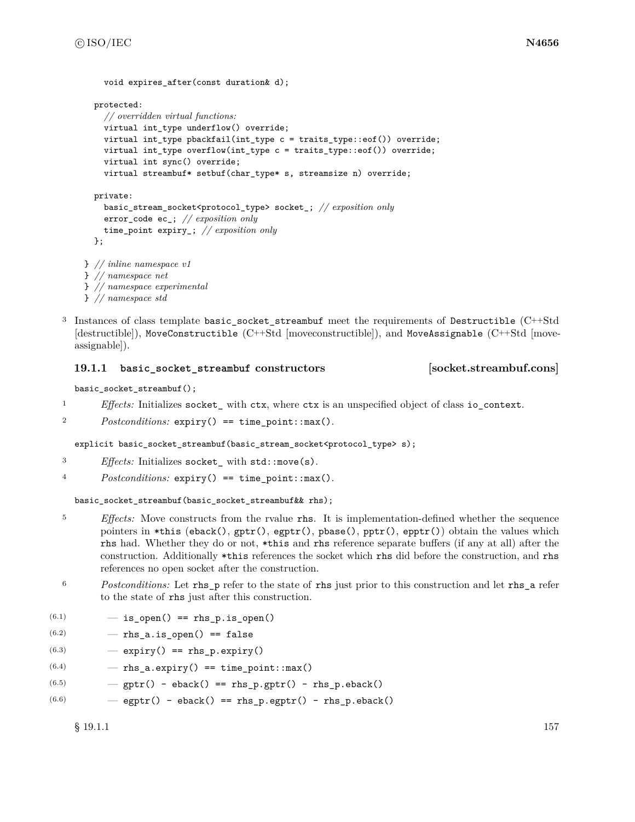```
protected:
    // overridden virtual functions:
    virtual int_type underflow() override;
    virtual int_type pbackfail(int_type c = traits_type::eof()) override;
    virtual int_type overflow(int_type c = \text{trails_type::eeof}()) override;
    virtual int sync() override;
    virtual streambuf* setbuf(char_type* s, streamsize n) override;
  private:
    basic_stream_socket<protocol_type> socket_; // exposition only
    error_code ec_; // exposition only
    time_point expiry_; // exposition only
  };
} // inline namespace v1
} // namespace net
} // namespace experimental
} // namespace std
```
<sup>3</sup> Instances of class template basic\_socket\_streambuf meet the requirements of Destructible (C++Std [destructible]), MoveConstructible (C++Std [moveconstructible]), and MoveAssignable (C++Std [moveassignable]).

# **19.1.1 basic\_socket\_streambuf constructors [socket.streambuf.cons]**

void expires after(const duration& d);

```
basic_socket_streambuf();
```
- <sup>1</sup> *Effects:* Initializes socket\_ with ctx, where ctx is an unspecified object of class io\_context.
- <sup>2</sup> *Postconditions:* expiry() == time\_point::max().

explicit basic\_socket\_streambuf(basic\_stream\_socket<protocol\_type> s);

- <sup>3</sup> *Effects:* Initializes socket\_ with std::move(s).
- <sup>4</sup> *Postconditions:* expiry() == time\_point::max().

basic\_socket\_streambuf(basic\_socket\_streambuf&& rhs);

- <sup>5</sup> *Effects:* Move constructs from the rvalue rhs. It is implementation-defined whether the sequence pointers in \*this (eback(),  $gptr()$ ,  $egptr()$ ,  $gbase()$ ,  $pptr()$ ,  $epptr()$ ) obtain the values which rhs had. Whether they do or not, \*this and rhs reference separate buffers (if any at all) after the construction. Additionally \*this references the socket which rhs did before the construction, and rhs references no open socket after the construction.
- <sup>6</sup> *Postconditions:* Let rhs\_p refer to the state of rhs just prior to this construction and let rhs\_a refer to the state of rhs just after this construction.
- $(6.1)$   $-$  is\_open() == rhs\_p.is\_open()
- $(6.2)$   $-$  rhs\_a.is\_open() == false
- $(6.3)$   $-$  expiry() == rhs\_p.expiry()
- $(6.4)$  rhs\_a.expiry() == time\_point::max()
- $(6.5)$   $-$  gptr() eback() == rhs\_p.gptr() rhs\_p.eback()
- $(6.6)$   $-$  egptr() eback() == rhs\_p.egptr() rhs\_p.eback()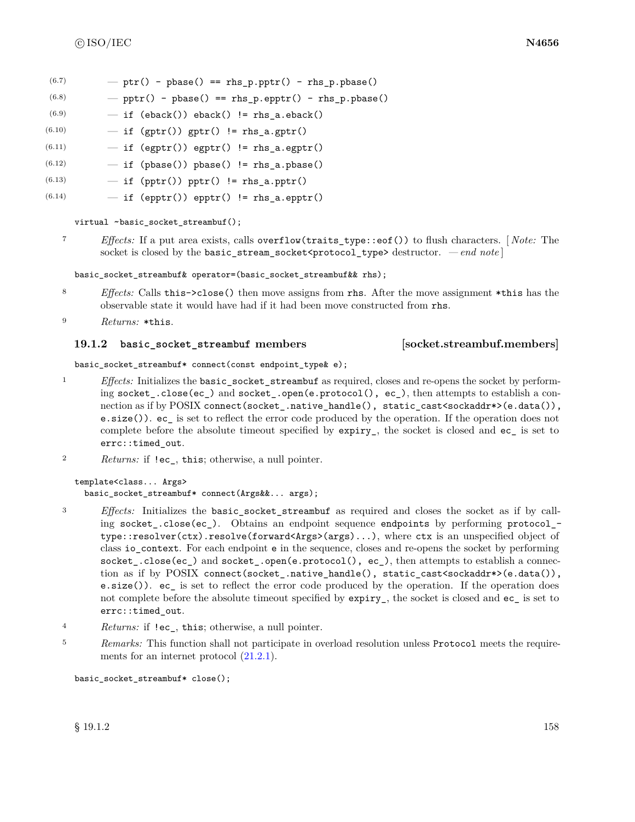- $(6.7)$  ptr() pbase() == rhs\_p.pptr() rhs\_p.pbase()
- $(6.8)$  pptr() pbase() == rhs\_p.epptr() rhs\_p.pbase()
- $(6.9)$   $-$  if (eback()) eback() != rhs\_a.eback()
- $(6.10)$   $-$  if (gptr()) gptr() != rhs\_a.gptr()
- $(6.11)$   $-$  if (egptr()) egptr() != rhs\_a.egptr()
- $(6.12)$   $-$  if (pbase()) pbase() != rhs\_a.pbase()
- $(6.13)$   $-$  if (pptr()) pptr() != rhs\_a.pptr()
- $(6.14)$   $-$  if (epptr()) epptr() != rhs\_a.epptr()

virtual ~basic\_socket\_streambuf();

<sup>7</sup> *Effects:* If a put area exists, calls overflow(traits\_type::eof()) to flush characters. [ *Note:* The socket is closed by the basic\_stream\_socket<protocol\_type> destructor. *— end note* ]

basic\_socket\_streambuf& operator=(basic\_socket\_streambuf&& rhs);

- <sup>8</sup> *Effects:* Calls this->close() then move assigns from rhs. After the move assignment \*this has the observable state it would have had if it had been move constructed from rhs.
- <sup>9</sup> *Returns:* \*this.

## **19.1.2 basic** socket streambuf members [socket.streambuf.members]

basic\_socket\_streambuf\* connect(const endpoint\_type& e);

- <sup>1</sup> *Effects:* Initializes the basic\_socket\_streambuf as required, closes and re-opens the socket by performing socket\_.close(ec\_) and socket\_.open(e.protocol(), ec\_), then attempts to establish a connection as if by POSIX connect(socket\_.native\_handle(), static\_cast<sockaddr\*>(e.data()), e.size()). ec\_ is set to reflect the error code produced by the operation. If the operation does not complete before the absolute timeout specified by expiry\_, the socket is closed and ec\_ is set to errc::timed\_out.
- <sup>2</sup> *Returns:* if !ec\_, this; otherwise, a null pointer.

```
template<class... Args>
 basic socket streambuf* connect(Args&&... args);
```
- <sup>3</sup> *Effects:* Initializes the basic\_socket\_streambuf as required and closes the socket as if by calling socket\_.close(ec\_). Obtains an endpoint sequence endpoints by performing protocol\_ type::resolver(ctx).resolve(forward<Args>(args)...), where ctx is an unspecified object of class io\_context. For each endpoint e in the sequence, closes and re-opens the socket by performing socket.close(ec) and socket.open(e.protocol(), ec), then attempts to establish a connection as if by POSIX connect(socket\_.native\_handle(), static\_cast<sockaddr\*>(e.data()), e.size()). ec\_ is set to reflect the error code produced by the operation. If the operation does not complete before the absolute timeout specified by expiry\_, the socket is closed and ec\_ is set to errc::timed\_out.
- <sup>4</sup> *Returns:* if !ec\_, this; otherwise, a null pointer.
- <sup>5</sup> *Remarks:* This function shall not participate in overload resolution unless Protocol meets the requirements for an internet protocol [\(21.2.1\)](#page-176-0).

```
basic_socket_streambuf* close();
```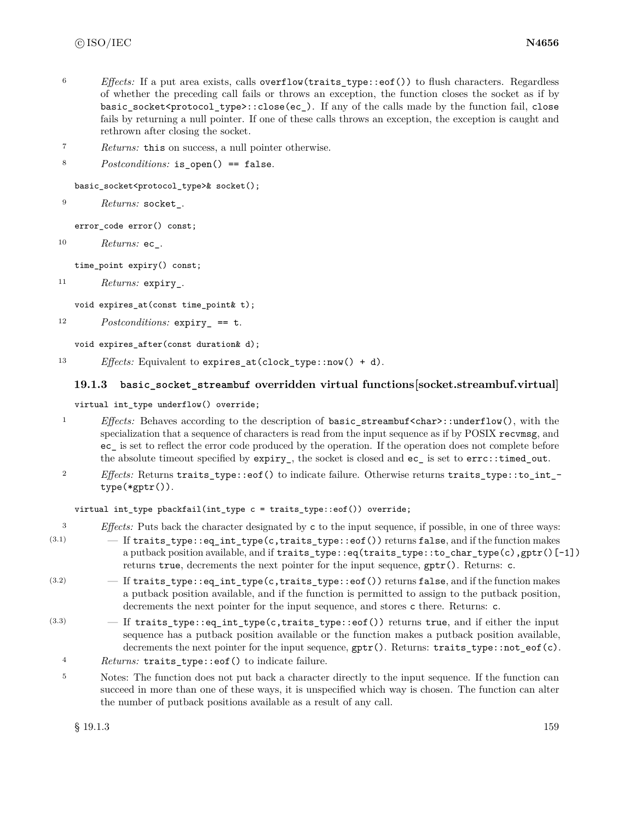- <sup>6</sup> *Effects:* If a put area exists, calls overflow(traits\_type::eof()) to flush characters. Regardless of whether the preceding call fails or throws an exception, the function closes the socket as if by basic socket<protocol type>::close(ec). If any of the calls made by the function fail, close fails by returning a null pointer. If one of these calls throws an exception, the exception is caught and rethrown after closing the socket.
- <sup>7</sup> *Returns:* this on success, a null pointer otherwise.
- 8 *Postconditions:* is open() == false.

basic\_socket<protocol\_type>& socket();

<sup>9</sup> *Returns:* socket\_.

error\_code error() const;

<sup>10</sup> *Returns:* ec\_.

time\_point expiry() const;

```
11 Returns: expiry_.
```
void expires\_at(const time\_point& t);

<sup>12</sup> *Postconditions:* expiry\_ == t.

void expires\_after(const duration& d);

<sup>13</sup> *Effects:* Equivalent to expires\_at(clock\_type::now() + d).

# **19.1.3 basic\_socket\_streambuf overridden virtual functions[socket.streambuf.virtual]**

virtual int\_type underflow() override;

- <sup>1</sup> *Effects:* Behaves according to the description of basic\_streambuf<char>::underflow(), with the specialization that a sequence of characters is read from the input sequence as if by POSIX recvmsg, and ec\_ is set to reflect the error code produced by the operation. If the operation does not complete before the absolute timeout specified by expiry\_, the socket is closed and ec\_ is set to errc::timed\_out.
- <sup>2</sup> *Effects:* Returns traits\_type::eof() to indicate failure. Otherwise returns traits\_type::to\_int\_ type(\*gptr()).

## virtual int\_type pbackfail(int\_type c = traits\_type::eof()) override;

- <sup>3</sup> *Effects:* Puts back the character designated by c to the input sequence, if possible, in one of three ways:
- $(3.1)$  If traits\_type::eq\_int\_type(c,traits\_type::eof()) returns false, and if the function makes a putback position available, and if traits\_type::eq(traits\_type::to\_char\_type(c),gptr()[-1]) returns true, decrements the next pointer for the input sequence, gptr(). Returns: c.
- $(3.2)$  If traits\_type::eq\_int\_type(c,traits\_type::eof()) returns false, and if the function makes a putback position available, and if the function is permitted to assign to the putback position, decrements the next pointer for the input sequence, and stores c there. Returns: c.
- $(3.3)$  If traits\_type::eq\_int\_type(c,traits\_type::eof()) returns true, and if either the input sequence has a putback position available or the function makes a putback position available, decrements the next pointer for the input sequence, gptr(). Returns: traits\_type::not\_eof(c).
	- <sup>4</sup> *Returns:* traits\_type::eof() to indicate failure.
	- <sup>5</sup> Notes: The function does not put back a character directly to the input sequence. If the function can succeed in more than one of these ways, it is unspecified which way is chosen. The function can alter the number of putback positions available as a result of any call.

 $\S$  19.1.3 159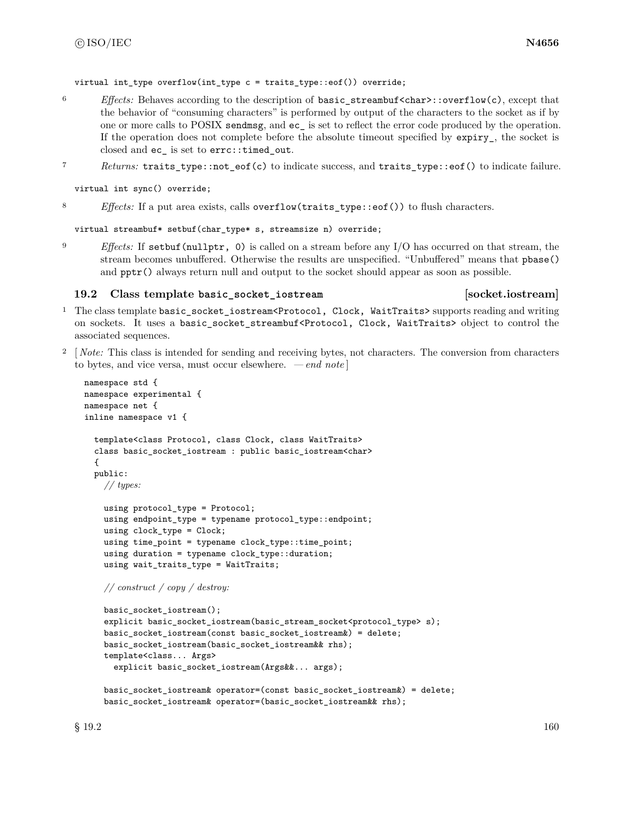virtual int\_type overflow(int\_type c = traits\_type::eof()) override;

- <sup>6</sup> *Effects:* Behaves according to the description of basic\_streambuf<char>::overflow(c), except that the behavior of "consuming characters" is performed by output of the characters to the socket as if by one or more calls to POSIX sendmsg, and ec\_ is set to reflect the error code produced by the operation. If the operation does not complete before the absolute timeout specified by  $\exp\{-y\}$ , the socket is closed and ec\_ is set to errc::timed\_out.
- <sup>7</sup> *Returns:* traits\_type::not\_eof(c) to indicate success, and traits\_type::eof() to indicate failure.

virtual int sync() override;

8 *Effects:* If a put area exists, calls overflow(traits\_type::eof()) to flush characters.

virtual streambuf\* setbuf(char\_type\* s, streamsize n) override;

<sup>9</sup> *Effects:* If setbuf(nullptr, 0) is called on a stream before any I/O has occurred on that stream, the stream becomes unbuffered. Otherwise the results are unspecified. "Unbuffered" means that pbase() and  $ppr()$  always return null and output to the socket should appear as soon as possible.

### **19.2 Class template basic\_socket\_iostream [socket.iostream]**

- <sup>1</sup> The class template basic\_socket\_iostream<Protocol, Clock, WaitTraits> supports reading and writing on sockets. It uses a basic\_socket\_streambuf<Protocol, Clock, WaitTraits> object to control the associated sequences.
- <sup>2</sup> [*Note:* This class is intended for sending and receiving bytes, not characters. The conversion from characters to bytes, and vice versa, must occur elsewhere. *— end note* ]

```
namespace std {
namespace experimental {
namespace net {
inline namespace v1 {
  template<class Protocol, class Clock, class WaitTraits>
  class basic_socket_iostream : public basic_iostream<char>
  {
  public:
   // types:
    using protocol_type = Protocol;
    using endpoint_type = typename protocol_type::endpoint;
    using clock_type = Clock;
    using time_point = typename clock_type::time_point;
    using duration = typename clock_type::duration;
    using wait_traits_type = WaitTraits;
    // construct / copy / destroy:
```

```
basic_socket_iostream();
explicit basic_socket_iostream(basic_stream_socket<protocol_type> s);
basic_socket_iostream(const basic_socket_iostream&) = delete;
basic_socket_iostream(basic_socket_iostream&& rhs);
template<class... Args>
  explicit basic_socket_iostream(Args&&... args);
```

```
basic_socket_iostream& operator=(const basic_socket_iostream&) = delete;
basic_socket_iostream& operator=(basic_socket_iostream&& rhs);
```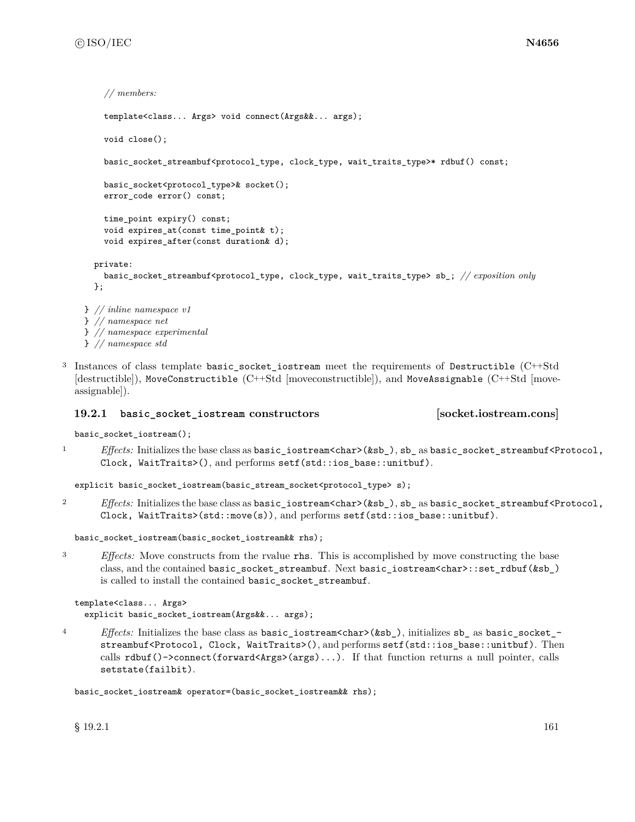```
// members:
    template<class... Args> void connect(Args&&... args);
    void close();
    basic_socket_streambuf<protocol_type, clock_type, wait_traits_type>* rdbuf() const;
    basic_socket<protocol_type>& socket();
    error_code error() const;
    time_point expiry() const;
    void expires_at(const time_point& t);
    void expires_after(const duration& d);
  private:
    basic_socket_streambuf<protocol_type, clock_type, wait_traits_type> sb_; // exposition only
  };
} // inline namespace v1
```
- } *// namespace net* } *// namespace experimental* } *// namespace std*
- <sup>3</sup> Instances of class template basic\_socket\_iostream meet the requirements of Destructible (C++Std [destructible]), MoveConstructible (C++Std [moveconstructible]), and MoveAssignable (C++Std [moveassignable]).

# **19.2.1 basic\_socket\_iostream constructors [socket.iostream.cons]**

basic\_socket\_iostream();

1 *Effects:* Initializes the base class as basic\_iostream<char>(&sb\_), sb\_ as basic\_socket\_streambuf<Protocol, Clock, WaitTraits>(), and performs setf(std::ios\_base::unitbuf).

explicit basic\_socket\_iostream(basic\_stream\_socket<protocol\_type> s);

2 *Effects:* Initializes the base class as basic\_iostream<char>(&sb\_), sb\_ as basic\_socket\_streambuf<Protocol, Clock, WaitTraits>(std::move(s)), and performs setf(std::ios\_base::unitbuf).

```
basic_socket_iostream(basic_socket_iostream&& rhs);
```
<sup>3</sup> *Effects:* Move constructs from the rvalue rhs. This is accomplished by move constructing the base class, and the contained basic\_socket\_streambuf. Next basic\_iostream<char>::set\_rdbuf(&sb\_) is called to install the contained basic\_socket\_streambuf.

```
template<class... Args>
  explicit basic_socket_iostream(Args&&... args);
```
<sup>4</sup> *Effects:* Initializes the base class as basic\_iostream<char>(&sb\_), initializes sb\_ as basic\_socket\_ streambuf<Protocol, Clock, WaitTraits>(), and performs setf(std::ios\_base::unitbuf). Then calls rdbuf()->connect(forward<Args>(args)...). If that function returns a null pointer, calls setstate(failbit).

basic\_socket\_iostream& operator=(basic\_socket\_iostream&& rhs);

 $\S$  19.2.1 161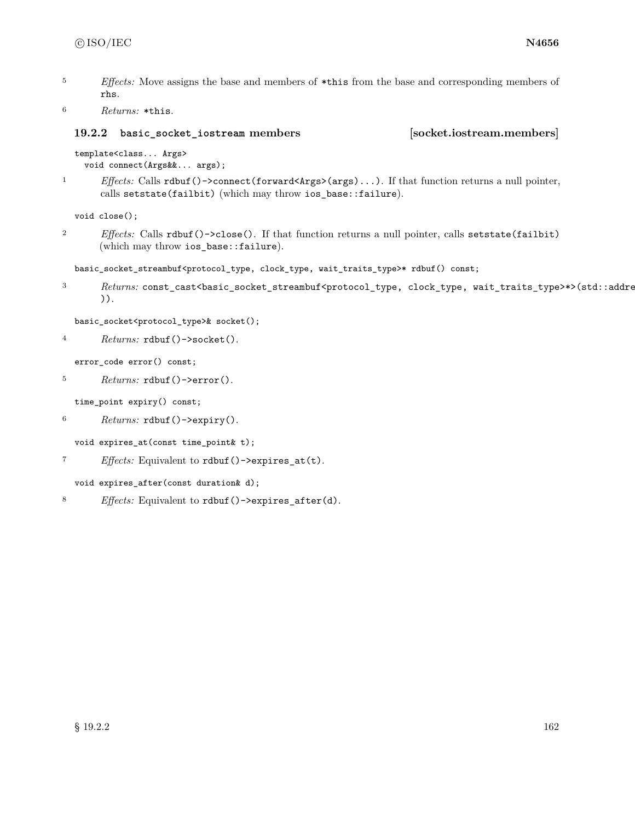<sup>5</sup> *Effects:* Move assigns the base and members of \*this from the base and corresponding members of rhs.

```
6 Returns: *this.
```
# **19.2.2 basic\_socket\_iostream members [socket.iostream.members]**

```
template<class... Args>
```

```
void connect(Args&&... args);
```
<sup>1</sup> *Effects:* Calls rdbuf()->connect(forward<Args>(args)...). If that function returns a null pointer, calls setstate(failbit) (which may throw ios\_base::failure).

void close();

<sup>2</sup> *Effects:* Calls rdbuf()->close(). If that function returns a null pointer, calls setstate(failbit) (which may throw ios\_base::failure).

```
basic_socket_streambuf<protocol_type, clock_type, wait_traits_type>* rdbuf() const;
```
3 Returns: const\_cast<basic\_socket\_streambuf<protocol\_type, clock\_type, wait\_traits\_type>\*>(std::addressorb )).

```
basic_socket<protocol_type>& socket();
```

```
4 Returns: rdbuf()->socket().
```
error code error() const;

```
5 Returns: rdbuf()->error().
```
time\_point expiry() const;

```
6 Returns: rdbuf()->expiry().
```

```
void expires_at(const time_point& t);
```
<sup>7</sup> *Effects:* Equivalent to rdbuf()->expires\_at(t).

void expires\_after(const duration& d);

<sup>8</sup> *Effects:* Equivalent to rdbuf()->expires\_after(d).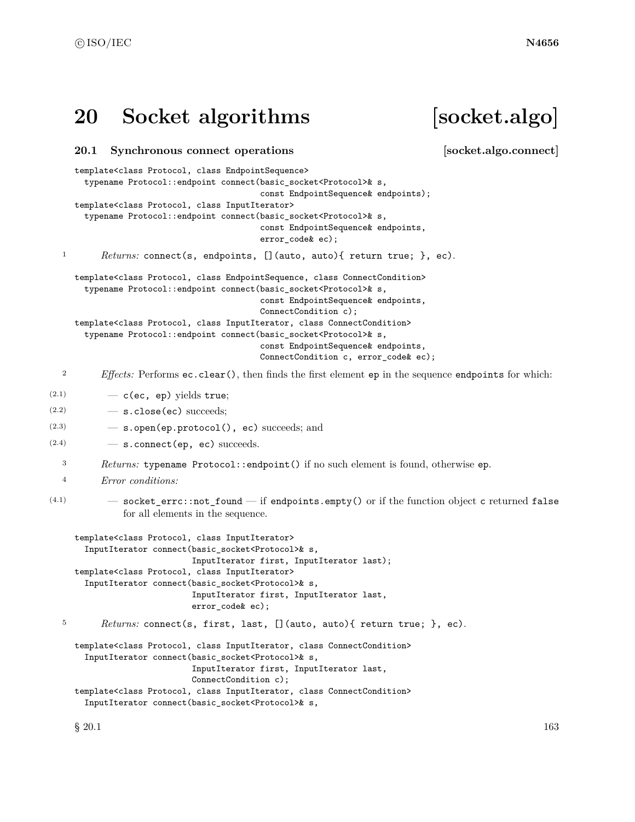# **20 Socket algorithms [socket.algo]**

# **20.1 Synchronous connect operations [socket.algo.connect]**

template<class Protocol, class EndpointSequence>

```
typename Protocol::endpoint connect(basic_socket<Protocol>& s,
                                          const EndpointSequence& endpoints);
     template<class Protocol, class InputIterator>
       typename Protocol::endpoint connect(basic_socket<Protocol>& s,
                                          const EndpointSequence& endpoints,
                                          error_code& ec);
  1 Returns: connect(s, endpoints, [](auto, auto){ return true; }, ec).
     template<class Protocol, class EndpointSequence, class ConnectCondition>
       typename Protocol::endpoint connect(basic_socket<Protocol>& s,
                                          const EndpointSequence& endpoints,
                                          ConnectCondition c);
     template<class Protocol, class InputIterator, class ConnectCondition>
       typename Protocol::endpoint connect(basic_socket<Protocol>& s,
                                          const EndpointSequence& endpoints,
                                          ConnectCondition c, error_code& ec);
  2 Effects: Performs ec.clear(), then finds the first element ep in the sequence endpoints for which:
(2.1) - c(ec, ep) yields true;
(2.2) - s.close(ec) succeeds;
(2.3) — s.open(ep.protocol(), ec) succeeds; and
(2.4) - s.connect (ep, ec) succeeds.
  3 Returns: typename Protocol::endpoint() if no such element is found, otherwise ep.
  4 Error conditions:
(4.1) - socket_errc::not_found - if endpoints.empty() or if the function object c returned false
              for all elements in the sequence.
     template<class Protocol, class InputIterator>
       InputIterator connect(basic_socket<Protocol>& s,
                            InputIterator first, InputIterator last);
     template<class Protocol, class InputIterator>
       InputIterator connect(basic_socket<Protocol>& s,
                            InputIterator first, InputIterator last,
                            error_code& ec);
  5 Returns: connect(s, first, last, [](auto, auto){ return true; }, ec).
     template<class Protocol, class InputIterator, class ConnectCondition>
       InputIterator connect(basic_socket<Protocol>& s,
                            InputIterator first, InputIterator last,
                            ConnectCondition c);
     template<class Protocol, class InputIterator, class ConnectCondition>
       InputIterator connect(basic_socket<Protocol>& s,
```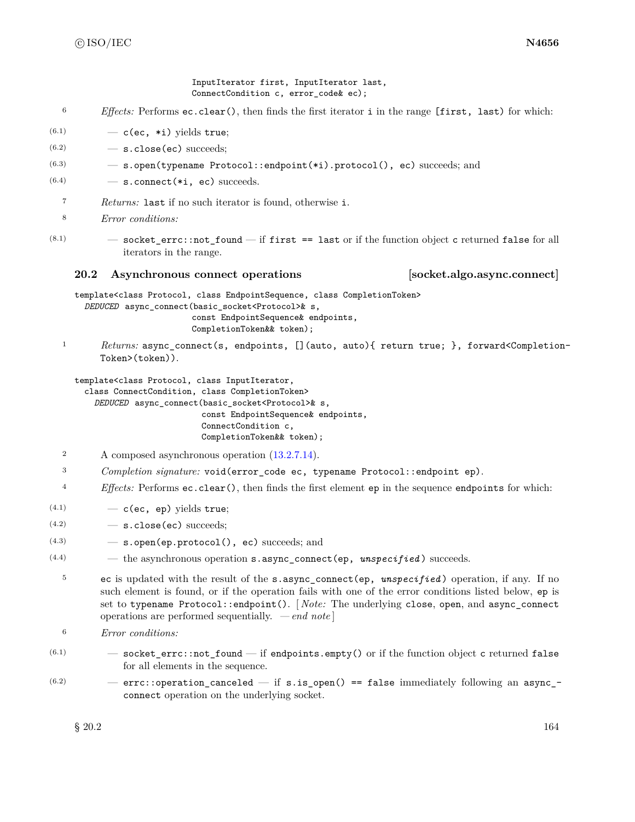InputIterator first, InputIterator last, ConnectCondition c, error\_code& ec);

- <sup>6</sup> *Effects:* Performs ec.clear(), then finds the first iterator i in the range [first, last) for which:
- $(6.1)$   $-$  c(ec, \*i) yields true;
- $(6.2)$   $-$  s.close(ec) succeeds;
- (6.3) s.open(typename Protocol::endpoint(\*i).protocol(), ec) succeeds; and
- $(6.4)$  s.connect (\*i, ec) succeeds.
- <sup>7</sup> *Returns:* last if no such iterator is found, otherwise i.
- <sup>8</sup> *Error conditions:*
- $(8.1)$   $-$  socket\_errc::not\_found  $-$  if first == last or if the function object c returned false for all iterators in the range.

# **20.2 Asynchronous connect operations [socket.algo.async.connect]**

template<class Protocol, class EndpointSequence, class CompletionToken> *DEDUCED* async\_connect(basic\_socket<Protocol>& s, const EndpointSequence& endpoints, CompletionToken&& token);

<sup>1</sup> *Returns:* async\_connect(s, endpoints, [](auto, auto){ return true; }, forward<Completion-Token>(token)).

template<class Protocol, class InputIterator,

class ConnectCondition, class CompletionToken> *DEDUCED* async\_connect(basic\_socket<Protocol>& s, const EndpointSequence& endpoints, ConnectCondition c, CompletionToken&& token);

- <sup>2</sup> A composed asynchronous operation [\(13.2.7.14\)](#page-33-0).
- <sup>3</sup> *Completion signature:* void(error\_code ec, typename Protocol::endpoint ep).
- <sup>4</sup> *Effects:* Performs ec.clear(), then finds the first element ep in the sequence endpoints for which:
- $(4.1)$   $-$  c(ec, ep) yields true;
- $(4.2)$   $-$  s.close(ec) succeeds;
- $(4.3)$   $-$  s.open(ep.protocol(), ec) succeeds; and
- (4.4) the asynchronous operation s.async\_connect(ep, *unspecified* ) succeeds.
- <sup>5</sup> ec is updated with the result of the s.async\_connect(ep, *unspecified* ) operation, if any. If no such element is found, or if the operation fails with one of the error conditions listed below, ep is set to typename Protocol::endpoint(). [ *Note:* The underlying close, open, and async\_connect operations are performed sequentially. *— end note* ]
- <sup>6</sup> *Error conditions:*
- $(6.1)$   $-$  socket\_errc::not\_found  $-$  if endpoints.empty() or if the function object c returned false for all elements in the sequence.
- $(6.2)$  errc::operation\_canceled if s.is\_open() == false immediately following an async\_connect operation on the underlying socket.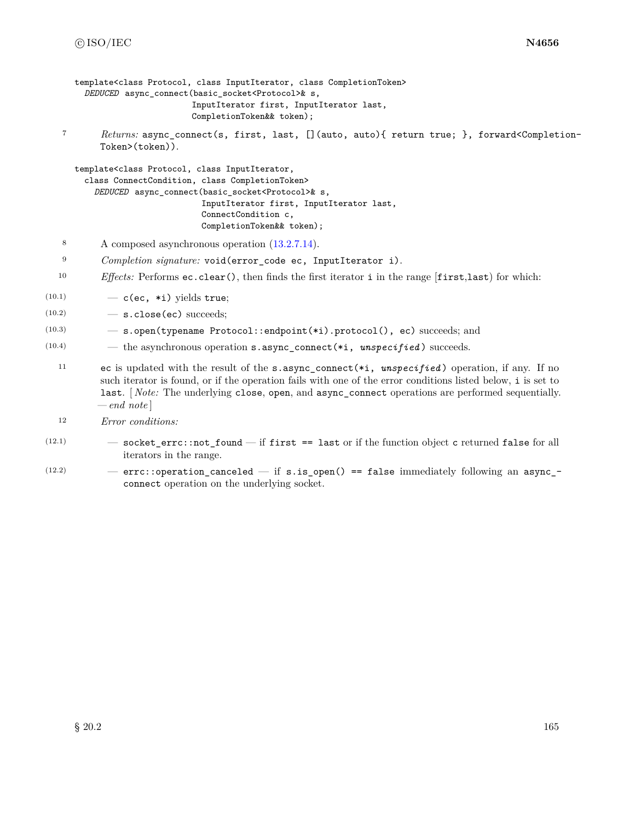```
template<class Protocol, class InputIterator, class CompletionToken>
  DEDUCED async_connect(basic_socket<Protocol>& s,
                        InputIterator first, InputIterator last,
                        CompletionToken&& token);
```
<sup>7</sup> *Returns:* async\_connect(s, first, last, [](auto, auto){ return true; }, forward<Completion-Token>(token)).

```
template<class Protocol, class InputIterator,
  class ConnectCondition, class CompletionToken>
    DEDUCED async_connect(basic_socket<Protocol>& s,
                          InputIterator first, InputIterator last,
                          ConnectCondition c,
                          CompletionToken&& token);
```
- <sup>8</sup> A composed asynchronous operation [\(13.2.7.14\)](#page-33-0).
- <sup>9</sup> *Completion signature:* void(error\_code ec, InputIterator i).
- <sup>10</sup> *Effects:* Performs ec.clear(), then finds the first iterator i in the range [first,last) for which:
- $(10.1)$   $-$  c(ec, \*i) yields true;
- $(10.2)$   $-$  s.close(ec) succeeds;
- (10.3) s.open(typename Protocol::endpoint(\*i).protocol(), ec) succeeds; and
- (10.4) the asynchronous operation s.async\_connect(\*i, *unspecified* ) succeeds.
	- <sup>11</sup> ec is updated with the result of the s.async\_connect(\*i, *unspecified* ) operation, if any. If no such iterator is found, or if the operation fails with one of the error conditions listed below, i is set to last. [ *Note:* The underlying close, open, and async\_connect operations are performed sequentially. *— end note* ]
	- <sup>12</sup> *Error conditions:*
- $(12.1)$   $-$  socket\_errc::not\_found  $-$  if first == last or if the function object c returned false for all iterators in the range.
- $(12.2)$  errc::operation\_canceled if s.is\_open() == false immediately following an async\_connect operation on the underlying socket.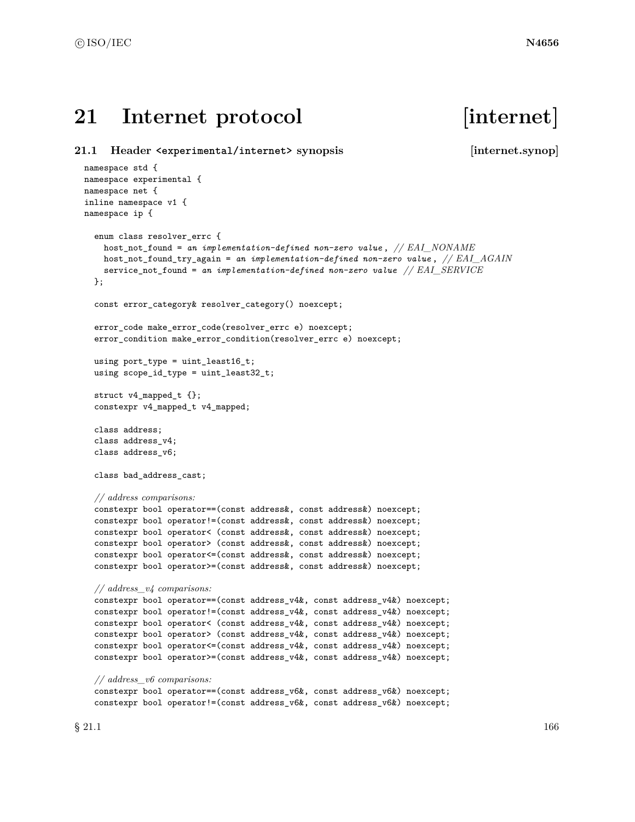# 21 Internet protocol [internet]

```
21.1 Header <experimental/internet> synopsis [internet.synop]
 namespace std {
 namespace experimental {
 namespace net {
 inline namespace v1 {
 namespace ip {
   enum class resolver_errc {
     host_not_found = an implementation-defined non-zero value , // EAI_NONAME
     host_not_found_try_again = an implementation-defined non-zero value , // EAI_AGAIN
     service_not_found = an implementation-defined non-zero value // EAI_SERVICE
   };
   const error_category& resolver_category() noexcept;
   error_code make_error_code(resolver_errc e) noexcept;
   error_condition make_error_condition(resolver_errc e) noexcept;
   using port_type = uint_least16_t;
   using scope_id_type = uint_least32_t;
   struct v4_mapped_t {};
   constexpr v4_mapped_t v4_mapped;
   class address;
   class address_v4;
   class address_v6;
   class bad_address_cast;
   // address comparisons:
   constexpr bool operator==(const address&, const address&) noexcept;
   constexpr bool operator!=(const address&, const address&) noexcept;
   constexpr bool operator< (const address&, const address&) noexcept;
   constexpr bool operator> (const address&, const address&) noexcept;
   constexpr bool operator<=(const address&, const address&) noexcept;
   constexpr bool operator>=(const address&, const address&) noexcept;
   // address_v4 comparisons:
   constexpr bool operator==(const address_v4&, const address_v4&) noexcept;
   constexpr bool operator!=(const address_v4&, const address_v4&) noexcept;
   constexpr bool operator< (const address_v4&, const address_v4&) noexcept;
   constexpr bool operator> (const address_v4&, const address_v4&) noexcept;
   constexpr bool operator<=(const address_v4&, const address_v4&) noexcept;
   constexpr bool operator>=(const address_v4&, const address_v4&) noexcept;
   // address_v6 comparisons:
   constexpr bool operator==(const address_v6&, const address_v6&) noexcept;
   constexpr bool operator!=(const address_v6&, const address_v6&) noexcept;
```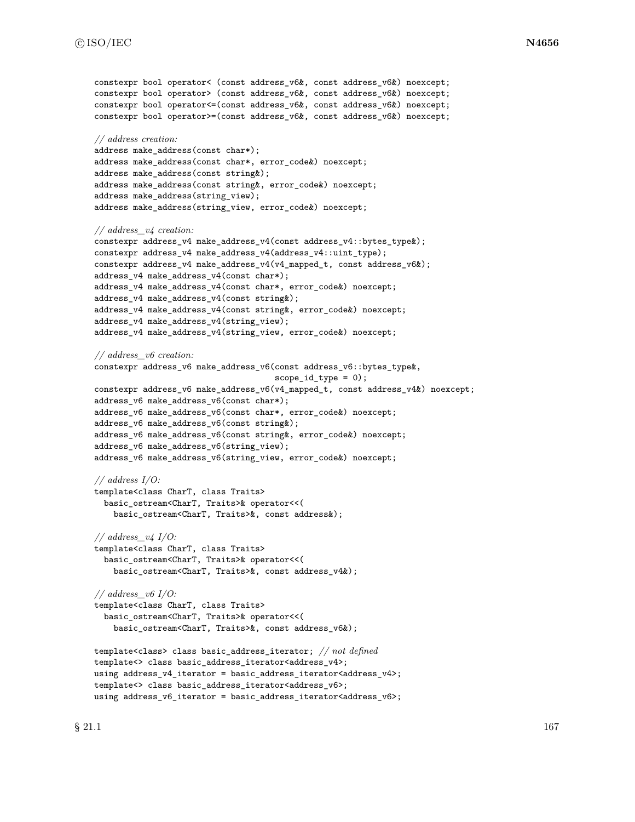```
constexpr bool operator< (const address v6&, const address v6&) noexcept;
constexpr bool operator> (const address_v6&, const address_v6&) noexcept;
constexpr bool operator<=(const address_v6&, const address_v6&) noexcept;
constexpr bool operator>=(const address_v6&, const address_v6&) noexcept;
// address creation:
address make_address(const char*);
address make_address(const char*, error_code&) noexcept;
address make_address(const string&);
address make_address(const string&, error_code&) noexcept;
address make_address(string_view);
address make_address(string_view, error_code&) noexcept;
// address_v4 creation:
constexpr address_v4 make_address_v4(const address_v4::bytes_type&);
constexpr address_v4 make_address_v4(address_v4::uint_type);
constexpr address_v4 make_address_v4(v4_mapped_t, const address_v6&);
address_v4 make_address_v4(const char*);
address_v4 make_address_v4(const char*, error_code&) noexcept;
address_v4 make_address_v4(const string&);
address_v4 make_address_v4(const string&, error_code&) noexcept;
address_v4 make_address_v4(string_view);
address_v4 make_address_v4(string_view, error_code&) noexcept;
// address_v6 creation:
constexpr address_v6 make_address_v6(const address_v6::bytes_type&,
                                      scope_id_type = 0);constexpr address_v6 make_address_v6(v4_mapped_t, const address_v4&) noexcept;
address_v6 make_address_v6(const char*);
address_v6 make_address_v6(const char*, error_code&) noexcept;
address_v6 make_address_v6(const string&);
address_v6 make_address_v6(const string&, error_code&) noexcept;
address_v6 make_address_v6(string_view);
address_v6 make_address_v6(string_view, error_code&) noexcept;
// address I/O:
template<class CharT, class Traits>
  basic_ostream<CharT, Traits>& operator<<(
    basic_ostream<CharT, Traits>&, const address&);
// address_v4 I/O:
template<class CharT, class Traits>
  basic_ostream<CharT, Traits>& operator<<(
    basic_ostream<CharT, Traits>&, const address_v4&);
// address_v6 I/O:
template<class CharT, class Traits>
  basic_ostream<CharT, Traits>& operator<<(
    basic_ostream<CharT, Traits>&, const address_v6&);
template<class> class basic_address_iterator; // not defined
template<> class basic_address_iterator<address_v4>;
using address_v4_iterator = basic_address_iterator<address_v4>;
template<> class basic_address_iterator<address_v6>;
```
using address\_v6\_iterator = basic\_address\_iterator<address\_v6>;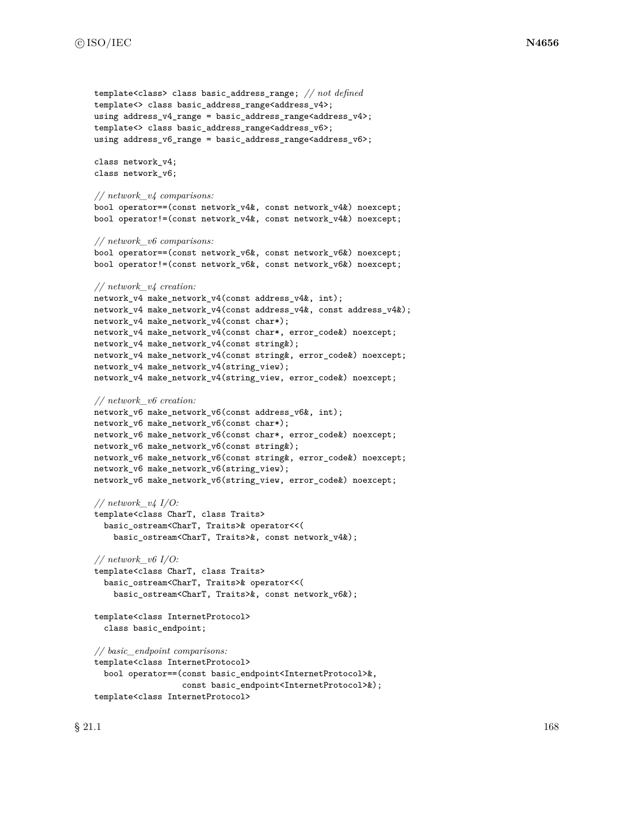```
template<class> class basic_address_range; // not defined
template<> class basic_address_range<address_v4>;
using address_v4_range = basic_address_range<address_v4>;
template<> class basic_address_range<address_v6>;
using address_v6_range = basic_address_range<address_v6>;
class network_v4;
class network_v6;
// network_v4 comparisons:
bool operator==(const network_v4&, const network_v4&) noexcept;
bool operator!=(const network_v4&, const network_v4&) noexcept;
// network_v6 comparisons:
bool operator==(const network_v6&, const network_v6&) noexcept;
bool operator!=(const network_v6&, const network_v6&) noexcept;
// network_v4 creation:
network_v4 make_network_v4(const address_v4&, int);
network_v4 make_network_v4(const address_v4&, const address_v4&);
network_v4 make_network_v4(const char*);
network_v4 make_network_v4(const char*, error_code&) noexcept;
network_v4 make_network_v4(const string&);
network_v4 make_network_v4(const string&, error_code&) noexcept;
network_v4 make_network_v4(string_view);
network_v4 make_network_v4(string_view, error_code&) noexcept;
// network_v6 creation:
network_v6 make_network_v6(const address_v6&, int);
network_v6 make_network_v6(const char*);
network_v6 make_network_v6(const char*, error_code&) noexcept;
network_v6 make_network_v6(const string&);
network_v6 make_network_v6(const string&, error_code&) noexcept;
network_v6 make_network_v6(string_view);
network_v6 make_network_v6(string_view, error_code&) noexcept;
// network_v4 I/O:
template<class CharT, class Traits>
  basic_ostream<CharT, Traits>& operator<<(
    basic_ostream<CharT, Traits>&, const network_v4&);
// network_v6 I/O:
template<class CharT, class Traits>
  basic_ostream<CharT, Traits>& operator<<(
    basic_ostream<CharT, Traits>&, const network_v6&);
template<class InternetProtocol>
  class basic_endpoint;
// basic_endpoint comparisons:
template<class InternetProtocol>
  bool operator==(const basic_endpoint<InternetProtocol>&,
                  const basic_endpoint<InternetProtocol>&);
template<class InternetProtocol>
```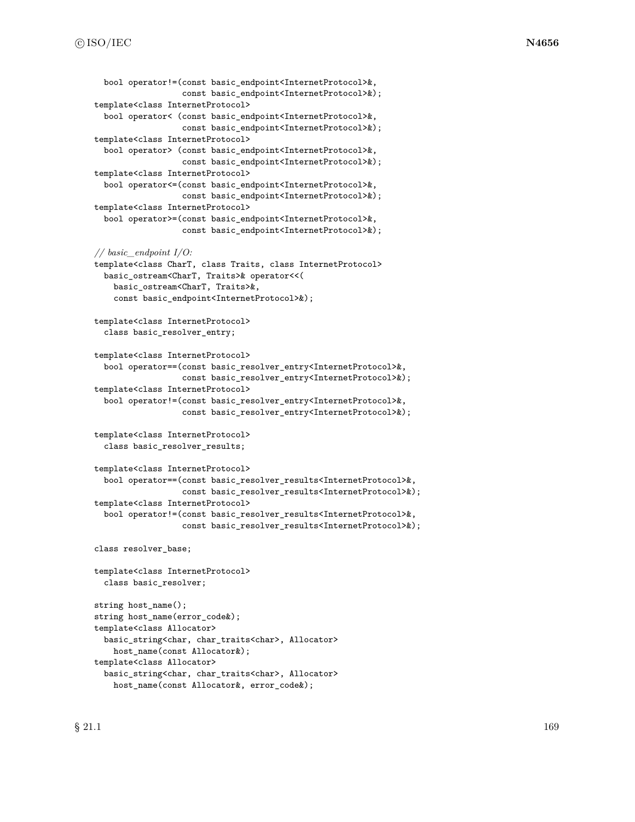```
bool operator!=(const basic_endpoint<InternetProtocol>&,
                  const basic_endpoint<InternetProtocol>&);
template<class InternetProtocol>
  bool operator< (const basic_endpoint<InternetProtocol>&,
                  const basic_endpoint<InternetProtocol>&);
template<class InternetProtocol>
  bool operator> (const basic_endpoint<InternetProtocol>&,
                  const basic_endpoint<InternetProtocol>&);
template<class InternetProtocol>
  bool operator<=(const basic_endpoint<InternetProtocol>&,
                  const basic_endpoint<InternetProtocol>&);
template<class InternetProtocol>
  bool operator>=(const basic_endpoint<InternetProtocol>&,
                  const basic_endpoint<InternetProtocol>&);
// basic_endpoint I/O:
template<class CharT, class Traits, class InternetProtocol>
  basic_ostream<CharT, Traits>& operator<<(
    basic_ostream<CharT, Traits>&,
    const basic_endpoint<InternetProtocol>&);
template<class InternetProtocol>
  class basic_resolver_entry;
template<class InternetProtocol>
  bool operator==(const basic_resolver_entry<InternetProtocol>&,
                  const basic_resolver_entry<InternetProtocol>&);
template<class InternetProtocol>
  bool operator!=(const basic_resolver_entry<InternetProtocol>&,
                  const basic_resolver_entry<InternetProtocol>&);
template<class InternetProtocol>
  class basic_resolver_results;
template<class InternetProtocol>
  bool operator==(const basic_resolver_results<InternetProtocol>&,
                  const basic_resolver_results<InternetProtocol>&);
template<class InternetProtocol>
  bool operator!=(const basic_resolver_results<InternetProtocol>&,
                  const basic_resolver_results<InternetProtocol>&);
class resolver_base;
template<class InternetProtocol>
  class basic_resolver;
string host_name();
string host_name(error_code&);
template<class Allocator>
  basic_string<char, char_traits<char>, Allocator>
    host_name(const Allocator&);
template<class Allocator>
  basic_string<char, char_traits<char>, Allocator>
```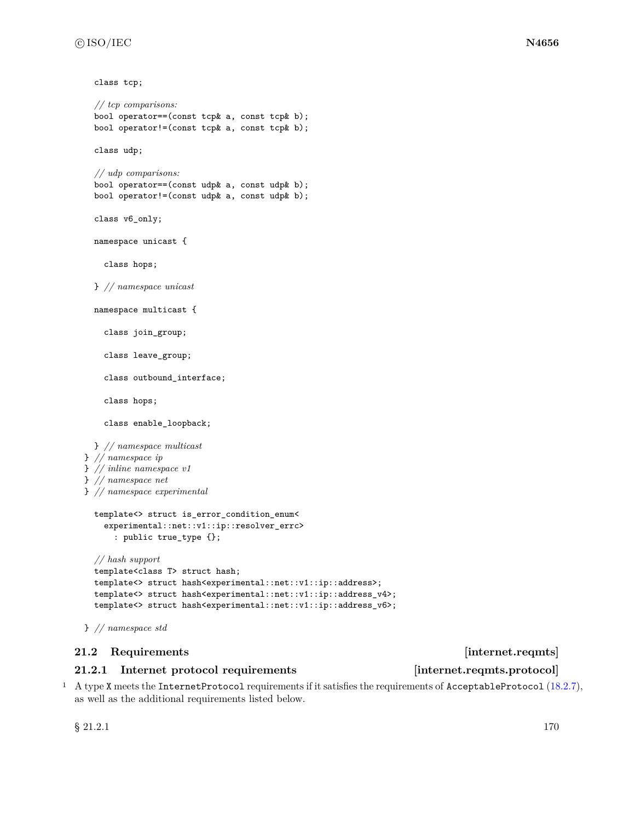```
class tcp;
```

```
// tcp comparisons:
  bool operator==(const tcp& a, const tcp& b);
  bool operator!=(const tcp& a, const tcp& b);
  class udp;
 // udp comparisons:
  bool operator==(const udp& a, const udp& b);
  bool operator!=(const udp& a, const udp& b);
  class v6_only;
  namespace unicast {
    class hops;
 } // namespace unicast
 namespace multicast {
    class join_group;
    class leave_group;
    class outbound_interface;
    class hops;
    class enable_loopback;
  } // namespace multicast
} // namespace ip
} // inline namespace v1
} // namespace net
} // namespace experimental
  template<> struct is_error_condition_enum<
    experimental::net::v1::ip::resolver_errc>
      : public true_type {};
  // hash support
  template<class T> struct hash;
  template<> struct hash<experimental::net::v1::ip::address>;
  template<> struct hash<experimental::net::v1::ip::address_v4>;
  template<> struct hash<experimental::net::v1::ip::address_v6>;
```

```
} // namespace std
```
# **21.2 Requirements internet.reqmts**

# <span id="page-176-0"></span>**21.2.1 Internet protocol requirements [internet.reqmts.protocol]**

<sup>1</sup> A type X meets the InternetProtocol requirements if it satisfies the requirements of AcceptableProtocol [\(18.2.7\)](#page-116-0), as well as the additional requirements listed below.

 $\S 21.2.1$  170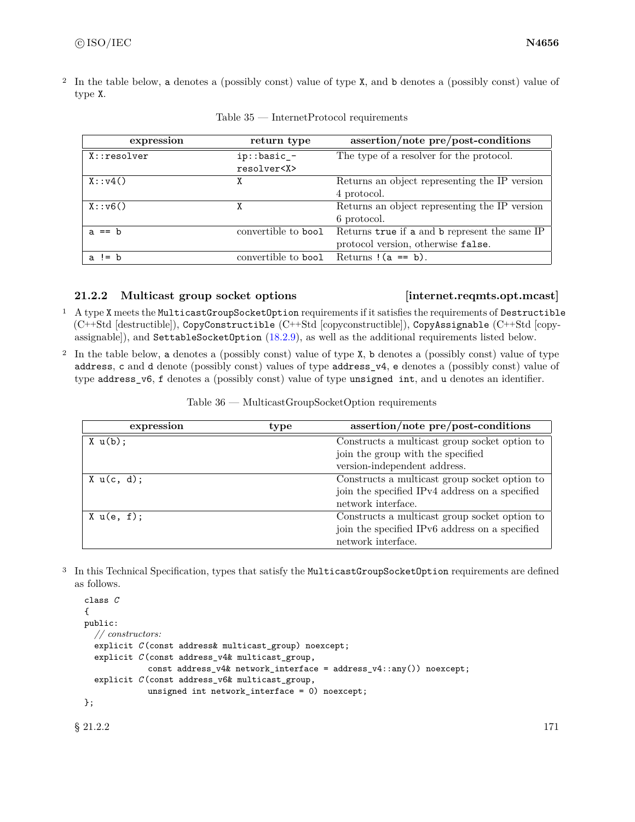<sup>2</sup> In the table below, a denotes a (possibly const) value of type X, and b denotes a (possibly const) value of type X.

| expression    | return type                     | assertion/note pre/post-conditions                                                  |
|---------------|---------------------------------|-------------------------------------------------------------------------------------|
| $X:$ resolver | ip::basic_-<br>resolver <x></x> | The type of a resolver for the protocol.                                            |
| X: y4()       | Χ                               | Returns an object representing the IP version<br>4 protocol.                        |
| X: v6()       | χ                               | Returns an object representing the IP version<br>6 protocol.                        |
| $a == b$      | convertible to bool             | Returns true if a and b represent the same IP<br>protocol version, otherwise false. |
| $a \neq b$    | convertible to bool             | Returns $(a == b)$ .                                                                |

Table 35 — InternetProtocol requirements

# **21.2.2 Multicast group socket options [internet.reqmts.opt.mcast]**

- <sup>1</sup> A type X meets the MulticastGroupSocketOption requirements if it satisfies the requirements of Destructible (C++Std [destructible]), CopyConstructible (C++Std [copyconstructible]), CopyAssignable (C++Std [copyassignable]), and SettableSocketOption [\(18.2.9\)](#page-117-0), as well as the additional requirements listed below.
- <sup>2</sup> In the table below, a denotes a (possibly const) value of type X, b denotes a (possibly const) value of type address, c and d denote (possibly const) values of type address\_v4, e denotes a (possibly const) value of type address\_v6, f denotes a (possibly const) value of type unsigned int, and u denotes an identifier.

| Table 36 — MulticastGroupSocketOption requirements |  |
|----------------------------------------------------|--|
|                                                    |  |

| expression     | type | assertion/note pre/post-conditions             |
|----------------|------|------------------------------------------------|
| $X \cup (b)$ ; |      | Constructs a multicast group socket option to  |
|                |      | join the group with the specified              |
|                |      | version-independent address.                   |
| X u(c, d);     |      | Constructs a multicast group socket option to  |
|                |      | join the specified IPv4 address on a specified |
|                |      | network interface.                             |
| X u(e, f);     |      | Constructs a multicast group socket option to  |
|                |      | join the specified IPv6 address on a specified |
|                |      | network interface.                             |

<sup>3</sup> In this Technical Specification, types that satisfy the MulticastGroupSocketOption requirements are defined as follows.

```
class C
{
public:
  // constructors:
  explicit C (const address& multicast_group) noexcept;
  explicit C (const address_v4& multicast_group,
             const address_v4& network_interface = address_v4::any()) noexcept;
  explicit C (const address_v6& multicast_group,
             unsigned int network_interface = 0) noexcept;
};
```
 $§$  21.2.2 171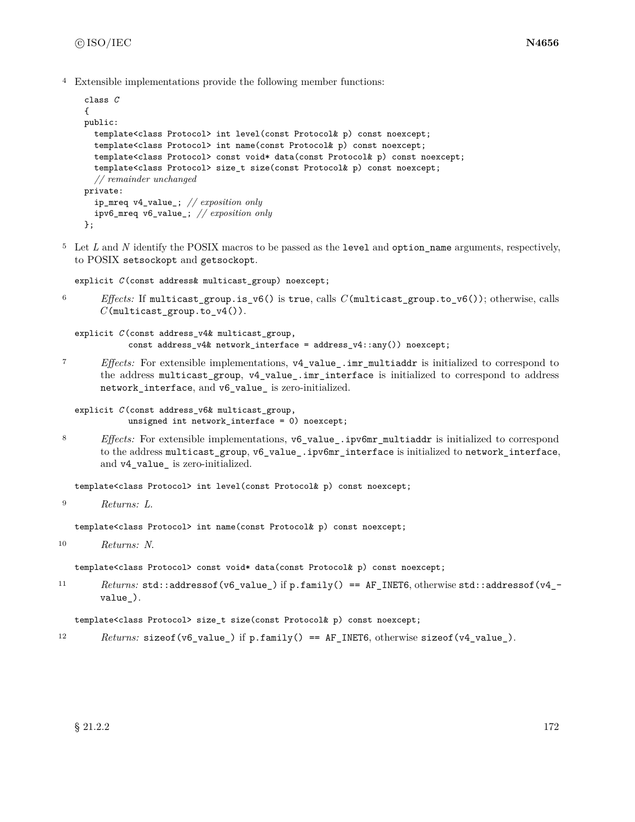<sup>4</sup> Extensible implementations provide the following member functions:

```
class C
{
public:
  template<class Protocol> int level(const Protocol& p) const noexcept;
  template<class Protocol> int name(const Protocol& p) const noexcept;
  template<class Protocol> const void* data(const Protocol& p) const noexcept;
  template<class Protocol> size_t size(const Protocol& p) const noexcept;
  // remainder unchanged
private:
  ip_mreq v4_value_; // exposition only
  ipv6_mreq v6_value_; // exposition only
};
```
<sup>5</sup> Let *L* and *N* identify the POSIX macros to be passed as the level and option\_name arguments, respectively, to POSIX setsockopt and getsockopt.

explicit *C* (const address& multicast\_group) noexcept;

<sup>6</sup> *Effects:* If multicast\_group.is\_v6() is true, calls *C*(multicast\_group.to\_v6()); otherwise, calls *C*(multicast\_group.to\_v4()).

```
explicit C (const address_v4& multicast_group,
           const address_v4& network_interface = address_v4::any()) noexcept;
```
<sup>7</sup> *Effects:* For extensible implementations, v4\_value\_.imr\_multiaddr is initialized to correspond to the address multicast\_group, v4\_value\_.imr\_interface is initialized to correspond to address network\_interface, and v6\_value\_ is zero-initialized.

```
explicit C (const address_v6& multicast_group,
           unsigned int network_interface = 0) noexcept;
```
and v4\_value\_ is zero-initialized.

<sup>8</sup> *Effects:* For extensible implementations, v6\_value\_.ipv6mr\_multiaddr is initialized to correspond to the address multicast\_group, v6\_value\_.ipv6mr\_interface is initialized to network\_interface,

template<class Protocol> int level(const Protocol& p) const noexcept;

```
9 Returns: L.
```
template<class Protocol> int name(const Protocol& p) const noexcept;

<sup>10</sup> *Returns: N*.

template<class Protocol> const void\* data(const Protocol& p) const noexcept;

11 Returns: std::addressof(v6\_value\_) if p.family() == AF\_INET6, otherwise std::addressof(v4\_value\_).

template<class Protocol> size\_t size(const Protocol& p) const noexcept;

12 *Returns:* sizeof(v6\_value\_) if p.family() == AF\_INET6, otherwise sizeof(v4\_value\_).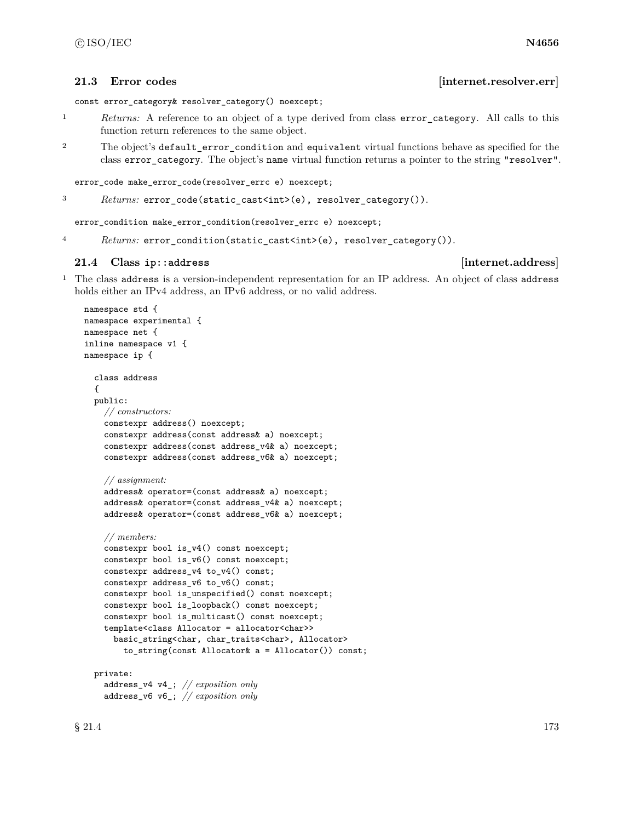const error\_category& resolver\_category() noexcept;

- <sup>1</sup> *Returns:* A reference to an object of a type derived from class error\_category. All calls to this function return references to the same object.
- <sup>2</sup> The object's default\_error\_condition and equivalent virtual functions behave as specified for the class error\_category. The object's name virtual function returns a pointer to the string "resolver".

```
error_code make_error_code(resolver_errc e) noexcept;
```

```
3 Returns: error_code(static_cast<int>(e), resolver_category()).
```
error\_condition make\_error\_condition(resolver\_errc e) noexcept;

<sup>4</sup> *Returns:* error\_condition(static\_cast<int>(e), resolver\_category()).

# **21.4 Class ip::address [internet.address]**

<sup>1</sup> The class address is a version-independent representation for an IP address. An object of class address holds either an IPv4 address, an IPv6 address, or no valid address.

```
namespace std {
namespace experimental {
namespace net {
inline namespace v1 {
namespace ip {
  class address
  {
  public:
    // constructors:
    constexpr address() noexcept;
    constexpr address(const address& a) noexcept;
    constexpr address(const address_v4& a) noexcept;
    constexpr address(const address_v6& a) noexcept;
    // assignment:
    address& operator=(const address& a) noexcept;
    address& operator=(const address_v4& a) noexcept;
    address& operator=(const address_v6& a) noexcept;
    // members:
    constexpr bool is_v4() const noexcept;
    constexpr bool is_v6() const noexcept;
    constexpr address_v4 to_v4() const;
    constexpr address_v6 to_v6() const;
    constexpr bool is_unspecified() const noexcept;
    constexpr bool is_loopback() const noexcept;
    constexpr bool is_multicast() const noexcept;
    template<class Allocator = allocator<char>>
      basic_string<char, char_traits<char>, Allocator>
        to_string(const Allocator& a = Allocator()) const;
  private:
    address_v4 v4_; // exposition only
    address_v6 v6_; // exposition only
```
# **21.3** Error codes *internet.resolver.err*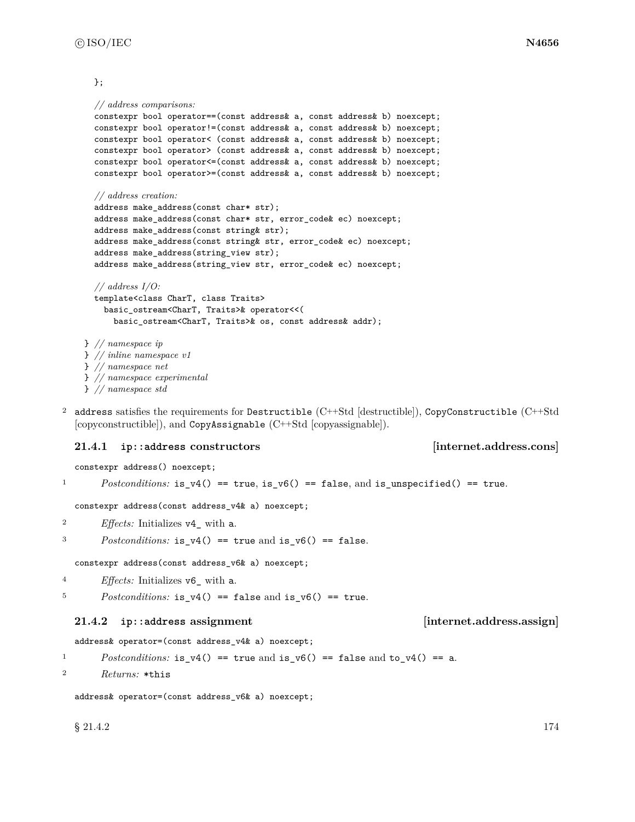### };

```
// address comparisons:
  constexpr bool operator==(const address& a, const address& b) noexcept;
  constexpr bool operator!=(const address& a, const address& b) noexcept;
  constexpr bool operator< (const address& a, const address& b) noexcept;
  constexpr bool operator> (const address& a, const address& b) noexcept;
  constexpr bool operator<=(const address& a, const address& b) noexcept;
  constexpr bool operator>=(const address& a, const address& b) noexcept;
  // address creation:
  address make_address(const char* str);
  address make_address(const char* str, error_code& ec) noexcept;
  address make_address(const string& str);
  address make_address(const string& str, error_code& ec) noexcept;
 address make_address(string_view str);
  address make_address(string_view str, error_code& ec) noexcept;
  // address I/O:
 template<class CharT, class Traits>
    basic_ostream<CharT, Traits>& operator<<(
      basic_ostream<CharT, Traits>& os, const address& addr);
} // namespace ip
} // inline namespace v1
} // namespace net
} // namespace experimental
} // namespace std
```
<sup>2</sup> address satisfies the requirements for Destructible (C++Std [destructible]), CopyConstructible (C++Std [copyconstructible]), and CopyAssignable (C++Std [copyassignable]).

## **21.4.1 ip::address constructors [internet.address.cons]**

constexpr address() noexcept;

```
Postconditions: is_v4() == true, is_v6() == false, and is_unspecified() == true.
```
constexpr address(const address\_v4& a) noexcept;

- 2  $E\text{ffects: Initializes v4}_\text{with a.}$
- <sup>3</sup> *Postconditions:* is\_v4() == true and is\_v6() == false.

constexpr address(const address\_v6& a) noexcept;

- <sup>4</sup> *Effects:* Initializes v6\_ with a.
- $5$  *Postconditions:* is\_v4() == false and is\_v6() == true.

## **21.4.2 ip::address assignment [internet.address.assign]**

address& operator=(const address\_v4& a) noexcept;

1 *Postconditions:* is\_v4() == true and is\_v6() == false and to\_v4() == a.

<sup>2</sup> *Returns:* \*this

```
address& operator=(const address_v6& a) noexcept;
```
 $\S 21.4.2$  174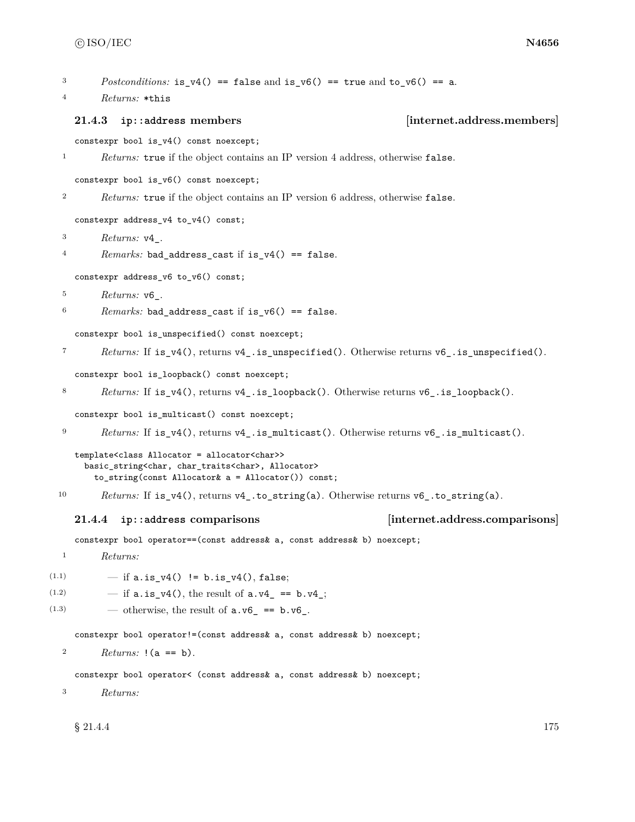```
3 Postconditions: is v4() == false and is v6() == true and to v6() == a.
  4 Returns: *this
    21.4.3 ip::address members [internet.address.members]
    constexpr bool is_v4() const noexcept;
  1 Returns: true if the object contains an IP version 4 address, otherwise false.
    constexpr bool is_v6() const noexcept;
  2 Returns: true if the object contains an IP version 6 address, otherwise false.
    constexpr address_v4 to_v4() const;
  3 Returns: v4_.
  4 Remarks: bad_address_cast if is_v4() == false.
    constexpr address_v6 to_v6() const;
  5 Returns: v6_.
  6 Remarks: bad_address_cast if is_v6() == false.
    constexpr bool is_unspecified() const noexcept;
  7 Returns: If is_v4(), returns v4_.is_unspecified(). Otherwise returns v6_.is_unspecified().
    constexpr bool is_loopback() const noexcept;
  8 Returns: If is_v4(), returns v4_. is_loopback(). Otherwise returns v6_. is_loopback().
    constexpr bool is_multicast() const noexcept;
  9 Returns: If is_v4(), returns v4_.is_multicast(). Otherwise returns v6_.is_multicast().
    template<class Allocator = allocator<char>>
      basic_string<char, char_traits<char>, Allocator>
        to_string(const Allocator& a = Allocator()) const;
 10 Returns: If is_v4(), returns v4_.to_string(a). Otherwise returns v6_.to_string(a).
    21.4.4 ip::address comparisons [internet.address.comparisons]
    constexpr bool operator==(const address& a, const address& b) noexcept;
  1 Returns:
(1.1) - if a.is_v4() != b.is_v4(), false;(1.2) - if a.is_v4(), the result of a.v4 = b.v4;
(1.3) — otherwise, the result of a.v6 = b.v6.
    constexpr bool operator!=(const address& a, const address& b) noexcept;
  2 Returns: !(a == b).
    constexpr bool operator< (const address& a, const address& b) noexcept;
  3 Returns:
    \S 21.4.4 175
```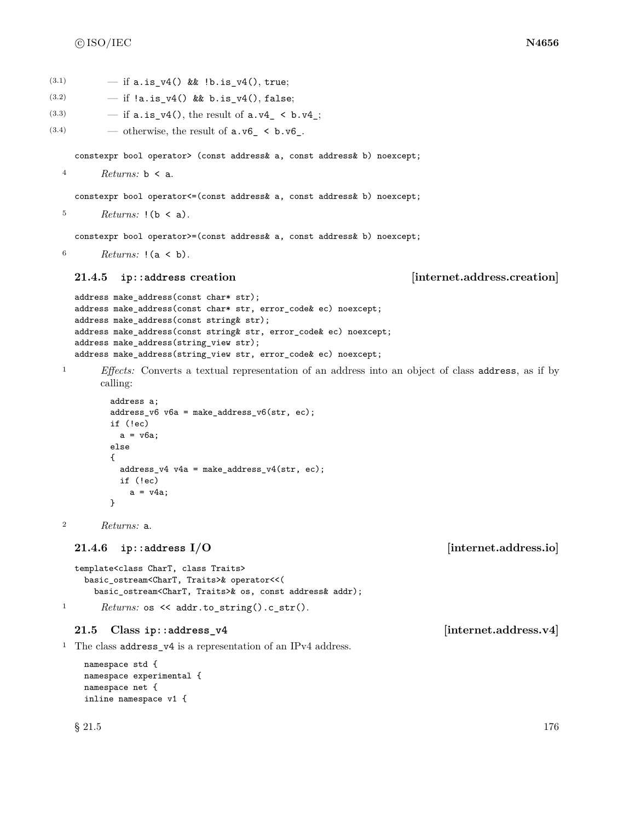(3.1)  $-$  if a.is\_v4() && !b.is\_v4(), true;

| (3.2)          | - if $!a.is_v4()$ && b.is_v4(), false;                                                                                                                                                                                                                                                                                                  |
|----------------|-----------------------------------------------------------------------------------------------------------------------------------------------------------------------------------------------------------------------------------------------------------------------------------------------------------------------------------------|
| (3.3)          | - if $a.is_v4()$ , the result of $a.v4 \lt b.v4$ ;                                                                                                                                                                                                                                                                                      |
| (3.4)          | — otherwise, the result of $a.v6$ < $b.v6$ .                                                                                                                                                                                                                                                                                            |
|                | constexpr bool operator> (const address& a, const address& b) noexcept;                                                                                                                                                                                                                                                                 |
| $\overline{4}$ | Returns: $\mathbf{b} \leq \mathbf{a}$ .                                                                                                                                                                                                                                                                                                 |
|                | constexpr bool operator <= (const address& a, const address& b) noexcept;                                                                                                                                                                                                                                                               |
| 5              | <i>Returns:</i> $!(b \lt a).$                                                                                                                                                                                                                                                                                                           |
|                |                                                                                                                                                                                                                                                                                                                                         |
| 6              | constexpr bool operator>=(const address& a, const address& b) noexcept;<br>Returns: $(a < b)$ .                                                                                                                                                                                                                                         |
|                |                                                                                                                                                                                                                                                                                                                                         |
|                | [internet.address.creation]<br>21.4.5<br>ip::address creation                                                                                                                                                                                                                                                                           |
|                | address make_address(const char* str);<br>address make_address(const char* str, error_code& ec) noexcept;<br>address make_address(const string& str);<br>address make_address(const string& str, error_code& ec) noexcept;<br>address make_address(string_view str);<br>address make_address(string_view str, error_code& ec) noexcept; |
| $\mathbf{1}$   | <i>Effects:</i> Converts a textual representation of an address into an object of class address, as if by<br>calling:                                                                                                                                                                                                                   |
|                | address a;<br>$address_v6 v6a = make\_address_v6(str, ec);$<br>if (!ec)<br>$a = v6a;$<br>else<br>€<br>$address_v4 v4a = make\_address_v4(str, ec);$<br>if $(!ec)$<br>$a = v4a;$<br>}                                                                                                                                                    |
| $\overline{2}$ | Returns: a.                                                                                                                                                                                                                                                                                                                             |
|                | [internet.address.io]<br>21.4.6<br>ip::address $I/O$                                                                                                                                                                                                                                                                                    |
|                | template <class chart,="" class="" traits=""><br/>basic_ostream<chart, traits="">&amp; operator&lt;&lt;(<br/>basic_ostream<chart, traits="">&amp; os, const address&amp; addr);</chart,></chart,></class>                                                                                                                               |
| 1              | $Returns: os \leq addr.to_string().c_str().$                                                                                                                                                                                                                                                                                            |
|                | [internet.address.v4]<br>21.5<br>$Class ip::address_v4$                                                                                                                                                                                                                                                                                 |
| $\mathbf{I}$   | The class address_v4 is a representation of an IPv4 address.                                                                                                                                                                                                                                                                            |
|                | namespace std {<br>namespace experimental {<br>namespace net {<br>inline namespace v1 {                                                                                                                                                                                                                                                 |
|                | $§$ 21.5<br>176                                                                                                                                                                                                                                                                                                                         |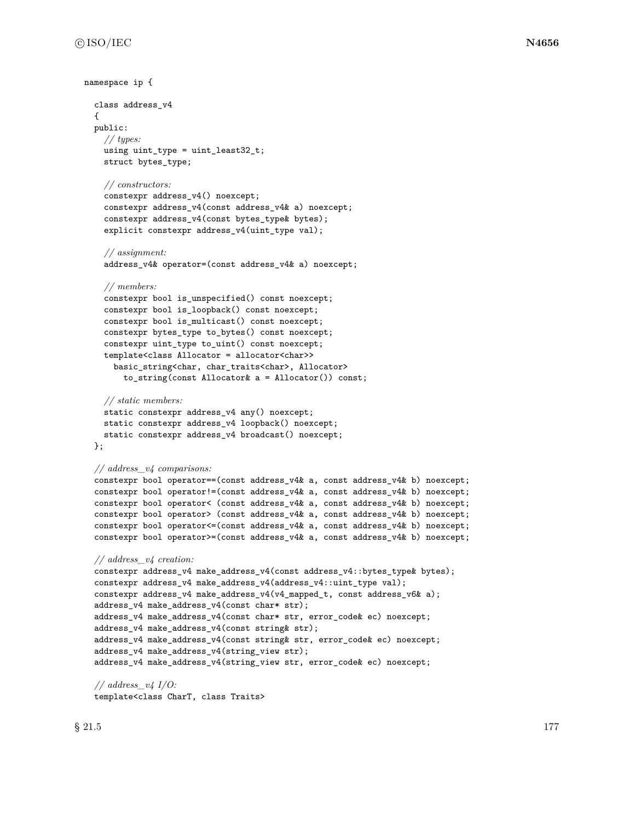```
namespace ip {
 class address_v4
  {
  public:
   // types:
    using uint_type = uint least32_t;
    struct bytes_type;
    // constructors:
    constexpr address_v4() noexcept;
    constexpr address_v4(const address_v4& a) noexcept;
    constexpr address_v4(const bytes_type& bytes);
    explicit constexpr address_v4(uint_type val);
    // assignment:
    address_v4& operator=(const address_v4& a) noexcept;
    // members:
    constexpr bool is_unspecified() const noexcept;
    constexpr bool is_loopback() const noexcept;
    constexpr bool is_multicast() const noexcept;
    constexpr bytes_type to_bytes() const noexcept;
    constexpr uint_type to_uint() const noexcept;
    template<class Allocator = allocator<char>>
      basic_string<char, char_traits<char>, Allocator>
        to_string(const Allocator& a = Allocator()) const;
    // static members:
    static constexpr address_v4 any() noexcept;
    static constexpr address_v4 loopback() noexcept;
    static constexpr address_v4 broadcast() noexcept;
  };
  // address_v4 comparisons:
  constexpr bool operator==(const address_v4& a, const address_v4& b) noexcept;
  constexpr bool operator!=(const address_v4& a, const address_v4& b) noexcept;
  constexpr bool operator< (const address_v4& a, const address_v4& b) noexcept;
  constexpr bool operator> (const address_v4& a, const address_v4& b) noexcept;
  constexpr bool operator<=(const address_v4& a, const address_v4& b) noexcept;
  constexpr bool operator>=(const address_v4& a, const address_v4& b) noexcept;
  // address_v4 creation:
  constexpr address_v4 make_address_v4(const address_v4::bytes_type& bytes);
  constexpr address_v4 make_address_v4(address_v4::uint_type val);
  constexpr address_v4 make_address_v4(v4_mapped_t, const address_v6& a);
  address_v4 make_address_v4(const char* str);
  address_v4 make_address_v4(const char* str, error_code& ec) noexcept;
  address_v4 make_address_v4(const string& str);
  address_v4 make_address_v4(const string& str, error_code& ec) noexcept;
  address_v4 make_address_v4(string_view str);
  address_v4 make_address_v4(string_view str, error_code& ec) noexcept;
  // address_v4 I/O:
```
template<class CharT, class Traits>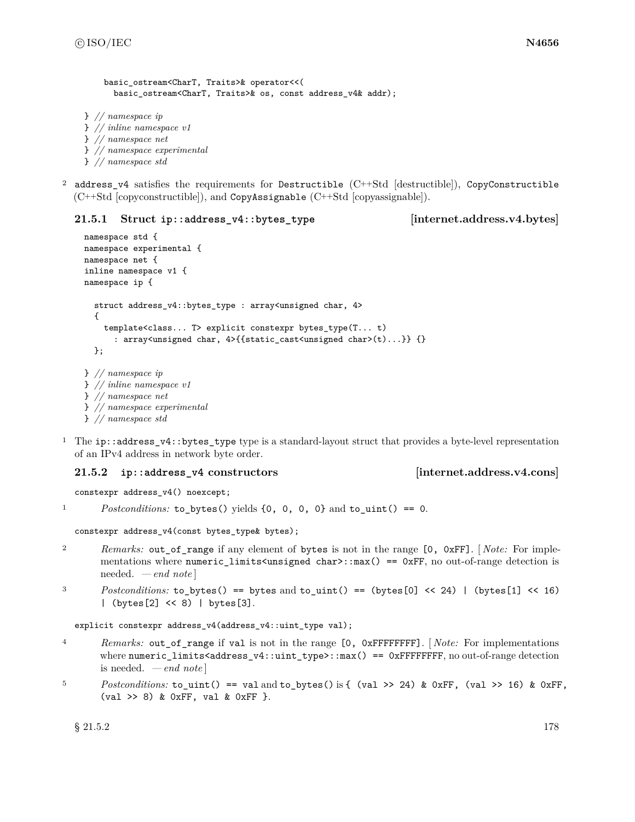```
basic_ostream<CharT, Traits>& operator<<(
      basic_ostream<CharT, Traits>& os, const address_v4& addr);
} // namespace ip
} // inline namespace v1
} // namespace net
} // namespace experimental
} // namespace std
```
<sup>2</sup> address\_v4 satisfies the requirements for Destructible (C++Std [destructible]), CopyConstructible  $(C++Std$  [copyconstructible]), and CopyAssignable  $(C++Std$  [copyassignable]).

## **21.5.1 Struct ip::address\_v4::bytes\_type [internet.address.v4.bytes]**

```
namespace std {
namespace experimental {
namespace net {
inline namespace v1 {
namespace ip {
  struct address_v4::bytes_type : array<unsigned char, 4>
  {
    template<class... T> explicit constexpr bytes_type(T... t)
      : array<unsigned char, 4>{{static_cast<unsigned char>(t)...}} {}
  };
} // namespace ip
} // inline namespace v1
} // namespace net
} // namespace experimental
```
<sup>1</sup> The ip::address\_v4::bytes\_type type is a standard-layout struct that provides a byte-level representation of an IPv4 address in network byte order.

## **21.5.2 ip::address\_v4 constructors [internet.address.v4.cons]**

constexpr address  $v4()$  noexcept;

} *// namespace std*

<sup>1</sup> *Postconditions:* to\_bytes() yields {0, 0, 0, 0} and to\_uint() == 0.

constexpr address\_v4(const bytes\_type& bytes);

- <sup>2</sup> *Remarks:* out\_of\_range if any element of bytes is not in the range [0, 0xFF]. [ *Note:* For implementations where numeric\_limits<unsigned char>::max() == 0xFF, no out-of-range detection is needed. *— end note* ]
- 3 Postconditions: to\_bytes() == bytes and to\_uint() == (bytes[0] << 24) | (bytes[1] << 16) | (bytes[2] << 8) | bytes[3].

```
explicit constexpr address_v4(address_v4::uint_type val);
```
- <sup>4</sup> *Remarks:* out\_of\_range if val is not in the range [0, 0xFFFFFFFF]. [ *Note:* For implementations where numeric\_limits<address\_v4::uint\_type>::max() == 0xFFFFFFFF, no out-of-range detection is needed. *— end note* ]
- <sup>5</sup> *Postconditions:* to\_uint() == val and to\_bytes() is { (val >> 24) & 0xFF, (val >> 16) & 0xFF, (val >> 8) & 0xFF, val & 0xFF }.

 $\S 21.5.2$  178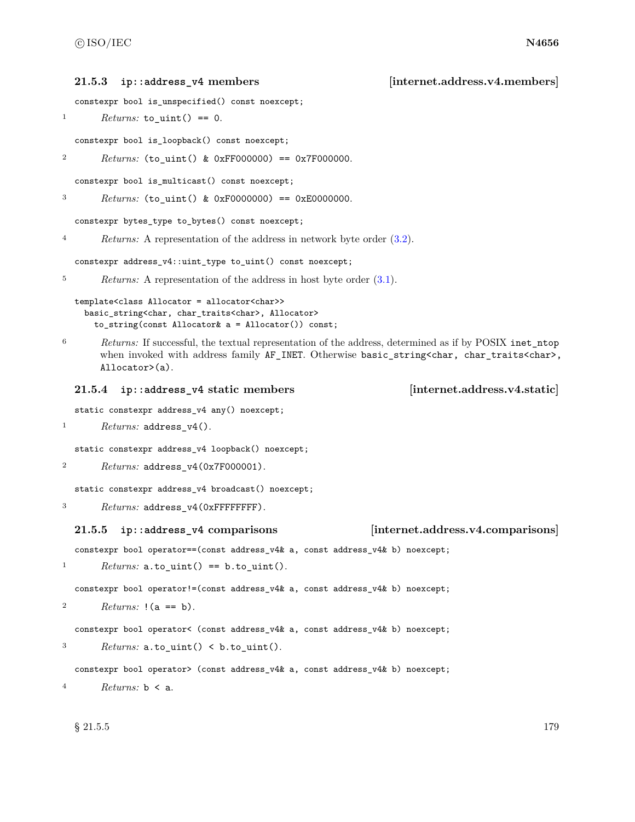### **21.5.3 ip::address\_v4 members [internet.address.v4.members]**

```
constexpr bool is_unspecified() const noexcept;
```

```
1 Returns: to_uint() == 0.
```
constexpr bool is\_loopback() const noexcept;

```
2 Returns: (to_uint() & 0xFF000000) == 0x7F000000.
```
constexpr bool is\_multicast() const noexcept;

<sup>3</sup> *Returns:* (to\_uint() & 0xF0000000) == 0xE0000000.

constexpr bytes\_type to\_bytes() const noexcept;

<sup>4</sup> *Returns:* A representation of the address in network byte order [\(3.2\)](#page-9-0).

constexpr address\_v4::uint\_type to\_uint() const noexcept;

```
5 Returns: A representation of the address in host byte order (3.1).
```
## template<class Allocator = allocator<char>> basic\_string<char, char\_traits<char>, Allocator> to\_string(const Allocator& a = Allocator()) const;

<sup>6</sup> *Returns:* If successful, the textual representation of the address, determined as if by POSIX inet\_ntop when invoked with address family AF\_INET. Otherwise basic\_string<char, char\_traits<char>, Allocator>(a).

### **21.5.4 ip::address\_v4 static members [internet.address.v4.static]**

static constexpr address\_v4 any() noexcept;

```
1 Returns: address_v4().
```
static constexpr address\_v4 loopback() noexcept;

```
2 Returns: address_v4(0x7F000001).
```
static constexpr address\_v4 broadcast() noexcept;

```
3 Returns: address_v4(0xFFFFFFFF).
```
## **21.5.5 ip::address\_v4 comparisons [internet.address.v4.comparisons]**

constexpr bool operator==(const address\_v4& a, const address\_v4& b) noexcept;

```
1 Returns: a.to\_uint() == b.to\_uint().
```
constexpr bool operator!=(const address\_v4& a, const address\_v4& b) noexcept;

<sup>2</sup> *Returns:* !(a == b).

```
constexpr bool operator< (const address_v4& a, const address_v4& b) noexcept;
```

```
3 Returns: a.to\_uint() < b.to\_uint().
```

```
constexpr bool operator> (const address_v4& a, const address_v4& b) noexcept;
```

```
4 Returns: b < a.
```
 $\S 21.5.5$  179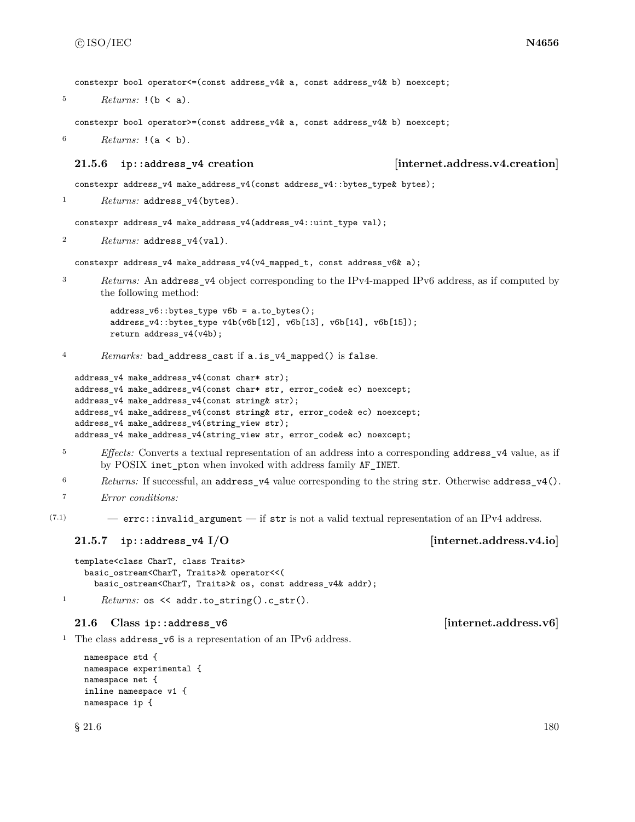constexpr bool operator <= (const address  $v4k$  a, const address  $v4k$  b) noexcept;

 $5$  *Returns:*  $!(b \le a)$ .

constexpr bool operator>=(const address\_v4& a, const address\_v4& b) noexcept;

<sup>6</sup> *Returns:* !(a < b).

### **21.5.6 ip::address\_v4 creation [internet.address.v4.creation]**

constexpr address\_v4 make\_address\_v4(const address\_v4::bytes\_type& bytes);

<sup>1</sup> *Returns:* address\_v4(bytes).

constexpr address\_v4 make\_address\_v4(address\_v4::uint\_type val);

<sup>2</sup> *Returns:* address\_v4(val).

constexpr address\_v4 make\_address\_v4(v4\_mapped\_t, const address\_v6& a);

<sup>3</sup> *Returns:* An address\_v4 object corresponding to the IPv4-mapped IPv6 address, as if computed by the following method:

```
address_v6::bytes_type v6b = a.to_bytes();
address_v4::bytes_type v4b(v6b[12], v6b[13], v6b[14], v6b[15]);
return address_v4(v4b);
```
4 Remarks: bad address cast if a.is v4 mapped() is false.

```
address_v4 make_address_v4(const char* str);
address_v4 make_address_v4(const char* str, error_code& ec) noexcept;
address_v4 make_address_v4(const string& str);
address_v4 make_address_v4(const string& str, error_code& ec) noexcept;
address_v4 make_address_v4(string_view str);
address_v4 make_address_v4(string_view str, error_code& ec) noexcept;
```
- <sup>5</sup> *Effects:* Converts a textual representation of an address into a corresponding address\_v4 value, as if by POSIX inet\_pton when invoked with address family AF\_INET.
- <sup>6</sup> *Returns:* If successful, an address  $v4$  value corresponding to the string str. Otherwise address  $v4()$ .

 $(7.1)$  – errc::invalid\_argument — if str is not a valid textual representation of an IPv4 address.

### **21.5.7 ip::address\_v4 I/O imternet.address.v4.io**

```
template<class CharT, class Traits>
 basic_ostream<CharT, Traits>& operator<<(
    basic_ostream<CharT, Traits>& os, const address_v4& addr);
```

```
1 Returns: os << addr.to_string().c_str().
```
## **21.6 Class ip::address\_v6 [internet.address.v6]**

<sup>1</sup> The class address\_v6 is a representation of an IPv6 address.

```
namespace std {
namespace experimental {
namespace net {
inline namespace v1 {
namespace ip {
```
<sup>7</sup> *Error conditions:*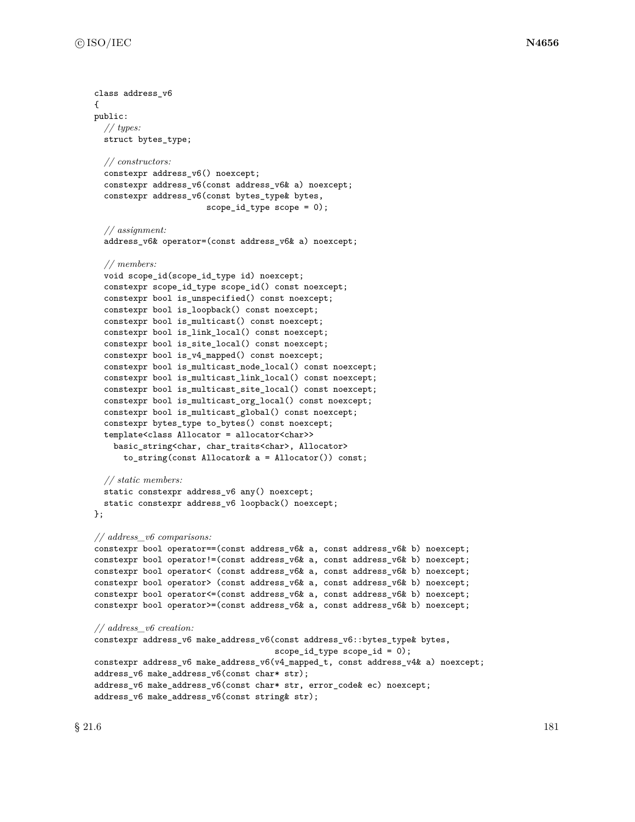```
class address_v6
{
public:
  // types:
  struct bytes_type;
  // constructors:
  constexpr address_v6() noexcept;
  constexpr address_v6(const address_v6& a) noexcept;
  constexpr address_v6(const bytes_type& bytes,
                       scope_id_type scope = 0);
  // assignment:
  address_v6& operator=(const address_v6& a) noexcept;
  // members:
  void scope_id(scope_id_type id) noexcept;
  constexpr scope_id_type scope_id() const noexcept;
  constexpr bool is_unspecified() const noexcept;
  constexpr bool is_loopback() const noexcept;
  constexpr bool is_multicast() const noexcept;
  constexpr bool is_link_local() const noexcept;
  constexpr bool is_site_local() const noexcept;
  constexpr bool is_v4_mapped() const noexcept;
  constexpr bool is_multicast_node_local() const noexcept;
  constexpr bool is_multicast_link_local() const noexcept;
  constexpr bool is_multicast_site_local() const noexcept;
  constexpr bool is_multicast_org_local() const noexcept;
  constexpr bool is_multicast_global() const noexcept;
  constexpr bytes_type to_bytes() const noexcept;
  template<class Allocator = allocator<char>>
    basic_string<char, char_traits<char>, Allocator>
      to_string(const Allocator& a = Allocator()) const;
  // static members:
  static constexpr address_v6 any() noexcept;
  static constexpr address_v6 loopback() noexcept;
};
// address_v6 comparisons:
constexpr bool operator==(const address_v6& a, const address_v6& b) noexcept;
constexpr bool operator!=(const address_v6& a, const address_v6& b) noexcept;
constexpr bool operator< (const address_v6& a, const address_v6& b) noexcept;
constexpr bool operator> (const address_v6& a, const address_v6& b) noexcept;
constexpr bool operator<=(const address_v6& a, const address_v6& b) noexcept;
constexpr bool operator>=(const address_v6& a, const address_v6& b) noexcept;
// address_v6 creation:
constexpr address_v6 make_address_v6(const address_v6::bytes_type& bytes,
                                      scope_id_type scope_id = 0);
constexpr address_v6 make_address_v6(v4_mapped_t, const address_v4& a) noexcept;
address_v6 make_address_v6(const char* str);
address_v6 make_address_v6(const char* str, error_code& ec) noexcept;
address_v6 make_address_v6(const string& str);
```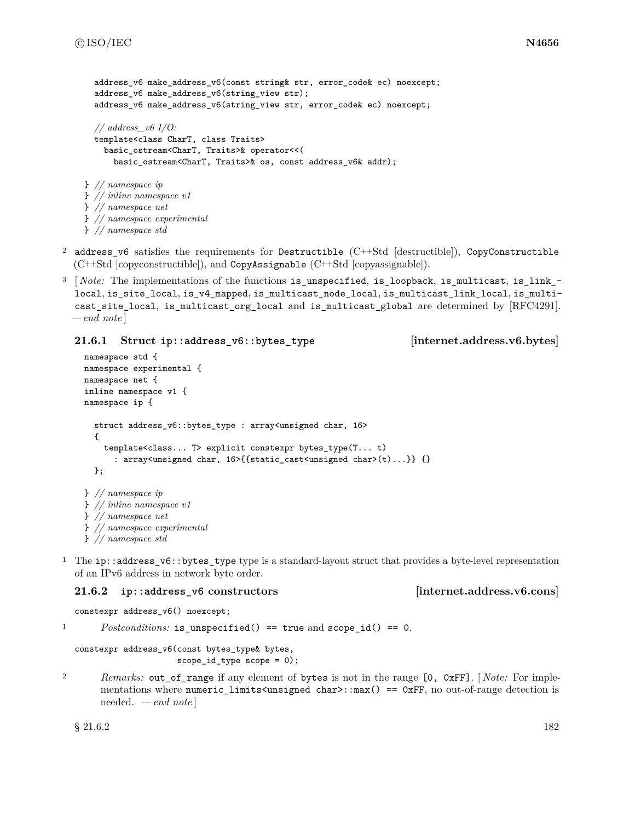```
address v6 make address v6(const string& str, error code& ec) noexcept;
  address_v6 make_address_v6(string_view str);
  address_v6 make_address_v6(string_view str, error_code& ec) noexcept;
  // address_v6 I/O:
  template<class CharT, class Traits>
    basic_ostream<CharT, Traits>& operator<<(
      basic_ostream<CharT, Traits>& os, const address_v6& addr);
} // namespace ip
} // inline namespace v1
} // namespace net
} // namespace experimental
} // namespace std
```
- <sup>2</sup> address\_v6 satisfies the requirements for Destructible (C++Std [destructible]), CopyConstructible (C++Std [copyconstructible]), and CopyAssignable (C++Std [copyassignable]).
- <sup>3</sup> [*Note:* The implementations of the functions is\_unspecified, is\_loopback, is\_multicast, is\_link\_local, is\_site\_local, is\_v4\_mapped, is\_multicast\_node\_local, is\_multicast\_link\_local, is\_multicast\_site\_local, is\_multicast\_org\_local and is\_multicast\_global are determined by [RFC4291]. *— end note* ]

## **21.6.1 Struct ip::address\_v6::bytes\_type [internet.address.v6.bytes]**

```
namespace std {
namespace experimental {
namespace net {
inline namespace v1 {
namespace ip {
  struct address_v6::bytes_type : array<unsigned char, 16>
  {
    template<class... T> explicit constexpr bytes_type(T... t)
      : array<unsigned char, 16>{{static_cast<unsigned char>(t)...}} {}
  };
} // namespace ip
} // inline namespace v1
} // namespace net
} // namespace experimental
} // namespace std
```
<sup>1</sup> The ip::address\_v6::bytes\_type type is a standard-layout struct that provides a byte-level representation of an IPv6 address in network byte order.

## **21.6.2 ip::address\_v6 constructors [internet.address.v6.cons]**

constexpr address\_v6() noexcept;

<sup>1</sup> *Postconditions:* is\_unspecified() == true and scope\_id() == 0.

constexpr address\_v6(const bytes\_type& bytes, scope\_id\_type scope = 0);

<sup>2</sup> *Remarks:* out\_of\_range if any element of bytes is not in the range [0, 0xFF]. [ *Note:* For implementations where numeric\_limits<unsigned char>::max() == 0xFF, no out-of-range detection is needed. *— end note* ]

 $\S 21.6.2$  182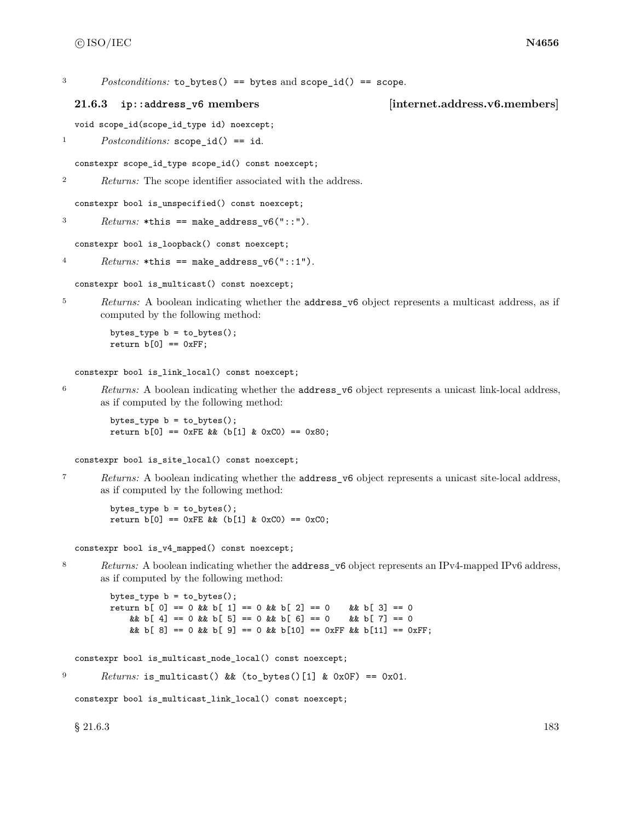<sup>3</sup> *Postconditions:* to bytes() == bytes and scope id() == scope.

### **21.6.3 ip::address\_v6 members [internet.address.v6.members]**

void scope\_id(scope\_id\_type id) noexcept;

<sup>1</sup> *Postconditions:* scope\_id() == id.

constexpr scope\_id\_type scope\_id() const noexcept;

<sup>2</sup> *Returns:* The scope identifier associated with the address.

constexpr bool is\_unspecified() const noexcept;

 $3$  *Returns:* \*this == make\_address\_v6("::").

constexpr bool is\_loopback() const noexcept;

```
4 Returns: *this == make\_address_v6("::1").
```
constexpr bool is\_multicast() const noexcept;

<sup>5</sup> *Returns:* A boolean indicating whether the **address**\_v6 object represents a multicast address, as if computed by the following method:

bytes\_type b = to\_bytes(); return  $b[0] == 0xFF;$ 

constexpr bool is\_link\_local() const noexcept;

<sup>6</sup> *Returns:* A boolean indicating whether the address\_v6 object represents a unicast link-local address, as if computed by the following method:

bytes\_type b = to\_bytes(); return  $b[0] == 0xFE 8k (b[1] k 0xC0) == 0x80;$ 

constexpr bool is\_site\_local() const noexcept;

<sup>7</sup> *Returns:* A boolean indicating whether the address\_v6 object represents a unicast site-local address, as if computed by the following method:

bytes\_type b = to\_bytes(); return  $b[0] == 0xFE$ & ( $b[1]$  & 0xC0) == 0xC0;

constexpr bool is\_v4\_mapped() const noexcept;

8 *Returns:* A boolean indicating whether the **address\_v6** object represents an IPv4-mapped IPv6 address, as if computed by the following method:

bytes\_type b = to\_bytes(); return  $b[ 0] == 0$  &  $b[ 1] == 0$  &  $b[ 2] == 0$  &  $b[ 3] == 0$ && b[ 4] == 0 && b[ 5] == 0 && b[ 6] == 0  $x$ & b[ 7] == 0 & b[ 8] == 0 & b[ 9] == 0 & b [10] == 0xFF & b [11] == 0xFF;

constexpr bool is\_multicast\_node\_local() const noexcept;

 $P<sup>9</sup>$  *Returns:* is\_multicast() && (to\_bytes()[1] & 0x0F) == 0x01.

constexpr bool is multicast link local() const noexcept;

 $\S 21.6.3$  183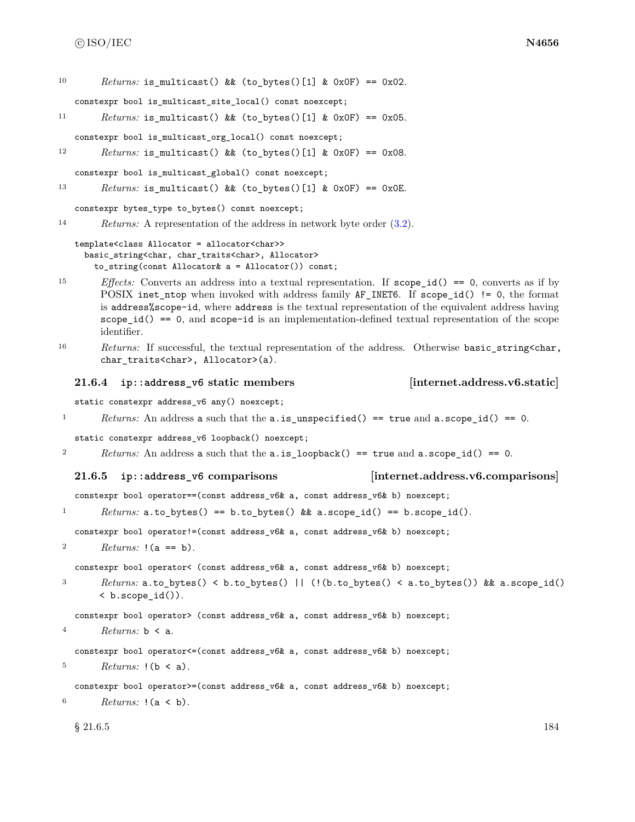```
10 Returns: is multicast() && (to bytes()[1] & 0x0F) == 0x02.
   constexpr bool is_multicast_site_local() const noexcept;
11 Returns: is_multicast() && (to_bytes()[1] & 0x0F) == 0x05.
   constexpr bool is_multicast_org_local() const noexcept;
12 Returns: is_multicast() && (to_bytes()[1] & 0x0F) == 0x08.
   constexpr bool is_multicast_global() const noexcept;
13 Returns: is_multicast() && (to_bytes()[1] & 0x0F) == 0x0E.
   constexpr bytes_type to_bytes() const noexcept;
14 Returns: A representation of the address in network byte order (3.2).
   template<class Allocator = allocator<char>>
     basic_string<char, char_traits<char>, Allocator>
       to_string(const Allocator& a = Allocator()) const;
15 Effects: Converts an address into a textual representation. If scope_id() == 0, converts as if by
        POSIX inet_ntop when invoked with address family AF_INET6. If scope_id() != 0, the format
        is address%scope-id, where address is the textual representation of the equivalent address having
        scope_id() == 0, and scope-id is an implementation-defined textual representation of the scope
        identifier.
16 Returns: If successful, the textual representation of the address. Otherwise basic_string<char,
        char_traits<char>, Allocator>(a).
   21.6.4 ip::address_v6 static members [internet.address.v6.static]
   static constexpr address_v6 any() noexcept;
1 Returns: An address a such that the a.is_unspecified() == true and a.scope_id() == 0.
   static constexpr address_v6 loopback() noexcept;
2 Returns: An address a such that the a.is_loopback() == true and a.scope_id() == 0.
   21.6.5 ip::address_v6 comparisons [internet.address.v6.comparisons]
   constexpr bool operator==(const address_v6& a, const address_v6& b) noexcept;
1 Returns: a.to_bytes() == b.to_bytes() && a.scope_id() == b.scope_id().
   constexpr bool operator!=(const address_v6& a, const address_v6& b) noexcept;
2 Returns: !(a == b).
   constexpr bool operator< (const address_v6& a, const address_v6& b) noexcept;
3 Returns: a.to_bytes() < b.to_bytes() || (!(b.to_bytes() < a.to_bytes()) && a.scope_id()
        < b.scope_id()).
   constexpr bool operator> (const address_v6& a, const address_v6& b) noexcept;
4 Returns: \mathbf{b} \leq \mathbf{a}.
   constexpr bool operator<=(const address_v6& a, const address_v6& b) noexcept;
5 Returns: !(b \le a).
   constexpr bool operator>=(const address_v6& a, const address_v6& b) noexcept;
6 Returns: !(a < b).
```
 $\S 21.6.5$  184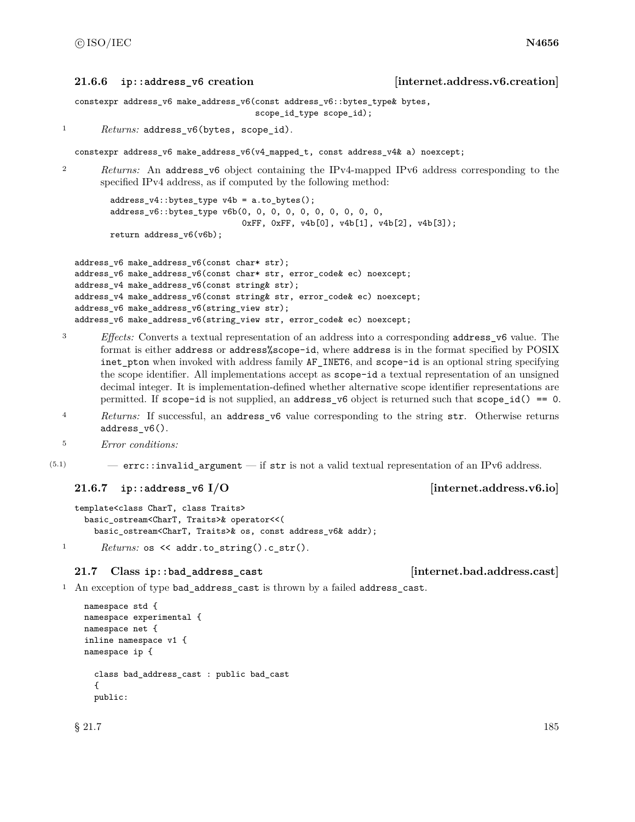### **21.6.6 ip::address\_v6 creation [internet.address.v6.creation]**

```
constexpr address_v6 make_address_v6(const address_v6::bytes_type& bytes,
                                     scope_id_type scope_id);
```

```
1 Returns: address_v6(bytes, scope_id).
```
constexpr address\_v6 make\_address\_v6(v4\_mapped\_t, const address\_v4& a) noexcept;

<sup>2</sup> *Returns:* An address v6 object containing the IPv4-mapped IPv6 address corresponding to the specified IPv4 address, as if computed by the following method:

address\_v4::bytes\_type v4b = a.to\_bytes(); address\_v6::bytes\_type v6b(0, 0, 0, 0, 0, 0, 0, 0, 0, 0, 0xFF, 0xFF, v4b[0], v4b[1], v4b[2], v4b[3]); return address\_v6(v6b);

```
address_v6 make_address_v6(const char* str);
address_v6 make_address_v6(const char* str, error_code& ec) noexcept;
address_v4 make_address_v6(const string& str);
address_v4 make_address_v6(const string& str, error_code& ec) noexcept;
address_v6 make_address_v6(string_view str);
address_v6 make_address_v6(string_view str, error_code& ec) noexcept;
```
- <sup>3</sup> *Effects:* Converts a textual representation of an address into a corresponding address\_v6 value. The format is either address or address%scope-id, where address is in the format specified by POSIX inet\_pton when invoked with address family AF\_INET6, and scope-id is an optional string specifying the scope identifier. All implementations accept as scope-id a textual representation of an unsigned decimal integer. It is implementation-defined whether alternative scope identifier representations are permitted. If  $scope-id$  is not supplied, an  $address_y6$  object is returned such that  $scope_id() == 0$ .
- <sup>4</sup> *Returns:* If successful, an address\_v6 value corresponding to the string str. Otherwise returns address\_v6().
- <sup>5</sup> *Error conditions:*
- $(5.1)$  errc::invalid argument if str is not a valid textual representation of an IPv6 address.

## **21.6.7 ip::address\_v6 I/O [internet.address.v6.io]**

```
template<class CharT, class Traits>
 basic_ostream<CharT, Traits>& operator<<(
    basic_ostream<CharT, Traits>& os, const address_v6& addr);
```
1 *Returns:* os << addr.to\_string().c\_str().

## **21.7 Class ip::bad\_address\_cast [internet.bad.address.cast]**

```
<sup>1</sup> An exception of type bad_address_cast is thrown by a failed address_cast.
```

```
namespace std {
namespace experimental {
namespace net {
inline namespace v1 {
namespace ip {
  class bad_address_cast : public bad_cast
  {
  public:
```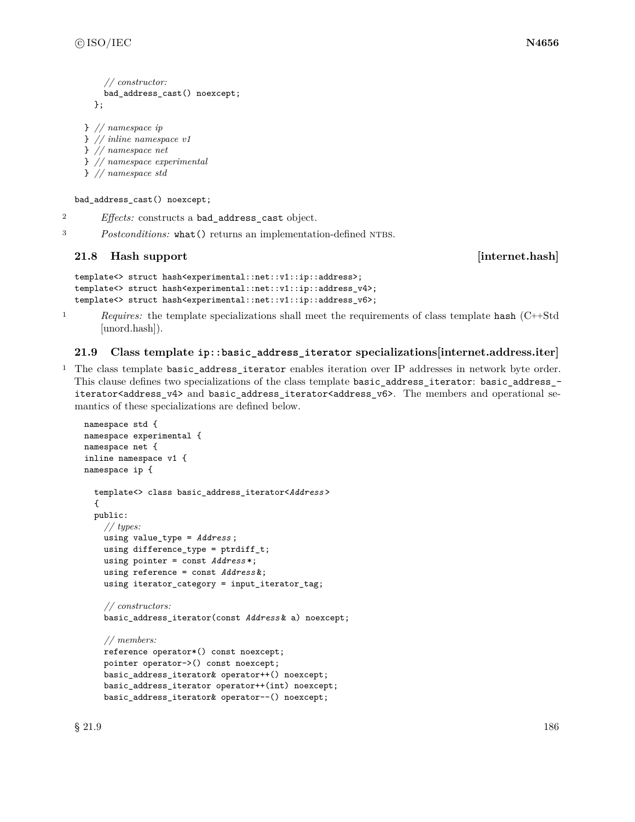```
// constructor:
  bad_address_cast() noexcept;
};
```

```
} // namespace ip
} // inline namespace v1
} // namespace net
```
} *// namespace experimental*

```
} // namespace std
```
bad\_address\_cast() noexcept;

<sup>2</sup> *Effects:* constructs a bad\_address\_cast object.

<sup>3</sup> *Postconditions:* what () returns an implementation-defined NTBS.

# **21.8 Hash support contract internet.hash**

```
template<> struct hash<experimental::net::v1::ip::address>;
template<> struct hash<experimental::net::v1::ip::address_v4>;
template<> struct hash<experimental::net::v1::ip::address_v6>;
```
<sup>1</sup> *Requires:* the template specializations shall meet the requirements of class template hash (C++Std [unord.hash]).

# **21.9 Class template ip::basic\_address\_iterator specializations[internet.address.iter]**

<sup>1</sup> The class template basic\_address\_iterator enables iteration over IP addresses in network byte order. This clause defines two specializations of the class template basic\_address\_iterator: basic\_address\_ iterator<address\_v4> and basic\_address\_iterator<address\_v6>. The members and operational semantics of these specializations are defined below.

```
namespace std {
namespace experimental {
namespace net {
inline namespace v1 {
namespace ip {
  template<> class basic_address_iterator<Address >
  {
  public:
    // types:
    using value_type = Address ;
    using difference_type = ptrdiff_t;
    using pointer = const Address *;
    using reference = const Address &;
    using iterator_category = input_iterator_tag;
    // constructors:
    basic_address_iterator(const Address & a) noexcept;
    // members:
    reference operator*() const noexcept;
    pointer operator->() const noexcept;
    basic_address_iterator& operator++() noexcept;
    basic_address_iterator operator++(int) noexcept;
    basic_address_iterator& operator--() noexcept;
```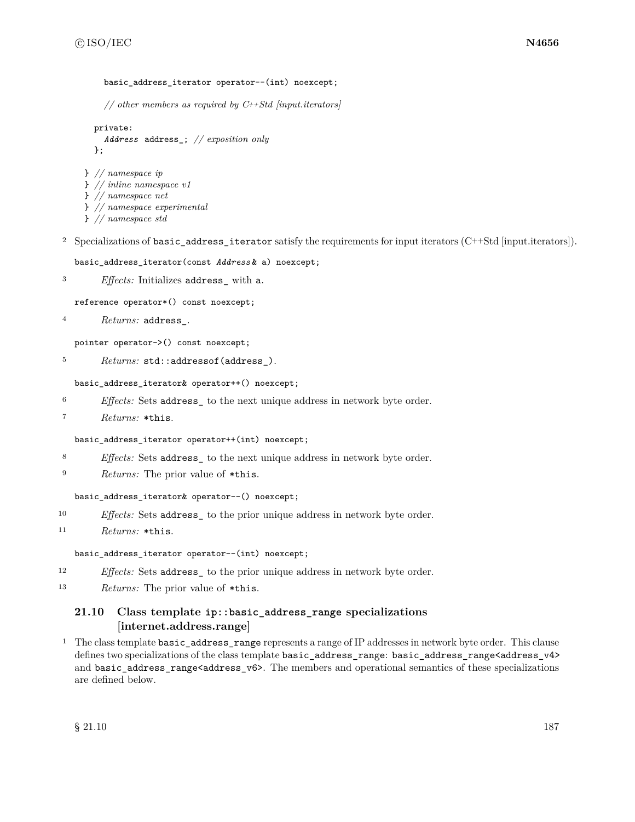### basic address iterator operator--(int) noexcept;

*// other members as required by C++Std [input.iterators]*

```
private:
  Address address_; // exposition only
};
```

```
} // namespace ip
} // inline namespace v1
} // namespace net
} // namespace experimental
} // namespace std
```
<sup>2</sup> Specializations of basic address iterator satisfy the requirements for input iterators (C++Std [input.iterators]).

```
basic_address_iterator(const Address & a) noexcept;
```

```
3 Effects: Initializes address_ with a.
```
reference operator\*() const noexcept;

```
4 Returns: address_.
```
pointer operator->() const noexcept;

5 Returns: std::addressof(address\_).

### basic\_address\_iterator& operator++() noexcept;

<sup>6</sup> *Effects:* Sets address\_ to the next unique address in network byte order.

```
7 Returns: *this.
```
### basic\_address\_iterator operator++(int) noexcept;

- <sup>8</sup> *Effects:* Sets address\_ to the next unique address in network byte order.
- <sup>9</sup> *Returns:* The prior value of \*this.

## basic\_address\_iterator& operator--() noexcept;

- <sup>10</sup> *Effects:* Sets address\_ to the prior unique address in network byte order.
- <sup>11</sup> *Returns:* \*this.

## basic\_address\_iterator operator--(int) noexcept;

- <sup>12</sup> *Effects:* Sets address<sub>\_</sub> to the prior unique address in network byte order.
- <sup>13</sup> *Returns:* The prior value of \*this.

## **21.10 Class template ip::basic\_address\_range specializations [internet.address.range]**

<sup>1</sup> The class template basic\_address\_range represents a range of IP addresses in network byte order. This clause defines two specializations of the class template basic\_address\_range: basic\_address\_range<address\_v4> and basic\_address\_range<address\_v6>. The members and operational semantics of these specializations are defined below.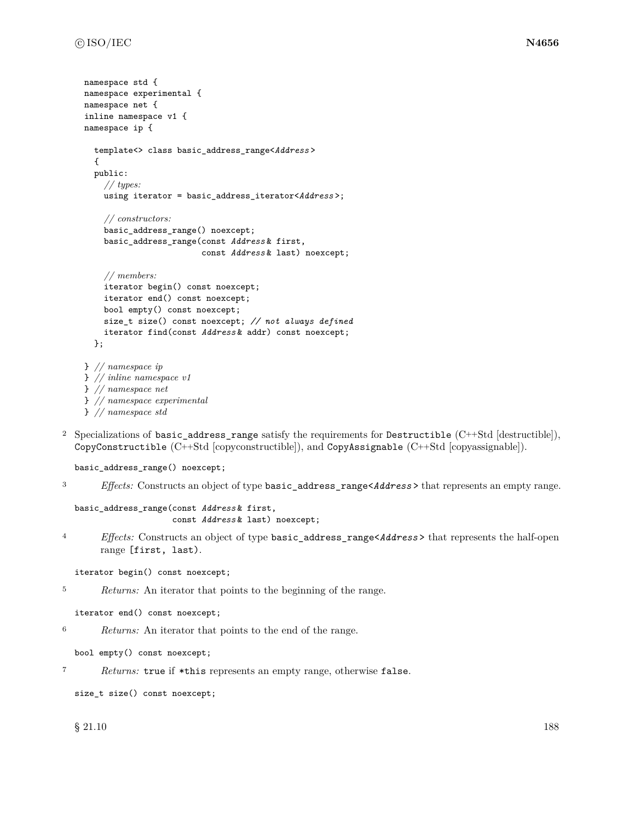```
namespace std {
namespace experimental {
namespace net {
inline namespace v1 {
namespace ip {
  template<> class basic_address_range<Address >
  {
  public:
    // types:
    using iterator = basic_address_iterator<Address >;
    // constructors:
    basic_address_range() noexcept;
    basic_address_range(const Address & first,
                         const Address & last) noexcept;
    // members:
    iterator begin() const noexcept;
    iterator end() const noexcept;
    bool empty() const noexcept;
    size_t size() const noexcept; // not always defined
    iterator find(const Address & addr) const noexcept;
  };
} // namespace ip
} // inline namespace v1
} // namespace net
} // namespace experimental
```

```
} // namespace std
```
<sup>2</sup> Specializations of basic\_address\_range satisfy the requirements for Destructible (C++Std [destructible]), CopyConstructible (C++Std [copyconstructible]), and CopyAssignable (C++Std [copyassignable]).

basic\_address\_range() noexcept;

<sup>3</sup> *Effects:* Constructs an object of type basic\_address\_range<*Address* > that represents an empty range.

```
basic_address_range(const Address & first,
                    const Address & last) noexcept;
```
<sup>4</sup> *Effects:* Constructs an object of type basic\_address\_range<*Address* > that represents the half-open range [first, last).

iterator begin() const noexcept;

```
5 Returns: An iterator that points to the beginning of the range.
```

```
iterator end() const noexcept;
```
<sup>6</sup> *Returns:* An iterator that points to the end of the range.

```
bool empty() const noexcept;
```

```
7 Returns: true if *this represents an empty range, otherwise false.
```

```
size_t size() const noexcept;
```
 $\S$  21.10 188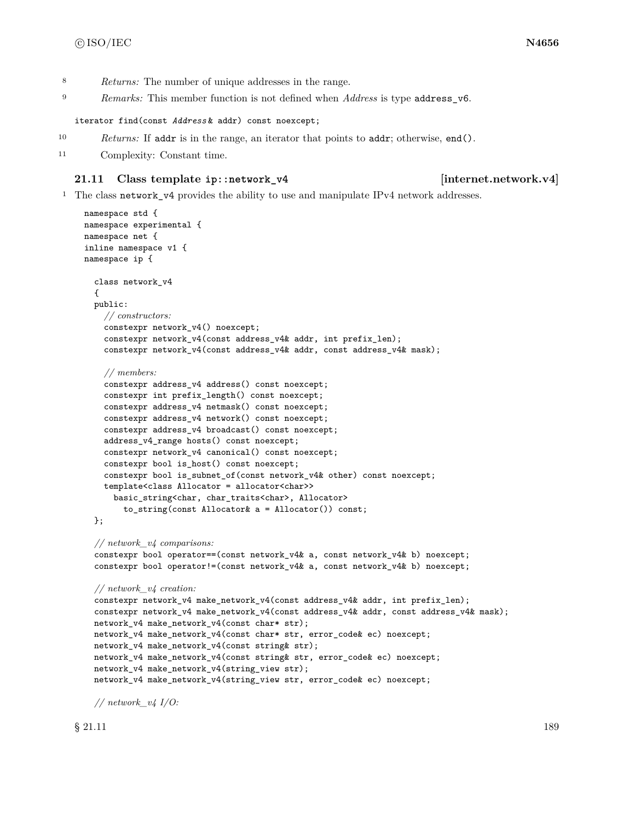- <sup>8</sup> *Returns:* The number of unique addresses in the range.
- <sup>9</sup> *Remarks:* This member function is not defined when *Address* is type address\_v6.

iterator find(const *Address* & addr) const noexcept;

- <sup>10</sup> *Returns:* If addr is in the range, an iterator that points to addr; otherwise, end().
- <sup>11</sup> Complexity: Constant time.

## **21.11 Class template ip::network\_v4 [internet.network.v4]**

<sup>1</sup> The class network\_v4 provides the ability to use and manipulate IPv4 network addresses.

```
namespace std {
namespace experimental {
namespace net {
inline namespace v1 {
namespace ip {
  class network_v4
  {
 public:
    // constructors:
    constexpr network_v4() noexcept;
    constexpr network_v4(const address_v4& addr, int prefix_len);
    constexpr network_v4(const address_v4& addr, const address_v4& mask);
    // members:
    constexpr address_v4 address() const noexcept;
    constexpr int prefix_length() const noexcept;
    constexpr address_v4 netmask() const noexcept;
    constexpr address_v4 network() const noexcept;
    constexpr address_v4 broadcast() const noexcept;
    address_v4_range hosts() const noexcept;
    constexpr network_v4 canonical() const noexcept;
    constexpr bool is_host() const noexcept;
    constexpr bool is_subnet_of(const network_v4& other) const noexcept;
    template<class Allocator = allocator<char>>
      basic_string<char, char_traits<char>, Allocator>
        to_string(const Allocator& a = Allocator()) const;
  };
 // network_v4 comparisons:
  constexpr bool operator==(const network_v4& a, const network_v4& b) noexcept;
  constexpr bool operator!=(const network_v4& a, const network_v4& b) noexcept;
  // network_v4 creation:
  constexpr network_v4 make_network_v4(const address_v4& addr, int prefix_len);
  constexpr network_v4 make_network_v4(const address_v4& addr, const address_v4& mask);
  network_v4 make_network_v4(const char* str);
  network_v4 make_network_v4(const char* str, error_code& ec) noexcept;
  network_v4 make_network_v4(const string& str);
  network_v4 make_network_v4(const string& str, error_code& ec) noexcept;
  network_v4 make_network_v4(string_view str);
  network_v4 make_network_v4(string_view str, error_code& ec) noexcept;
 // network_v4 I/O:
```
 $\S$  21.11 189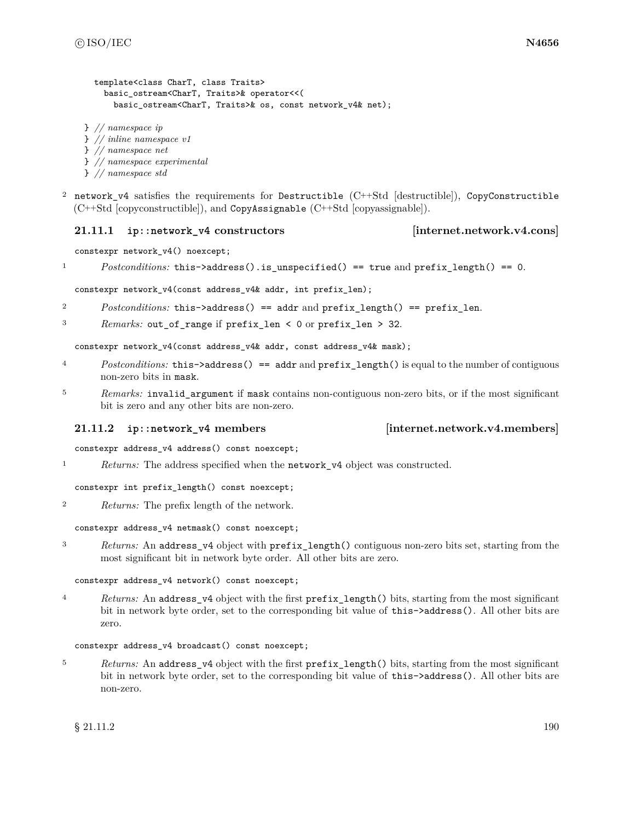```
template<class CharT, class Traits>
    basic_ostream<CharT, Traits>& operator<<(
      basic_ostream<CharT, Traits>& os, const network_v4& net);
} // namespace ip
} // inline namespace v1
} // namespace net
} // namespace experimental
```
- } *// namespace std*
- <sup>2</sup> network v4 satisfies the requirements for Destructible (C++Std [destructible]), CopyConstructible (C++Std [copyconstructible]), and CopyAssignable (C++Std [copyassignable]).

## **21.11.1 ip::network\_v4 constructors [internet.network.v4.cons]**

constexpr network\_v4() noexcept;

1 *Postconditions:* this->address().is\_unspecified() == true and prefix\_length() == 0.

constexpr network\_v4(const address\_v4& addr, int prefix\_len);

- <sup>2</sup> *Postconditions:* this->address() == addr and prefix\_length() == prefix\_len.
- <sup>3</sup> *Remarks:* out\_of\_range if prefix\_len < 0 or prefix\_len > 32.

constexpr network\_v4(const address\_v4& addr, const address\_v4& mask);

- <sup>4</sup> *Postconditions:* this->address() == addr and prefix\_length() is equal to the number of contiguous non-zero bits in mask.
- <sup>5</sup> *Remarks:* invalid\_argument if mask contains non-contiguous non-zero bits, or if the most significant bit is zero and any other bits are non-zero.

## **21.11.2 ip::network\_v4 members [internet.network.v4.members]**

constexpr address\_v4 address() const noexcept;

<sup>1</sup> *Returns:* The address specified when the network\_v4 object was constructed.

constexpr int prefix\_length() const noexcept;

<sup>2</sup> *Returns:* The prefix length of the network.

constexpr address\_v4 netmask() const noexcept;

<sup>3</sup> *Returns:* An address\_v4 object with prefix\_length() contiguous non-zero bits set, starting from the most significant bit in network byte order. All other bits are zero.

## constexpr address\_v4 network() const noexcept;

<sup>4</sup> *Returns:* An address\_v4 object with the first prefix\_length() bits, starting from the most significant bit in network byte order, set to the corresponding bit value of this->address(). All other bits are zero.

## constexpr address\_v4 broadcast() const noexcept;

<sup>5</sup> *Returns:* An address\_v4 object with the first prefix\_length() bits, starting from the most significant bit in network byte order, set to the corresponding bit value of this->address(). All other bits are non-zero.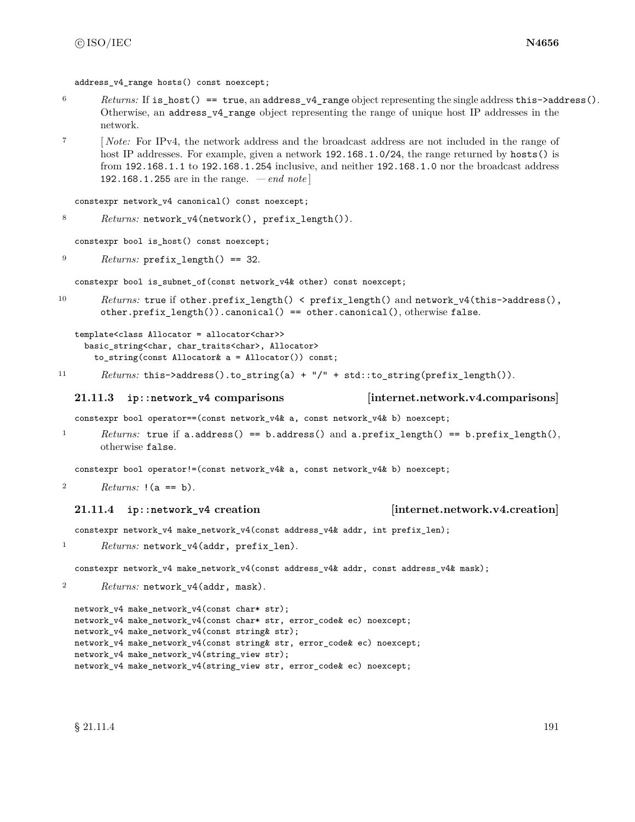address  $v4$  range hosts() const noexcept;

- <sup>6</sup> *Returns:* If is\_host() == true, an address\_v4\_range object representing the single address this->address(). Otherwise, an address\_v4\_range object representing the range of unique host IP addresses in the network.
- <sup>7</sup> [ *Note:* For IPv4, the network address and the broadcast address are not included in the range of host IP addresses. For example, given a network 192.168.1.0/24, the range returned by hosts() is from 192.168.1.1 to 192.168.1.254 inclusive, and neither 192.168.1.0 nor the broadcast address 192.168.1.255 are in the range. *— end note* ]

```
constexpr network_v4 canonical() const noexcept;
```

```
8 Returns: network_v4(network(), prefix_length()).
```
constexpr bool is\_host() const noexcept;

```
9 Returns: prefix_length() == 32.
```
constexpr bool is\_subnet\_of(const network\_v4& other) const noexcept;

10 *Returns:* true if other.prefix\_length() < prefix\_length() and network\_v4(this->address(), other.prefix\_length()).canonical() == other.canonical(), otherwise false.

```
template<class Allocator = allocator<char>>
  basic_string<char, char_traits<char>, Allocator>
    to_string(const Allocator& a = Allocator()) const;
```
11 *Returns:* this->address().to\_string(a) + "/" + std::to\_string(prefix\_length()).

## **21.11.3 ip::network\_v4 comparisons [internet.network.v4.comparisons]**

constexpr bool operator==(const network\_v4& a, const network\_v4& b) noexcept;

<sup>1</sup> *Returns:* true if a.address() == b.address() and a.prefix\_length() == b.prefix\_length(), otherwise false.

constexpr bool operator!=(const network\_v4& a, const network\_v4& b) noexcept;

```
2 Returns: !(a == b).
```
## **21.11.4 ip::network\_v4 creation [internet.network.v4.creation]**

constexpr network\_v4 make\_network\_v4(const address\_v4& addr, int prefix\_len);

1 Returns: network\_v4(addr, prefix\_len).

constexpr network\_v4 make\_network\_v4(const address\_v4& addr, const address\_v4& mask);

<sup>2</sup> *Returns:* network\_v4(addr, mask).

```
network_v4 make_network_v4(const char* str);
network_v4 make_network_v4(const char* str, error_code& ec) noexcept;
network_v4 make_network_v4(const string& str);
network_v4 make_network_v4(const string& str, error_code& ec) noexcept;
network_v4 make_network_v4(string_view str);
network_v4 make_network_v4(string_view str, error_code& ec) noexcept;
```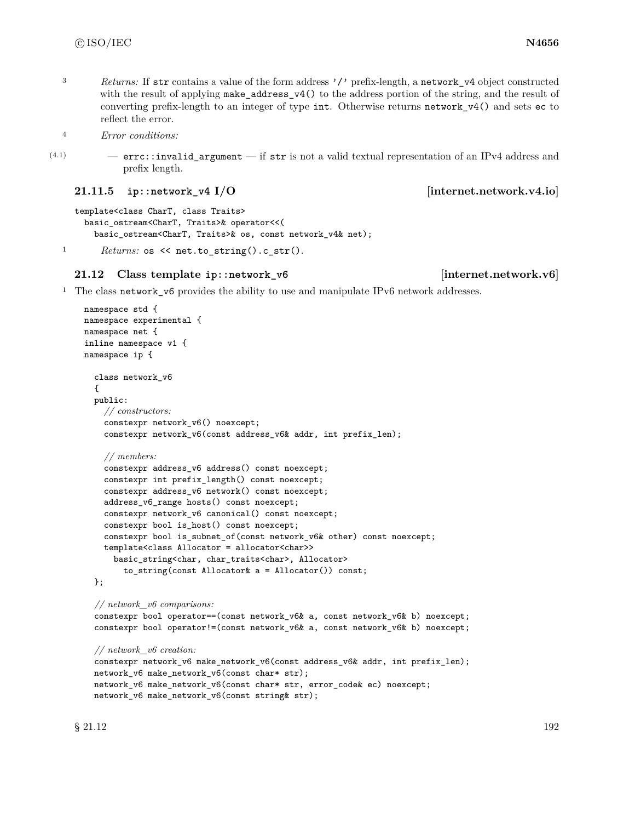<sup>3</sup> *Returns:* If str contains a value of the form address '/' prefix-length, a network v4 object constructed with the result of applying make\_address\_v4() to the address portion of the string, and the result of converting prefix-length to an integer of type int. Otherwise returns network\_v4() and sets ec to reflect the error.

<sup>4</sup> *Error conditions:*

(4.1) — errc::invalid\_argument — if str is not a valid textual representation of an IPv4 address and prefix length.

**21.11.5 ip::network\_v4 I/O** [internet.network.v4.io]

```
template<class CharT, class Traits>
  basic_ostream<CharT, Traits>& operator<<(
    basic_ostream<CharT, Traits>& os, const network_v4& net);
```
1 *Returns:* os << net.to\_string().c\_str().

# **21.12 Class template ip::network\_v6 [internet.network.v6]**

<sup>1</sup> The class network\_v6 provides the ability to use and manipulate IPv6 network addresses.

```
namespace std {
namespace experimental {
namespace net {
inline namespace v1 {
namespace ip {
  class network_v6
  {
  public:
    // constructors:
    constexpr network_v6() noexcept;
    constexpr network_v6(const address_v6& addr, int prefix_len);
    // members:
    constexpr address_v6 address() const noexcept;
    constexpr int prefix_length() const noexcept;
    constexpr address_v6 network() const noexcept;
    address_v6_range hosts() const noexcept;
    constexpr network_v6 canonical() const noexcept;
    constexpr bool is_host() const noexcept;
    constexpr bool is_subnet_of(const network_v6& other) const noexcept;
    template<class Allocator = allocator<char>>
      basic_string<char, char_traits<char>, Allocator>
        to_string(const Allocator& a = Allocator()) const;
  };
  // network_v6 comparisons:
  constexpr bool operator==(const network_v6& a, const network_v6& b) noexcept;
  constexpr bool operator!=(const network_v6& a, const network_v6& b) noexcept;
  // network_v6 creation:
  constexpr network_v6 make_network_v6(const address_v6& addr, int prefix_len);
  network_v6 make_network_v6(const char* str);
  network_v6 make_network_v6(const char* str, error_code& ec) noexcept;
```
network\_v6 make\_network\_v6(const string& str);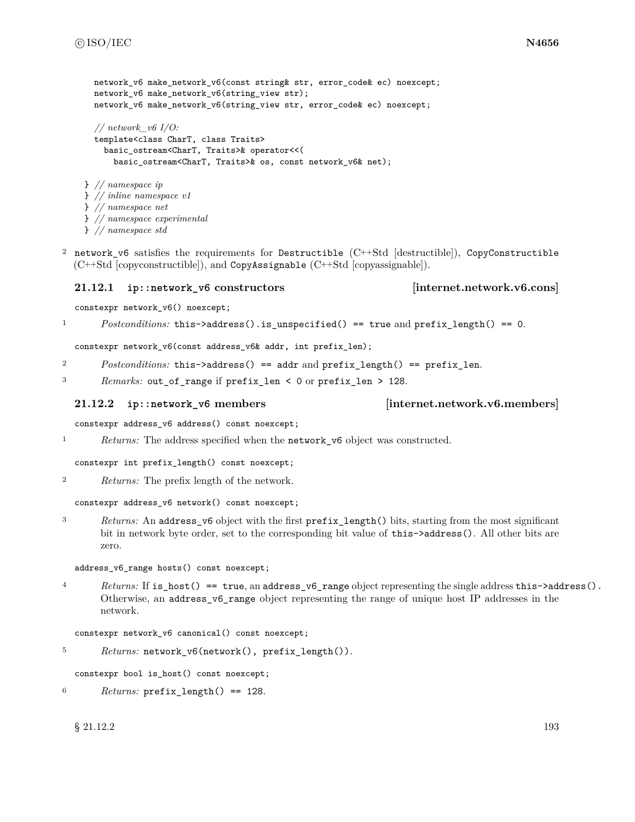```
network v6 make network v6(const string& str, error code& ec) noexcept;
 network_v6 make_network_v6(string_view str);
  network_v6 make_network_v6(string_view str, error_code& ec) noexcept;
  // network_v6 I/O:
  template<class CharT, class Traits>
    basic_ostream<CharT, Traits>& operator<<(
      basic_ostream<CharT, Traits>& os, const network_v6& net);
} // namespace ip
} // inline namespace v1
} // namespace net
} // namespace experimental
} // namespace std
```
<sup>2</sup> network\_v6 satisfies the requirements for Destructible (C++Std [destructible]), CopyConstructible (C++Std [copyconstructible]), and CopyAssignable (C++Std [copyassignable]).

## **21.12.1 ip::network\_v6 constructors [internet.network.v6.cons]**

constexpr network\_v6() noexcept;

<sup>1</sup> *Postconditions:* this->address().is\_unspecified() == true and prefix\_length() == 0.

constexpr network\_v6(const address\_v6& addr, int prefix\_len);

<sup>2</sup> *Postconditions:* this->address() == addr and prefix\_length() == prefix\_len.

<sup>3</sup> *Remarks:* out\_of\_range if prefix\_len < 0 or prefix\_len > 128.

## **21.12.2 ip::network\_v6 members [internet.network.v6.members]**

constexpr address\_v6 address() const noexcept;

<sup>1</sup> *Returns:* The address specified when the **network\_v6** object was constructed.

constexpr int prefix\_length() const noexcept;

<sup>2</sup> *Returns:* The prefix length of the network.

constexpr address\_v6 network() const noexcept;

<sup>3</sup> *Returns:* An address\_v6 object with the first prefix\_length() bits, starting from the most significant bit in network byte order, set to the corresponding bit value of this- $\geq$ address(). All other bits are zero.

address\_v6\_range hosts() const noexcept;

<sup>4</sup> *Returns:* If is\_host() == true, an address\_v6\_range object representing the single address this->address(). Otherwise, an address\_v6\_range object representing the range of unique host IP addresses in the network.

constexpr network\_v6 canonical() const noexcept;

```
5 Returns: network_v6(network(), prefix_length()).
```
constexpr bool is\_host() const noexcept;

<sup>6</sup> *Returns:* prefix\_length() == 128.

## $\S$  21.12.2 193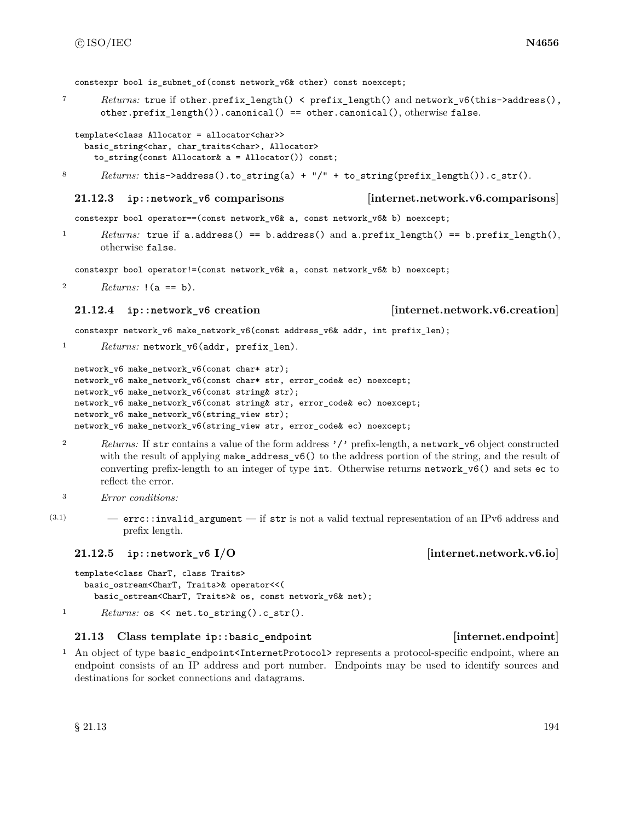constexpr bool is subnet of(const network v6& other) const noexcept;

<sup>7</sup> *Returns:* true if other.prefix\_length() < prefix\_length() and network\_v6(this->address(), other.prefix\_length()).canonical() == other.canonical(), otherwise false.

```
template<class Allocator = allocator<char>>
 basic_string<char, char_traits<char>, Allocator>
    to_string(const Allocator& a = Allocator()) const;
```
8 *Returns:* this->address().to\_string(a) + "/" + to\_string(prefix\_length()).c\_str().

## **21.12.3 ip::network\_v6 comparisons [internet.network.v6.comparisons]**

constexpr bool operator==(const network\_v6& a, const network\_v6& b) noexcept;

<sup>1</sup> *Returns:* true if a.address() == b.address() and a.prefix\_length() == b.prefix\_length(), otherwise false.

constexpr bool operator!=(const network\_v6& a, const network\_v6& b) noexcept;

<sup>2</sup> *Returns:* !(a == b).

### **21.12.4 ip::network\_v6 creation [internet.network.v6.creation]**

constexpr network\_v6 make\_network\_v6(const address\_v6& addr, int prefix\_len);

1 Returns: network\_v6(addr, prefix\_len).

```
network_v6 make_network_v6(const char* str);
network_v6 make_network_v6(const char* str, error_code& ec) noexcept;
network_v6 make_network_v6(const string& str);
network_v6 make_network_v6(const string& str, error_code& ec) noexcept;
network_v6 make_network_v6(string_view str);
network_v6 make_network_v6(string_view str, error_code& ec) noexcept;
```
- <sup>2</sup> *Returns:* If str contains a value of the form address '/' prefix-length, a network\_v6 object constructed with the result of applying make\_address\_v6() to the address portion of the string, and the result of converting prefix-length to an integer of type int. Otherwise returns network\_v6() and sets ec to reflect the error.
- <sup>3</sup> *Error conditions:*
- $(3.1)$  errc::invalid\_argument if str is not a valid textual representation of an IPv6 address and prefix length.

## **21.12.5 ip::network\_v6 I/O [internet.network.v6.io]**

```
template<class CharT, class Traits>
    basic_ostream<CharT, Traits>& operator<<(
      basic_ostream<CharT, Traits>& os, const network_v6& net);
1 Returns: os \le net.to_string().c_str().
```
## **21.13 Class template ip::basic\_endpoint [internet.endpoint]**

<sup>1</sup> An object of type basic\_endpoint<InternetProtocol> represents a protocol-specific endpoint, where an endpoint consists of an IP address and port number. Endpoints may be used to identify sources and destinations for socket connections and datagrams.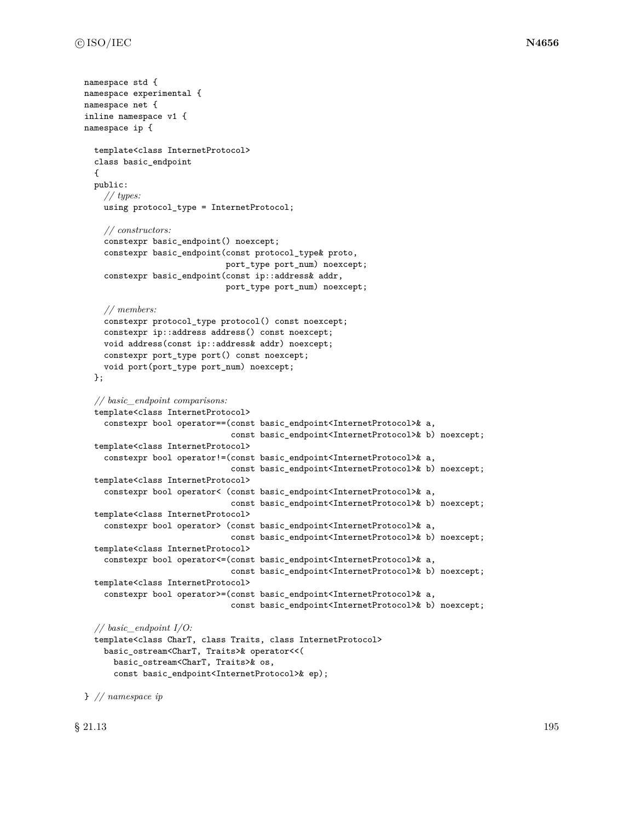```
namespace std {
namespace experimental {
namespace net {
inline namespace v1 {
namespace ip {
  template<class InternetProtocol>
  class basic_endpoint
  {
  public:
    // types:
    using protocol_type = InternetProtocol;
    // constructors:
    constexpr basic_endpoint() noexcept;
    constexpr basic_endpoint(const protocol_type& proto,
                             port_type port_num) noexcept;
    constexpr basic_endpoint(const ip::address& addr,
                             port_type port_num) noexcept;
    // members:
    constexpr protocol_type protocol() const noexcept;
    constexpr ip::address address() const noexcept;
    void address(const ip::address& addr) noexcept;
    constexpr port_type port() const noexcept;
    void port(port_type port_num) noexcept;
  };
  // basic_endpoint comparisons:
  template<class InternetProtocol>
    constexpr bool operator==(const basic_endpoint<InternetProtocol>& a,
                              const basic_endpoint<InternetProtocol>& b) noexcept;
  template<class InternetProtocol>
    constexpr bool operator!=(const basic_endpoint<InternetProtocol>& a,
                              const basic_endpoint<InternetProtocol>& b) noexcept;
  template<class InternetProtocol>
    constexpr bool operator< (const basic_endpoint<InternetProtocol>& a,
                              const basic_endpoint<InternetProtocol>& b) noexcept;
  template<class InternetProtocol>
    constexpr bool operator> (const basic_endpoint<InternetProtocol>& a,
                              const basic_endpoint<InternetProtocol>& b) noexcept;
  template<class InternetProtocol>
    constexpr bool operator<=(const basic_endpoint<InternetProtocol>& a,
                              const basic_endpoint<InternetProtocol>& b) noexcept;
  template<class InternetProtocol>
    constexpr bool operator>=(const basic_endpoint<InternetProtocol>& a,
                              const basic_endpoint<InternetProtocol>& b) noexcept;
  // basic_endpoint I/O:
  template<class CharT, class Traits, class InternetProtocol>
    basic_ostream<CharT, Traits>& operator<<(
      basic_ostream<CharT, Traits>& os,
```
const basic\_endpoint<InternetProtocol>& ep);

 $\S$  21.13 195

} *// namespace ip*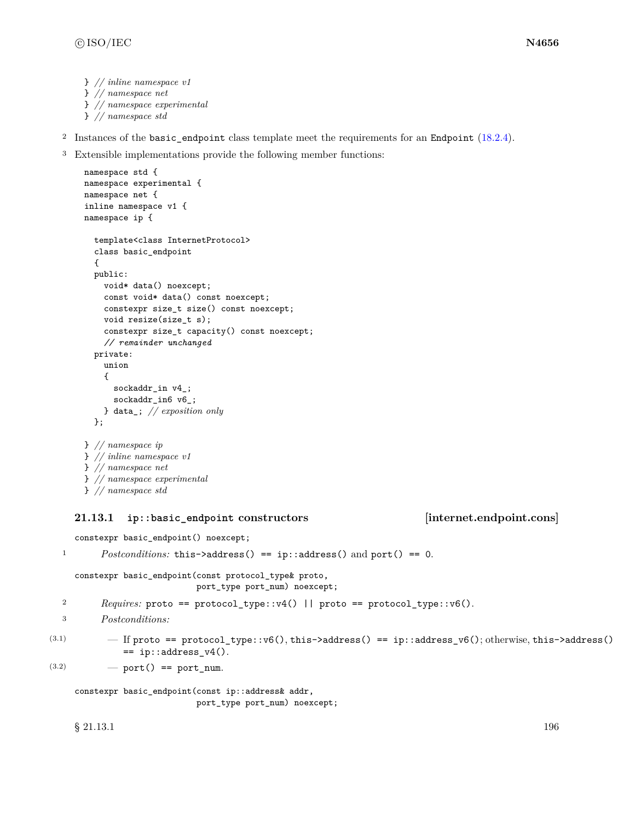```
} // inline namespace v1
} // namespace net
} // namespace experimental
} // namespace std
```
- <sup>2</sup> Instances of the basic\_endpoint class template meet the requirements for an Endpoint [\(18.2.4\)](#page-113-0).
- <sup>3</sup> Extensible implementations provide the following member functions:

```
namespace std {
namespace experimental {
namespace net {
inline namespace v1 {
namespace ip {
  template<class InternetProtocol>
  class basic_endpoint
  {
  public:
    void* data() noexcept;
    const void* data() const noexcept;
    constexpr size_t size() const noexcept;
    void resize(size_t s);
    constexpr size_t capacity() const noexcept;
    // remainder unchanged
  private:
    union
    {
      sockaddr_in v4_;
      sockaddr_in6 v6_;
    } data_; // exposition only
  };
} // namespace ip
} // inline namespace v1
} // namespace net
} // namespace experimental
} // namespace std
```
## **21.13.1 ip::basic\_endpoint constructors [internet.endpoint.cons]**

constexpr basic\_endpoint() noexcept;

```
1 Postconditions: this->address() == ip::address() and port() == 0.
     constexpr basic_endpoint(const protocol_type& proto,
                              port_type port_num) noexcept;
  2 Requires: proto == protocol_type::v4() || proto == protocol_type::v6().
  3 Postconditions:
\label{eq:3.1} \text{(3.1)} \qquad \qquad - \text{ If proto}\text{ = protocol_type::v6(), this->address() == ip::address_v6(); otherwise, this->address() }== ip::address v4().
(3.2) - port() == port_num.
     constexpr basic_endpoint(const ip::address& addr,
                              port_type port_num) noexcept;
```
 $\S$  21.13.1 196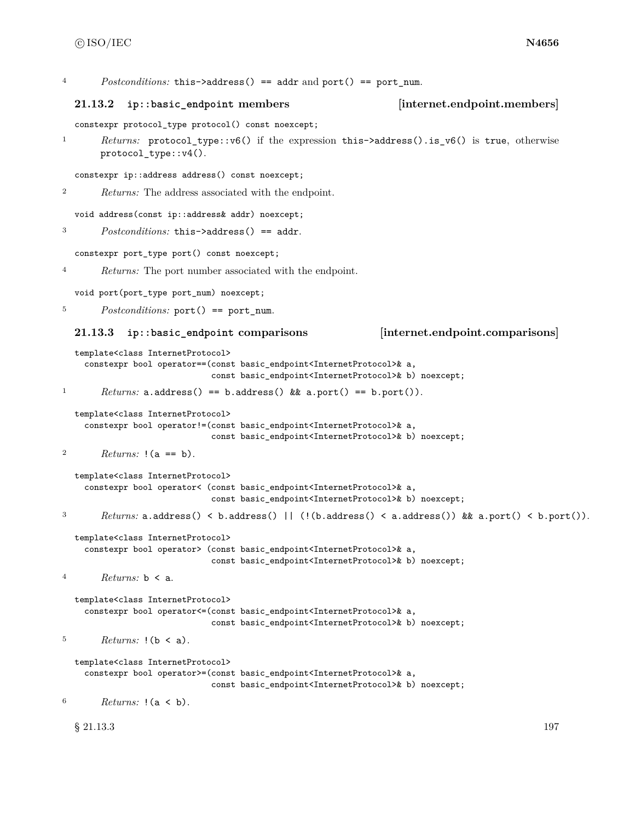|  |  | Postconditions: this->address() == addr and port() == port_num. |  |  |  |  |
|--|--|-----------------------------------------------------------------|--|--|--|--|
|--|--|-----------------------------------------------------------------|--|--|--|--|

### **21.13.2 ip::basic\_endpoint members [internet.endpoint.members]**

constexpr protocol\_type protocol() const noexcept;

<sup>1</sup> *Returns:* protocol\_type::v6() if the expression this->address().is\_v6() is true, otherwise protocol\_type::v4().

constexpr ip::address address() const noexcept;

<sup>2</sup> *Returns:* The address associated with the endpoint.

void address(const ip::address& addr) noexcept;

```
3 Postconditions: this->address() == addr.
```
constexpr port\_type port() const noexcept;

<sup>4</sup> *Returns:* The port number associated with the endpoint.

void port(port\_type port\_num) noexcept;

<sup>5</sup> *Postconditions:* port() == port num.

### **21.13.3 ip::basic\_endpoint comparisons [internet.endpoint.comparisons]**

```
template<class InternetProtocol>
  constexpr bool operator==(const basic_endpoint<InternetProtocol>& a,
                            const basic_endpoint<InternetProtocol>& b) noexcept;
```

```
1 Returns: a.address() == b.address() && a.port() == b.port()).
```

```
template<class InternetProtocol>
  constexpr bool operator!=(const basic_endpoint<InternetProtocol>& a,
                            const basic_endpoint<InternetProtocol>& b) noexcept;
```

```
2 Returns: !(a == b).
```

```
template<class InternetProtocol>
    constexpr bool operator< (const basic_endpoint<InternetProtocol>& a,
                             const basic_endpoint<InternetProtocol>& b) noexcept;
3 Returns: a.address() < b.address() || (!(b.address() < a.address()) && a.port() < b.port()).
```

```
template<class InternetProtocol>
```

```
constexpr bool operator> (const basic_endpoint<InternetProtocol>& a,
                         const basic_endpoint<InternetProtocol>& b) noexcept;
```

```
4 Returns: b < a.
```
template<class InternetProtocol> constexpr bool operator<=(const basic\_endpoint<InternetProtocol>& a, const basic\_endpoint<InternetProtocol>& b) noexcept;

```
5 Returns: !(b < a).
```

```
template<class InternetProtocol>
  constexpr bool operator>=(const basic_endpoint<InternetProtocol>& a,
```

```
const basic_endpoint<InternetProtocol>& b) noexcept;
```
<sup>6</sup> *Returns:* !(a < b).

 $\S$  21.13.3 197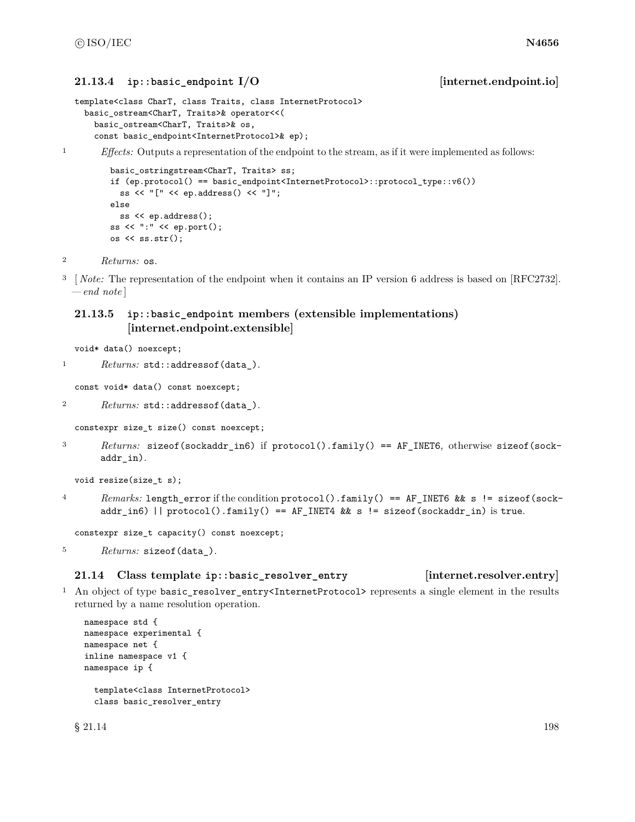## **21.13.4 ip::basic\_endpoint I/O [internet.endpoint.io]**

```
template<class CharT, class Traits, class InternetProtocol>
 basic_ostream<CharT, Traits>& operator<<(
    basic_ostream<CharT, Traits>& os,
   const basic_endpoint<InternetProtocol>& ep);
```
<sup>1</sup> *Effects:* Outputs a representation of the endpoint to the stream, as if it were implemented as follows:

```
basic_ostringstream<CharT, Traits> ss;
if (ep.protocol() == basic_endpoint<InternetProtocol>::protocol_type::v6())
 ss << "[" << ep.address() << "]";
else
 ss << ep.address();
ss << ":" << ep.port();
os << ss.str();
```
- <sup>2</sup> *Returns:* os.
- <sup>3</sup> [ *Note:* The representation of the endpoint when it contains an IP version 6 address is based on [RFC2732]. *— end note* ]

## **21.13.5 ip::basic\_endpoint members (extensible implementations) [internet.endpoint.extensible]**

void\* data() noexcept;

```
1 Returns: std::addressof(data_).
```
const void\* data() const noexcept;

```
2 Returns: std::addressof(data_).
```

```
constexpr size_t size() const noexcept;
```
<sup>3</sup> *Returns:* sizeof(sockaddr\_in6) if protocol().family() == AF\_INET6, otherwise sizeof(sockaddr\_in).

```
void resize(size_t s);
```
4 *Remarks:* length error if the condition protocol().family() == AF\_INET6 && s != sizeof(sockaddr\_in6) || protocol().family() == AF\_INET4 && s != sizeof(sockaddr\_in) is true.

constexpr size\_t capacity() const noexcept;

```
5 Returns: sizeof(data_).
```
## **21.14 Class template ip::basic\_resolver\_entry [internet.resolver.entry]**

<sup>1</sup> An object of type basic\_resolver\_entry<InternetProtocol> represents a single element in the results returned by a name resolution operation.

```
namespace std {
namespace experimental {
namespace net {
inline namespace v1 {
namespace ip {
  template<class InternetProtocol>
  class basic_resolver_entry
```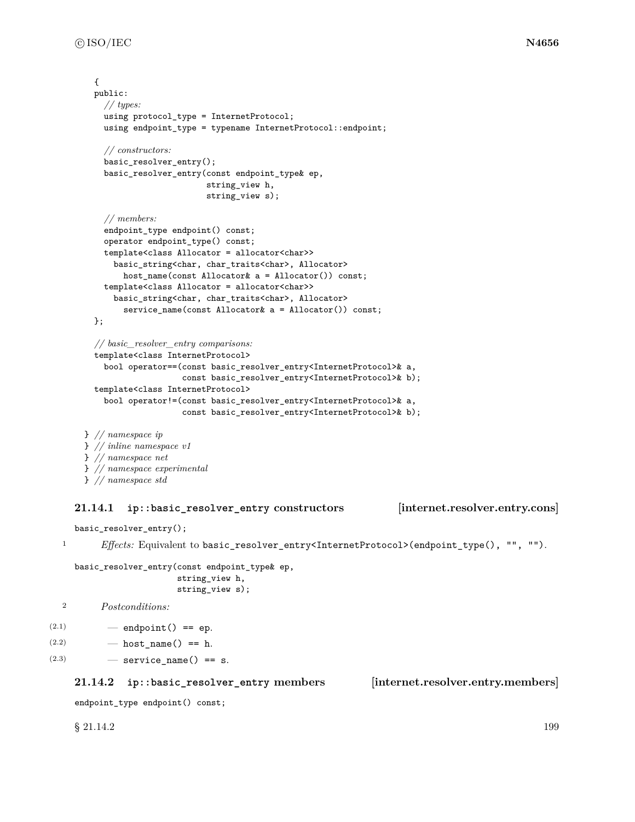```
{
  public:
    // types:
    using protocol_type = InternetProtocol;
    using endpoint_type = typename InternetProtocol::endpoint;
    // constructors:
    basic_resolver_entry();
    basic_resolver_entry(const endpoint_type& ep,
                         string_view h,
                         string_view s);
    // members:
    endpoint_type endpoint() const;
    operator endpoint_type() const;
    template<class Allocator = allocator<char>>
      basic_string<char, char_traits<char>, Allocator>
        host_name(const Allocator& a = Allocator()) const;
    template<class Allocator = allocator<char>>
      basic_string<char, char_traits<char>, Allocator>
        service_name(const Allocator& a = Allocator()) const;
  };
  // basic_resolver_entry comparisons:
  template<class InternetProtocol>
    bool operator==(const basic_resolver_entry<InternetProtocol>& a,
                    const basic_resolver_entry<InternetProtocol>& b);
  template<class InternetProtocol>
    bool operator!=(const basic_resolver_entry<InternetProtocol>& a,
                    const basic_resolver_entry<InternetProtocol>& b);
} // namespace ip
} // inline namespace v1
} // namespace net
} // namespace experimental
```

```
} // namespace std
```
## **21.14.1 ip::basic\_resolver\_entry constructors [internet.resolver.entry.cons]**

basic\_resolver\_entry();

1 *Effects:* Equivalent to basic\_resolver\_entry<InternetProtocol>(endpoint\_type(), "", "").

```
basic_resolver_entry(const endpoint_type& ep,
                     string_view h,
                     string_view s);
```

```
2 Postconditions:
```

```
(2.1) — endpoint () == ep.
```

```
(2.2) — host name() == h.
```

```
(2.3) \qquad \qquad service name() == s.
```
## **21.14.2 ip::basic\_resolver\_entry members [internet.resolver.entry.members]**

endpoint\_type endpoint() const;

 $\S 21.14.2$  199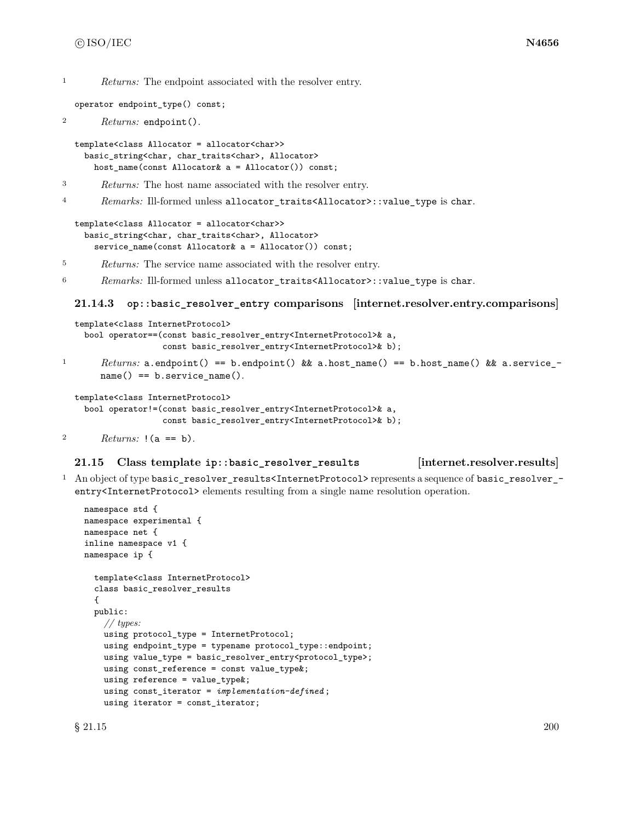<sup>1</sup> *Returns:* The endpoint associated with the resolver entry.

operator endpoint\_type() const;

```
2 Returns: endpoint().
```

```
template<class Allocator = allocator<char>>
 basic_string<char, char_traits<char>, Allocator>
    host_name(const Allocator& a = Allocator()) const;
```
- <sup>3</sup> *Returns:* The host name associated with the resolver entry.
- <sup>4</sup> *Remarks:* Ill-formed unless allocator\_traits<Allocator>::value\_type is char.

```
template<class Allocator = allocator<char>>
 basic_string<char, char_traits<char>, Allocator>
    service_name(const Allocator& a = Allocator()) const;
```
- <sup>5</sup> *Returns:* The service name associated with the resolver entry.
- <sup>6</sup> *Remarks:* Ill-formed unless allocator\_traits<Allocator>::value\_type is char.

### **21.14.3 op::basic\_resolver\_entry comparisons [internet.resolver.entry.comparisons]**

```
template<class InternetProtocol>
    bool operator==(const basic_resolver_entry<InternetProtocol>& a,
                   const basic_resolver_entry<InternetProtocol>& b);
1 Returns: a.endpoint() == b.endpoint() && a.host_name() == b.host_name() && a.service_-
       name() == b.service_name().
  template<class InternetProtocol>
```

```
bool operator!=(const basic_resolver_entry<InternetProtocol>& a,
                const basic_resolver_entry<InternetProtocol>& b);
```

```
2 Returns: !(a == b).
```
## **21.15 Class template ip::basic\_resolver\_results [internet.resolver.results]**

<sup>1</sup> An object of type basic\_resolver\_results<InternetProtocol> represents a sequence of basic\_resolver\_ entry<InternetProtocol> elements resulting from a single name resolution operation.

```
namespace std {
namespace experimental {
namespace net {
inline namespace v1 {
namespace ip {
  template<class InternetProtocol>
  class basic_resolver_results
  {
  public:
    // types:
    using protocol_type = InternetProtocol;
    using endpoint_type = typename protocol_type::endpoint;
    using value_type = basic_resolver_entry<protocol_type>;
    using const_reference = const value_type&;
    using reference = value_type&;
    using const_iterator = implementation-defined ;
    using iterator = const_iterator;
```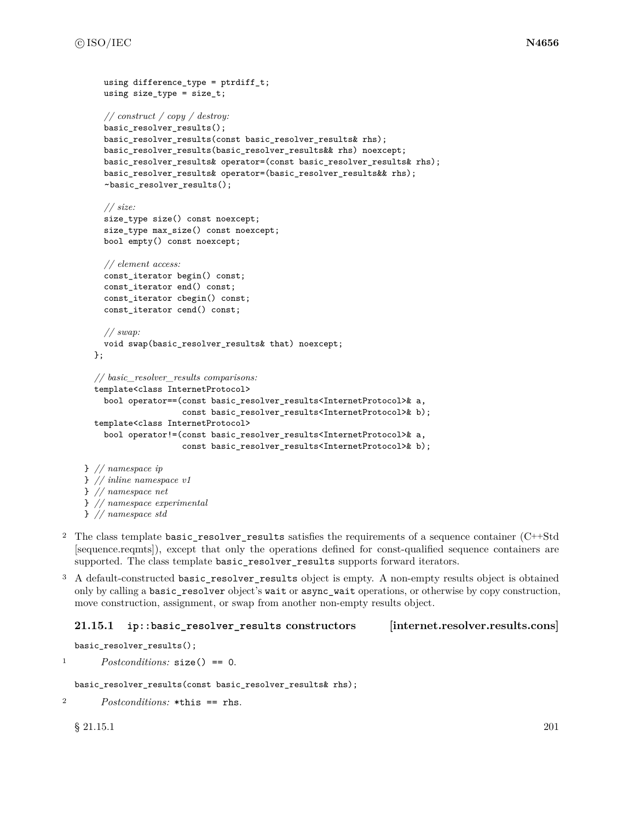```
using difference type = ptrdiff t;
    using size_type = size_t;
    // construct / copy / destroy:
    basic_resolver_results();
    basic_resolver_results(const basic_resolver_results& rhs);
    basic_resolver_results(basic_resolver_results&& rhs) noexcept;
    basic_resolver_results& operator=(const basic_resolver_results& rhs);
    basic_resolver_results& operator=(basic_resolver_results&& rhs);
    ~basic_resolver_results();
    // size:
    size_type size() const noexcept;
    size_type max_size() const noexcept;
    bool empty() const noexcept;
    // element access:
    const_iterator begin() const;
    const_iterator end() const;
    const_iterator cbegin() const;
    const_iterator cend() const;
    // swap:
    void swap(basic_resolver_results& that) noexcept;
  };
  // basic_resolver_results comparisons:
  template<class InternetProtocol>
    bool operator==(const basic_resolver_results<InternetProtocol>& a,
                    const basic_resolver_results<InternetProtocol>& b);
  template<class InternetProtocol>
    bool operator!=(const basic_resolver_results<InternetProtocol>& a,
                    const basic_resolver_results<InternetProtocol>& b);
} // namespace ip
} // inline namespace v1
} // namespace net
} // namespace experimental
```
- } *// namespace std*
- <sup>2</sup> The class template basic\_resolver\_results satisfies the requirements of a sequence container (C++Std [sequence.reqmts]), except that only the operations defined for const-qualified sequence containers are supported. The class template basic\_resolver\_results supports forward iterators.
- <sup>3</sup> A default-constructed basic\_resolver\_results object is empty. A non-empty results object is obtained only by calling a basic\_resolver object's wait or async\_wait operations, or otherwise by copy construction, move construction, assignment, or swap from another non-empty results object.

## **21.15.1 ip::basic\_resolver\_results constructors [internet.resolver.results.cons]**

```
basic_resolver_results();
```
<sup>1</sup> *Postconditions:* size() == 0.

basic\_resolver\_results(const basic\_resolver\_results& rhs);

```
2 Postconditions: *this == rhs.
```
 $\S$  21.15.1 201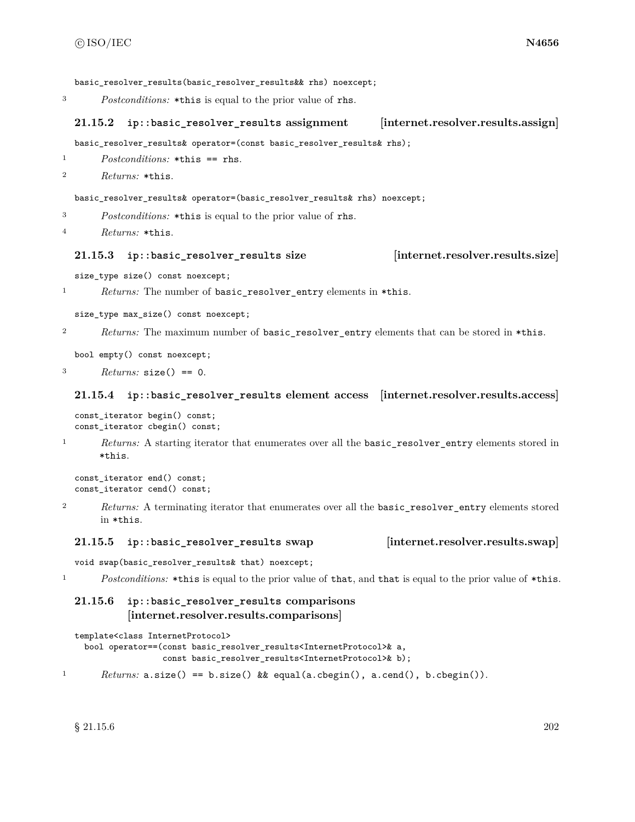basic resolver results(basic resolver results&& rhs) noexcept;

<sup>3</sup> *Postconditions:* \*this is equal to the prior value of rhs.

# **21.15.2 ip::basic\_resolver\_results assignment [internet.resolver.results.assign]**

basic\_resolver\_results& operator=(const basic\_resolver\_results& rhs);

<sup>1</sup> *Postconditions:* \*this == rhs.

```
2 Returns: *this.
```
basic\_resolver\_results& operator=(basic\_resolver\_results& rhs) noexcept;

<sup>3</sup> *Postconditions:* \*this is equal to the prior value of rhs.

```
4 Returns: *this.
```
## **21.15.3 ip::basic\_resolver\_results size [internet.resolver.results.size]**

size\_type size() const noexcept;

<sup>1</sup> *Returns:* The number of basic\_resolver\_entry elements in \*this.

size\_type max\_size() const noexcept;

2 *Returns:* The maximum number of basic\_resolver\_entry elements that can be stored in \*this.

```
bool empty() const noexcept;
```
<sup>3</sup> *Returns:* size() == 0.

### **21.15.4 ip::basic\_resolver\_results element access [internet.resolver.results.access]**

const\_iterator begin() const; const\_iterator cbegin() const;

<sup>1</sup> *Returns:* A starting iterator that enumerates over all the basic\_resolver\_entry elements stored in \*this.

```
const_iterator end() const;
const_iterator cend() const;
```
<sup>2</sup> *Returns:* A terminating iterator that enumerates over all the basic\_resolver\_entry elements stored in \*this.

### **21.15.5 ip::basic\_resolver\_results swap [internet.resolver.results.swap]**

void swap(basic\_resolver\_results& that) noexcept;

<sup>1</sup> *Postconditions:* \*this is equal to the prior value of that, and that is equal to the prior value of \*this.

# **21.15.6 ip::basic\_resolver\_results comparisons [internet.resolver.results.comparisons]**

template<class InternetProtocol>

```
bool operator==(const basic_resolver_results<InternetProtocol>& a,
                const basic_resolver_results<InternetProtocol>& b);
```
<sup>1</sup> *Returns:* a.size() == b.size() && equal(a.cbegin(), a.cend(), b.cbegin()).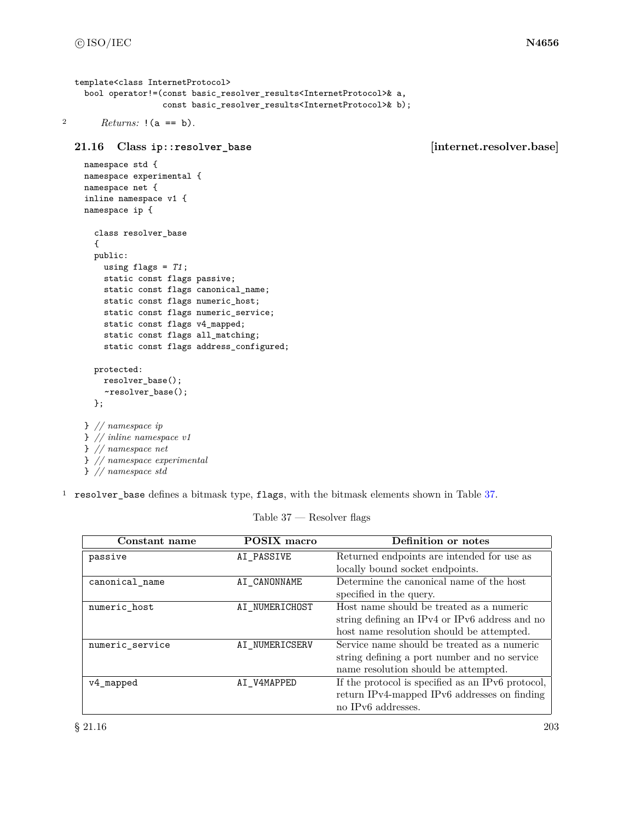```
template<class InternetProtocol>
 bool operator!=(const basic_resolver_results<InternetProtocol>& a,
                  const basic_resolver_results<InternetProtocol>& b);
```

```
2 Returns: !(a == b).
```
**21.16 Class ip::resolver\_base [internet.resolver.base]**

```
namespace std {
namespace experimental {
namespace net {
inline namespace v1 {
namespace ip {
  class resolver_base
  {
  public:
    using flags = T1;
    static const flags passive;
    static const flags canonical_name;
    static const flags numeric_host;
    static const flags numeric_service;
    static const flags v4_mapped;
    static const flags all_matching;
    static const flags address_configured;
  protected:
   resolver_base();
    ~resolver_base();
  };
} // namespace ip
} // inline namespace v1
} // namespace net
```
} *// namespace experimental*

} *// namespace std*

<sup>1</sup> resolver\_base defines a bitmask type, flags, with the bitmask elements shown in Table [37.](#page-209-0)

Table 37 — Resolver flags

<span id="page-209-0"></span>

| Constant name   | <b>POSIX</b> macro | Definition or notes                               |  |
|-----------------|--------------------|---------------------------------------------------|--|
| passive         | AI_PASSIVE         | Returned endpoints are intended for use as        |  |
|                 |                    | locally bound socket endpoints.                   |  |
| canonical name  | AI CANONNAME       | Determine the canonical name of the host          |  |
|                 |                    | specified in the query.                           |  |
| numeric host    | AI NUMERICHOST     | Host name should be treated as a numeric          |  |
|                 |                    | string defining an IPv4 or IPv6 address and no    |  |
|                 |                    | host name resolution should be attempted.         |  |
| numeric service | AI NUMERICSERV     | Service name should be treated as a numeric       |  |
|                 |                    | string defining a port number and no service      |  |
|                 |                    | name resolution should be attempted.              |  |
| v4_mapped       | AI V4MAPPED        | If the protocol is specified as an IPv6 protocol, |  |
|                 |                    | return IPv4-mapped IPv6 addresses on finding      |  |
|                 |                    | no IPv6 addresses.                                |  |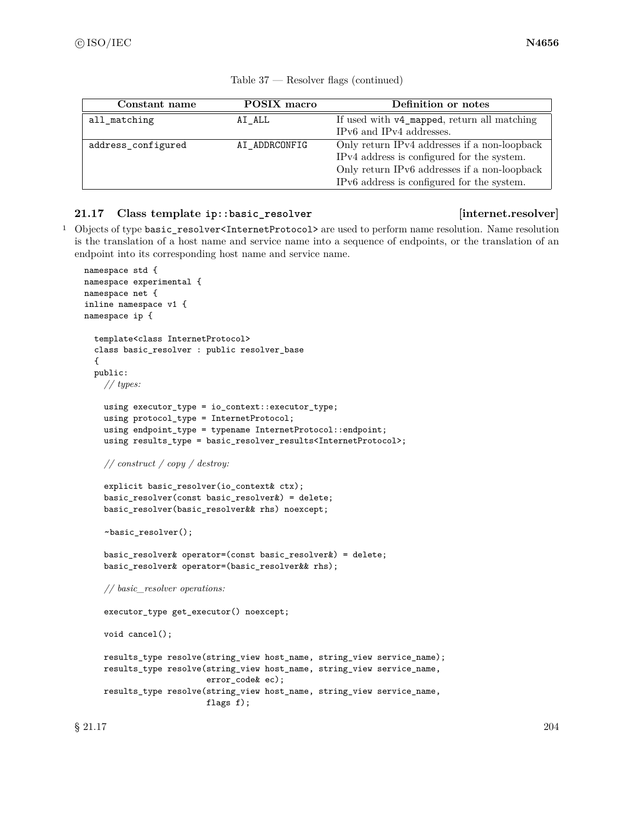| Constant name      | POSIX macro   | Definition or notes                          |
|--------------------|---------------|----------------------------------------------|
| all matching       | AI ALL        | If used with v4_mapped, return all matching  |
|                    |               | IPv6 and IPv4 addresses.                     |
| address_configured | AI ADDRCONFIG | Only return IPv4 addresses if a non-loopback |
|                    |               | IPv4 address is configured for the system.   |
|                    |               | Only return IPv6 addresses if a non-loopback |
|                    |               | IPv6 address is configured for the system.   |

| Resolver flags (continued) | Table 37 |  |  |  |
|----------------------------|----------|--|--|--|
|----------------------------|----------|--|--|--|

# **21.17 Class template ip::basic\_resolver [internet.resolver]**

<sup>1</sup> Objects of type basic\_resolver<InternetProtocol> are used to perform name resolution. Name resolution is the translation of a host name and service name into a sequence of endpoints, or the translation of an endpoint into its corresponding host name and service name.

```
namespace std {
namespace experimental {
namespace net {
inline namespace v1 {
namespace ip {
  template<class InternetProtocol>
  class basic_resolver : public resolver_base
  {
  public:
    // types:
    using executor_type = io_context::executor_type;
    using protocol_type = InternetProtocol;
    using endpoint_type = typename InternetProtocol::endpoint;
    using results_type = basic_resolver_results<InternetProtocol>;
    // construct / copy / destroy:
    explicit basic_resolver(io_context& ctx);
    basic_resolver(const basic_resolver&) = delete;
    basic_resolver(basic_resolver&& rhs) noexcept;
    ~basic_resolver();
    basic_resolver& operator=(const basic_resolver&) = delete;
    basic_resolver& operator=(basic_resolver&& rhs);
    // basic_resolver operations:
    executor_type get_executor() noexcept;
    void cancel();
    results_type resolve(string_view host_name, string_view service_name);
    results_type resolve(string_view host_name, string_view service_name,
                         error_code& ec);
    results_type resolve(string_view host_name, string_view service_name,
                         flags f);
```
 $\S 21.17$  204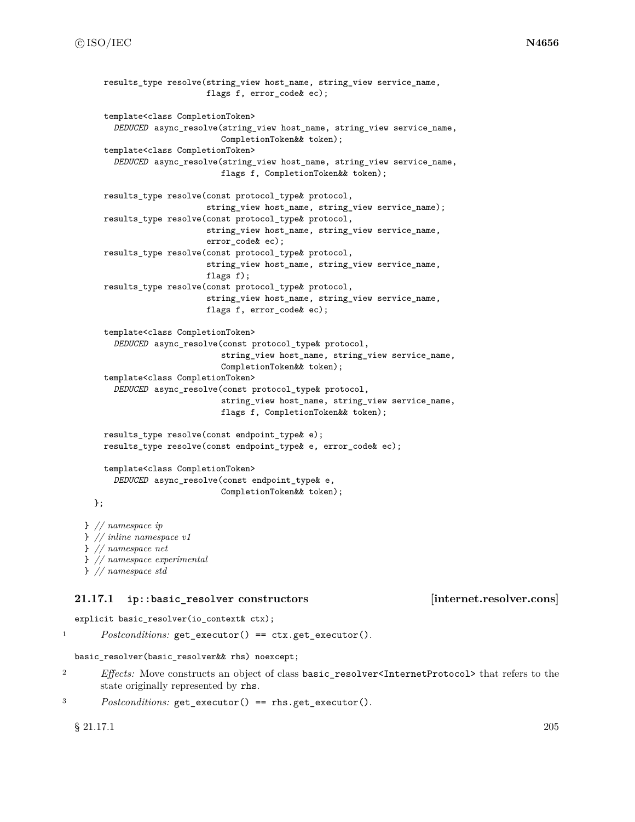```
results type resolve(string view host name, string view service name,
                         flags f, error_code& ec);
    template<class CompletionToken>
      DEDUCED async_resolve(string_view host_name, string_view service_name,
                            CompletionToken&& token);
    template<class CompletionToken>
      DEDUCED async_resolve(string_view host_name, string_view service_name,
                            flags f, CompletionToken&& token);
    results_type resolve(const protocol_type& protocol,
                         string_view host_name, string_view service_name);
    results_type resolve(const protocol_type& protocol,
                         string_view host_name, string_view service_name,
                         error_code& ec);
    results_type resolve(const protocol_type& protocol,
                         string_view host_name, string_view service_name,
                         flags f);
    results_type resolve(const protocol_type& protocol,
                         string_view host_name, string_view service_name,
                         flags f, error_code& ec);
    template<class CompletionToken>
      DEDUCED async_resolve(const protocol_type& protocol,
                            string_view host_name, string_view service_name,
                            CompletionToken&& token);
    template<class CompletionToken>
      DEDUCED async_resolve(const protocol_type& protocol,
                            string_view host_name, string_view service_name,
                            flags f, CompletionToken&& token);
    results_type resolve(const endpoint_type& e);
    results_type resolve(const endpoint_type& e, error_code& ec);
    template<class CompletionToken>
      DEDUCED async_resolve(const endpoint_type& e,
                            CompletionToken&& token);
  };
} // namespace ip
} // inline namespace v1
} // namespace net
} // namespace experimental
```

```
} // namespace std
```
## **21.17.1 ip::basic\_resolver constructors [internet.resolver.cons]**

explicit basic\_resolver(io\_context& ctx);

<sup>1</sup> *Postconditions:* get\_executor() == ctx.get\_executor().

```
basic_resolver(basic_resolver&& rhs) noexcept;
```
<sup>2</sup> *Effects:* Move constructs an object of class basic\_resolver<InternetProtocol> that refers to the state originally represented by rhs.

```
3 Postconditions: get_executor() == rhs.get_executor().
```
 $\S$  21.17.1 205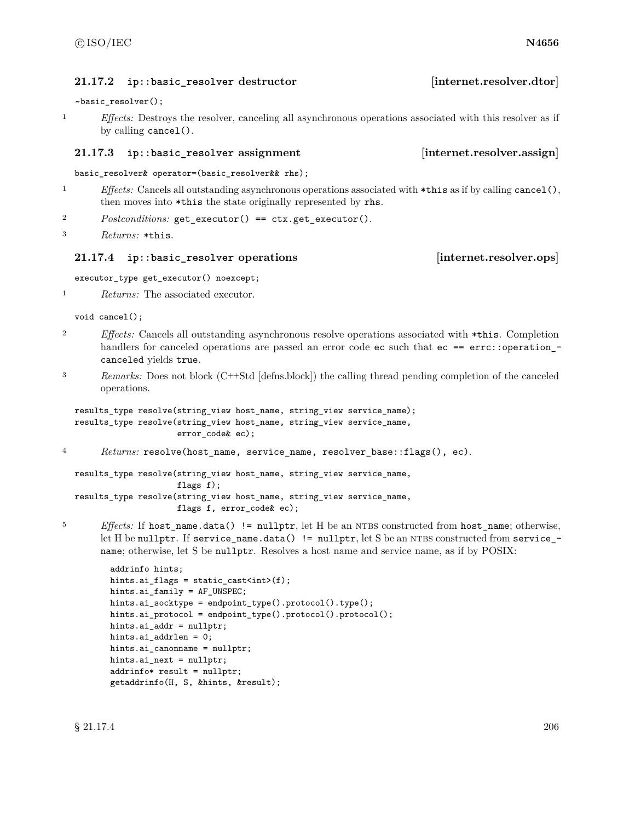## **21.17.2 ip::basic\_resolver destructor [internet.resolver.dtor]**

~basic\_resolver();

<sup>1</sup> *Effects:* Destroys the resolver, canceling all asynchronous operations associated with this resolver as if by calling cancel().

## **21.17.3 ip::basic\_resolver assignment [internet.resolver.assign]**

basic\_resolver& operator=(basic\_resolver&& rhs);

- <sup>1</sup> *Effects:* Cancels all outstanding asynchronous operations associated with \*this as if by calling cancel(), then moves into \*this the state originally represented by rhs.
- <sup>2</sup> *Postconditions:* get\_executor() == ctx.get\_executor().

```
3 Returns: *this.
```
## **21.17.4 ip::basic\_resolver operations [internet.resolver.ops]**

executor\_type get\_executor() noexcept;

<sup>1</sup> *Returns:* The associated executor.

void cancel();

- <sup>2</sup> *Effects:* Cancels all outstanding asynchronous resolve operations associated with \*this. Completion handlers for canceled operations are passed an error code ec such that ec == errc::operation\_canceled yields true.
- <sup>3</sup> *Remarks:* Does not block (C++Std [defns.block]) the calling thread pending completion of the canceled operations.

```
results_type resolve(string_view host_name, string_view service_name);
results_type resolve(string_view host_name, string_view service_name,
                     error_code& ec);
```
<sup>4</sup> *Returns:* resolve(host\_name, service\_name, resolver\_base::flags(), ec).

```
results_type resolve(string_view host_name, string_view service_name,
                     flags f);
results_type resolve(string_view host_name, string_view service_name,
                     flags f, error_code& ec);
```
<sup>5</sup> *Effects:* If host\_name.data() != nullptr, let H be an NTBS constructed from host\_name; otherwise, let H be nullptr. If service\_name.data()  $!=$  nullptr, let S be an NTBS constructed from service\_ $$ name; otherwise, let S be nullptr. Resolves a host name and service name, as if by POSIX:

```
addrinfo hints;
hints.ai_flags = static_cast<int>(f);
hints.ai_family = AF_UNSPEC;
hints.ai_socktype = endpoint_type().protocol().type();
hints.ai_protocol = endpoint_type().protocol().protocol();
hints.ai_addr = nullptr;
hints.ai_addrlen = 0;
hints.ai_canonname = nullptr;
hints.ai_next = nullptr;
addrinfo* result = nullptr;
getaddrinfo(H, S, &hints, &result);
```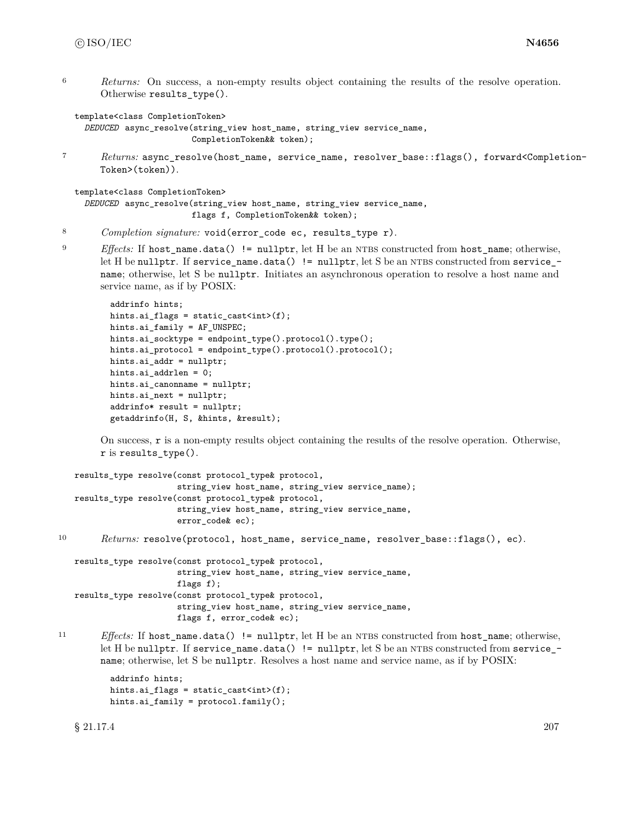<sup>6</sup> *Returns:* On success, a non-empty results object containing the results of the resolve operation. Otherwise results\_type().

template<class CompletionToken>

```
DEDUCED async_resolve(string_view host_name, string_view service_name,
                      CompletionToken&& token);
```
<sup>7</sup> *Returns:* async\_resolve(host\_name, service\_name, resolver\_base::flags(), forward<Completion-Token>(token)).

template<class CompletionToken>

```
DEDUCED async_resolve(string_view host_name, string_view service_name,
                     flags f, CompletionToken&& token);
```
- <sup>8</sup> *Completion signature:* void(error\_code ec, results\_type r).
- <sup>9</sup> *Effects:* If host name.data() != nullptr, let H be an NTBS constructed from host name; otherwise, let H be nullptr. If service\_name.data() != nullptr, let S be an NTBS constructed from service\_name; otherwise, let S be nullptr. Initiates an asynchronous operation to resolve a host name and service name, as if by POSIX:

```
addrinfo hints;
hints.ai_flags = static_cast<int>(f);
hints.ai_family = AF_UNSPEC;
hints.ai_socktype = endpoint_type().protocol().type();
hints.ai_protocol = endpoint_type().protocol().protocol();
hints.ai_addr = nullptr;
hints.ai_addrlen = 0;
hints.ai_canonname = nullptr;
hints.ai_next = nullptr;
addrinfo* result = nullptr;
getaddrinfo(H, S, &hints, &result);
```
On success, r is a non-empty results object containing the results of the resolve operation. Otherwise, r is results\_type().

```
results_type resolve(const protocol_type& protocol,
                     string_view host_name, string_view service_name);
results_type resolve(const protocol_type& protocol,
                     string_view host_name, string_view service_name,
                     error_code& ec);
```
10 *Returns:* resolve(protocol, host\_name, service\_name, resolver\_base::flags(), ec).

```
results_type resolve(const protocol_type& protocol,
                     string_view host_name, string_view service_name,
                     flags f);
results_type resolve(const protocol_type& protocol,
                     string_view host_name, string_view service_name,
                     flags f, error_code& ec);
```
11 *Effects:* If host\_name.data() != nullptr, let H be an NTBS constructed from host\_name; otherwise, let H be nullptr. If service\_name.data()  $!=$  nullptr, let S be an NTBS constructed from service\_ $$ name; otherwise, let S be nullptr. Resolves a host name and service name, as if by POSIX:

```
addrinfo hints;
hints.ai_flags = static_cast<int>(f);
hints.ai_family = protocol.family();
```
 $\S 21.17.4$  207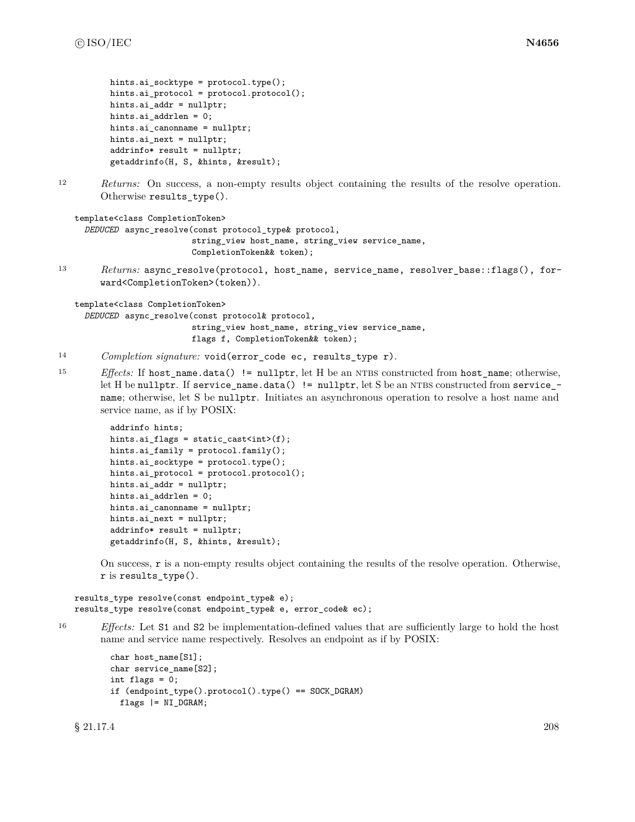```
hints.ai_socktype = protocol.type();
hints.ai_protocol = protocol.protocol();
hints.ai_addr = nullptr;
hints.ai_addrlen = 0;
hints.ai_canonname = nullptr;
hints.ai_next = nullptr;
addrinfo* result = nullptr;
getaddrinfo(H, S, &hints, &result);
```
<sup>12</sup> *Returns:* On success, a non-empty results object containing the results of the resolve operation. Otherwise results\_type().

```
template<class CompletionToken>
  DEDUCED async_resolve(const protocol_type& protocol,
```

```
string_view host_name, string_view service_name,
CompletionToken&& token);
```
<sup>13</sup> *Returns:* async\_resolve(protocol, host\_name, service\_name, resolver\_base::flags(), forward<CompletionToken>(token)).

template<class CompletionToken>

*DEDUCED* async\_resolve(const protocol& protocol,

string\_view host\_name, string\_view service\_name, flags f, CompletionToken&& token);

- <sup>14</sup> *Completion signature:* void(error\_code ec, results\_type r).
- 15 *Effects:* If host\_name.data() != nullptr, let H be an NTBS constructed from host\_name; otherwise, let H be nullptr. If service\_name.data()  $!=$  nullptr, let S be an NTBS constructed from service\_ $$ name; otherwise, let S be nullptr. Initiates an asynchronous operation to resolve a host name and service name, as if by POSIX:

```
addrinfo hints;
hints.ai_flags = static_cast<int>(f);
hints.ai_family = protocol.family();
hints.ai_socktype = protocol.type();
hints.ai_protocol = protocol.protocol();
hints.ai_addr = nullptr;
hints.ai_addrlen = 0;
hints.ai_canonname = nullptr;
hints.ai_next = nullptr;
addrinfo* result = nullptr;
getaddrinfo(H, S, &hints, &result);
```
On success, r is a non-empty results object containing the results of the resolve operation. Otherwise, r is results\_type().

```
results_type resolve(const endpoint_type& e);
results_type resolve(const endpoint_type& e, error_code& ec);
```
<sup>16</sup> *Effects:* Let S1 and S2 be implementation-defined values that are sufficiently large to hold the host name and service name respectively. Resolves an endpoint as if by POSIX:

```
char host_name[S1];
char service_name[S2];
int flags = 0;
if (endpoint_type().protocol().type() == SOCK_DGRAM)
 flags |= NI_DGRAM;
```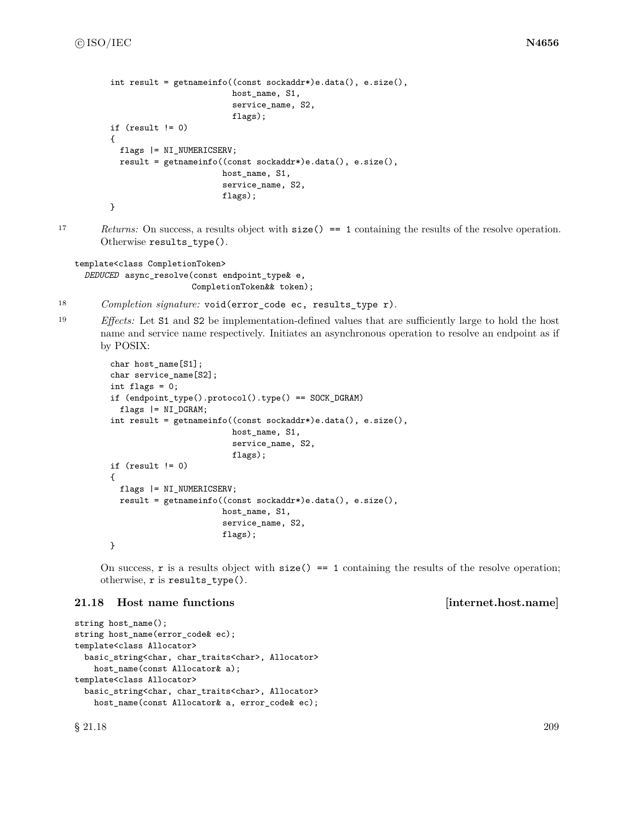```
int result = getnameinfo((const sockaddr*)e.data(), e.size(),
                         host_name, S1,
                         service_name, S2,
                         flags);
if (result != 0)
{
 flags |= NI_NUMERICSERV;
 result = getnameinfo((const sockaddr*)e.data(), e.size(),
                       host_name, S1,
                       service_name, S2,
                       flags);
}
```
17 *Returns:* On success, a results object with  $size() == 1$  containing the results of the resolve operation. Otherwise results\_type().

```
template<class CompletionToken>
  DEDUCED async_resolve(const endpoint_type& e,
                        CompletionToken&& token);
```
- <sup>18</sup> *Completion signature:* void(error\_code ec, results\_type r).
- <sup>19</sup> *Effects:* Let S1 and S2 be implementation-defined values that are sufficiently large to hold the host name and service name respectively. Initiates an asynchronous operation to resolve an endpoint as if by POSIX:

```
char host_name[S1];
char service_name[S2];
int flags = 0;
if (endpoint_type().protocol().type() == SOCK_DGRAM)
 flags |= NI_DGRAM;
int result = getnameinfo((const sockaddr*)e.data(), e.size(),
                         host_name, S1,
                         service_name, S2,
                         flags);
if (result != 0)
{
 flags |= NI_NUMERICSERV;
 result = getnameinfo((const sockaddr*)e.data(), e.size(),
                       host_name, S1,
                       service_name, S2,
                       flags);
}
```
On success,  $\bf{r}$  is a results object with  $\text{size}() == 1$  containing the results of the resolve operation; otherwise, r is results\_type().

## **21.18 Host name functions [internet.host.name]**

```
string host_name();
string host_name(error_code& ec);
template<class Allocator>
 basic_string<char, char_traits<char>, Allocator>
    host_name(const Allocator& a);
template<class Allocator>
 basic_string<char, char_traits<char>, Allocator>
   host_name(const Allocator& a, error_code& ec);
```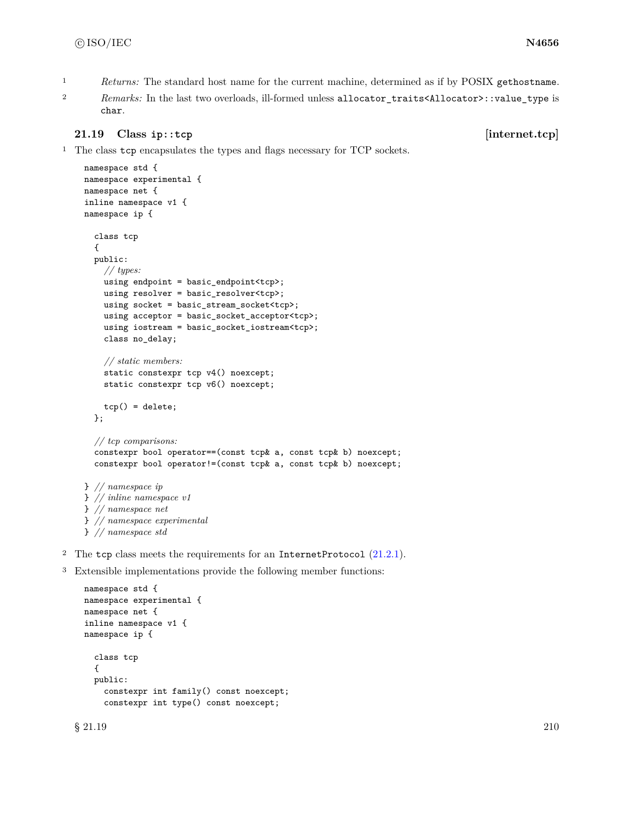- <span id="page-216-0"></span><sup>1</sup> *Returns:* The standard host name for the current machine, determined as if by POSIX gethostname.
- <sup>2</sup> *Remarks:* In the last two overloads, ill-formed unless allocator\_traits<Allocator>::value\_type is char.

### **21.19 Class ip::tcp [internet.tcp]**

<sup>1</sup> The class tcp encapsulates the types and flags necessary for TCP sockets.

```
namespace std {
    namespace experimental {
    namespace net {
    inline namespace v1 {
    namespace ip {
      class tcp
      {
      public:
        // types:
        using endpoint = basic_endpoint<tcp>;
        using resolver = basic resolver<tcp>;
        using socket = basic_stream_socket<tcp>;
        using acceptor = basic_socket_acceptor<tcp>;
        using iostream = basic_socket_iostream<tcp>;
        class no_delay;
        // static members:
        static constexpr tcp v4() noexcept;
        static constexpr tcp v6() noexcept;
        tcp() = delete;};
      // tcp comparisons:
      constexpr bool operator==(const tcp& a, const tcp& b) noexcept;
      constexpr bool operator!=(const tcp& a, const tcp& b) noexcept;
    } // namespace ip
    } // inline namespace v1
    } // namespace net
    } // namespace experimental
    } // namespace std
2 The tcp class meets the requirements for an InternetProtocol (21.2.1).
```
<sup>3</sup> Extensible implementations provide the following member functions:

```
namespace std {
namespace experimental {
namespace net {
inline namespace v1 {
namespace ip {
  class tcp
  {
  public:
    constexpr int family() const noexcept;
    constexpr int type() const noexcept;
```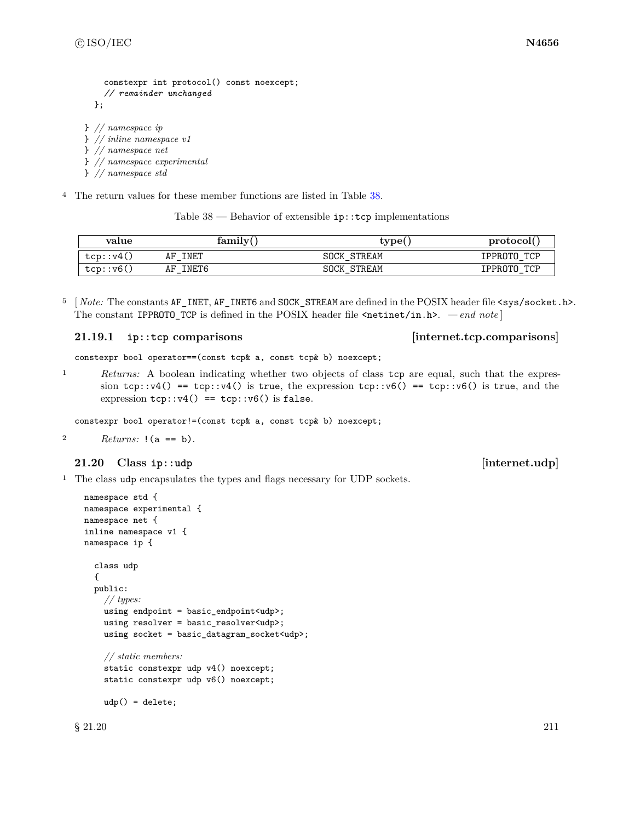```
constexpr int protocol() const noexcept;
    // remainder unchanged
  };
} // namespace ip
} // inline namespace v1
} // namespace net
} // namespace experimental
```
} *// namespace std*

<sup>4</sup> The return values for these member functions are listed in Table [38.](#page-217-0)

Table  $38$  — Behavior of extensible  $ip::top$  implementations

<span id="page-217-0"></span>

| value     | family      | tvpe(              | protocol       |
|-----------|-------------|--------------------|----------------|
| tcp::v4(, | INET<br>AF  | <b>SOCK STREAM</b> | TCP<br>IPPROTO |
| tcp: v6() | INET6<br>AF | STREAM<br>SOCK     | TCP<br>IPPROTO |

<sup>5</sup> [*Note:* The constants AF\_INET, AF\_INET6 and SOCK\_STREAM are defined in the POSIX header file <sys/socket.h>. The constant IPPROTO\_TCP is defined in the POSIX header file  $\epsilon$ netinet/in.h>. *— end note* ]

### **21.19.1 ip::tcp comparisons [internet.tcp.comparisons]**

constexpr bool operator==(const tcp& a, const tcp& b) noexcept;

<sup>1</sup> *Returns:* A boolean indicating whether two objects of class tcp are equal, such that the expression tcp::v4() == tcp::v4() is true, the expression tcp::v6() == tcp::v6() is true, and the expression  $tcp::v4() == tcp::v6()$  is false.

constexpr bool operator!=(const tcp& a, const tcp& b) noexcept;

2  $Returns: !(a == b).$ 

### **21.20 Class ip::udp [internet.udp]**

<sup>1</sup> The class udp encapsulates the types and flags necessary for UDP sockets.

```
namespace std {
namespace experimental {
namespace net {
inline namespace v1 {
namespace ip {
  class udp
  {
  public:
    // types:
    using endpoint = basic_endpoint<udp>;
    using resolver = basic_resolver<udp>;
    using socket = basic_datagram_socket<udp>;
    // static members:
    static constexpr udp v4() noexcept;
    static constexpr udp v6() noexcept;
    udp() = delete;
```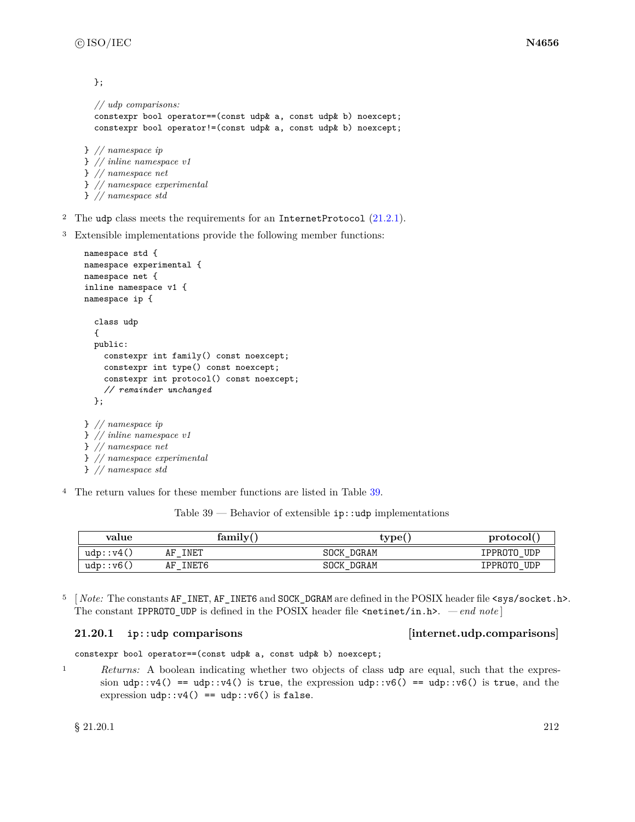<span id="page-218-1"></span>};

```
// udp comparisons:
  constexpr bool operator==(const udp& a, const udp& b) noexcept;
  constexpr bool operator!=(const udp& a, const udp& b) noexcept;
} // namespace ip
} // inline namespace v1
} // namespace net
```
- } *// namespace experimental*
- } *// namespace std*
- <sup>2</sup> The udp class meets the requirements for an InternetProtocol  $(21.2.1)$ .
- <sup>3</sup> Extensible implementations provide the following member functions:

```
namespace std {
namespace experimental {
namespace net {
inline namespace v1 {
namespace ip {
  class udp
  {
  public:
    constexpr int family() const noexcept;
    constexpr int type() const noexcept;
    constexpr int protocol() const noexcept;
    // remainder unchanged
  };
} // namespace ip
} // inline namespace v1
} // namespace net
} // namespace experimental
```
- } *// namespace std*
- <sup>4</sup> The return values for these member functions are listed in Table [39.](#page-218-0)

Table  $39$  — Behavior of extensible  $ip::udp$  implementations

<span id="page-218-0"></span>

| value             | family(     | type(      | protocol(   |  |
|-------------------|-------------|------------|-------------|--|
| udp: v4()         | INET<br>AF  | SOCK DGRAM | IPPROTO UDP |  |
| udp::v6( <i>,</i> | INET6<br>AF | SOCK DGRAM | IPPROTO UDP |  |

5 *Note:* The constants AF\_INET, AF\_INET6 and SOCK\_DGRAM are defined in the POSIX header file <sys/socket.h>. The constant IPPROTO\_UDP is defined in the POSIX header file  $\epsilon$ netinet/in.h>. *— end note* ]

### **21.20.1 ip::udp comparisons [internet.udp.comparisons]**

constexpr bool operator==(const udp& a, const udp& b) noexcept;

<sup>1</sup> *Returns:* A boolean indicating whether two objects of class udp are equal, such that the expression udp::v4() == udp::v4() is true, the expression udp::v6() == udp::v6() is true, and the expression  $udp$ ::v4() ==  $udp$ ::v6() is false.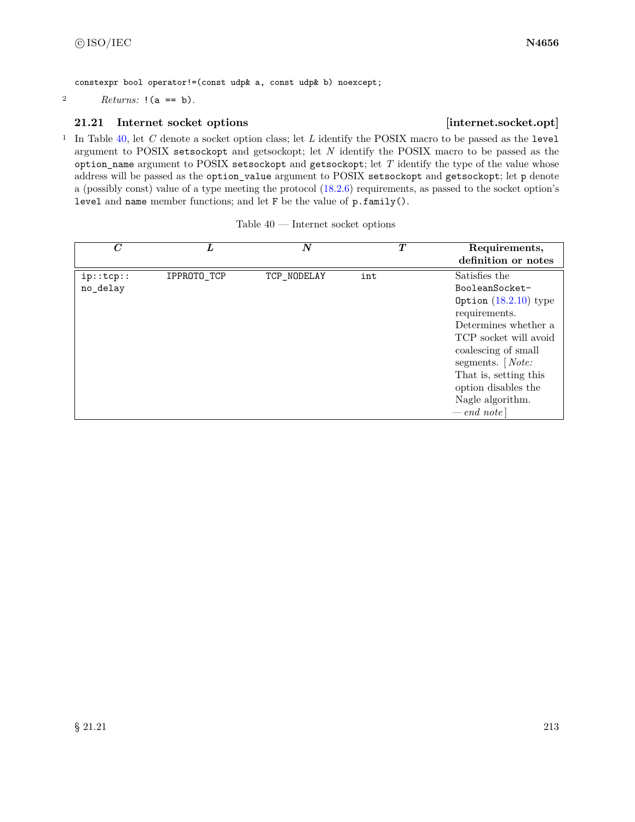constexpr bool operator!=(const udp& a, const udp& b) noexcept;

2  $Returns: !(a == b).$ 

## **21.21 Internet socket options [internet.socket.opt]**

<sup>1</sup> In Table [40,](#page-219-0) let *C* denote a socket option class; let *L* identify the POSIX macro to be passed as the level argument to POSIX setsockopt and getsockopt; let *N* identify the POSIX macro to be passed as the option\_name argument to POSIX setsockopt and getsockopt; let *T* identify the type of the value whose address will be passed as the option\_value argument to POSIX setsockopt and getsockopt; let p denote a (possibly const) value of a type meeting the protocol [\(18.2.6\)](#page-115-0) requirements, as passed to the socket option's level and name member functions; and let F be the value of p.family().

<span id="page-219-0"></span>

| $\overline{C}$        | L           | $\boldsymbol{N}$ | $\bm{T}$ | Requirements,<br>definition or notes                                                                                                                                                                                                                           |
|-----------------------|-------------|------------------|----------|----------------------------------------------------------------------------------------------------------------------------------------------------------------------------------------------------------------------------------------------------------------|
| ip::top::<br>no_delay | IPPROTO_TCP | TCP_NODELAY      | int      | Satisfies the<br>BooleanSocket-<br>Option $(18.2.10)$ type<br>requirements.<br>Determines whether a<br>TCP socket will avoid<br>coalescing of small<br>segments. $[Note:$<br>That is, setting this<br>option disables the<br>Nagle algorithm.<br>$-$ end note] |

| Table 40 | Internet socket options |  |  |
|----------|-------------------------|--|--|
|----------|-------------------------|--|--|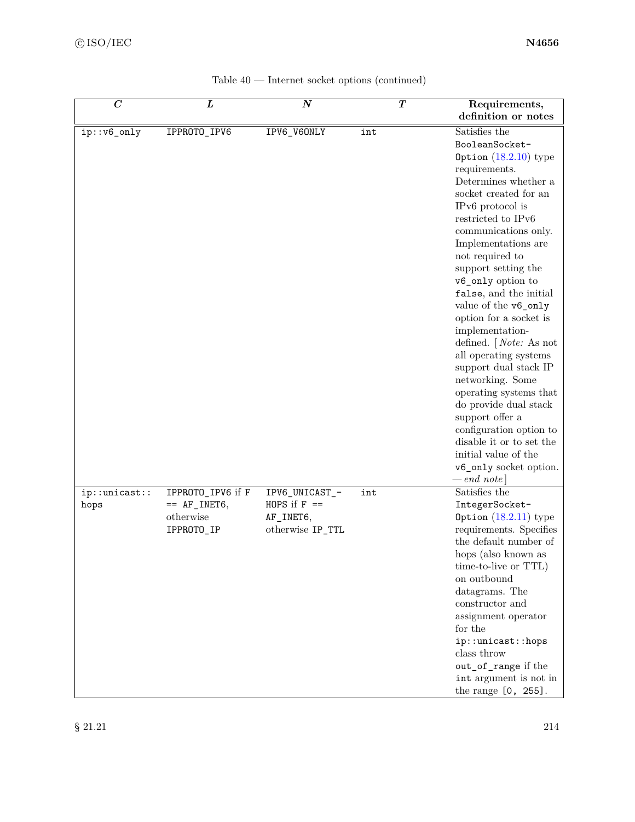<span id="page-220-0"></span>

| $\overline{C}$ | L                 | $\overline{N}$   | $\overline{\bm{T}}$ | Requirements,<br>definition or notes               |
|----------------|-------------------|------------------|---------------------|----------------------------------------------------|
| ip::v6_only    | IPPROTO_IPV6      | IPV6_V60NLY      | int                 | Satisfies the                                      |
|                |                   |                  |                     | BooleanSocket-                                     |
|                |                   |                  |                     | Option $(18.2.10)$ type                            |
|                |                   |                  |                     | requirements.                                      |
|                |                   |                  |                     | Determines whether a                               |
|                |                   |                  |                     | socket created for an                              |
|                |                   |                  |                     | IPv6 protocol is<br>restricted to IPv6             |
|                |                   |                  |                     | communications only.                               |
|                |                   |                  |                     | Implementations are                                |
|                |                   |                  |                     | not required to                                    |
|                |                   |                  |                     | support setting the                                |
|                |                   |                  |                     | v6_only option to                                  |
|                |                   |                  |                     | false, and the initial                             |
|                |                   |                  |                     | value of the v6_only                               |
|                |                   |                  |                     | option for a socket is                             |
|                |                   |                  |                     | implementation-                                    |
|                |                   |                  |                     | defined. $[Note: As not]$<br>all operating systems |
|                |                   |                  |                     | support dual stack IP                              |
|                |                   |                  |                     | networking. Some                                   |
|                |                   |                  |                     | operating systems that                             |
|                |                   |                  |                     | do provide dual stack                              |
|                |                   |                  |                     | support offer a                                    |
|                |                   |                  |                     | configuration option to                            |
|                |                   |                  |                     | disable it or to set the                           |
|                |                   |                  |                     | initial value of the                               |
|                |                   |                  |                     | v6_only socket option.                             |
| ip::unitcast:: | IPPROTO_IPV6 if F | IPV6_UNICAST_-   | int                 | $-$ end note]<br>Satisfies the                     |
| hops           | $==$ AF INET6,    | HOPS if $F =$    |                     | IntegerSocket-                                     |
|                | otherwise         | AF_INET6,        |                     | Option $(18.2.11)$ type                            |
|                | IPPROTO_IP        | otherwise IP_TTL |                     | requirements. Specifies                            |
|                |                   |                  |                     | the default number of                              |
|                |                   |                  |                     | hops (also known as                                |
|                |                   |                  |                     | time-to-live or TTL)                               |
|                |                   |                  |                     | on outbound                                        |
|                |                   |                  |                     | datagrams. The                                     |
|                |                   |                  |                     | constructor and                                    |
|                |                   |                  |                     | assignment operator                                |
|                |                   |                  |                     | for the<br>ip::unicast::hops                       |
|                |                   |                  |                     | $\rm{class}$ throw                                 |
|                |                   |                  |                     | out_of_range if the                                |
|                |                   |                  |                     | int argument is not in                             |
|                |                   |                  |                     | the range [0, 255].                                |

| Table $40$ — Internet socket options (continued) |  |  |  |  |  |
|--------------------------------------------------|--|--|--|--|--|
|--------------------------------------------------|--|--|--|--|--|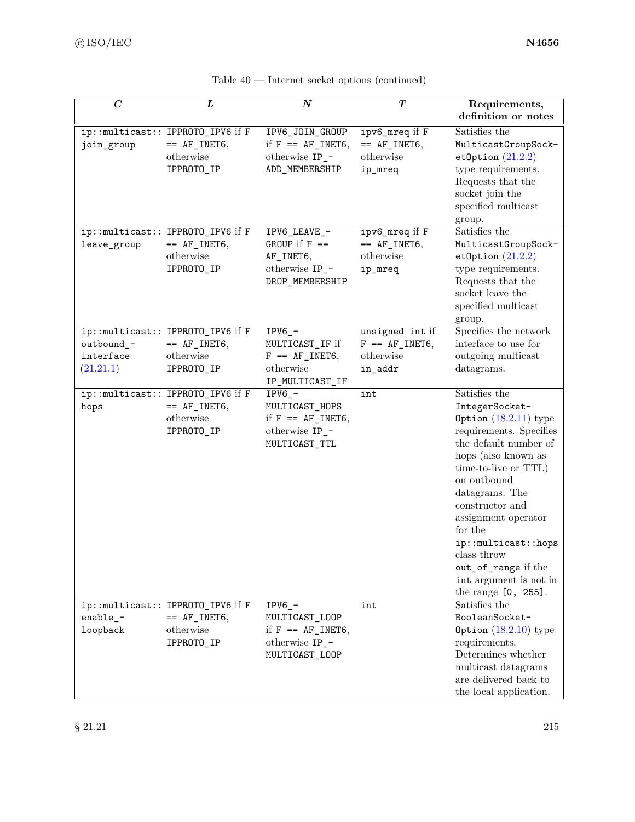| $\boldsymbol{C}$                     | L                                                                              | $\boldsymbol{N}$                                                                           | T                                                           | Requirements,<br>definition or notes                                                                                                                                                                                                                                                                                                                                 |
|--------------------------------------|--------------------------------------------------------------------------------|--------------------------------------------------------------------------------------------|-------------------------------------------------------------|----------------------------------------------------------------------------------------------------------------------------------------------------------------------------------------------------------------------------------------------------------------------------------------------------------------------------------------------------------------------|
| join_group                           | ip::multicast:: IPPROTO_IPV6 if F<br>$== AF_INET6,$<br>otherwise<br>IPPROTO_IP | IPV6_JOIN_GROUP<br>if $F = AF_$ INET6,<br>otherwise IP_-<br>ADD_MEMBERSHIP                 | ipv6_mreq if F<br>$== AF_INET6,$<br>otherwise<br>ip_mreq    | Satisfies the<br>MulticastGroupSock-<br>etOption $(21.2.2)$<br>type requirements.<br>Requests that the<br>socket join the<br>specified multicast<br>group.                                                                                                                                                                                                           |
| leave_group                          | ip::multicast:: IPPROTO_IPV6 if F<br>$== AF_INET6,$<br>otherwise<br>IPPROTO_IP | IPV6_LEAVE_-<br>GROUP if $F ==$<br>AF_INET6,<br>otherwise IP_-<br>DROP_MEMBERSHIP          | ipv6_mreq if F<br>$== AF_INET6,$<br>otherwise<br>ip_mreq    | Satisfies the<br>MulticastGroupSock-<br>etOption $(21.2.2)$<br>type requirements.<br>Requests that the<br>socket leave the<br>specified multicast<br>group.                                                                                                                                                                                                          |
| outbound_-<br>interface<br>(21.21.1) | ip::multicast:: IPPROTO_IPV6 if F<br>$== AF_INET6,$<br>otherwise<br>IPPROTO_IP | $IPV6$ <sup>-</sup><br>MULTICAST_IF if<br>$F = AF_$ INET6,<br>otherwise<br>IP_MULTICAST_IF | unsigned int if<br>$F = AF_$ INET6,<br>otherwise<br>in_addr | Specifies the network<br>interface to use for<br>outgoing multicast<br>datagrams.                                                                                                                                                                                                                                                                                    |
| hops                                 | ip::multicast:: IPPROTO_IPV6 if F<br>$== AF_INET6,$<br>otherwise<br>IPPROTO_IP | $IPV6_$ -<br>MULTICAST_HOPS<br>if $F = AF_$ INET6,<br>otherwise IP_-<br>MULTICAST_TTL      | int                                                         | Satisfies the<br>IntegerSocket-<br>Option $(18.2.11)$ type<br>requirements. Specifies<br>the default number of<br>hops (also known as<br>time-to-live or TTL)<br>on outbound<br>datagrams. The<br>constructor and<br>assignment operator<br>for the<br>ip::multicast::hops<br>class throw<br>out_of_range if the<br>int argument is not in<br>the range $[0, 255]$ . |
| enable_ $-$<br>loopback              | ip::multicast:: IPPROTO_IPV6 if F<br>$== AF_INET6,$<br>otherwise<br>IPPROTO_IP | $IPV6 -$<br>MULTICAST_LOOP<br>if $F = AF_$ INET6,<br>otherwise IP_-<br>MULTICAST_LOOP      | int                                                         | Satisfies the<br>BooleanSocket-<br>Option $(18.2.10)$ type<br>requirements.<br>Determines whether<br>multicast datagrams<br>are delivered back to<br>the local application.                                                                                                                                                                                          |

| Table $40$ — Internet socket options (continued) |  |  |  |  |  |
|--------------------------------------------------|--|--|--|--|--|
|--------------------------------------------------|--|--|--|--|--|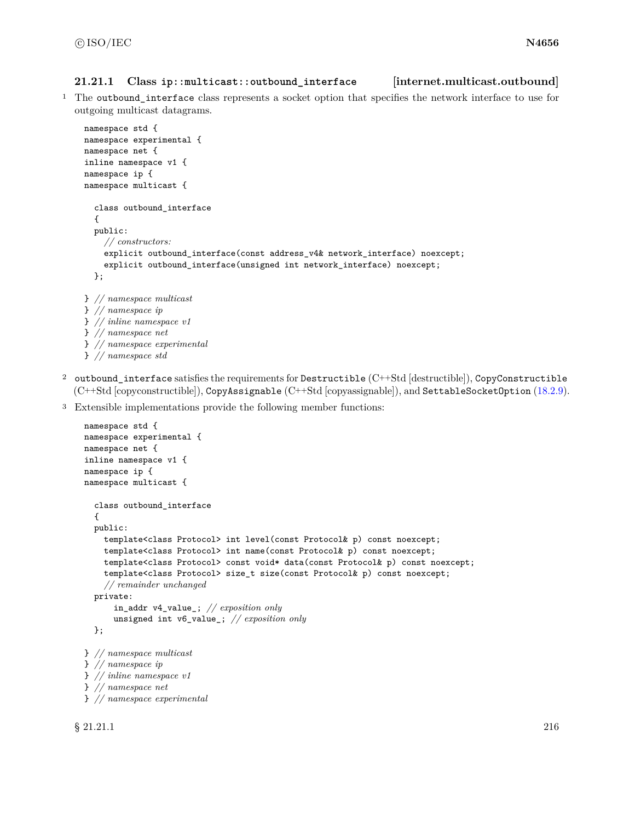#### <span id="page-222-1"></span><span id="page-222-0"></span>**21.21.1 Class ip::multicast::outbound\_interface [internet.multicast.outbound]**

<sup>1</sup> The outbound\_interface class represents a socket option that specifies the network interface to use for outgoing multicast datagrams.

```
namespace std {
namespace experimental {
namespace net {
inline namespace v1 {
namespace ip {
namespace multicast {
  class outbound_interface
  {
  public:
    // constructors:
    explicit outbound_interface(const address_v4& network_interface) noexcept;
    explicit outbound_interface(unsigned int network_interface) noexcept;
  };
} // namespace multicast
} // namespace ip
} // inline namespace v1
} // namespace net
} // namespace experimental
```
- } *// namespace std*
- 2 outbound interface satisfies the requirements for Destructible  $(C++Std$  [destructible]), CopyConstructible (C++Std [copyconstructible]), CopyAssignable (C++Std [copyassignable]), and SettableSocketOption [\(18.2.9\)](#page-117-1).
- <sup>3</sup> Extensible implementations provide the following member functions:

```
namespace std {
namespace experimental {
namespace net {
inline namespace v1 {
namespace ip {
namespace multicast {
  class outbound_interface
  {
  public:
    template<class Protocol> int level(const Protocol& p) const noexcept;
    template<class Protocol> int name(const Protocol& p) const noexcept;
    template<class Protocol> const void* data(const Protocol& p) const noexcept;
    template<class Protocol> size_t size(const Protocol& p) const noexcept;
    // remainder unchanged
  private:
      in_addr v4_value_; // exposition only
      unsigned int v6_value_; // exposition only
  };
} // namespace multicast
} // namespace ip
} // inline namespace v1
} // namespace net
} // namespace experimental
```
 $\S 21.21.1$  216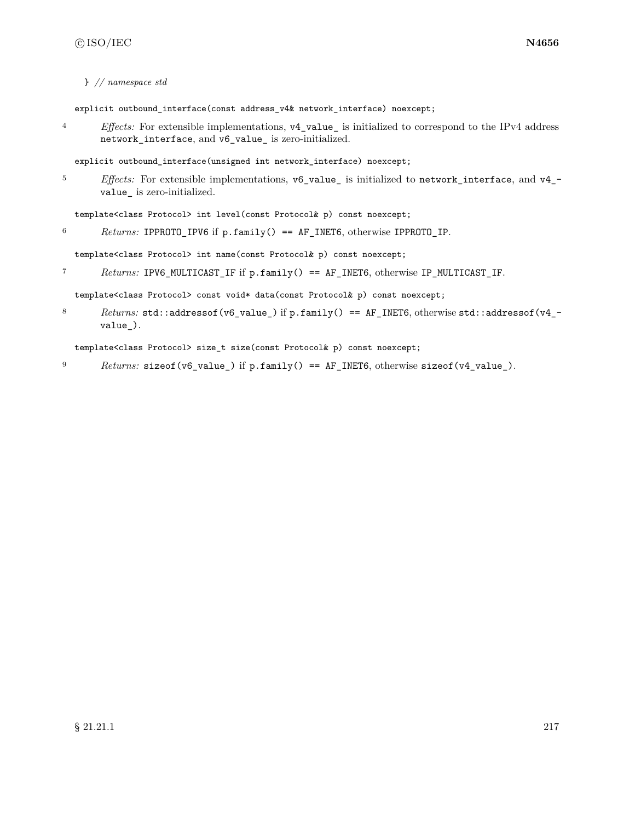} *// namespace std*

explicit outbound\_interface(const address\_v4& network\_interface) noexcept;

<sup>4</sup> *Effects:* For extensible implementations, v4\_value\_ is initialized to correspond to the IPv4 address network\_interface, and v6\_value\_ is zero-initialized.

explicit outbound\_interface(unsigned int network\_interface) noexcept;

<sup>5</sup> *Effects:* For extensible implementations, v6\_value\_ is initialized to network\_interface, and v4\_ value\_ is zero-initialized.

template<class Protocol> int level(const Protocol& p) const noexcept;

<sup>6</sup> *Returns:* IPPROTO\_IPV6 if p.family() == AF\_INET6, otherwise IPPROTO\_IP.

template<class Protocol> int name(const Protocol& p) const noexcept;

<sup>7</sup> *Returns:* IPV6\_MULTICAST\_IF if p.family() == AF\_INET6, otherwise IP\_MULTICAST\_IF.

template<class Protocol> const void\* data(const Protocol& p) const noexcept;

8 Returns: std::addressof(v6\_value\_) if p.family() == AF\_INET6, otherwise std::addressof(v4\_value\_).

template<class Protocol> size\_t size(const Protocol& p) const noexcept;

9 *Returns:* sizeof(v6\_value\_) if p.family() == AF\_INET6, otherwise sizeof(v4\_value\_).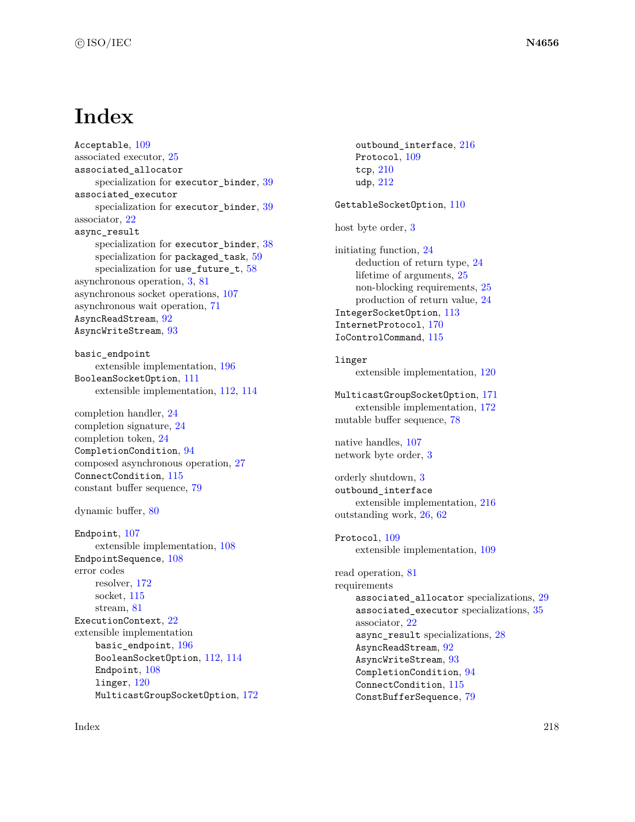## **Index**

Acceptable, [109](#page-115-1) associated executor, [25](#page-31-0) associated\_allocator specialization for executor\_binder, [39](#page-45-0) associated\_executor specialization for executor\_binder, [39](#page-45-0) associator, [22](#page-28-0) async\_result specialization for executor\_binder, [38](#page-44-0) specialization for packaged\_task, [59](#page-65-0) specialization for use\_future\_t, [58](#page-64-0) asynchronous operation, [3,](#page-9-0) [81](#page-87-0) asynchronous socket operations, [107](#page-113-0) asynchronous wait operation, [71](#page-77-0) AsyncReadStream, [92](#page-98-0) AsyncWriteStream, [93](#page-99-0)

basic\_endpoint extensible implementation, [196](#page-202-0) BooleanSocketOption, [111](#page-117-2) extensible implementation, [112,](#page-118-0) [114](#page-120-0)

completion handler, [24](#page-30-0) completion signature, [24](#page-30-0) completion token, [24](#page-30-0) CompletionCondition, [94](#page-100-0) composed asynchronous operation, [27](#page-33-0) ConnectCondition, [115](#page-121-0) constant buffer sequence, [79](#page-85-0)

dynamic buffer, [80](#page-86-0)

Endpoint, [107](#page-113-0) extensible implementation, [108](#page-114-0) EndpointSequence, [108](#page-114-0) error codes resolver, [172](#page-178-0) socket, [115](#page-121-0) stream, [81](#page-87-0) ExecutionContext, [22](#page-28-0) extensible implementation basic\_endpoint, [196](#page-202-0) BooleanSocketOption, [112,](#page-118-0) [114](#page-120-0) Endpoint, [108](#page-114-0) linger, [120](#page-126-0) MulticastGroupSocketOption, [172](#page-178-0)

outbound interface, [216](#page-222-1) Protocol, [109](#page-115-1) tcp, [210](#page-216-0) udp, [212](#page-218-1) GettableSocketOption, [110](#page-116-0) host byte order, [3](#page-9-0) initiating function, [24](#page-30-0) deduction of return type, [24](#page-30-0) lifetime of arguments, [25](#page-31-0) non-blocking requirements, [25](#page-31-0) production of return value, [24](#page-30-0) IntegerSocketOption, [113](#page-119-1) InternetProtocol, [170](#page-176-1) IoControlCommand, [115](#page-121-0) linger extensible implementation, [120](#page-126-0) MulticastGroupSocketOption, [171](#page-177-1) extensible implementation, [172](#page-178-0) mutable buffer sequence, [78](#page-84-0) native handles, [107](#page-113-0) network byte order, [3](#page-9-0) orderly shutdown, [3](#page-9-0) outbound\_interface extensible implementation, [216](#page-222-1) outstanding work, [26,](#page-32-0) [62](#page-68-0) Protocol, [109](#page-115-1) extensible implementation, [109](#page-115-1) read operation, [81](#page-87-0) requirements associated\_allocator specializations, [29](#page-35-0) associated\_executor specializations, [35](#page-41-0) associator, [22](#page-28-0) async result specializations, [28](#page-34-0) AsyncReadStream, [92](#page-98-0) AsyncWriteStream, [93](#page-99-0)

> CompletionCondition, [94](#page-100-0) ConnectCondition, [115](#page-121-0) ConstBufferSequence, [79](#page-85-0)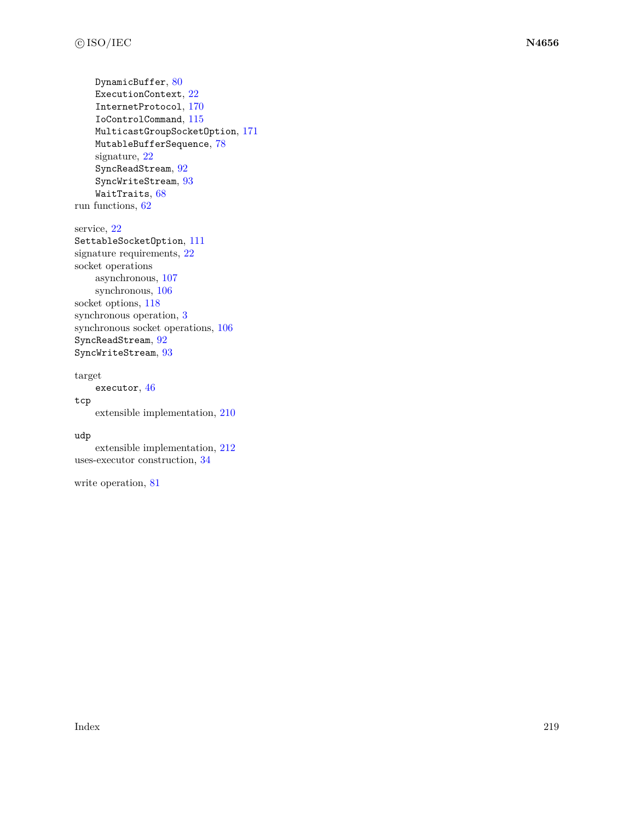DynamicBuffer, [80](#page-86-0) ExecutionContext, [22](#page-28-0) InternetProtocol, [170](#page-176-1) IoControlCommand, [115](#page-121-0) MulticastGroupSocketOption, [171](#page-177-1) MutableBufferSequence, [78](#page-84-0) signature, [22](#page-28-0) SyncReadStream, [92](#page-98-0) SyncWriteStream, [93](#page-99-0) WaitTraits, [68](#page-74-0) run functions, [62](#page-68-0)

service, [22](#page-28-0) SettableSocketOption, [111](#page-117-2) signature requirements, [22](#page-28-0) socket operations asynchronous, [107](#page-113-0) synchronous, [106](#page-112-0) socket options,  $118$ synchronous operation, [3](#page-9-0) synchronous socket operations, [106](#page-112-0) SyncReadStream, [92](#page-98-0) SyncWriteStream, [93](#page-99-0)

### target

executor, [46](#page-52-0)

### tcp

extensible implementation, [210](#page-216-0)

#### udp

extensible implementation, [212](#page-218-1) uses-executor construction, [34](#page-40-0)

write operation, [81](#page-87-0)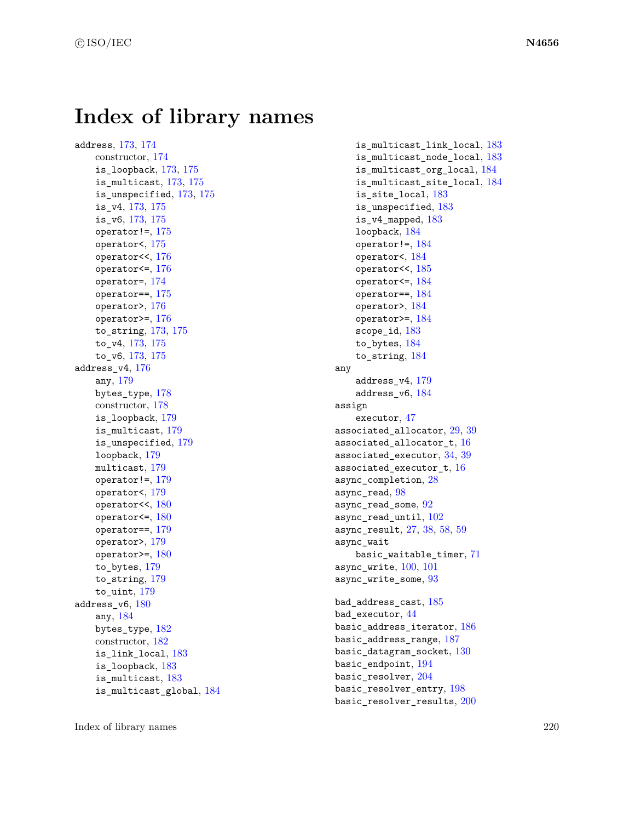## **Index of library names**

address, [173,](#page-179-0) [174](#page-180-0) constructor, [174](#page-180-0) is\_loopback, [173,](#page-179-0) [175](#page-181-0) is\_multicast, [173,](#page-179-0) [175](#page-181-0) is\_unspecified, [173,](#page-179-0) [175](#page-181-0) is\_v4, [173,](#page-179-0) [175](#page-181-0) is\_v6, [173,](#page-179-0) [175](#page-181-0) operator! $=$ , [175](#page-181-0) operator<, [175](#page-181-0) operator<<, [176](#page-182-0) operator<=, [176](#page-182-0) operator=, [174](#page-180-0) operator==, [175](#page-181-0) operator>, [176](#page-182-0) operator>=, [176](#page-182-0) to\_string, [173,](#page-179-0) [175](#page-181-0) to\_v4, [173,](#page-179-0) [175](#page-181-0) to\_v6, [173,](#page-179-0) [175](#page-181-0) address\_v4, [176](#page-182-0) any, [179](#page-185-0) bytes\_type, [178](#page-184-0) constructor, [178](#page-184-0) is loopback,  $179$ is\_multicast, [179](#page-185-0) is\_unspecified, [179](#page-185-0) loopback, [179](#page-185-0) multicast, [179](#page-185-0) operator! $=$ , [179](#page-185-0) operator<, [179](#page-185-0) operator<<, [180](#page-186-0) operator $\leq$ =, [180](#page-186-0) operator==, [179](#page-185-0) operator>, [179](#page-185-0) operator>=, [180](#page-186-0) to bytes,  $179$ to\_string, [179](#page-185-0) to uint,  $179$ address\_v6, [180](#page-186-0) any, [184](#page-190-0) bytes\_type, [182](#page-188-0) constructor, [182](#page-188-0) is\_link\_local, [183](#page-189-0) is\_loopback, [183](#page-189-0) is\_multicast, [183](#page-189-0) is\_multicast\_global, [184](#page-190-0)

is multicast link local,  $183$ is\_multicast\_node\_local, [183](#page-189-0) is\_multicast\_org\_local, [184](#page-190-0) is\_multicast\_site\_local, [184](#page-190-0) is\_site\_local, [183](#page-189-0) is\_unspecified, [183](#page-189-0) is\_v4\_mapped, [183](#page-189-0) loopback, [184](#page-190-0) operator! $=$ , [184](#page-190-0) operator<, [184](#page-190-0) operator<<, [185](#page-191-0) operator<=, [184](#page-190-0) operator==, [184](#page-190-0) operator>, [184](#page-190-0) operator>=, [184](#page-190-0) scope\_id, [183](#page-189-0) to\_bytes, [184](#page-190-0) to\_string, [184](#page-190-0) any address\_v4, [179](#page-185-0) address\_v6, [184](#page-190-0) assign executor, [47](#page-53-0) associated\_allocator, [29,](#page-35-0) [39](#page-45-0) associated\_allocator\_t, [16](#page-22-0) associated\_executor, [34,](#page-40-0) [39](#page-45-0) associated\_executor\_t, [16](#page-22-0) async\_completion, [28](#page-34-0) async\_read, [98](#page-104-0) async\_read\_some, [92](#page-98-0) async\_read\_until, [102](#page-108-0) async\_result, [27,](#page-33-0) [38,](#page-44-0) [58,](#page-64-0) [59](#page-65-0) async\_wait basic\_waitable\_timer, [71](#page-77-0) async write, [100,](#page-106-0) [101](#page-107-0) async\_write\_some, [93](#page-99-0) bad\_address\_cast, [185](#page-191-0) bad\_executor, [44](#page-50-0) basic\_address\_iterator, [186](#page-192-0) basic\_address\_range, [187](#page-193-0) basic\_datagram\_socket, [130](#page-136-0) basic\_endpoint, [194](#page-200-0) basic resolver, [204](#page-210-0) basic\_resolver\_entry, [198](#page-204-0) basic\_resolver\_results, [200](#page-206-0)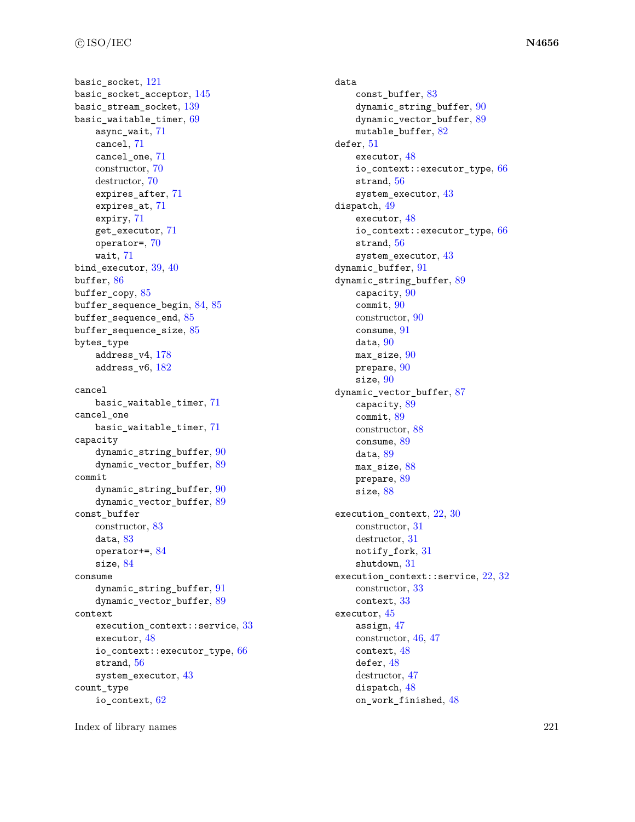basic socket, [121](#page-127-0) basic\_socket\_acceptor, [145](#page-151-0) basic stream socket,  $139$ basic\_waitable\_timer, [69](#page-75-0) async\_wait, [71](#page-77-0) cancel, [71](#page-77-0) cancel\_one, [71](#page-77-0) constructor, [70](#page-76-0) destructor, [70](#page-76-0) expires\_after, [71](#page-77-0) expires\_at, [71](#page-77-0) expiry, [71](#page-77-0) get\_executor, [71](#page-77-0) operator=, [70](#page-76-0) wait, [71](#page-77-0) bind\_executor, [39,](#page-45-0) [40](#page-46-0) buffer, [86](#page-92-0) buffer copy, [85](#page-91-0) buffer\_sequence\_begin, [84,](#page-90-0) [85](#page-91-0) buffer sequence end,  $85$ buffer\_sequence\_size, [85](#page-91-0) bytes\_type address\_v4, [178](#page-184-0) address\_v6, [182](#page-188-0) cancel basic\_waitable\_timer, [71](#page-77-0) cancel\_one basic\_waitable\_timer, [71](#page-77-0) capacity dynamic string buffer, [90](#page-96-0) dynamic\_vector\_buffer, [89](#page-95-0) commit dynamic\_string\_buffer, [90](#page-96-0) dynamic\_vector\_buffer, [89](#page-95-0) const\_buffer constructor, [83](#page-89-0) data, [83](#page-89-0) operator+=, [84](#page-90-0) size, [84](#page-90-0) consume dynamic\_string\_buffer, [91](#page-97-0) dynamic\_vector\_buffer, [89](#page-95-0) context execution\_context::service, [33](#page-39-0) executor, [48](#page-54-0) io\_context::executor\_type, [66](#page-72-0) strand, [56](#page-62-0) system\_executor, [43](#page-49-0) count\_type io\_context, [62](#page-68-0)

data const\_buffer, [83](#page-89-0) dynamic string buffer,  $90$ dynamic\_vector\_buffer, [89](#page-95-0) mutable\_buffer, [82](#page-88-0) defer, [51](#page-57-0) executor, [48](#page-54-0) io\_context::executor\_type, [66](#page-72-0) strand, [56](#page-62-0) system\_executor, [43](#page-49-0) dispatch, [49](#page-55-0) executor, [48](#page-54-0) io\_context::executor\_type, [66](#page-72-0) strand, [56](#page-62-0) system\_executor, [43](#page-49-0) dynamic\_buffer, [91](#page-97-0) dynamic\_string\_buffer, [89](#page-95-0) capacity, [90](#page-96-0) commit, [90](#page-96-0) constructor, [90](#page-96-0) consume, [91](#page-97-0) data, [90](#page-96-0) max size,  $90$ prepare, [90](#page-96-0) size, [90](#page-96-0) dynamic\_vector\_buffer, [87](#page-93-0) capacity, [89](#page-95-0) commit, [89](#page-95-0) constructor, [88](#page-94-0) consume, [89](#page-95-0) data, [89](#page-95-0) max\_size, [88](#page-94-0) prepare, [89](#page-95-0) size, [88](#page-94-0) execution\_context, [22,](#page-28-0) [30](#page-36-0) constructor, [31](#page-37-0) destructor, [31](#page-37-0) notify\_fork, [31](#page-37-0) shutdown, [31](#page-37-0) execution\_context::service, [22,](#page-28-0) [32](#page-38-0) constructor, [33](#page-39-0) context, [33](#page-39-0) executor, [45](#page-51-0) assign, [47](#page-53-0) constructor, [46,](#page-52-0) [47](#page-53-0) context, [48](#page-54-0) defer, [48](#page-54-0) destructor, [47](#page-53-0) dispatch, [48](#page-54-0) on\_work\_finished, [48](#page-54-0)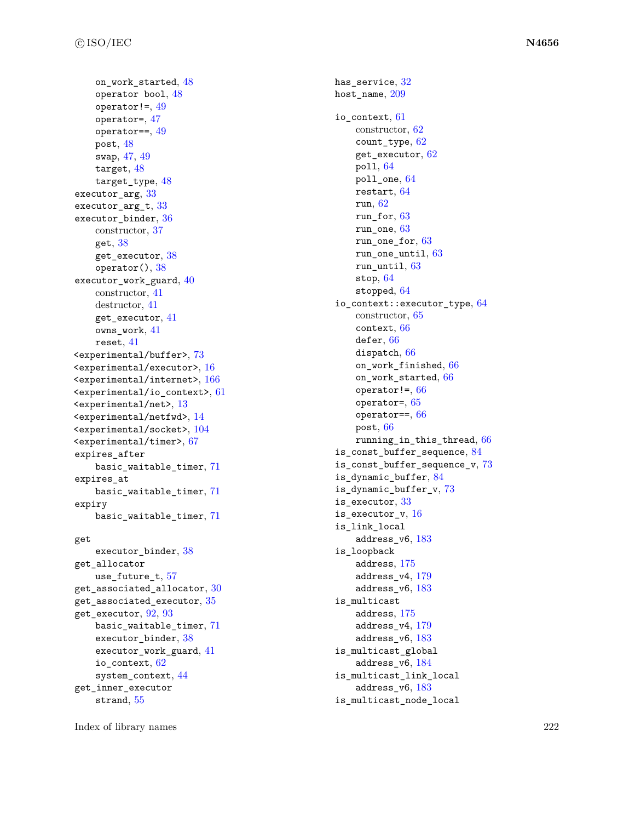on\_work\_started , [48](#page-54-0) operator bool,  $48$  $operator:=$ , [49](#page-55-0) operator= , [47](#page-53-0)  $operator==, 49$  $operator==, 49$  ${\tt post},\,48$  ${\tt post},\,48$ swap , [47](#page-53-0) , [49](#page-55-0) target,  $48$ target\_type,  $48$ executor\_arg,  $33$ executor\_arg\_t, [33](#page-39-0) executor\_binder , [36](#page-42-0) constructor, [37](#page-43-0) get,  $38$ get\_executor,  $38\,$  $38\,$  $\texttt{operator}() , 38$  $\texttt{operator}() , 38$ executor\_work\_guard, [40](#page-46-0) constructor, [41](#page-47-0) destructor, [41](#page-47-0) get\_executor , [41](#page-47-0) owns\_work , [41](#page-47-0)  ${\tt reset},\,41$  ${\tt reset},\,41$ <experimental/buffer> , [73](#page-79-0)  $\leq$ experimental/executor>, [16](#page-22-0)  $\leq$ experimental/internet>, [166](#page-172-0)  $\leq$ experimental/io\_context>,  $61$  $\verb||, 13$  $\verb||, 13$  $\le$ experimental/netfwd>,  $14$  $\le$ experimental/socket>,  $104$ <experimental/timer> , [67](#page-73-0) expires\_after basic\_waitable\_timer , [71](#page-77-0) expires\_at basic\_waitable\_timer , [71](#page-77-0) expiry basic\_waitable\_timer , [71](#page-77-0) get

executor\_binder, [38](#page-44-0) get\_allocator use\_future\_t , [57](#page-63-0)  ${\tt get\_associated\_allocator}, \, 30$  ${\tt get\_associated\_allocator}, \, 30$  ${\tt get\_associated\_execution},\, 35$  ${\tt get\_associated\_execution},\, 35$  ${\tt get\_execution},\,92,\,93$  ${\tt get\_execution},\,92,\,93$  ${\tt get\_execution},\,92,\,93$  ${\tt get\_execution},\,92,\,93$ basic\_waitable\_timer , [71](#page-77-0) executor\_binder, [38](#page-44-0) executor\_work\_guard,  $41$ io\_context , [62](#page-68-0) system\_context , [44](#page-50-0) get\_inner\_executor  $strand, 55$  $strand, 55$ 

 $\mathtt{has\_service},\,32$  $\mathtt{has\_service},\,32$  ${\tt host\_name},\,209$  ${\tt host\_name},\,209$ io\_context , [61](#page-67-0) constructor, [62](#page-68-0) count\_type , [62](#page-68-0) get\_executor , [62](#page-68-0) poll , [64](#page-70-0)  $\verb|poll_one|, 64$  $\verb|poll_one|, 64$  ${\tt restart},\,64$  ${\tt restart},\,64$ run , [62](#page-68-0) run\_for , [63](#page-69-0) run\_one , [63](#page-69-0) run\_one\_for , [63](#page-69-0) run\_one\_until , [63](#page-69-0) run\_until , [63](#page-69-0)  $\mathop{\tt stop}, 64$  $\mathop{\tt stop}, 64$ stopped , [64](#page-70-0)  $\verb|io_counts::execution_type, 64$  $\verb|io_counts::execution_type, 64$ constructor, [65](#page-71-0) context , [66](#page-72-0)  $\mathop{\mathsf{defer}}, 66$  $\mathop{\mathsf{defer}}, 66$  $dispatch, 66$  $dispatch, 66$ on\_work\_finished , [66](#page-72-0) on\_work\_started , [66](#page-72-0)  $\texttt{operator}!=\text{, }66$  $\texttt{operator}!=\text{, }66$  $operator =$ ,  $65$  $\circ$ perator==,  $66$  ${\tt post},\,66$  ${\tt post},\,66$ running\_in\_this\_thread , [66](#page-72-0) is\_const\_buffer\_sequence , [84](#page-90-0) is\_const\_buffer\_sequence\_v , [73](#page-79-0) is\_dynamic\_buffer , [84](#page-90-0) is\_dynamic\_buffer\_v , [73](#page-79-0) is\_executor , [33](#page-39-0) is\_executor\_v , [16](#page-22-0) is\_link\_local  $\texttt{address\_v6},\, 183$  $\texttt{address\_v6},\, 183$ is\_loopback address , [175](#page-181-0) address\_v4 , [179](#page-185-0)  $\texttt{address\_v6},\, 183$  $\texttt{address\_v6},\, 183$ is\_multicast  $\mathrm{address},\,175$  $\mathrm{address},\,175$ address\_v4 , [179](#page-185-0)  $\texttt{address\_v6},\, 183$  $\texttt{address\_v6},\, 183$ is\_multicast\_global address\_v6 , [184](#page-190-0) is\_multicast\_link\_local  $\texttt{address\_v6},\, 183$  $\texttt{address\_v6},\, 183$ is\_multicast\_node\_local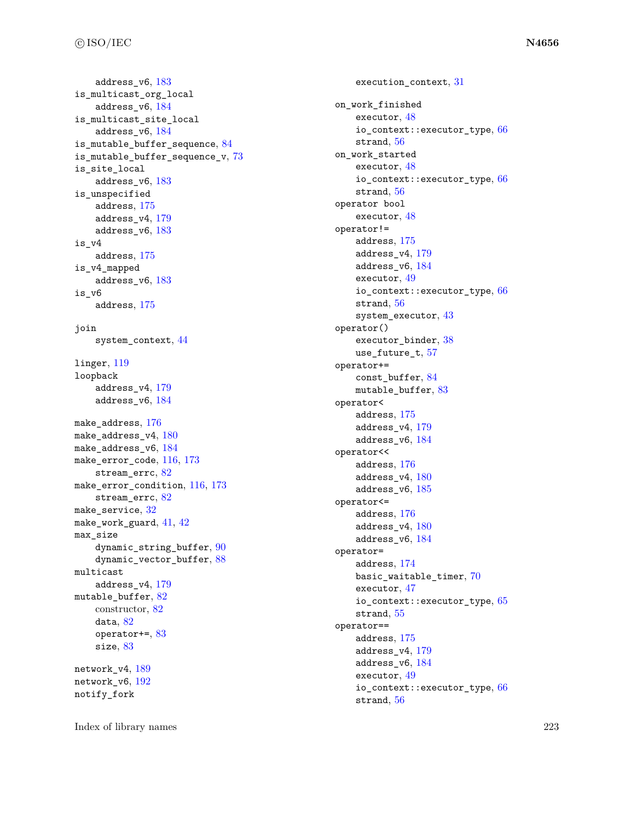```
183is_multicast_org_local
  184is_multicast_site_local
  184is_mutable_buffer_sequence
, 84
73is_site_local
  183is_unspecified
  175address_v4
, 179
  183is_v4
  175is_v4_mapped
  183is_v6
  175join
  system_context
, 44
linger
, 119
loopback
  address_v4
, 179
  184176180184116173stream_errc, 82make_error_condition, 116173stream_errc, 82324142max_size
  90dynamic_vector_buffer, 88multicast
  address_v4
, 179
mutable_buffer, 82constructor, 82
  data, 82operator+=
, 83
  83189
192notify_fork
```

```
31
on_work_finished
  executor
, 48
  66
  strand
, 56
on_work_started
  executor
, 48
  66
  56operator bool
  executor
, 48
operator!=
  address
, 175
  address_v4
, 179
  address_v6
, 184
  executor
, 49
  66
  56system_executor
, 43
operator()
  38
  use_future_t, 57operator+=
  const_buffer
, 84
  83operator<
  175address_v4
, 179
  184operator<<
  address
, 176
  180185operator<=
  176180address_v6
, 184
operator=
  address
, 174
  70executor
, 47
  65
  strand
, 55
operator==
  175address_v4
, 179
  address_v6
, 184
  executor
, 49
  66
  56
```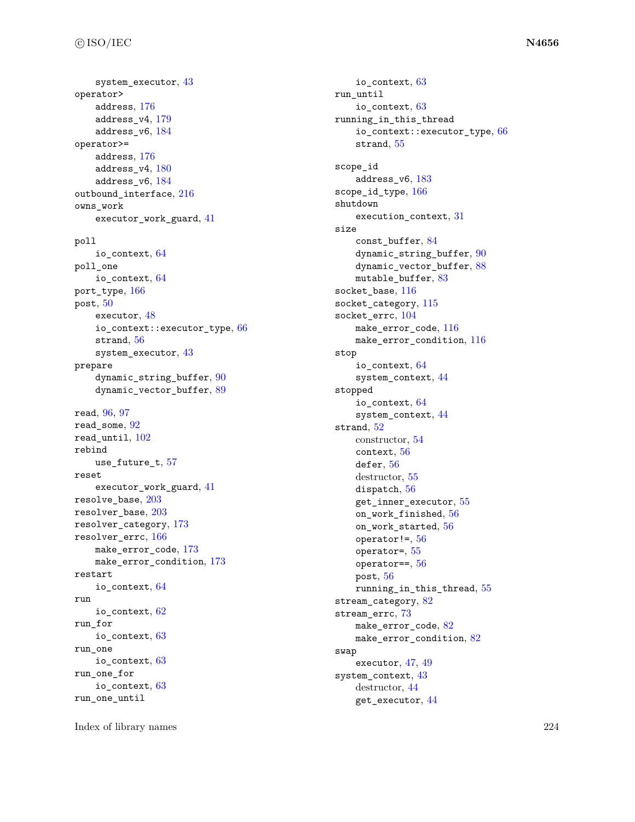system\_executor , [43](#page-49-0) operator>  $\mathrm{address},\,176$  $\mathrm{address},\,176$ address\_v4 , [179](#page-185-0)  $\texttt{address\_v6},\,184$  $\texttt{address\_v6},\,184$ operator>=  $\mathrm{address},\,176$  $\mathrm{address},\,176$  $\texttt{address\_v4},\, 180$  $\texttt{address\_v4},\, 180$ address\_v6 , [184](#page-190-0) outbound\_interface, [216](#page-222-1) owns\_work  $\tt{exector\_work\_guard, 41}$  $\tt{exector\_work\_guard, 41}$  $\tt{exector\_work\_guard, 41}$ poll io\_context , [64](#page-70-0) poll\_one  $\texttt{io\_context}, \, 64$  $\texttt{io\_context}, \, 64$  $\texttt{port\_type},\,166$  $\texttt{port\_type},\,166$  ${\tt post},\,50$  ${\tt post},\,50$ executor , [48](#page-54-0) io\_context::executor\_type, [66](#page-72-0)  $\mathop{\rm strand}\nolimits, 56$  $\mathop{\rm strand}\nolimits, 56$ system\_executor , [43](#page-49-0) prepare  ${\tt dynamic\_string\_buffer}, \, 90$  ${\tt dynamic\_string\_buffer}, \, 90$  ${\tt dynamic\_vector\_buffer}, 89$  ${\tt dynamic\_vector\_buffer}, 89$  $real, 96, 97$  $real, 96, 97$  $real, 96, 97$  $real, 96, 97$  $\verb|read_some|, 92$  $\verb|read_some|, 92$  $\verb|read_matrix|, 102$  $\verb|read_matrix|, 102$ rebind use\_future\_t , [57](#page-63-0) reset  $\tt{exector\_work\_guard, 41}$  $\tt{exector\_work\_guard, 41}$  $\tt{exector\_work\_guard, 41}$  $\verb|resolve_base|, 203$  $\verb|resolve_base|, 203$  ${\tt resolver\_base},\,203$  ${\tt resolver\_base},\,203$  ${\tt resolver\_category},\,173$  ${\tt resolver\_category},\,173$ resolver\_errc , [166](#page-172-0)  ${\tt make\_error\_code},\,173$  ${\tt make\_error\_code},\,173$ make\_error\_condition , [173](#page-179-0) restart  $\texttt{io\_context}, \, 64$  $\texttt{io\_context}, \, 64$ run  $\,$ io\_context, $\,62$  $\,62$ run\_for io\_context , [63](#page-69-0) run\_one  $\texttt{io\_context},\,63$  $\texttt{io\_context},\,63$ run\_one\_for  $\texttt{io\_context},\,63$  $\texttt{io\_context},\,63$ run\_one\_until

io\_context , [63](#page-69-0) run\_until io\_context , [63](#page-69-0) running\_in\_this\_thread io\_context::executor\_type, [66](#page-72-0) strand , [55](#page-61-0) scope\_id  $\texttt{address\_v6},\, 183$  $\texttt{address\_v6},\, 183$ scope\_id\_type,  $166$ shutdown execution\_context , [31](#page-37-0) size const\_buffer , [84](#page-90-0) dynamic\_string\_buffer,  $90$ dynamic\_vector\_buffer, [88](#page-94-0)  $mutable\_buffer, 83$  $mutable\_buffer, 83$  ${\tt socket\_base},\,116$  ${\tt socket\_base},\,116$  ${\tt socket\_category},$   $115$  ${\tt socket\_errc, 104}$  ${\tt socket\_errc, 104}$  ${\tt socket\_errc, 104}$  ${\tt make\_error\_code},\,116$  ${\tt make\_error\_code},\,116$  ${\tt make\_error\_condition},\,116$  ${\tt make\_error\_condition},\,116$ stop io\_context , [64](#page-70-0) system\_context , [44](#page-50-0) stopped io\_context , [64](#page-70-0) system\_context , [44](#page-50-0)  $strand, 52$  $strand, 52$ constructor, [54](#page-60-0) context , [56](#page-62-0)  $\mathop{\mathsf{defer}}\nolimits, 56$  $\mathop{\mathsf{defer}}\nolimits, 56$ destructor, [55](#page-61-0) dispatch,  $56\,$  $56\,$  ${\tt get\_inner\_execution}, 55$  ${\tt get\_inner\_execution}, 55$ on\_work\_finished , [56](#page-62-0) on\_work\_started , [56](#page-62-0)  $\,$ operator!= $\,,56$  $\,,56$ operator= , [55](#page-61-0)  $operator==, 56$  $operator==, 56$  ${\tt post},\,56$  ${\tt post},\,56$ running\_in\_this\_thread , [55](#page-61-0) stream\_category, [82](#page-88-0) stream\_errc , [73](#page-79-0)  ${\tt make\_error\_code}, \, 82$  ${\tt make\_error\_code}, \, 82$ make\_error\_condition,  $82$ swap executor, [47](#page-53-0), [49](#page-55-0) system\_context,  $43$ destructor, [44](#page-50-0) get\_executor , [44](#page-50-0)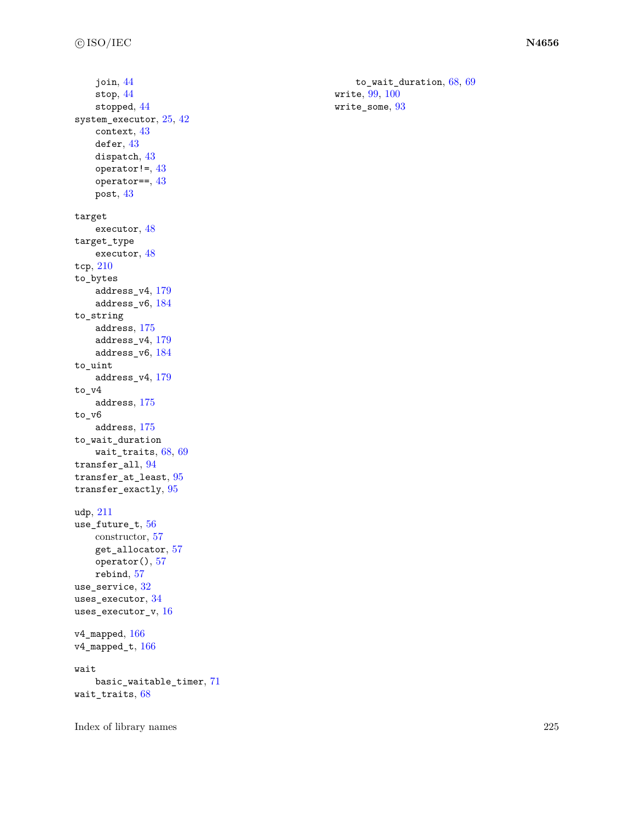```
join
, 44
   stop
, 44
   stopped
, 44
2542
   context
, 43
   4343}434343target
   executor
, 48
target_type
   executor
, 48
tcp
, 210
to_bytes
   address_v4
, 179
   184to_string
   175179address_v6
, 184
to_uint
   address_v4
, 179
to_v4
   175to_v6
   175to_wait_duration
   wait_traits, 6869transfer_all, 94transfer_at_least
, 95
transfer_exactly
, 95
udp
, 211
56constructor, 57
   get_allocator
, 57
   57rebind
, 57
use_service, 32\,uses_executor, 34\,uses_executor_v, 16\,v4\_mapped, 166\,<code>v4_mapped_t</code>, 166
```

```
wait
```
basic\_waitable\_timer , [71](#page-77-0) wait\_traits,  $68$ 

Index of library names 225

to\_wait\_duration, [68](#page-74-0), [69](#page-75-0) write,  $99, 100$  $99, 100$  $99, 100$  $\texttt{write\_some},\,93$  $\texttt{write\_some},\,93$